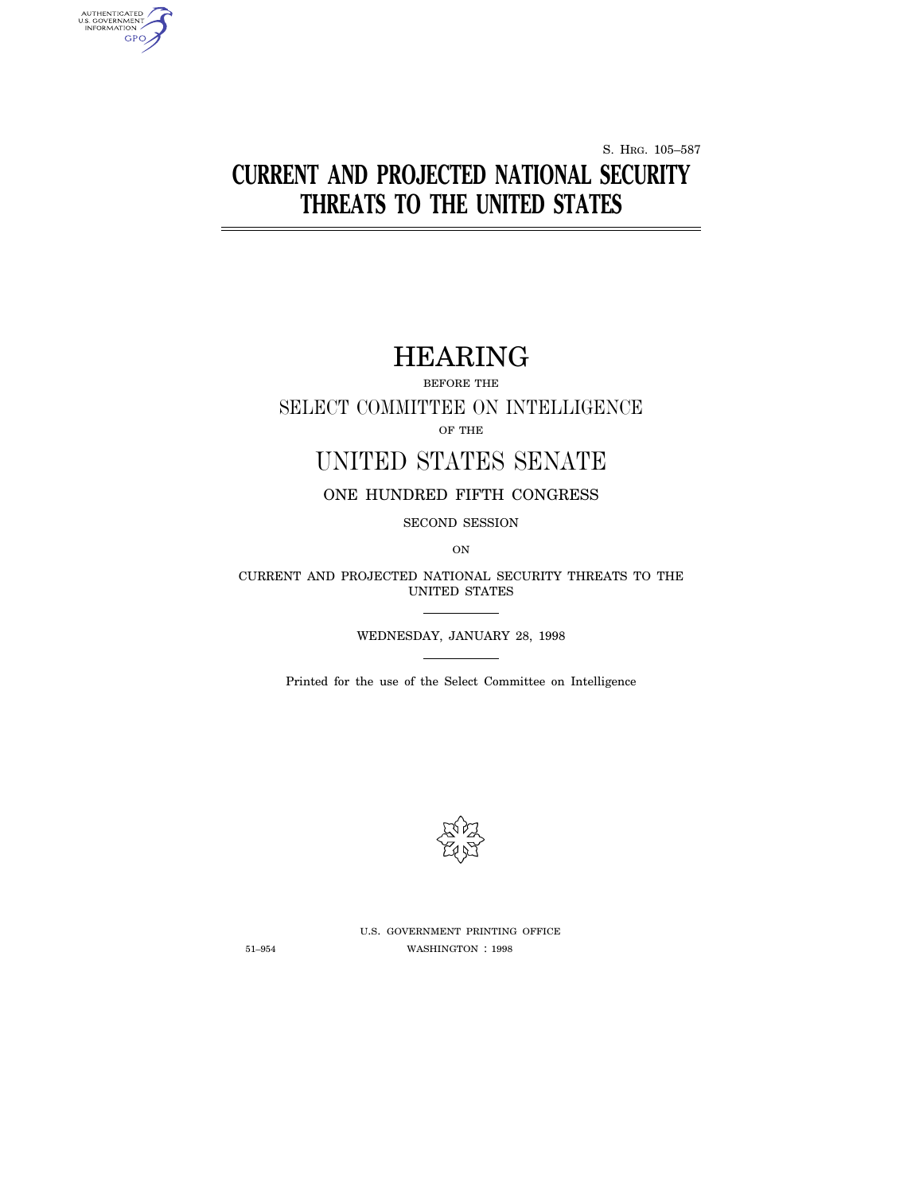S. HRG. 105–587

# **CURRENT AND PROJECTED NATIONAL SECURITY THREATS TO THE UNITED STATES**

# HEARING

BEFORE THE

SELECT COMMITTEE ON INTELLIGENCE OF THE

# UNITED STATES SENATE

# ONE HUNDRED FIFTH CONGRESS

SECOND SESSION

ON

CURRENT AND PROJECTED NATIONAL SECURITY THREATS TO THE UNITED STATES

WEDNESDAY, JANUARY 28, 1998

Printed for the use of the Select Committee on Intelligence



U.S. GOVERNMENT PRINTING OFFICE 51–954 WASHINGTON : 1998

AUTHENTICATED<br>U.S. GOVERNMENT<br>INFORMATION GPO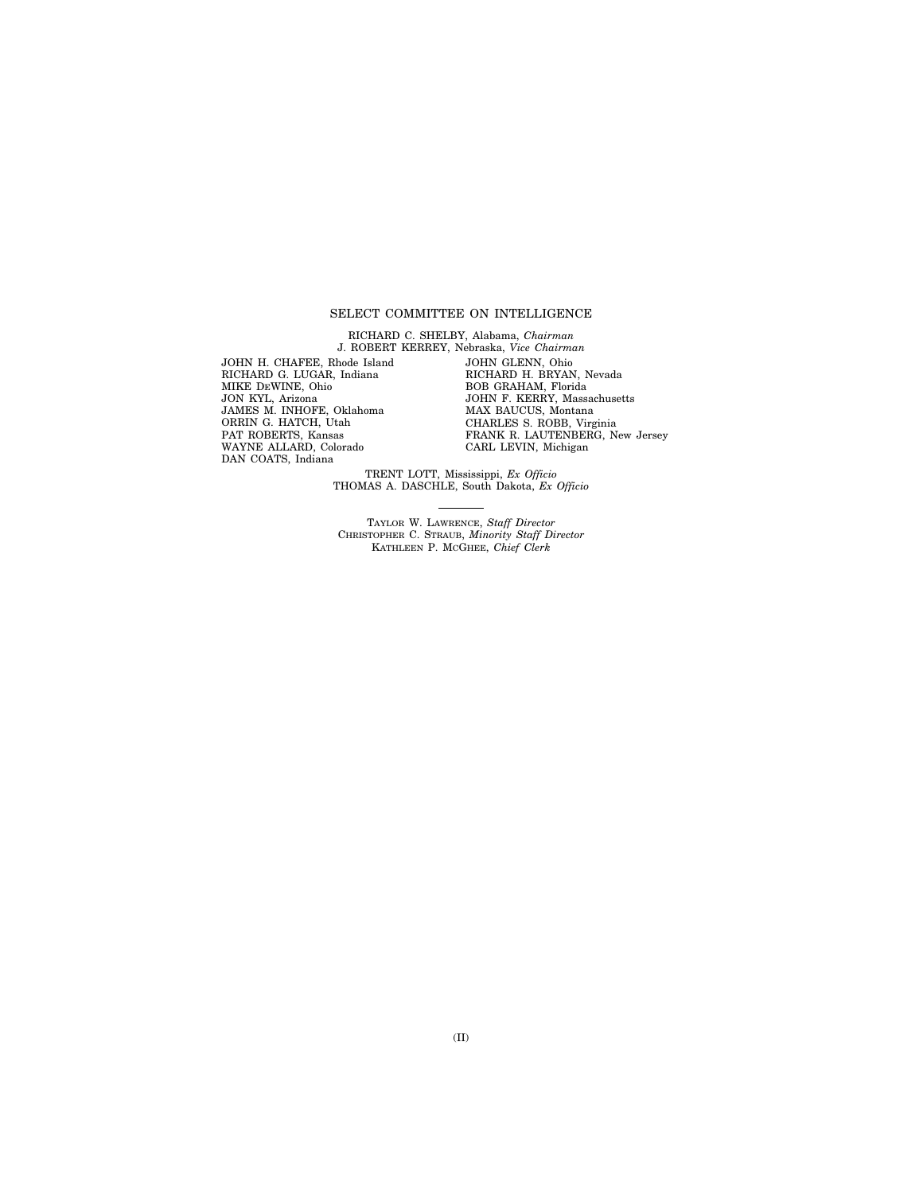# SELECT COMMITTEE ON INTELLIGENCE

RICHARD C. SHELBY, Alabama, *Chairman* J. ROBERT KERREY, Nebraska, *Vice Chairman* JOHN H. CHAFEE, Rhode Island RICHARD G. LUGAR, Indiana MIKE DEWINE, Ohio JON KYL, Arizona JAMES M. INHOFE, Oklahoma ORRIN G. HATCH, Utah PAT ROBERTS, Kansas WAYNE ALLARD, Colorado DAN COATS, Indiana

JOHN GLENN, Ohio RICHARD H. BRYAN, Nevada BOB GRAHAM, Florida JOHN F. KERRY, Massachusetts MAX BAUCUS, Montana CHARLES S. ROBB, Virginia FRANK R. LAUTENBERG, New Jersey CARL LEVIN, Michigan

TRENT LOTT, Mississippi, *Ex Officio* THOMAS A. DASCHLE, South Dakota, *Ex Officio*

TAYLOR W. LAWRENCE, *Staff Director* CHRISTOPHER C. STRAUB, *Minority Staff Director* KATHLEEN P. MCGHEE, *Chief Clerk*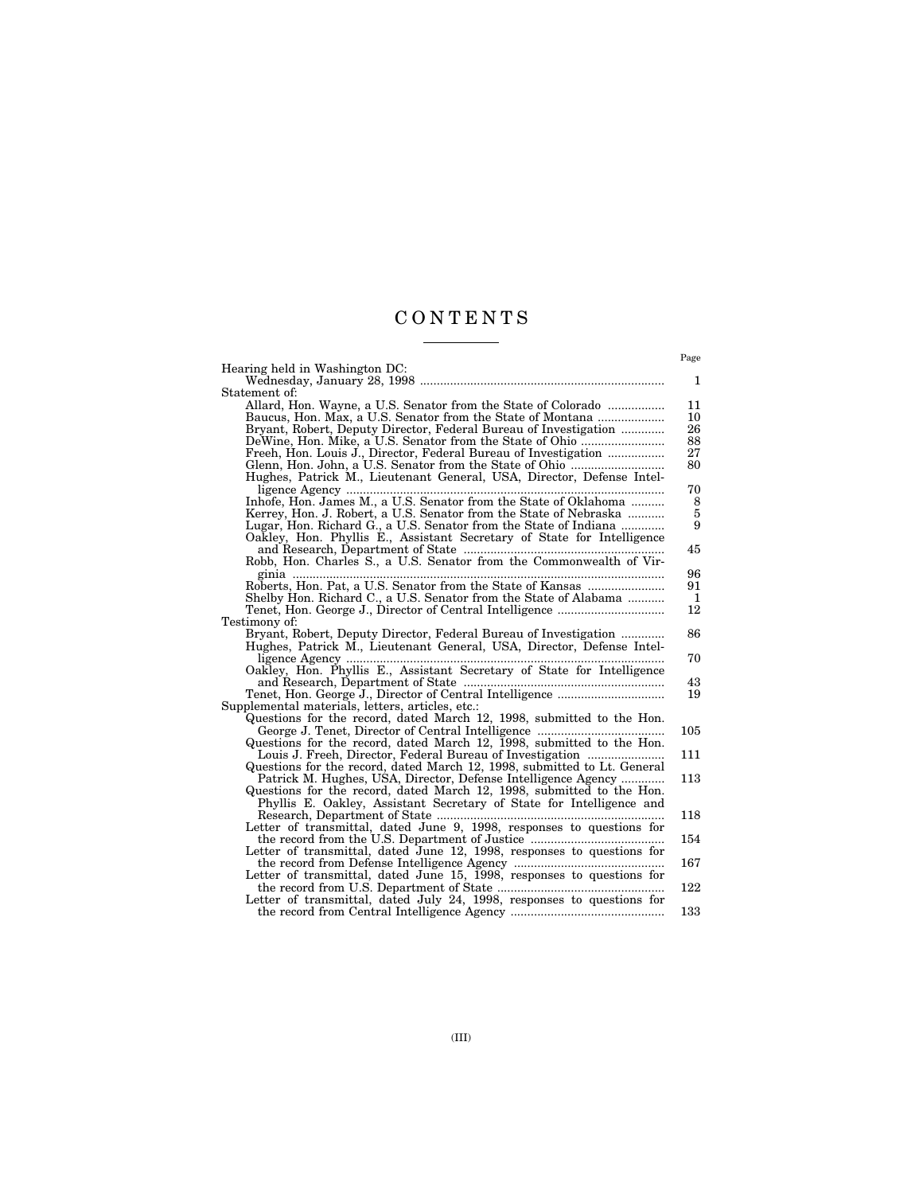# C O N T E N T S

| Page                                                                                                                                                                                                                                                                                                                                                                                                                                             |                   |
|--------------------------------------------------------------------------------------------------------------------------------------------------------------------------------------------------------------------------------------------------------------------------------------------------------------------------------------------------------------------------------------------------------------------------------------------------|-------------------|
| Hearing held in Washington DC:                                                                                                                                                                                                                                                                                                                                                                                                                   |                   |
|                                                                                                                                                                                                                                                                                                                                                                                                                                                  | 1                 |
| Statement of:<br>Allard, Hon. Wayne, a U.S. Senator from the State of Colorado<br>Baucus, Hon. Max, a U.S. Senator from the State of Montana<br>26<br>Bryant, Robert, Deputy Director, Federal Bureau of Investigation<br>88<br>DeWine, Hon. Mike, a U.S. Senator from the State of Ohio<br>Freeh, Hon. Louis J., Director, Federal Bureau of Investigation<br>27<br>80<br>Hughes, Patrick M., Lieutenant General, USA, Director, Defense Intel- | 11<br>10          |
| Inhofe, Hon. James M., a U.S. Senator from the State of Oklahoma<br>Kerrey, Hon. J. Robert, a U.S. Senator from the State of Nebraska<br>Lugar, Hon. Richard G., a U.S. Senator from the State of Indiana<br>Oakley, Hon. Phyllis E., Assistant Secretary of State for Intelligence                                                                                                                                                              | 70<br>8<br>5<br>9 |
| 45<br>Robb, Hon. Charles S., a U.S. Senator from the Commonwealth of Vir-                                                                                                                                                                                                                                                                                                                                                                        |                   |
| 96                                                                                                                                                                                                                                                                                                                                                                                                                                               |                   |
| Shelby Hon. Richard C., a U.S. Senator from the State of Alabama                                                                                                                                                                                                                                                                                                                                                                                 | 91<br>1           |
| 12                                                                                                                                                                                                                                                                                                                                                                                                                                               |                   |
| Testimony of:                                                                                                                                                                                                                                                                                                                                                                                                                                    |                   |
| Bryant, Robert, Deputy Director, Federal Bureau of Investigation<br>86<br>Hughes, Patrick M., Lieutenant General, USA, Director, Defense Intel-                                                                                                                                                                                                                                                                                                  |                   |
| Oakley, Hon. Phyllis E., Assistant Secretary of State for Intelligence                                                                                                                                                                                                                                                                                                                                                                           | 70                |
| 43                                                                                                                                                                                                                                                                                                                                                                                                                                               |                   |
| Supplemental materials, letters, articles, etc.:                                                                                                                                                                                                                                                                                                                                                                                                 | 19                |
| Questions for the record, dated March 12, 1998, submitted to the Hon.<br>105                                                                                                                                                                                                                                                                                                                                                                     |                   |
| Questions for the record, dated March 12, 1998, submitted to the Hon.                                                                                                                                                                                                                                                                                                                                                                            |                   |
| Louis J. Freeh, Director, Federal Bureau of Investigation<br>111<br>Questions for the record, dated March 12, 1998, submitted to Lt. General                                                                                                                                                                                                                                                                                                     |                   |
| Patrick M. Hughes, USA, Director, Defense Intelligence Agency<br>113<br>Questions for the record, dated March 12, 1998, submitted to the Hon.<br>Phyllis E. Oakley, Assistant Secretary of State for Intelligence and                                                                                                                                                                                                                            |                   |
| 118                                                                                                                                                                                                                                                                                                                                                                                                                                              |                   |
| Letter of transmittal, dated June 9, 1998, responses to questions for<br>154                                                                                                                                                                                                                                                                                                                                                                     |                   |
| Letter of transmittal, dated June 12, 1998, responses to questions for                                                                                                                                                                                                                                                                                                                                                                           |                   |
| 167<br>Letter of transmittal, dated June 15, 1998, responses to questions for                                                                                                                                                                                                                                                                                                                                                                    |                   |
| 122                                                                                                                                                                                                                                                                                                                                                                                                                                              |                   |
| Letter of transmittal, dated July 24, 1998, responses to questions for<br>133                                                                                                                                                                                                                                                                                                                                                                    |                   |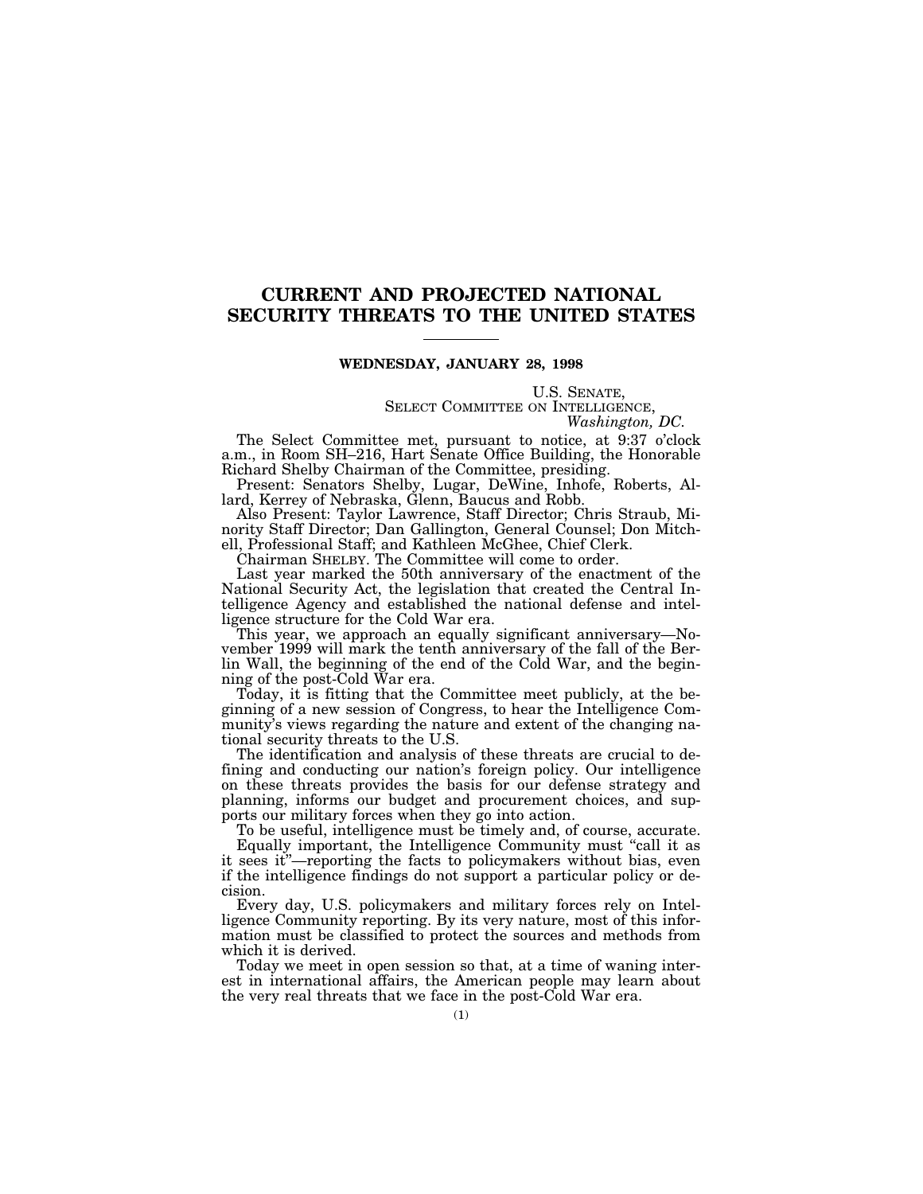# **CURRENT AND PROJECTED NATIONAL SECURITY THREATS TO THE UNITED STATES**

# **WEDNESDAY, JANUARY 28, 1998**

U.S. SENATE, SELECT COMMITTEE ON INTELLIGENCE, *Washington, DC.*

The Select Committee met, pursuant to notice, at 9:37 o'clock a.m., in Room SH–216, Hart Senate Office Building, the Honorable Richard Shelby Chairman of the Committee, presiding.

Present: Senators Shelby, Lugar, DeWine, Inhofe, Roberts, Allard, Kerrey of Nebraska, Glenn, Baucus and Robb.

Also Present: Taylor Lawrence, Staff Director; Chris Straub, Minority Staff Director; Dan Gallington, General Counsel; Don Mitchell, Professional Staff; and Kathleen McGhee, Chief Clerk.

Chairman SHELBY. The Committee will come to order.

Last year marked the 50th anniversary of the enactment of the National Security Act, the legislation that created the Central Intelligence Agency and established the national defense and intelligence structure for the Cold War era.

This year, we approach an equally significant anniversary—November 1999 will mark the tenth anniversary of the fall of the Berlin Wall, the beginning of the end of the Cold War, and the beginning of the post-Cold War era.

Today, it is fitting that the Committee meet publicly, at the beginning of a new session of Congress, to hear the Intelligence Community's views regarding the nature and extent of the changing national security threats to the U.S.

The identification and analysis of these threats are crucial to defining and conducting our nation's foreign policy. Our intelligence on these threats provides the basis for our defense strategy and planning, informs our budget and procurement choices, and supports our military forces when they go into action.

To be useful, intelligence must be timely and, of course, accurate.

Equally important, the Intelligence Community must "call it as it sees it''—reporting the facts to policymakers without bias, even if the intelligence findings do not support a particular policy or decision.

Every day, U.S. policymakers and military forces rely on Intelligence Community reporting. By its very nature, most of this information must be classified to protect the sources and methods from which it is derived.

Today we meet in open session so that, at a time of waning interest in international affairs, the American people may learn about the very real threats that we face in the post-Cold War era.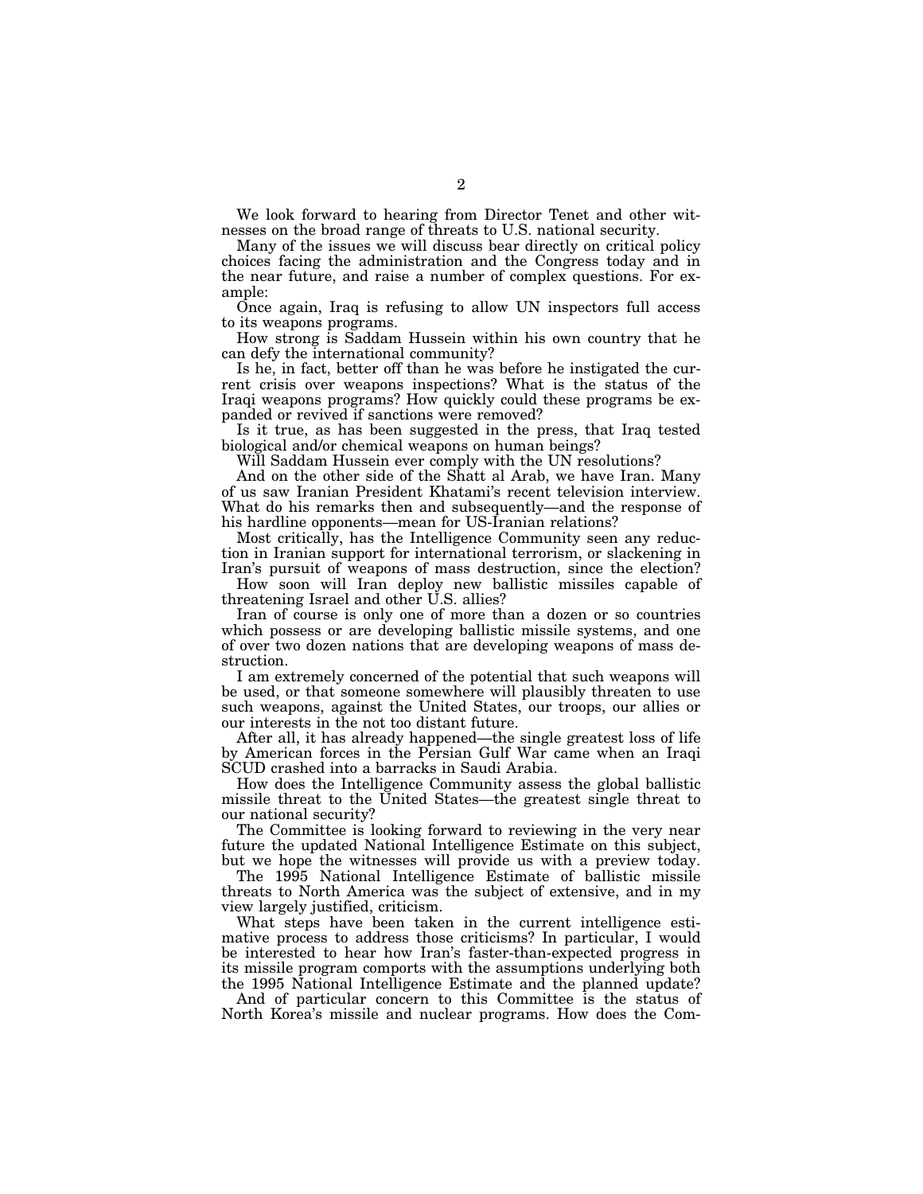We look forward to hearing from Director Tenet and other witnesses on the broad range of threats to U.S. national security.

Many of the issues we will discuss bear directly on critical policy choices facing the administration and the Congress today and in the near future, and raise a number of complex questions. For example:

Once again, Iraq is refusing to allow UN inspectors full access to its weapons programs.

How strong is Saddam Hussein within his own country that he can defy the international community?

Is he, in fact, better off than he was before he instigated the current crisis over weapons inspections? What is the status of the Iraqi weapons programs? How quickly could these programs be expanded or revived if sanctions were removed?

Is it true, as has been suggested in the press, that Iraq tested biological and/or chemical weapons on human beings?

Will Saddam Hussein ever comply with the UN resolutions?

And on the other side of the Shatt al Arab, we have Iran. Many of us saw Iranian President Khatami's recent television interview. What do his remarks then and subsequently—and the response of his hardline opponents—mean for US-Iranian relations?

Most critically, has the Intelligence Community seen any reduction in Iranian support for international terrorism, or slackening in Iran's pursuit of weapons of mass destruction, since the election?

How soon will Iran deploy new ballistic missiles capable of threatening Israel and other U.S. allies?

Iran of course is only one of more than a dozen or so countries which possess or are developing ballistic missile systems, and one of over two dozen nations that are developing weapons of mass destruction.

I am extremely concerned of the potential that such weapons will be used, or that someone somewhere will plausibly threaten to use such weapons, against the United States, our troops, our allies or our interests in the not too distant future.

After all, it has already happened—the single greatest loss of life by American forces in the Persian Gulf War came when an Iraqi SCUD crashed into a barracks in Saudi Arabia.

How does the Intelligence Community assess the global ballistic missile threat to the United States—the greatest single threat to our national security?

The Committee is looking forward to reviewing in the very near future the updated National Intelligence Estimate on this subject, but we hope the witnesses will provide us with a preview today.

The 1995 National Intelligence Estimate of ballistic missile threats to North America was the subject of extensive, and in my view largely justified, criticism.

What steps have been taken in the current intelligence estimative process to address those criticisms? In particular, I would be interested to hear how Iran's faster-than-expected progress in its missile program comports with the assumptions underlying both the 1995 National Intelligence Estimate and the planned update?

And of particular concern to this Committee is the status of North Korea's missile and nuclear programs. How does the Com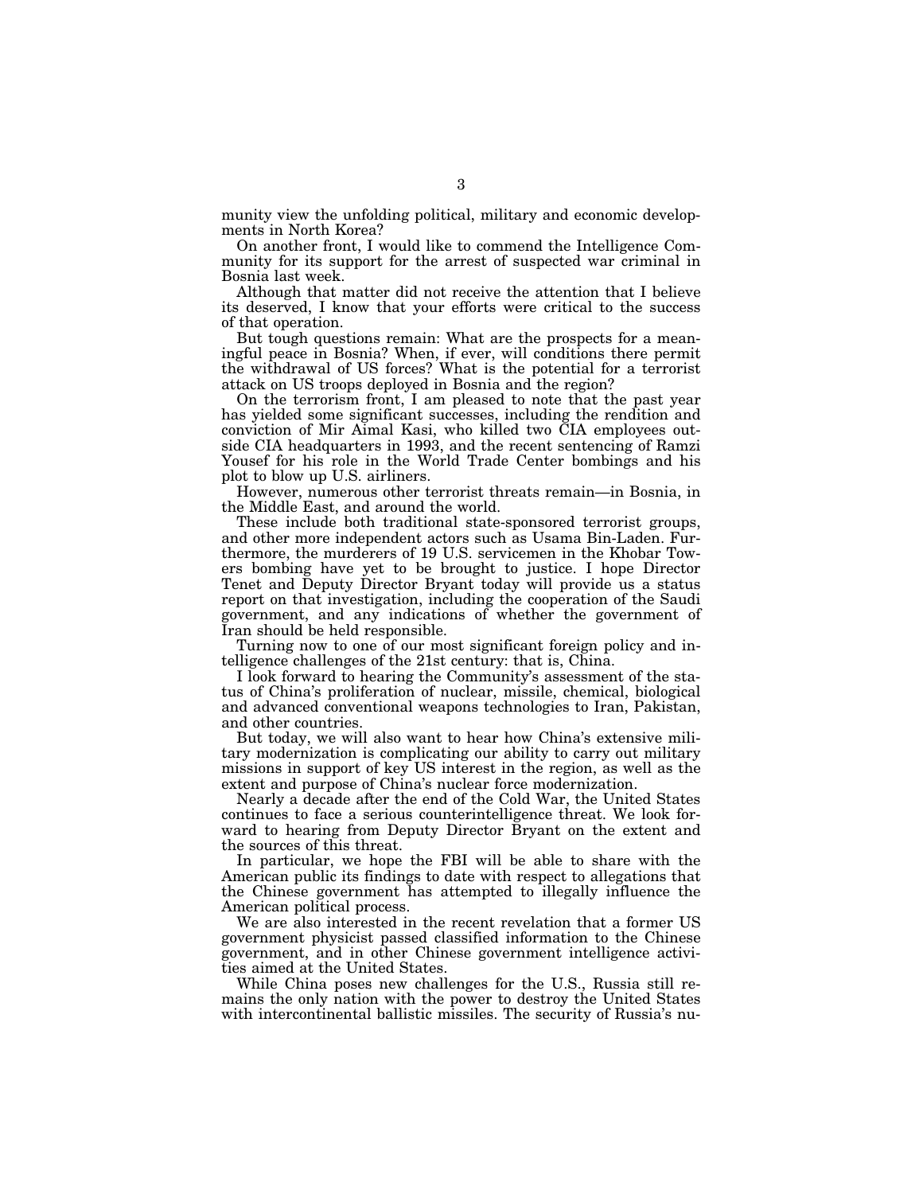munity view the unfolding political, military and economic developments in North Korea?

On another front, I would like to commend the Intelligence Community for its support for the arrest of suspected war criminal in Bosnia last week.

Although that matter did not receive the attention that I believe its deserved, I know that your efforts were critical to the success of that operation.

But tough questions remain: What are the prospects for a meaningful peace in Bosnia? When, if ever, will conditions there permit the withdrawal of US forces? What is the potential for a terrorist attack on US troops deployed in Bosnia and the region?

On the terrorism front, I am pleased to note that the past year has yielded some significant successes, including the rendition and conviction of Mir Aimal Kasi, who killed two CIA employees outside CIA headquarters in 1993, and the recent sentencing of Ramzi Yousef for his role in the World Trade Center bombings and his plot to blow up U.S. airliners.

However, numerous other terrorist threats remain—in Bosnia, in the Middle East, and around the world.

These include both traditional state-sponsored terrorist groups, and other more independent actors such as Usama Bin-Laden. Furthermore, the murderers of 19 U.S. servicemen in the Khobar Towers bombing have yet to be brought to justice. I hope Director Tenet and Deputy Director Bryant today will provide us a status report on that investigation, including the cooperation of the Saudi government, and any indications of whether the government of Iran should be held responsible.

Turning now to one of our most significant foreign policy and intelligence challenges of the 21st century: that is, China.

I look forward to hearing the Community's assessment of the status of China's proliferation of nuclear, missile, chemical, biological and advanced conventional weapons technologies to Iran, Pakistan, and other countries.

But today, we will also want to hear how China's extensive military modernization is complicating our ability to carry out military missions in support of key US interest in the region, as well as the extent and purpose of China's nuclear force modernization.

Nearly a decade after the end of the Cold War, the United States continues to face a serious counterintelligence threat. We look forward to hearing from Deputy Director Bryant on the extent and the sources of this threat.

In particular, we hope the FBI will be able to share with the American public its findings to date with respect to allegations that the Chinese government has attempted to illegally influence the American political process.

We are also interested in the recent revelation that a former US government physicist passed classified information to the Chinese government, and in other Chinese government intelligence activities aimed at the United States.

While China poses new challenges for the U.S., Russia still remains the only nation with the power to destroy the United States with intercontinental ballistic missiles. The security of Russia's nu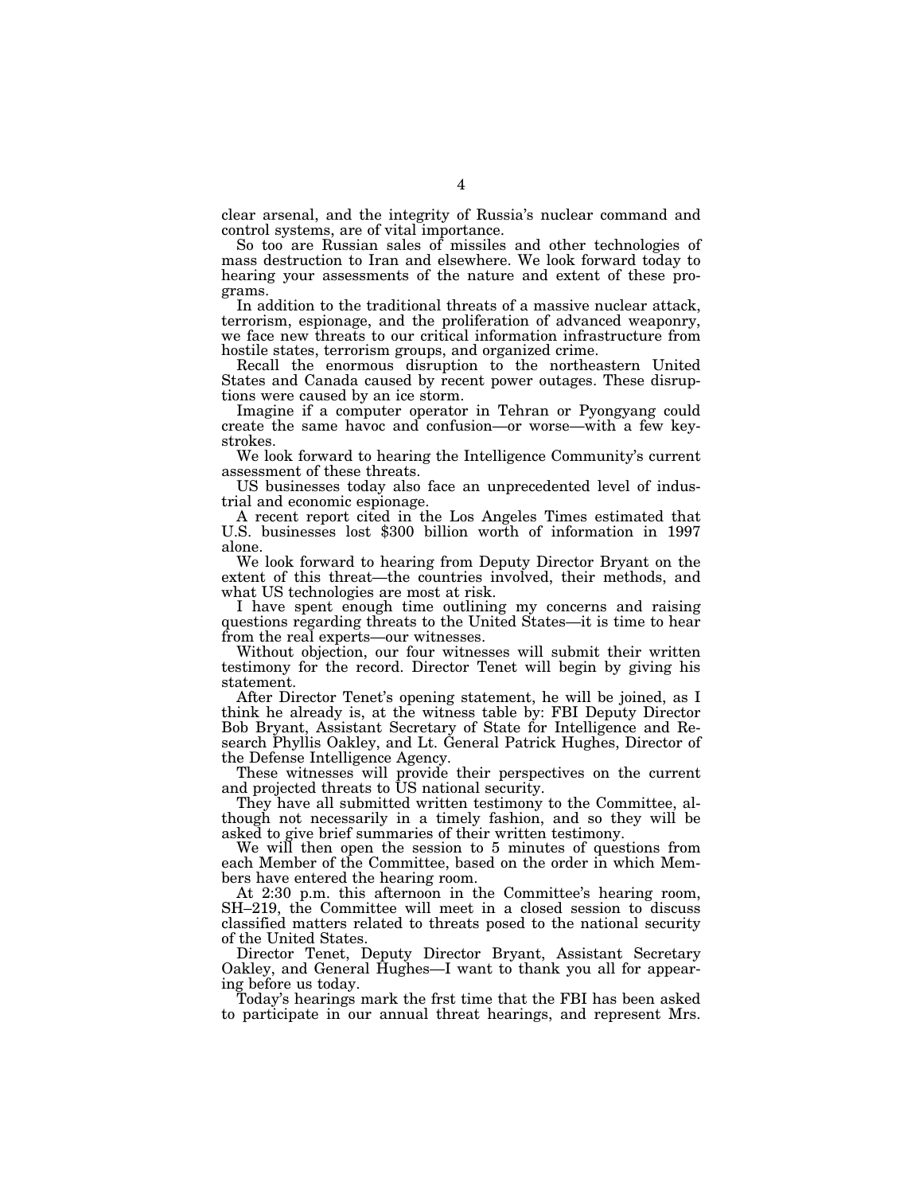clear arsenal, and the integrity of Russia's nuclear command and control systems, are of vital importance.

So too are Russian sales of missiles and other technologies of mass destruction to Iran and elsewhere. We look forward today to hearing your assessments of the nature and extent of these programs.

In addition to the traditional threats of a massive nuclear attack, terrorism, espionage, and the proliferation of advanced weaponry, we face new threats to our critical information infrastructure from hostile states, terrorism groups, and organized crime.

Recall the enormous disruption to the northeastern United States and Canada caused by recent power outages. These disruptions were caused by an ice storm.

Imagine if a computer operator in Tehran or Pyongyang could create the same havoc and confusion—or worse—with a few keystrokes.

We look forward to hearing the Intelligence Community's current assessment of these threats.

US businesses today also face an unprecedented level of industrial and economic espionage.<br>A recent report cited in the Los Angeles Times estimated that

U.S. businesses lost \$300 billion worth of information in 1997 alone.

We look forward to hearing from Deputy Director Bryant on the extent of this threat—the countries involved, their methods, and what US technologies are most at risk.

I have spent enough time outlining my concerns and raising questions regarding threats to the United States—it is time to hear from the real experts—our witnesses.

Without objection, our four witnesses will submit their written testimony for the record. Director Tenet will begin by giving his statement.

After Director Tenet's opening statement, he will be joined, as I think he already is, at the witness table by: FBI Deputy Director Bob Bryant, Assistant Secretary of State for Intelligence and Research Phyllis Oakley, and Lt. General Patrick Hughes, Director of the Defense Intelligence Agency.

These witnesses will provide their perspectives on the current and projected threats to US national security.

They have all submitted written testimony to the Committee, although not necessarily in a timely fashion, and so they will be asked to give brief summaries of their written testimony.

We will then open the session to 5 minutes of questions from each Member of the Committee, based on the order in which Members have entered the hearing room.

At 2:30 p.m. this afternoon in the Committee's hearing room, SH–219, the Committee will meet in a closed session to discuss classified matters related to threats posed to the national security of the United States.

Director Tenet, Deputy Director Bryant, Assistant Secretary Oakley, and General Hughes—I want to thank you all for appearing before us today.

Today's hearings mark the frst time that the FBI has been asked to participate in our annual threat hearings, and represent Mrs.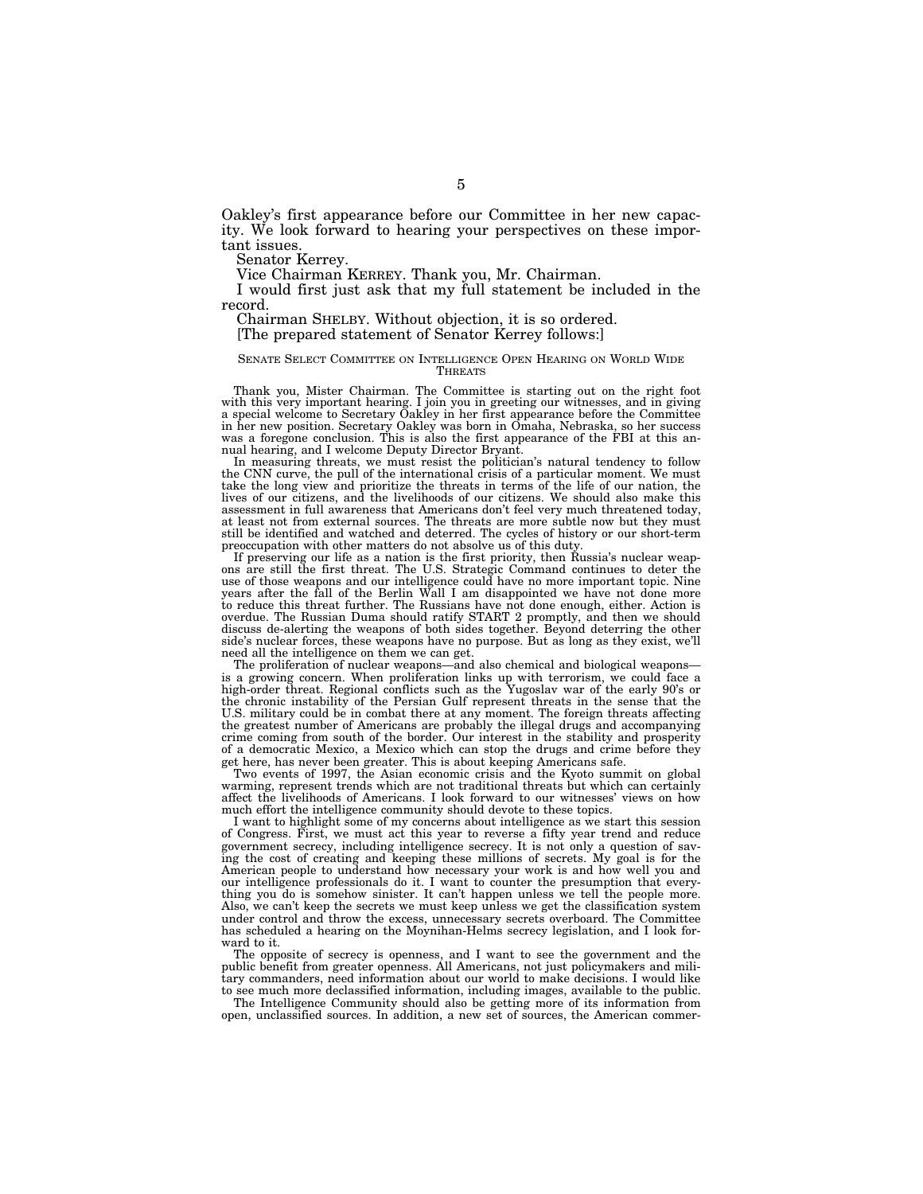Oakley's first appearance before our Committee in her new capacity. We look forward to hearing your perspectives on these important issues.

Senator Kerrey.

Vice Chairman KERREY. Thank you, Mr. Chairman.

I would first just ask that my full statement be included in the record.

# Chairman SHELBY. Without objection, it is so ordered. [The prepared statement of Senator Kerrey follows:]

# SENATE SELECT COMMITTEE ON INTELLIGENCE OPEN HEARING ON WORLD WIDE **THREATS**

Thank you, Mister Chairman. The Committee is starting out on the right foot with this very important hearing. I join you in greeting our witnesses, and in giving a special welcome to Secretary Oakley in her first appearance before the Committee in her new position. Secretary Oakley was born in Omaha, Nebraska, so her success was a foregone conclusion. This is also the first appearance of the FBI at this annual hearing, and I welcome Deputy Director Bryant.

In measuring threats, we must resist the politician's natural tendency to follow the CNN curve, the pull of the international crisis of a particular moment. We must take the long view and prioritize the threats in terms of the life of our nation, the lives of our citizens, and the livelihoods of our citizens. We should also make this assessment in full awareness that Americans don't feel very much threatened today, at least not from external sources. The threats are more subtle now but they must still be identified and watched and deterred. The cycles of history or our short-term preoccupation with other matters do not absolve us of this duty.

If preserving our life as a nation is the first priority, then Russia's nuclear weap-ons are still the first threat. The U.S. Strategic Command continues to deter the use of those weapons and our intelligence could have no more important topic. Nine years after the fall of the Berlin Wall I am disappointed we have not done more to reduce this threat further. The Russians have not done enough, either. Action is overdue. The Russian Duma should ratify START 2 promptly, and then we should discuss de-alerting the weapons of both sides together. Beyond deterring the other side's nuclear forces, these weapons have no purpose. But as long as they exist, we'll need all the intelligence on them we can get.

The proliferation of nuclear weapons—and also chemical and biological weapons is a growing concern. When proliferation links up with terrorism, we could face a high-order threat. Regional conflicts such as the Yugoslav war of the early 90's or the chronic instability of the Persian Gulf represent threats in the sense that the U.S. military could be in combat there at any moment. The foreign threats affecting the greatest number of Americans are probably the illegal drugs and accompanying crime coming from south of the border. Our interest in the stability and prosperity of a democratic Mexico, a Mexico which can stop the drugs and crime before they get here, has never been greater. This is about keeping Americans safe.

Two events of 1997, the Asian economic crisis and the Kyoto summit on global warming, represent trends which are not traditional threats but which can certainly affect the livelihoods of Americans. I look forward to our witnesses' views on how much effort the intelligence community should devote to these topics.

I want to highlight some of my concerns about intelligence as we start this session of Congress. First, we must act this year to reverse a fifty year trend and reduce government secrecy, including intelligence secrecy. It is not only a question of saving the cost of creating and keeping these millions of secrets. My goal is for the American people to understand how necessary your work is and how well you and our intelligence professionals do it. I want to counter the presumption that everything you do is somehow sinister. It can't happen unless we tell the people more. Also, we can't keep the secrets we must keep unless we get the classification system under control and throw the excess, unnecessary secrets overboard. The Committee has scheduled a hearing on the Moynihan-Helms secrecy legislation, and I look forward to it.

The opposite of secrecy is openness, and I want to see the government and the public benefit from greater openness. All Americans, not just policymakers and military commanders, need information about our world to make decisions. I would like to see much more declassified information, including images, available to the public.

The Intelligence Community should also be getting more of its information from open, unclassified sources. In addition, a new set of sources, the American commer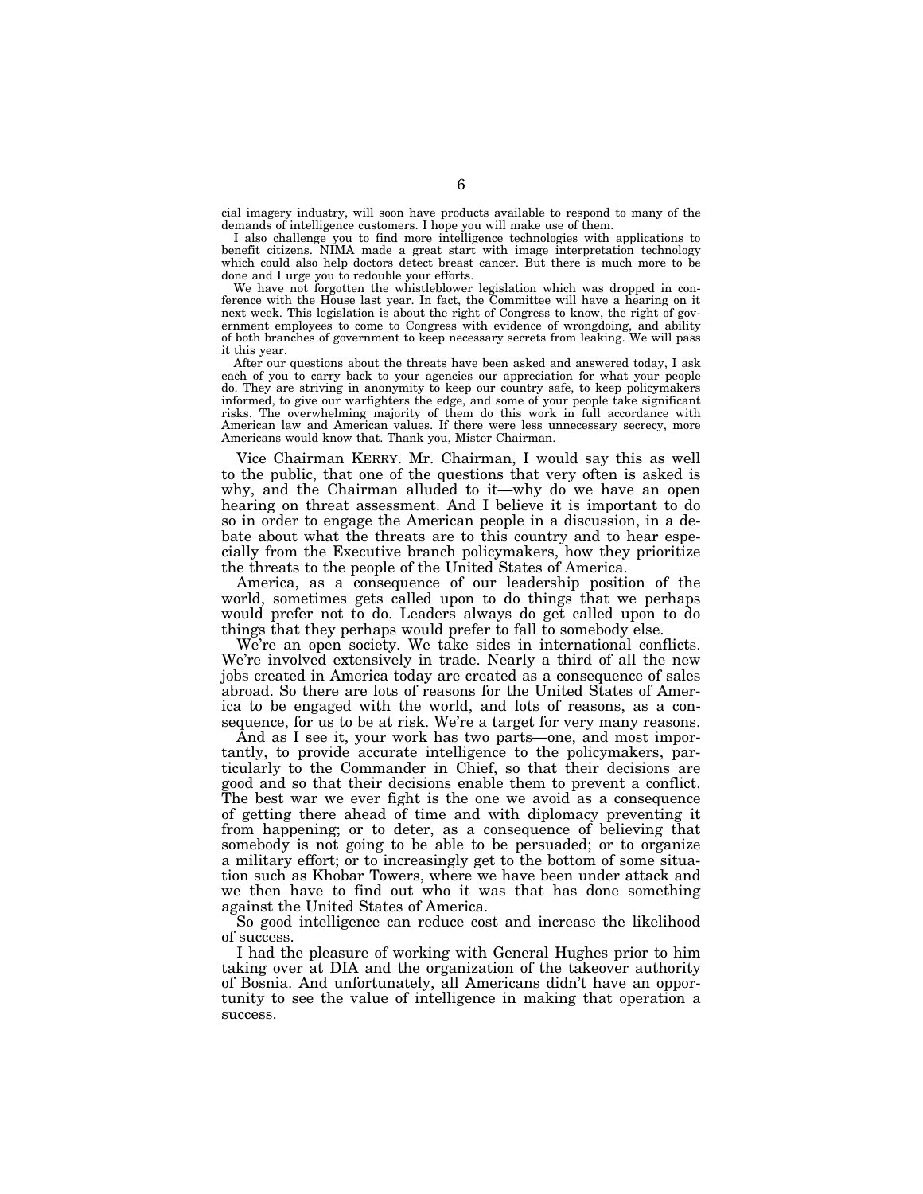cial imagery industry, will soon have products available to respond to many of the demands of intelligence customers. I hope you will make use of them.

I also challenge you to find more intelligence technologies with applications to benefit citizens. NIMA made a great start with image interpretation technology which could also help doctors detect breast cancer. But there is much more to be done and I urge you to redouble your efforts.

We have not forgotten the whistleblower legislation which was dropped in conference with the House last year. In fact, the Committee will have a hearing on it next week. This legislation is about the right of Congress to know, the right of government employees to come to Congress with evidence of wrongdoing, and ability of both branches of government to keep necessary secrets from leaking. We will pass it this year.

After our questions about the threats have been asked and answered today, I ask each of you to carry back to your agencies our appreciation for what your people do. They are striving in anonymity to keep our country safe, to keep policymakers informed, to give our warfighters the edge, and some of your people take significant risks. The overwhelming majority of them do this work in full accordance with American law and American values. If there were less unnecessary secrecy, more Americans would know that. Thank you, Mister Chairman.

Vice Chairman KERRY. Mr. Chairman, I would say this as well to the public, that one of the questions that very often is asked is why, and the Chairman alluded to it—why do we have an open hearing on threat assessment. And I believe it is important to do so in order to engage the American people in a discussion, in a debate about what the threats are to this country and to hear especially from the Executive branch policymakers, how they prioritize the threats to the people of the United States of America.

America, as a consequence of our leadership position of the world, sometimes gets called upon to do things that we perhaps would prefer not to do. Leaders always do get called upon to do things that they perhaps would prefer to fall to somebody else.

We're an open society. We take sides in international conflicts. We're involved extensively in trade. Nearly a third of all the new jobs created in America today are created as a consequence of sales abroad. So there are lots of reasons for the United States of America to be engaged with the world, and lots of reasons, as a consequence, for us to be at risk. We're a target for very many reasons.

And as I see it, your work has two parts—one, and most importantly, to provide accurate intelligence to the policymakers, particularly to the Commander in Chief, so that their decisions are good and so that their decisions enable them to prevent a conflict. The best war we ever fight is the one we avoid as a consequence of getting there ahead of time and with diplomacy preventing it from happening; or to deter, as a consequence of believing that somebody is not going to be able to be persuaded; or to organize a military effort; or to increasingly get to the bottom of some situation such as Khobar Towers, where we have been under attack and we then have to find out who it was that has done something against the United States of America.

So good intelligence can reduce cost and increase the likelihood of success.

I had the pleasure of working with General Hughes prior to him taking over at DIA and the organization of the takeover authority of Bosnia. And unfortunately, all Americans didn't have an opportunity to see the value of intelligence in making that operation a success.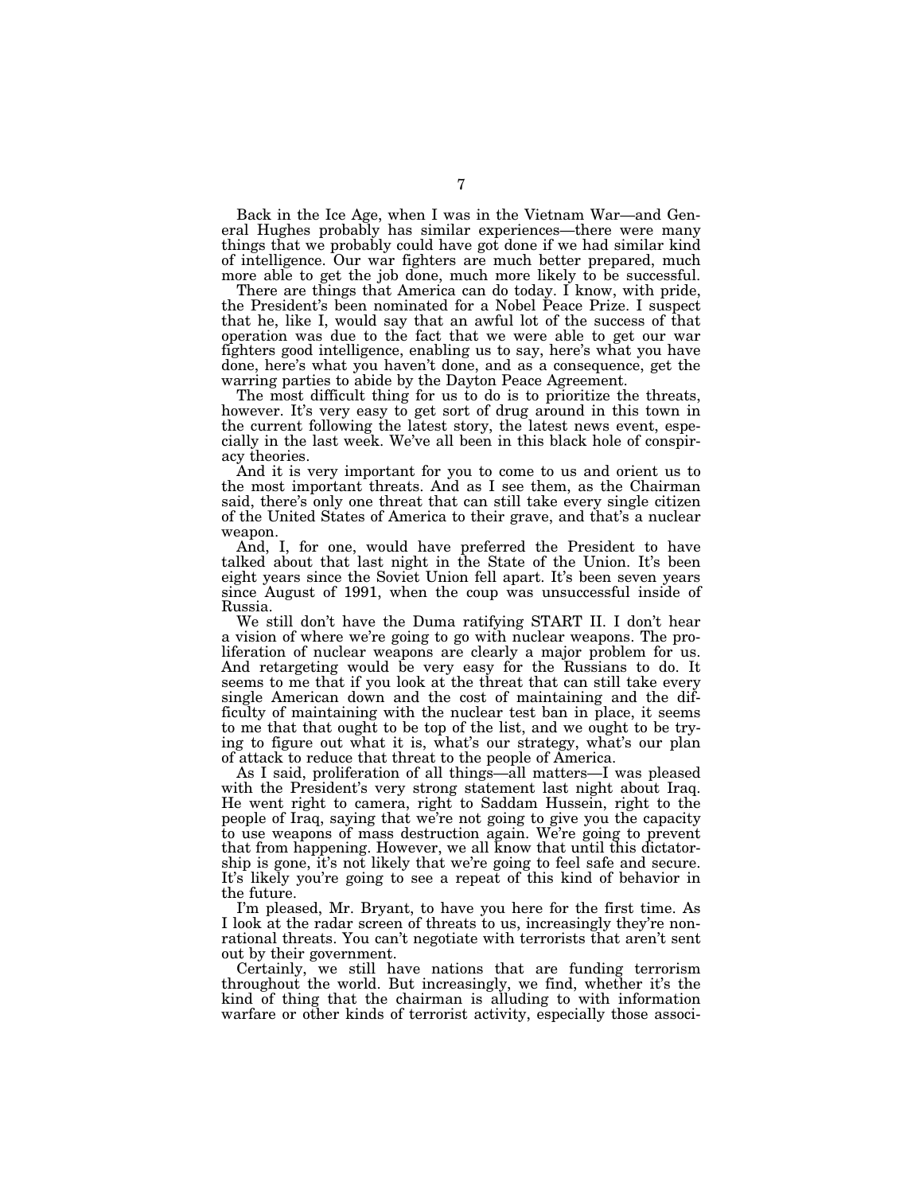Back in the Ice Age, when I was in the Vietnam War—and General Hughes probably has similar experiences—there were many things that we probably could have got done if we had similar kind of intelligence. Our war fighters are much better prepared, much more able to get the job done, much more likely to be successful.

There are things that America can do today. I know, with pride, the President's been nominated for a Nobel Peace Prize. I suspect that he, like I, would say that an awful lot of the success of that operation was due to the fact that we were able to get our war fighters good intelligence, enabling us to say, here's what you have done, here's what you haven't done, and as a consequence, get the warring parties to abide by the Dayton Peace Agreement.

The most difficult thing for us to do is to prioritize the threats, however. It's very easy to get sort of drug around in this town in the current following the latest story, the latest news event, especially in the last week. We've all been in this black hole of conspiracy theories.

And it is very important for you to come to us and orient us to the most important threats. And as I see them, as the Chairman said, there's only one threat that can still take every single citizen of the United States of America to their grave, and that's a nuclear weapon.

And, I, for one, would have preferred the President to have talked about that last night in the State of the Union. It's been eight years since the Soviet Union fell apart. It's been seven years since August of 1991, when the coup was unsuccessful inside of Russia.

We still don't have the Duma ratifying START II. I don't hear a vision of where we're going to go with nuclear weapons. The proliferation of nuclear weapons are clearly a major problem for us. And retargeting would be very easy for the Russians to do. It seems to me that if you look at the threat that can still take every single American down and the cost of maintaining and the difficulty of maintaining with the nuclear test ban in place, it seems to me that that ought to be top of the list, and we ought to be trying to figure out what it is, what's our strategy, what's our plan of attack to reduce that threat to the people of America.

As I said, proliferation of all things—all matters—I was pleased with the President's very strong statement last night about Iraq. He went right to camera, right to Saddam Hussein, right to the people of Iraq, saying that we're not going to give you the capacity to use weapons of mass destruction again. We're going to prevent that from happening. However, we all know that until this dictatorship is gone, it's not likely that we're going to feel safe and secure. It's likely you're going to see a repeat of this kind of behavior in the future.

I'm pleased, Mr. Bryant, to have you here for the first time. As I look at the radar screen of threats to us, increasingly they're nonrational threats. You can't negotiate with terrorists that aren't sent out by their government.

Certainly, we still have nations that are funding terrorism throughout the world. But increasingly, we find, whether it's the kind of thing that the chairman is alluding to with information warfare or other kinds of terrorist activity, especially those associ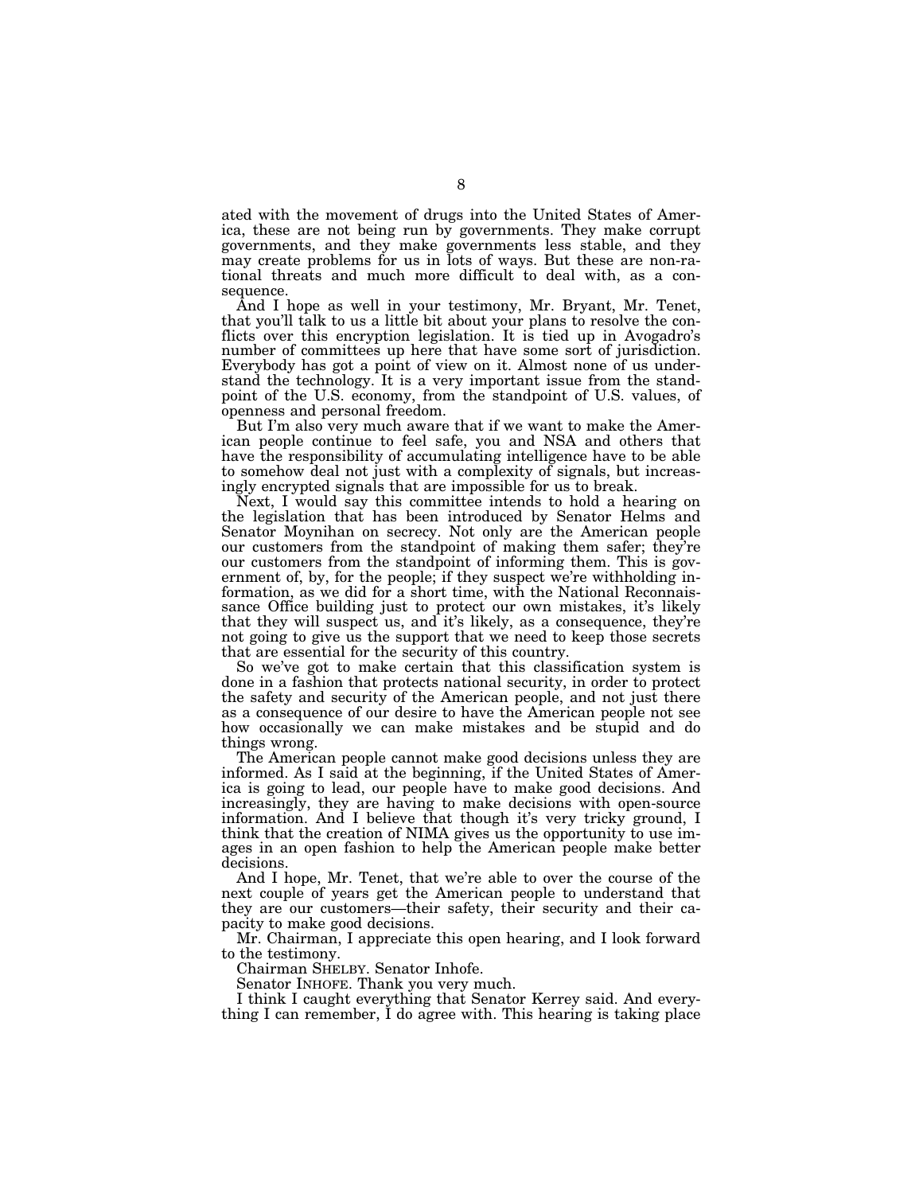ated with the movement of drugs into the United States of America, these are not being run by governments. They make corrupt governments, and they make governments less stable, and they may create problems for us in lots of ways. But these are non-rational threats and much more difficult to deal with, as a consequence.

And I hope as well in your testimony, Mr. Bryant, Mr. Tenet, that you'll talk to us a little bit about your plans to resolve the conflicts over this encryption legislation. It is tied up in Avogadro's number of committees up here that have some sort of jurisdiction. Everybody has got a point of view on it. Almost none of us understand the technology. It is a very important issue from the standpoint of the U.S. economy, from the standpoint of U.S. values, of openness and personal freedom.

But I'm also very much aware that if we want to make the American people continue to feel safe, you and NSA and others that have the responsibility of accumulating intelligence have to be able to somehow deal not just with a complexity of signals, but increasingly encrypted signals that are impossible for us to break.

Next, I would say this committee intends to hold a hearing on the legislation that has been introduced by Senator Helms and Senator Moynihan on secrecy. Not only are the American people our customers from the standpoint of making them safer; they're our customers from the standpoint of informing them. This is government of, by, for the people; if they suspect we're withholding information, as we did for a short time, with the National Reconnaissance Office building just to protect our own mistakes, it's likely that they will suspect us, and it's likely, as a consequence, they're not going to give us the support that we need to keep those secrets that are essential for the security of this country.

So we've got to make certain that this classification system is done in a fashion that protects national security, in order to protect the safety and security of the American people, and not just there as a consequence of our desire to have the American people not see how occasionally we can make mistakes and be stupid and do things wrong.

The American people cannot make good decisions unless they are informed. As I said at the beginning, if the United States of America is going to lead, our people have to make good decisions. And increasingly, they are having to make decisions with open-source information. And I believe that though it's very tricky ground, I think that the creation of NIMA gives us the opportunity to use images in an open fashion to help the American people make better decisions.

And I hope, Mr. Tenet, that we're able to over the course of the next couple of years get the American people to understand that they are our customers—their safety, their security and their capacity to make good decisions.

Mr. Chairman, I appreciate this open hearing, and I look forward to the testimony.

Chairman SHELBY. Senator Inhofe.

Senator INHOFE. Thank you very much.

I think I caught everything that Senator Kerrey said. And everything I can remember, I do agree with. This hearing is taking place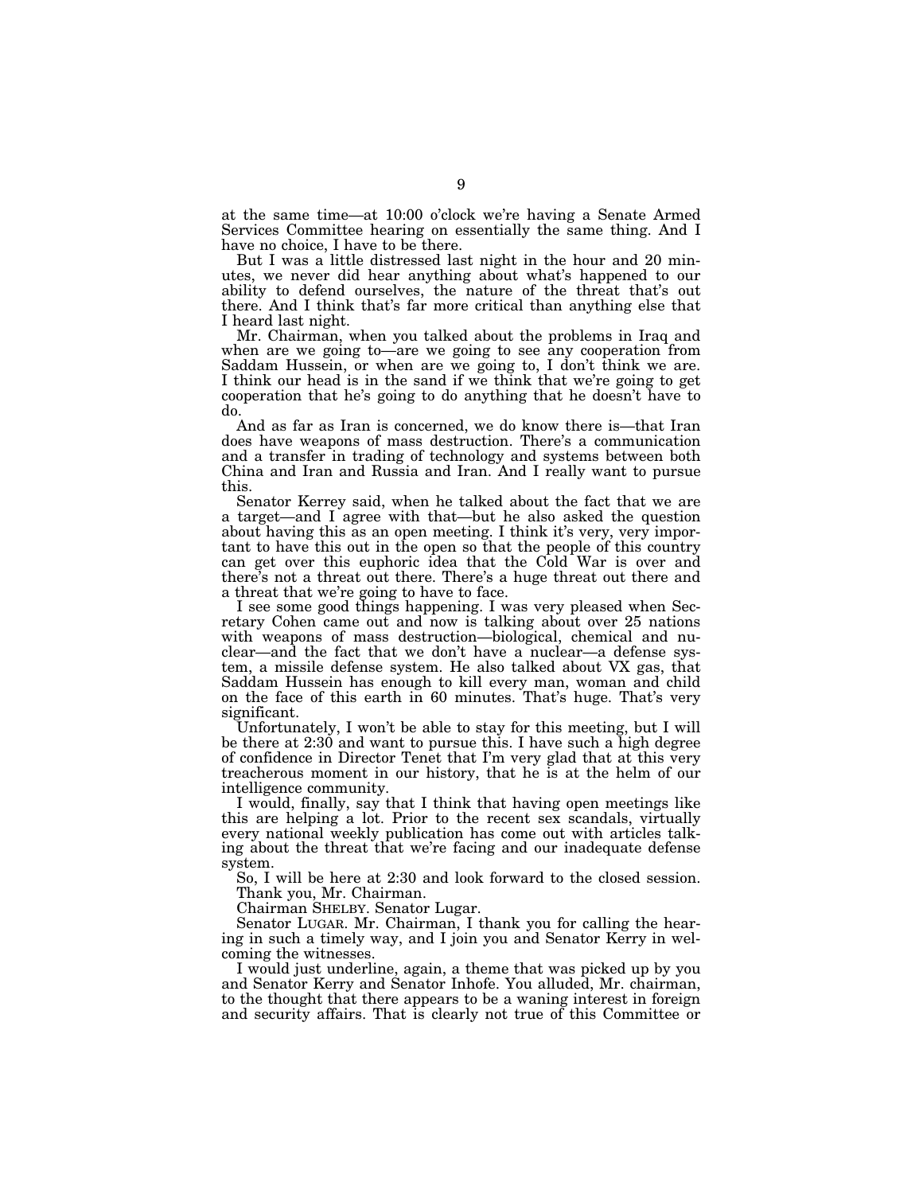at the same time—at 10:00 o'clock we're having a Senate Armed Services Committee hearing on essentially the same thing. And I have no choice, I have to be there.

But I was a little distressed last night in the hour and 20 minutes, we never did hear anything about what's happened to our ability to defend ourselves, the nature of the threat that's out there. And I think that's far more critical than anything else that I heard last night.

Mr. Chairman, when you talked about the problems in Iraq and when are we going to—are we going to see any cooperation from Saddam Hussein, or when are we going to, I don't think we are. I think our head is in the sand if we think that we're going to get cooperation that he's going to do anything that he doesn't have to do.

And as far as Iran is concerned, we do know there is—that Iran does have weapons of mass destruction. There's a communication and a transfer in trading of technology and systems between both China and Iran and Russia and Iran. And I really want to pursue this.

Senator Kerrey said, when he talked about the fact that we are a target—and I agree with that—but he also asked the question about having this as an open meeting. I think it's very, very important to have this out in the open so that the people of this country can get over this euphoric idea that the Cold War is over and there's not a threat out there. There's a huge threat out there and a threat that we're going to have to face.

I see some good things happening. I was very pleased when Secretary Cohen came out and now is talking about over 25 nations with weapons of mass destruction—biological, chemical and nuclear—and the fact that we don't have a nuclear—a defense system, a missile defense system. He also talked about VX gas, that Saddam Hussein has enough to kill every man, woman and child on the face of this earth in 60 minutes. That's huge. That's very significant.

Unfortunately, I won't be able to stay for this meeting, but I will be there at 2:30 and want to pursue this. I have such a high degree of confidence in Director Tenet that I'm very glad that at this very treacherous moment in our history, that he is at the helm of our intelligence community.

I would, finally, say that I think that having open meetings like this are helping a lot. Prior to the recent sex scandals, virtually every national weekly publication has come out with articles talking about the threat that we're facing and our inadequate defense system.

So, I will be here at 2:30 and look forward to the closed session. Thank you, Mr. Chairman.

Chairman SHELBY. Senator Lugar.

Senator LUGAR. Mr. Chairman, I thank you for calling the hearing in such a timely way, and I join you and Senator Kerry in welcoming the witnesses.

I would just underline, again, a theme that was picked up by you and Senator Kerry and Senator Inhofe. You alluded, Mr. chairman, to the thought that there appears to be a waning interest in foreign and security affairs. That is clearly not true of this Committee or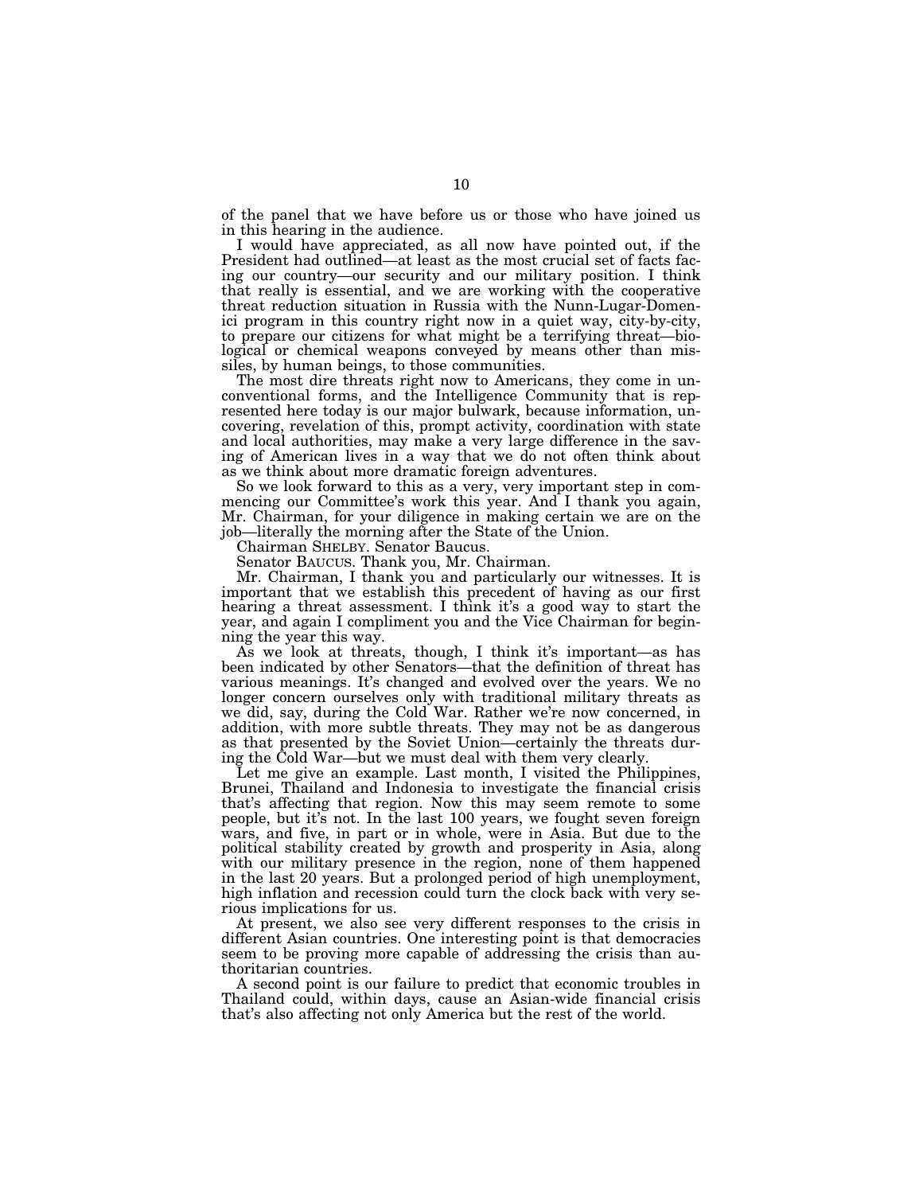of the panel that we have before us or those who have joined us in this hearing in the audience.

I would have appreciated, as all now have pointed out, if the President had outlined—at least as the most crucial set of facts facing our country—our security and our military position. I think that really is essential, and we are working with the cooperative threat reduction situation in Russia with the Nunn-Lugar-Domenici program in this country right now in a quiet way, city-by-city, to prepare our citizens for what might be a terrifying threat—biological or chemical weapons conveyed by means other than missiles, by human beings, to those communities.

The most dire threats right now to Americans, they come in unconventional forms, and the Intelligence Community that is represented here today is our major bulwark, because information, uncovering, revelation of this, prompt activity, coordination with state and local authorities, may make a very large difference in the saving of American lives in a way that we do not often think about as we think about more dramatic foreign adventures.

So we look forward to this as a very, very important step in commencing our Committee's work this year. And I thank you again, Mr. Chairman, for your diligence in making certain we are on the job—literally the morning after the State of the Union.

Chairman SHELBY. Senator Baucus.

Senator BAUCUS. Thank you, Mr. Chairman.

Mr. Chairman, I thank you and particularly our witnesses. It is important that we establish this precedent of having as our first hearing a threat assessment. I think it's a good way to start the year, and again I compliment you and the Vice Chairman for beginning the year this way.

As we look at threats, though, I think it's important—as has been indicated by other Senators—that the definition of threat has various meanings. It's changed and evolved over the years. We no longer concern ourselves only with traditional military threats as we did, say, during the Cold War. Rather we're now concerned, in addition, with more subtle threats. They may not be as dangerous as that presented by the Soviet Union—certainly the threats during the Cold War—but we must deal with them very clearly.

Let me give an example. Last month, I visited the Philippines, Brunei, Thailand and Indonesia to investigate the financial crisis that's affecting that region. Now this may seem remote to some people, but it's not. In the last 100 years, we fought seven foreign wars, and five, in part or in whole, were in Asia. But due to the political stability created by growth and prosperity in Asia, along with our military presence in the region, none of them happened in the last 20 years. But a prolonged period of high unemployment, high inflation and recession could turn the clock back with very serious implications for us.

At present, we also see very different responses to the crisis in different Asian countries. One interesting point is that democracies seem to be proving more capable of addressing the crisis than authoritarian countries.

A second point is our failure to predict that economic troubles in Thailand could, within days, cause an Asian-wide financial crisis that's also affecting not only America but the rest of the world.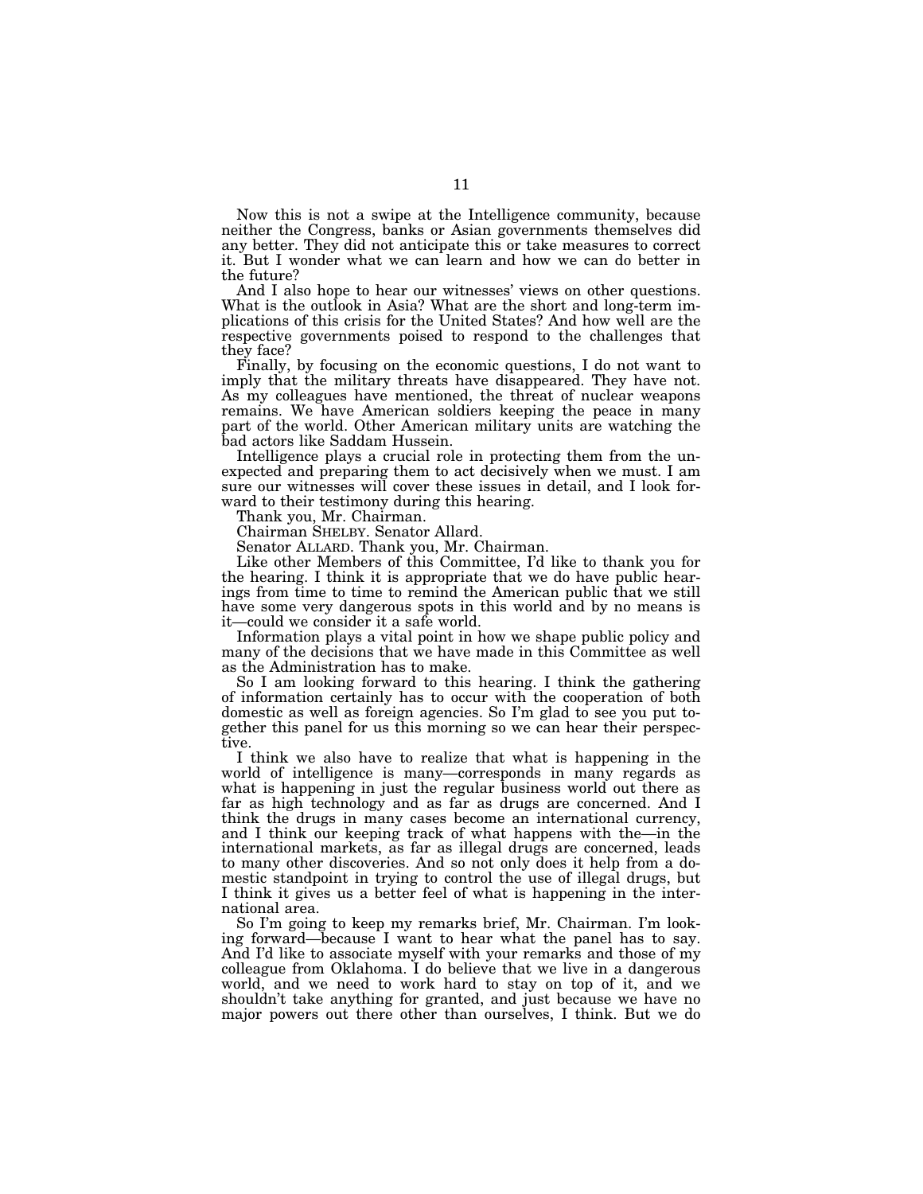Now this is not a swipe at the Intelligence community, because neither the Congress, banks or Asian governments themselves did any better. They did not anticipate this or take measures to correct it. But I wonder what we can learn and how we can do better in the future?

And I also hope to hear our witnesses' views on other questions. What is the outlook in Asia? What are the short and long-term implications of this crisis for the United States? And how well are the respective governments poised to respond to the challenges that they face?

Finally, by focusing on the economic questions, I do not want to imply that the military threats have disappeared. They have not. As my colleagues have mentioned, the threat of nuclear weapons remains. We have American soldiers keeping the peace in many part of the world. Other American military units are watching the bad actors like Saddam Hussein.

Intelligence plays a crucial role in protecting them from the unexpected and preparing them to act decisively when we must. I am sure our witnesses will cover these issues in detail, and I look forward to their testimony during this hearing.

Thank you, Mr. Chairman.

Chairman SHELBY. Senator Allard.

Senator ALLARD. Thank you, Mr. Chairman.

Like other Members of this Committee, I'd like to thank you for the hearing. I think it is appropriate that we do have public hearings from time to time to remind the American public that we still have some very dangerous spots in this world and by no means is it—could we consider it a safe world.

Information plays a vital point in how we shape public policy and many of the decisions that we have made in this Committee as well as the Administration has to make.

So I am looking forward to this hearing. I think the gathering of information certainly has to occur with the cooperation of both domestic as well as foreign agencies. So I'm glad to see you put together this panel for us this morning so we can hear their perspective.

I think we also have to realize that what is happening in the world of intelligence is many—corresponds in many regards as what is happening in just the regular business world out there as far as high technology and as far as drugs are concerned. And I think the drugs in many cases become an international currency, and I think our keeping track of what happens with the—in the international markets, as far as illegal drugs are concerned, leads to many other discoveries. And so not only does it help from a domestic standpoint in trying to control the use of illegal drugs, but I think it gives us a better feel of what is happening in the international area.

So I'm going to keep my remarks brief, Mr. Chairman. I'm looking forward—because I want to hear what the panel has to say. And I'd like to associate myself with your remarks and those of my colleague from Oklahoma. I do believe that we live in a dangerous world, and we need to work hard to stay on top of it, and we shouldn't take anything for granted, and just because we have no major powers out there other than ourselves, I think. But we do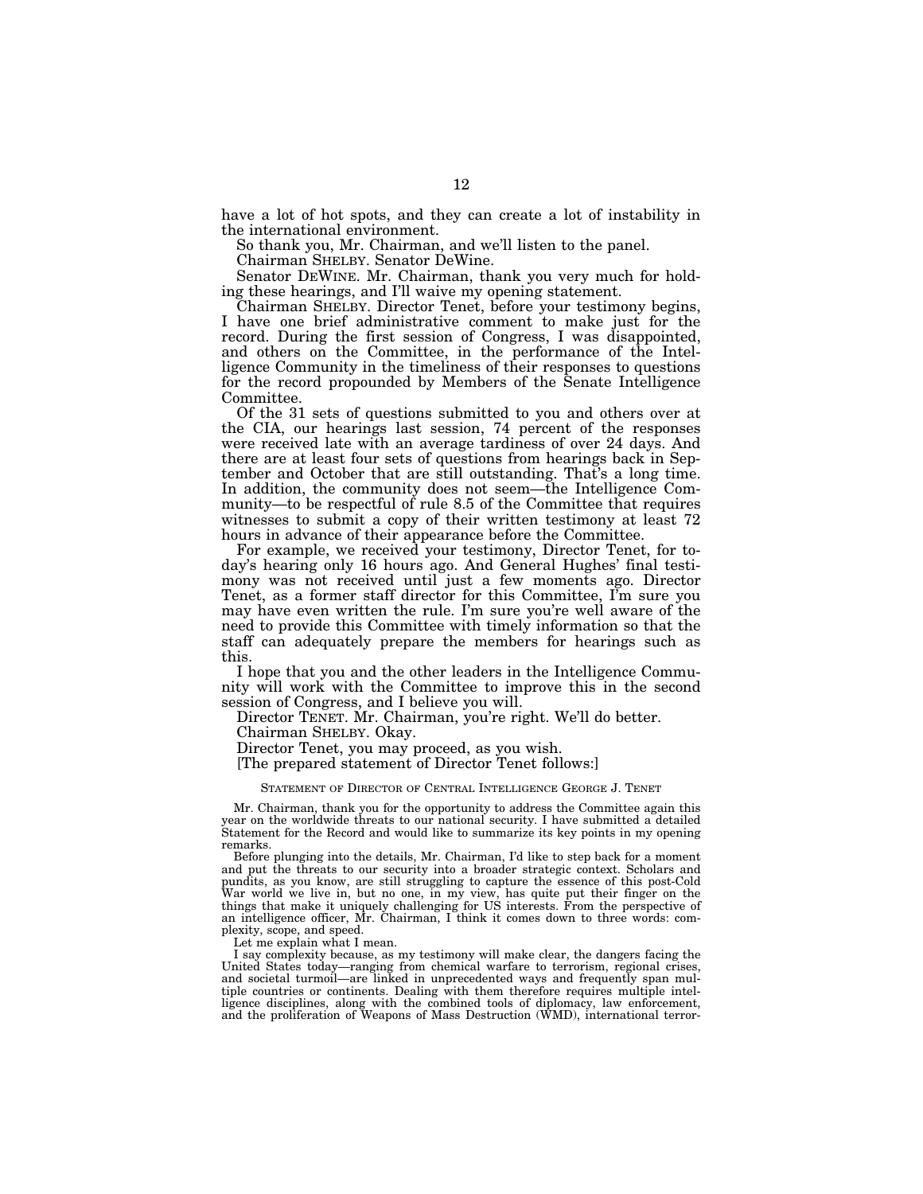have a lot of hot spots, and they can create a lot of instability in the international environment.

So thank you, Mr. Chairman, and we'll listen to the panel.

Chairman SHELBY. Senator DeWine.

Senator DEWINE. Mr. Chairman, thank you very much for holding these hearings, and I'll waive my opening statement.

Chairman SHELBY. Director Tenet, before your testimony begins, I have one brief administrative comment to make just for the record. During the first session of Congress, I was disappointed, and others on the Committee, in the performance of the Intelligence Community in the timeliness of their responses to questions for the record propounded by Members of the Senate Intelligence Committee.

Of the 31 sets of questions submitted to you and others over at the CIA, our hearings last session, 74 percent of the responses were received late with an average tardiness of over 24 days. And there are at least four sets of questions from hearings back in September and October that are still outstanding. That's a long time. In addition, the community does not seem—the Intelligence Community—to be respectful of rule 8.5 of the Committee that requires witnesses to submit a copy of their written testimony at least 72 hours in advance of their appearance before the Committee.

For example, we received your testimony, Director Tenet, for today's hearing only 16 hours ago. And General Hughes' final testimony was not received until just a few moments ago. Director Tenet, as a former staff director for this Committee, I'm sure you may have even written the rule. I'm sure you're well aware of the need to provide this Committee with timely information so that the staff can adequately prepare the members for hearings such as this.

I hope that you and the other leaders in the Intelligence Community will work with the Committee to improve this in the second session of Congress, and I believe you will.

Director TENET. Mr. Chairman, you're right. We'll do better.

Chairman SHELBY. Okay.

Director Tenet, you may proceed, as you wish.

[The prepared statement of Director Tenet follows:]

# STATEMENT OF DIRECTOR OF CENTRAL INTELLIGENCE GEORGE J. TENET

Mr. Chairman, thank you for the opportunity to address the Committee again this year on the worldwide threats to our national security. I have submitted a detailed Statement for the Record and would like to summarize its key points in my opening remarks.

Before plunging into the details, Mr. Chairman, I'd like to step back for a moment and put the threats to our security into a broader strategic context. Scholars and pundits, as you know, are still struggling to capture the essence of this post-Cold War world we live in, but no one, in my view, has quite put their finger on the things that make it uniquely challenging for US interests. From the perspective of an intelligence officer, Mr. Chairman, I think it comes down to three words: complexity, scope, and speed.

Let me explain what I mean.

I say complexity because, as my testimony will make clear, the dangers facing the United States today—ranging from chemical warfare to terrorism, regional crises, and societal turmoil—are linked in unprecedented ways and frequently span multiple countries or continents. Dealing with them therefore requires multiple intelligence disciplines, along with the combined tools of diplomacy, law enforcement, and the proliferation of Weapons of Mass Destruction (WMD), international terror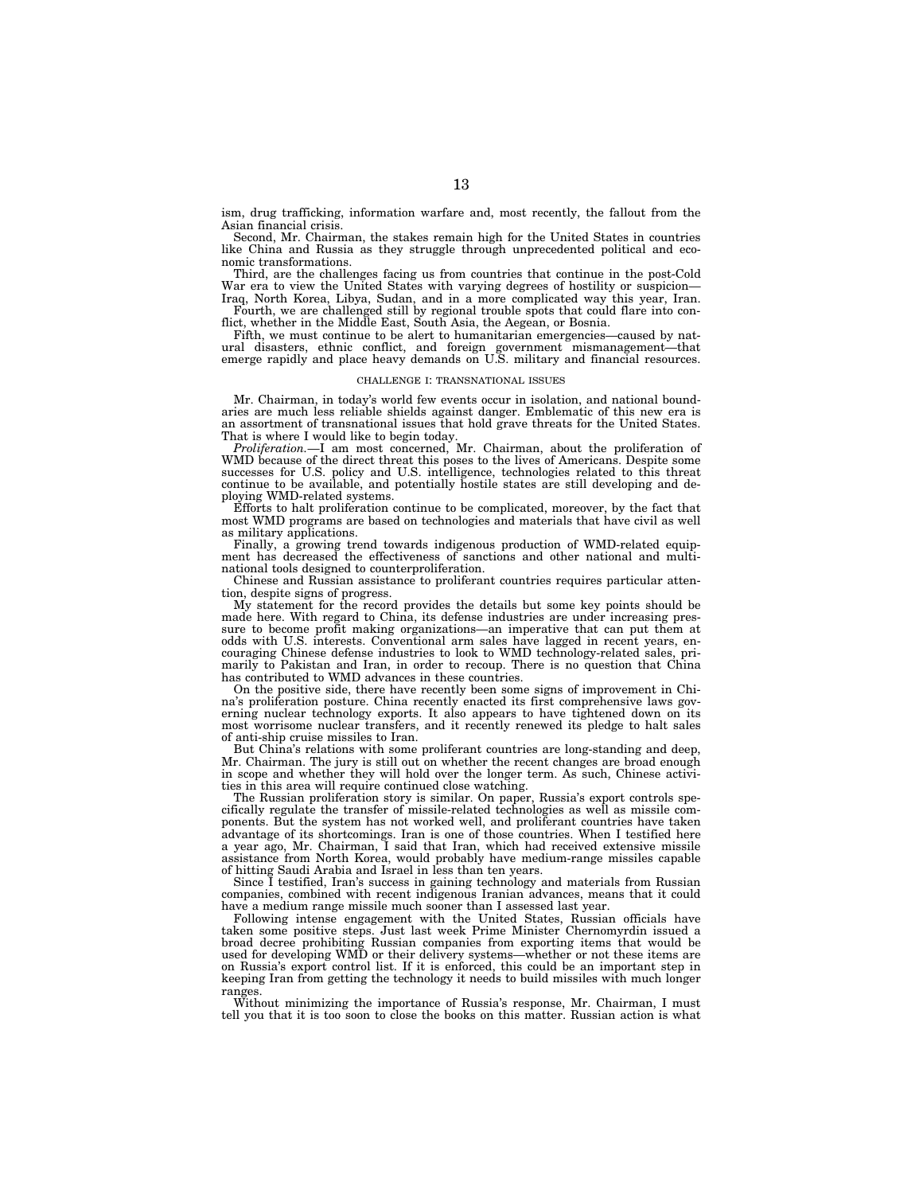ism, drug trafficking, information warfare and, most recently, the fallout from the Asian financial crisis.

Second, Mr. Chairman, the stakes remain high for the United States in countries like China and Russia as they struggle through unprecedented political and economic transformations.

Third, are the challenges facing us from countries that continue in the post-Cold War era to view the United States with varying degrees of hostility or suspicion— Iraq, North Korea, Libya, Sudan, and in a more complicated way this year, Iran.

Fourth, we are challenged still by regional trouble spots that could flare into conflict, whether in the Middle East, South Asia, the Aegean, or Bosnia.

Fifth, we must continue to be alert to humanitarian emergencies—caused by natural disasters, ethnic conflict, and foreign government mismanagement—that emerge rapidly and place heavy demands on U.S. military and financial resources.

## CHALLENGE I: TRANSNATIONAL ISSUES

Mr. Chairman, in today's world few events occur in isolation, and national boundaries are much less reliable shields against danger. Emblematic of this new era is an assortment of transnational issues that hold grave threats for the United States. That is where I would like to begin today.

*Proliferation.*—I am most concerned, Mr. Chairman, about the proliferation of WMD because of the direct threat this poses to the lives of Americans. Despite some successes for U.S. policy and U.S. intelligence, technologies related to this threat continue to be available, and potentially hostile states are still developing and deploying WMD-related systems.

Efforts to halt proliferation continue to be complicated, moreover, by the fact that most WMD programs are based on technologies and materials that have civil as well as military applications.

Finally, a growing trend towards indigenous production of WMD-related equipment has decreased the effectiveness of sanctions and other national and multinational tools designed to counterproliferation.

Chinese and Russian assistance to proliferant countries requires particular attention, despite signs of progress.

My statement for the record provides the details but some key points should be made here. With regard to China, its defense industries are under increasing pressure to become profit making organizations—an imperative that can put them at odds with U.S. interests. Conventional arm sales have lagged in recent years, encouraging Chinese defense industries to look to WMD technology-related sales, primarily to Pakistan and Iran, in order to recoup. There is no question that China has contributed to WMD advances in these countries.

On the positive side, there have recently been some signs of improvement in China's proliferation posture. China recently enacted its first comprehensive laws governing nuclear technology exports. It also appears to have tightened down on its most worrisome nuclear transfers, and it recently renewed its pledge to halt sales of anti-ship cruise missiles to Iran.

But China's relations with some proliferant countries are long-standing and deep, Mr. Chairman. The jury is still out on whether the recent changes are broad enough in scope and whether they will hold over the longer term. As such, Chinese activities in this area will require continued close watching.

The Russian proliferation story is similar. On paper, Russia's export controls specifically regulate the transfer of missile-related technologies as well as missile components. But the system has not worked well, and proliferant countries have taken advantage of its shortcomings. Iran is one of those countries. When I testified here a year ago, Mr. Chairman, I said that Iran, which had received extensive missile assistance from North Korea, would probably have medium-range missiles capable of hitting Saudi Arabia and Israel in less than ten years.

Since I testified, Iran's success in gaining technology and materials from Russian companies, combined with recent indigenous Iranian advances, means that it could have a medium range missile much sooner than I assessed last year.

Following intense engagement with the United States, Russian officials have taken some positive steps. Just last week Prime Minister Chernomyrdin issued a broad decree prohibiting Russian companies from exporting items that would be used for developing WMD or their delivery systems—whether or not these items are on Russia's export control list. If it is enforced, this could be an important step in keeping Iran from getting the technology it needs to build missiles with much longer ranges.

Without minimizing the importance of Russia's response, Mr. Chairman, I must tell you that it is too soon to close the books on this matter. Russian action is what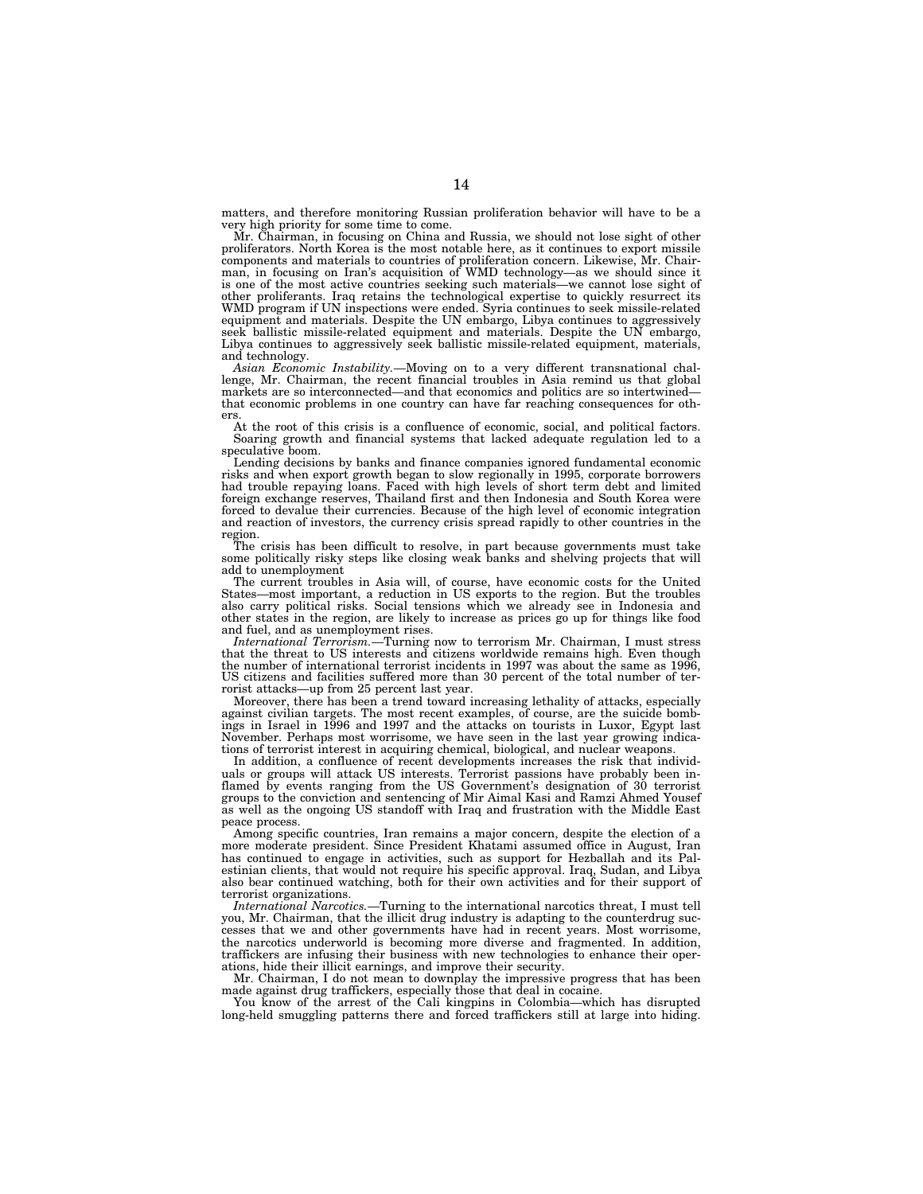matters, and therefore monitoring Russian proliferation behavior will have to be a very high priority for some time to come.

Mr. Chairman, in focusing on China and Russia, we should not lose sight of other proliferators. North Korea is the most notable here, as it continues to export missile components and materials to countries of proliferation concern. Likewise, Mr. Chairman, in focusing on Iran's acquisition of WMD technology—as we should since it is one of the most active countries seeking such materials—we cannot lose sight of other proliferants. Iraq retains the technological expertise to quickly resurrect its WMD program if UN inspections were ended. Syria continues to seek missile-related equipment and materials. Despite the UN embargo, Libya continues to aggressively seek ballistic missile-related equipment and materials. Despite the UN embargo, Libya continues to aggressively seek ballistic missile-related equipment, materials, and technology.

*Asian Economic Instability.*—Moving on to a very different transnational chal-lenge, Mr. Chairman, the recent financial troubles in Asia remind us that global markets are so interconnected—and that economics and politics are so intertwined that economic problems in one country can have far reaching consequences for oth-

ers.At the root of this crisis is a confluence of economic, social, and political factors. Soaring growth and financial systems that lacked adequate regulation led to a speculative boom.

Lending decisions by banks and finance companies ignored fundamental economic risks and when export growth began to slow regionally in 1995, corporate borrowers had trouble repaying loans. Faced with high levels of short term debt and limited foreign exchange reserves, Thailand first and then Indonesia and South Korea were forced to devalue their currencies. Because of the high level of economic integration and reaction of investors, the currency crisis spread rapidly to other countries in the

region. The crisis has been difficult to resolve, in part because governments must take some politically risky steps like closing weak banks and shelving projects that will add to unemployment

The current troubles in Asia will, of course, have economic costs for the United States—most important, a reduction in US exports to the region. But the troubles also carry political risks. Social tensions which we already see in Indonesia and other states in the region, are likely to increase as prices go up for things like food

and fuel, and as unemployment rises. *International Terrorism.*—Turning now to terrorism Mr. Chairman, I must stress that the threat to US interests and citizens worldwide remains high. Even though the number of international terrorist incidents in 1997 was about the same as 1996, US citizens and facilities suffered more than 30 percent of the total number of terrorist attacks—up from 25 percent last year.

Moreover, there has been a trend toward increasing lethality of attacks, especially against civilian targets. The most recent examples, of course, are the suicide bombings in Israel in 1996 and 1997 and the attacks on tourists in Luxor, Egypt last November. Perhaps most worrisome, we have seen in the last year growing indications of terrorist interest in acquiring chemical, biological, and nuclear weapons.

In addition, a confluence of recent developments increases the risk that individuals or groups will attack US interests. Terrorist passions have probably been inflamed by events ranging from the US Government's designation of 30 terrorist groups to the conviction and sentencing of Mir Aimal Kasi and Ramzi Ahmed Yousef as well as the ongoing US standoff with Iraq and frustration with the Middle East peace process.

Among specific countries, Iran remains a major concern, despite the election of a more moderate president. Since President Khatami assumed office in August, Iran has continued to engage in activities, such as support for Hezballah and its Palestinian clients, that would not require his specific approval. Iraq, Sudan, and Libya also bear continued watching, both for their own activities and for their support of terrorist organizations.

*International Narcotics.*—Turning to the international narcotics threat, I must tell you, Mr. Chairman, that the illicit drug industry is adapting to the counterdrug successes that we and other governments have had in recent years. Most worrisome, the narcotics underworld is becoming more diverse and fragmented. In addition, traffickers are infusing their business with new technologies to enhance their operations, hide their illicit earnings, and improve their security.

Mr. Chairman, I do not mean to downplay the impressive progress that has been

made against drug traffickers, especially those that deal in cocaine. You know of the arrest of the Cali kingpins in Colombia—which has disrupted long-held smuggling patterns there and forced traffickers still at large into hiding.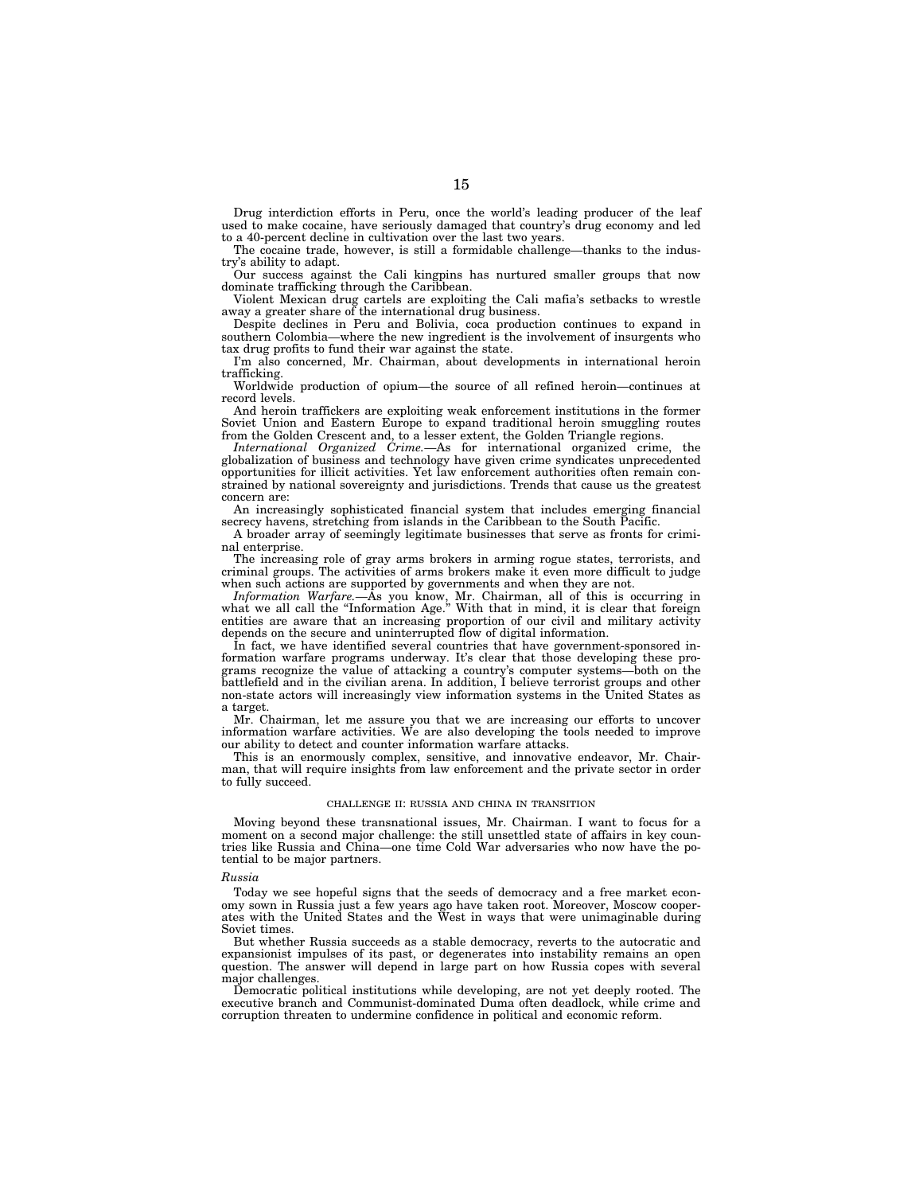Drug interdiction efforts in Peru, once the world's leading producer of the leaf used to make cocaine, have seriously damaged that country's drug economy and led to a 40-percent decline in cultivation over the last two years.

The cocaine trade, however, is still a formidable challenge—thanks to the industry's ability to adapt.

Our success against the Cali kingpins has nurtured smaller groups that now dominate trafficking through the Caribbean.

Violent Mexican drug cartels are exploiting the Cali mafia's setbacks to wrestle away a greater share of the international drug business.

Despite declines in Peru and Bolivia, coca production continues to expand in southern Colombia—where the new ingredient is the involvement of insurgents who tax drug profits to fund their war against the state.

I'm also concerned, Mr. Chairman, about developments in international heroin trafficking.

Worldwide production of opium—the source of all refined heroin—continues at record levels.

And heroin traffickers are exploiting weak enforcement institutions in the former Soviet Union and Eastern Europe to expand traditional heroin smuggling routes from the Golden Crescent and, to a lesser extent, the Golden Triangle regions.

*International Organized Crime.*—As for international organized crime, globalization of business and technology have given crime syndicates unprecedented opportunities for illicit activities. Yet law enforcement authorities often remain constrained by national sovereignty and jurisdictions. Trends that cause us the greatest concern are:

An increasingly sophisticated financial system that includes emerging financial secrecy havens, stretching from islands in the Caribbean to the South Pacific.

A broader array of seemingly legitimate businesses that serve as fronts for criminal enterprise.

The increasing role of gray arms brokers in arming rogue states, terrorists, and criminal groups. The activities of arms brokers make it even more difficult to judge when such actions are supported by governments and when they are not.

*Information Warfare.*—As you know, Mr. Chairman, all of this is occurring in what we all call the "Information Age." With that in mind, it is clear that foreign entities are aware that an increasing proportion of our civil and military activity depends on the secure and uninterrupted flow of digital information.

In fact, we have identified several countries that have government-sponsored information warfare programs underway. It's clear that those developing these programs recognize the value of attacking a country's computer systems—both on the battlefield and in the civilian arena. In addition, I believe terrorist groups and other non-state actors will increasingly view information systems in the United States as a target.

Mr. Chairman, let me assure you that we are increasing our efforts to uncover information warfare activities. We are also developing the tools needed to improve our ability to detect and counter information warfare attacks.

This is an enormously complex, sensitive, and innovative endeavor, Mr. Chairman, that will require insights from law enforcement and the private sector in order to fully succeed.

#### CHALLENGE II: RUSSIA AND CHINA IN TRANSITION

Moving beyond these transnational issues, Mr. Chairman. I want to focus for a moment on a second major challenge: the still unsettled state of affairs in key countries like Russia and China—one time Cold War adversaries who now have the potential to be major partners.

### *Russia*

Today we see hopeful signs that the seeds of democracy and a free market economy sown in Russia just a few years ago have taken root. Moreover, Moscow cooperates with the United States and the West in ways that were unimaginable during Soviet times.

But whether Russia succeeds as a stable democracy, reverts to the autocratic and expansionist impulses of its past, or degenerates into instability remains an open question. The answer will depend in large part on how Russia copes with several major challenges.

Democratic political institutions while developing, are not yet deeply rooted. The executive branch and Communist-dominated Duma often deadlock, while crime and corruption threaten to undermine confidence in political and economic reform.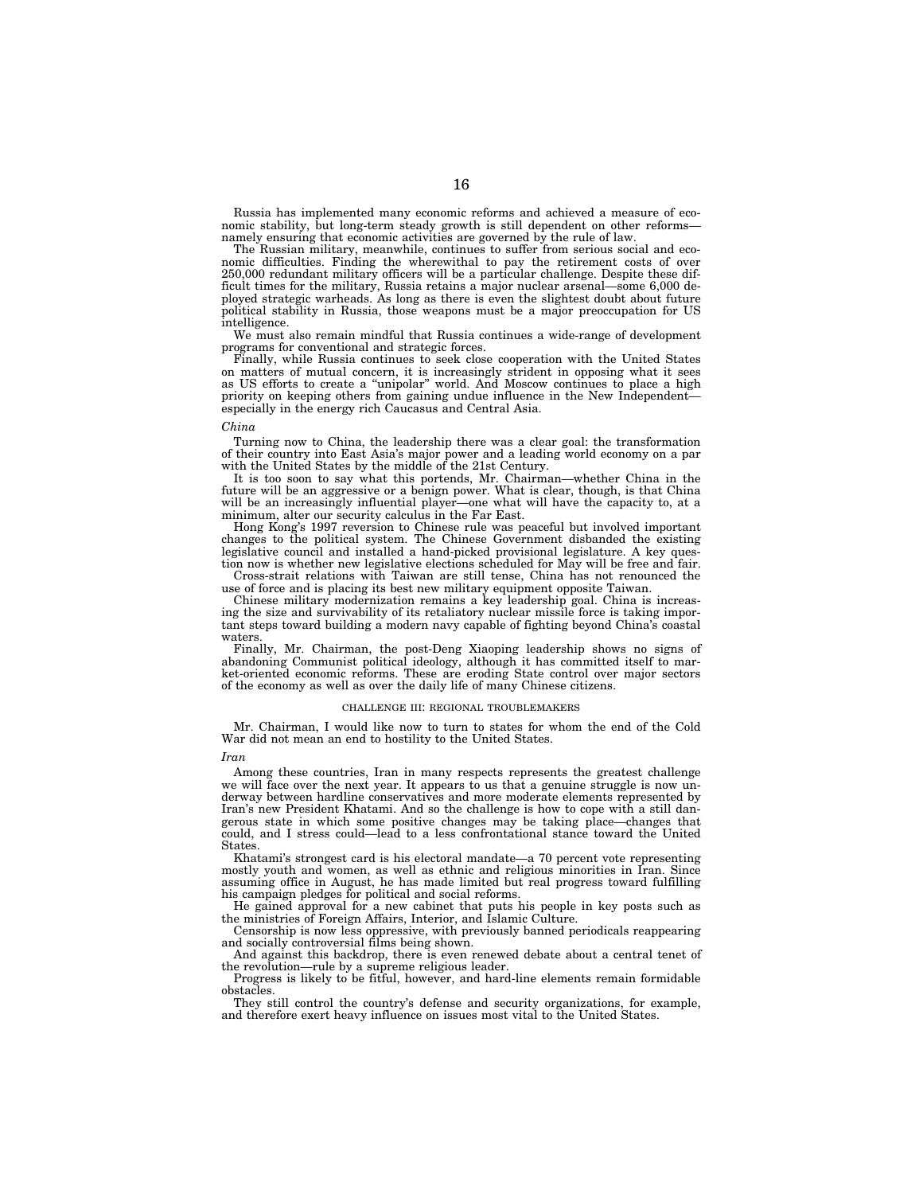Russia has implemented many economic reforms and achieved a measure of economic stability, but long-term steady growth is still dependent on other reforms namely ensuring that economic activities are governed by the rule of law.

The Russian military, meanwhile, continues to suffer from serious social and economic difficulties. Finding the wherewithal to pay the retirement costs of over 250,000 redundant military officers will be a particular challenge. Despite these difficult times for the military, Russia retains a major nuclear arsenal—some 6,000 deployed strategic warheads. As long as there is even the slightest doubt about future political stability in Russia, those weapons must be a major preoccupation for US intelligence.

We must also remain mindful that Russia continues a wide-range of development programs for conventional and strategic forces.

Finally, while Russia continues to seek close cooperation with the United States on matters of mutual concern, it is increasingly strident in opposing what it sees as US efforts to create a ''unipolar'' world. And Moscow continues to place a high priority on keeping others from gaining undue influence in the New Independent especially in the energy rich Caucasus and Central Asia.

# *China*

Turning now to China, the leadership there was a clear goal: the transformation of their country into East Asia's major power and a leading world economy on a par with the United States by the middle of the 21st Century.

It is too soon to say what this portends, Mr. Chairman—whether China in the future will be an aggressive or a benign power. What is clear, though, is that China will be an increasingly influential player—one what will have the capacity to, at a minimum, alter our security calculus in the Far East.

Hong Kong's 1997 reversion to Chinese rule was peaceful but involved important changes to the political system. The Chinese Government disbanded the existing legislative council and installed a hand-picked provisional legislature. A key question now is whether new legislative elections scheduled for May will be free and fair.

Cross-strait relations with Taiwan are still tense, China has not renounced the use of force and is placing its best new military equipment opposite Taiwan.

Chinese military modernization remains a key leadership goal. China is increasing the size and survivability of its retaliatory nuclear missile force is taking important steps toward building a modern navy capable of fighting beyond China's coastal waters.

Finally, Mr. Chairman, the post-Deng Xiaoping leadership shows no signs of abandoning Communist political ideology, although it has committed itself to market-oriented economic reforms. These are eroding State control over major sectors of the economy as well as over the daily life of many Chinese citizens.

#### CHALLENGE III: REGIONAL TROUBLEMAKERS

Mr. Chairman, I would like now to turn to states for whom the end of the Cold War did not mean an end to hostility to the United States.

## *Iran*

Among these countries, Iran in many respects represents the greatest challenge we will face over the next year. It appears to us that a genuine struggle is now underway between hardline conservatives and more moderate elements represented by Iran's new President Khatami. And so the challenge is how to cope with a still dangerous state in which some positive changes may be taking place—changes that could, and I stress could—lead to a less confrontational stance toward the United States.

Khatami's strongest card is his electoral mandate—a 70 percent vote representing mostly youth and women, as well as ethnic and religious minorities in Iran. Since assuming office in August, he has made limited but real progress toward fulfilling his campaign pledges for political and social reforms.

He gained approval for a new cabinet that puts his people in key posts such as the ministries of Foreign Affairs, Interior, and Islamic Culture.

Censorship is now less oppressive, with previously banned periodicals reappearing and socially controversial films being shown.

And against this backdrop, there is even renewed debate about a central tenet of the revolution—rule by a supreme religious leader.

Progress is likely to be fitful, however, and hard-line elements remain formidable obstacles.

They still control the country's defense and security organizations, for example, and therefore exert heavy influence on issues most vital to the United States.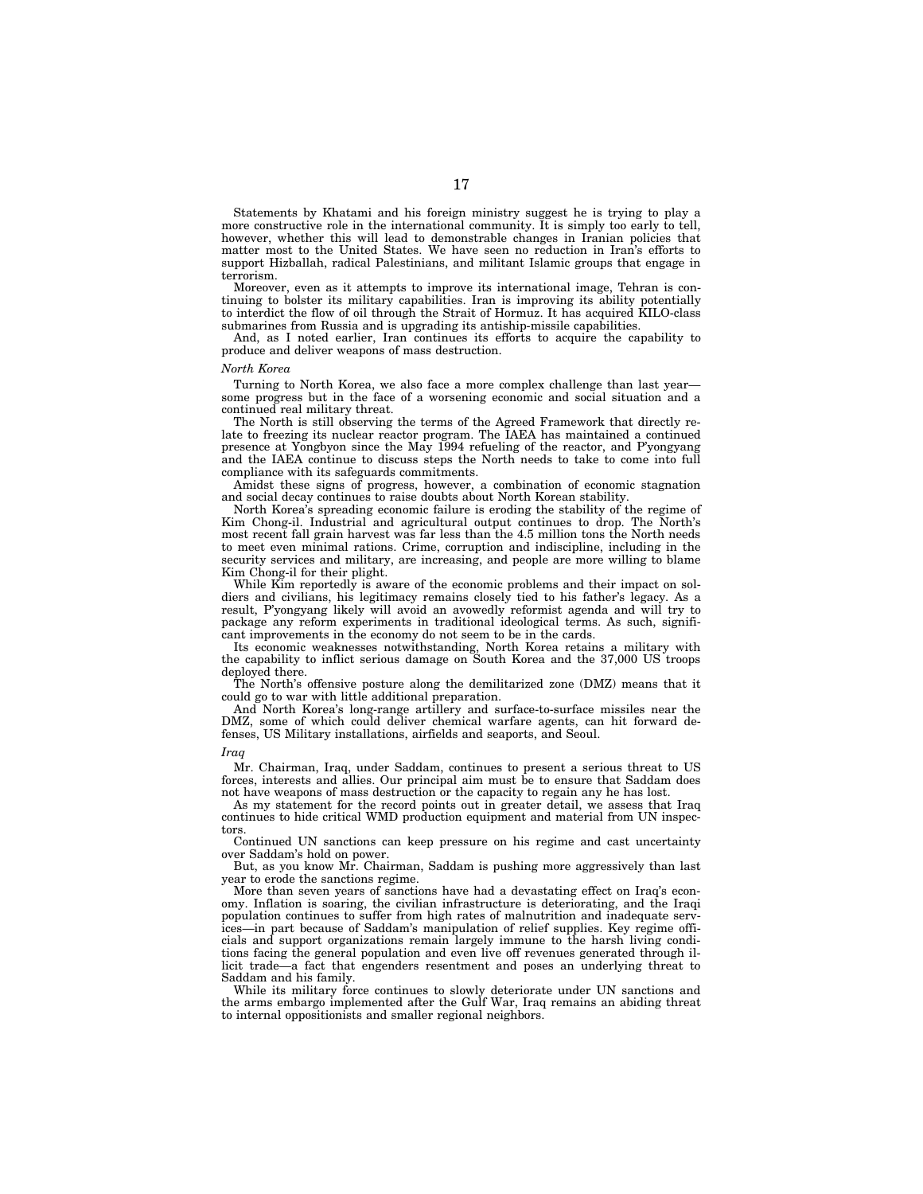Statements by Khatami and his foreign ministry suggest he is trying to play a more constructive role in the international community. It is simply too early to tell, however, whether this will lead to demonstrable changes in Iranian policies that matter most to the United States. We have seen no reduction in Iran's efforts to support Hizballah, radical Palestinians, and militant Islamic groups that engage in terrorism.

Moreover, even as it attempts to improve its international image, Tehran is continuing to bolster its military capabilities. Iran is improving its ability potentially to interdict the flow of oil through the Strait of Hormuz. It has acquired KILO-class submarines from Russia and is upgrading its antiship-missile capabilities.

And, as I noted earlier, Iran continues its efforts to acquire the capability to produce and deliver weapons of mass destruction.

#### *North Korea*

Turning to North Korea, we also face a more complex challenge than last year some progress but in the face of a worsening economic and social situation and a continued real military threat.

The North is still observing the terms of the Agreed Framework that directly relate to freezing its nuclear reactor program. The IAEA has maintained a continued presence at Yongbyon since the May 1994 refueling of the reactor, and P'yongyang and the IAEA continue to discuss steps the North needs to take to come into full compliance with its safeguards commitments.

Amidst these signs of progress, however, a combination of economic stagnation and social decay continues to raise doubts about North Korean stability.

North Korea's spreading economic failure is eroding the stability of the regime of Kim Chong-il. Industrial and agricultural output continues to drop. The North's most recent fall grain harvest was far less than the 4.5 million tons the North needs to meet even minimal rations. Crime, corruption and indiscipline, including in the security services and military, are increasing, and people are more willing to blame Kim Chong-il for their plight.

While Kim reportedly is aware of the economic problems and their impact on soldiers and civilians, his legitimacy remains closely tied to his father's legacy. As a result, P'yongyang likely will avoid an avowedly reformist agenda and will try to package any reform experiments in traditional ideological terms. As such, significant improvements in the economy do not seem to be in the cards.

Its economic weaknesses notwithstanding, North Korea retains a military with the capability to inflict serious damage on South Korea and the 37,000 US troops deployed there.

The North's offensive posture along the demilitarized zone (DMZ) means that it could go to war with little additional preparation.

And North Korea's long-range artillery and surface-to-surface missiles near the DMZ, some of which could deliver chemical warfare agents, can hit forward defenses, US Military installations, airfields and seaports, and Seoul.

# *Iraq*

Mr. Chairman, Iraq, under Saddam, continues to present a serious threat to US forces, interests and allies. Our principal aim must be to ensure that Saddam does not have weapons of mass destruction or the capacity to regain any he has lost.

As my statement for the record points out in greater detail, we assess that Iraq continues to hide critical WMD production equipment and material from UN inspectors.

Continued UN sanctions can keep pressure on his regime and cast uncertainty over Saddam's hold on power.

But, as you know Mr. Chairman, Saddam is pushing more aggressively than last year to erode the sanctions regime.

More than seven years of sanctions have had a devastating effect on Iraq's economy. Inflation is soaring, the civilian infrastructure is deteriorating, and the Iraqi population continues to suffer from high rates of malnutrition and inadequate services—in part because of Saddam's manipulation of relief supplies. Key regime officials and support organizations remain largely immune to the harsh living conditions facing the general population and even live off revenues generated through illicit trade—a fact that engenders resentment and poses an underlying threat to Saddam and his family.

While its military force continues to slowly deteriorate under UN sanctions and the arms embargo implemented after the Gulf War, Iraq remains an abiding threat to internal oppositionists and smaller regional neighbors.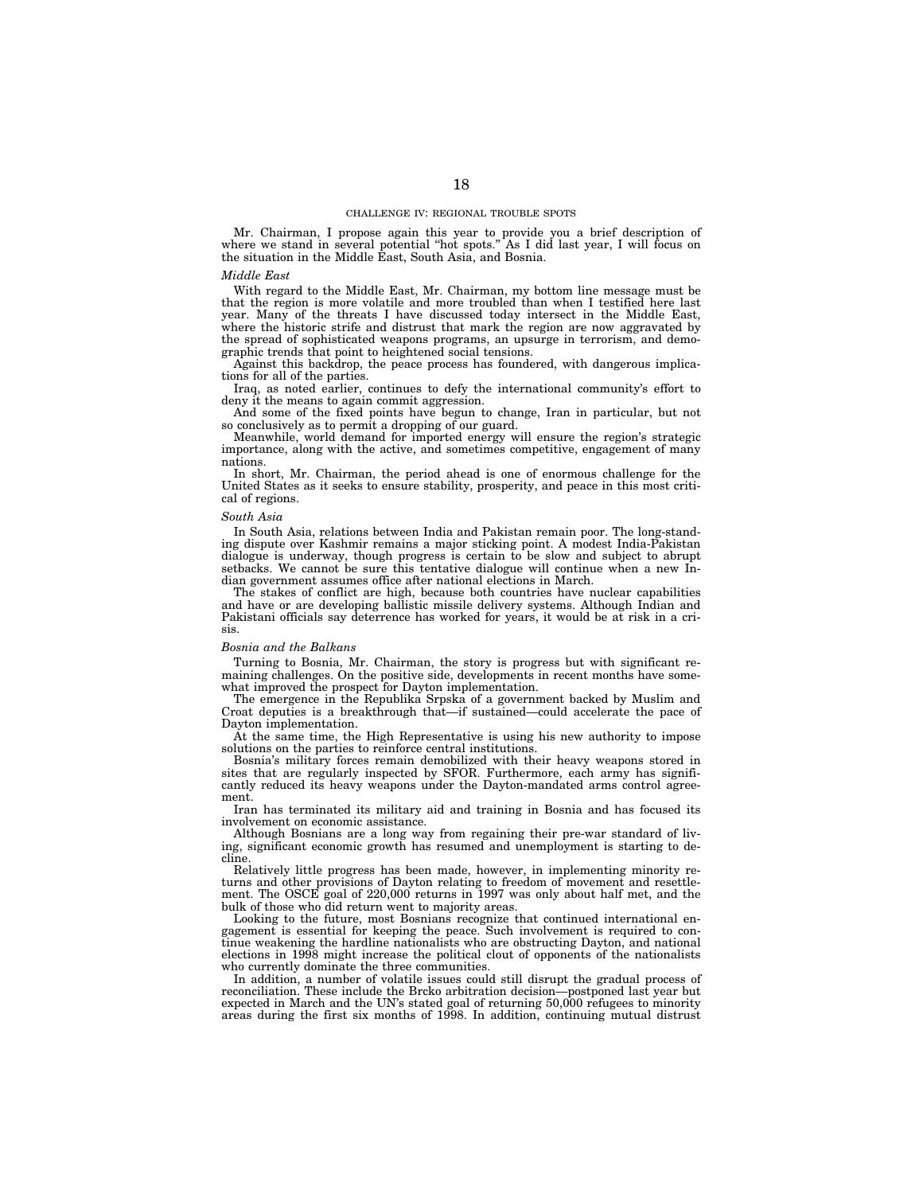Mr. Chairman, I propose again this year to provide you a brief description of where we stand in several potential ''hot spots.'' As I did last year, I will focus on the situation in the Middle East, South Asia, and Bosnia.

#### *Middle East*

With regard to the Middle East, Mr. Chairman, my bottom line message must be that the region is more volatile and more troubled than when I testified here last year. Many of the threats I have discussed today intersect in the Middle East, where the historic strife and distrust that mark the region are now aggravated by the spread of sophisticated weapons programs, an upsurge in terrorism, and demographic trends that point to heightened social tensions.

Against this backdrop, the peace process has foundered, with dangerous implications for all of the parties.

Iraq, as noted earlier, continues to defy the international community's effort to deny it the means to again commit aggression.

And some of the fixed points have begun to change, Iran in particular, but not so conclusively as to permit a dropping of our guard.

Meanwhile, world demand for imported energy will ensure the region's strategic importance, along with the active, and sometimes competitive, engagement of many nations.

In short, Mr. Chairman, the period ahead is one of enormous challenge for the United States as it seeks to ensure stability, prosperity, and peace in this most critical of regions.

#### *South Asia*

In South Asia, relations between India and Pakistan remain poor. The long-standing dispute over Kashmir remains a major sticking point. A modest India-Pakistan dialogue is underway, though progress is certain to be slow and subject to abrupt setbacks. We cannot be sure this tentative dialogue will continue when a new Indian government assumes office after national elections in March.

The stakes of conflict are high, because both countries have nuclear capabilities and have or are developing ballistic missile delivery systems. Although Indian and Pakistani officials say deterrence has worked for years, it would be at risk in a crisis.

## *Bosnia and the Balkans*

Turning to Bosnia, Mr. Chairman, the story is progress but with significant remaining challenges. On the positive side, developments in recent months have somewhat improved the prospect for Dayton implementation.

The emergence in the Republika Srpska of a government backed by Muslim and Croat deputies is a breakthrough that—if sustained—could accelerate the pace of Dayton implementation.

At the same time, the High Representative is using his new authority to impose solutions on the parties to reinforce central institutions.

Bosnia's military forces remain demobilized with their heavy weapons stored in sites that are regularly inspected by SFOR. Furthermore, each army has significantly reduced its heavy weapons under the Dayton-mandated arms control agreement.

Iran has terminated its military aid and training in Bosnia and has focused its involvement on economic assistance.

Although Bosnians are a long way from regaining their pre-war standard of living, significant economic growth has resumed and unemployment is starting to decline.

Relatively little progress has been made, however, in implementing minority returns and other provisions of Dayton relating to freedom of movement and resettlement. The OSCE goal of 220,000 returns in 1997 was only about half met, and the bulk of those who did return went to majority areas.

Looking to the future, most Bosnians recognize that continued international engagement is essential for keeping the peace. Such involvement is required to continue weakening the hardline nationalists who are obstructing Dayton, and national elections in 1998 might increase the political clout of opponents of the nationalists who currently dominate the three communities.

In addition, a number of volatile issues could still disrupt the gradual process of reconciliation. These include the Brcko arbitration decision—postponed last year but expected in March and the UN's stated goal of returning 50,000 refugees to minority areas during the first six months of 1998. In addition, continuing mutual distrust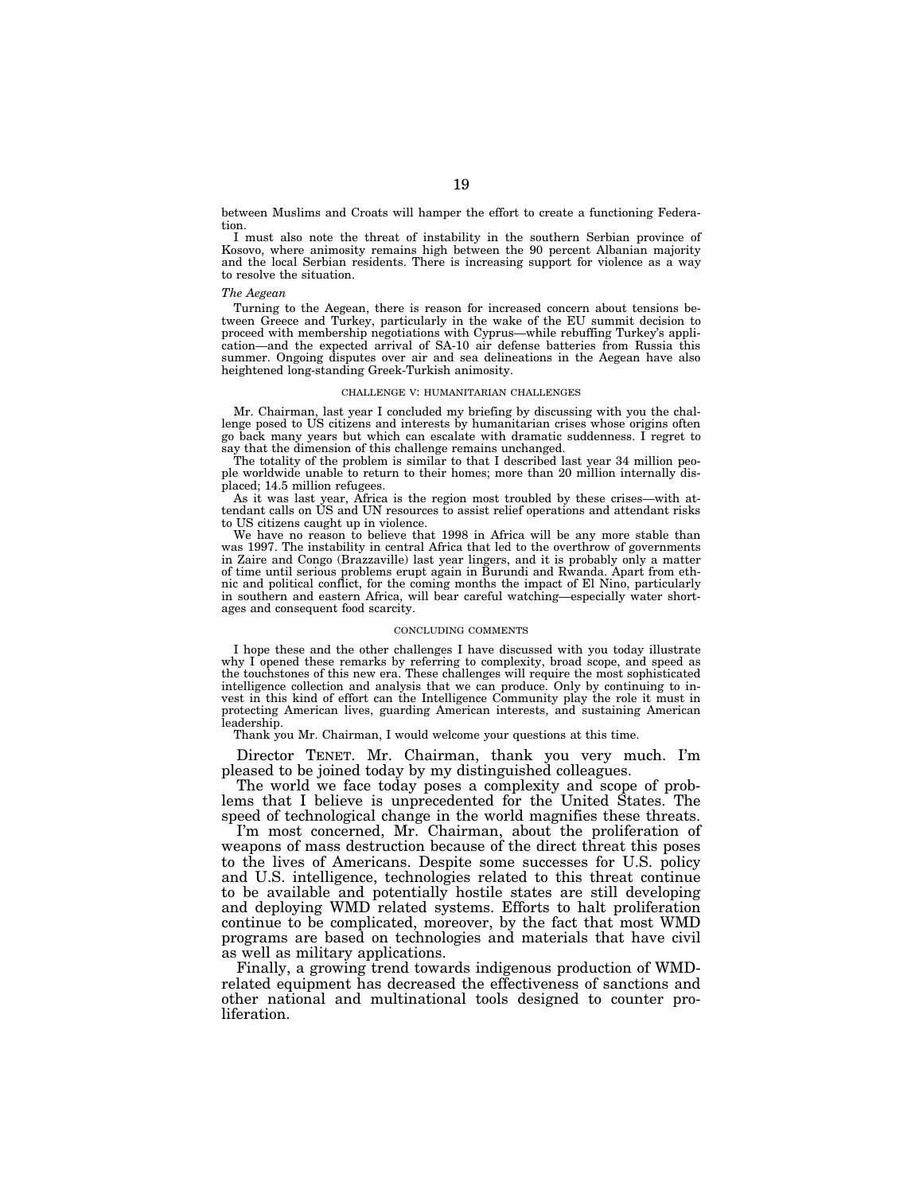between Muslims and Croats will hamper the effort to create a functioning Federation.

I must also note the threat of instability in the southern Serbian province of Kosovo, where animosity remains high between the 90 percent Albanian majority and the local Serbian residents. There is increasing support for violence as a way to resolve the situation.

### *The Aegean*

Turning to the Aegean, there is reason for increased concern about tensions between Greece and Turkey, particularly in the wake of the EU summit decision to proceed with membership negotiations with Cyprus—while rebuffing Turkey's application—and the expected arrival of SA-10 air defense batteries from Russia this summer. Ongoing disputes over air and sea delineations in the Aegean have also heightened long-standing Greek-Turkish animosity.

#### CHALLENGE V: HUMANITARIAN CHALLENGES

Mr. Chairman, last year I concluded my briefing by discussing with you the challenge posed to US citizens and interests by humanitarian crises whose origins often go back many years but which can escalate with dramatic suddenness. I regret to say that the dimension of this challenge remains unchanged.

The totality of the problem is similar to that I described last year 34 million people worldwide unable to return to their homes; more than 20 million internally displaced; 14.5 million refugees.

As it was last year, Africa is the region most troubled by these crises—with attendant calls on US and UN resources to assist relief operations and attendant risks to US citizens caught up in violence.

We have no reason to believe that 1998 in Africa will be any more stable than was 1997. The instability in central Africa that led to the overthrow of governments in Zaire and Congo (Brazzaville) last year lingers, and it is probably only a matter of time until serious problems erupt again in Burundi and Rwanda. Apart from ethnic and political conflict, for the coming months the impact of El Nino, particularly in southern and eastern Africa, will bear careful watching—especially water shortages and consequent food scarcity.

#### CONCLUDING COMMENTS

I hope these and the other challenges I have discussed with you today illustrate why I opened these remarks by referring to complexity, broad scope, and speed as the touchstones of this new era. These challenges will require the most sophisticated intelligence collection and analysis that we can produce. Only by continuing to inwest in this kind of effort can the Intelligence Community play the role it must in protecting American lives, guarding American interests, and sustaining American **leadership** 

Thank you Mr. Chairman, I would welcome your questions at this time.

Director TENET. Mr. Chairman, thank you very much. I'm pleased to be joined today by my distinguished colleagues.

The world we face today poses a complexity and scope of problems that I believe is unprecedented for the United States. The speed of technological change in the world magnifies these threats.

I'm most concerned, Mr. Chairman, about the proliferation of weapons of mass destruction because of the direct threat this poses to the lives of Americans. Despite some successes for U.S. policy and U.S. intelligence, technologies related to this threat continue to be available and potentially hostile states are still developing and deploying WMD related systems. Efforts to halt proliferation continue to be complicated, moreover, by the fact that most WMD programs are based on technologies and materials that have civil as well as military applications.

Finally, a growing trend towards indigenous production of WMDrelated equipment has decreased the effectiveness of sanctions and other national and multinational tools designed to counter proliferation.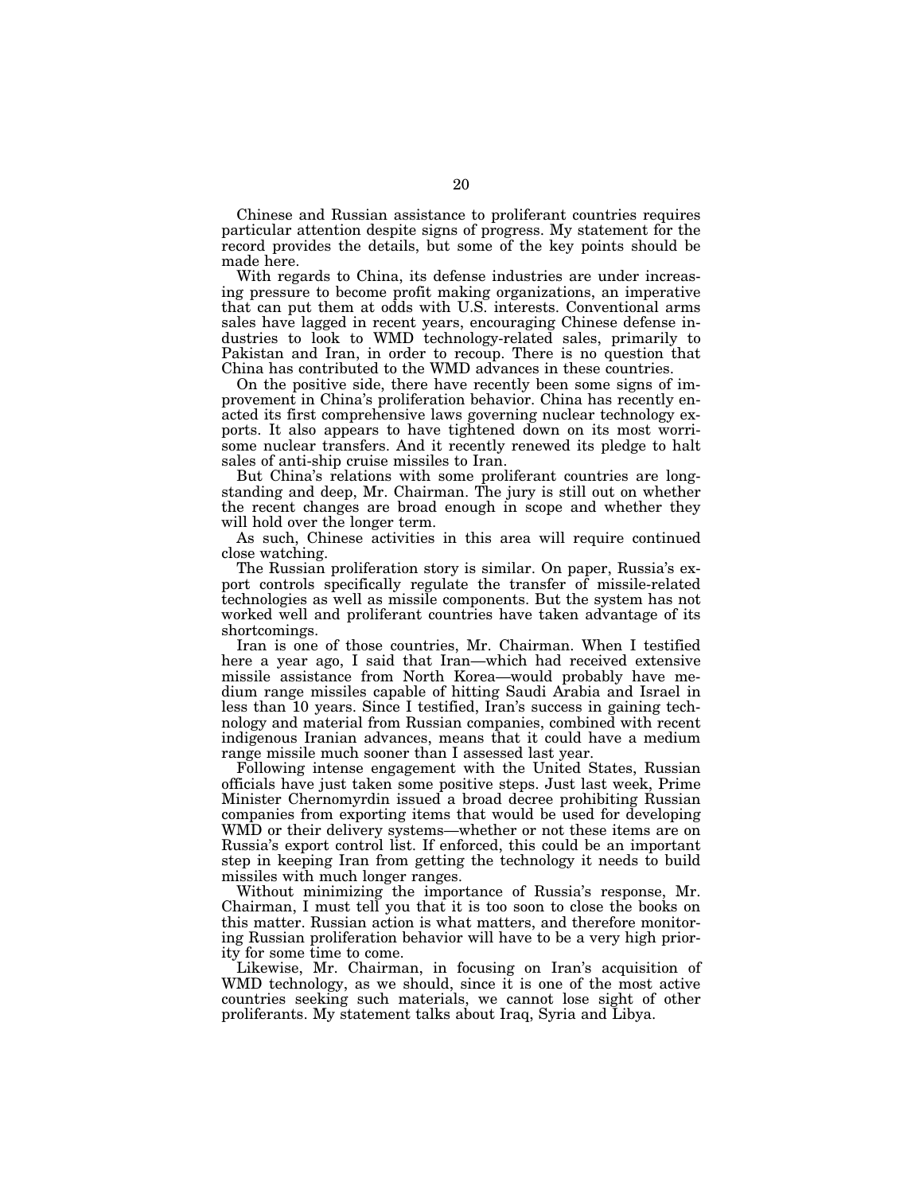Chinese and Russian assistance to proliferant countries requires particular attention despite signs of progress. My statement for the record provides the details, but some of the key points should be made here.

With regards to China, its defense industries are under increasing pressure to become profit making organizations, an imperative that can put them at odds with U.S. interests. Conventional arms sales have lagged in recent years, encouraging Chinese defense industries to look to WMD technology-related sales, primarily to Pakistan and Iran, in order to recoup. There is no question that China has contributed to the WMD advances in these countries.

On the positive side, there have recently been some signs of improvement in China's proliferation behavior. China has recently enacted its first comprehensive laws governing nuclear technology exports. It also appears to have tightened down on its most worrisome nuclear transfers. And it recently renewed its pledge to halt sales of anti-ship cruise missiles to Iran.

But China's relations with some proliferant countries are longstanding and deep, Mr. Chairman. The jury is still out on whether the recent changes are broad enough in scope and whether they will hold over the longer term.

As such, Chinese activities in this area will require continued close watching.

The Russian proliferation story is similar. On paper, Russia's export controls specifically regulate the transfer of missile-related technologies as well as missile components. But the system has not worked well and proliferant countries have taken advantage of its shortcomings.

Iran is one of those countries, Mr. Chairman. When I testified here a year ago, I said that Iran—which had received extensive missile assistance from North Korea—would probably have medium range missiles capable of hitting Saudi Arabia and Israel in less than 10 years. Since I testified, Iran's success in gaining technology and material from Russian companies, combined with recent indigenous Iranian advances, means that it could have a medium range missile much sooner than I assessed last year.

Following intense engagement with the United States, Russian officials have just taken some positive steps. Just last week, Prime Minister Chernomyrdin issued a broad decree prohibiting Russian companies from exporting items that would be used for developing WMD or their delivery systems—whether or not these items are on Russia's export control list. If enforced, this could be an important step in keeping Iran from getting the technology it needs to build missiles with much longer ranges.

Without minimizing the importance of Russia's response, Mr. Chairman, I must tell you that it is too soon to close the books on this matter. Russian action is what matters, and therefore monitoring Russian proliferation behavior will have to be a very high priority for some time to come.

Likewise, Mr. Chairman, in focusing on Iran's acquisition of WMD technology, as we should, since it is one of the most active countries seeking such materials, we cannot lose sight of other proliferants. My statement talks about Iraq, Syria and Libya.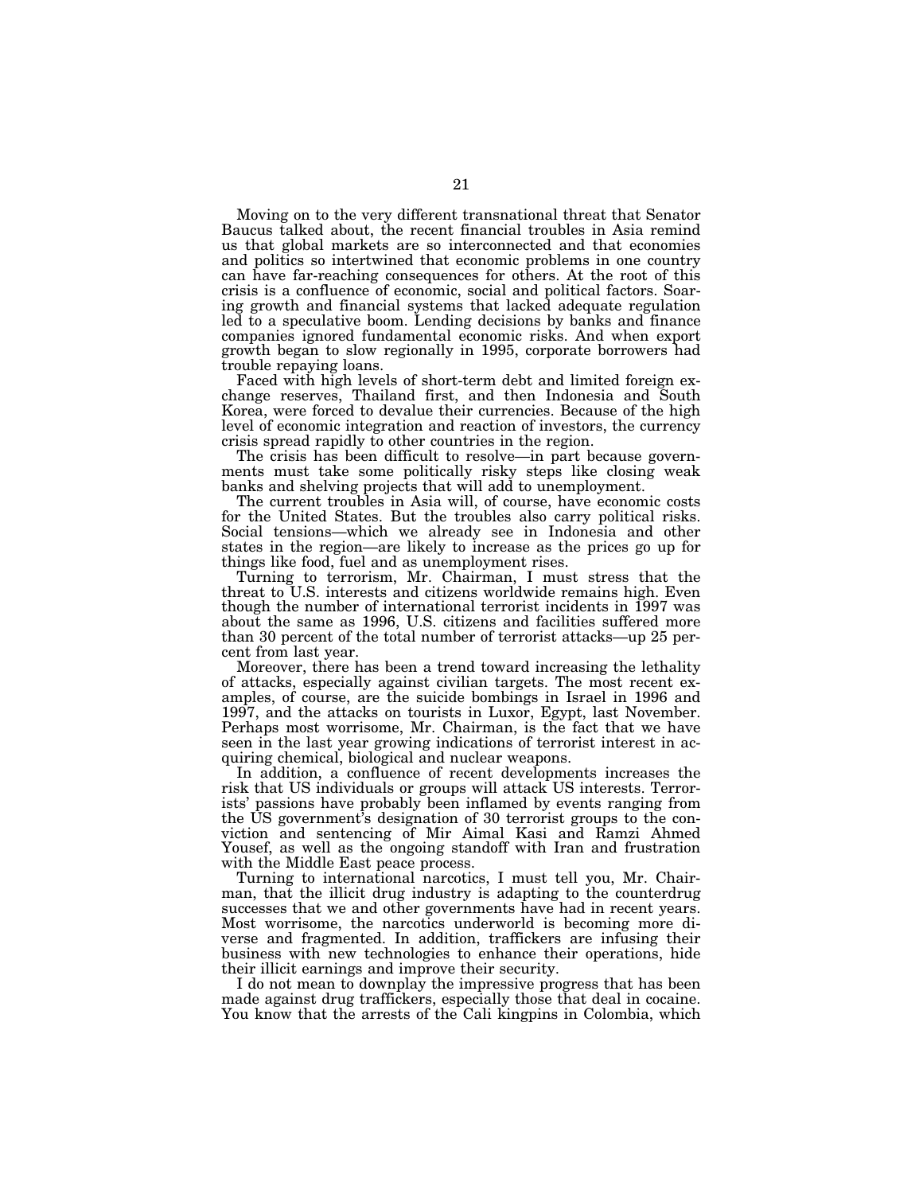Moving on to the very different transnational threat that Senator Baucus talked about, the recent financial troubles in Asia remind us that global markets are so interconnected and that economies and politics so intertwined that economic problems in one country can have far-reaching consequences for others. At the root of this crisis is a confluence of economic, social and political factors. Soaring growth and financial systems that lacked adequate regulation led to a speculative boom. Lending decisions by banks and finance companies ignored fundamental economic risks. And when export growth began to slow regionally in 1995, corporate borrowers had trouble repaying loans.

Faced with high levels of short-term debt and limited foreign exchange reserves, Thailand first, and then Indonesia and South Korea, were forced to devalue their currencies. Because of the high level of economic integration and reaction of investors, the currency crisis spread rapidly to other countries in the region.

The crisis has been difficult to resolve—in part because governments must take some politically risky steps like closing weak banks and shelving projects that will add to unemployment.

The current troubles in Asia will, of course, have economic costs for the United States. But the troubles also carry political risks. Social tensions—which we already see in Indonesia and other states in the region—are likely to increase as the prices go up for things like food, fuel and as unemployment rises.

Turning to terrorism, Mr. Chairman, I must stress that the threat to U.S. interests and citizens worldwide remains high. Even though the number of international terrorist incidents in 1997 was about the same as 1996, U.S. citizens and facilities suffered more than 30 percent of the total number of terrorist attacks—up 25 percent from last year.

Moreover, there has been a trend toward increasing the lethality of attacks, especially against civilian targets. The most recent examples, of course, are the suicide bombings in Israel in 1996 and 1997, and the attacks on tourists in Luxor, Egypt, last November. Perhaps most worrisome, Mr. Chairman, is the fact that we have seen in the last year growing indications of terrorist interest in acquiring chemical, biological and nuclear weapons.

In addition, a confluence of recent developments increases the risk that US individuals or groups will attack US interests. Terrorists' passions have probably been inflamed by events ranging from the US government's designation of 30 terrorist groups to the conviction and sentencing of Mir Aimal Kasi and Ramzi Ahmed Yousef, as well as the ongoing standoff with Iran and frustration with the Middle East peace process.

Turning to international narcotics, I must tell you, Mr. Chairman, that the illicit drug industry is adapting to the counterdrug successes that we and other governments have had in recent years. Most worrisome, the narcotics underworld is becoming more diverse and fragmented. In addition, traffickers are infusing their business with new technologies to enhance their operations, hide their illicit earnings and improve their security.

I do not mean to downplay the impressive progress that has been made against drug traffickers, especially those that deal in cocaine. You know that the arrests of the Cali kingpins in Colombia, which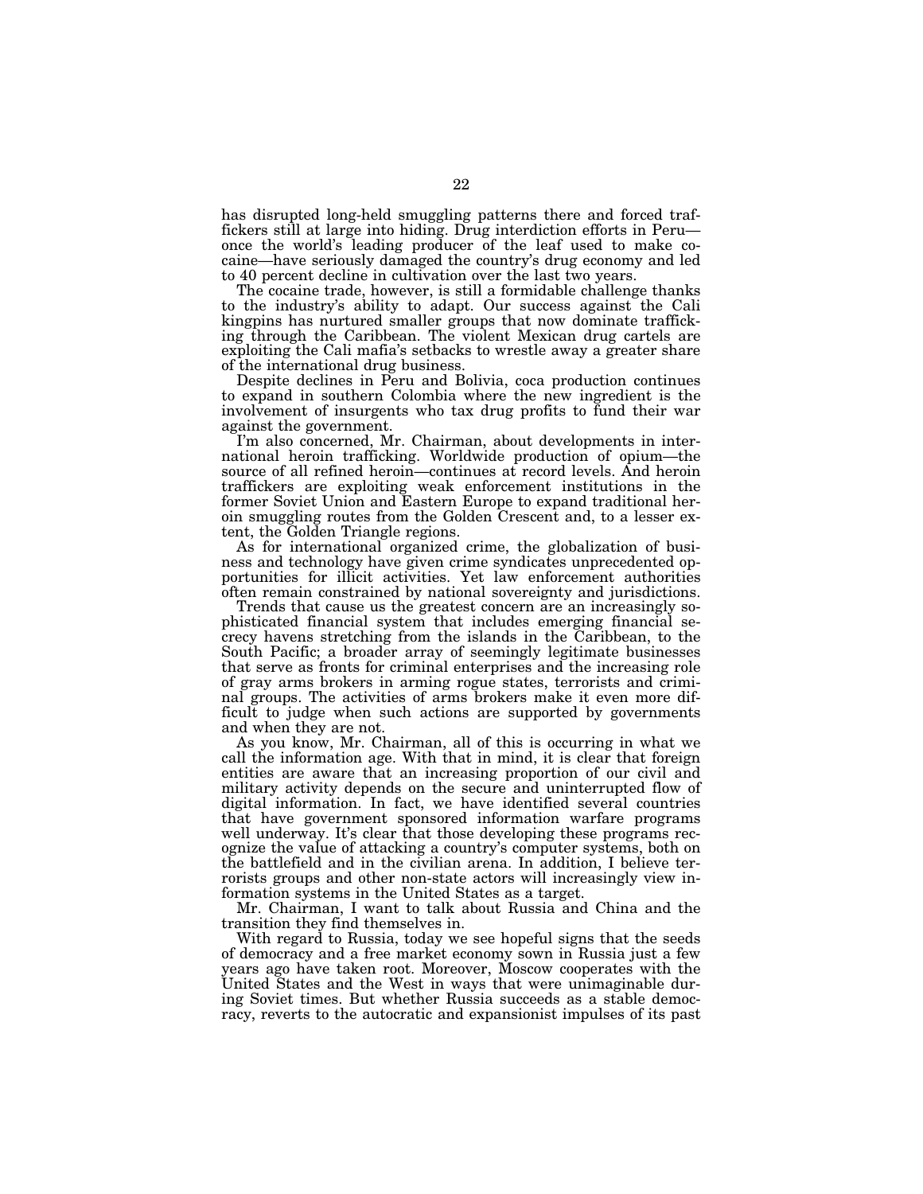has disrupted long-held smuggling patterns there and forced traffickers still at large into hiding. Drug interdiction efforts in Peru once the world's leading producer of the leaf used to make cocaine—have seriously damaged the country's drug economy and led to 40 percent decline in cultivation over the last two years.

The cocaine trade, however, is still a formidable challenge thanks to the industry's ability to adapt. Our success against the Cali kingpins has nurtured smaller groups that now dominate trafficking through the Caribbean. The violent Mexican drug cartels are exploiting the Cali mafia's setbacks to wrestle away a greater share of the international drug business.

Despite declines in Peru and Bolivia, coca production continues to expand in southern Colombia where the new ingredient is the involvement of insurgents who tax drug profits to fund their war against the government.

I'm also concerned, Mr. Chairman, about developments in international heroin trafficking. Worldwide production of opium—the source of all refined heroin—continues at record levels. And heroin traffickers are exploiting weak enforcement institutions in the former Soviet Union and Eastern Europe to expand traditional heroin smuggling routes from the Golden Crescent and, to a lesser extent, the Golden Triangle regions.

As for international organized crime, the globalization of business and technology have given crime syndicates unprecedented opportunities for illicit activities. Yet law enforcement authorities often remain constrained by national sovereignty and jurisdictions.

Trends that cause us the greatest concern are an increasingly sophisticated financial system that includes emerging financial secrecy havens stretching from the islands in the Caribbean, to the South Pacific; a broader array of seemingly legitimate businesses that serve as fronts for criminal enterprises and the increasing role of gray arms brokers in arming rogue states, terrorists and criminal groups. The activities of arms brokers make it even more difficult to judge when such actions are supported by governments and when they are not.

As you know, Mr. Chairman, all of this is occurring in what we call the information age. With that in mind, it is clear that foreign entities are aware that an increasing proportion of our civil and military activity depends on the secure and uninterrupted flow of digital information. In fact, we have identified several countries that have government sponsored information warfare programs well underway. It's clear that those developing these programs recognize the value of attacking a country's computer systems, both on the battlefield and in the civilian arena. In addition, I believe terrorists groups and other non-state actors will increasingly view information systems in the United States as a target.

Mr. Chairman, I want to talk about Russia and China and the transition they find themselves in.

With regard to Russia, today we see hopeful signs that the seeds of democracy and a free market economy sown in Russia just a few years ago have taken root. Moreover, Moscow cooperates with the United States and the West in ways that were unimaginable during Soviet times. But whether Russia succeeds as a stable democracy, reverts to the autocratic and expansionist impulses of its past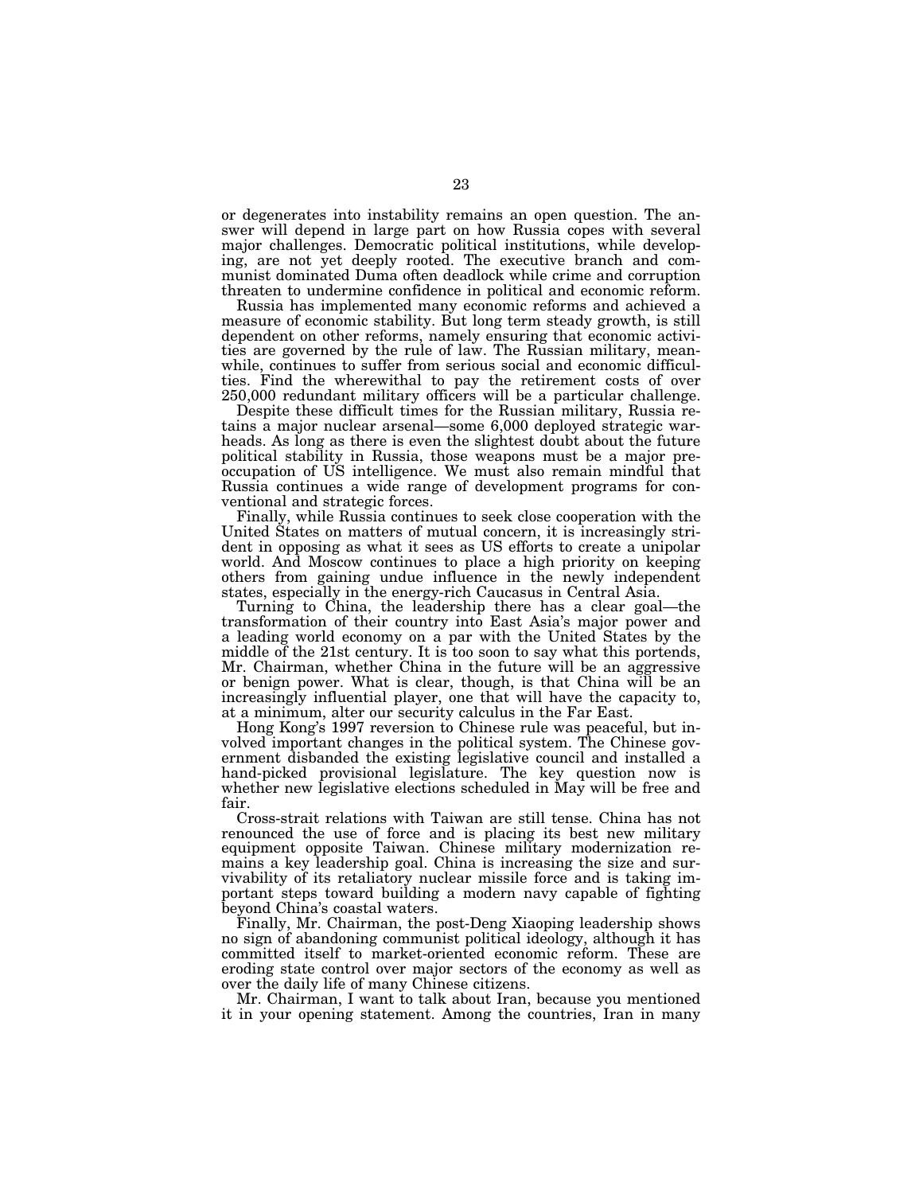or degenerates into instability remains an open question. The answer will depend in large part on how Russia copes with several major challenges. Democratic political institutions, while developing, are not yet deeply rooted. The executive branch and communist dominated Duma often deadlock while crime and corruption threaten to undermine confidence in political and economic reform.

Russia has implemented many economic reforms and achieved a measure of economic stability. But long term steady growth, is still dependent on other reforms, namely ensuring that economic activities are governed by the rule of law. The Russian military, meanwhile, continues to suffer from serious social and economic difficulties. Find the wherewithal to pay the retirement costs of over 250,000 redundant military officers will be a particular challenge.

Despite these difficult times for the Russian military, Russia retains a major nuclear arsenal—some 6,000 deployed strategic warheads. As long as there is even the slightest doubt about the future political stability in Russia, those weapons must be a major preoccupation of US intelligence. We must also remain mindful that Russia continues a wide range of development programs for conventional and strategic forces.

Finally, while Russia continues to seek close cooperation with the United States on matters of mutual concern, it is increasingly strident in opposing as what it sees as US efforts to create a unipolar world. And Moscow continues to place a high priority on keeping others from gaining undue influence in the newly independent states, especially in the energy-rich Caucasus in Central Asia.

Turning to China, the leadership there has a clear goal—the transformation of their country into East Asia's major power and a leading world economy on a par with the United States by the middle of the 21st century. It is too soon to say what this portends, Mr. Chairman, whether China in the future will be an aggressive or benign power. What is clear, though, is that China will be an increasingly influential player, one that will have the capacity to, at a minimum, alter our security calculus in the Far East.

Hong Kong's 1997 reversion to Chinese rule was peaceful, but involved important changes in the political system. The Chinese government disbanded the existing legislative council and installed a hand-picked provisional legislature. The key question now is whether new legislative elections scheduled in May will be free and fair.

Cross-strait relations with Taiwan are still tense. China has not renounced the use of force and is placing its best new military equipment opposite Taiwan. Chinese military modernization remains a key leadership goal. China is increasing the size and survivability of its retaliatory nuclear missile force and is taking important steps toward building a modern navy capable of fighting beyond China's coastal waters.

Finally, Mr. Chairman, the post-Deng Xiaoping leadership shows no sign of abandoning communist political ideology, although it has committed itself to market-oriented economic reform. These are eroding state control over major sectors of the economy as well as over the daily life of many Chinese citizens.

Mr. Chairman, I want to talk about Iran, because you mentioned it in your opening statement. Among the countries, Iran in many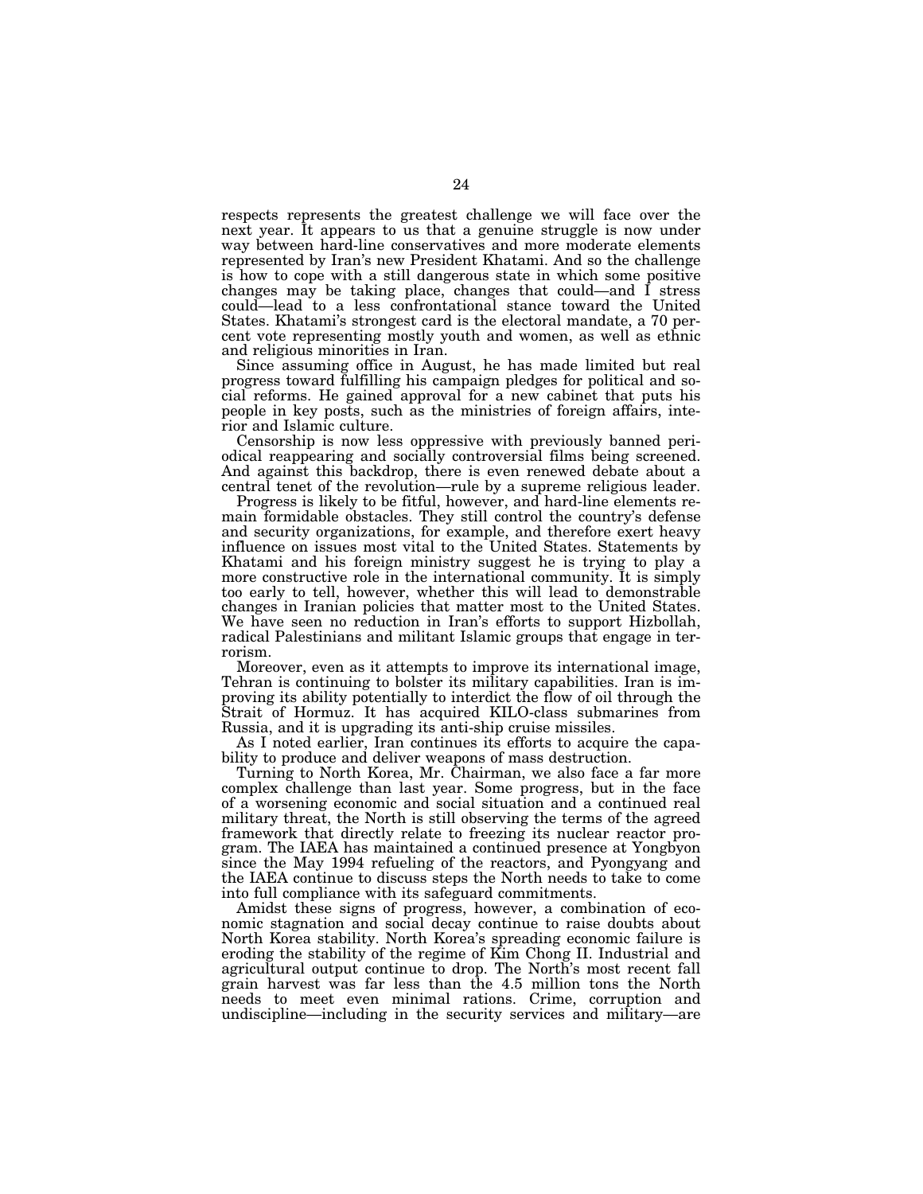respects represents the greatest challenge we will face over the next year. It appears to us that a genuine struggle is now under way between hard-line conservatives and more moderate elements represented by Iran's new President Khatami. And so the challenge is how to cope with a still dangerous state in which some positive changes may be taking place, changes that could—and I stress could—lead to a less confrontational stance toward the United States. Khatami's strongest card is the electoral mandate, a 70 percent vote representing mostly youth and women, as well as ethnic and religious minorities in Iran.

Since assuming office in August, he has made limited but real progress toward fulfilling his campaign pledges for political and social reforms. He gained approval for a new cabinet that puts his people in key posts, such as the ministries of foreign affairs, interior and Islamic culture.

Censorship is now less oppressive with previously banned periodical reappearing and socially controversial films being screened. And against this backdrop, there is even renewed debate about a central tenet of the revolution—rule by a supreme religious leader.

Progress is likely to be fitful, however, and hard-line elements remain formidable obstacles. They still control the country's defense and security organizations, for example, and therefore exert heavy influence on issues most vital to the United States. Statements by Khatami and his foreign ministry suggest he is trying to play a more constructive role in the international community. It is simply too early to tell, however, whether this will lead to demonstrable changes in Iranian policies that matter most to the United States. We have seen no reduction in Iran's efforts to support Hizbollah, radical Palestinians and militant Islamic groups that engage in terrorism.

Moreover, even as it attempts to improve its international image, Tehran is continuing to bolster its military capabilities. Iran is improving its ability potentially to interdict the flow of oil through the Strait of Hormuz. It has acquired KILO-class submarines from Russia, and it is upgrading its anti-ship cruise missiles.

As I noted earlier, Iran continues its efforts to acquire the capability to produce and deliver weapons of mass destruction.

Turning to North Korea, Mr. Chairman, we also face a far more complex challenge than last year. Some progress, but in the face of a worsening economic and social situation and a continued real military threat, the North is still observing the terms of the agreed framework that directly relate to freezing its nuclear reactor program. The IAEA has maintained a continued presence at Yongbyon since the May 1994 refueling of the reactors, and Pyongyang and the IAEA continue to discuss steps the North needs to take to come into full compliance with its safeguard commitments.

Amidst these signs of progress, however, a combination of economic stagnation and social decay continue to raise doubts about North Korea stability. North Korea's spreading economic failure is eroding the stability of the regime of Kim Chong II. Industrial and agricultural output continue to drop. The North's most recent fall grain harvest was far less than the 4.5 million tons the North needs to meet even minimal rations. Crime, corruption and undiscipline—including in the security services and military—are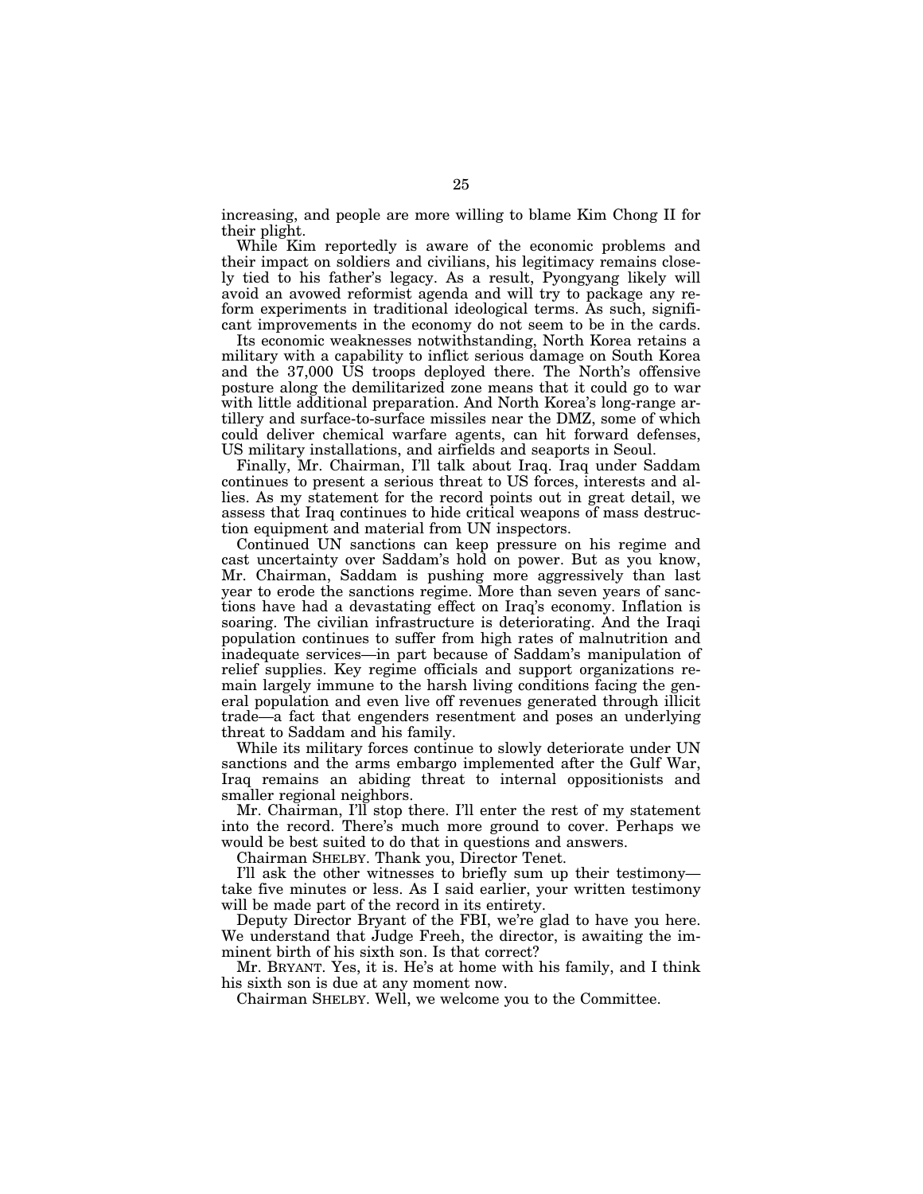increasing, and people are more willing to blame Kim Chong II for their plight.

While Kim reportedly is aware of the economic problems and their impact on soldiers and civilians, his legitimacy remains closely tied to his father's legacy. As a result, Pyongyang likely will avoid an avowed reformist agenda and will try to package any reform experiments in traditional ideological terms. As such, significant improvements in the economy do not seem to be in the cards.

Its economic weaknesses notwithstanding, North Korea retains a military with a capability to inflict serious damage on South Korea and the 37,000 US troops deployed there. The North's offensive posture along the demilitarized zone means that it could go to war with little additional preparation. And North Korea's long-range artillery and surface-to-surface missiles near the DMZ, some of which could deliver chemical warfare agents, can hit forward defenses, US military installations, and airfields and seaports in Seoul.

Finally, Mr. Chairman, I'll talk about Iraq. Iraq under Saddam continues to present a serious threat to US forces, interests and allies. As my statement for the record points out in great detail, we assess that Iraq continues to hide critical weapons of mass destruction equipment and material from UN inspectors.

Continued UN sanctions can keep pressure on his regime and cast uncertainty over Saddam's hold on power. But as you know, Mr. Chairman, Saddam is pushing more aggressively than last year to erode the sanctions regime. More than seven years of sanctions have had a devastating effect on Iraq's economy. Inflation is soaring. The civilian infrastructure is deteriorating. And the Iraqi population continues to suffer from high rates of malnutrition and inadequate services—in part because of Saddam's manipulation of relief supplies. Key regime officials and support organizations remain largely immune to the harsh living conditions facing the general population and even live off revenues generated through illicit trade—a fact that engenders resentment and poses an underlying threat to Saddam and his family.

While its military forces continue to slowly deteriorate under UN sanctions and the arms embargo implemented after the Gulf War, Iraq remains an abiding threat to internal oppositionists and smaller regional neighbors.

Mr. Chairman, I'll stop there. I'll enter the rest of my statement into the record. There's much more ground to cover. Perhaps we would be best suited to do that in questions and answers.

Chairman SHELBY. Thank you, Director Tenet.

I'll ask the other witnesses to briefly sum up their testimony take five minutes or less. As I said earlier, your written testimony will be made part of the record in its entirety.

Deputy Director Bryant of the FBI, we're glad to have you here. We understand that Judge Freeh, the director, is awaiting the imminent birth of his sixth son. Is that correct?

Mr. BRYANT. Yes, it is. He's at home with his family, and I think his sixth son is due at any moment now.

Chairman SHELBY. Well, we welcome you to the Committee.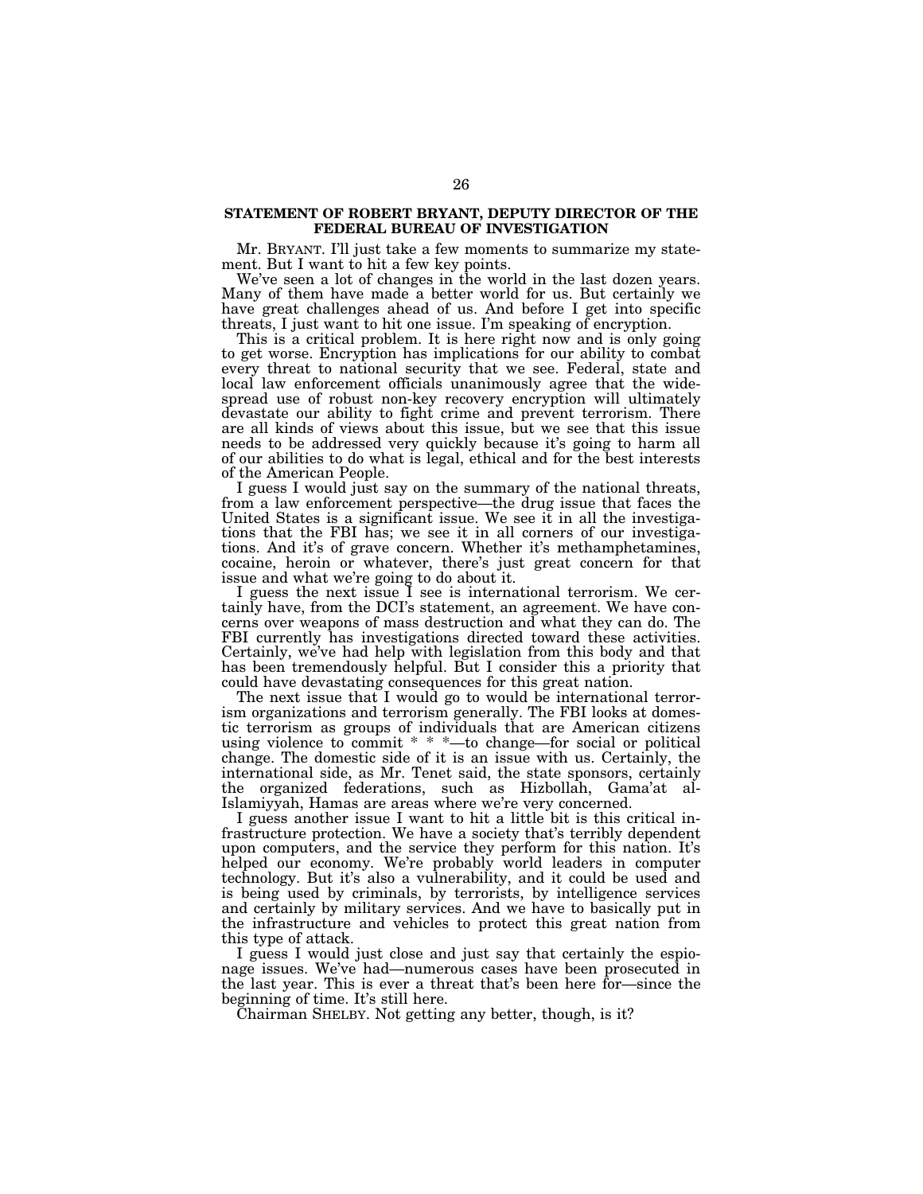# **STATEMENT OF ROBERT BRYANT, DEPUTY DIRECTOR OF THE FEDERAL BUREAU OF INVESTIGATION**

Mr. BRYANT. I'll just take a few moments to summarize my statement. But I want to hit a few key points.

We've seen a lot of changes in the world in the last dozen years. Many of them have made a better world for us. But certainly we have great challenges ahead of us. And before I get into specific threats, I just want to hit one issue. I'm speaking of encryption.

This is a critical problem. It is here right now and is only going to get worse. Encryption has implications for our ability to combat every threat to national security that we see. Federal, state and local law enforcement officials unanimously agree that the widespread use of robust non-key recovery encryption will ultimately devastate our ability to fight crime and prevent terrorism. There are all kinds of views about this issue, but we see that this issue needs to be addressed very quickly because it's going to harm all of our abilities to do what is legal, ethical and for the best interests of the American People.

I guess I would just say on the summary of the national threats, from a law enforcement perspective—the drug issue that faces the United States is a significant issue. We see it in all the investigations that the FBI has; we see it in all corners of our investigations. And it's of grave concern. Whether it's methamphetamines, cocaine, heroin or whatever, there's just great concern for that issue and what we're going to do about it.

I guess the next issue I see is international terrorism. We certainly have, from the DCI's statement, an agreement. We have concerns over weapons of mass destruction and what they can do. The FBI currently has investigations directed toward these activities. Certainly, we've had help with legislation from this body and that has been tremendously helpful. But I consider this a priority that could have devastating consequences for this great nation.

The next issue that I would go to would be international terrorism organizations and terrorism generally. The FBI looks at domestic terrorism as groups of individuals that are American citizens using violence to commit \* \* \*—to change—for social or political change. The domestic side of it is an issue with us. Certainly, the international side, as Mr. Tenet said, the state sponsors, certainly the organized federations, such as Hizbollah, Gama'at al-Islamiyyah, Hamas are areas where we're very concerned.

I guess another issue I want to hit a little bit is this critical infrastructure protection. We have a society that's terribly dependent upon computers, and the service they perform for this nation. It's helped our economy. We're probably world leaders in computer technology. But it's also a vulnerability, and it could be used and is being used by criminals, by terrorists, by intelligence services and certainly by military services. And we have to basically put in the infrastructure and vehicles to protect this great nation from this type of attack.

I guess I would just close and just say that certainly the espionage issues. We've had—numerous cases have been prosecuted in the last year. This is ever a threat that's been here for—since the beginning of time. It's still here.

Chairman SHELBY. Not getting any better, though, is it?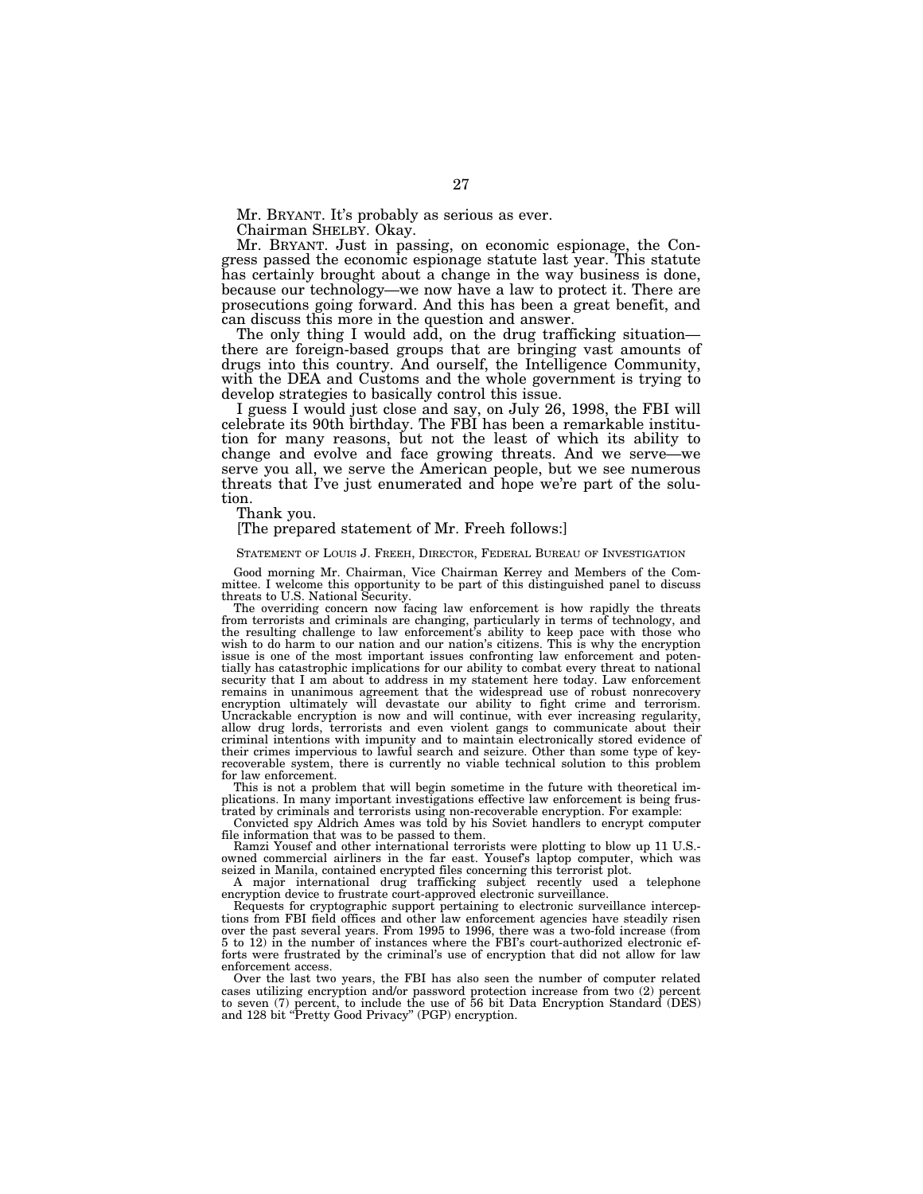Mr. BRYANT. It's probably as serious as ever.

Chairman SHELBY. Okay.

Mr. BRYANT. Just in passing, on economic espionage, the Congress passed the economic espionage statute last year. This statute has certainly brought about a change in the way business is done, because our technology—we now have a law to protect it. There are prosecutions going forward. And this has been a great benefit, and can discuss this more in the question and answer.

The only thing I would add, on the drug trafficking situation there are foreign-based groups that are bringing vast amounts of drugs into this country. And ourself, the Intelligence Community, with the DEA and Customs and the whole government is trying to develop strategies to basically control this issue.

I guess I would just close and say, on July 26, 1998, the FBI will celebrate its 90th birthday. The FBI has been a remarkable institution for many reasons, but not the least of which its ability to change and evolve and face growing threats. And we serve—we serve you all, we serve the American people, but we see numerous threats that I've just enumerated and hope we're part of the solution.

Thank you.

# [The prepared statement of Mr. Freeh follows:]

## STATEMENT OF LOUIS J. FREEH, DIRECTOR, FEDERAL BUREAU OF INVESTIGATION

Good morning Mr. Chairman, Vice Chairman Kerrey and Members of the Committee. I welcome this opportunity to be part of this distinguished panel to discuss threats to U.S. National Security.

The overriding concern now facing law enforcement is how rapidly the threats from terrorists and criminals are changing, particularly in terms of technology, and the resulting challenge to law enforcement's ability to keep pace with those who wish to do harm to our nation and our nation's citizens. This is why the encryption issue is one of the most important issues confronting law enforcement and potentially has catastrophic implications for our ability to combat every threat to national security that I am about to address in my statement here today. Law enforcement remains in unanimous agreement that the widespread use of robust nonrecovery<br>encryption ultimately will devastate our ability to fight crime and terrorism.<br>Uncrackable encryption is now and will continue, with ever increas allow drug lords, terrorists and even violent gangs to communicate about their criminal intentions with impunity and to maintain electronically stored evidence of their crimes impervious to lawful search and seizure. Other than some type of keyrecoverable system, there is currently no viable technical solution to this problem for law enforcement.

This is not a problem that will begin sometime in the future with theoretical implications. In many important investigations effective law enforcement is being frustrated by criminals and terrorists using non-recoverable encryption. For example:

Convicted spy Aldrich Ames was told by his Soviet handlers to encrypt computer file information that was to be passed to them.

Ramzi Yousef and other international terrorists were plotting to blow up 11 U.S. owned commercial airliners in the far east. Yousef's laptop computer, which was

seized in Manila, contained encrypted files concerning this terrorist plot. A major international drug trafficking subject recently used a telephone encryption device to frustrate court-approved electronic surveillance.

Requests for cryptographic support pertaining to electronic surveillance interceptions from FBI field offices and other law enforcement agencies have steadily risen over the past several years. From 1995 to 1996, there was a two-fold increase (from 5 to 12) in the number of instances where the FBI's court-authorized electronic efforts were frustrated by the criminal's use of encryption that did not allow for law enforcement access.

Over the last two years, the FBI has also seen the number of computer related cases utilizing encryption and/or password protection increase from two (2) percent to seven (7) percent, to include the use of 56 bit Data Encryption Standard (DES) and 128 bit ''Pretty Good Privacy'' (PGP) encryption.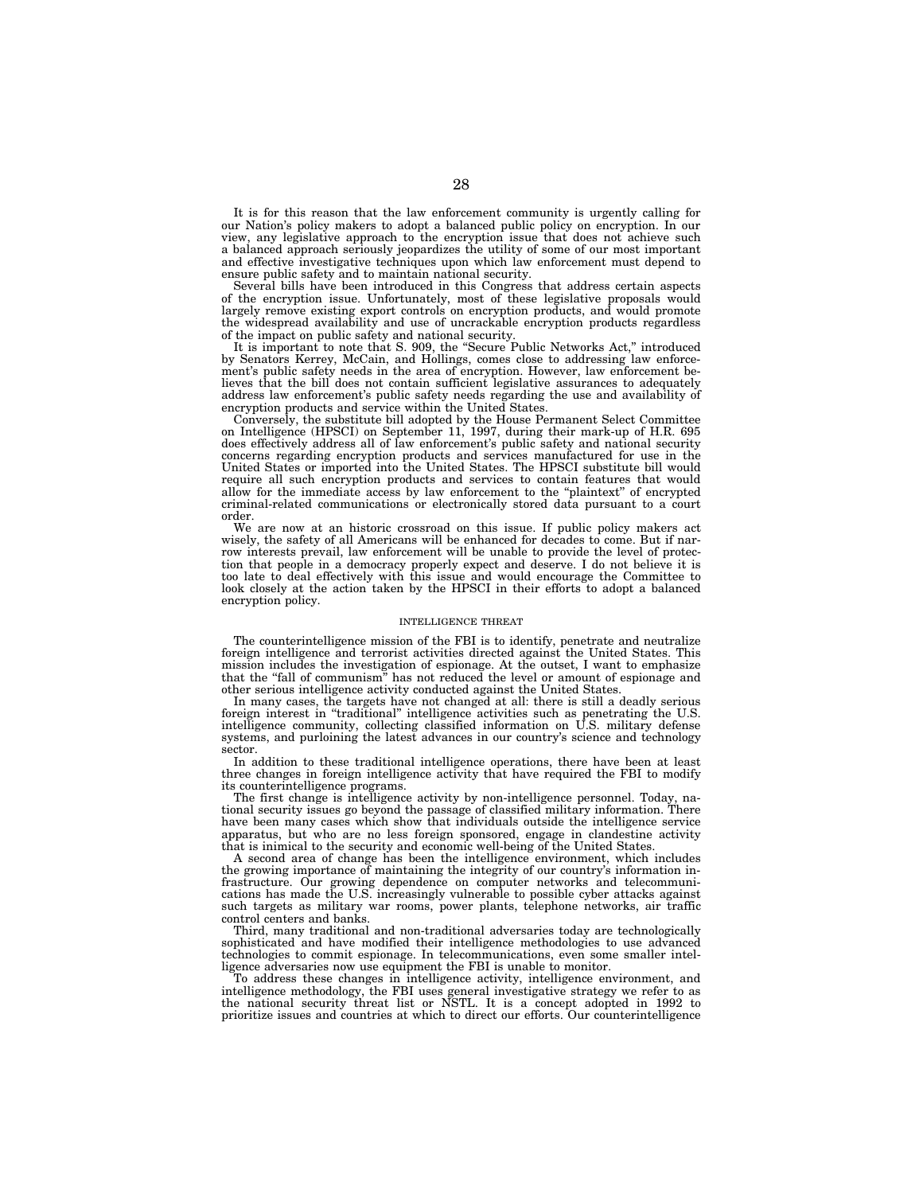It is for this reason that the law enforcement community is urgently calling for our Nation's policy makers to adopt a balanced public policy on encryption. In our view, any legislative approach to the encryption issue that does not achieve such a balanced approach seriously jeopardizes the utility of some of our most important and effective investigative techniques upon which law enforcement must depend to ensure public safety and to maintain national security.

Several bills have been introduced in this Congress that address certain aspects of the encryption issue. Unfortunately, most of these legislative proposals would largely remove existing export controls on encryption products, and would promote the widespread availability and use of uncrackable encryption products regardless of the impact on public safety and national security.

It is important to note that S. 909, the ''Secure Public Networks Act,'' introduced by Senators Kerrey, McCain, and Hollings, comes close to addressing law enforcement's public safety needs in the area of encryption. However, law enforcement believes that the bill does not contain sufficient legislative assurances to adequately address law enforcement's public safety needs regarding the use and availability of encryption products and service within the United States.

Conversely, the substitute bill adopted by the House Permanent Select Committee on Intelligence (HPSCI) on September 11, 1997, during their mark-up of H.R. 695 does effectively address all of law enforcement's public safety and national security concerns regarding encryption products and services manufactured for use in the United States or imported into the United States. The HPSCI substitute bill would require all such encryption products and services to contain features that would allow for the immediate access by law enforcement to the ''plaintext'' of encrypted criminal-related communications or electronically stored data pursuant to a court order.

We are now at an historic crossroad on this issue. If public policy makers act wisely, the safety of all Americans will be enhanced for decades to come. But if narrow interests prevail, law enforcement will be unable to provide the level of protection that people in a democracy properly expect and deserve. I do not believe it is too late to deal effectively with this issue and would encourage the Committee to look closely at the action taken by the HPSCI in their efforts to adopt a balanced encryption policy.

# INTELLIGENCE THREAT

The counterintelligence mission of the FBI is to identify, penetrate and neutralize foreign intelligence and terrorist activities directed against the United States. This mission includes the investigation of espionage. At the outset, I want to emphasize that the ''fall of communism'' has not reduced the level or amount of espionage and other serious intelligence activity conducted against the United States.

In many cases, the targets have not changed at all: there is still a deadly serious foreign interest in "traditional" intelligence activities such as penetrating the U.S. intelligence community, collecting classified information on U.S. military defense systems, and purloining the latest advances in our country's science and technology sector.

In addition to these traditional intelligence operations, there have been at least three changes in foreign intelligence activity that have required the FBI to modify its counterintelligence programs.

The first change is intelligence activity by non-intelligence personnel. Today, national security issues go beyond the passage of classified military information. There have been many cases which show that individuals outside the intelligence service apparatus, but who are no less foreign sponsored, engage in clandestine activity that is inimical to the security and economic well-being of the United States.

A second area of change has been the intelligence environment, which includes the growing importance of maintaining the integrity of our country's information infrastructure. Our growing dependence on computer networks and telecommunications has made the U.S. increasingly vulnerable to possible cyber attacks against such targets as military war rooms, power plants, telephone networks, air traffic control centers and banks.

Third, many traditional and non-traditional adversaries today are technologically sophisticated and have modified their intelligence methodologies to use advanced technologies to commit espionage. In telecommunications, even some smaller intelligence adversaries now use equipment the FBI is unable to monitor.

To address these changes in intelligence activity, intelligence environment, and intelligence methodology, the FBI uses general investigative strategy we refer to as the national security threat list or NSTL. It is a concept adopted in 1992 to prioritize issues and countries at which to direct our efforts. Our counterintelligence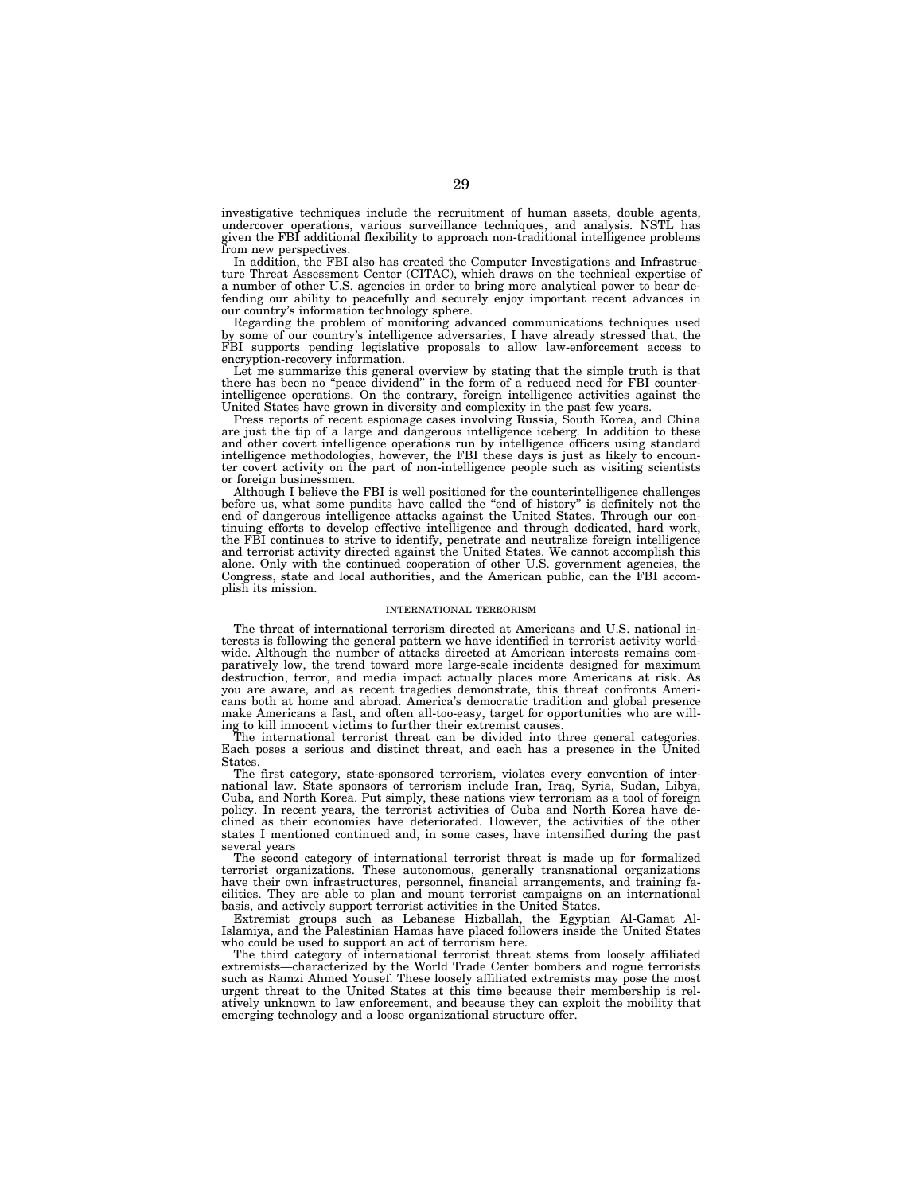investigative techniques include the recruitment of human assets, double agents, undercover operations, various surveillance techniques, and analysis. NSTL has given the FBI additional flexibility to approach non-traditional intelligence problems from new perspectives.

In addition, the FBI also has created the Computer Investigations and Infrastructure Threat Assessment Center (CITAC), which draws on the technical expertise of a number of other U.S. agencies in order to bring more analytical power to bear defending our ability to peacefully and securely enjoy important recent advances in our country's information technology sphere.

Regarding the problem of monitoring advanced communications techniques used by some of our country's intelligence adversaries, I have already stressed that, the FBI supports pending legislative proposals to allow law-enforcement access to encryption-recovery information.

Let me summarize this general overview by stating that the simple truth is that there has been no ''peace dividend'' in the form of a reduced need for FBI counterintelligence operations. On the contrary, foreign intelligence activities against the United States have grown in diversity and complexity in the past few years.

Press reports of recent espionage cases involving Russia, South Korea, and China are just the tip of a large and dangerous intelligence iceberg. In addition to these and other covert intelligence operations run by intelligence officers using standard intelligence methodologies, however, the FBI these days is just as likely to encounter covert activity on the part of non-intelligence people such as visiting scientists or foreign businessmen.

Although I believe the FBI is well positioned for the counterintelligence challenges before us, what some pundits have called the ''end of history'' is definitely not the end of dangerous intelligence attacks against the United States. Through our continuing efforts to develop effective intelligence and through dedicated, hard work, the FBI continues to strive to identify, penetrate and neutralize foreign intelligence and terrorist activity directed against the United States. We cannot accomplish this alone. Only with the continued cooperation of other U.S. government agencies, the Congress, state and local authorities, and the American public, can the FBI accomplish its mission.

#### INTERNATIONAL TERRORISM

The threat of international terrorism directed at Americans and U.S. national interests is following the general pattern we have identified in terrorist activity worldwide. Although the number of attacks directed at American interests remains comparatively low, the trend toward more large-scale incidents designed for maximum destruction, terror, and media impact actually places more Americans at risk. As you are aware, and as recent tragedies demonstrate, this threat confronts Americans both at home and abroad. America's democratic tradition and global presence make Americans a fast, and often all-too-easy, target for opportunities who are willing to kill innocent victims to further their extremist causes.

The international terrorist threat can be divided into three general categories. Each poses a serious and distinct threat, and each has a presence in the United **States** 

The first category, state-sponsored terrorism, violates every convention of international law. State sponsors of terrorism include Iran, Iraq, Syria, Sudan, Libya, Cuba, and North Korea. Put simply, these nations view terrorism as a tool of foreign policy. In recent years, the terrorist activities of Cuba and North Korea have declined as their economies have deteriorated. However, the activities of the other states I mentioned continued and, in some cases, have intensified during the past several years

The second category of international terrorist threat is made up for formalized terrorist organizations. These autonomous, generally transnational organizations have their own infrastructures, personnel, financial arrangements, and training facilities. They are able to plan and mount terrorist campaigns on an international basis, and actively support terrorist activities in the United States.

Extremist groups such as Lebanese Hizballah, the Egyptian Al-Gamat Al-Islamiya, and the Palestinian Hamas have placed followers inside the United States who could be used to support an act of terrorism here.

The third category of international terrorist threat stems from loosely affiliated extremists—characterized by the World Trade Center bombers and rogue terrorists such as Ramzi Ahmed Yousef. These loosely affiliated extremists may pose the most urgent threat to the United States at this time because their membership is relatively unknown to law enforcement, and because they can exploit the mobility that emerging technology and a loose organizational structure offer.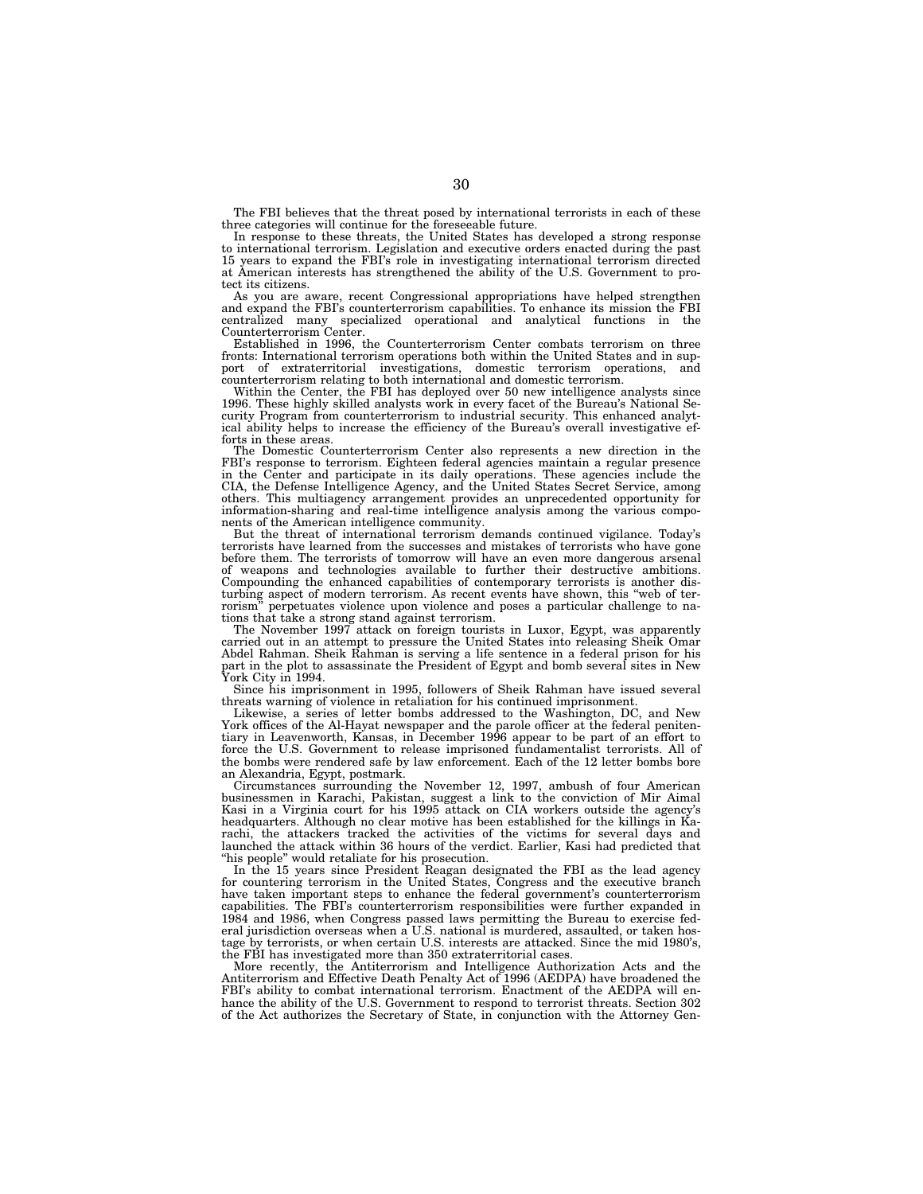The FBI believes that the threat posed by international terrorists in each of these three categories will continue for the foreseeable future.

In response to these threats, the United States has developed a strong response to international terrorism. Legislation and executive orders enacted during the past 15 years to expand the FBI's role in investigating international terrorism directed at American interests has strengthened the ability of the U.S. Government to protect its citizens.

As you are aware, recent Congressional appropriations have helped strengthen and expand the FBI's counterterrorism capabilities. To enhance its mission the FBI centralized many specialized operational and analytical functions in the Counterterrorism Center.

Established in 1996, the Counterterrorism Center combats terrorism on three fronts: International terrorism operations both within the United States and in support of extraterritorial investigations, domestic terrorism operations, and counterterrorism relating to both international and domestic terrorism.

Within the Center, the FBI has deployed over 50 new intelligence analysts since 1996. These highly skilled analysts work in every facet of the Bureau's National Security Program from counterterrorism to industrial security. This enhanced analytical ability helps to increase the efficiency of the Bureau's overall investigative efforts in these areas.

The Domestic Counterterrorism Center also represents a new direction in the FBI's response to terrorism. Eighteen federal agencies maintain a regular presence in the Center and participate in its daily operations. These agencies include the CIA, the Defense Intelligence Agency, and the United States Secret Service, among others. This multiagency arrangement provides an unprecedented opportunity for information-sharing and real-time intelligence analysis among the various compo-

nents of the American intelligence community. But the threat of international terrorism demands continued vigilance. Today's terrorists have learned from the successes and mistakes of terrorists who have gone before them. The terrorists of tomorrow will have an even more dangerous arsenal of weapons and technologies available to further their destructive ambitions. Compounding the enhanced capabilities of contemporary terrorists is another dis-turbing aspect of modern terrorism. As recent events have shown, this ''web of terrorism'' perpetuates violence upon violence and poses a particular challenge to na-tions that take a strong stand against terrorism.

The November 1997 attack on foreign tourists in Luxor, Egypt, was apparently carried out in an attempt to pressure the United States into releasing Sheik Omar Abdel Rahman. Sheik Rahman is serving a life sentence in a federal prison for his part in the plot to assassinate the President of Egypt and bomb several sites in New York City in 1994.

Since his imprisonment in 1995, followers of Sheik Rahman have issued several threats warning of violence in retaliation for his continued imprisonment.

Likewise, a series of letter bombs addressed to the Washington, DC, and New York offices of the Al-Hayat newspaper and the parole officer at the federal penitentiary in Leavenworth, Kansas, in December 1996 appear to be part of an effort to force the U.S. Government to release imprisoned fundamentalist terrorists. All of the bombs were rendered safe by law enforcement. Each of the 12 letter bombs bore an Alexandria, Egypt, postmark.

Circumstances surrounding the November 12, 1997, ambush of four American businessmen in Karachi, Pakistan, suggest a link to the conviction of Mir Aimal Kasi in a Virginia court for his 1995 attack on CIA workers outside the agency's headquarters. Although no clear motive has been established for the killings in Karachi, the attackers tracked the activities of the victims for several days and launched the attack within 36 hours of the verdict. Earlier, Kasi had predicted that "his people" would retaliate for his prosecution.

In the 15 years since President Reagan designated the FBI as the lead agency for countering terrorism in the United States, Congress and the executive branch have taken important steps to enhance the federal government's counterterrorism capabilities. The FBI's counterterrorism responsibilities were further expanded in 1984 and 1986, when Congress passed laws permitting the Bureau to exercise federal jurisdiction overseas when a U.S. national is murdered, assaulted, or taken hostage by terrorists, or when certain U.S. interests are attacked. Since the mid 1980's, the FBI has investigated more than 350 extraterritorial cases.

More recently, the Antiterrorism and Intelligence Authorization Acts and the Antiterrorism and Effective Death Penalty Act of 1996 (AEDPA) have broadened the FBI's ability to combat international terrorism. Enactment of the AEDPA will enhance the ability of the U.S. Government to respond to terrorist threats. Section 302 of the Act authorizes the Secretary of State, in conjunction with the Attorney Gen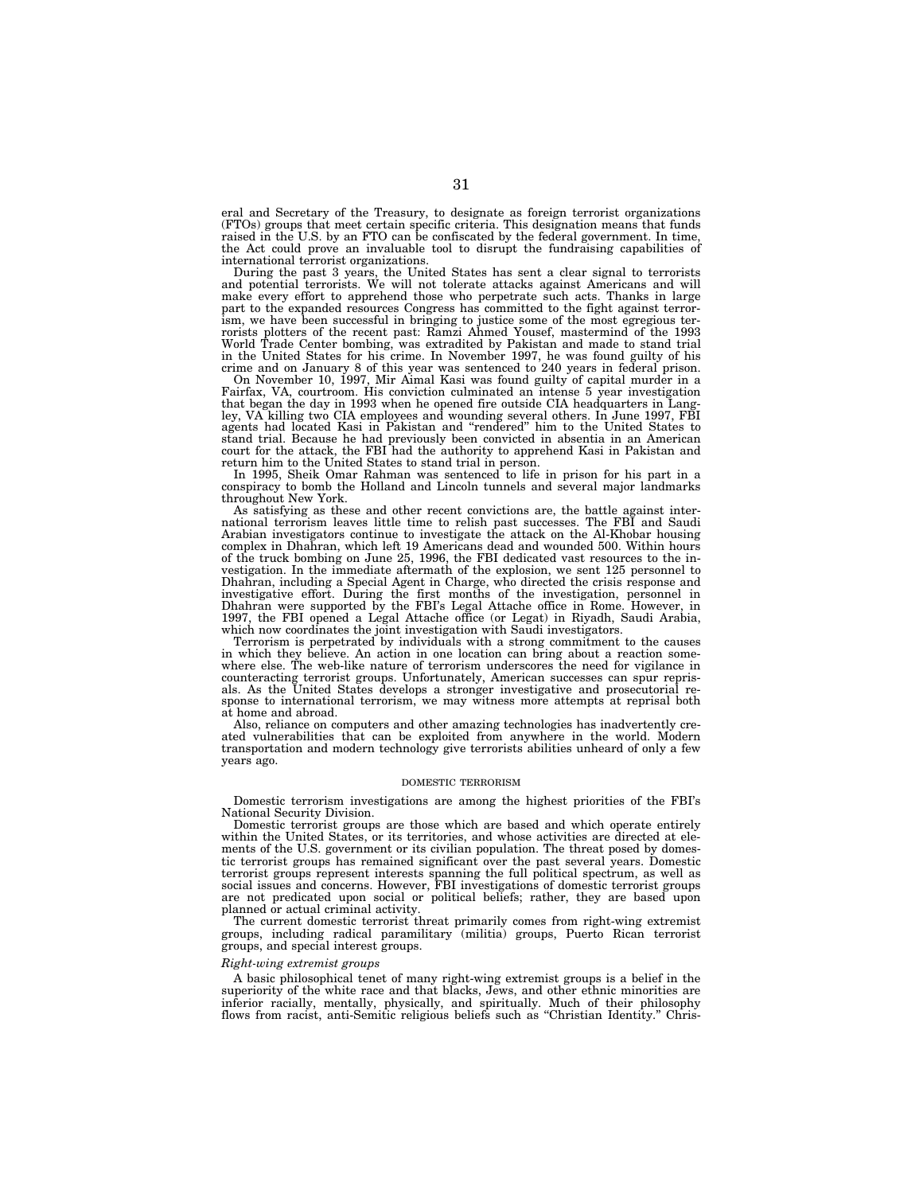eral and Secretary of the Treasury, to designate as foreign terrorist organizations (FTOs) groups that meet certain specific criteria. This designation means that funds raised in the U.S. by an FTO can be confiscated by the federal government. In time, the Act could prove an invaluable tool to disrupt the fundraising capabilities of international terrorist organizations.

During the past 3 years, the United States has sent a clear signal to terrorists and potential terrorists. We will not tolerate attacks against Americans and will make every effort to apprehend those who perpetrate such acts. Thanks in large part to the expanded resources Congress has committed to the fight against terrorism, we have been successful in bringing to justice some of the most egregious ter-rorists plotters of the recent past: Ramzi Ahmed Yousef, mastermind of the 1993 World Trade Center bombing, was extradited by Pakistan and made to stand trial in the United States for his crime. In November 1997, he was found guilty of his crime and on January 8 of this year was sentenced to 240 years in federal prison. On November 10, 1997, Mir Aimal Kasi was found guilty of capital murder in a

Fairfax, VA, courtroom. His conviction culminated an intense 5 year investigation that began the day in 1993 when he opened fire outside CIA headquarters in Langley, VA killing two CIA employees and wounding several others. In June 1997, FBI<br>agents had located Kasi in Pakistan and "rendered" him to the United States to<br>stand trial. Because he had previously been convicted in absen return him to the United States to stand trial in person.

In 1995, Sheik Omar Rahman was sentenced to life in prison for his part in a conspiracy to bomb the Holland and Lincoln tunnels and several major landmarks throughout New York.

As satisfying as these and other recent convictions are, the battle against international terrorism leaves little time to relish past successes. The FBI and Saudi Arabian investigators continue to investigate the attack on the Al-Khobar housing complex in Dhahran, which left 19 Americans dead and wounded 500. Within hours<br>of the truck bombing on June 25, 1996, the FBI dedicated vast resources to the in-<br>vestigation. In the immediate aftermath of the explosion, we Dhahran, including a Special Agent in Charge, who directed the crisis response and investigative effort. During the first months of the investigation, personnel in Dhahran were supported by the FBI's Legal Attache office in Rome. However, in 1997, the FBI opened a Legal Attache office (or Legat) in Riyadh, Saudi Arabia,

which now coordinates the joint investigation with Saudi investigators. Terrorism is perpetrated by individuals with a strong commitment to the causes in which they believe. An action in one location can bring about a reaction some-where else. The web-like nature of terrorism underscores the need for vigilance in counteracting terrorist groups. Unfortunately, American successes can spur repris-als. As the United States develops a stronger investigative and prosecutorial response to international terrorism, we may witness more attempts at reprisal both at home and abroad.

Also, reliance on computers and other amazing technologies has inadvertently created vulnerabilities that can be exploited from anywhere in the world. Modern transportation and modern technology give terrorists abilities unheard of only a few years ago.

### DOMESTIC TERRORISM

Domestic terrorism investigations are among the highest priorities of the FBI's National Security Division.

Domestic terrorist groups are those which are based and which operate entirely within the United States, or its territories, and whose activities are directed at elements of the U.S. government or its civilian population. The threat posed by domestic terrorist groups has remained significant over the past several years. Domestic terrorist groups represent interests spanning the full political spectrum, as well as social issues and concerns. However, FBI investigations of domestic terrorist groups are not predicated upon social or political beliefs; rather, they are based upon planned or actual criminal activity.

The current domestic terrorist threat primarily comes from right-wing extremist groups, including radical paramilitary (militia) groups, Puerto Rican terrorist groups, and special interest groups.

## *Right-wing extremist groups*

A basic philosophical tenet of many right-wing extremist groups is a belief in the superiority of the white race and that blacks, Jews, and other ethnic minorities are inferior racially, mentally, physically, and spiritually. Much of their philosophy flows from racist, anti-Semitic religious beliefs such as ''Christian Identity.'' Chris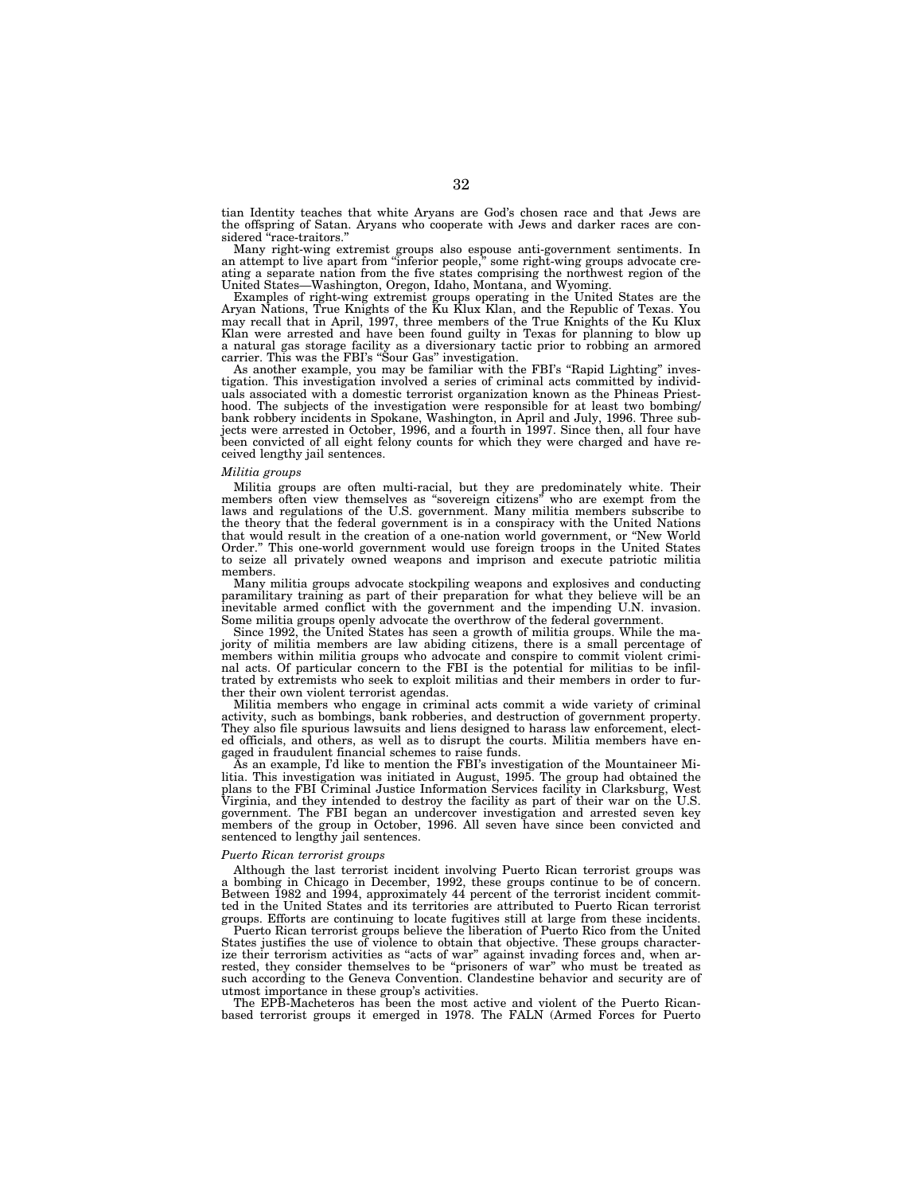tian Identity teaches that white Aryans are God's chosen race and that Jews are the offspring of Satan. Aryans who cooperate with Jews and darker races are con-<br>sidered "race-traitors." 'race-traitors.

Many right-wing extremist groups also espouse anti-government sentiments. In an attempt to live apart from ''inferior people,'' some right-wing groups advocate creating a separate nation from the five states comprising the northwest region of the United States—Washington, Oregon, Idaho, Montana, and Wyoming.

Examples of right-wing extremist groups operating in the United States are the Aryan Nations, True Knights of the Ku Klux Klan, and the Republic of Texas. You may recall that in April, 1997, three members of the True Knights of the Ku Klux Klan were arrested and have been found guilty in Texas for planning to blow up a natural gas storage facility as a diversionary tactic prior to robbing an armored carrier. This was the FBI's "Sour Gas" investigation.

As another example, you may be familiar with the FBI's "Rapid Lighting" investigation. This investigation involved a series of criminal acts committed by individuals associated with a domestic terrorist organization known as the Phineas Priesthood. The subjects of the investigation were responsible for at least two bombing/ bank robbery incidents in Spokane, Washington, in April and July, 1996. Three subjects were arrested in October, 1996, and a fourth in 1997. Since then, all four have been convicted of all eight felony counts for which they were charged and have received lengthy jail sentences.

# *Militia groups*

Militia groups are often multi-racial, but they are predominately white. Their members often view themselves as ''sovereign citizens'' who are exempt from the laws and regulations of the U.S. government. Many militia members subscribe to the theory that the federal government is in a conspiracy with the United Nations that would result in the creation of a one-nation world government, or ''New World Order.'' This one-world government would use foreign troops in the United States to seize all privately owned weapons and imprison and execute patriotic militia members.

Many militia groups advocate stockpiling weapons and explosives and conducting paramilitary training as part of their preparation for what they believe will be an inevitable armed conflict with the government and the impending U.N. invasion. Some militia groups openly advocate the overthrow of the federal government.

Since 1992, the United States has seen a growth of militia groups. While the majority of militia members are law abiding citizens, there is a small percentage of members within militia groups who advocate and conspire to commit violent criminal acts. Of particular concern to the FBI is the potential for militias to be infiltrated by extremists who seek to exploit militias and their members in order to further their own violent terrorist agendas.

Militia members who engage in criminal acts commit a wide variety of criminal activity, such as bombings, bank robberies, and destruction of government property. They also file spurious lawsuits and liens designed to harass law enforcement, elected officials, and others, as well as to disrupt the courts. Militia members have engaged in fraudulent financial schemes to raise funds.

As an example, I'd like to mention the FBI's investigation of the Mountaineer Militia. This investigation was initiated in August, 1995. The group had obtained the plans to the FBI Criminal Justice Information Services facility in Clarksburg, West Virginia, and they intended to destroy the facility as part of their war on the U.S. government. The FBI began an undercover investigation and arrested seven key members of the group in October, 1996. All seven have since been convicted and sentenced to lengthy jail sentences.

## *Puerto Rican terrorist groups*

Although the last terrorist incident involving Puerto Rican terrorist groups was a bombing in Chicago in December, 1992, these groups continue to be of concern. Between 1982 and 1994, approximately 44 percent of the terrorist incident committed in the United States and its territories are attributed to Puerto Rican terrorist groups. Efforts are continuing to locate fugitives still at large from these incidents.

Puerto Rican terrorist groups believe the liberation of Puerto Rico from the United States justifies the use of violence to obtain that objective. These groups characterize their terrorism activities as "acts of war" against invading forces and, when arrested, they consider themselves to be "prisoners of war" who must be treated as such according to the Geneva Convention. Clandestine behavior and security are of utmost importance in these group's activities.

The EPB-Macheteros has been the most active and violent of the Puerto Rican-based terrorist groups it emerged in 1978. The FALN (Armed Forces for Puerto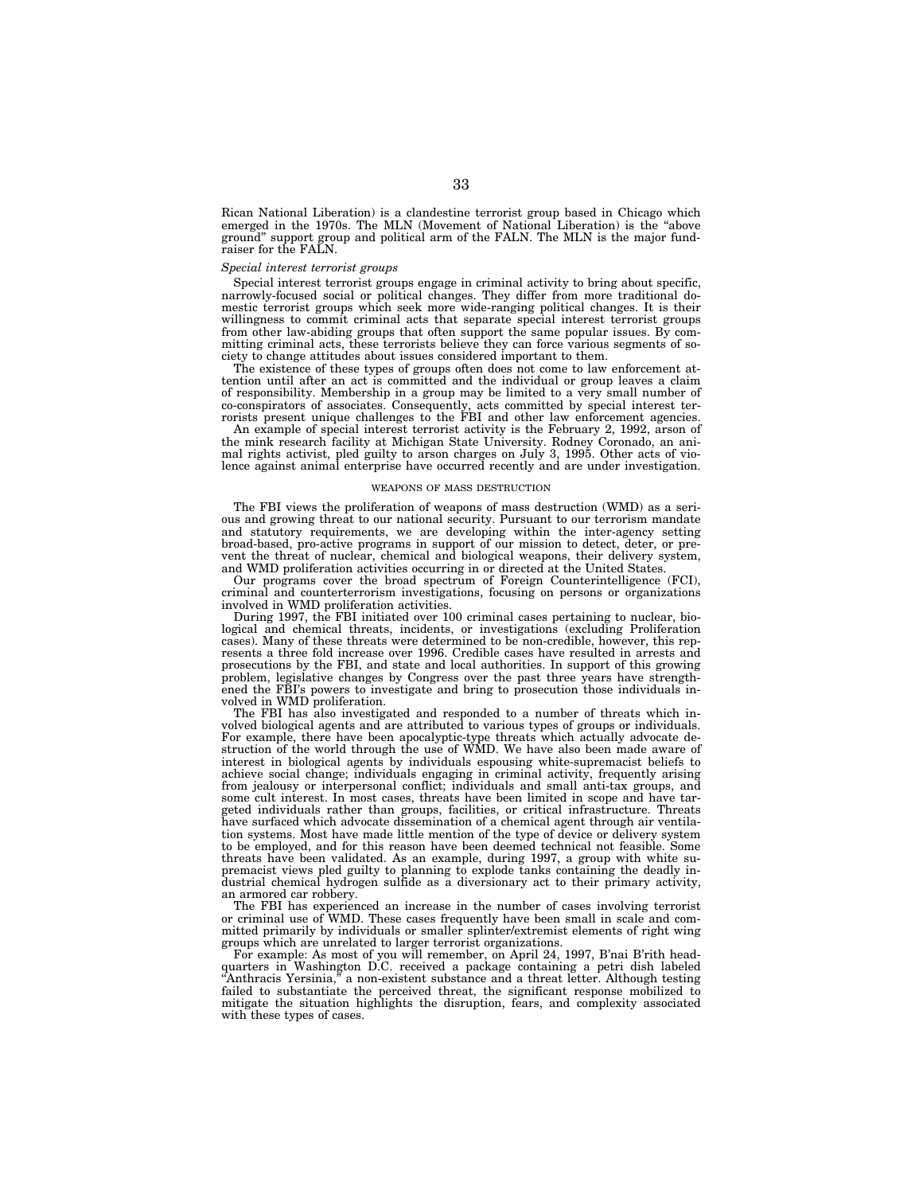Rican National Liberation) is a clandestine terrorist group based in Chicago which emerged in the 1970s. The MLN (Movement of National Liberation) is the "above ground'' support group and political arm of the FALN. The MLN is the major fundraiser for the FALN.

#### *Special interest terrorist groups*

Special interest terrorist groups engage in criminal activity to bring about specific, narrowly-focused social or political changes. They differ from more traditional domestic terrorist groups which seek more wide-ranging political changes. It is their willingness to commit criminal acts that separate special interest terrorist groups from other law-abiding groups that often support the same popular issues. By committing criminal acts, these terrorists believe they can force various segments of society to change attitudes about issues considered important to them.

The existence of these types of groups often does not come to law enforcement attention until after an act is committed and the individual or group leaves a claim of responsibility. Membership in a group may be limited to a very small number of co-conspirators of associates. Consequently, acts committed by special interest terrorists present unique challenges to the FBI and other law enforcement agencies.

An example of special interest terrorist activity is the February 2, 1992, arson of the mink research facility at Michigan State University. Rodney Coronado, an animal rights activist, pled guilty to arson charges on July 3, 1995. Other acts of violence against animal enterprise have occurred recently and are under investigation.

#### WEAPONS OF MASS DESTRUCTION

The FBI views the proliferation of weapons of mass destruction (WMD) as a serious and growing threat to our national security. Pursuant to our terrorism mandate and statutory requirements, we are developing within the inter-agency setting broad-based, pro-active programs in support of our mission to detect, deter, or prevent the threat of nuclear, chemical and biological weapons, their delivery system, and WMD proliferation activities occurring in or directed at the United States.

Our programs cover the broad spectrum of Foreign Counterintelligence (FCI), criminal and counterterrorism investigations, focusing on persons or organizations involved in WMD proliferation activities.

During 1997, the FBI initiated over 100 criminal cases pertaining to nuclear, biological and chemical threats, incidents, or investigations (excluding Proliferation cases). Many of these threats were determined to be non-credible, however, this represents a three fold increase over 1996. Credible cases have resulted in arrests and prosecutions by the FBI, and state and local authorities. In support of this growing problem, legislative changes by Congress over the past three years have strengthened the FBI's powers to investigate and bring to prosecution those individuals involved in WMD proliferation.

The FBI has also investigated and responded to a number of threats which involved biological agents and are attributed to various types of groups or individuals. For example, there have been apocalyptic-type threats which actually advocate destruction of the world through the use of WMD. We have also been made aware of interest in biological agents by individuals espousing white-supremacist beliefs to achieve social change; individuals engaging in criminal activity, frequently arising from jealousy or interpersonal conflict; individuals and small anti-tax groups, and some cult interest. In most cases, threats have been limited in scope and have targeted individuals rather than groups, facilities, or critical infrastructure. Threats have surfaced which advocate dissemination of a chemical agent through air ventilation systems. Most have made little mention of the type of device or delivery system to be employed, and for this reason have been deemed technical not feasible. Some threats have been validated. As an example, during 1997, a group with white supremacist views pled guilty to planning to explode tanks containing the deadly industrial chemical hydrogen sulfide as a diversionary act to their primary activity, an armored car robbery.

The FBI has experienced an increase in the number of cases involving terrorist or criminal use of WMD. These cases frequently have been small in scale and committed primarily by individuals or smaller splinter/extremist elements of right wing groups which are unrelated to larger terrorist organizations.

For example: As most of you will remember, on April 24, 1997, B'nai B'rith headquarters in Washington D.C. received a package containing a petri dish labeled ''Anthracis Yersinia,'' a non-existent substance and a threat letter. Although testing failed to substantiate the perceived threat, the significant response mobilized to mitigate the situation highlights the disruption, fears, and complexity associated with these types of cases.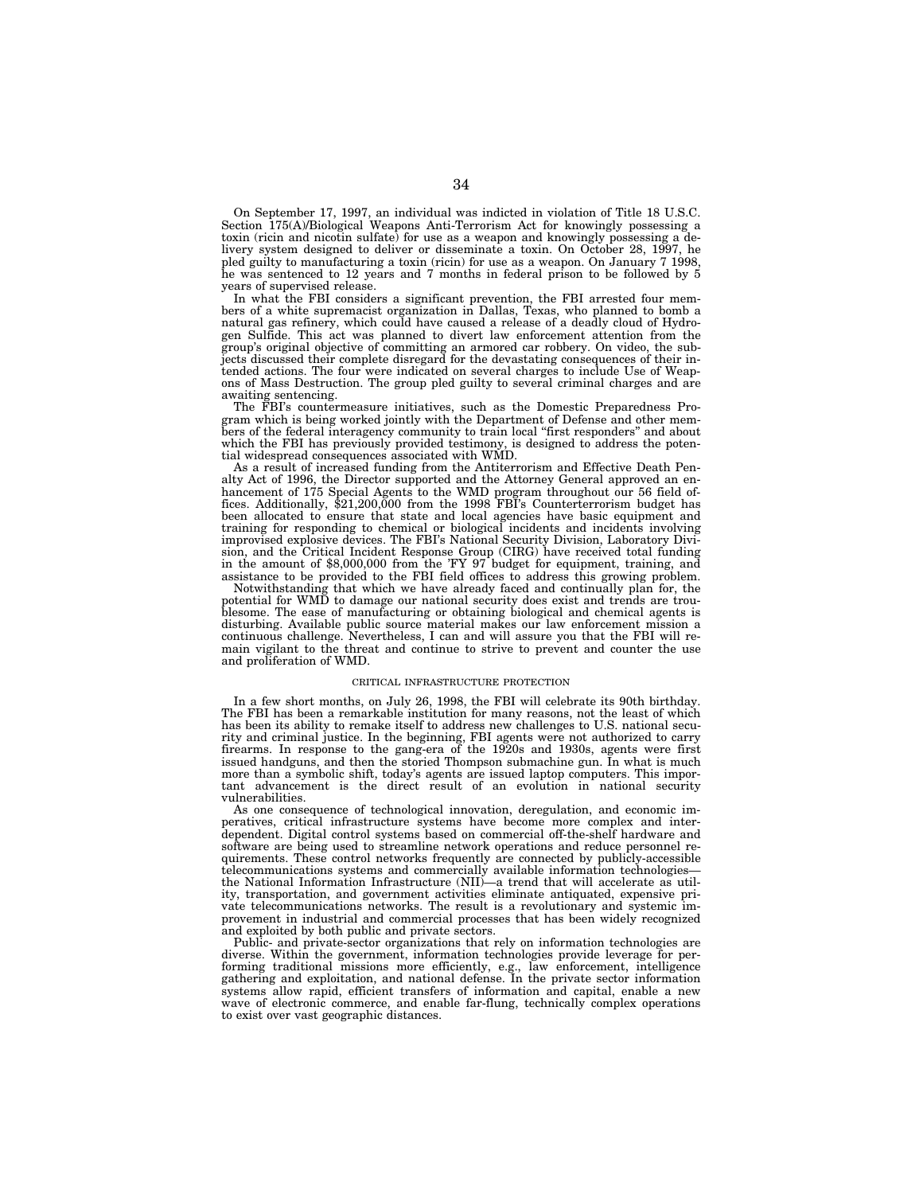On September 17, 1997, an individual was indicted in violation of Title 18 U.S.C. Section 175(A)/Biological Weapons Anti-Terrorism Act for knowingly possessing a toxin (ricin and nicotin sulfate) for use as a weapon and knowingly possessing a delivery system designed to deliver or disseminate a toxin. On October 28, 1997, he pled guilty to manufacturing a toxin (ricin) for use as a weapon. On January 7 1998, he was sentenced to 12 years and 7 months in federal prison to be followed by 5 years of supervised release.

In what the FBI considers a significant prevention, the FBI arrested four members of a white supremacist organization in Dallas, Texas, who planned to bomb a natural gas refinery, which could have caused a release of a deadly cloud of Hydrogen Sulfide. This act was planned to divert law enforcement attention from the group's original objective of committing an armored car robbery. On video, the subjects discussed their complete disregard for the devastating consequences of their intended actions. The four were indicated on several charges to include Use of Weapons of Mass Destruction. The group pled guilty to several criminal charges and are awaiting sentencing.

The FBI's countermeasure initiatives, such as the Domestic Preparedness Program which is being worked jointly with the Department of Defense and other members of the federal interagency community to train local ''first responders'' and about which the FBI has previously provided testimony, is designed to address the potential widespread consequences associated with WMD.

As a result of increased funding from the Antiterrorism and Effective Death Penalty Act of 1996, the Director supported and the Attorney General approved an enhancement of 175 Special Agents to the WMD program throughout our 56 field offices. Additionally, \$21,200,000 from the 1998 FBI's Counterterrorism budget has been allocated to ensure that state and local agencies have basic equipment and training for responding to chemical or biological incidents and incidents involving improvised explosive devices. The FBI's National Security Division, Laboratory Division, and the Critical Incident Response Group (CIRG) have received total funding in the amount of \$8,000,000 from the 'FY 97 budget for equipment, training, and assistance to be provided to the FBI field offices to address this growing problem.

Notwithstanding that which we have already faced and continually plan for, the potential for WMD to damage our national security does exist and trends are troublesome. The ease of manufacturing or obtaining biological and chemical agents is disturbing. Available public source material makes our law enforcement mission a continuous challenge. Nevertheless, I can and will assure you that the FBI will remain vigilant to the threat and continue to strive to prevent and counter the use and proliferation of WMD.

#### CRITICAL INFRASTRUCTURE PROTECTION

In a few short months, on July 26, 1998, the FBI will celebrate its 90th birthday. The FBI has been a remarkable institution for many reasons, not the least of which has been its ability to remake itself to address new challenges to U.S. national security and criminal justice. In the beginning, FBI agents were not authorized to carry firearms. In response to the gang-era of the 1920s and 1930s, agents were first issued handguns, and then the storied Thompson submachine gun. In what is much more than a symbolic shift, today's agents are issued laptop computers. This important advancement is the direct result of an evolution in national security vulnerabilities.

As one consequence of technological innovation, deregulation, and economic imperatives, critical infrastructure systems have become more complex and interdependent. Digital control systems based on commercial off-the-shelf hardware and software are being used to streamline network operations and reduce personnel requirements. These control networks frequently are connected by publicly-accessible telecommunications systems and commercially available information technologies the National Information Infrastructure (NII)—a trend that will accelerate as utility, transportation, and government activities eliminate antiquated, expensive private telecommunications networks. The result is a revolutionary and systemic improvement in industrial and commercial processes that has been widely recognized and exploited by both public and private sectors.

Public- and private-sector organizations that rely on information technologies are diverse. Within the government, information technologies provide leverage for performing traditional missions more efficiently, e.g., law enforcement, intelligence gathering and exploitation, and national defense. In the private sector information systems allow rapid, efficient transfers of information and capital, enable a new wave of electronic commerce, and enable far-flung, technically complex operations to exist over vast geographic distances.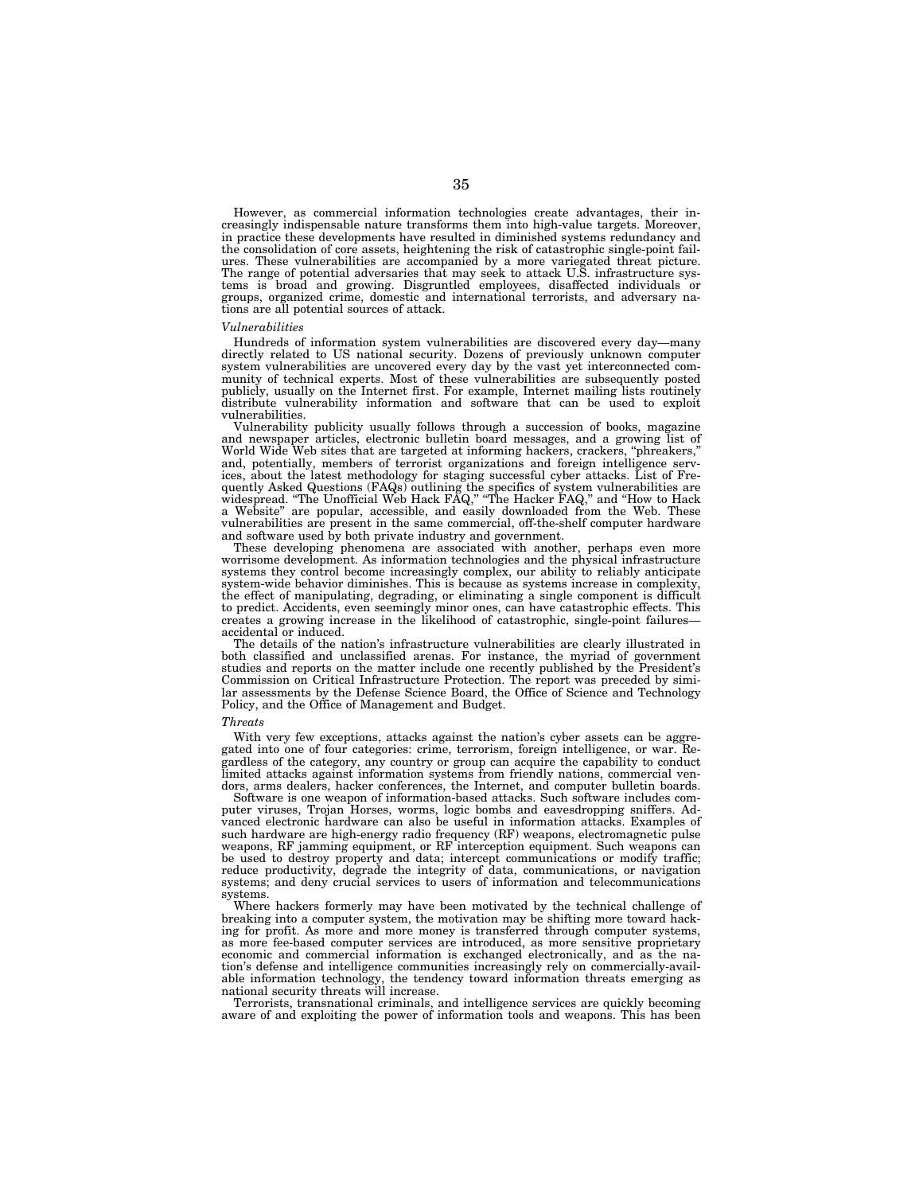However, as commercial information technologies create advantages, their increasingly indispensable nature transforms them into high-value targets. Moreover, in practice these developments have resulted in diminished systems redundancy and the consolidation of core assets, heightening the risk of catastrophic single-point failures. These vulnerabilities are accompanied by a more variegated threat picture. The range of potential adversaries that may seek to attack U.S. infrastructure systems is broad and growing. Disgruntled employees, disaffected individuals or groups, organized crime, domestic and international terrorists, and adversary nations are all potential sources of attack.

### *Vulnerabilities*

Hundreds of information system vulnerabilities are discovered every day—many directly related to US national security. Dozens of previously unknown computer system vulnerabilities are uncovered every day by the vast yet interconnected community of technical experts. Most of these vulnerabilities are subsequently posted publicly, usually on the Internet first. For example, Internet mailing lists routinely distribute vulnerability information and software that can be used to exploit vulnerabilities.

Vulnerability publicity usually follows through a succession of books, magazine and newspaper articles, electronic bulletin board messages, and a growing list of World Wide Web sites that are targeted at informing hackers, crackers, ''phreakers,'' and, potentially, members of terrorist organizations and foreign intelligence services, about the latest methodology for staging successful cyber attacks. List of Frequently Asked Questions (FAQs) outlining the specifics of system vulnerabilities are widespread. ''The Unofficial Web Hack FAQ,'' ''The Hacker FAQ,'' and ''How to Hack a Website'' are popular, accessible, and easily downloaded from the Web. These vulnerabilities are present in the same commercial, off-the-shelf computer hardware and software used by both private industry and government.

These developing phenomena are associated with another, perhaps even more worrisome development. As information technologies and the physical infrastructure systems they control become increasingly complex, our ability to reliably anticipate system-wide behavior diminishes. This is because as systems increase in complexity, the effect of manipulating, degrading, or eliminating a single component is difficult to predict. Accidents, even seemingly minor ones, can have catastrophic effects. This creates a growing increase in the likelihood of catastrophic, single-point failures accidental or induced.

The details of the nation's infrastructure vulnerabilities are clearly illustrated in both classified and unclassified arenas. For instance, the myriad of government studies and reports on the matter include one recently published by the President's Commission on Critical Infrastructure Protection. The report was preceded by similar assessments by the Defense Science Board, the Office of Science and Technology Policy, and the Office of Management and Budget.

### *Threats*

With very few exceptions, attacks against the nation's cyber assets can be aggregated into one of four categories: crime, terrorism, foreign intelligence, or war. Regardless of the category, any country or group can acquire the capability to conduct limited attacks against information systems from friendly nations, commercial vendors, arms dealers, hacker conferences, the Internet, and computer bulletin boards.

Software is one weapon of information-based attacks. Such software includes computer viruses, Trojan Horses, worms, logic bombs and eavesdropping sniffers. Advanced electronic hardware can also be useful in information attacks. Examples of such hardware are high-energy radio frequency (RF) weapons, electromagnetic pulse weapons, RF jamming equipment, or RF interception equipment. Such weapons can be used to destroy property and data; intercept communications or modify traffic; reduce productivity, degrade the integrity of data, communications, or navigation systems; and deny crucial services to users of information and telecommunications systems.

Where hackers formerly may have been motivated by the technical challenge of breaking into a computer system, the motivation may be shifting more toward hacking for profit. As more and more money is transferred through computer systems, as more fee-based computer services are introduced, as more sensitive proprietary economic and commercial information is exchanged electronically, and as the nation's defense and intelligence communities increasingly rely on commercially-available information technology, the tendency toward information threats emerging as national security threats will increase.

Terrorists, transnational criminals, and intelligence services are quickly becoming aware of and exploiting the power of information tools and weapons. This has been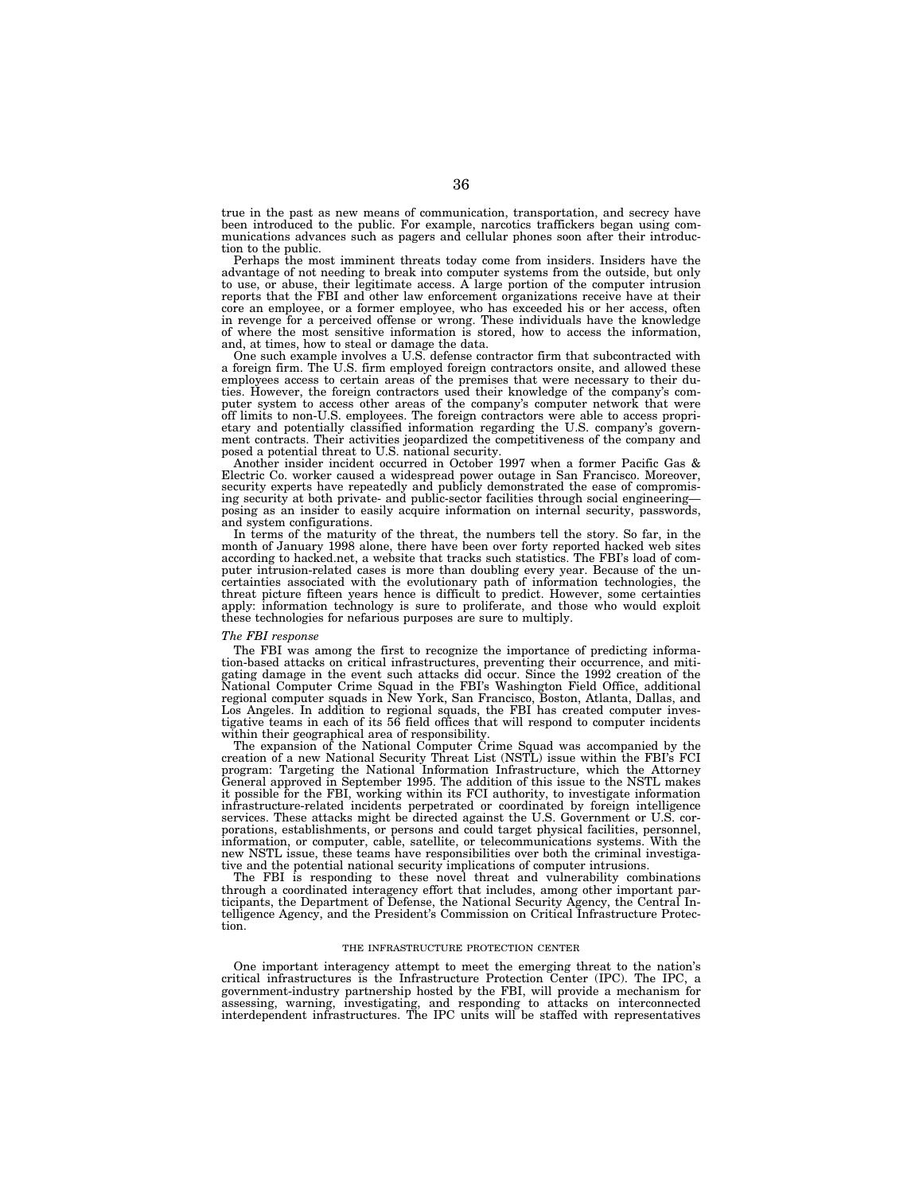true in the past as new means of communication, transportation, and secrecy have been introduced to the public. For example, narcotics traffickers began using communications advances such as pagers and cellular phones soon after their introduction to the public.

Perhaps the most imminent threats today come from insiders. Insiders have the advantage of not needing to break into computer systems from the outside, but only to use, or abuse, their legitimate access. A large portion of the computer intrusion reports that the FBI and other law enforcement organizations receive have at their core an employee, or a former employee, who has exceeded his or her access, often in revenge for a perceived offense or wrong. These individuals have the knowledge of where the most sensitive information is stored, how to access the information,

and, at times, how to steal or damage the data. One such example involves a U.S. defense contractor firm that subcontracted with a foreign firm. The U.S. firm employed foreign contractors onsite, and allowed these employees access to certain areas of the premises that were necessary to their duties. However, the foreign contractors used their knowledge of the company's com-puter system to access other areas of the company's computer network that were off limits to non-U.S. employees. The foreign contractors were able to access propri-etary and potentially classified information regarding the U.S. company's government contracts. Their activities jeopardized the competitiveness of the company and

posed a potential threat to U.S. national security. Another insider incident occurred in October 1997 when a former Pacific Gas & Electric Co. worker caused a widespread power outage in San Francisco. Moreover, security experts have repeatedly and publicly demonstrated the ease of compromising security at both private- and public-sector facilities through social engineering posing as an insider to easily acquire information on internal security, passwords, and system configurations.

In terms of the maturity of the threat, the numbers tell the story. So far, in the month of January 1998 alone, there have been over forty reported hacked web sites according to hacked.net, a website that tracks such statistics. The FBI's load of computer intrusion-related cases is more than doubling every year. Because of the uncertainties associated with the evolutionary path of information technologies, the threat picture fifteen years hence is difficult to predict. However, some certainties apply: information technology is sure to proliferate, and those who would exploit these technologies for nefarious purposes are sure to multiply.

### *The FBI response*

The FBI was among the first to recognize the importance of predicting information-based attacks on critical infrastructures, preventing their occurrence, and miti-gating damage in the event such attacks did occur. Since the 1992 creation of the National Computer Crime Squad in the FBI's Washington Field Office, additional regional computer squads in New York, San Francisco, Boston, Atlanta, Dallas, and Los Angeles. In addition to regional squads, the FBI has created computer inves-tigative teams in each of its 56 field offices that will respond to computer incidents within their geographical area of responsibility.

The expansion of the National Computer Crime Squad was accompanied by the creation of a new National Security Threat List (NSTL) issue within the FBI's FCI program: Targeting the National Information Infrastructure, which the Attorney General approved in September 1995. The addition of this issue to the NSTL makes it possible for the FBI, working within its FCI authority, to investigate information infrastructure-related incidents perpetrated or coordinated by foreign intelligence services. These attacks might be directed against the U.S. Government or U.S. corporations, establishments, or persons and could target physical facilities, personnel, information, or computer, cable, satellite, or telecommunications systems. With the new NSTL issue, these teams have responsibilities over both the criminal investigative and the potential national security implications of computer intrusions.

The FBI is responding to these novel threat and vulnerability combinations through a coordinated interagency effort that includes, among other important participants, the Department of Defense, the National Security Agency, the Central Intelligence Agency, and the President's Commission on Critical Infrastructure Protection.

# THE INFRASTRUCTURE PROTECTION CENTER

One important interagency attempt to meet the emerging threat to the nation's critical infrastructures is the Infrastructure Protection Center (IPC). The IPC, a government-industry partnership hosted by the FBI, will provide a mechanism for assessing, warning, investigating, and responding to attacks on interconnected interdependent infrastructures. The IPC units will be staffed with representatives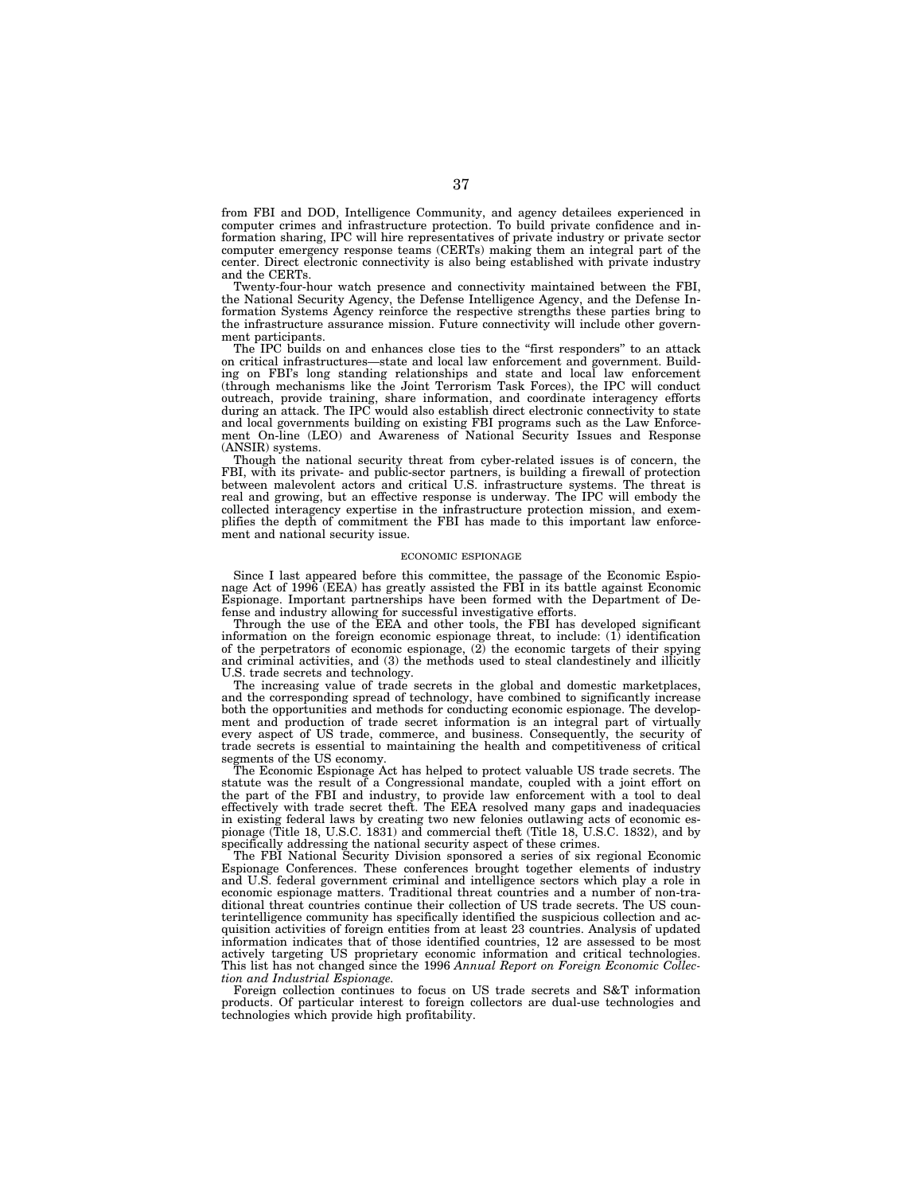from FBI and DOD, Intelligence Community, and agency detailees experienced in computer crimes and infrastructure protection. To build private confidence and information sharing, IPC will hire representatives of private industry or private sector computer emergency response teams (CERTs) making them an integral part of the center. Direct electronic connectivity is also being established with private industry and the CERTs.

Twenty-four-hour watch presence and connectivity maintained between the FBI, the National Security Agency, the Defense Intelligence Agency, and the Defense Information Systems Agency reinforce the respective strengths these parties bring to the infrastructure assurance mission. Future connectivity will include other government participants.

The IPC builds on and enhances close ties to the ''first responders'' to an attack on critical infrastructures—state and local law enforcement and government. Building on FBI's long standing relationships and state and local law enforcement (through mechanisms like the Joint Terrorism Task Forces), the IPC will conduct outreach, provide training, share information, and coordinate interagency efforts during an attack. The IPC would also establish direct electronic connectivity to state and local governments building on existing FBI programs such as the Law Enforcement On-line (LEO) and Awareness of National Security Issues and Response (ANSIR) systems.

Though the national security threat from cyber-related issues is of concern, the FBI, with its private- and public-sector partners, is building a firewall of protection between malevolent actors and critical U.S. infrastructure systems. The threat is real and growing, but an effective response is underway. The IPC will embody the collected interagency expertise in the infrastructure protection mission, and exemplifies the depth of commitment the FBI has made to this important law enforcement and national security issue.

#### ECONOMIC ESPIONAGE

Since I last appeared before this committee, the passage of the Economic Espionage Act of 1996 (EEA) has greatly assisted the FBI in its battle against Economic Espionage. Important partnerships have been formed with the Department of Defense and industry allowing for successful investigative efforts.

Through the use of the EEA and other tools, the FBI has developed significant information on the foreign economic espionage threat, to include: (1) identification of the perpetrators of economic espionage, (2) the economic targets of their spying and criminal activities, and (3) the methods used to steal clandestinely and illicitly U.S. trade secrets and technology.

The increasing value of trade secrets in the global and domestic marketplaces, and the corresponding spread of technology, have combined to significantly increase both the opportunities and methods for conducting economic espionage. The development and production of trade secret information is an integral part of virtually every aspect of US trade, commerce, and business. Consequently, the security of trade secrets is essential to maintaining the health and competitiveness of critical segments of the US economy.

The Economic Espionage Act has helped to protect valuable US trade secrets. The statute was the result of a Congressional mandate, coupled with a joint effort on the part of the FBI and industry, to provide law enforcement with a tool to deal effectively with trade secret theft. The EEA resolved many gaps and inadequacies in existing federal laws by creating two new felonies outlawing acts of economic espionage (Title 18, U.S.C. 1831) and commercial theft (Title 18, U.S.C. 1832), and by specifically addressing the national security aspect of these crimes.

The FBI National Security Division sponsored a series of six regional Economic Espionage Conferences. These conferences brought together elements of industry and U.S. federal government criminal and intelligence sectors which play a role in economic espionage matters. Traditional threat countries and a number of non-traditional threat countries continue their collection of US trade secrets. The US counterintelligence community has specifically identified the suspicious collection and acquisition activities of foreign entities from at least 23 countries. Analysis of updated information indicates that of those identified countries, 12 are assessed to be most actively targeting US proprietary economic information and critical technologies. This list has not changed since the 1996 *Annual Report on Foreign Economic Collection and Industrial Espionage.*

Foreign collection continues to focus on US trade secrets and S&T information products. Of particular interest to foreign collectors are dual-use technologies and technologies which provide high profitability.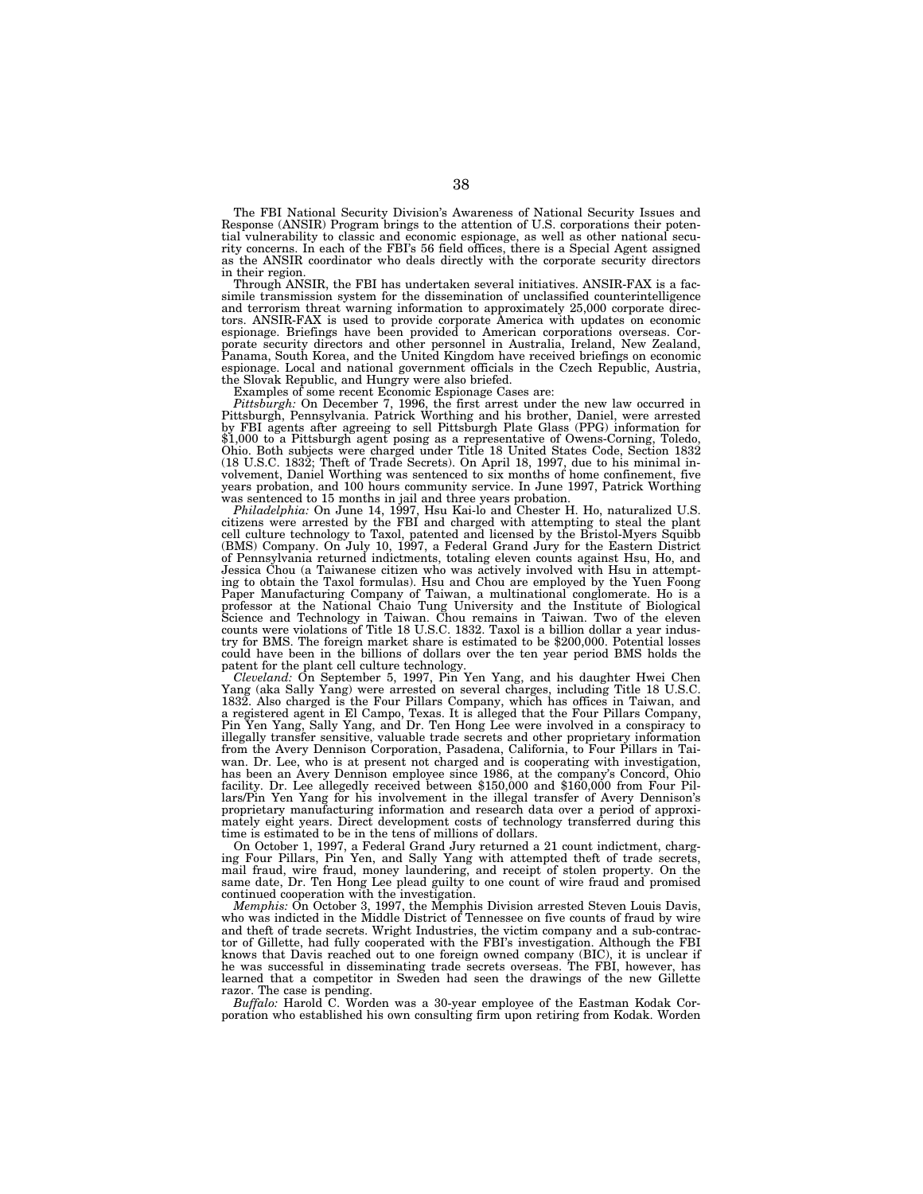The FBI National Security Division's Awareness of National Security Issues and Response (ANSIR) Program brings to the attention of U.S. corporations their potential vulnerability to classic and economic espionage, as well as other national security concerns. In each of the FBI's 56 field offices, there is a Special Agent assigned as the ANSIR coordinator who deals directly with the corporate security directors

in their region. Through ANSIR, the FBI has undertaken several initiatives. ANSIR-FAX is a facsimile transmission system for the dissemination of unclassified counterintelligence and terrorism threat warning information to approximately 25,000 corporate directors. ANSIR-FAX is used to provide corporate America with updates on economic espionage. Briefings have been provided to American corporations overseas. Corporate security directors and other personnel in Australia, Ireland, New Zealand, Panama, South Korea, and the United Kingdom have received briefings on economic espionage. Local and national government officials in the Czech Republic, Austria, the Slovak Republic, and Hungry were also briefed.

Examples of some recent Economic Espionage Cases are:

*Pittsburgh:* On December 7, 1996, the first arrest under the new law occurred in Pittsburgh, Pennsylvania. Patrick Worthing and his brother, Daniel, were arrested by FBI agents after agreeing to sell Pittsburgh Plate Glass (PPG) information for \$1,000 to a Pittsburgh agent posing as a representative of Owens-Corning, Toledo,<br>Ohio. Both subjects were charged under Title 18 United States Code, Section 1832<br>(18 U.S.C. 1832; Theft of Trade Secrets). On April 18, 1997 volvement, Daniel Worthing was sentenced to six months of home confinement, five years probation, and 100 hours community service. In June 1997, Patrick Worthing

was sentenced to 15 months in jail and three years probation.<br> *Philadelphia*: On June 14, 1997, Hsu Kai-lo and Chester H. Ho, naturalized U.S.<br>
citizens were arrested by the FBI and charged with attempting to steal the pl of Pennsylvania returned indictments, totaling eleven counts against Hsu, Ho, and Jessica Chou (a Taiwanese citizen who was actively involved with Hsu in attempting to obtain the Taxol formulas). Hsu and Chou are employed by the Yuen Foong Paper Manufacturing Company of Taiwan, a multinational conglomerate. Ho is a professor at the National Chaio Tung University and the Institute of Biological Science and Technology in Taiwan. Chou remains in Taiwan. Two of the eleven counts were violations of Title 18 U.S.C. 1832. Taxol is a billion dollar a year indus-try for BMS. The foreign market share is estimated to be \$200,000. Potential losses could have been in the billions of dollars over the ten year period BMS holds the patent for the plant cell culture technology.

*Cleveland:* On September 5, 1997, Pin Yen Yang, and his daughter Hwei Chen Yang (aka Sally Yang) were arrested on several charges, including Title 18 U.S.C. 1832. Also charged is the Four Pillars Company, which has offices in Taiwan, and a registered agent in El Campo, Texas. It is alleged that the Four Pillars Company, Pin Yen Yang, Sally Yang, and Dr. Ten Hong Lee were involved in a conspiracy to illegally transfer sensitive, valuable trade secrets and other proprietary information from the Avery Dennison Corporation, Pasadena, California, to Four Pillars in Taiwan. Dr. Lee, who is at present not charged and is cooperating with investigation, has been an Avery Dennison employee since 1986, at the company's Concord, Ohio facility. Dr. Lee allegedly received between \$150,000 and \$160,000 from Four Pillars/Pin Yen Yang for his involvement in the illegal transfer of Avery Dennison's proprietary manufacturing information and research data over a period of approximately eight years. Direct development costs of technology transferred during this time is estimated to be in the tens of millions of dollars.

On October 1, 1997, a Federal Grand Jury returned a 21 count indictment, charging Four Pillars, Pin Yen, and Sally Yang with attempted theft of trade secrets, mail fraud, wire fraud, money laundering, and receipt of stolen property. On the same date, Dr. Ten Hong Lee plead guilty to one count of wire fraud and promised continued cooperation with the investigation.

*Memphis:* On October 3, 1997, the Memphis Division arrested Steven Louis Davis, who was indicted in the Middle District of Tennessee on five counts of fraud by wire and theft of trade secrets. Wright Industries, the victim company and a sub-contractor of Gillette, had fully cooperated with the FBI's investigation. Although the FBI knows that Davis reached out to one foreign owned company (BIC), it is unclear if he was successful in disseminating trade secrets overseas. The FBI, however, has learned that a competitor in Sweden had seen the drawings of the new Gillette razor. The case is pending.

*Buffalo:* Harold C. Worden was a 30-year employee of the Eastman Kodak Corporation who established his own consulting firm upon retiring from Kodak. Worden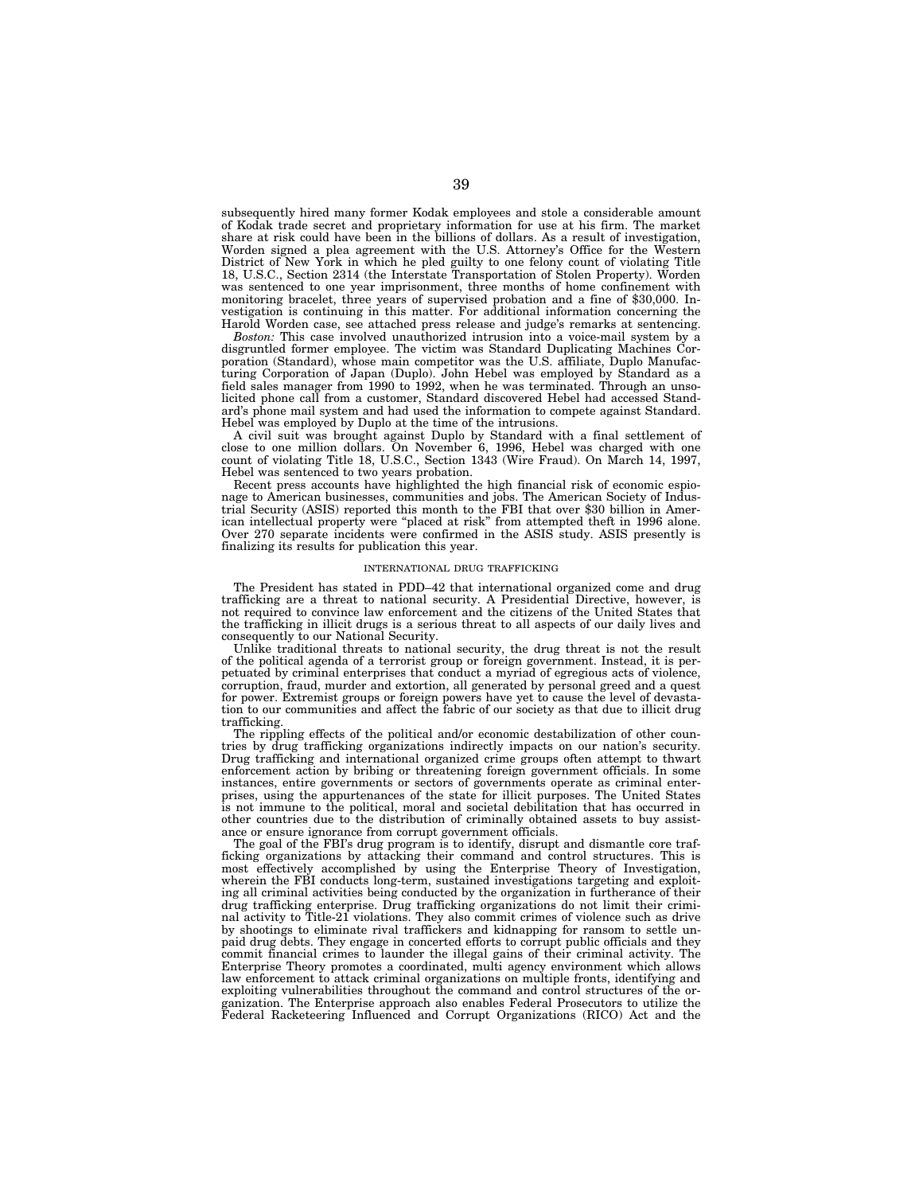subsequently hired many former Kodak employees and stole a considerable amount of Kodak trade secret and proprietary information for use at his firm. The market share at risk could have been in the billions of dollars. As a result of investigation, Worden signed a plea agreement with the U.S. Attorney's Office for the Western District of New York in which he pled guilty to one felony count of violating Title 18, U.S.C., Section 2314 (the Interstate Transportation of Stolen Property). Worden was sentenced to one year imprisonment, three months of home confinement with monitoring bracelet, three years of supervised probation and a fine of \$30,000. Investigation is continuing in this matter. For additional information concerning the Harold Worden case, see attached press release and judge's remarks at sentencing.

*Boston:* This case involved unauthorized intrusion into a voice-mail system by a disgruntled former employee. The victim was Standard Duplicating Machines Corporation (Standard), whose main competitor was the U.S. affiliate, Duplo Manufacturing Corporation of Japan (Duplo). John Hebel was employed by Standard as a field sales manager from 1990 to 1992, when he was terminated. Through an unsolicited phone call from a customer, Standard discovered Hebel had accessed Standard's phone mail system and had used the information to compete against Standard. Hebel was employed by Duplo at the time of the intrusions.

A civil suit was brought against Duplo by Standard with a final settlement of close to one million dollars. On November 6, 1996, Hebel was charged with one count of violating Title 18, U.S.C., Section 1343 (Wire Fraud). On March 14, 1997, Hebel was sentenced to two years probation.

Recent press accounts have highlighted the high financial risk of economic espionage to American businesses, communities and jobs. The American Society of Industrial Security (ASIS) reported this month to the FBI that over \$30 billion in American intellectual property were ''placed at risk'' from attempted theft in 1996 alone. Over 270 separate incidents were confirmed in the ASIS study. ASIS presently is finalizing its results for publication this year.

### INTERNATIONAL DRUG TRAFFICKING

The President has stated in PDD–42 that international organized come and drug trafficking are a threat to national security. A Presidential Directive, however, is not required to convince law enforcement and the citizens of the United States that the trafficking in illicit drugs is a serious threat to all aspects of our daily lives and consequently to our National Security.

Unlike traditional threats to national security, the drug threat is not the result of the political agenda of a terrorist group or foreign government. Instead, it is perpetuated by criminal enterprises that conduct a myriad of egregious acts of violence, corruption, fraud, murder and extortion, all generated by personal greed and a quest for power. Extremist groups or foreign powers have yet to cause the level of devastation to our communities and affect the fabric of our society as that due to illicit drug trafficking.

The rippling effects of the political and/or economic destabilization of other countries by drug trafficking organizations indirectly impacts on our nation's security. Drug trafficking and international organized crime groups often attempt to thwart enforcement action by bribing or threatening foreign government officials. In some instances, entire governments or sectors of governments operate as criminal enterprises, using the appurtenances of the state for illicit purposes. The United States is not immune to the political, moral and societal debilitation that has occurred in other countries due to the distribution of criminally obtained assets to buy assistance or ensure ignorance from corrupt government officials.

The goal of the FBI's drug program is to identify, disrupt and dismantle core trafficking organizations by attacking their command and control structures. This is most effectively accomplished by using the Enterprise Theory of Investigation, wherein the FBI conducts long-term, sustained investigations targeting and exploiting all criminal activities being conducted by the organization in furtherance of their drug trafficking enterprise. Drug trafficking organizations do not limit their criminal activity to Title-21 violations. They also commit crimes of violence such as drive by shootings to eliminate rival traffickers and kidnapping for ransom to settle unpaid drug debts. They engage in concerted efforts to corrupt public officials and they commit financial crimes to launder the illegal gains of their criminal activity. The Enterprise Theory promotes a coordinated, multi agency environment which allows law enforcement to attack criminal organizations on multiple fronts, identifying and exploiting vulnerabilities throughout the command and control structures of the organization. The Enterprise approach also enables Federal Prosecutors to utilize the Federal Racketeering Influenced and Corrupt Organizations (RICO) Act and the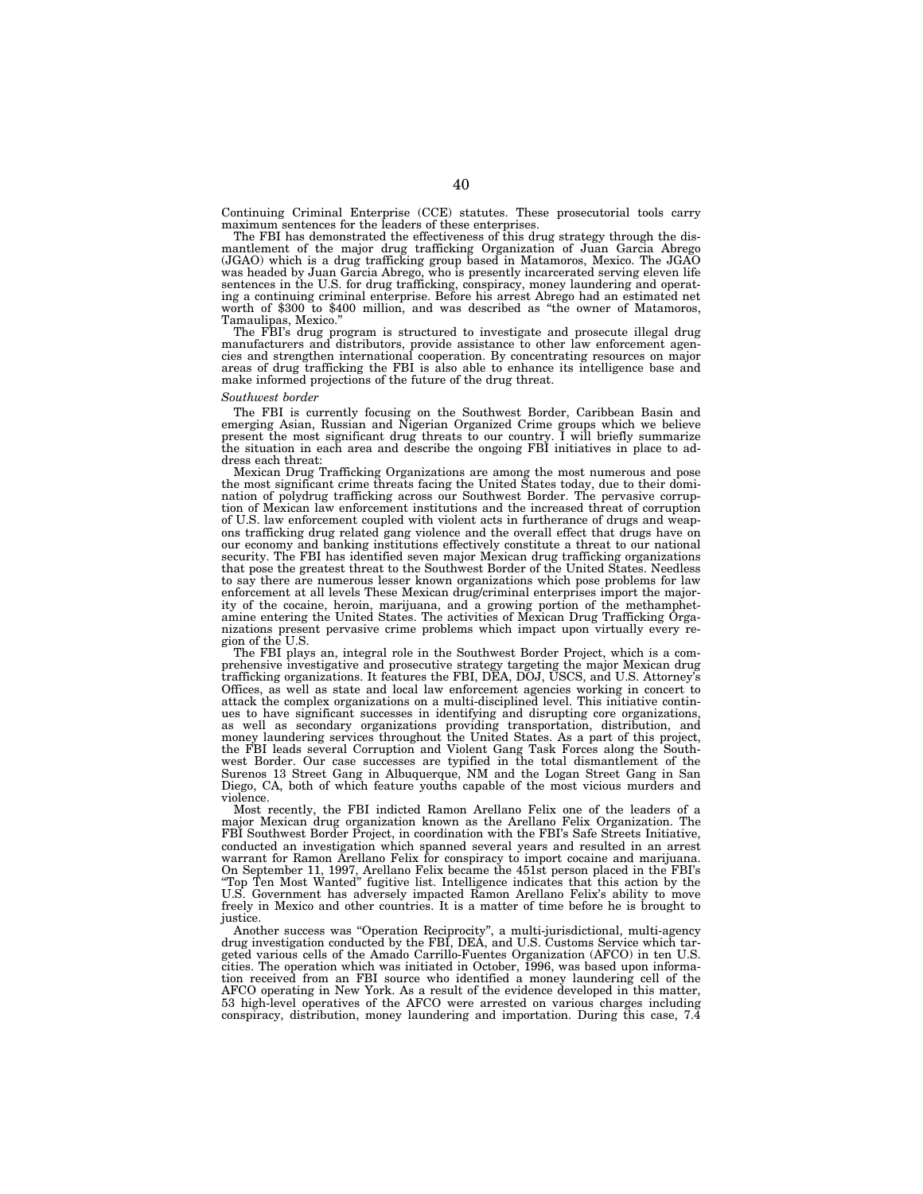Continuing Criminal Enterprise (CCE) statutes. These prosecutorial tools carry maximum sentences for the leaders of these enterprises.

The FBI has demonstrated the effectiveness of this drug strategy through the dismantlement of the major drug trafficking Organization of Juan Garcia Abrego (JGAO) which is a drug trafficking group based in Matamoros, Mexico. The JGAO was headed by Juan Garcia Abrego, who is presently incarcerated serving eleven life sentences in the U.S. for drug trafficking, conspiracy, money laundering and operating a continuing criminal enterprise. Before his arrest Abrego had an estimated net worth of \$300 to \$400 million, and was described as ''the owner of Matamoros,

Tamaulipas, Mexico.'' The FBI's drug program is structured to investigate and prosecute illegal drug manufacturers and distributors, provide assistance to other law enforcement agen-cies and strengthen international cooperation. By concentrating resources on major areas of drug trafficking the FBI is also able to enhance its intelligence base and make informed projections of the future of the drug threat.

## *Southwest border*

The FBI is currently focusing on the Southwest Border, Caribbean Basin and emerging Asian, Russian and Nigerian Organized Crime groups which we believe present the most significant drug threats to our country. I will briefly summarize the situation in each area and describe the ongoing FBI initiatives in place to address each threat:

Mexican Drug Trafficking Organizations are among the most numerous and pose the most significant crime threats facing the United States today, due to their domination of polydrug trafficking across our Southwest Border. The pervasive corruption of Mexican law enforcement institutions and the increased threat of corruption of U.S. law enforcement coupled with violent acts in furtherance of drugs and weapons trafficking drug related gang violence and the overall effect that drugs have on our economy and banking institutions effectively constitute a threat to our national security. The FBI has identified seven major Mexican drug trafficking organizations that pose the greatest threat to the Southwest Border of the United States. Needless to say there are numerous lesser known organizations which pose problems for law enforcement at all levels These Mexican drug/criminal enterprises import the majority of the cocaine, heroin, marijuana, and a growing portion of the methamphetamine entering the United States. The activities of Mexican Drug Trafficking Organizations present pervasive crime problems which impact upon virtually every region of the U.S.

The FBI plays an, integral role in the Southwest Border Project, which is a comprehensive investigative and prosecutive strategy targeting the major Mexican drug trafficking organizations. It features the FBI, DEA, DOJ, USCS, and U.S. Attorney's Offices, as well as state and local law enforcement agencies working in concert to attack the complex organizations on a multi-disciplined level. This initiative continues to have significant successes in identifying and disrupting core organizations, as well as secondary organizations providing transportation, distribution, and money laundering services throughout the United States. As a part of this project, the FBI leads several Corruption and Violent Gang Task Forces along the Southwest Border. Our case successes are typified in the total dismantlement of the Surenos 13 Street Gang in Albuquerque, NM and the Logan Street Gang in San Diego, CA, both of which feature youths capable of the most vicious murders and violence.

Most recently, the FBI indicted Ramon Arellano Felix one of the leaders of a major Mexican drug organization known as the Arellano Felix Organization. The FBI Southwest Border Project, in coordination with the FBI's Safe Streets Initiative, conducted an investigation which spanned several years and resulted in an arrest warrant for Ramon Arellano Felix for conspiracy to import cocaine and marijuana. On September 11, 1997, Arellano Felix became the 451st person placed in the FBI's ''Top Ten Most Wanted'' fugitive list. Intelligence indicates that this action by the U.S. Government has adversely impacted Ramon Arellano Felix's ability to move freely in Mexico and other countries. It is a matter of time before he is brought to justice.

Another success was ''Operation Reciprocity'', a multi-jurisdictional, multi-agency drug investigation conducted by the FBI, DEA, and U.S. Customs Service which targeted various cells of the Amado Carrillo-Fuentes Organization (AFCO) in ten U.S. cities. The operation which was initiated in October, 1996, was based upon information received from an FBI source who identified a money laundering cell of the AFCO operating in New York. As a result of the evidence developed in this matter, 53 high-level operatives of the AFCO were arrested on various charges including conspiracy, distribution, money laundering and importation. During this case, 7.4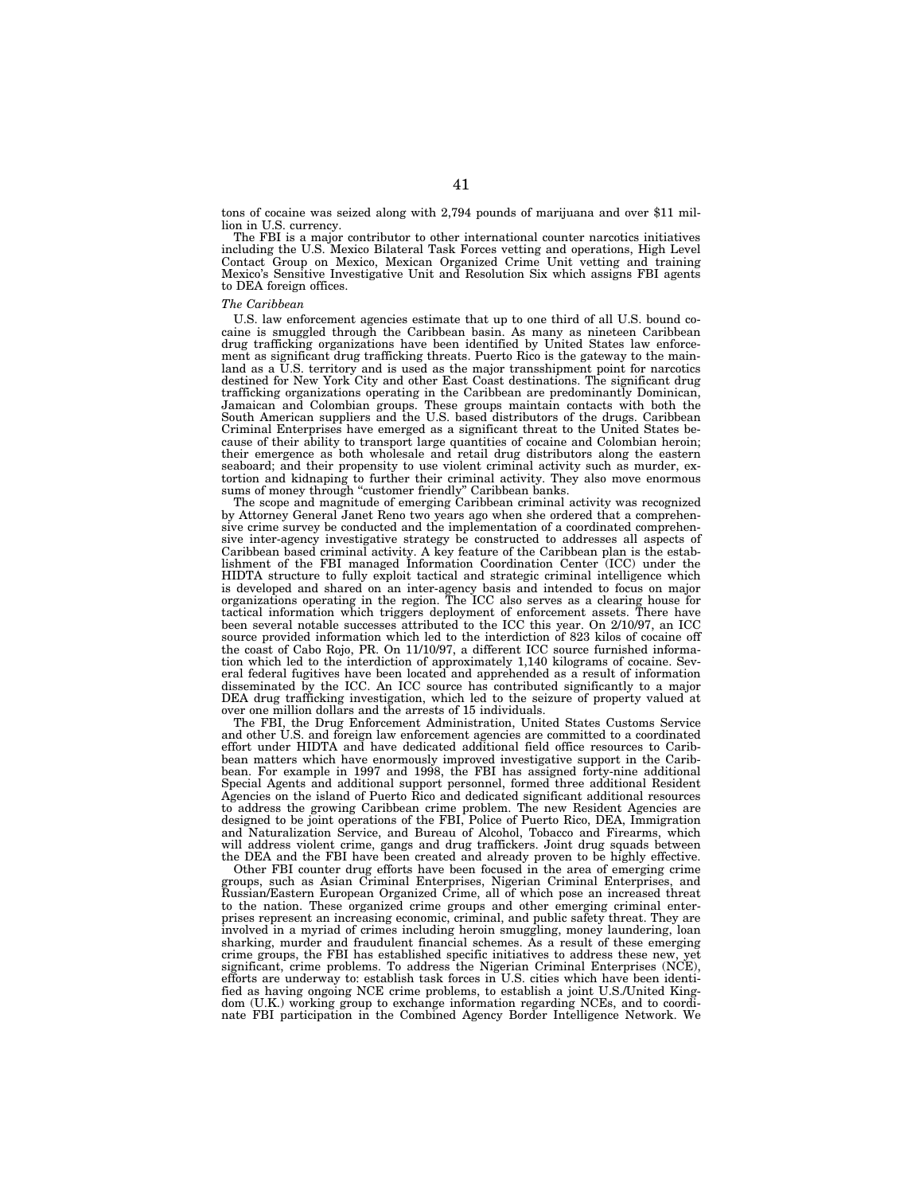tons of cocaine was seized along with 2,794 pounds of marijuana and over \$11 million in U.S. currency.

The FBI is a major contributor to other international counter narcotics initiatives including the U.S. Mexico Bilateral Task Forces vetting and operations, High Level Contact Group on Mexico, Mexican Organized Crime Unit vetting and training Mexico's Sensitive Investigative Unit and Resolution Six which assigns FBI agents to DEA foreign offices.

### *The Caribbean*

U.S. law enforcement agencies estimate that up to one third of all U.S. bound cocaine is smuggled through the Caribbean basin. As many as nineteen Caribbean drug trafficking organizations have been identified by United States law enforcement as significant drug trafficking threats. Puerto Rico is the gateway to the mainland as a U.S. territory and is used as the major transshipment point for narcotics destined for New York City and other East Coast destinations. The significant drug trafficking organizations operating in the Caribbean are predominantly Dominican, Jamaican and Colombian groups. These groups maintain contacts with both the South American suppliers and the U.S. based distributors of the drugs. Caribbean Criminal Enterprises have emerged as a significant threat to the United States because of their ability to transport large quantities of cocaine and Colombian heroin; their emergence as both wholesale and retail drug distributors along the eastern seaboard; and their propensity to use violent criminal activity such as murder, extortion and kidnaping to further their criminal activity. They also move enormous sums of money through "customer friendly" Caribbean banks.

The scope and magnitude of emerging Caribbean criminal activity was recognized by Attorney General Janet Reno two years ago when she ordered that a comprehensive crime survey be conducted and the implementation of a coordinated comprehensive inter-agency investigative strategy be constructed to addresses all aspects of Caribbean based criminal activity. A key feature of the Caribbean plan is the establishment of the FBI managed Information Coordination Center (ICC) under the HIDTA structure to fully exploit tactical and strategic criminal intelligence which is developed and shared on an inter-agency basis and intended to focus on major organizations operating in the region. The ICC also serves as a clearing house for tactical information which triggers deployment of enforcement assets. There have been several notable successes attributed to the ICC this year. On 2/10/97, an ICC source provided information which led to the interdiction of 823 kilos of cocaine off the coast of Cabo Rojo, PR. On 11/10/97, a different ICC source furnished information which led to the interdiction of approximately 1,140 kilograms of cocaine. Several federal fugitives have been located and apprehended as a result of information disseminated by the ICC. An ICC source has contributed significantly to a major DEA drug trafficking investigation, which led to the seizure of property valued at over one million dollars and the arrests of 15 individuals.

The FBI, the Drug Enforcement Administration, United States Customs Service and other U.S. and foreign law enforcement agencies are committed to a coordinated effort under HIDTA and have dedicated additional field office resources to Caribbean matters which have enormously improved investigative support in the Caribbean. For example in 1997 and 1998, the FBI has assigned forty-nine additional Special Agents and additional support personnel, formed three additional Resident Agencies on the island of Puerto Rico and dedicated significant additional resources to address the growing Caribbean crime problem. The new Resident Agencies are designed to be joint operations of the FBI, Police of Puerto Rico, DEA, Immigration and Naturalization Service, and Bureau of Alcohol, Tobacco and Firearms, which will address violent crime, gangs and drug traffickers. Joint drug squads between the DEA and the FBI have been created and already proven to be highly effective.

Other FBI counter drug efforts have been focused in the area of emerging crime groups, such as Asian Criminal Enterprises, Nigerian Criminal Enterprises, and Russian/Eastern European Organized Crime, all of which pose an increased threat to the nation. These organized crime groups and other emerging criminal enterprises represent an increasing economic, criminal, and public safety threat. They are involved in a myriad of crimes including heroin smuggling, money laundering, loan sharking, murder and fraudulent financial schemes. As a result of these emerging crime groups, the FBI has established specific initiatives to address these new, yet significant, crime problems. To address the Nigerian Criminal Enterprises (NCE), efforts are underway to: establish task forces in U.S. cities which have been identified as having ongoing NCE crime problems, to establish a joint U.S./United Kingdom (U.K.) working group to exchange information regarding NCEs, and to coordinate FBI participation in the Combined Agency Border Intelligence Network. We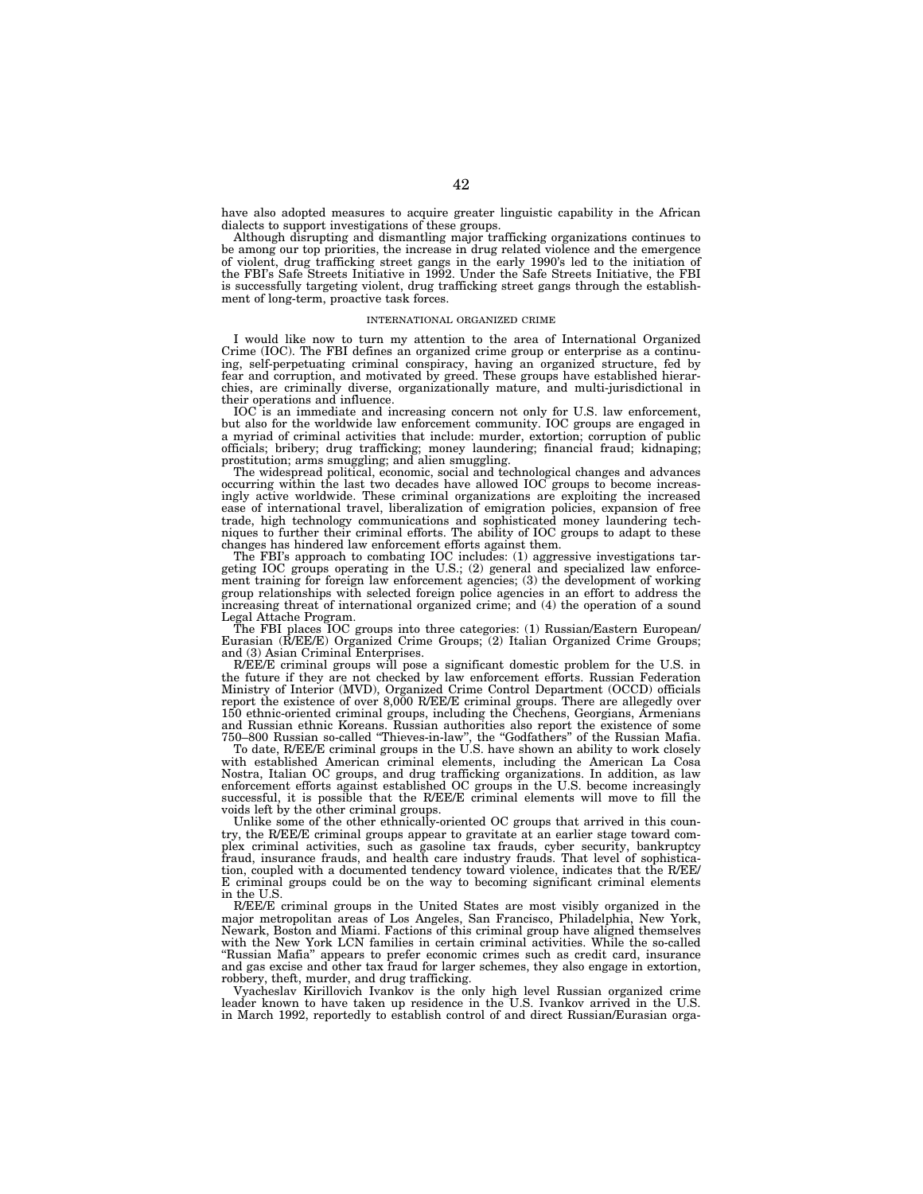have also adopted measures to acquire greater linguistic capability in the African dialects to support investigations of these groups.

Although disrupting and dismantling major trafficking organizations continues to be among our top priorities, the increase in drug related violence and the emergence of violent, drug trafficking street gangs in the early 1990's led to the initiation of the FBI's Safe Streets Initiative in 1992. Under the Safe Streets Initiative, the FBI is successfully targeting violent, drug trafficking street gangs through the establishment of long-term, proactive task forces.

### INTERNATIONAL ORGANIZED CRIME

I would like now to turn my attention to the area of International Organized Crime (IOC). The FBI defines an organized crime group or enterprise as a continuing, self-perpetuating criminal conspiracy, having an organized structure, fed by fear and corruption, and motivated by greed. These groups have established hierarchies, are criminally diverse, organizationally mature, and multi-jurisdictional in their operations and influence.

IOC is an immediate and increasing concern not only for U.S. law enforcement, but also for the worldwide law enforcement community. IOC groups are engaged in a myriad of criminal activities that include: murder, extortion; corruption of public officials; bribery; drug trafficking; money laundering; financial fraud; kidnaping; prostitution; arms smuggling; and alien smuggling.

The widespread political, economic, social and technological changes and advances occurring within the last two decades have allowed IOC groups to become increasingly active worldwide. These criminal organizations are exploiting the increased ease of international travel, liberalization of emigration policies, expansion of free trade, high technology communications and sophisticated money laundering techniques to further their criminal efforts. The ability of IOC groups to adapt to these changes has hindered law enforcement efforts against them.

The FBI's approach to combating IOC includes: (1) aggressive investigations targeting IOC groups operating in the U.S.; (2) general and specialized law enforcement training for foreign law enforcement agencies; (3) the development of working group relationships with selected foreign police agencies in an effort to address the increasing threat of international organized crime; and (4) the operation of a sound Legal Attache Program.

The FBI places IOC groups into three categories: (1) Russian/Eastern European/ Eurasian (R/EE/E) Organized Crime Groups; (2) Italian Organized Crime Groups; and (3) Asian Criminal Enterprises.

R/EE/E criminal groups will pose a significant domestic problem for the U.S. in the future if they are not checked by law enforcement efforts. Russian Federation Ministry of Interior (MVD), Organized Crime Control Department (OCCD) officials report the existence of over 8,000 R/EE/E criminal groups. There are allegedly over 150 ethnic-oriented criminal groups, including the Chechens, Georgians, Armenians and Russian ethnic Koreans. Russian authorities also report the existence of some 750–800 Russian so-called ''Thieves-in-law'', the ''Godfathers'' of the Russian Mafia.

To date, R/EE/E criminal groups in the U.S. have shown an ability to work closely with established American criminal elements, including the American La Cosa Nostra, Italian OC groups, and drug trafficking organizations. In addition, as law enforcement efforts against established OC groups in the U.S. become increasingly successful, it is possible that the R/EE/E criminal elements will move to fill the voids left by the other criminal groups.

Unlike some of the other ethnically-oriented OC groups that arrived in this country, the R/EE/E criminal groups appear to gravitate at an earlier stage toward complex criminal activities, such as gasoline tax frauds, cyber security, bankruptcy fraud, insurance frauds, and health care industry frauds. That level of sophistication, coupled with a documented tendency toward violence, indicates that the R/EE/ E criminal groups could be on the way to becoming significant criminal elements in the U.S.

R/EE/E criminal groups in the United States are most visibly organized in the major metropolitan areas of Los Angeles, San Francisco, Philadelphia, New York, Newark, Boston and Miami. Factions of this criminal group have aligned themselves with the New York LCN families in certain criminal activities. While the so-called ''Russian Mafia'' appears to prefer economic crimes such as credit card, insurance and gas excise and other tax fraud for larger schemes, they also engage in extortion, robbery, theft, murder, and drug trafficking.

Vyacheslav Kirillovich Ivankov is the only high level Russian organized crime leader known to have taken up residence in the U.S. Ivankov arrived in the U.S. in March 1992, reportedly to establish control of and direct Russian/Eurasian orga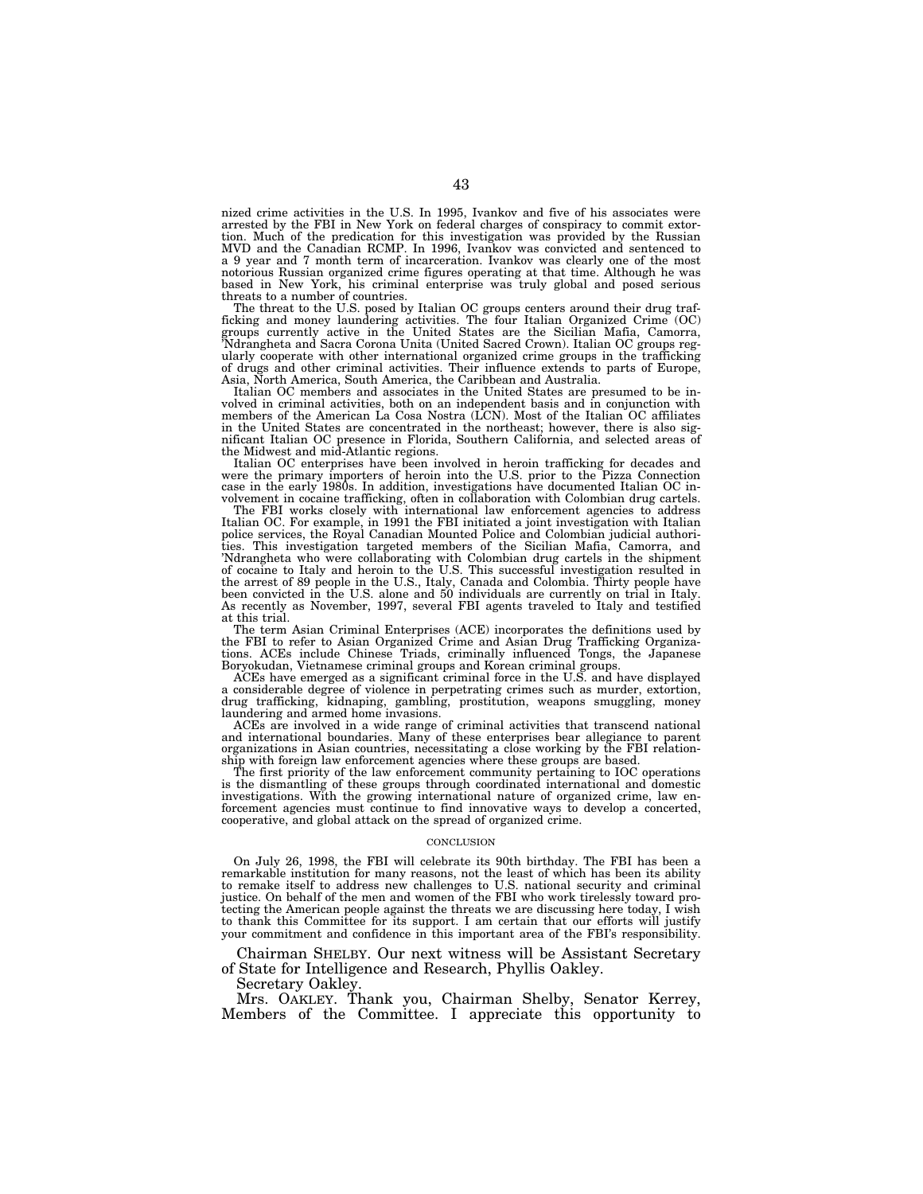nized crime activities in the U.S. In 1995, Ivankov and five of his associates were arrested by the FBI in New York on federal charges of conspiracy to commit extortion. Much of the predication for this investigation was provided by the Russian MVD and the Canadian RCMP. In 1996, Ivankov was convicted and sentenced to a 9 year and 7 month term of incarceration. Ivankov was clearly one of the most notorious Russian organized crime figures operating at that time. Although he was based in New York, his criminal enterprise was truly global and posed serious

threats to a number of countries. The threat to the U.S. posed by Italian OC groups centers around their drug trafficking and money laundering activities. The four Italian Organized Crime (OC) groups currently active in the United States are the Sicilian Mafia, Camorra, 'Ndrangheta and Sacra Corona Unita (United Sacred Crown). Italian OC groups regularly cooperate with other international organized crime groups in the trafficking of drugs and other criminal activities. Their influence extends to parts of Europe, Asia, North America, South America, the Caribbean and Australia.

Italian OC members and associates in the United States are presumed to be involved in criminal activities, both on an independent basis and in conjunction with members of the American La Cosa Nostra (LCN). Most of the Italian OC affiliates in the United States are concentrated in the northeast; however, there is also significant Italian OC presence in Florida, Southern California, and selected areas of the Midwest and mid-Atlantic regions.

Italian OC enterprises have been involved in heroin trafficking for decades and were the primary importers of heroin into the U.S. prior to the Pizza Connection case in the early 1980s. In addition, investigations have documented Italian OC involvement in cocaine trafficking, often in collaboration with Colombian drug cartels.

The FBI works closely with international law enforcement agencies to address<br>Italian OC. For example, in 1991 the FBI initiated a joint investigation with Italian<br>police services, the Royal Canadian Mounted Police and Colo ties. This investigation targeted members of the Sicilian Mafia, Camorra, and 'Ndrangheta who were collaborating with Colombian drug cartels in the shipment of cocaine to Italy and heroin to the U.S. This successful investigation resulted in the arrest of 89 people in the U.S., Italy, Canada and Colombia. Thirty people have been convicted in the U.S. alone and 50 individuals are currently on trial in Italy. As recently as November, 1997, several FBI agents traveled to Italy and testified at this trial.

The term Asian Criminal Enterprises (ACE) incorporates the definitions used by the FBI to refer to Asian Organized Crime and Asian Drug Trafficking Organizations. ACEs include Chinese Triads, criminally influenced Tongs, the Japanese Boryokudan, Vietnamese criminal groups and Korean criminal groups.

ACEs have emerged as a significant criminal force in the U.S. and have displayed a considerable degree of violence in perpetrating crimes such as murder, extortion, drug trafficking, kidnaping, gambling, prostitution, weapons smuggling, money laundering and armed home invasions.

ACEs are involved in a wide range of criminal activities that transcend national and international boundaries. Many of these enterprises bear allegiance to parent organizations in Asian countries, necessitating a close working by the FBI relationship with foreign law enforcement agencies where these groups are based.

The first priority of the law enforcement community pertaining to IOC operations is the dismantling of these groups through coordinated international and domestic investigations. With the growing international nature of organized crime, law enforcement agencies must continue to find innovative ways to develop a concerted, cooperative, and global attack on the spread of organized crime.

#### **CONCLUSION**

On July 26, 1998, the FBI will celebrate its 90th birthday. The FBI has been a remarkable institution for many reasons, not the least of which has been its ability to remake itself to address new challenges to U.S. national security and criminal justice. On behalf of the men and women of the FBI who work tirelessly toward protecting the American people against the threats we are discussing here today, I wish to thank this Committee for its support. I am certain that our efforts will justify your commitment and confidence in this important area of the FBI's responsibility.

Chairman SHELBY. Our next witness will be Assistant Secretary of State for Intelligence and Research, Phyllis Oakley.

Secretary Oakley.

Mrs. OAKLEY. Thank you, Chairman Shelby, Senator Kerrey, Members of the Committee. I appreciate this opportunity to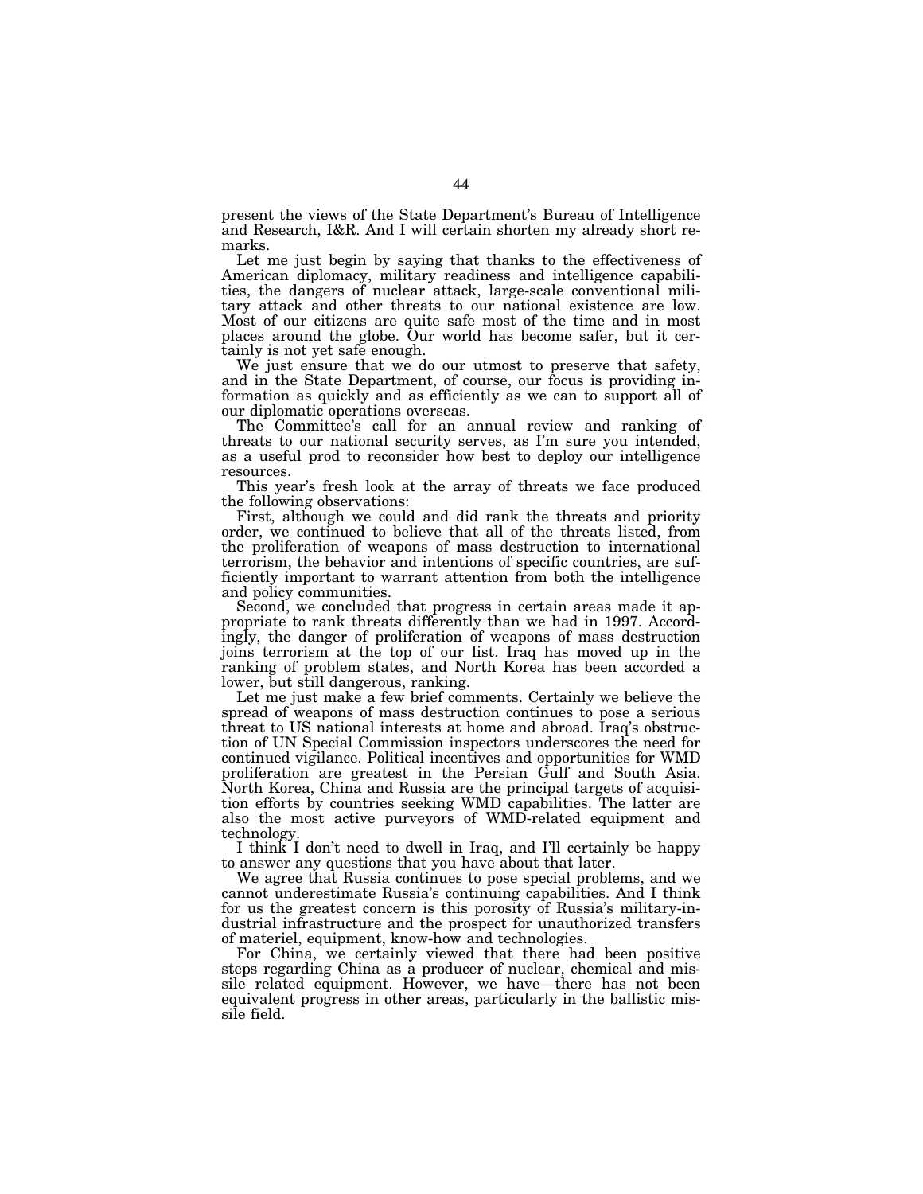present the views of the State Department's Bureau of Intelligence and Research, I&R. And I will certain shorten my already short remarks.

Let me just begin by saying that thanks to the effectiveness of American diplomacy, military readiness and intelligence capabilities, the dangers of nuclear attack, large-scale conventional military attack and other threats to our national existence are low. Most of our citizens are quite safe most of the time and in most places around the globe. Our world has become safer, but it certainly is not yet safe enough.

We just ensure that we do our utmost to preserve that safety, and in the State Department, of course, our focus is providing information as quickly and as efficiently as we can to support all of our diplomatic operations overseas.

The Committee's call for an annual review and ranking of threats to our national security serves, as I'm sure you intended, as a useful prod to reconsider how best to deploy our intelligence resources.

This year's fresh look at the array of threats we face produced the following observations:

First, although we could and did rank the threats and priority order, we continued to believe that all of the threats listed, from the proliferation of weapons of mass destruction to international terrorism, the behavior and intentions of specific countries, are sufficiently important to warrant attention from both the intelligence and policy communities.

Second, we concluded that progress in certain areas made it appropriate to rank threats differently than we had in 1997. Accordingly, the danger of proliferation of weapons of mass destruction joins terrorism at the top of our list. Iraq has moved up in the ranking of problem states, and North Korea has been accorded a lower, but still dangerous, ranking.

Let me just make a few brief comments. Certainly we believe the spread of weapons of mass destruction continues to pose a serious threat to US national interests at home and abroad. Iraq's obstruction of UN Special Commission inspectors underscores the need for continued vigilance. Political incentives and opportunities for WMD proliferation are greatest in the Persian Gulf and South Asia. North Korea, China and Russia are the principal targets of acquisition efforts by countries seeking WMD capabilities. The latter are also the most active purveyors of WMD-related equipment and technology.

I think I don't need to dwell in Iraq, and I'll certainly be happy to answer any questions that you have about that later.

We agree that Russia continues to pose special problems, and we cannot underestimate Russia's continuing capabilities. And I think for us the greatest concern is this porosity of Russia's military-industrial infrastructure and the prospect for unauthorized transfers of materiel, equipment, know-how and technologies.

For China, we certainly viewed that there had been positive steps regarding China as a producer of nuclear, chemical and missile related equipment. However, we have—there has not been equivalent progress in other areas, particularly in the ballistic missile field.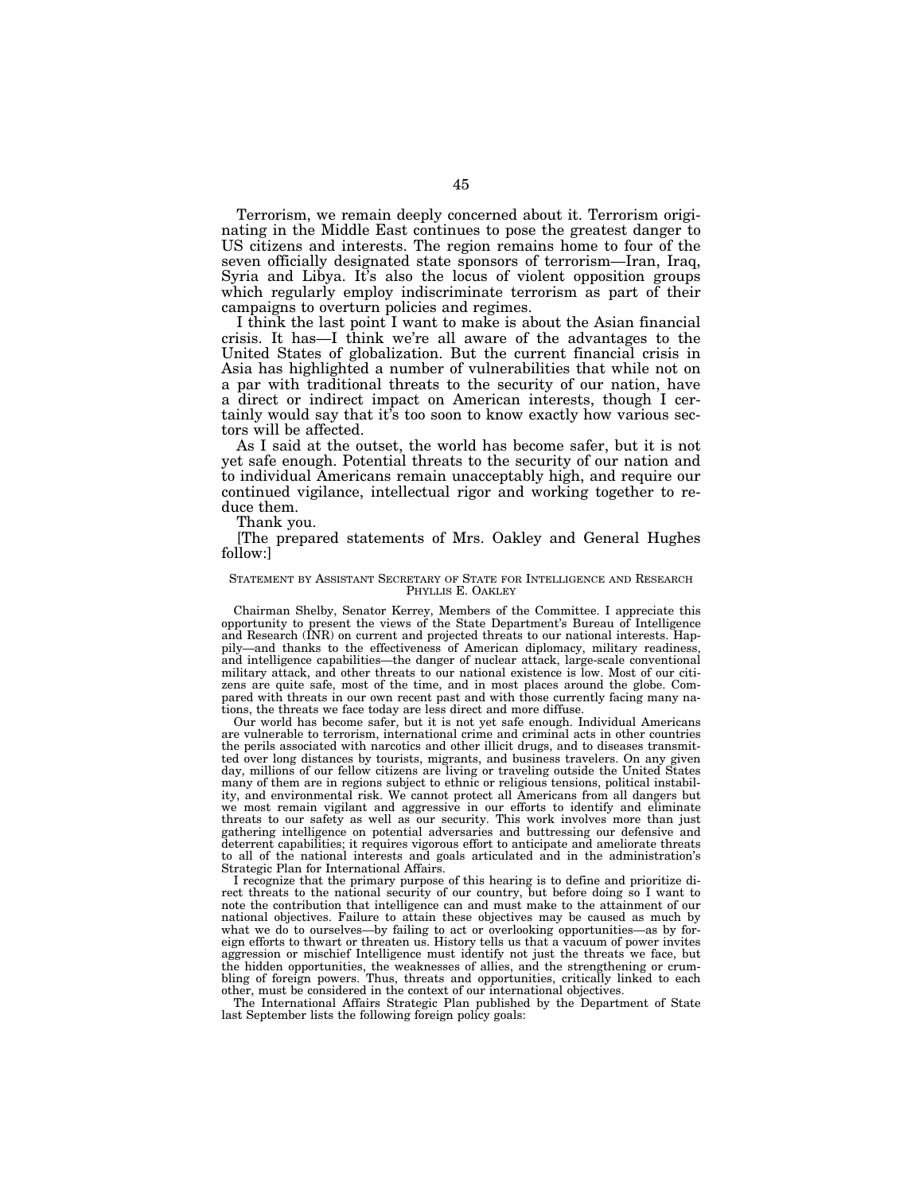Terrorism, we remain deeply concerned about it. Terrorism originating in the Middle East continues to pose the greatest danger to US citizens and interests. The region remains home to four of the seven officially designated state sponsors of terrorism—Iran, Iraq, Syria and Libya. It's also the locus of violent opposition groups which regularly employ indiscriminate terrorism as part of their campaigns to overturn policies and regimes.

I think the last point I want to make is about the Asian financial crisis. It has—I think we're all aware of the advantages to the United States of globalization. But the current financial crisis in Asia has highlighted a number of vulnerabilities that while not on a par with traditional threats to the security of our nation, have a direct or indirect impact on American interests, though I certainly would say that it's too soon to know exactly how various sectors will be affected.

As I said at the outset, the world has become safer, but it is not yet safe enough. Potential threats to the security of our nation and to individual Americans remain unacceptably high, and require our continued vigilance, intellectual rigor and working together to reduce them.

Thank you.

[The prepared statements of Mrs. Oakley and General Hughes follow:]

## STATEMENT BY ASSISTANT SECRETARY OF STATE FOR INTELLIGENCE AND RESEARCH PHYLLIS E. OAKLEY

Chairman Shelby, Senator Kerrey, Members of the Committee. I appreciate this opportunity to present the views of the State Department's Bureau of Intelligence and Research (INR) on current and projected threats to our national interests. Happily—and thanks to the effectiveness of American diplomacy, military readiness, and intelligence capabilities—the danger of nuclear attack, large-scale conventional military attack, and other threats to our national existence is low. Most of our citizens are quite safe, most of the time, and in most places around the globe. Compared with threats in our own recent past and with those currently facing many nations, the threats we face today are less direct and more diffuse.

Our world has become safer, but it is not yet safe enough. Individual Americans are vulnerable to terrorism, international crime and criminal acts in other countries the perils associated with narcotics and other illicit drugs, and to diseases transmitted over long distances by tourists, migrants, and business travelers. On any given day, millions of our fellow citizens are living or traveling outside the United States many of them are in regions subject to ethnic or religious tensions, political instability, and environmental risk. We cannot protect all Americans from all dangers but we most remain vigilant and aggressive in our efforts to identify and eliminate threats to our safety as well as our security. This work involves more than just gathering intelligence on potential adversaries and buttressing our defensive and deterrent capabilities; it requires vigorous effort to anticipate and ameliorate threats to all of the national interests and goals articulated and in the administration's Strategic Plan for International Affairs.

I recognize that the primary purpose of this hearing is to define and prioritize direct threats to the national security of our country, but before doing so I want to note the contribution that intelligence can and must make to the attainment of our national objectives. Failure to attain these objectives may be caused as much by what we do to ourselves—by failing to act or overlooking opportunities—as by foreign efforts to thwart or threaten us. History tells us that a vacuum of power invites aggression or mischief Intelligence must identify not just the threats we face, but the hidden opportunities, the weaknesses of allies, and the strengthening or crumbling of foreign powers. Thus, threats and opportunities, critically linked to each other, must be considered in the context of our international objectives.

The International Affairs Strategic Plan published by the Department of State last September lists the following foreign policy goals: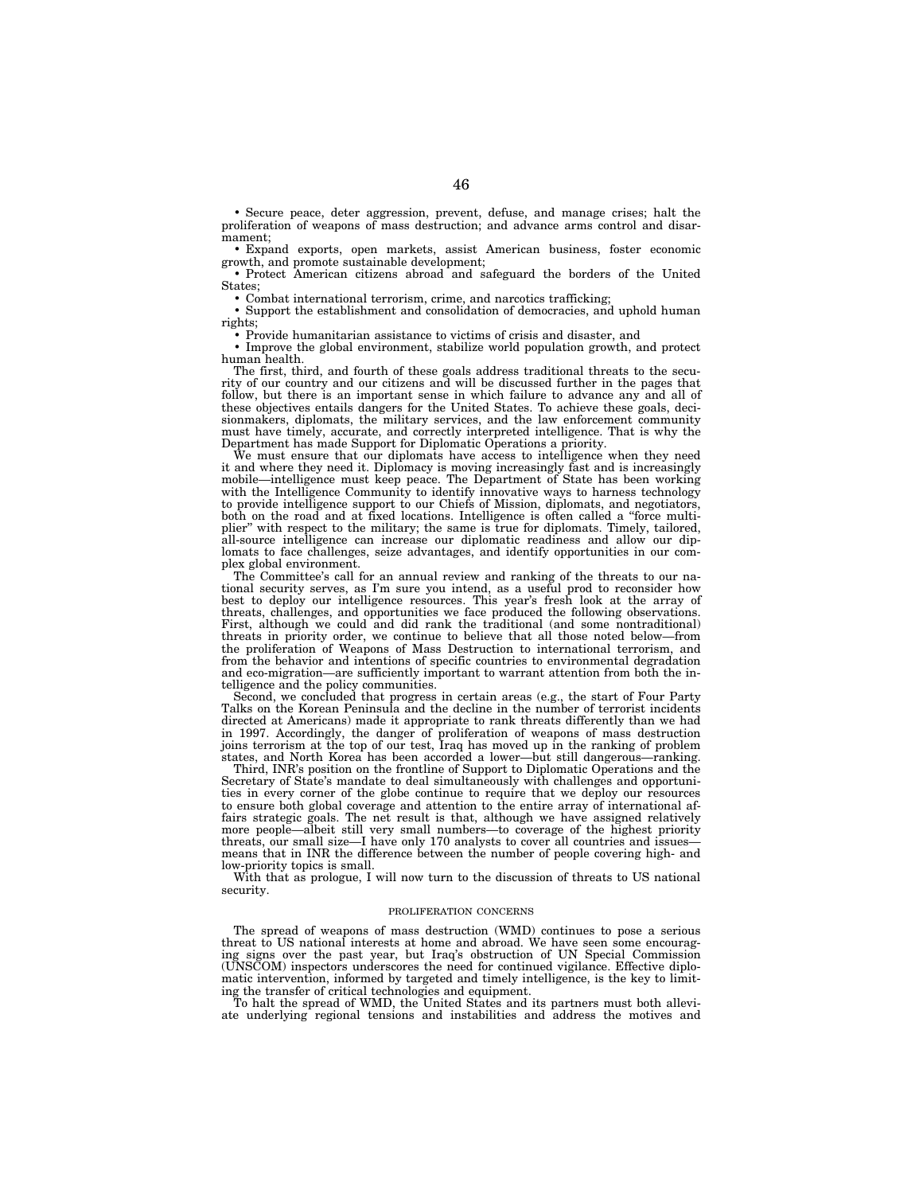• Secure peace, deter aggression, prevent, defuse, and manage crises; halt the proliferation of weapons of mass destruction; and advance arms control and disarmament;

• Expand exports, open markets, assist American business, foster economic growth, and promote sustainable development;

• Protect American citizens abroad and safeguard the borders of the United States;

• Combat international terrorism, crime, and narcotics trafficking;

• Support the establishment and consolidation of democracies, and uphold human rights;

• Provide humanitarian assistance to victims of crisis and disaster, and

• Improve the global environment, stabilize world population growth, and protect human health.

The first, third, and fourth of these goals address traditional threats to the security of our country and our citizens and will be discussed further in the pages that follow, but there is an important sense in which failure to advance any and all of these objectives entails dangers for the United States. To achieve these goals, decisionmakers, diplomats, the military services, and the law enforcement community must have timely, accurate, and correctly interpreted intelligence. That is why the Department has made Support for Diplomatic Operations a priority.

We must ensure that our diplomats have access to intelligence when they need it and where they need it. Diplomacy is moving increasingly fast and is increasingly mobile—intelligence must keep peace. The Department of State has been working with the Intelligence Community to identify innovative ways to harness technology to provide intelligence support to our Chiefs of Mission, diplomats, and negotiators, both on the road and at fixed locations. Intelligence is often called a ''force multiplier'' with respect to the military; the same is true for diplomats. Timely, tailored, all-source intelligence can increase our diplomatic readiness and allow our diplomats to face challenges, seize advantages, and identify opportunities in our complex global environment.

The Committee's call for an annual review and ranking of the threats to our national security serves, as I'm sure you intend, as a useful prod to reconsider how best to deploy our intelligence resources. This year's fresh look at the array of threats, challenges, and opportunities we face produced the following observations. First, although we could and did rank the traditional (and some nontraditional) threats in priority order, we continue to believe that all those noted below—from the proliferation of Weapons of Mass Destruction to international terrorism, and from the behavior and intentions of specific countries to environmental degradation and eco-migration—are sufficiently important to warrant attention from both the intelligence and the policy communities.

Second, we concluded that progress in certain areas (e.g., the start of Four Party Talks on the Korean Peninsula and the decline in the number of terrorist incidents directed at Americans) made it appropriate to rank threats differently than we had in 1997. Accordingly, the danger of proliferation of weapons of mass destruction joins terrorism at the top of our test, Iraq has moved up in the ranking of problem states, and North Korea has been accorded a lower—but still dangerous—ranking.

Third, INR's position on the frontline of Support to Diplomatic Operations and the Secretary of State's mandate to deal simultaneously with challenges and opportunities in every corner of the globe continue to require that we deploy our resources to ensure both global coverage and attention to the entire array of international affairs strategic goals. The net result is that, although we have assigned relatively more people—albeit still very small numbers—to coverage of the highest priority threats, our small size—I have only 170 analysts to cover all countries and issues means that in INR the difference between the number of people covering high- and low-priority topics is small.

With that as prologue, I will now turn to the discussion of threats to US national security.

### PROLIFERATION CONCERNS

The spread of weapons of mass destruction (WMD) continues to pose a serious threat to US national interests at home and abroad. We have seen some encouraging signs over the past year, but Iraq's obstruction of UN Special Commission (UNSCOM) inspectors underscores the need for continued vigilance. Effective diplomatic intervention, informed by targeted and timely intelligence, is the key to limiting the transfer of critical technologies and equipment.

To halt the spread of WMD, the United States and its partners must both allevi-ate underlying regional tensions and instabilities and address the motives and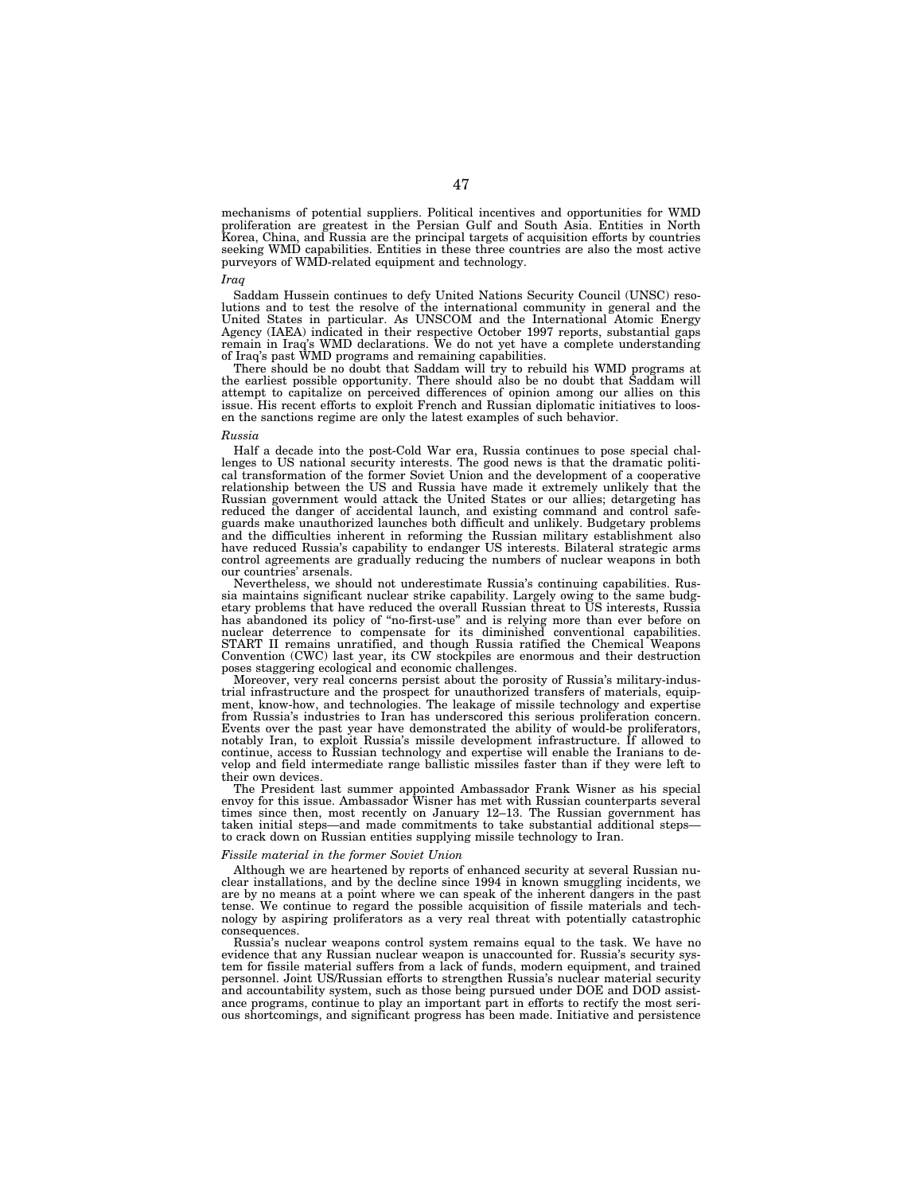mechanisms of potential suppliers. Political incentives and opportunities for WMD proliferation are greatest in the Persian Gulf and South Asia. Entities in North Korea, China, and Russia are the principal targets of acquisition efforts by countries seeking WMD capabilities. Entities in these three countries are also the most active purveyors of WMD-related equipment and technology.

# *Iraq*

Saddam Hussein continues to defy United Nations Security Council (UNSC) resolutions and to test the resolve of the international community in general and the United States in particular. As UNSCOM and the International Atomic Energy Agency (IAEA) indicated in their respective October 1997 reports, substantial gaps remain in Iraq's WMD declarations. We do not yet have a complete understanding of Iraq's past WMD programs and remaining capabilities.

There should be no doubt that Saddam will try to rebuild his WMD programs at the earliest possible opportunity. There should also be no doubt that Saddam will attempt to capitalize on perceived differences of opinion among our allies on this issue. His recent efforts to exploit French and Russian diplomatic initiatives to loosen the sanctions regime are only the latest examples of such behavior.

## *Russia*

Half a decade into the post-Cold War era, Russia continues to pose special challenges to US national security interests. The good news is that the dramatic political transformation of the former Soviet Union and the development of a cooperative relationship between the US and Russia have made it extremely unlikely that the Russian government would attack the United States or our allies; detargeting has reduced the danger of accidental launch, and existing command and control safeguards make unauthorized launches both difficult and unlikely. Budgetary problems and the difficulties inherent in reforming the Russian military establishment also have reduced Russia's capability to endanger US interests. Bilateral strategic arms control agreements are gradually reducing the numbers of nuclear weapons in both our countries' arsenals.

Nevertheless, we should not underestimate Russia's continuing capabilities. Russia maintains significant nuclear strike capability. Largely owing to the same budgetary problems that have reduced the overall Russian threat to US interests, Russia has abandoned its policy of ''no-first-use'' and is relying more than ever before on nuclear deterrence to compensate for its diminished conventional capabilities. START II remains unratified, and though Russia ratified the Chemical Weapons Convention (CWC) last year, its CW stockpiles are enormous and their destruction poses staggering ecological and economic challenges.

Moreover, very real concerns persist about the porosity of Russia's military-industrial infrastructure and the prospect for unauthorized transfers of materials, equipment, know-how, and technologies. The leakage of missile technology and expertise from Russia's industries to Iran has underscored this serious proliferation concern. Events over the past year have demonstrated the ability of would-be proliferators, notably Iran, to exploit Russia's missile development infrastructure. If allowed to continue, access to Russian technology and expertise will enable the Iranians to develop and field intermediate range ballistic missiles faster than if they were left to their own devices.

The President last summer appointed Ambassador Frank Wisner as his special envoy for this issue. Ambassador Wisner has met with Russian counterparts several times since then, most recently on January 12–13. The Russian government has taken initial steps—and made commitments to take substantial additional steps to crack down on Russian entities supplying missile technology to Iran.

## *Fissile material in the former Soviet Union*

Although we are heartened by reports of enhanced security at several Russian nuclear installations, and by the decline since 1994 in known smuggling incidents, we are by no means at a point where we can speak of the inherent dangers in the past tense. We continue to regard the possible acquisition of fissile materials and technology by aspiring proliferators as a very real threat with potentially catastrophic consequences.

Russia's nuclear weapons control system remains equal to the task. We have no evidence that any Russian nuclear weapon is unaccounted for. Russia's security system for fissile material suffers from a lack of funds, modern equipment, and trained personnel. Joint US/Russian efforts to strengthen Russia's nuclear material security and accountability system, such as those being pursued under DOE and DOD assistance programs, continue to play an important part in efforts to rectify the most seri-ous shortcomings, and significant progress has been made. Initiative and persistence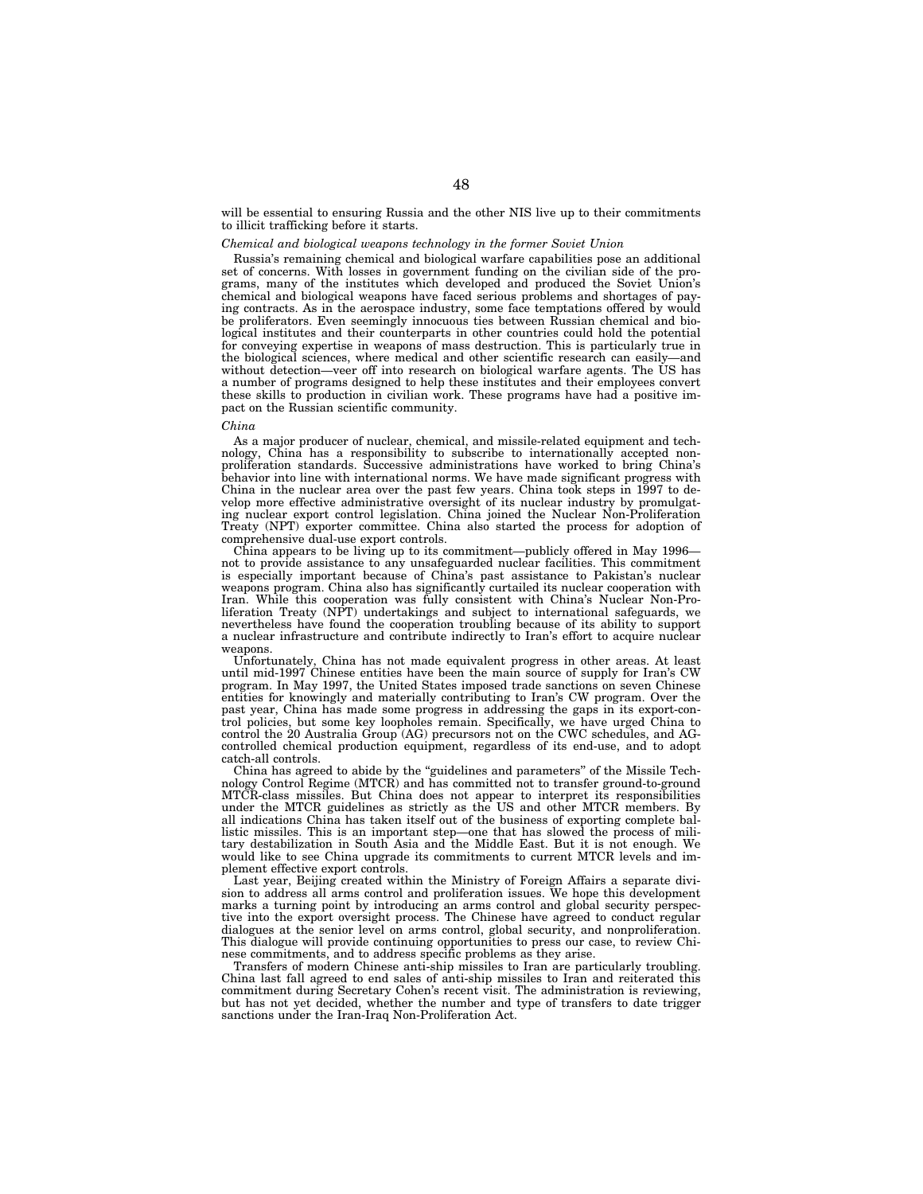will be essential to ensuring Russia and the other NIS live up to their commitments to illicit trafficking before it starts.

# *Chemical and biological weapons technology in the former Soviet Union*

Russia's remaining chemical and biological warfare capabilities pose an additional set of concerns. With losses in government funding on the civilian side of the programs, many of the institutes which developed and produced the Soviet Union's chemical and biological weapons have faced serious problems and shortages of paying contracts. As in the aerospace industry, some face temptations offered by would be proliferators. Even seemingly innocuous ties between Russian chemical and biological institutes and their counterparts in other countries could hold the potential for conveying expertise in weapons of mass destruction. This is particularly true in the biological sciences, where medical and other scientific research can easily—and without detection—veer off into research on biological warfare agents. The US has a number of programs designed to help these institutes and their employees convert these skills to production in civilian work. These programs have had a positive impact on the Russian scientific community.

### *China*

As a major producer of nuclear, chemical, and missile-related equipment and technology, China has a responsibility to subscribe to internationally accepted nonproliferation standards. Successive administrations have worked to bring China's behavior into line with international norms. We have made significant progress with China in the nuclear area over the past few years. China took steps in 1997 to develop more effective administrative oversight of its nuclear industry by promulgating nuclear export control legislation. China joined the Nuclear Non-Proliferation Treaty (NPT) exporter committee. China also started the process for adoption of comprehensive dual-use export controls.

China appears to be living up to its commitment—publicly offered in May 1996 not to provide assistance to any unsafeguarded nuclear facilities. This commitment is especially important because of China's past assistance to Pakistan's nuclear weapons program. China also has significantly curtailed its nuclear cooperation with Iran. While this cooperation was fully consistent with China's Nuclear Non-Proliferation Treaty (NPT) undertakings and subject to international safeguards, we nevertheless have found the cooperation troubling because of its ability to support a nuclear infrastructure and contribute indirectly to Iran's effort to acquire nuclear weapons.

Unfortunately, China has not made equivalent progress in other areas. At least until mid-1997 Chinese entities have been the main source of supply for Iran's CW program. In May 1997, the United States imposed trade sanctions on seven Chinese entities for knowingly and materially contributing to Iran's CW program. Over the past year, China has made some progress in addressing the gaps in its export-control policies, but some key loopholes remain. Specifically, we have urged China to control the 20 Australia Group (AG) precursors not on the CWC schedules, and AGcontrolled chemical production equipment, regardless of its end-use, and to adopt catch-all controls.

China has agreed to abide by the ''guidelines and parameters'' of the Missile Technology Control Regime (MTCR) and has committed not to transfer ground-to-ground MTCR-class missiles. But China does not appear to interpret its responsibilities under the MTCR guidelines as strictly as the US and other MTCR members. By all indications China has taken itself out of the business of exporting complete ballistic missiles. This is an important step—one that has slowed the process of military destabilization in South Asia and the Middle East. But it is not enough. We would like to see China upgrade its commitments to current MTCR levels and implement effective export controls.

Last year, Beijing created within the Ministry of Foreign Affairs a separate division to address all arms control and proliferation issues. We hope this development marks a turning point by introducing an arms control and global security perspective into the export oversight process. The Chinese have agreed to conduct regular dialogues at the senior level on arms control, global security, and nonproliferation. This dialogue will provide continuing opportunities to press our case, to review Chinese commitments, and to address specific problems as they arise.

Transfers of modern Chinese anti-ship missiles to Iran are particularly troubling. China last fall agreed to end sales of anti-ship missiles to Iran and reiterated this commitment during Secretary Cohen's recent visit. The administration is reviewing, but has not yet decided, whether the number and type of transfers to date trigger sanctions under the Iran-Iraq Non-Proliferation Act.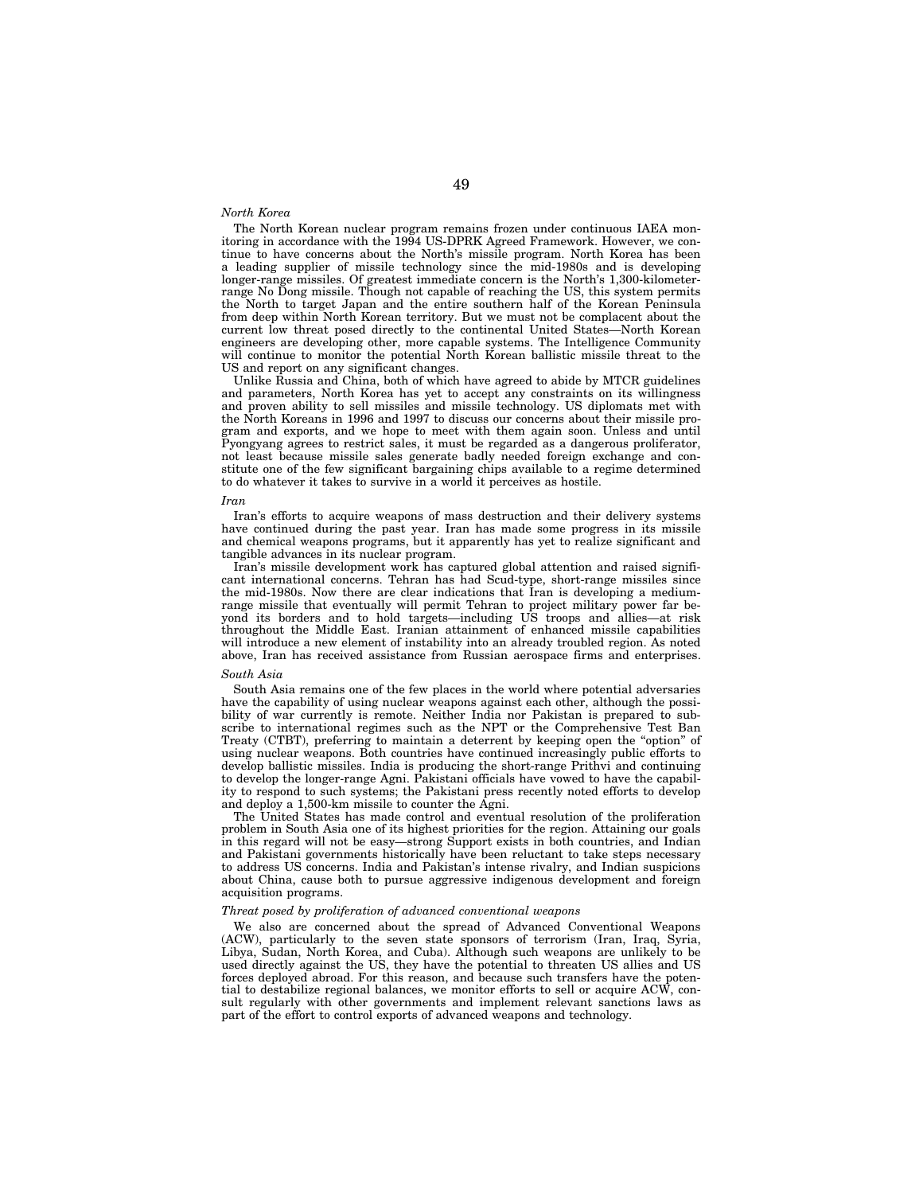# *North Korea*

The North Korean nuclear program remains frozen under continuous IAEA monitoring in accordance with the 1994 US-DPRK Agreed Framework. However, we continue to have concerns about the North's missile program. North Korea has been a leading supplier of missile technology since the mid-1980s and is developing longer-range missiles. Of greatest immediate concern is the North's 1,300-kilometerrange No Dong missile. Though not capable of reaching the US, this system permits the North to target Japan and the entire southern half of the Korean Peninsula from deep within North Korean territory. But we must not be complacent about the current low threat posed directly to the continental United States—North Korean engineers are developing other, more capable systems. The Intelligence Community will continue to monitor the potential North Korean ballistic missile threat to the US and report on any significant changes.

Unlike Russia and China, both of which have agreed to abide by MTCR guidelines and parameters, North Korea has yet to accept any constraints on its willingness and proven ability to sell missiles and missile technology. US diplomats met with the North Koreans in 1996 and 1997 to discuss our concerns about their missile program and exports, and we hope to meet with them again soon. Unless and until Pyongyang agrees to restrict sales, it must be regarded as a dangerous proliferator, not least because missile sales generate badly needed foreign exchange and constitute one of the few significant bargaining chips available to a regime determined to do whatever it takes to survive in a world it perceives as hostile.

## *Iran*

Iran's efforts to acquire weapons of mass destruction and their delivery systems have continued during the past year. Iran has made some progress in its missile and chemical weapons programs, but it apparently has yet to realize significant and tangible advances in its nuclear program.

Iran's missile development work has captured global attention and raised significant international concerns. Tehran has had Scud-type, short-range missiles since the mid-1980s. Now there are clear indications that Iran is developing a mediumrange missile that eventually will permit Tehran to project military power far beyond its borders and to hold targets—including US troops and allies—at risk throughout the Middle East. Iranian attainment of enhanced missile capabilities will introduce a new element of instability into an already troubled region. As noted above, Iran has received assistance from Russian aerospace firms and enterprises.

## *South Asia*

South Asia remains one of the few places in the world where potential adversaries have the capability of using nuclear weapons against each other, although the possibility of war currently is remote. Neither India nor Pakistan is prepared to subscribe to international regimes such as the NPT or the Comprehensive Test Ban Treaty (CTBT), preferring to maintain a deterrent by keeping open the ''option'' of using nuclear weapons. Both countries have continued increasingly public efforts to develop ballistic missiles. India is producing the short-range Prithvi and continuing to develop the longer-range Agni. Pakistani officials have vowed to have the capability to respond to such systems; the Pakistani press recently noted efforts to develop and deploy a 1,500-km missile to counter the Agni.

The United States has made control and eventual resolution of the proliferation problem in South Asia one of its highest priorities for the region. Attaining our goals in this regard will not be easy—strong Support exists in both countries, and Indian and Pakistani governments historically have been reluctant to take steps necessary to address US concerns. India and Pakistan's intense rivalry, and Indian suspicions about China, cause both to pursue aggressive indigenous development and foreign acquisition programs.

# *Threat posed by proliferation of advanced conventional weapons*

We also are concerned about the spread of Advanced Conventional Weapons (ACW), particularly to the seven state sponsors of terrorism (Iran, Iraq, Syria, Libya, Sudan, North Korea, and Cuba). Although such weapons are unlikely to be used directly against the US, they have the potential to threaten US allies and US forces deployed abroad. For this reason, and because such transfers have the potential to destabilize regional balances, we monitor efforts to sell or acquire ACW, consult regularly with other governments and implement relevant sanctions laws as part of the effort to control exports of advanced weapons and technology.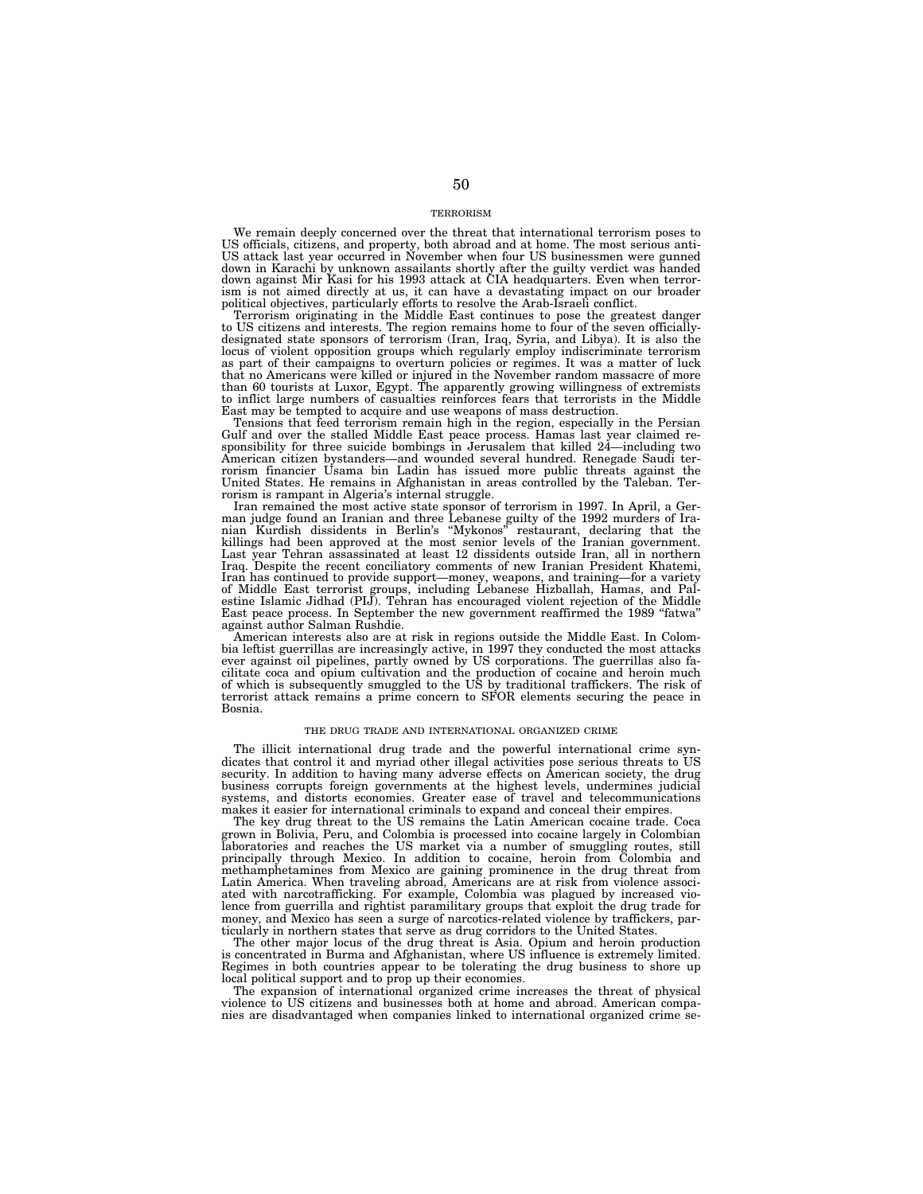#### **TERRORISM**

We remain deeply concerned over the threat that international terrorism poses to US officials, citizens, and property, both abroad and at home. The most serious anti-US attack last year occurred in November when four US businessmen were gunned down in Karachi by unknown assailants shortly after the guilty verdict was handed down against Mir Kasi for his 1993 attack at CIA headquarters. Even when terrorism is not aimed directly at us, it can have a devastating impact on our broader political objectives, particularly efforts to resolve the Arab-Israeli conflict.

Terrorism originating in the Middle East continues to pose the greatest danger to US citizens and interests. The region remains home to four of the seven officially-designated state sponsors of terrorism (Iran, Iraq, Syria, and Libya). It is also the locus of violent opposition groups which regularly employ indiscriminate terrorism as part of their campaigns to overturn policies or regimes. It was a matter of luck that no Americans were killed or injured in the November random massacre of more than 60 tourists at Luxor, Egypt. The apparently growing willingness of extremists to inflict large numbers of casualties reinforces fears that terrorists in the Middle East may be tempted to acquire and use weapons of mass destruction.

Tensions that feed terrorism remain high in the region, especially in the Persian Gulf and over the stalled Middle East peace process. Hamas last year claimed responsibility for three suicide bombings in Jerusalem that killed 24—including two American citizen bystanders—and wounded several hundred. Renegade Saudi terrorism financier Usama bin Ladin has issued more public threats against the United States. He remains in Afghanistan in areas controlled by the Taleban. Terrorism is rampant in Algeria's internal struggle.

Iran remained the most active state sponsor of terrorism in 1997. In April, a German judge found an Iranian and three Lebanese guilty of the 1992 murders of Ira-nian Kurdish dissidents in Berlin's ''Mykonos'' restaurant, declaring that the killings had been approved at the most senior levels of the Iranian government. Last year Tehran assassinated at least 12 dissidents outside Iran, all in northern Iraq. Despite the recent conciliatory comments of new Iranian President Khatemi, Iran has continued to provide support—money, weapons, and training—for a variety<br>of Middle East terrorist groups, including Lebanese Hizballah, Hamas, and Pal-<br>estine Islamic Jidhad (PIJ). Tehran has encouraged violent rej East peace process. In September the new government reaffirmed the 1989 ''fatwa'' against author Salman Rushdie.

American interests also are at risk in regions outside the Middle East. In Colombia leftist guerrillas are increasingly active, in 1997 they conducted the most attacks<br>ever against oil pipelines, partly owned by US corporations. The guerrillas also fa-<br>cilitate coca and opium cultivation and the produ terrorist attack remains a prime concern to SFOR elements securing the peace in Bosnia.

## THE DRUG TRADE AND INTERNATIONAL ORGANIZED CRIME

The illicit international drug trade and the powerful international crime syndicates that control it and myriad other illegal activities pose serious threats to US security. In addition to having many adverse effects on American society, the drug business corrupts foreign governments at the highest levels, undermines judicial systems, and distorts economies. Greater ease of travel and telecommunications makes it easier for international criminals to expand and conceal their empires.

The key drug threat to the US remains the Latin American cocaine trade. Coca grown in Bolivia, Peru, and Colombia is processed into cocaine largely in Colombian laboratories and reaches the US market via a number of smuggling routes, still principally through Mexico. In addition to cocaine, heroin from Colombia and methamphetamines from Mexico are gaining prominence in the drug threat from Latin America. When traveling abroad, Americans are at risk from violence associated with narcotrafficking. For example, Colombia was plagued by increased violence from guerrilla and rightist paramilitary groups that exploit the drug trade for money, and Mexico has seen a surge of narcotics-related violence by traffickers, particularly in northern states that serve as drug corridors to the United States.

The other major locus of the drug threat is Asia. Opium and heroin production is concentrated in Burma and Afghanistan, where US influence is extremely limited. Regimes in both countries appear to be tolerating the drug business to shore up local political support and to prop up their economies.

The expansion of international organized crime increases the threat of physical violence to US citizens and businesses both at home and abroad. American companies are disadvantaged when companies linked to international organized crime se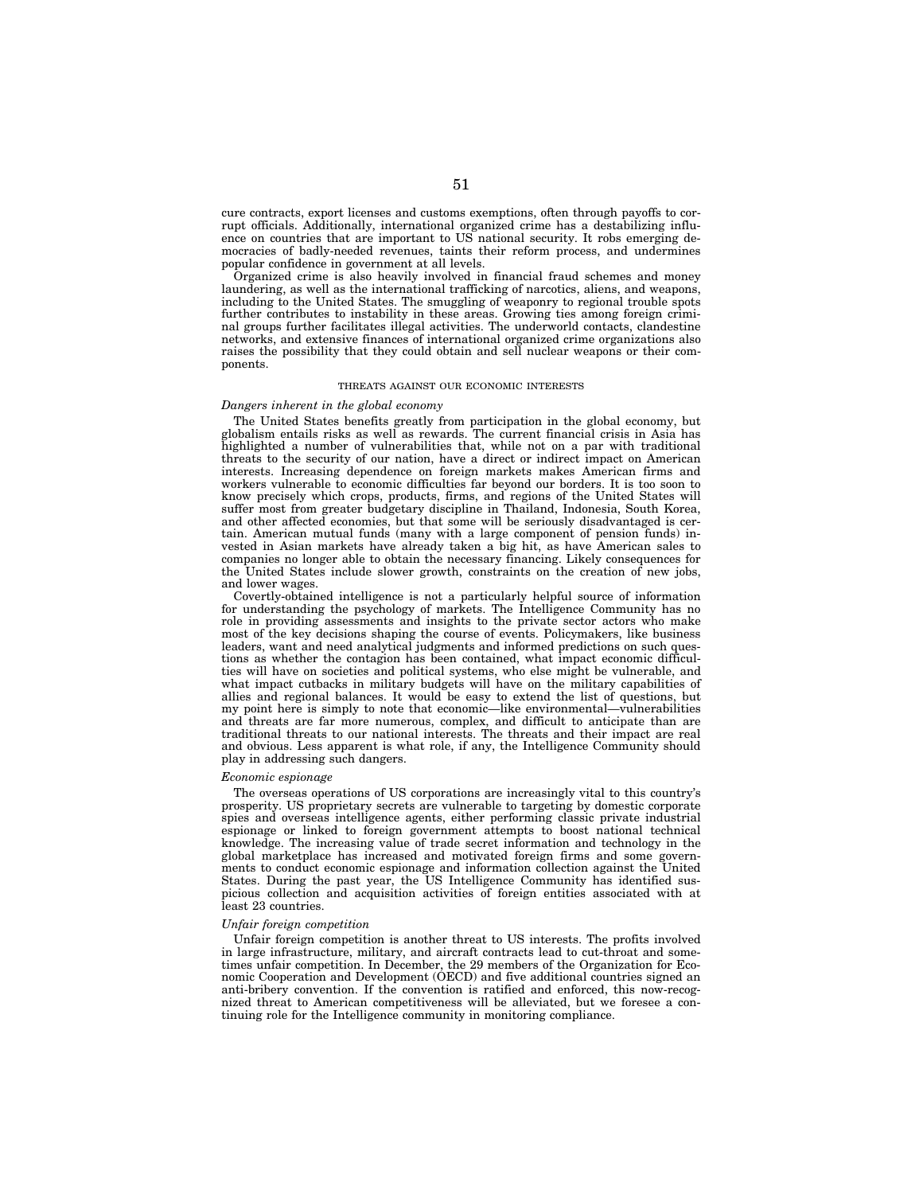cure contracts, export licenses and customs exemptions, often through payoffs to corrupt officials. Additionally, international organized crime has a destabilizing influence on countries that are important to US national security. It robs emerging democracies of badly-needed revenues, taints their reform process, and undermines popular confidence in government at all levels.

Organized crime is also heavily involved in financial fraud schemes and money laundering, as well as the international trafficking of narcotics, aliens, and weapons, including to the United States. The smuggling of weaponry to regional trouble spots further contributes to instability in these areas. Growing ties among foreign criminal groups further facilitates illegal activities. The underworld contacts, clandestine networks, and extensive finances of international organized crime organizations also raises the possibility that they could obtain and sell nuclear weapons or their components.

### THREATS AGAINST OUR ECONOMIC INTERESTS

# *Dangers inherent in the global economy*

The United States benefits greatly from participation in the global economy, but globalism entails risks as well as rewards. The current financial crisis in Asia has highlighted a number of vulnerabilities that, while not on a par with traditional threats to the security of our nation, have a direct or indirect impact on American interests. Increasing dependence on foreign markets makes American firms and workers vulnerable to economic difficulties far beyond our borders. It is too soon to know precisely which crops, products, firms, and regions of the United States will suffer most from greater budgetary discipline in Thailand, Indonesia, South Korea, and other affected economies, but that some will be seriously disadvantaged is certain. American mutual funds (many with a large component of pension funds) invested in Asian markets have already taken a big hit, as have American sales to companies no longer able to obtain the necessary financing. Likely consequences for the United States include slower growth, constraints on the creation of new jobs, and lower wages.

Covertly-obtained intelligence is not a particularly helpful source of information for understanding the psychology of markets. The Intelligence Community has no role in providing assessments and insights to the private sector actors who make most of the key decisions shaping the course of events. Policymakers, like business leaders, want and need analytical judgments and informed predictions on such questions as whether the contagion has been contained, what impact economic difficulties will have on societies and political systems, who else might be vulnerable, and what impact cutbacks in military budgets will have on the military capabilities of allies and regional balances. It would be easy to extend the list of questions, but my point here is simply to note that economic—like environmental—vulnerabilities and threats are far more numerous, complex, and difficult to anticipate than are traditional threats to our national interests. The threats and their impact are real and obvious. Less apparent is what role, if any, the Intelligence Community should play in addressing such dangers.

# *Economic espionage*

The overseas operations of US corporations are increasingly vital to this country's prosperity. US proprietary secrets are vulnerable to targeting by domestic corporate spies and overseas intelligence agents, either performing classic private industrial espionage or linked to foreign government attempts to boost national technical knowledge. The increasing value of trade secret information and technology in the global marketplace has increased and motivated foreign firms and some governments to conduct economic espionage and information collection against the United States. During the past year, the US Intelligence Community has identified suspicious collection and acquisition activities of foreign entities associated with at least 23 countries.

#### *Unfair foreign competition*

Unfair foreign competition is another threat to US interests. The profits involved in large infrastructure, military, and aircraft contracts lead to cut-throat and sometimes unfair competition. In December, the 29 members of the Organization for Economic Cooperation and Development (OECD) and five additional countries signed an anti-bribery convention. If the convention is ratified and enforced, this now-recognized threat to American competitiveness will be alleviated, but we foresee a continuing role for the Intelligence community in monitoring compliance.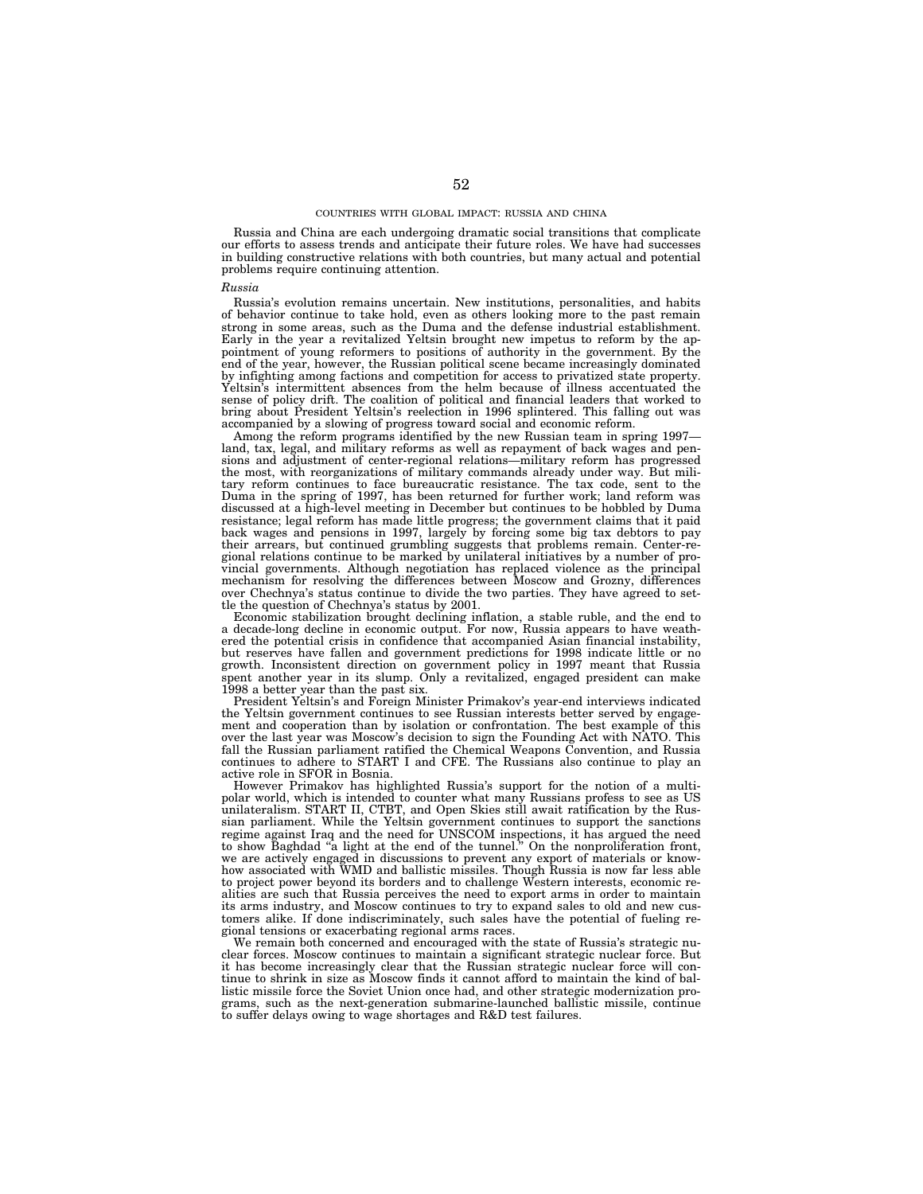## COUNTRIES WITH GLOBAL IMPACT: RUSSIA AND CHINA

Russia and China are each undergoing dramatic social transitions that complicate our efforts to assess trends and anticipate their future roles. We have had successes in building constructive relations with both countries, but many actual and potential problems require continuing attention.

# *Russia*

Russia's evolution remains uncertain. New institutions, personalities, and habits of behavior continue to take hold, even as others looking more to the past remain strong in some areas, such as the Duma and the defense industrial establishment. Early in the year a revitalized Yeltsin brought new impetus to reform by the appointment of young reformers to positions of authority in the government. By the end of the year, however, the Russian political scene became increasingly dominated by infighting among factions and competition for access to privatized state property. Yeltsin's intermittent absences from the helm because of illness accentuated the sense of policy drift. The coalition of political and financial leaders that worked to bring about President Yeltsin's reelection in 1996 splintered. This falling out was accompanied by a slowing of progress toward social and economic reform.

Among the reform programs identified by the new Russian team in spring 1997 land, tax, legal, and military reforms as well as repayment of back wages and pensions and adjustment of center-regional relations—military reform has progressed the most, with reorganizations of military commands already under way. But military reform continues to face bureaucratic resistance. The tax code, sent to the Duma in the spring of 1997, has been returned for further work; land reform was discussed at a high-level meeting in December but continues to be hobbled by Duma resistance; legal reform has made little progress; the government claims that it paid back wages and pensions in 1997, largely by forcing some big tax debtors to pay their arrears, but continued grumbling suggests that problems remain. Center-regional relations continue to be marked by unilateral initiatives by a number of provincial governments. Although negotiation has replaced violence as the principal mechanism for resolving the differences between Moscow and Grozny, differences over Chechnya's status continue to divide the two parties. They have agreed to settle the question of Chechnya's status by 2001.

Economic stabilization brought declining inflation, a stable ruble, and the end to a decade-long decline in economic output. For now, Russia appears to have weathered the potential crisis in confidence that accompanied Asian financial instability, but reserves have fallen and government predictions for 1998 indicate little or no growth. Inconsistent direction on government policy in 1997 meant that Russia spent another year in its slump. Only a revitalized, engaged president can make 1998 a better year than the past six.

President Yeltsin's and Foreign Minister Primakov's year-end interviews indicated the Yeltsin government continues to see Russian interests better served by engagement and cooperation than by isolation or confrontation. The best example of this over the last year was Moscow's decision to sign the Founding Act with NATO. This fall the Russian parliament ratified the Chemical Weapons Convention, and Russia continues to adhere to START I and CFE. The Russians also continue to play an active role in SFOR in Bosnia.

However Primakov has highlighted Russia's support for the notion of a multipolar world, which is intended to counter what many Russians profess to see as US unilateralism. START II, CTBT, and Open Skies still await ratification by the Russian parliament. While the Yeltsin government continues to support the sanctions regime against Iraq and the need for UNSCOM inspections, it has argued the need to show Baghdad ''a light at the end of the tunnel.'' On the nonproliferation front, we are actively engaged in discussions to prevent any export of materials or knowhow associated with WMD and ballistic missiles. Though Russia is now far less able to project power beyond its borders and to challenge Western interests, economic realities are such that Russia perceives the need to export arms in order to maintain its arms industry, and Moscow continues to try to expand sales to old and new customers alike. If done indiscriminately, such sales have the potential of fueling regional tensions or exacerbating regional arms races.

We remain both concerned and encouraged with the state of Russia's strategic nuclear forces. Moscow continues to maintain a significant strategic nuclear force. But it has become increasingly clear that the Russian strategic nuclear force will continue to shrink in size as Moscow finds it cannot afford to maintain the kind of ballistic missile force the Soviet Union once had, and other strategic modernization programs, such as the next-generation submarine-launched ballistic missile, continue to suffer delays owing to wage shortages and R&D test failures.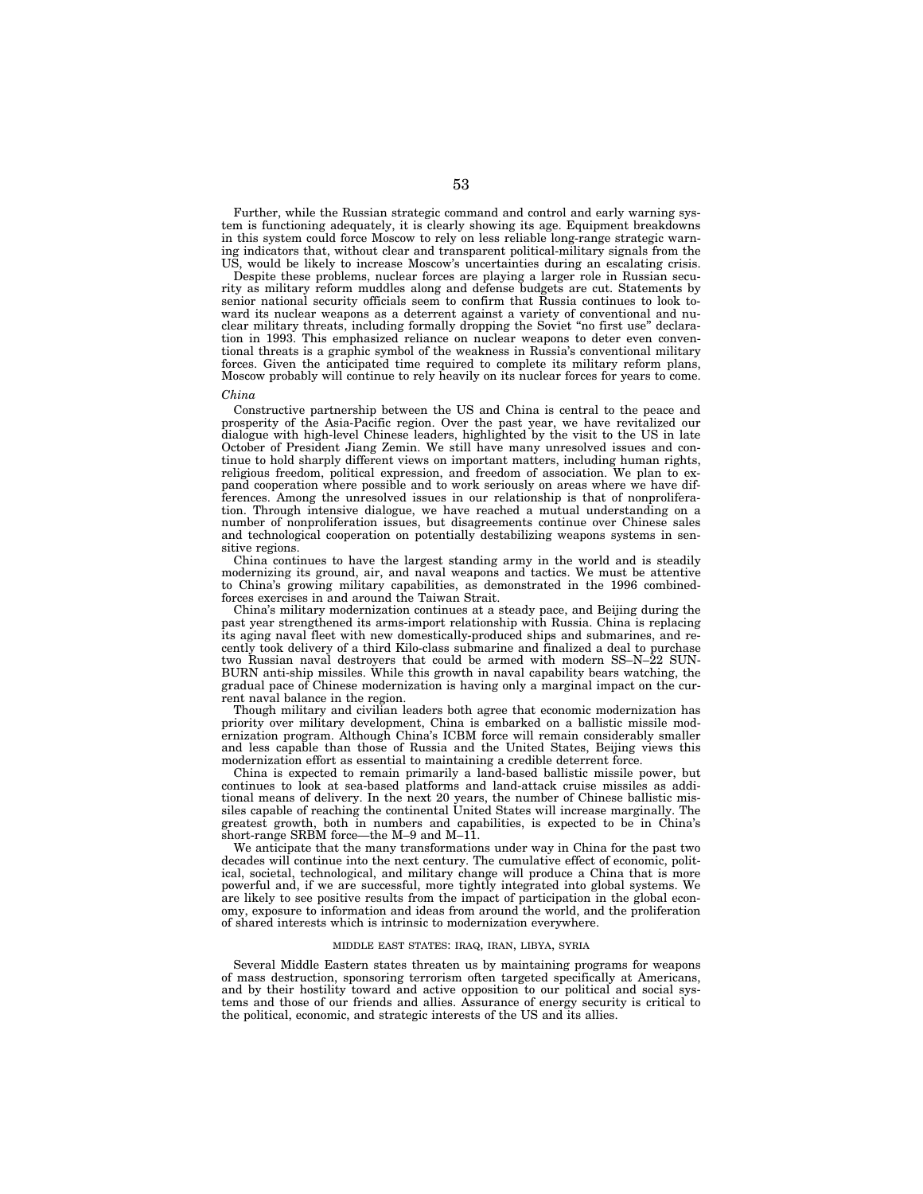Further, while the Russian strategic command and control and early warning system is functioning adequately, it is clearly showing its age. Equipment breakdowns in this system could force Moscow to rely on less reliable long-range strategic warning indicators that, without clear and transparent political-military signals from the US, would be likely to increase Moscow's uncertainties during an escalating crisis.

Despite these problems, nuclear forces are playing a larger role in Russian security as military reform muddles along and defense budgets are cut. Statements by senior national security officials seem to confirm that Russia continues to look toward its nuclear weapons as a deterrent against a variety of conventional and nuclear military threats, including formally dropping the Soviet "no first use" declaration in 1993. This emphasized reliance on nuclear weapons to deter even conventional threats is a graphic symbol of the weakness in Russia's conventional military forces. Given the anticipated time required to complete its military reform plans, Moscow probably will continue to rely heavily on its nuclear forces for years to come.

# *China*

Constructive partnership between the US and China is central to the peace and prosperity of the Asia-Pacific region. Over the past year, we have revitalized our dialogue with high-level Chinese leaders, highlighted by the visit to the US in late October of President Jiang Zemin. We still have many unresolved issues and continue to hold sharply different views on important matters, including human rights, religious freedom, political expression, and freedom of association. We plan to expand cooperation where possible and to work seriously on areas where we have differences. Among the unresolved issues in our relationship is that of nonproliferation. Through intensive dialogue, we have reached a mutual understanding on a number of nonproliferation issues, but disagreements continue over Chinese sales and technological cooperation on potentially destabilizing weapons systems in sensitive regions.

China continues to have the largest standing army in the world and is steadily modernizing its ground, air, and naval weapons and tactics. We must be attentive to China's growing military capabilities, as demonstrated in the 1996 combinedforces exercises in and around the Taiwan Strait.

China's military modernization continues at a steady pace, and Beijing during the past year strengthened its arms-import relationship with Russia. China is replacing its aging naval fleet with new domestically-produced ships and submarines, and recently took delivery of a third Kilo-class submarine and finalized a deal to purchase two Russian naval destroyers that could be armed with modern SS–N–22 SUN-BURN anti-ship missiles. While this growth in naval capability bears watching, the gradual pace of Chinese modernization is having only a marginal impact on the current naval balance in the region.

Though military and civilian leaders both agree that economic modernization has priority over military development, China is embarked on a ballistic missile modernization program. Although China's ICBM force will remain considerably smaller and less capable than those of Russia and the United States, Beijing views this modernization effort as essential to maintaining a credible deterrent force.

China is expected to remain primarily a land-based ballistic missile power, but continues to look at sea-based platforms and land-attack cruise missiles as additional means of delivery. In the next 20 years, the number of Chinese ballistic missiles capable of reaching the continental United States will increase marginally. The greatest growth, both in numbers and capabilities, is expected to be in China's short-range SRBM force—the M–9 and M–11.

We anticipate that the many transformations under way in China for the past two decades will continue into the next century. The cumulative effect of economic, political, societal, technological, and military change will produce a China that is more powerful and, if we are successful, more tightly integrated into global systems. We are likely to see positive results from the impact of participation in the global economy, exposure to information and ideas from around the world, and the proliferation of shared interests which is intrinsic to modernization everywhere.

## MIDDLE EAST STATES: IRAQ, IRAN, LIBYA, SYRIA

Several Middle Eastern states threaten us by maintaining programs for weapons of mass destruction, sponsoring terrorism often targeted specifically at Americans, and by their hostility toward and active opposition to our political and social systems and those of our friends and allies. Assurance of energy security is critical to the political, economic, and strategic interests of the US and its allies.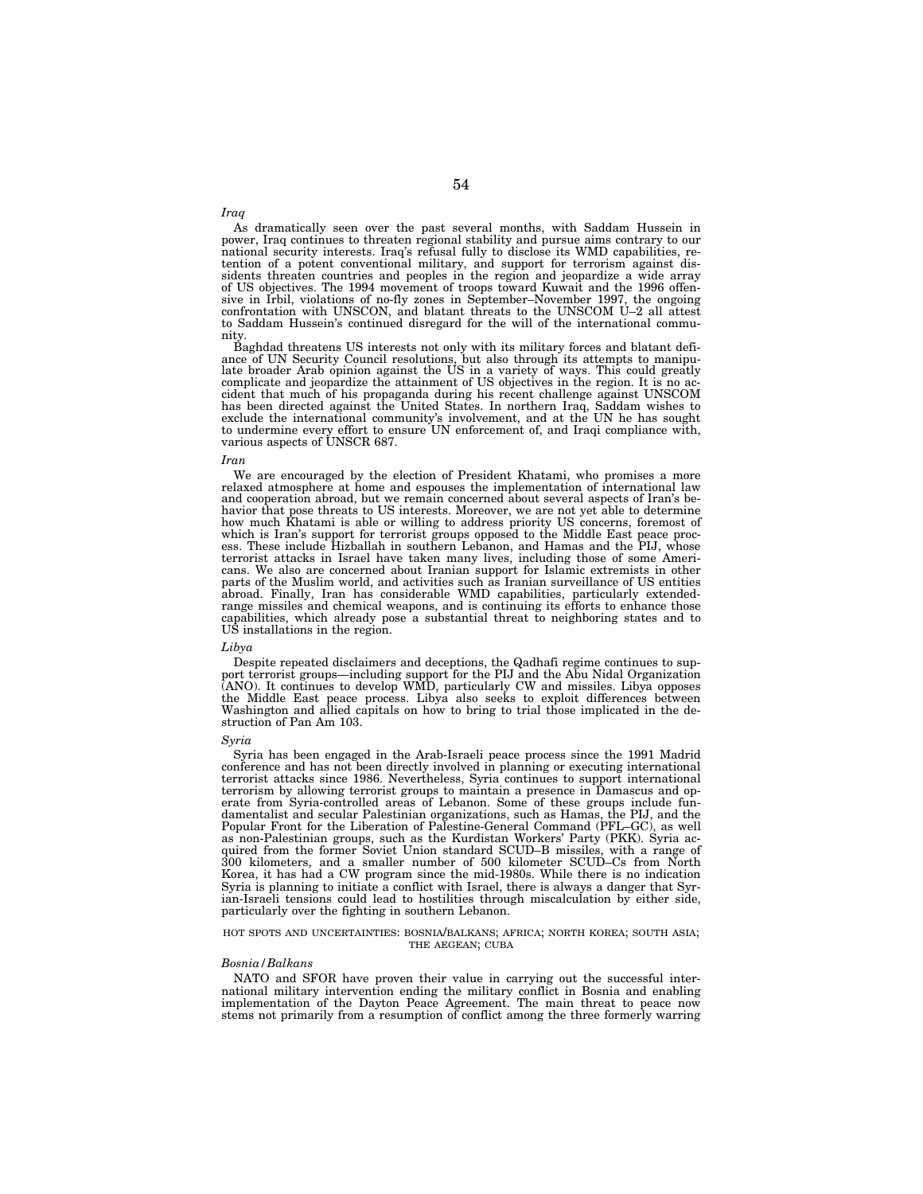# *Iraq*

As dramatically seen over the past several months, with Saddam Hussein in power, Iraq continues to threaten regional stability and pursue aims contrary to our national security interests. Iraq's refusal fully to disclose its WMD capabilities, retention of a potent conventional military, and support for terrorism against dis-sidents threaten countries and peoples in the region and jeopardize a wide array of US objectives. The 1994 movement of troops toward Kuwait and the 1996 offensive in Irbil, violations of no-fly zones in September–November 1997, the ongoing confrontation with UNSCON, and blatant threats to the UNSCOM U–2 all attest to Saddam Hussein's continued disregard for the will of the international community.

Baghdad threatens US interests not only with its military forces and blatant defiance of UN Security Council resolutions, but also through its attempts to manipulate broader Arab opinion against the US in a variety of ways. This could greatly complicate and jeopardize the attainment of US objectives in cident that much of his propaganda during his recent challenge against UNSCOM<br>has been directed against the United States. In northern Iraq, Saddam wishes to<br>exclude the international community's involvement, and at the UN to undermine every effort to ensure UN enforcement of, and Iraqi compliance with, various aspects of UNSCR 687.

## *Iran*

We are encouraged by the election of President Khatami, who promises a more relaxed atmosphere at home and espouses the implementation of international law and cooperation abroad, but we remain concerned about several aspects of Iran's behavior that pose threats to US interests. Moreover, we are not yet able to determine how much Khatami is able or willing to address priority US concerns, foremost of which is Iran's support for terrorist groups opposed to the Middle East peace proc-ess. These include Hizballah in southern Lebanon, and Hamas and the PIJ, whose terrorist attacks in Israel have taken many lives, including those of some Americans. We also are concerned about Iranian support for Islamic extremists in other parts of the Muslim world, and activities such as Iranian surveillance of US entities abroad. Finally, Iran has considerable WMD capabilities, particularly extendedrange missiles and chemical weapons, and is continuing its efforts to enhance those capabilities, which already pose a substantial threat to neighboring states and to US installations in the region.

## *Libya*

Despite repeated disclaimers and deceptions, the Qadhafi regime continues to sup-port terrorist groups—including support for the PIJ and the Abu Nidal Organization (ANO). It continues to develop WMD, particularly CW and missiles. Libya opposes the Middle East peace process. Libya also seeks to exploit differences between Washington and allied capitals on how to bring to trial those implicated in the destruction of Pan Am 103.

### *Syria*

Syria has been engaged in the Arab-Israeli peace process since the 1991 Madrid conference and has not been directly involved in planning or executing international terrorist attacks since 1986. Nevertheless, Syria continues to support international terrorism by allowing terrorist groups to maintain a presence in Damascus and operate from Syria-controlled areas of Lebanon. Some of these groups include fundamentalist and secular Palestinian organizations, such as Hamas, the PIJ, and the Popular Front for the Liberation of Palestine-General Command (PFL–GC), as well as non-Palestinian groups, such as the Kurdistan Workers' Party (PKK). Syria acquired from the former Soviet Union standard SCUD–B missiles, with a range of 300 kilometers, and a smaller number of 500 kilometer SCUD–Cs from North Korea, it has had a CW program since the mid-1980s. While there is no indication Syria is planning to initiate a conflict with Israel, there is always a danger that Syrian-Israeli tensions could lead to hostilities through miscalculation by either side, particularly over the fighting in southern Lebanon.

## HOT SPOTS AND UNCERTAINTIES: BOSNIA/BALKANS; AFRICA; NORTH KOREA; SOUTH ASIA; THE AEGEAN; CUBA

# *Bosnia/Balkans*

NATO and SFOR have proven their value in carrying out the successful international military intervention ending the military conflict in Bosnia and enabling implementation of the Dayton Peace Agreement. The main threat to peace now stems not primarily from a resumption of conflict among the three formerly warring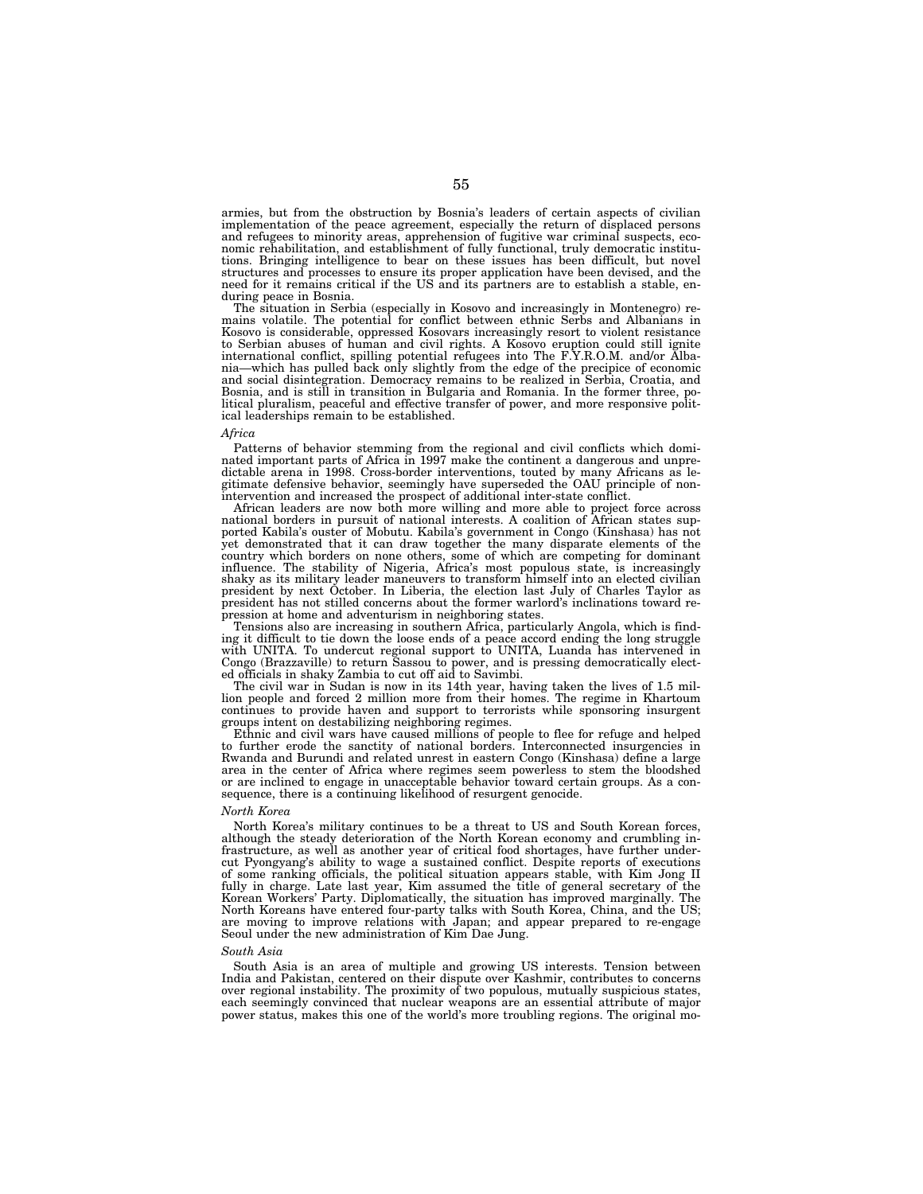armies, but from the obstruction by Bosnia's leaders of certain aspects of civilian implementation of the peace agreement, especially the return of displaced persons and refugees to minority areas, apprehension of fugitive war criminal suspects, economic rehabilitation, and establishment of fully functional, truly democratic institutions. Bringing intelligence to bear on these issues has been difficult, but novel structures and processes to ensure its proper application have been devised, and the need for it remains critical if the US and its partners are to establish a stable, enduring peace in Bosnia.

The situation in Serbia (especially in Kosovo and increasingly in Montenegro) remains volatile. The potential for conflict between ethnic Serbs and Albanians in Kosovo is considerable, oppressed Kosovars increasingly resort to violent resistance to Serbian abuses of human and civil rights. A Kosovo eruption could still ignite international conflict, spilling potential refugees into The F.Y.R.O.M. and/or Albania—which has pulled back only slightly from the edge of the precipice of economic and social disintegration. Democracy remains to be realized in Serbia, Croatia, and Bosnia, and is still in transition in Bulgaria and Romania. In the former three, political pluralism, peaceful and effective transfer of power, and more responsive political leaderships remain to be established.

### *Africa*

Patterns of behavior stemming from the regional and civil conflicts which dominated important parts of Africa in 1997 make the continent a dangerous and unpredictable arena in 1998. Cross-border interventions, touted by many Africans as legitimate defensive behavior, seemingly have superseded the OAU principle of nonintervention and increased the prospect of additional inter-state conflict.

African leaders are now both more willing and more able to project force across national borders in pursuit of national interests. A coalition of African states supported Kabila's ouster of Mobutu. Kabila's government in Congo (Kinshasa) has not yet demonstrated that it can draw together the many disparate elements of the country which borders on none others, some of which are competing for dominant influence. The stability of Nigeria, Africa's most populous state, is increasingly shaky as its military leader maneuvers to transform himself into an elected civilian president by next October. In Liberia, the election last July of Charles Taylor as president has not stilled concerns about the former warlord's inclinations toward repression at home and adventurism in neighboring states.

Tensions also are increasing in southern Africa, particularly Angola, which is finding it difficult to tie down the loose ends of a peace accord ending the long struggle with UNITA. To undercut regional support to UNITA, Luanda has intervened in Congo (Brazzaville) to return Sassou to power, and is pressing democratically elect-ed officials in shaky Zambia to cut off aid to Savimbi.

The civil war in Sudan is now in its 14th year, having taken the lives of 1.5 mil-lion people and forced 2 million more from their homes. The regime in Khartoum continues to provide haven and support to terrorists while sponsoring insurgent groups intent on destabilizing neighboring regimes.

Ethnic and civil wars have caused millions of people to flee for refuge and helped to further erode the sanctity of national borders. Interconnected insurgencies in Rwanda and Burundi and related unrest in eastern Congo (Kinshasa) define a large area in the center of Africa where regimes seem powerless to stem the bloodshed or are inclined to engage in unacceptable behavior toward certain groups. As a consequence, there is a continuing likelihood of resurgent genocide.

## *North Korea*

North Korea's military continues to be a threat to US and South Korean forces, although the steady deterioration of the North Korean economy and crumbling infrastructure, as well as another year of critical food shortages, have further undercut Pyongyang's ability to wage a sustained conflict. Despite reports of executions of some ranking officials, the political situation appears stable, with Kim Jong II fully in charge. Late last year, Kim assumed the title of general secretary of the Korean Workers' Party. Diplomatically, the situation has improved marginally. The North Koreans have entered four-party talks with South Korea, China, and the US; are moving to improve relations with Japan; and appear prepared to re-engage Seoul under the new administration of Kim Dae Jung.

### *South Asia*

South Asia is an area of multiple and growing US interests. Tension between India and Pakistan, centered on their dispute over Kashmir, contributes to concerns over regional instability. The proximity of two populous, mutually suspicious states, each seemingly convinced that nuclear weapons are an essential attribute of major power status, makes this one of the world's more troubling regions. The original mo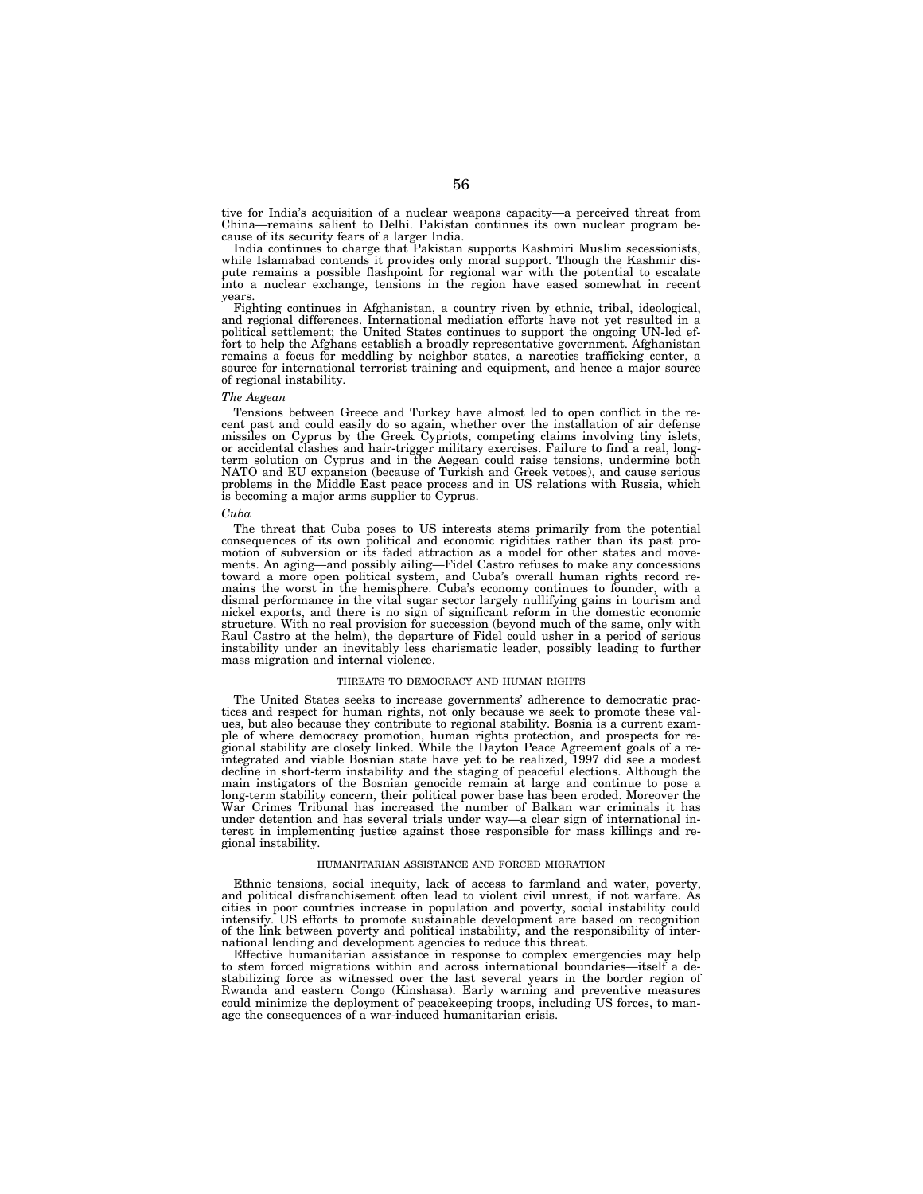tive for India's acquisition of a nuclear weapons capacity—a perceived threat from China—remains salient to Delhi. Pakistan continues its own nuclear program because of its security fears of a larger India.

India continues to charge that Pakistan supports Kashmiri Muslim secessionists, while Islamabad contends it provides only moral support. Though the Kashmir dispute remains a possible flashpoint for regional war with the potential to escalate into a nuclear exchange, tensions in the region have eased somewhat in recent years.

Fighting continues in Afghanistan, a country riven by ethnic, tribal, ideological, and regional differences. International mediation efforts have not yet resulted in a political settlement; the United States continues to support the ongoing UN-led effort to help the Afghans establish a broadly representative government. Afghanistan remains a focus for meddling by neighbor states, a narcotics trafficking center, a source for international terrorist training and equipment, and hence a major source of regional instability.

## *The Aegean*

Tensions between Greece and Turkey have almost led to open conflict in the recent past and could easily do so again, whether over the installation of air defense missiles on Cyprus by the Greek Cypriots, competing claims involving tiny islets, or accidental clashes and hair-trigger military exercises. Failure to find a real, longterm solution on Cyprus and in the Aegean could raise tensions, undermine both NATO and EU expansion (because of Turkish and Greek vetoes), and cause serious problems in the Middle East peace process and in US relations with Russia, which is becoming a major arms supplier to Cyprus.

#### *Cuba*

The threat that Cuba poses to US interests stems primarily from the potential consequences of its own political and economic rigidities rather than its past promotion of subversion or its faded attraction as a model for other states and movements. An aging—and possibly ailing—Fidel Castro refuses to make any concessions toward a more open political system, and Cuba's overall human rights record remains the worst in the hemisphere. Cuba's economy continues to founder, with a dismal performance in the vital sugar sector largely nullifying gains in tourism and nickel exports, and there is no sign of significant reform in the domestic economic structure. With no real provision for succession (beyond much of the same, only with Raul Castro at the helm), the departure of Fidel could usher in a period of serious instability under an inevitably less charismatic leader, possibly leading to further mass migration and internal violence.

# THREATS TO DEMOCRACY AND HUMAN RIGHTS

The United States seeks to increase governments' adherence to democratic practices and respect for human rights, not only because we seek to promote these values, but also because they contribute to regional stability. Bosnia is a current example of where democracy promotion, human rights protection, and prospects for re-gional stability are closely linked. While the Dayton Peace Agreement goals of a reintegrated and viable Bosnian state have yet to be realized, 1997 did see a modest decline in short-term instability and the staging of peaceful elections. Although the main instigators of the Bosnian genocide remain at large and continue to pose a long-term stability concern, their political power base has been eroded. Moreover the War Crimes Tribunal has increased the number of Balkan war criminals it has under detention and has several trials under way—a clear sign of international interest in implementing justice against those responsible for mass killings and regional instability.

#### HUMANITARIAN ASSISTANCE AND FORCED MIGRATION

Ethnic tensions, social inequity, lack of access to farmland and water, poverty, and political disfranchisement often lead to violent civil unrest, if not warfare. As cities in poor countries increase in population and poverty, social instability could intensify. US efforts to promote sustainable development are based on recognition of the link between poverty and political instability, and the responsibility of international lending and development agencies to reduce this threat.

Effective humanitarian assistance in response to complex emergencies may help to stem forced migrations within and across international boundaries—itself a destabilizing force as witnessed over the last several years in the border region of Rwanda and eastern Congo (Kinshasa). Early warning and preventive measures could minimize the deployment of peacekeeping troops, including US forces, to manage the consequences of a war-induced humanitarian crisis.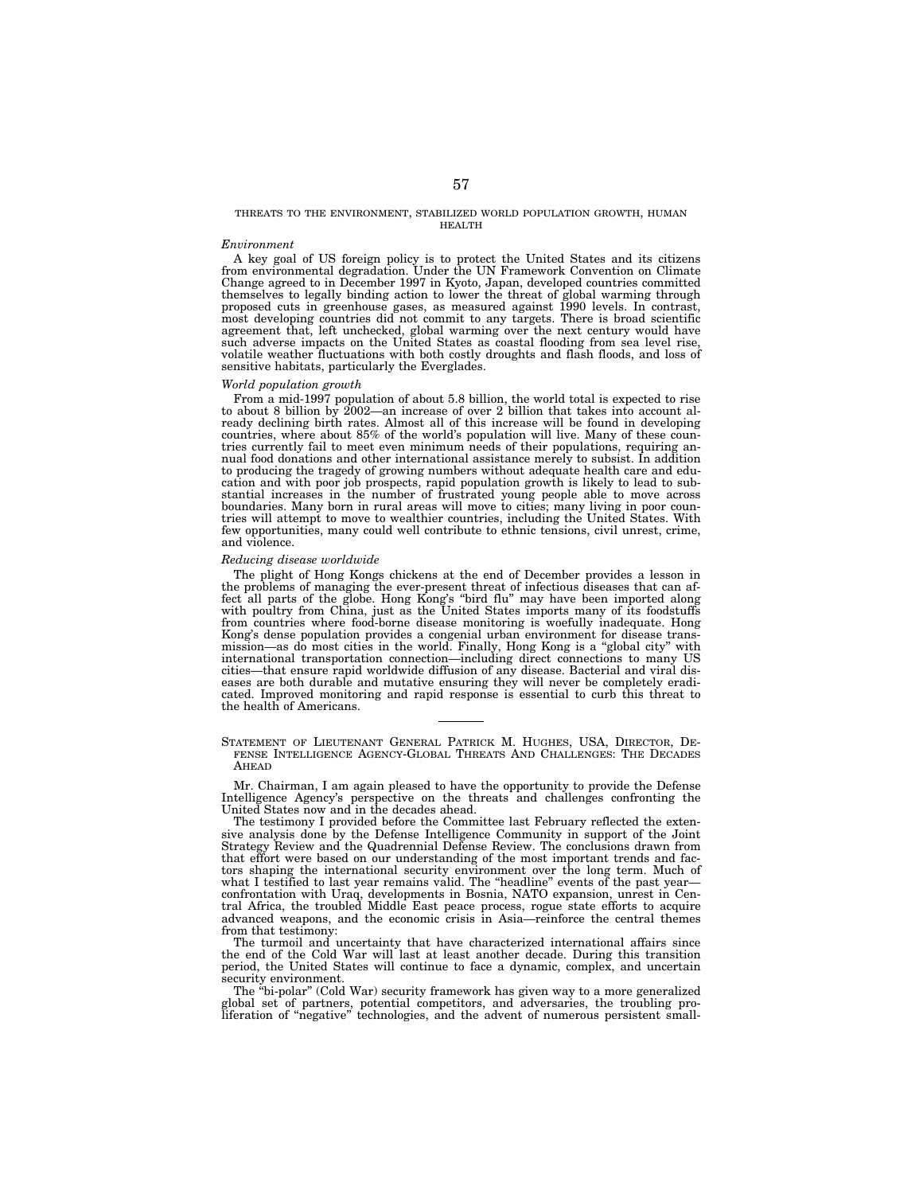### THREATS TO THE ENVIRONMENT, STABILIZED WORLD POPULATION GROWTH, HUMAN HEALTH

#### *Environment*

A key goal of US foreign policy is to protect the United States and its citizens from environmental degradation. Under the UN Framework Convention on Climate Change agreed to in December 1997 in Kyoto, Japan, developed countries committed themselves to legally binding action to lower the threat of global warming through proposed cuts in greenhouse gases, as measured against 1990 levels. In contrast, most developing countries did not commit to any targets. There is broad scientific agreement that, left unchecked, global warming over the next century would have such adverse impacts on the United States as coastal flooding from sea level rise, volatile weather fluctuations with both costly droughts and flash floods, and loss of sensitive habitats, particularly the Everglades.

#### *World population growth*

From a mid-1997 population of about 5.8 billion, the world total is expected to rise to about 8 billion by 2002—an increase of over 2 billion that takes into account already declining birth rates. Almost all of this increase will be found in developing countries, where about 85% of the world's population will live. Many of these countries currently fail to meet even minimum needs of their populations, requiring annual food donations and other international assistance merely to subsist. In addition to producing the tragedy of growing numbers without adequate health care and education and with poor job prospects, rapid population growth is likely to lead to sub-stantial increases in the number of frustrated young people able to move across boundaries. Many born in rural areas will move to cities; many living in poor countries will attempt to move to wealthier countries, including the United States. With few opportunities, many could well contribute to ethnic tensions, civil unrest, crime, and violence.

### *Reducing disease worldwide*

The plight of Hong Kongs chickens at the end of December provides a lesson in the problems of managing the ever-present threat of infectious diseases that can affect all parts of the globe. Hong Kong's "bird flu" may have been imported along with poultry from China, just as the United States imports Kong's dense population provides a congenial urban environment for disease transmission—as do most cities in the world. Finally, Hong Kong is a ''global city'' with international transportation connection—including direct connections to many US cities—that ensure rapid worldwide diffusion of any disease. Bacterial and viral diseases are both durable and mutative ensuring they will never be completely eradicated. Improved monitoring and rapid response is essential to curb this threat to the health of Americans.

STATEMENT OF LIEUTENANT GENERAL PATRICK M. HUGHES, USA, DIRECTOR, DE-FENSE INTELLIGENCE AGENCY-GLOBAL THREATS AND CHALLENGES: THE DECADES **AHEAD** 

Mr. Chairman, I am again pleased to have the opportunity to provide the Defense Intelligence Agency's perspective on the threats and challenges confronting the United States now and in the decades ahead.

The testimony I provided before the Committee last February reflected the extensive analysis done by the Defense Intelligence Community in support of the Joint Strategy Review and the Quadrennial Defense Review. The conclusions drawn from that effort were based on our understanding of the most important trends and factors shaping the international security environment over the long term. Much of what I testified to last year remains valid. The "headline" events of the past year confrontation with Uraq, developments in Bosnia, NATO expansion, unrest in Central Africa, the troubled Middle East peace process, rogue state efforts to acquire advanced weapons, and the economic crisis in Asia—reinforce the central themes from that testimony:

The turmoil and uncertainty that have characterized international affairs since the end of the Cold War will last at least another decade. During this transition period, the United States will continue to face a dynamic, complex, and uncertain security environment.

The "bi-polar" (Cold War) security framework has given way to a more generalized global set of partners, potential competitors, and adversaries, the troubling pro-liferation of ''negative'' technologies, and the advent of numerous persistent small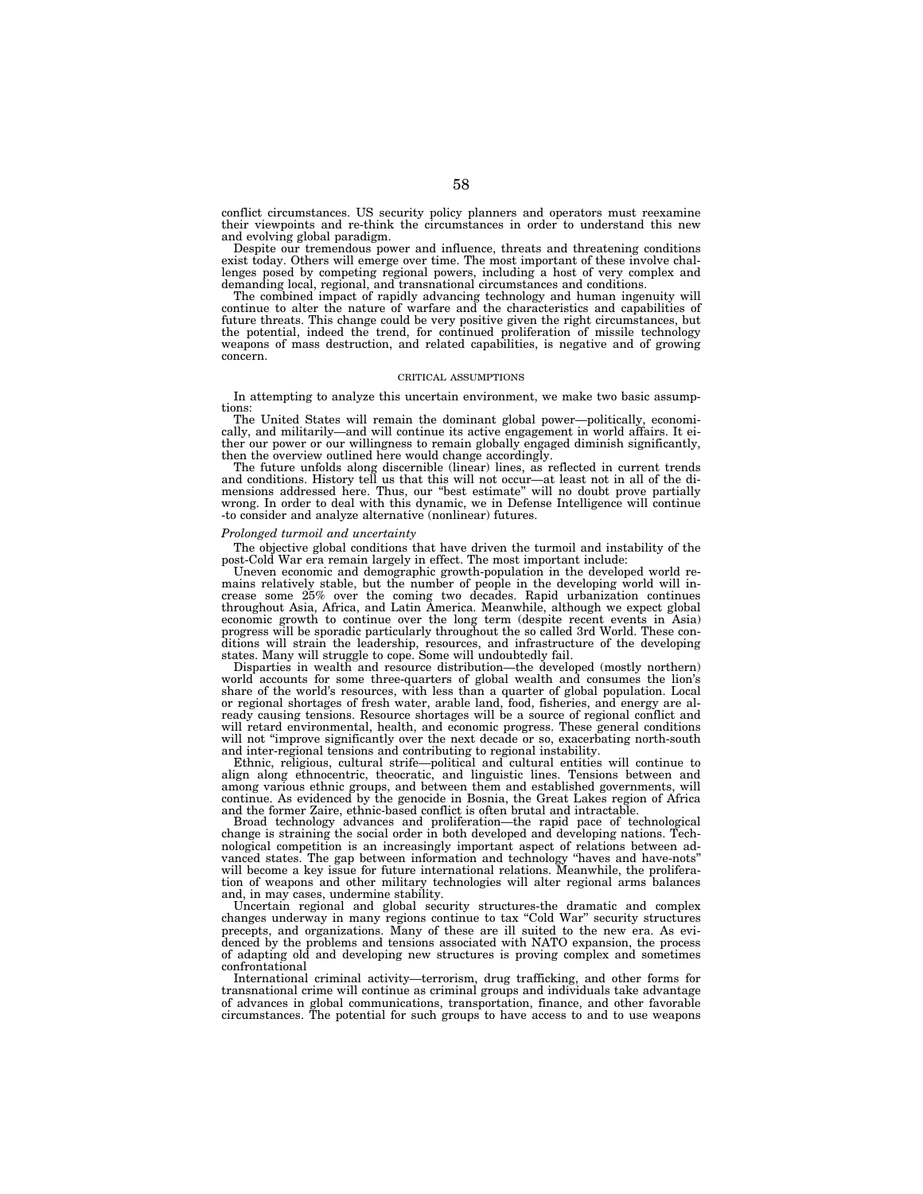conflict circumstances. US security policy planners and operators must reexamine their viewpoints and re-think the circumstances in order to understand this new and evolving global paradigm.

Despite our tremendous power and influence, threats and threatening conditions exist today. Others will emerge over time. The most important of these involve challenges posed by competing regional powers, including a host of very complex and demanding local, regional, and transnational circumstances and conditions.

The combined impact of rapidly advancing technology and human ingenuity will continue to alter the nature of warfare and the characteristics and capabilities of future threats. This change could be very positive given the right circumstances, but the potential, indeed the trend, for continued proliferation of missile technology weapons of mass destruction, and related capabilities, is negative and of growing concern.

#### CRITICAL ASSUMPTIONS

In attempting to analyze this uncertain environment, we make two basic assumptions:

The United States will remain the dominant global power—politically, economically, and militarily—and will continue its active engagement in world affairs. It either our power or our willingness to remain globally engaged diminish significantly, then the overview outlined here would change accordingly.

The future unfolds along discernible (linear) lines, as reflected in current trends and conditions. History tell us that this will not occur—at least not in all of the di-mensions addressed here. Thus, our ''best estimate'' will no doubt prove partially wrong. In order to deal with this dynamic, we in Defense Intelligence will continue -to consider and analyze alternative (nonlinear) futures.

#### *Prolonged turmoil and uncertainty*

The objective global conditions that have driven the turmoil and instability of the post-Cold War era remain largely in effect. The most important include:

Uneven economic and demographic growth-population in the developed world remains relatively stable, but the number of people in the developing world will increase some 25% over the coming two decades. Rapid urbanization continues throughout Asia, Africa, and Latin America. Meanwhile, although we expect global economic growth to continue over the long term (despite recent events in Asia) progress will be sporadic particularly throughout the so called 3rd World. These conditions will strain the leadership, resources, and infrastructure of the developing states. Many will struggle to cope. Some will undoubtedly fail.

Disparties in wealth and resource distribution—the developed (mostly northern) world accounts for some three-quarters of global wealth and consumes the lion's share of the world's resources, with less than a quarter of global population. Local or regional shortages of fresh water, arable land, food, fisheries, and energy are already causing tensions. Resource shortages will be a source of regional conflict and will retard environmental, health, and economic progress. These general conditions will not "improve significantly over the next decade or so, exacerbating north-south and inter-regional tensions and contributing to regional instability.

Ethnic, religious, cultural strife—political and cultural entities will continue to align along ethnocentric, theocratic, and linguistic lines. Tensions between and among various ethnic groups, and between them and established governments, will continue. As evidenced by the genocide in Bosnia, the Great Lakes region of Africa and the former Zaire, ethnic-based conflict is often brutal and intractable.

Broad technology advances and proliferation—the rapid pace of technological change is straining the social order in both developed and developing nations. Technological competition is an increasingly important aspect of relations between advanced states. The gap between information and technology ''haves and have-nots'' will become a key issue for future international relations. Meanwhile, the proliferation of weapons and other military technologies will alter regional arms balances and, in may cases, undermine stability.

Uncertain regional and global security structures-the dramatic and complex changes underway in many regions continue to tax ''Cold War'' security structures precepts, and organizations. Many of these are ill suited to the new era. As evidenced by the problems and tensions associated with NATO expansion, the process of adapting old and developing new structures is proving complex and sometimes confrontational

International criminal activity—terrorism, drug trafficking, and other forms for transnational crime will continue as criminal groups and individuals take advantage of advances in global communications, transportation, finance, and other favorable circumstances. The potential for such groups to have access to and to use weapons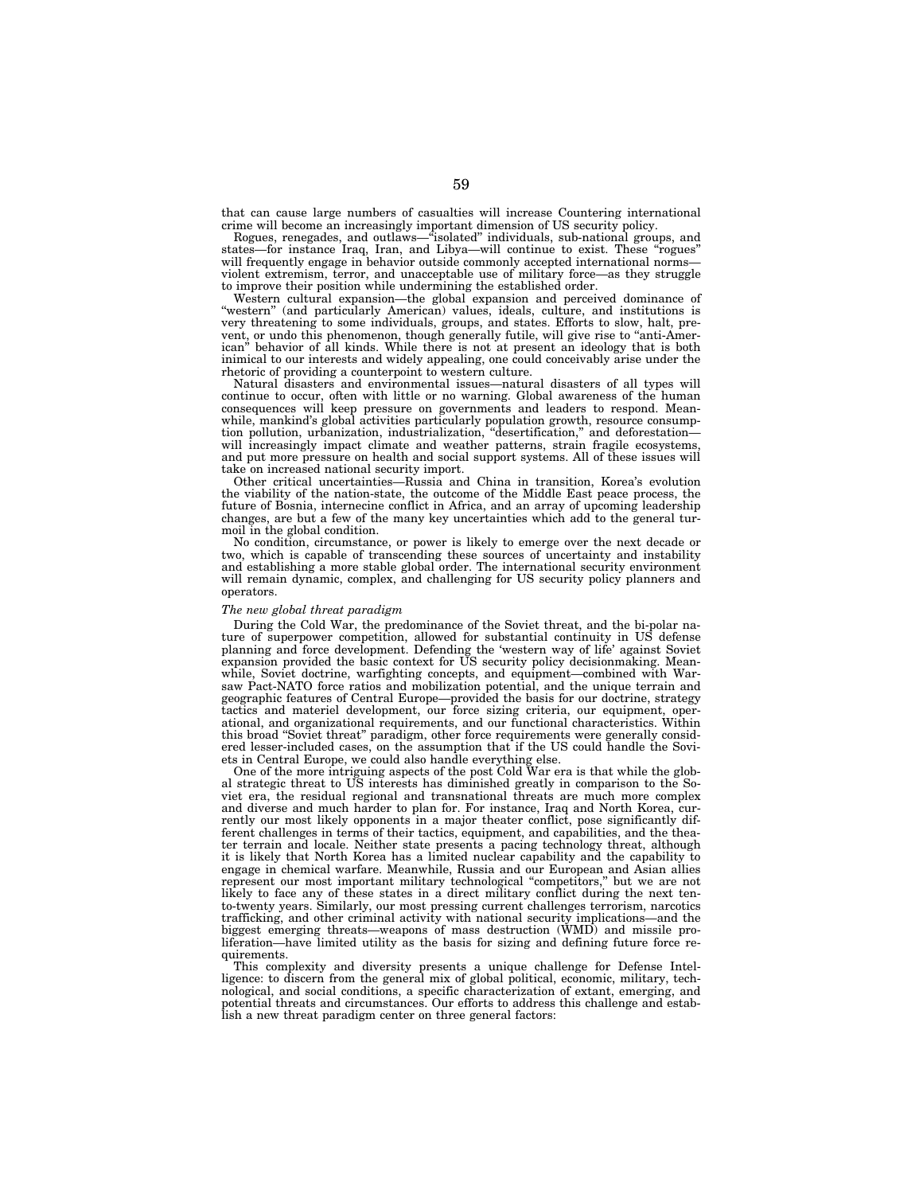that can cause large numbers of casualties will increase Countering international crime will become an increasingly important dimension of US security policy.

Rogues, renegades, and outlaws—''isolated'' individuals, sub-national groups, and states—for instance Iraq, Iran, and Libya—will continue to exist. These ''rogues'' will frequently engage in behavior outside commonly accepted international norms violent extremism, terror, and unacceptable use of military force—as they struggle to improve their position while undermining the established order.

Western cultural expansion—the global expansion and perceived dominance of "western" (and particularly American) values, ideals, culture, and institutions is very threatening to some individuals, groups, and states. Efforts to slow, halt, prevent, or undo this phenomenon, though generally futile, will give rise to ''anti-American'' behavior of all kinds. While there is not at present an ideology that is both inimical to our interests and widely appealing, one could conceivably arise under the rhetoric of providing a counterpoint to western culture.

Natural disasters and environmental issues—natural disasters of all types will continue to occur, often with little or no warning. Global awareness of the human consequences will keep pressure on governments and leaders to respond. Meanwhile, mankind's global activities particularly population growth, resource consumption pollution, urbanization, industrialization, ''desertification,'' and deforestation will increasingly impact climate and weather patterns, strain fragile ecosystems, and put more pressure on health and social support systems. All of these issues will take on increased national security import.

Other critical uncertainties—Russia and China in transition, Korea's evolution the viability of the nation-state, the outcome of the Middle East peace process, the future of Bosnia, internecine conflict in Africa, and an array of upcoming leadership changes, are but a few of the many key uncertainties which add to the general turmoil in the global condition.

No condition, circumstance, or power is likely to emerge over the next decade or two, which is capable of transcending these sources of uncertainty and instability and establishing a more stable global order. The international security environment will remain dynamic, complex, and challenging for US security policy planners and operators.

# *The new global threat paradigm*

During the Cold War, the predominance of the Soviet threat, and the bi-polar nature of superpower competition, allowed for substantial continuity in US defense planning and force development. Defending the 'western way of life' against Soviet expansion provided the basic context for US security policy decisionmaking. Meanwhile, Soviet doctrine, warfighting concepts, and equipment—combined with Warsaw Pact-NATO force ratios and mobilization potential, and the unique terrain and geographic features of Central Europe—provided the basis for our doctrine, strategy tactics and materiel development, our force sizing criteria, our equipment, operational, and organizational requirements, and our functional characteristics. Within this broad "Soviet threat" paradigm, other force requirements were generally considered lesser-included cases, on the assumption that if the US could handle the Soviets in Central Europe, we could also handle everything else.

One of the more intriguing aspects of the post Cold War era is that while the global strategic threat to US interests has diminished greatly in comparison to the Soviet era, the residual regional and transnational threats are much more complex and diverse and much harder to plan for. For instance, Iraq and North Korea, currently our most likely opponents in a major theater conflict, pose significantly different challenges in terms of their tactics, equipment, and capabilities, and the theater terrain and locale. Neither state presents a pacing technology threat, although it is likely that North Korea has a limited nuclear capability and the capability to engage in chemical warfare. Meanwhile, Russia and our European and Asian allies represent our most important military technological ''competitors,'' but we are not likely to face any of these states in a direct military conflict during the next tento-twenty years. Similarly, our most pressing current challenges terrorism, narcotics trafficking, and other criminal activity with national security implications—and the biggest emerging threats—weapons of mass destruction (WMD) and missile proliferation—have limited utility as the basis for sizing and defining future force requirements.

This complexity and diversity presents a unique challenge for Defense Intelligence: to discern from the general mix of global political, economic, military, technological, and social conditions, a specific characterization of extant, emerging, and potential threats and circumstances. Our efforts to address this challenge and estab-lish a new threat paradigm center on three general factors: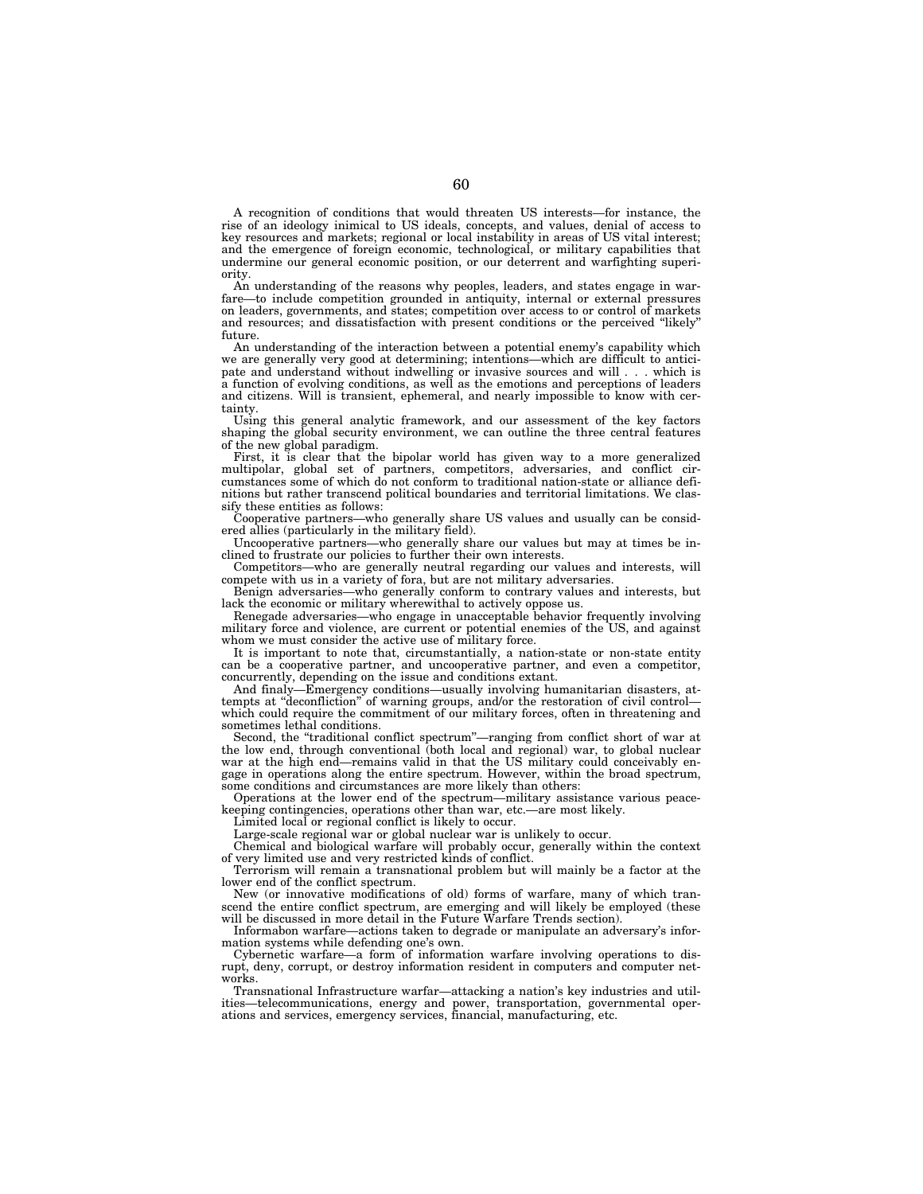A recognition of conditions that would threaten US interests—for instance, the rise of an ideology inimical to US ideals, concepts, and values, denial of access to key resources and markets; regional or local instability in areas of US vital interest; and the emergence of foreign economic, technological, or military capabilities that undermine our general economic position, or our deterrent and warfighting superiority.

An understanding of the reasons why peoples, leaders, and states engage in warfare—to include competition grounded in antiquity, internal or external pressures on leaders, governments, and states; competition over access to or control of markets and resources; and dissatisfaction with present conditions or the perceived ''likely'' future.

An understanding of the interaction between a potential enemy's capability which we are generally very good at determining; intentions—which are difficult to anticipate and understand without indwelling or invasive sources and will . . . which is a function of evolving conditions, as well as the emotions and perceptions of leaders and citizens. Will is transient, ephemeral, and nearly impossible to know with certainty.

Using this general analytic framework, and our assessment of the key factors shaping the global security environment, we can outline the three central features of the new global paradigm.

First, it is clear that the bipolar world has given way to a more generalized multipolar, global set of partners, competitors, adversaries, and conflict circumstances some of which do not conform to traditional nation-state or alliance definitions but rather transcend political boundaries and territorial limitations. We classify these entities as follows:

Cooperative partners—who generally share US values and usually can be considered allies (particularly in the military field).

Uncooperative partners—who generally share our values but may at times be inclined to frustrate our policies to further their own interests.

Competitors—who are generally neutral regarding our values and interests, will compete with us in a variety of fora, but are not military adversaries.

Benign adversaries—who generally conform to contrary values and interests, but lack the economic or military wherewithal to actively oppose us.

Renegade adversaries—who engage in unacceptable behavior frequently involving military force and violence, are current or potential enemies of the US, and against whom we must consider the active use of military force.

It is important to note that, circumstantially, a nation-state or non-state entity can be a cooperative partner, and uncooperative partner, and even a competitor, concurrently, depending on the issue and conditions extant.

And finaly—Emergency conditions—usually involving humanitarian disasters, attempts at ''deconfliction'' of warning groups, and/or the restoration of civil control which could require the commitment of our military forces, often in threatening and sometimes lethal conditions.

Second, the ''traditional conflict spectrum''—ranging from conflict short of war at the low end, through conventional (both local and regional) war, to global nuclear war at the high end—remains valid in that the US military could conceivably engage in operations along the entire spectrum. However, within the broad spectrum, some conditions and circumstances are more likely than others:

Operations at the lower end of the spectrum—military assistance various peacekeeping contingencies, operations other than war, etc.—are most likely.

Limited local or regional conflict is likely to occur.

Large-scale regional war or global nuclear war is unlikely to occur.

Chemical and biological warfare will probably occur, generally within the context of very limited use and very restricted kinds of conflict.

Terrorism will remain a transnational problem but will mainly be a factor at the lower end of the conflict spectrum.

New (or innovative modifications of old) forms of warfare, many of which transcend the entire conflict spectrum, are emerging and will likely be employed (these will be discussed in more detail in the Future Warfare Trends section).

Informabon warfare—actions taken to degrade or manipulate an adversary's information systems while defending one's own.

Cybernetic warfare—a form of information warfare involving operations to disrupt, deny, corrupt, or destroy information resident in computers and computer networks.

Transnational Infrastructure warfar—attacking a nation's key industries and utilities—telecommunications, energy and power, transportation, governmental oper-ations and services, emergency services, financial, manufacturing, etc.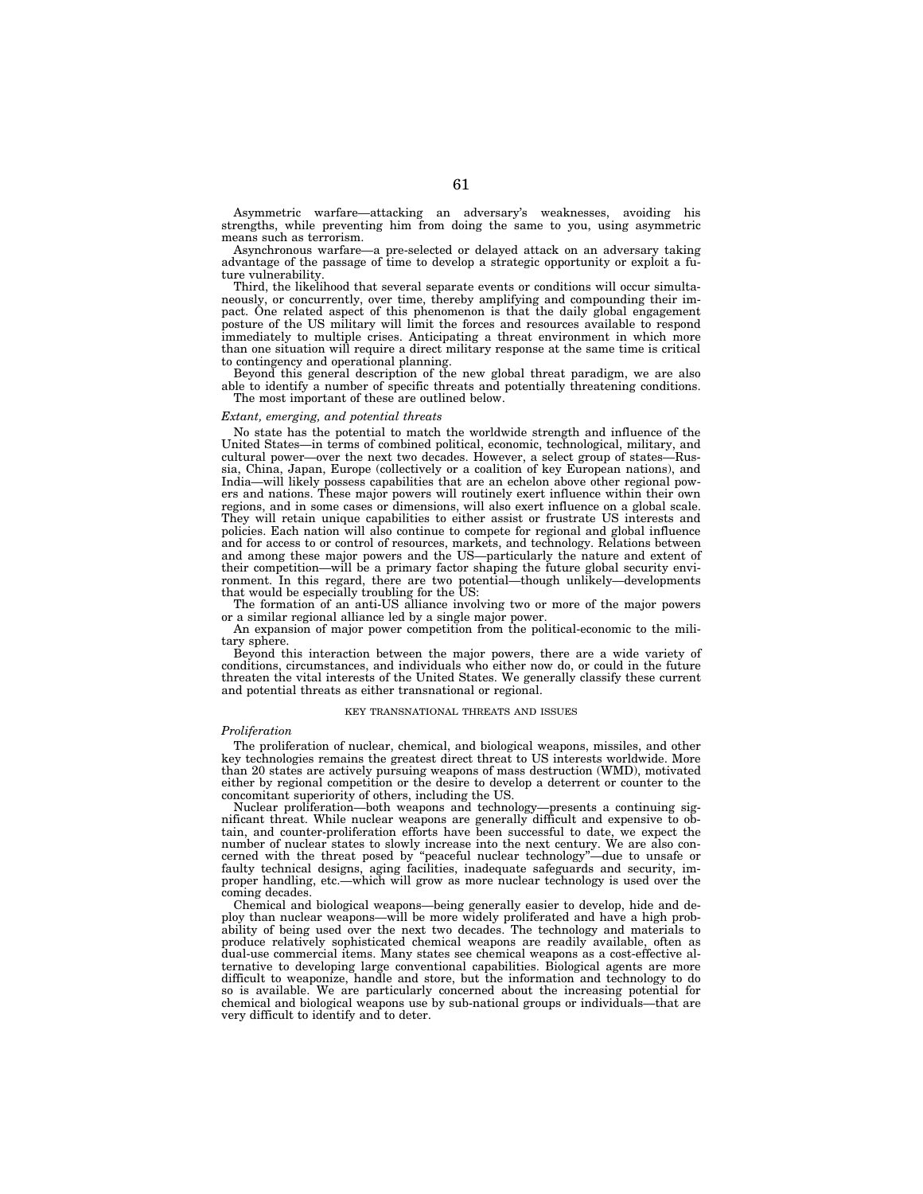Asymmetric warfare—attacking an adversary's weaknesses, avoiding his strengths, while preventing him from doing the same to you, using asymmetric means such as terrorism.

Asynchronous warfare—a pre-selected or delayed attack on an adversary taking advantage of the passage of time to develop a strategic opportunity or exploit a future vulnerability.

Third, the likelihood that several separate events or conditions will occur simultaneously, or concurrently, over time, thereby amplifying and compounding their impact. One related aspect of this phenomenon is that the daily global engagement posture of the US military will limit the forces and resources available to respond immediately to multiple crises. Anticipating a threat environment in which more than one situation will require a direct military response at the same time is critical to contingency and operational planning.

Beyond this general description of the new global threat paradigm, we are also able to identify a number of specific threats and potentially threatening conditions. The most important of these are outlined below.

## *Extant, emerging, and potential threats*

No state has the potential to match the worldwide strength and influence of the United States—in terms of combined political, economic, technological, military, and cultural power—over the next two decades. However, a select group of states—Russia, China, Japan, Europe (collectively or a coalition of key European nations), and India—will likely possess capabilities that are an echelon above other regional powers and nations. These major powers will routinely exert influence within their own regions, and in some cases or dimensions, will also exert influence on a global scale. They will retain unique capabilities to either assist or frustrate US interests and policies. Each nation will also continue to compete for regional and global influence and for access to or control of resources, markets, and technology. Relations between and among these major powers and the US—particularly the nature and extent of their competition—will be a primary factor shaping the future global security environment. In this regard, there are two potential—though unlikely—developments that would be especially troubling for the US:

The formation of an anti-US alliance involving two or more of the major powers or a similar regional alliance led by a single major power.

An expansion of major power competition from the political-economic to the military sphere.

Beyond this interaction between the major powers, there are a wide variety of conditions, circumstances, and individuals who either now do, or could in the future threaten the vital interests of the United States. We generally classify these current and potential threats as either transnational or regional.

## KEY TRANSNATIONAL THREATS AND ISSUES

## *Proliferation*

The proliferation of nuclear, chemical, and biological weapons, missiles, and other key technologies remains the greatest direct threat to US interests worldwide. More than 20 states are actively pursuing weapons of mass destruction (WMD), motivated either by regional competition or the desire to develop a deterrent or counter to the concomitant superiority of others, including the US.

Nuclear proliferation—both weapons and technology—presents a continuing significant threat. While nuclear weapons are generally difficult and expensive to obtain, and counter-proliferation efforts have been successful to date, we expect the number of nuclear states to slowly increase into the next century. We are also concerned with the threat posed by ''peaceful nuclear technology''—due to unsafe or faulty technical designs, aging facilities, inadequate safeguards and security, improper handling, etc.—which will grow as more nuclear technology is used over the coming decades.

Chemical and biological weapons—being generally easier to develop, hide and deploy than nuclear weapons—will be more widely proliferated and have a high probability of being used over the next two decades. The technology and materials to produce relatively sophisticated chemical weapons are readily available, often as dual-use commercial items. Many states see chemical weapons as a cost-effective alternative to developing large conventional capabilities. Biological agents are more difficult to weaponize, handle and store, but the information and technology to do so is available. We are particularly concerned about the increasing potential for chemical and biological weapons use by sub-national groups or individuals—that are very difficult to identify and to deter.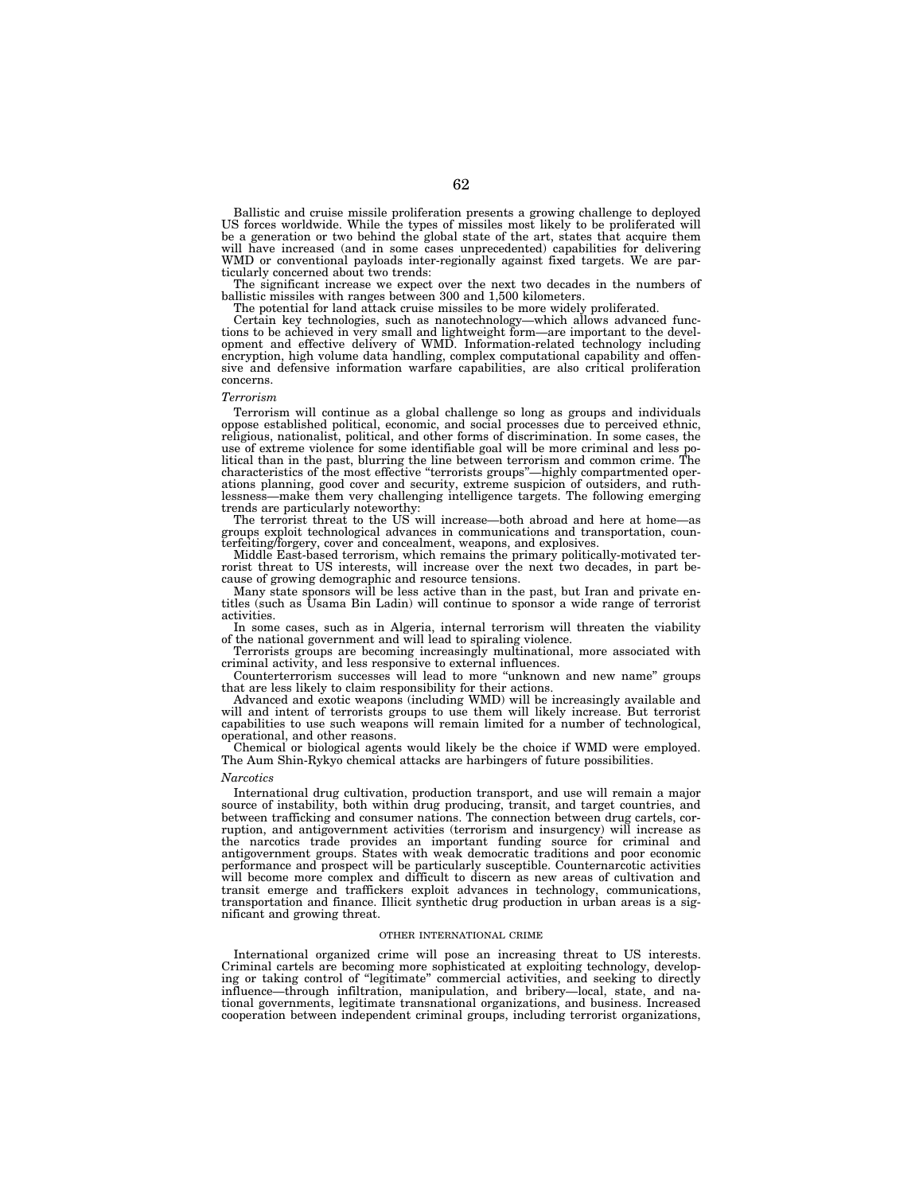Ballistic and cruise missile proliferation presents a growing challenge to deployed US forces worldwide. While the types of missiles most likely to be proliferated will be a generation or two behind the global state of the art, states that acquire them will have increased (and in some cases unprecedented) capabilities for delivering WMD or conventional payloads inter-regionally against fixed targets. We are particularly concerned about two trends:

The significant increase we expect over the next two decades in the numbers of ballistic missiles with ranges between 300 and 1,500 kilometers.

The potential for land attack cruise missiles to be more widely proliferated.

Certain key technologies, such as nanotechnology—which allows advanced func-tions to be achieved in very small and lightweight form—are important to the development and effective delivery of WMD. Information-related technology including encryption, high volume data handling, complex computational capability and offensive and defensive information warfare capabilities, are also critical proliferation concerns.

## *Terrorism*

Terrorism will continue as a global challenge so long as groups and individuals oppose established political, economic, and social processes due to perceived ethnic, religious, nationalist, political, and other forms of discrimination. In some cases, the use of extreme violence for some identifiable goal will be more criminal and less political than in the past, blurring the line between terrorism and common crime. The characteristics of the most effective ''terrorists groups''—highly compartmented operations planning, good cover and security, extreme suspicion of outsiders, and ruth-lessness—make them very challenging intelligence targets. The following emerging trends are particularly noteworthy:

The terrorist threat to the US will increase—both abroad and here at home—as groups exploit technological advances in communications and transportation, counterfeiting/forgery, cover and concealment, weapons, and explosives.

Middle East-based terrorism, which remains the primary politically-motivated terrorist threat to US interests, will increase over the next two decades, in part because of growing demographic and resource tensions.

Many state sponsors will be less active than in the past, but Iran and private entitles (such as Usama Bin Ladin) will continue to sponsor a wide range of terrorist activities.

In some cases, such as in Algeria, internal terrorism will threaten the viability of the national government and will lead to spiraling violence.

Terrorists groups are becoming increasingly multinational, more associated with criminal activity, and less responsive to external influences.

Counterterrorism successes will lead to more ''unknown and new name'' groups that are less likely to claim responsibility for their actions.

Advanced and exotic weapons (including WMD) will be increasingly available and will and intent of terrorists groups to use them will likely increase. But terrorist capabilities to use such weapons will remain limited for a number of technological, operational, and other reasons.

Chemical or biological agents would likely be the choice if WMD were employed. The Aum Shin-Rykyo chemical attacks are harbingers of future possibilities.

#### *Narcotics*

International drug cultivation, production transport, and use will remain a major source of instability, both within drug producing, transit, and target countries, and between trafficking and consumer nations. The connection between drug cartels, corruption, and antigovernment activities (terrorism and insurgency) will increase as the narcotics trade provides an important funding source for criminal and antigovernment groups. States with weak democratic traditions and poor economic performance and prospect will be particularly susceptible. Counternarcotic activities will become more complex and difficult to discern as new areas of cultivation and transit emerge and traffickers exploit advances in technology, communications, transportation and finance. Illicit synthetic drug production in urban areas is a significant and growing threat.

## OTHER INTERNATIONAL CRIME

International organized crime will pose an increasing threat to US interests. Criminal cartels are becoming more sophisticated at exploiting technology, developing or taking control of ''legitimate'' commercial activities, and seeking to directly influence—through infiltration, manipulation, and bribery—local, state, and national governments, legitimate transnational organizations, and business. Increased cooperation between independent criminal groups, including terrorist organizations,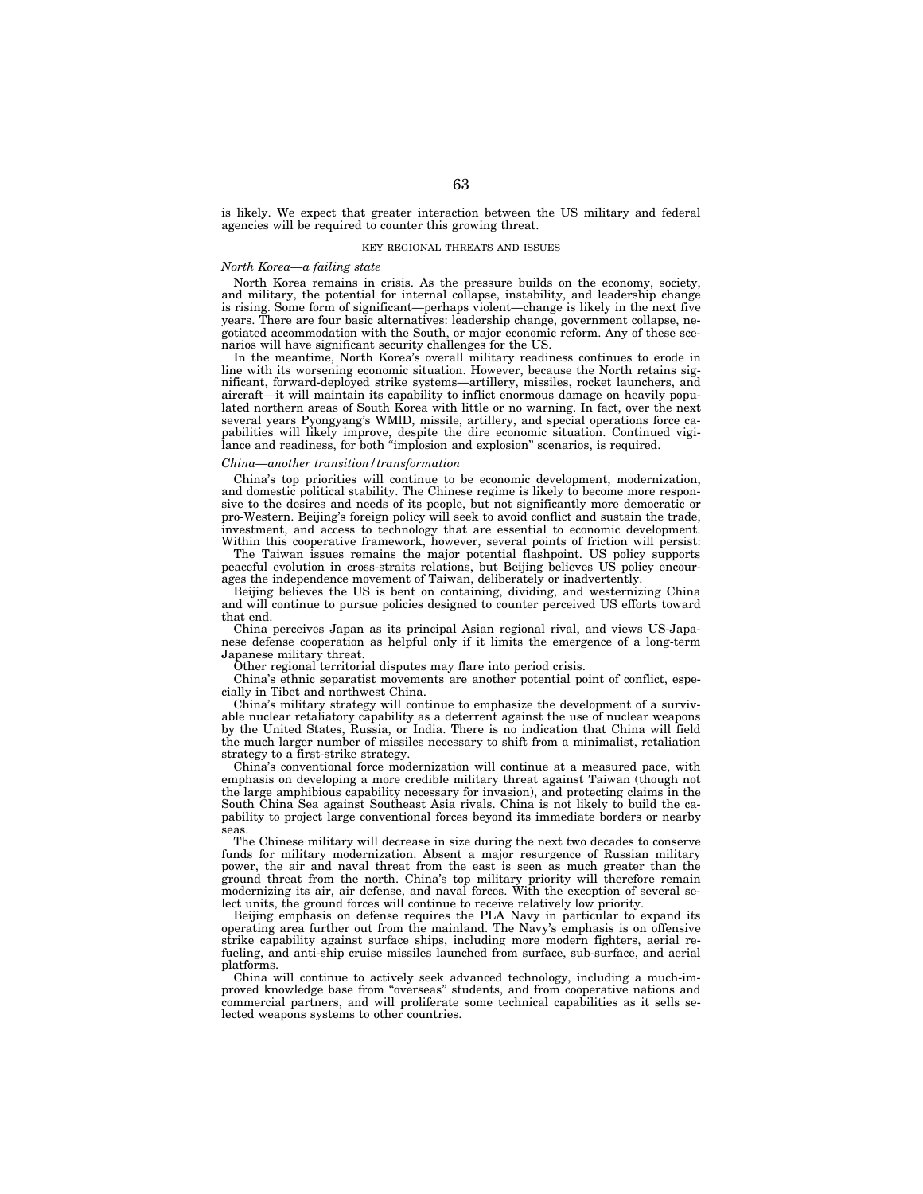is likely. We expect that greater interaction between the US military and federal agencies will be required to counter this growing threat.

## KEY REGIONAL THREATS AND ISSUES

# *North Korea—a failing state*

North Korea remains in crisis. As the pressure builds on the economy, society, and military, the potential for internal collapse, instability, and leadership change is rising. Some form of significant—perhaps violent—change is likely in the next five years. There are four basic alternatives: leadership change, government collapse, negotiated accommodation with the South, or major economic reform. Any of these scenarios will have significant security challenges for the US.

In the meantime, North Korea's overall military readiness continues to erode in line with its worsening economic situation. However, because the North retains significant, forward-deployed strike systems—artillery, missiles, rocket launchers, and aircraft—it will maintain its capability to inflict enormous damage on heavily populated northern areas of South Korea with little or no warning. In fact, over the next several years Pyongyang's WMlD, missile, artillery, and special operations force capabilities will likely improve, despite the dire economic situation. Continued vigilance and readiness, for both ''implosion and explosion'' scenarios, is required.

## *China—another transition/transformation*

China's top priorities will continue to be economic development, modernization, and domestic political stability. The Chinese regime is likely to become more responsive to the desires and needs of its people, but not significantly more democratic or pro-Western. Beijing's foreign policy will seek to avoid conflict and sustain the trade, investment, and access to technology that are essential to economic development. Within this cooperative framework, however, several points of friction will persist:

The Taiwan issues remains the major potential flashpoint. US policy supports peaceful evolution in cross-straits relations, but Beijing believes US policy encourages the independence movement of Taiwan, deliberately or inadvertently.

Beijing believes the US is bent on containing, dividing, and westernizing China and will continue to pursue policies designed to counter perceived US efforts toward that end.

China perceives Japan as its principal Asian regional rival, and views US-Japanese defense cooperation as helpful only if it limits the emergence of a long-term Japanese military threat.

Other regional territorial disputes may flare into period crisis.

China's ethnic separatist movements are another potential point of conflict, especially in Tibet and northwest China.

China's military strategy will continue to emphasize the development of a survivable nuclear retaliatory capability as a deterrent against the use of nuclear weapons by the United States, Russia, or India. There is no indication that China will field the much larger number of missiles necessary to shift from a minimalist, retaliation strategy to a first-strike strategy.

China's conventional force modernization will continue at a measured pace, with emphasis on developing a more credible military threat against Taiwan (though not the large amphibious capability necessary for invasion), and protecting claims in the South China Sea against Southeast Asia rivals. China is not likely to build the capability to project large conventional forces beyond its immediate borders or nearby seas.

The Chinese military will decrease in size during the next two decades to conserve funds for military modernization. Absent a major resurgence of Russian military power, the air and naval threat from the east is seen as much greater than the ground threat from the north. China's top military priority will therefore remain modernizing its air, air defense, and naval forces. With the exception of several select units, the ground forces will continue to receive relatively low priority.

Beijing emphasis on defense requires the PLA Navy in particular to expand its operating area further out from the mainland. The Navy's emphasis is on offensive strike capability against surface ships, including more modern fighters, aerial refueling, and anti-ship cruise missiles launched from surface, sub-surface, and aerial platforms.

China will continue to actively seek advanced technology, including a much-improved knowledge base from ''overseas'' students, and from cooperative nations and commercial partners, and will proliferate some technical capabilities as it sells selected weapons systems to other countries.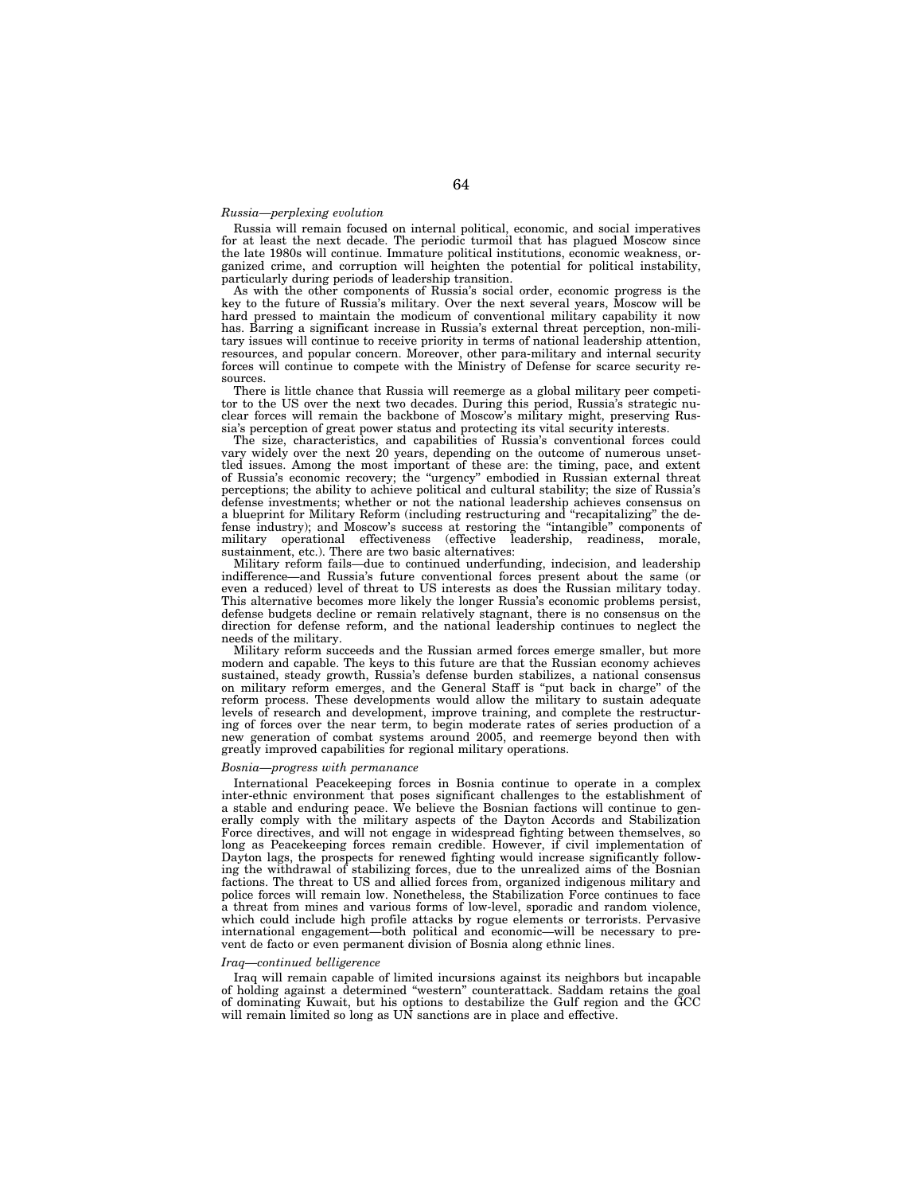## *Russia—perplexing evolution*

Russia will remain focused on internal political, economic, and social imperatives for at least the next decade. The periodic turmoil that has plagued Moscow since the late 1980s will continue. Immature political institutions, economic weakness, organized crime, and corruption will heighten the potential for political instability, particularly during periods of leadership transition.

As with the other components of Russia's social order, economic progress is the key to the future of Russia's military. Over the next several years, Moscow will be hard pressed to maintain the modicum of conventional military capability it now has. Barring a significant increase in Russia's external threat perception, non-military issues will continue to receive priority in terms of national leadership attention, resources, and popular concern. Moreover, other para-military and internal security forces will continue to compete with the Ministry of Defense for scarce security resources.

There is little chance that Russia will reemerge as a global military peer competitor to the US over the next two decades. During this period, Russia's strategic nuclear forces will remain the backbone of Moscow's military might, preserving Russia's perception of great power status and protecting its vital security interests.

The size, characteristics, and capabilities of Russia's conventional forces could vary widely over the next 20 years, depending on the outcome of numerous unsettled issues. Among the most important of these are: the timing, pace, and extent of Russia's economic recovery; the ''urgency'' embodied in Russian external threat perceptions; the ability to achieve political and cultural stability; the size of Russia's defense investments; whether or not the national leadership achieves consensus on a blueprint for Military Reform (including restructuring and ''recapitalizing'' the defense industry); and Moscow's success at restoring the ''intangible'' components of military operational effectiveness (effective leadership, readiness, morale, sustainment, etc.). There are two basic alternatives:

Military reform fails—due to continued underfunding, indecision, and leadership indifference—and Russia's future conventional forces present about the same (or even a reduced) level of threat to US interests as does the Russian military today. This alternative becomes more likely the longer Russia's economic problems persist, defense budgets decline or remain relatively stagnant, there is no consensus on the direction for defense reform, and the national leadership continues to neglect the needs of the military.

Military reform succeeds and the Russian armed forces emerge smaller, but more modern and capable. The keys to this future are that the Russian economy achieves sustained, steady growth, Russia's defense burden stabilizes, a national consensus on military reform emerges, and the General Staff is ''put back in charge'' of the reform process. These developments would allow the military to sustain adequate levels of research and development, improve training, and complete the restructuring of forces over the near term, to begin moderate rates of series production of a new generation of combat systems around 2005, and reemerge beyond then with greatly improved capabilities for regional military operations.

## *Bosnia—progress with permanance*

International Peacekeeping forces in Bosnia continue to operate in a complex inter-ethnic environment that poses significant challenges to the establishment of a stable and enduring peace. We believe the Bosnian factions will continue to generally comply with the military aspects of the Dayton Accords and Stabilization Force directives, and will not engage in widespread fighting between themselves, so long as Peacekeeping forces remain credible. However, if civil implementation of Dayton lags, the prospects for renewed fighting would increase significantly following the withdrawal of stabilizing forces, due to the unrealized aims of the Bosnian factions. The threat to US and allied forces from, organized indigenous military and police forces will remain low. Nonetheless, the Stabilization Force continues to face a threat from mines and various forms of low-level, sporadic and random violence, which could include high profile attacks by rogue elements or terrorists. Pervasive international engagement—both political and economic—will be necessary to prevent de facto or even permanent division of Bosnia along ethnic lines.

## *Iraq—continued belligerence*

Iraq will remain capable of limited incursions against its neighbors but incapable of holding against a determined ''western'' counterattack. Saddam retains the goal of dominating Kuwait, but his options to destabilize the Gulf region and the  $\rm{GCC}$ will remain limited so long as UN sanctions are in place and effective.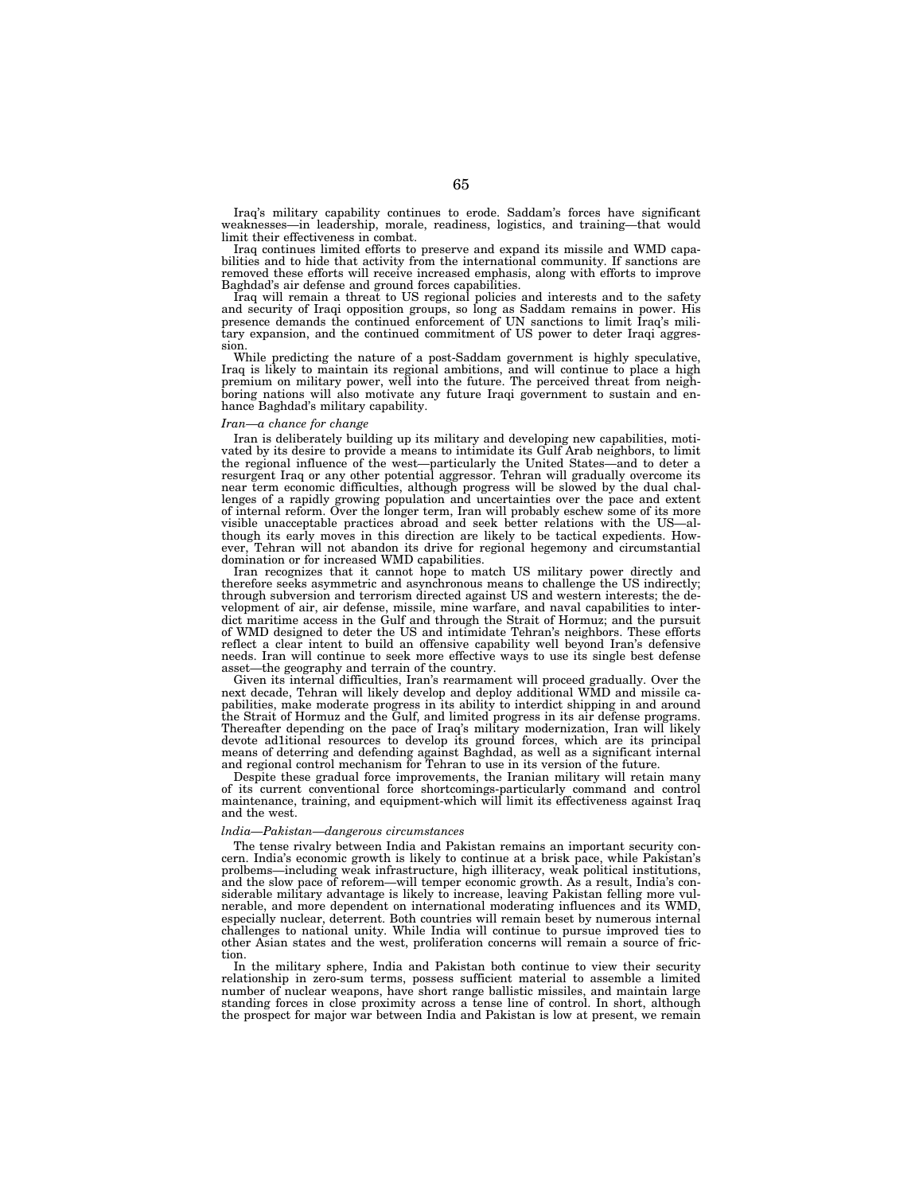Iraq's military capability continues to erode. Saddam's forces have significant weaknesses—in leadership, morale, readiness, logistics, and training—that would limit their effectiveness in combat.

Iraq continues limited efforts to preserve and expand its missile and WMD capabilities and to hide that activity from the international community. If sanctions are removed these efforts will receive increased emphasis, along with efforts to improve Baghdad's air defense and ground forces capabilities.

Iraq will remain a threat to US regional policies and interests and to the safety and security of Iraqi opposition groups, so long as Saddam remains in power. His presence demands the continued enforcement of UN sanctions to limit Iraq's military expansion, and the continued commitment of US power to deter Iraqi aggression.

While predicting the nature of a post-Saddam government is highly speculative, Iraq is likely to maintain its regional ambitions, and will continue to place a high premium on military power, well into the future. The perceived threat from neighboring nations will also motivate any future Iraqi government to sustain and enhance Baghdad's military capability.

## *Iran—a chance for change*

Iran is deliberately building up its military and developing new capabilities, motivated by its desire to provide a means to intimidate its Gulf Arab neighbors, to limit the regional influence of the west—particularly the United States—and to deter a resurgent Iraq or any other potential aggressor. Tehran will gradually overcome its near term economic difficulties, although progress will be slowed by the dual challenges of a rapidly growing population and uncertainties over the pace and extent of internal reform. Over the longer term, Iran will probably eschew some of its more visible unacceptable practices abroad and seek better relations with the US—although its early moves in this direction are likely to be tactical expedients. However, Tehran will not abandon its drive for regional hegemony and circumstantial domination or for increased WMD capabilities.

Iran recognizes that it cannot hope to match US military power directly and therefore seeks asymmetric and asynchronous means to challenge the US indirectly; through subversion and terrorism directed against US and western interests; the development of air, air defense, missile, mine warfare, and naval capabilities to interdict maritime access in the Gulf and through the Strait of Hormuz; and the pursuit of WMD designed to deter the US and intimidate Tehran's neighbors. These efforts reflect a clear intent to build an offensive capability well beyond Iran's defensive needs. Iran will continue to seek more effective ways to use its single best defense asset—the geography and terrain of the country.

Given its internal difficulties, Iran's rearmament will proceed gradually. Over the next decade, Tehran will likely develop and deploy additional WMD and missile capabilities, make moderate progress in its ability to interdict shipping in and around the Strait of Hormuz and the Gulf, and limited progress in its air defense programs. Thereafter depending on the pace of Iraq's military modernization, Iran will likely devote ad1itional resources to develop its ground forces, which are its principal means of deterring and defending against Baghdad, as well as a significant internal and regional control mechanism for Tehran to use in its version of the future.

Despite these gradual force improvements, the Iranian military will retain many of its current conventional force shortcomings-particularly command and control maintenance, training, and equipment-which will limit its effectiveness against Iraq and the west.

## *lndia—Pakistan—dangerous circumstances*

The tense rivalry between India and Pakistan remains an important security concern. India's economic growth is likely to continue at a brisk pace, while Pakistan's prolbems—including weak infrastructure, high illiteracy, weak political institutions, and the slow pace of reforem—will temper economic growth. As a result, India's considerable military advantage is likely to increase, leaving Pakistan felling more vulnerable, and more dependent on international moderating influences and its WMD, especially nuclear, deterrent. Both countries will remain beset by numerous internal challenges to national unity. While India will continue to pursue improved ties to other Asian states and the west, proliferation concerns will remain a source of friction.

In the military sphere, India and Pakistan both continue to view their security relationship in zero-sum terms, possess sufficient material to assemble a limited number of nuclear weapons, have short range ballistic missiles, and maintain large standing forces in close proximity across a tense line of control. In short, although the prospect for major war between India and Pakistan is low at present, we remain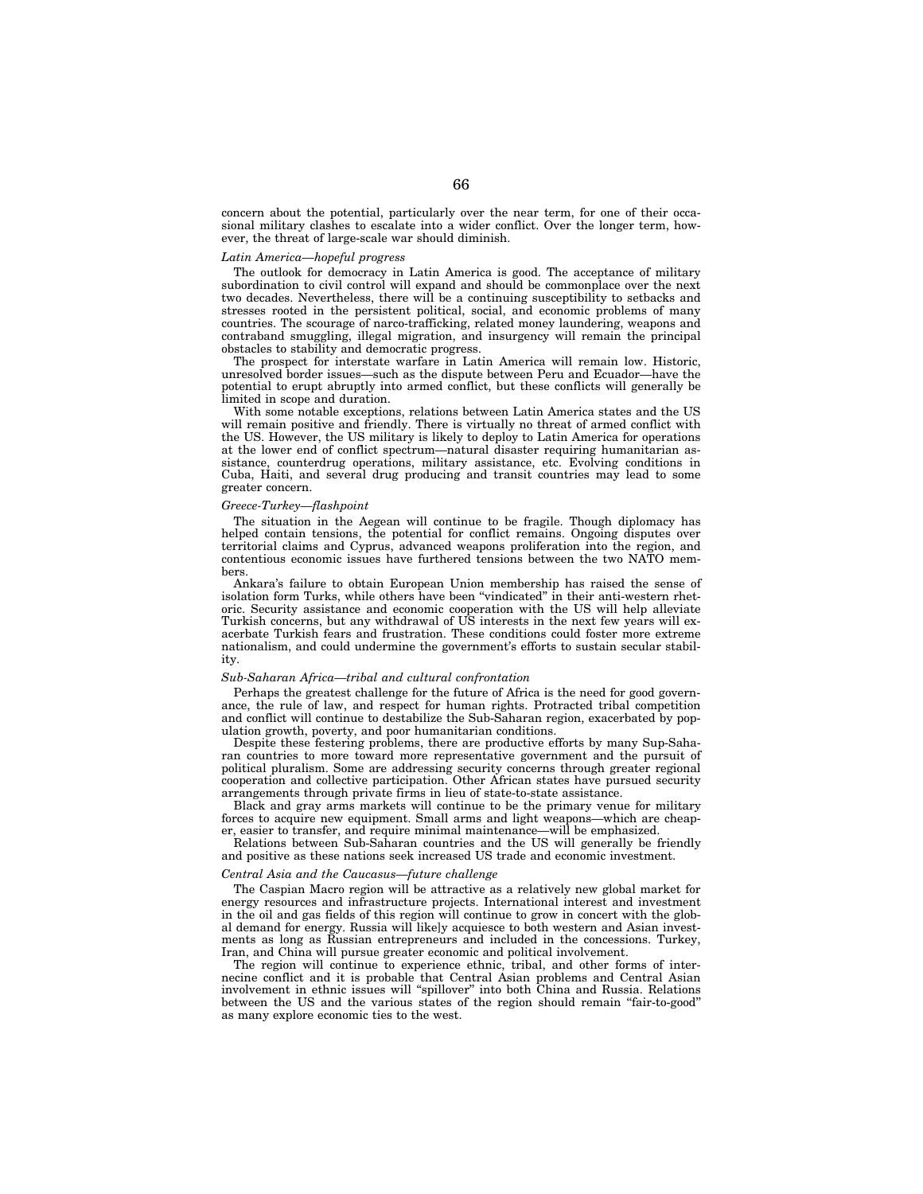concern about the potential, particularly over the near term, for one of their occasional military clashes to escalate into a wider conflict. Over the longer term, however, the threat of large-scale war should diminish.

# *Latin America—hopeful progress*

The outlook for democracy in Latin America is good. The acceptance of military subordination to civil control will expand and should be commonplace over the next two decades. Nevertheless, there will be a continuing susceptibility to setbacks and stresses rooted in the persistent political, social, and economic problems of many countries. The scourage of narco-trafficking, related money laundering, weapons and contraband smuggling, illegal migration, and insurgency will remain the principal obstacles to stability and democratic progress.

The prospect for interstate warfare in Latin America will remain low. Historic, unresolved border issues—such as the dispute between Peru and Ecuador—have the potential to erupt abruptly into armed conflict, but these conflicts will generally be limited in scope and duration.

With some notable exceptions, relations between Latin America states and the US will remain positive and friendly. There is virtually no threat of armed conflict with the US. However, the US military is likely to deploy to Latin America for operations at the lower end of conflict spectrum—natural disaster requiring humanitarian assistance, counterdrug operations, military assistance, etc. Evolving conditions in Cuba, Haiti, and several drug producing and transit countries may lead to some greater concern.

### *Greece-Turkey—flashpoint*

The situation in the Aegean will continue to be fragile. Though diplomacy has helped contain tensions, the potential for conflict remains. Ongoing disputes over territorial claims and Cyprus, advanced weapons proliferation into the region, and contentious economic issues have furthered tensions between the two NATO members.

Ankara's failure to obtain European Union membership has raised the sense of isolation form Turks, while others have been "vindicated" in their anti-western rhetoric. Security assistance and economic cooperation with the US will help alleviate Turkish concerns, but any withdrawal of US interests in the next few years will exacerbate Turkish fears and frustration. These conditions could foster more extreme nationalism, and could undermine the government's efforts to sustain secular stability.

# *Sub-Saharan Africa—tribal and cultural confrontation*

Perhaps the greatest challenge for the future of Africa is the need for good governance, the rule of law, and respect for human rights. Protracted tribal competition and conflict will continue to destabilize the Sub-Saharan region, exacerbated by population growth, poverty, and poor humanitarian conditions.

Despite these festering problems, there are productive efforts by many Sup-Saharan countries to more toward more representative government and the pursuit of political pluralism. Some are addressing security concerns through greater regional cooperation and collective participation. Other African states have pursued security arrangements through private firms in lieu of state-to-state assistance.

Black and gray arms markets will continue to be the primary venue for military forces to acquire new equipment. Small arms and light weapons—which are cheaper, easier to transfer, and require minimal maintenance—will be emphasized.

Relations between Sub-Saharan countries and the US will generally be friendly and positive as these nations seek increased US trade and economic investment.

### *Central Asia and the Caucasus—future challenge*

The Caspian Macro region will be attractive as a relatively new global market for energy resources and infrastructure projects. International interest and investment in the oil and gas fields of this region will continue to grow in concert with the global demand for energy. Russia will like]y acquiesce to both western and Asian investments as long as Russian entrepreneurs and included in the concessions. Turkey, Iran, and China will pursue greater economic and political involvement.

The region will continue to experience ethnic, tribal, and other forms of internecine conflict and it is probable that Central Asian problems and Central Asian involvement in ethnic issues will ''spillover'' into both China and Russia. Relations between the US and the various states of the region should remain ''fair-to-good'' as many explore economic ties to the west.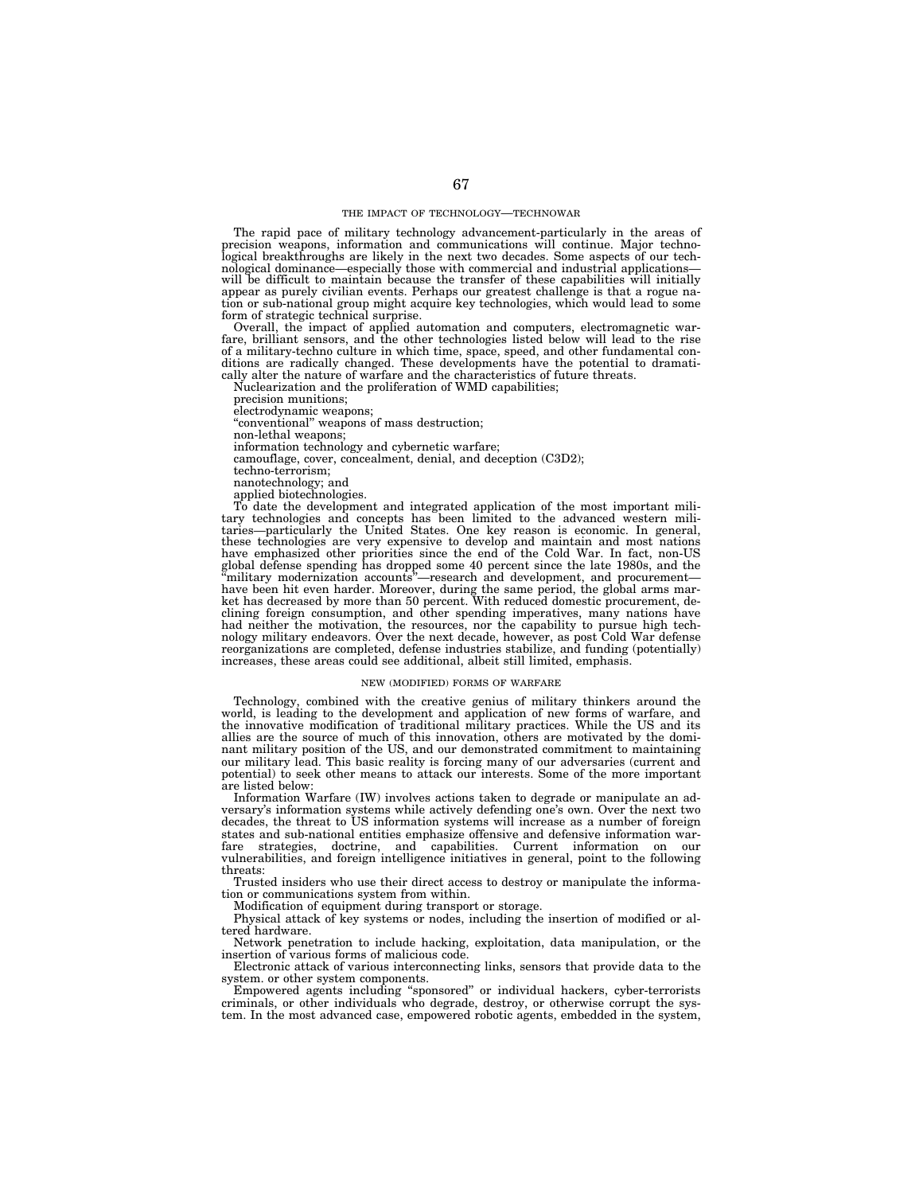#### THE IMPACT OF TECHNOLOGY—TECHNOWAR

The rapid pace of military technology advancement-particularly in the areas of precision weapons, information and communications will continue. Major technological breakthroughs are likely in the next two decades. Some aspects of our technological dominance—especially those with commercial and industrial applications will be difficult to maintain because the transfer of these capabilities will initially appear as purely civilian events. Perhaps our greatest challenge is that a rogue nation or sub-national group might acquire key technologies, which would lead to some form of strategic technical surprise.

Overall, the impact of applied automation and computers, electromagnetic war-fare, brilliant sensors, and the other technologies listed below will lead to the rise of a military-techno culture in which time, space, speed, and other fundamental con-ditions are radically changed. These developments have the potential to dramatically alter the nature of warfare and the characteristics of future threats. Nuclearization and the proliferation of WMD capabilities;

precision munitions;

electrodynamic weapons;

"conventional" weapons of mass destruction;

non-lethal weapons;

information technology and cybernetic warfare;

camouflage, cover, concealment, denial, and deception (C3D2);

techno-terrorism;

nanotechnology; and

applied biotechnologies. To date the development and integrated application of the most important military technologies and concepts has been limited to the advanced western mili-taries—particularly the United States. One key reason is economic. In general, these technologies are very expensive to develop and maintain and most nations have emphasized other priorities since the end of the Cold War. In fact, non-US global defense spending has dropped some 40 percent since the late 1980s, and the<br>"military modernization accounts"—research and development, and procurement—<br>have been hit even harder. Moreover, during the same period, th nology military endeavors. Over the next decade, however, as post Cold War defense reorganizations are completed, defense industries stabilize, and funding (potentially) increases, these areas could see additional, albeit still limited, emphasis.

#### NEW (MODIFIED) FORMS OF WARFARE

Technology, combined with the creative genius of military thinkers around the world, is leading to the development and application of new forms of warfare, and the innovative modification of traditional military practices. While the US and its allies are the source of much of this innovation, others are motivated by the dominant military position of the US, and our demonstrated commitment to maintaining our military lead. This basic reality is forcing many of our adversaries (current and potential) to seek other means to attack our interests. Some of the more important are listed below:

Information Warfare (IW) involves actions taken to degrade or manipulate an adversary's information systems while actively defending one's own. Over the next two decades, the threat to US information systems will increase as a number of foreign states and sub-national entities emphasize offensive and defensive information warfare strategies, doctrine, and capabilities. Current information on our vulnerabilities, and foreign intelligence initiatives in general, point to the following threats:

Trusted insiders who use their direct access to destroy or manipulate the information or communications system from within.

Modification of equipment during transport or storage.

Physical attack of key systems or nodes, including the insertion of modified or altered hardware.

Network penetration to include hacking, exploitation, data manipulation, or the insertion of various forms of malicious code.

Electronic attack of various interconnecting links, sensors that provide data to the system. or other system components.

Empowered agents including ''sponsored'' or individual hackers, cyber-terrorists criminals, or other individuals who degrade, destroy, or otherwise corrupt the system. In the most advanced case, empowered robotic agents, embedded in the system,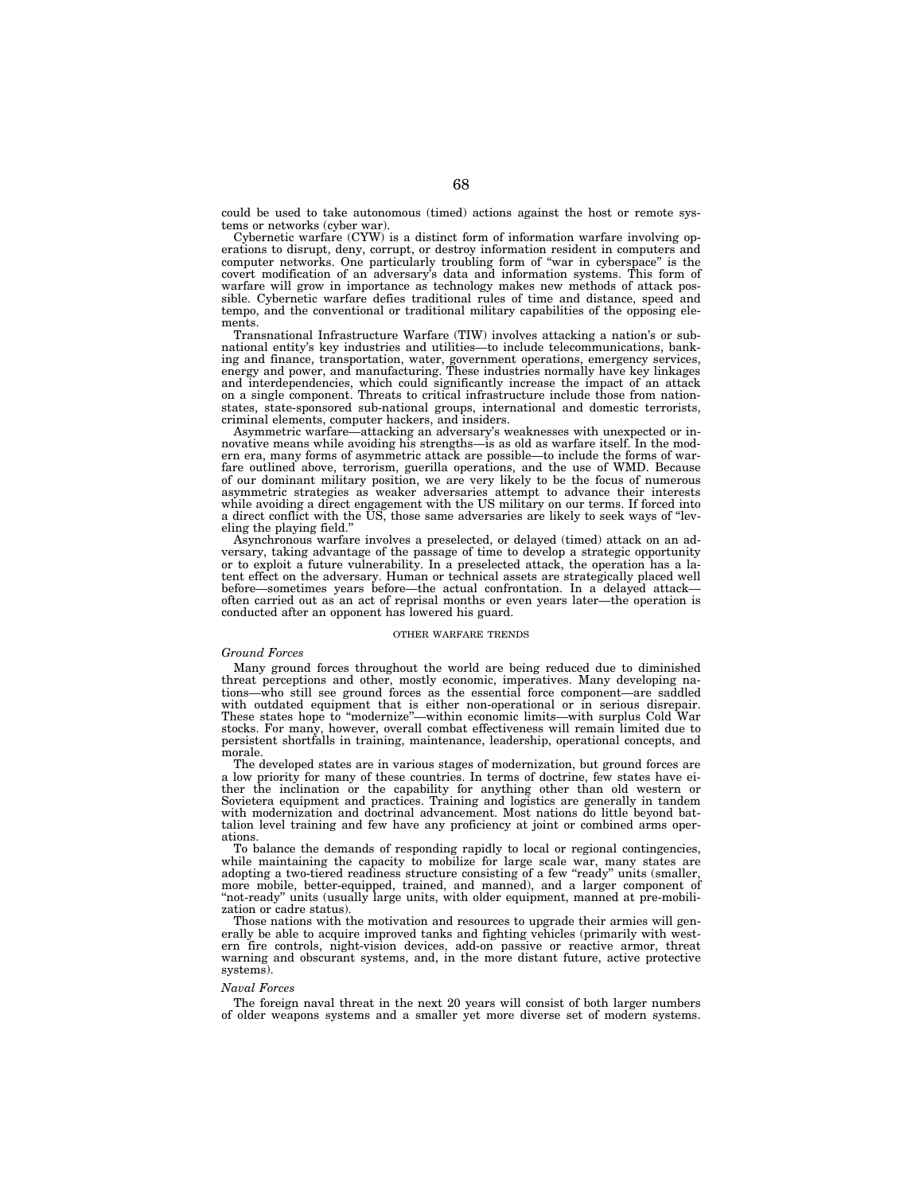could be used to take autonomous (timed) actions against the host or remote systems or networks (cyber war).

Cybernetic warfare (CYW) is a distinct form of information warfare involving operations to disrupt, deny, corrupt, or destroy information resident in computers and computer networks. One particularly troubling form of ''war in cyberspace'' is the covert modification of an adversary's data and information systems. This form of warfare will grow in importance as technology makes new methods of attack possible. Cybernetic warfare defies traditional rules of time and distance, speed and tempo, and the conventional or traditional military capabilities of the opposing elements.

Transnational Infrastructure Warfare (TIW) involves attacking a nation's or subnational entity's key industries and utilities—to include telecommunications, banking and finance, transportation, water, government operations, emergency services, energy and power, and manufacturing. These industries normally have key linkages and interdependencies, which could significantly increase the impact of an attack on a single component. Threats to critical infrastructure include those from nationstates, state-sponsored sub-national groups, international and domestic terrorists, criminal elements, computer hackers, and insiders.

Asymmetric warfare—attacking an adversary's weaknesses with unexpected or innovative means while avoiding his strengths—is as old as warfare itself. In the modern era, many forms of asymmetric attack are possible—to include the forms of warfare outlined above, terrorism, guerilla operations, and the use of WMD. Because of our dominant military position, we are very likely to be the focus of numerous asymmetric strategies as weaker adversaries attempt to advance their interests while avoiding a direct engagement with the US military on our terms. If forced into a direct conflict with the US, those same adversaries are likely to seek ways of "leveling the playing field.''

Asynchronous warfare involves a preselected, or delayed (timed) attack on an adversary, taking advantage of the passage of time to develop a strategic opportunity or to exploit a future vulnerability. In a preselected attack, the operation has a latent effect on the adversary. Human or technical assets are strategically placed well before—sometimes years before—the actual confrontation. In a delayed attack often carried out as an act of reprisal months or even years later—the operation is conducted after an opponent has lowered his guard.

#### OTHER WARFARE TRENDS

# *Ground Forces*

Many ground forces throughout the world are being reduced due to diminished threat perceptions and other, mostly economic, imperatives. Many developing nations—who still see ground forces as the essential force component—are saddled with outdated equipment that is either non-operational or in serious disrepair. These states hope to ''modernize''—within economic limits—with surplus Cold War stocks. For many, however, overall combat effectiveness will remain limited due to persistent shortfalls in training, maintenance, leadership, operational concepts, and morale.

The developed states are in various stages of modernization, but ground forces are a low priority for many of these countries. In terms of doctrine, few states have either the inclination or the capability for anything other than old western or Sovietera equipment and practices. Training and logistics are generally in tandem with modernization and doctrinal advancement. Most nations do little beyond battalion level training and few have any proficiency at joint or combined arms operations.

To balance the demands of responding rapidly to local or regional contingencies, while maintaining the capacity to mobilize for large scale war, many states are adopting a two-tiered readiness structure consisting of a few "ready" units (smaller, more mobile, better-equipped, trained, and manned), and a larger component of ''not-ready'' units (usually large units, with older equipment, manned at pre-mobilization or cadre status).

Those nations with the motivation and resources to upgrade their armies will generally be able to acquire improved tanks and fighting vehicles (primarily with western fire controls, night-vision devices, add-on passive or reactive armor, threat warning and obscurant systems, and, in the more distant future, active protective systems).

## *Naval Forces*

The foreign naval threat in the next 20 years will consist of both larger numbers of older weapons systems and a smaller yet more diverse set of modern systems.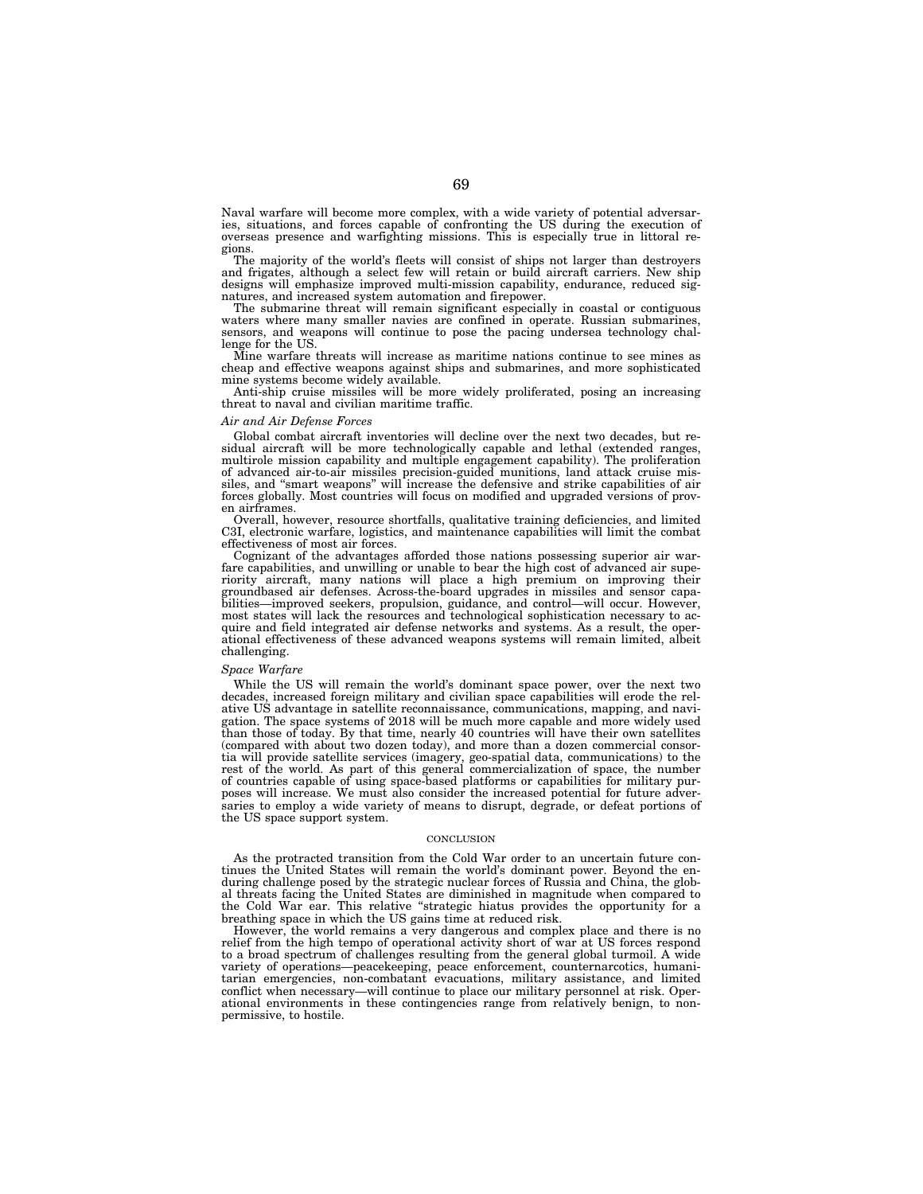Naval warfare will become more complex, with a wide variety of potential adversaries, situations, and forces capable of confronting the US during the execution of overseas presence and warfighting missions. This is especially true in littoral regions.

The majority of the world's fleets will consist of ships not larger than destroyers and frigates, although a select few will retain or build aircraft carriers. New ship designs will emphasize improved multi-mission capability, endurance, reduced signatures, and increased system automation and firepower.

The submarine threat will remain significant especially in coastal or contiguous waters where many smaller navies are confined in operate. Russian submarines, sensors, and weapons will continue to pose the pacing undersea technology challenge for the US.

Mine warfare threats will increase as maritime nations continue to see mines as cheap and effective weapons against ships and submarines, and more sophisticated mine systems become widely available.

Anti-ship cruise missiles will be more widely proliferated, posing an increasing threat to naval and civilian maritime traffic.

## *Air and Air Defense Forces*

Global combat aircraft inventories will decline over the next two decades, but residual aircraft will be more technologically capable and lethal (extended ranges, multirole mission capability and multiple engagement capability). The proliferation of advanced air-to-air missiles precision-guided munitions, land attack cruise missiles, and ''smart weapons'' will increase the defensive and strike capabilities of air forces globally. Most countries will focus on modified and upgraded versions of proven airframes.

Overall, however, resource shortfalls, qualitative training deficiencies, and limited C3I, electronic warfare, logistics, and maintenance capabilities will limit the combat effectiveness of most air forces.

Cognizant of the advantages afforded those nations possessing superior air warfare capabilities, and unwilling or unable to bear the high cost of advanced air superiority aircraft, many nations will place a high premium on improving their groundbased air defenses. Across-the-board upgrades in missiles and sensor capabilities—improved seekers, propulsion, guidance, and control—will occur. However, most states will lack the resources and technological sophistication necessary to acquire and field integrated air defense networks and systems. As a result, the operational effectiveness of these advanced weapons systems will remain limited, albeit challenging.

## *Space Warfare*

While the US will remain the world's dominant space power, over the next two decades, increased foreign military and civilian space capabilities will erode the relative US advantage in satellite reconnaissance, communications, mapping, and navigation. The space systems of 2018 will be much more capable and more widely used than those of today. By that time, nearly 40 countries will have their own satellites (compared with about two dozen today), and more than a dozen commercial consortia will provide satellite services (imagery, geo-spatial data, communications) to the rest of the world. As part of this general commercialization of space, the number of countries capable of using space-based platforms or capabilities for military purposes will increase. We must also consider the increased potential for future adversaries to employ a wide variety of means to disrupt, degrade, or defeat portions of the US space support system.

#### **CONCLUSION**

As the protracted transition from the Cold War order to an uncertain future continues the United States will remain the world's dominant power. Beyond the enduring challenge posed by the strategic nuclear forces of Russia and China, the global threats facing the United States are diminished in magnitude when compared to the Cold War ear. This relative ''strategic hiatus provides the opportunity for a breathing space in which the US gains time at reduced risk.

However, the world remains a very dangerous and complex place and there is no relief from the high tempo of operational activity short of war at US forces respond to a broad spectrum of challenges resulting from the general global turmoil. A wide variety of operations—peacekeeping, peace enforcement, counternarcotics, humanitarian emergencies, non-combatant evacuations, military assistance, and limited conflict when necessary—will continue to place our military personnel at risk. Operational environments in these contingencies range from relatively benign, to nonpermissive, to hostile.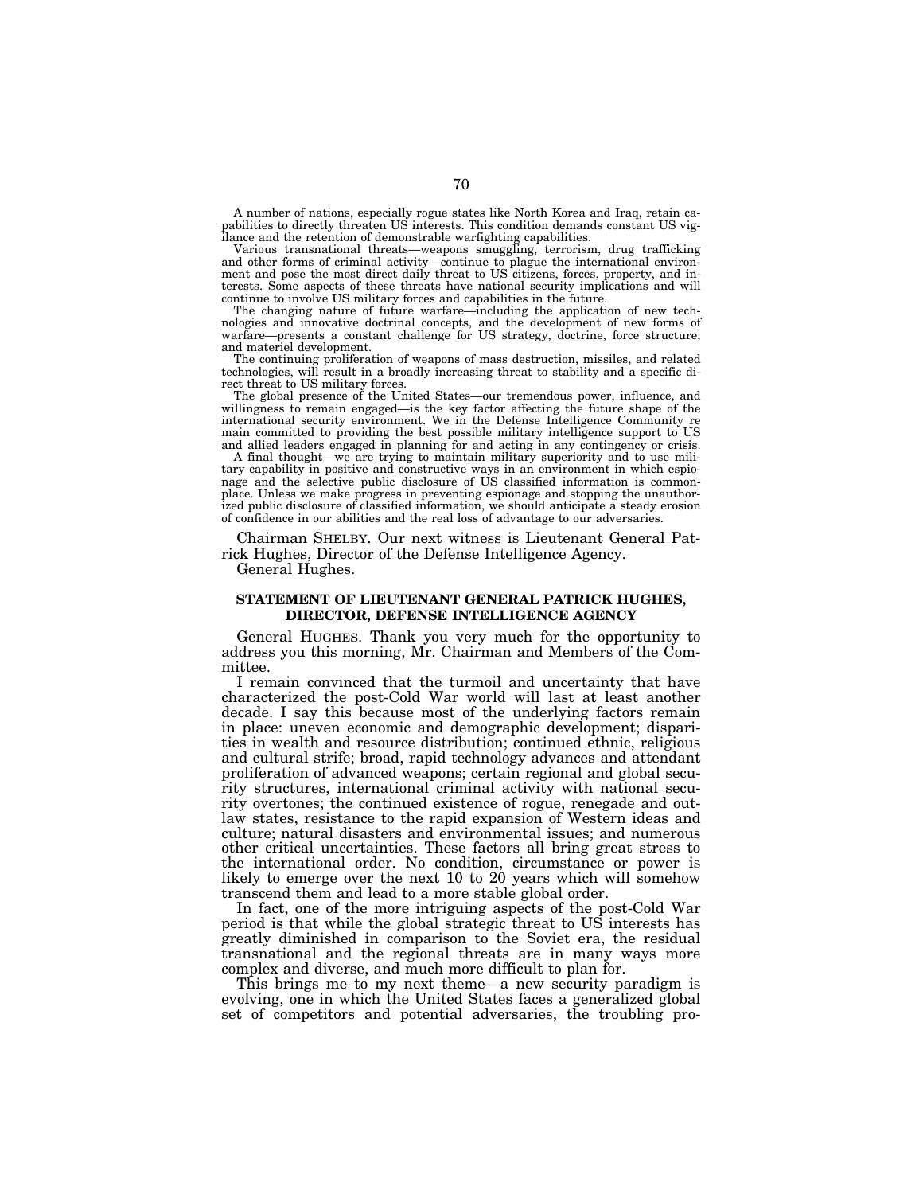A number of nations, especially rogue states like North Korea and Iraq, retain capabilities to directly threaten US interests. This condition demands constant US vigilance and the retention of demonstrable warfighting capabilities.

Various transnational threats—weapons smuggling, terrorism, drug trafficking and other forms of criminal activity—continue to plague the international environment and pose the most direct daily threat to US citizens, forces, property, and interests. Some aspects of these threats have national security implications and will continue to involve US military forces and capabilities in the future.

The changing nature of future warfare—including the application of new technologies and innovative doctrinal concepts, and the development of new forms of warfare—presents a constant challenge for US strategy, doctrine, force structure, and materiel development.

The continuing proliferation of weapons of mass destruction, missiles, and related technologies, will result in a broadly increasing threat to stability and a specific direct threat to US military forces.

The global presence of the United States—our tremendous power, influence, and willingness to remain engaged—is the key factor affecting the future shape of the international security environment. We in the Defense Intelligence Community re main committed to providing the best possible military intelligence support to US and allied leaders engaged in planning for and acting in any contingency or crisis.

A final thought—we are trying to maintain military superiority and to use military capability in positive and constructive ways in an environment in which espionage and the selective public disclosure of US classified information is commonplace. Unless we make progress in preventing espionage and stopping the unauthorized public disclosure of classified information, we should anticipate a steady erosion of confidence in our abilities and the real loss of advantage to our adversaries.

Chairman SHELBY. Our next witness is Lieutenant General Patrick Hughes, Director of the Defense Intelligence Agency.

General Hughes.

# **STATEMENT OF LIEUTENANT GENERAL PATRICK HUGHES, DIRECTOR, DEFENSE INTELLIGENCE AGENCY**

General HUGHES. Thank you very much for the opportunity to address you this morning, Mr. Chairman and Members of the Committee.

I remain convinced that the turmoil and uncertainty that have characterized the post-Cold War world will last at least another decade. I say this because most of the underlying factors remain in place: uneven economic and demographic development; disparities in wealth and resource distribution; continued ethnic, religious and cultural strife; broad, rapid technology advances and attendant proliferation of advanced weapons; certain regional and global security structures, international criminal activity with national security overtones; the continued existence of rogue, renegade and outlaw states, resistance to the rapid expansion of Western ideas and culture; natural disasters and environmental issues; and numerous other critical uncertainties. These factors all bring great stress to the international order. No condition, circumstance or power is likely to emerge over the next 10 to 20 years which will somehow transcend them and lead to a more stable global order.

In fact, one of the more intriguing aspects of the post-Cold War period is that while the global strategic threat to US interests has greatly diminished in comparison to the Soviet era, the residual transnational and the regional threats are in many ways more complex and diverse, and much more difficult to plan for.

This brings me to my next theme—a new security paradigm is evolving, one in which the United States faces a generalized global set of competitors and potential adversaries, the troubling pro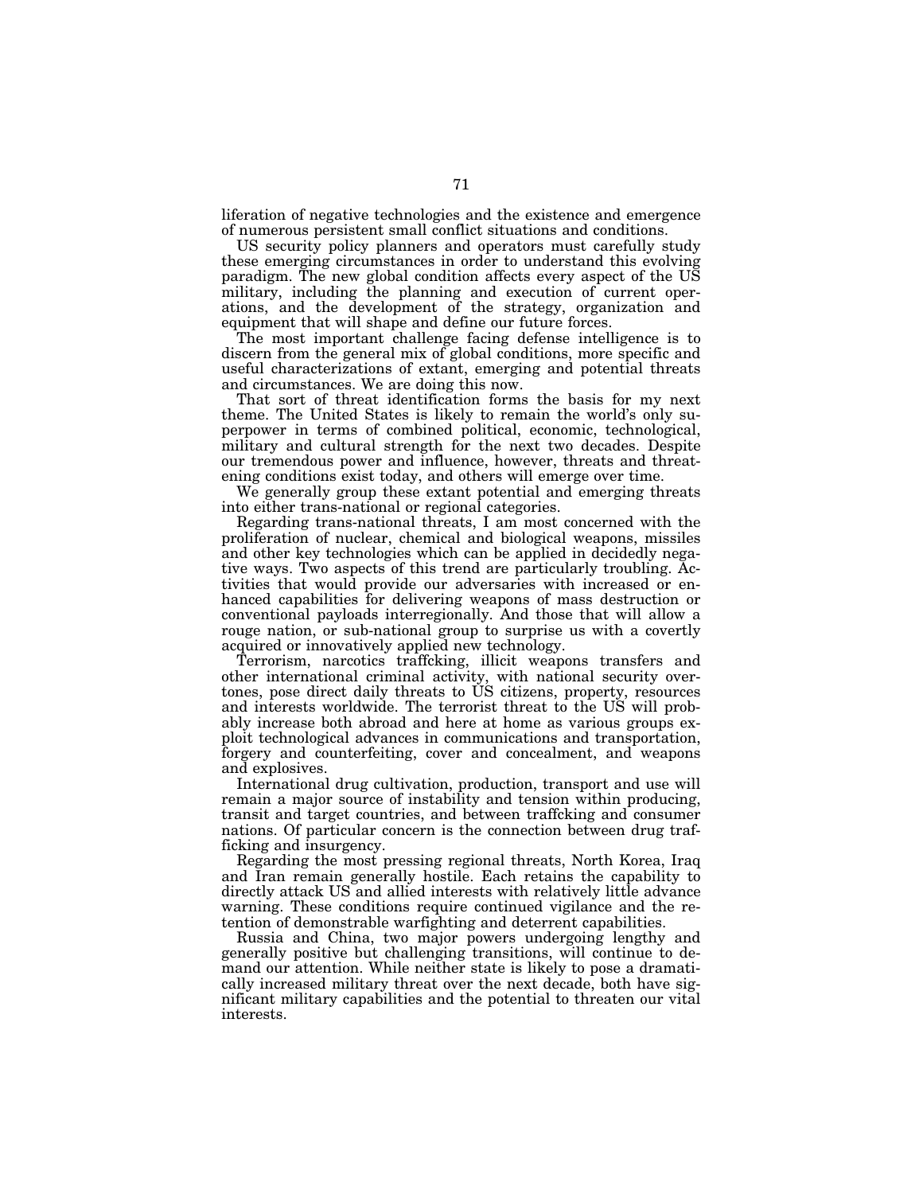liferation of negative technologies and the existence and emergence of numerous persistent small conflict situations and conditions.

US security policy planners and operators must carefully study these emerging circumstances in order to understand this evolving paradigm. The new global condition affects every aspect of the US military, including the planning and execution of current operations, and the development of the strategy, organization and equipment that will shape and define our future forces.

The most important challenge facing defense intelligence is to discern from the general mix of global conditions, more specific and useful characterizations of extant, emerging and potential threats and circumstances. We are doing this now.

That sort of threat identification forms the basis for my next theme. The United States is likely to remain the world's only superpower in terms of combined political, economic, technological, military and cultural strength for the next two decades. Despite our tremendous power and influence, however, threats and threatening conditions exist today, and others will emerge over time.

We generally group these extant potential and emerging threats into either trans-national or regional categories.

Regarding trans-national threats, I am most concerned with the proliferation of nuclear, chemical and biological weapons, missiles and other key technologies which can be applied in decidedly negative ways. Two aspects of this trend are particularly troubling. Activities that would provide our adversaries with increased or enhanced capabilities for delivering weapons of mass destruction or conventional payloads interregionally. And those that will allow a rouge nation, or sub-national group to surprise us with a covertly acquired or innovatively applied new technology.

Terrorism, narcotics traffcking, illicit weapons transfers and other international criminal activity, with national security overtones, pose direct daily threats to US citizens, property, resources and interests worldwide. The terrorist threat to the US will probably increase both abroad and here at home as various groups exploit technological advances in communications and transportation, forgery and counterfeiting, cover and concealment, and weapons and explosives.

International drug cultivation, production, transport and use will remain a major source of instability and tension within producing, transit and target countries, and between traffcking and consumer nations. Of particular concern is the connection between drug trafficking and insurgency.

Regarding the most pressing regional threats, North Korea, Iraq and Iran remain generally hostile. Each retains the capability to directly attack US and allied interests with relatively little advance warning. These conditions require continued vigilance and the retention of demonstrable warfighting and deterrent capabilities.

Russia and China, two major powers undergoing lengthy and generally positive but challenging transitions, will continue to demand our attention. While neither state is likely to pose a dramatically increased military threat over the next decade, both have significant military capabilities and the potential to threaten our vital interests.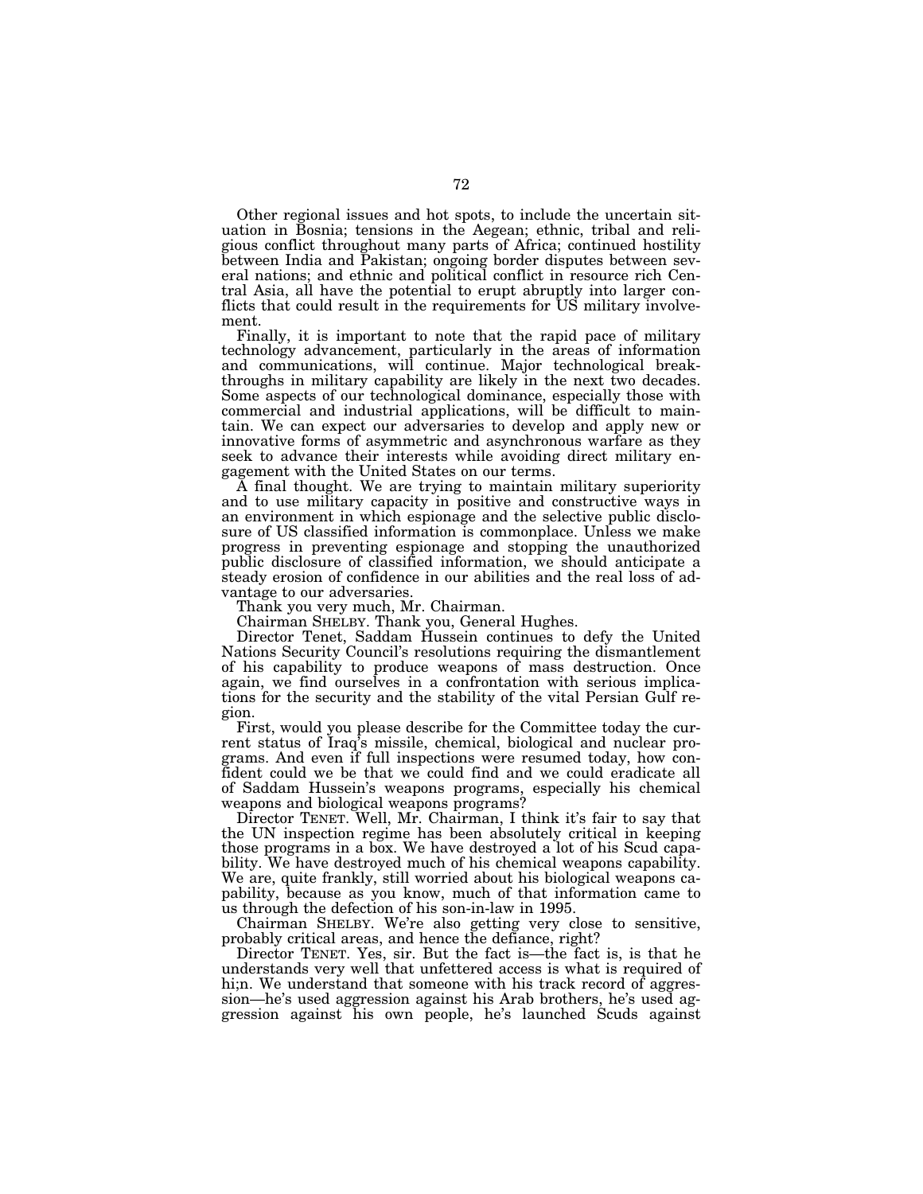Other regional issues and hot spots, to include the uncertain situation in Bosnia; tensions in the Aegean; ethnic, tribal and religious conflict throughout many parts of Africa; continued hostility between India and Pakistan; ongoing border disputes between several nations; and ethnic and political conflict in resource rich Central Asia, all have the potential to erupt abruptly into larger conflicts that could result in the requirements for US military involvement.

Finally, it is important to note that the rapid pace of military technology advancement, particularly in the areas of information and communications, will continue. Major technological breakthroughs in military capability are likely in the next two decades. Some aspects of our technological dominance, especially those with commercial and industrial applications, will be difficult to maintain. We can expect our adversaries to develop and apply new or innovative forms of asymmetric and asynchronous warfare as they seek to advance their interests while avoiding direct military engagement with the United States on our terms.

A final thought. We are trying to maintain military superiority and to use military capacity in positive and constructive ways in an environment in which espionage and the selective public disclosure of US classified information is commonplace. Unless we make progress in preventing espionage and stopping the unauthorized public disclosure of classified information, we should anticipate a steady erosion of confidence in our abilities and the real loss of advantage to our adversaries.

Thank you very much, Mr. Chairman.

Chairman SHELBY. Thank you, General Hughes.

Director Tenet, Saddam Hussein continues to defy the United Nations Security Council's resolutions requiring the dismantlement of his capability to produce weapons of mass destruction. Once again, we find ourselves in a confrontation with serious implications for the security and the stability of the vital Persian Gulf region.

First, would you please describe for the Committee today the current status of Iraq's missile, chemical, biological and nuclear programs. And even if full inspections were resumed today, how confident could we be that we could find and we could eradicate all of Saddam Hussein's weapons programs, especially his chemical weapons and biological weapons programs?

Director TENET. Well, Mr. Chairman, I think it's fair to say that the UN inspection regime has been absolutely critical in keeping those programs in a box. We have destroyed a lot of his Scud capability. We have destroyed much of his chemical weapons capability. We are, quite frankly, still worried about his biological weapons capability, because as you know, much of that information came to us through the defection of his son-in-law in 1995.

Chairman SHELBY. We're also getting very close to sensitive, probably critical areas, and hence the defiance, right?

Director TENET. Yes, sir. But the fact is—the fact is, is that he understands very well that unfettered access is what is required of hi;n. We understand that someone with his track record of aggression—he's used aggression against his Arab brothers, he's used aggression against his own people, he's launched Scuds against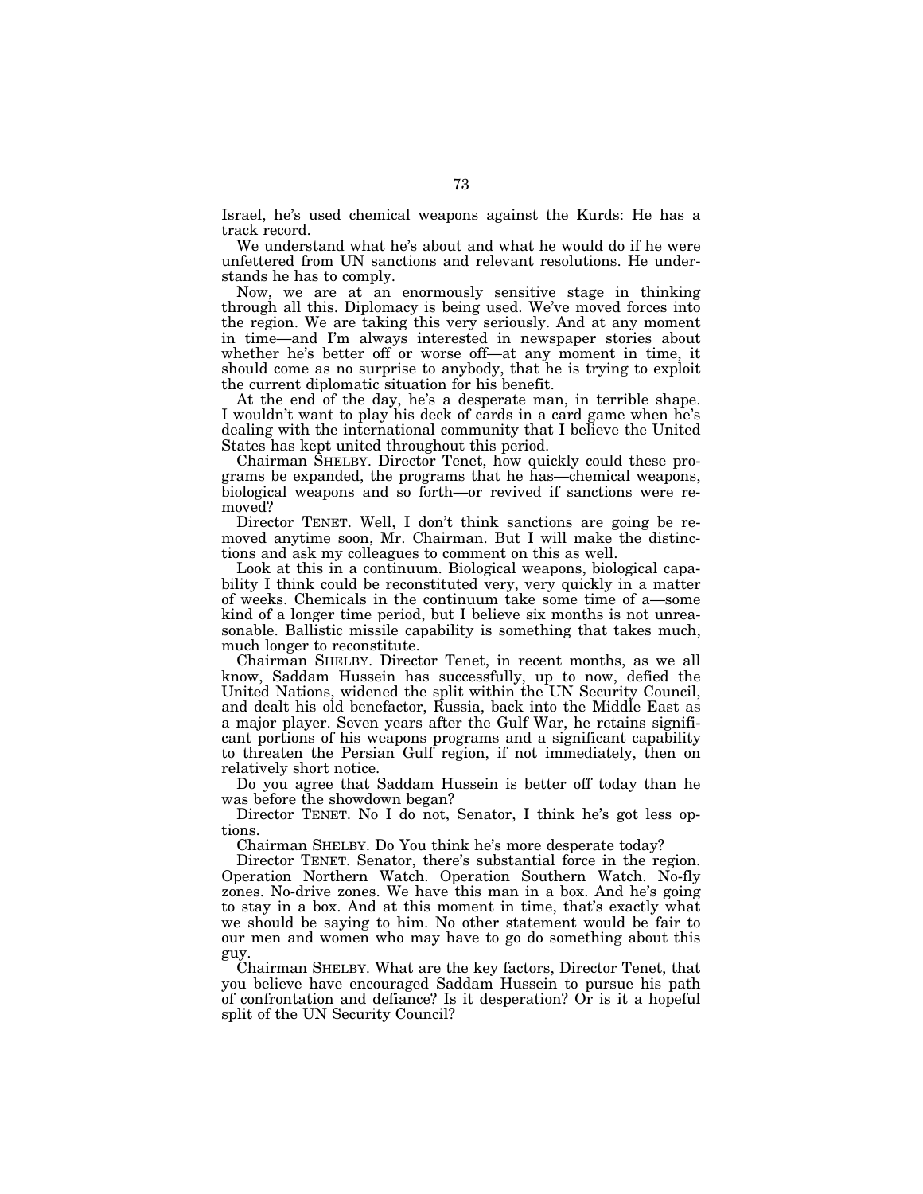Israel, he's used chemical weapons against the Kurds: He has a track record.

We understand what he's about and what he would do if he were unfettered from UN sanctions and relevant resolutions. He understands he has to comply.

Now, we are at an enormously sensitive stage in thinking through all this. Diplomacy is being used. We've moved forces into the region. We are taking this very seriously. And at any moment in time—and I'm always interested in newspaper stories about whether he's better off or worse off—at any moment in time, it should come as no surprise to anybody, that he is trying to exploit the current diplomatic situation for his benefit.

At the end of the day, he's a desperate man, in terrible shape. I wouldn't want to play his deck of cards in a card game when he's dealing with the international community that I believe the United States has kept united throughout this period.

Chairman SHELBY. Director Tenet, how quickly could these programs be expanded, the programs that he has—chemical weapons, biological weapons and so forth—or revived if sanctions were removed?

Director TENET. Well, I don't think sanctions are going be removed anytime soon, Mr. Chairman. But I will make the distinctions and ask my colleagues to comment on this as well.

Look at this in a continuum. Biological weapons, biological capability I think could be reconstituted very, very quickly in a matter of weeks. Chemicals in the continuum take some time of a—some kind of a longer time period, but I believe six months is not unreasonable. Ballistic missile capability is something that takes much, much longer to reconstitute.

Chairman SHELBY. Director Tenet, in recent months, as we all know, Saddam Hussein has successfully, up to now, defied the United Nations, widened the split within the UN Security Council, and dealt his old benefactor, Russia, back into the Middle East as a major player. Seven years after the Gulf War, he retains significant portions of his weapons programs and a significant capability to threaten the Persian Gulf region, if not immediately, then on relatively short notice.

Do you agree that Saddam Hussein is better off today than he was before the showdown began?

Director TENET. No I do not, Senator, I think he's got less options.

Chairman SHELBY. Do You think he's more desperate today?

Director TENET. Senator, there's substantial force in the region. Operation Northern Watch. Operation Southern Watch. No-fly zones. No-drive zones. We have this man in a box. And he's going to stay in a box. And at this moment in time, that's exactly what we should be saying to him. No other statement would be fair to our men and women who may have to go do something about this guy.

Chairman SHELBY. What are the key factors, Director Tenet, that you believe have encouraged Saddam Hussein to pursue his path of confrontation and defiance? Is it desperation? Or is it a hopeful split of the UN Security Council?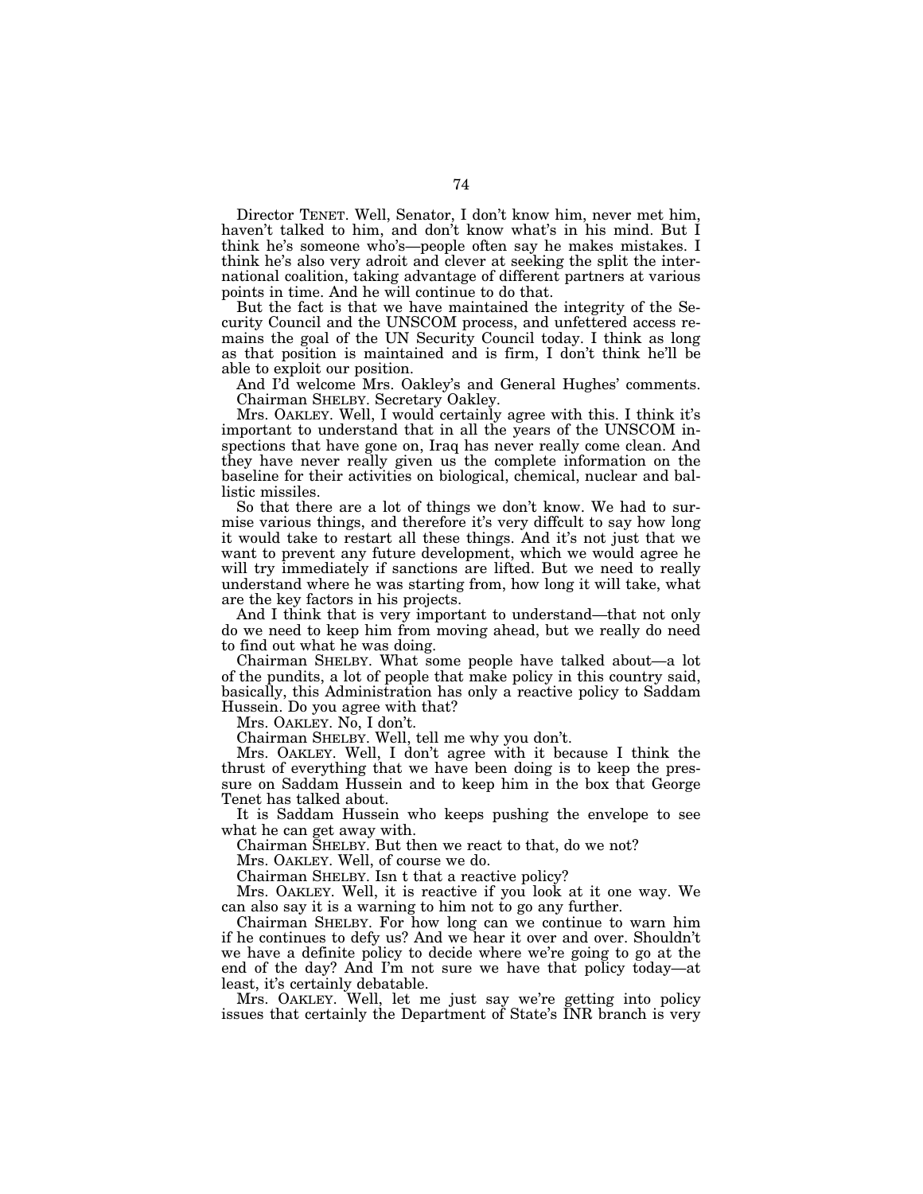Director TENET. Well, Senator, I don't know him, never met him, haven't talked to him, and don't know what's in his mind. But I think he's someone who's—people often say he makes mistakes. I think he's also very adroit and clever at seeking the split the international coalition, taking advantage of different partners at various points in time. And he will continue to do that.

But the fact is that we have maintained the integrity of the Security Council and the UNSCOM process, and unfettered access remains the goal of the UN Security Council today. I think as long as that position is maintained and is firm, I don't think he'll be able to exploit our position.

And I'd welcome Mrs. Oakley's and General Hughes' comments. Chairman SHELBY. Secretary Oakley.

Mrs. OAKLEY. Well, I would certainly agree with this. I think it's important to understand that in all the years of the UNSCOM inspections that have gone on, Iraq has never really come clean. And they have never really given us the complete information on the baseline for their activities on biological, chemical, nuclear and ballistic missiles.

So that there are a lot of things we don't know. We had to surmise various things, and therefore it's very diffcult to say how long it would take to restart all these things. And it's not just that we want to prevent any future development, which we would agree he will try immediately if sanctions are lifted. But we need to really understand where he was starting from, how long it will take, what are the key factors in his projects.

And I think that is very important to understand—that not only do we need to keep him from moving ahead, but we really do need to find out what he was doing.

Chairman SHELBY. What some people have talked about—a lot of the pundits, a lot of people that make policy in this country said, basically, this Administration has only a reactive policy to Saddam Hussein. Do you agree with that?

Mrs. OAKLEY. No, I don't.

Chairman SHELBY. Well, tell me why you don't.

Mrs. OAKLEY. Well, I don't agree with it because I think the thrust of everything that we have been doing is to keep the pressure on Saddam Hussein and to keep him in the box that George Tenet has talked about.

It is Saddam Hussein who keeps pushing the envelope to see what he can get away with.

Chairman SHELBY. But then we react to that, do we not?

Mrs. OAKLEY. Well, of course we do.

Chairman SHELBY. Isn t that a reactive policy?

Mrs. OAKLEY. Well, it is reactive if you look at it one way. We can also say it is a warning to him not to go any further.

Chairman SHELBY. For how long can we continue to warn him if he continues to defy us? And we hear it over and over. Shouldn't we have a definite policy to decide where we're going to go at the end of the day? And I'm not sure we have that policy today—at least, it's certainly debatable.

Mrs. OAKLEY. Well, let me just say we're getting into policy issues that certainly the Department of State's INR branch is very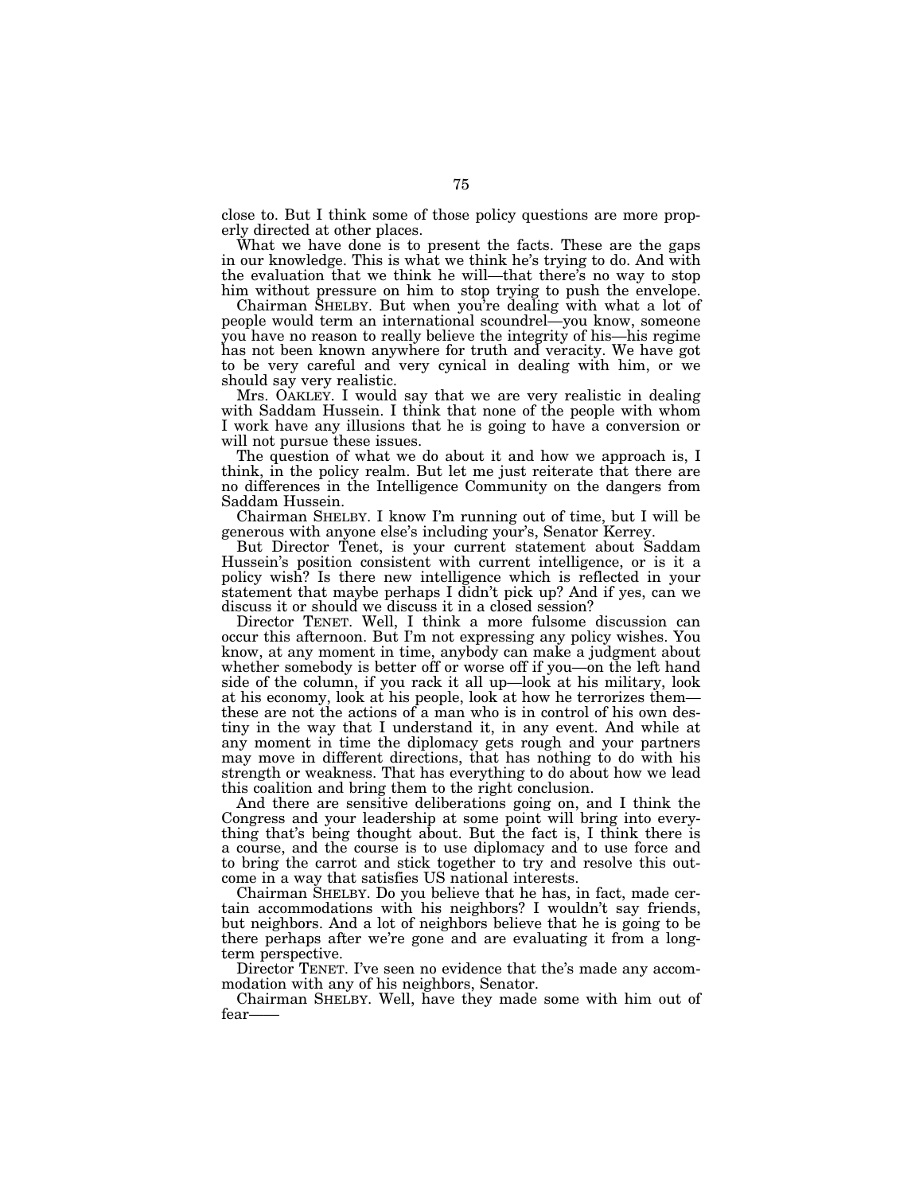close to. But I think some of those policy questions are more properly directed at other places.

What we have done is to present the facts. These are the gaps in our knowledge. This is what we think he's trying to do. And with the evaluation that we think he will—that there's no way to stop him without pressure on him to stop trying to push the envelope.

Chairman SHELBY. But when you're dealing with what a lot of people would term an international scoundrel—you know, someone you have no reason to really believe the integrity of his—his regime has not been known anywhere for truth and veracity. We have got to be very careful and very cynical in dealing with him, or we should say very realistic.

Mrs. OAKLEY. I would say that we are very realistic in dealing with Saddam Hussein. I think that none of the people with whom I work have any illusions that he is going to have a conversion or will not pursue these issues.

The question of what we do about it and how we approach is, I think, in the policy realm. But let me just reiterate that there are no differences in the Intelligence Community on the dangers from Saddam Hussein.

Chairman SHELBY. I know I'm running out of time, but I will be generous with anyone else's including your's, Senator Kerrey.

But Director Tenet, is your current statement about Saddam Hussein's position consistent with current intelligence, or is it a policy wish? Is there new intelligence which is reflected in your statement that maybe perhaps I didn't pick up? And if yes, can we discuss it or should we discuss it in a closed session?

Director TENET. Well, I think a more fulsome discussion can occur this afternoon. But I'm not expressing any policy wishes. You know, at any moment in time, anybody can make a judgment about whether somebody is better off or worse off if you—on the left hand side of the column, if you rack it all up—look at his military, look at his economy, look at his people, look at how he terrorizes them these are not the actions of a man who is in control of his own destiny in the way that I understand it, in any event. And while at any moment in time the diplomacy gets rough and your partners may move in different directions, that has nothing to do with his strength or weakness. That has everything to do about how we lead this coalition and bring them to the right conclusion.

And there are sensitive deliberations going on, and I think the Congress and your leadership at some point will bring into everything that's being thought about. But the fact is, I think there is a course, and the course is to use diplomacy and to use force and to bring the carrot and stick together to try and resolve this outcome in a way that satisfies US national interests.

Chairman SHELBY. Do you believe that he has, in fact, made certain accommodations with his neighbors? I wouldn't say friends, but neighbors. And a lot of neighbors believe that he is going to be there perhaps after we're gone and are evaluating it from a longterm perspective.

Director TENET. I've seen no evidence that the's made any accommodation with any of his neighbors, Senator.

Chairman SHELBY. Well, have they made some with him out of fear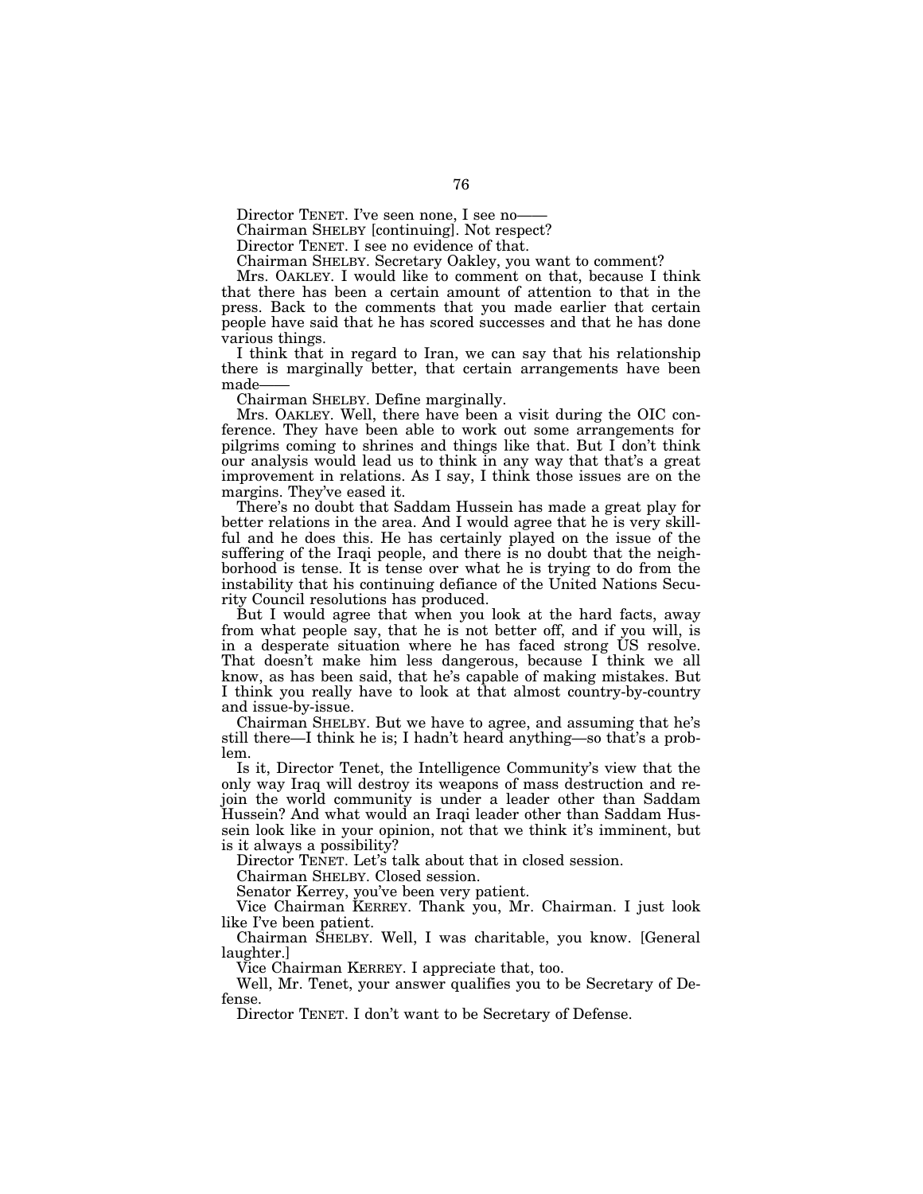Director TENET. I've seen none, I see no-

Chairman SHELBY [continuing]. Not respect?

Director TENET. I see no evidence of that.

Chairman SHELBY. Secretary Oakley, you want to comment?

Mrs. OAKLEY. I would like to comment on that, because I think that there has been a certain amount of attention to that in the press. Back to the comments that you made earlier that certain people have said that he has scored successes and that he has done various things.

I think that in regard to Iran, we can say that his relationship there is marginally better, that certain arrangements have been made-

Chairman SHELBY. Define marginally.

Mrs. OAKLEY. Well, there have been a visit during the OIC conference. They have been able to work out some arrangements for pilgrims coming to shrines and things like that. But I don't think our analysis would lead us to think in any way that that's a great improvement in relations. As I say, I think those issues are on the margins. They've eased it.

There's no doubt that Saddam Hussein has made a great play for better relations in the area. And I would agree that he is very skillful and he does this. He has certainly played on the issue of the suffering of the Iraqi people, and there is no doubt that the neighborhood is tense. It is tense over what he is trying to do from the instability that his continuing defiance of the United Nations Security Council resolutions has produced.

But I would agree that when you look at the hard facts, away from what people say, that he is not better off, and if you will, is in a desperate situation where he has faced strong US resolve. That doesn't make him less dangerous, because I think we all know, as has been said, that he's capable of making mistakes. But I think you really have to look at that almost country-by-country and issue-by-issue.

Chairman SHELBY. But we have to agree, and assuming that he's still there—I think he is; I hadn't heard anything—so that's a problem.

Is it, Director Tenet, the Intelligence Community's view that the only way Iraq will destroy its weapons of mass destruction and rejoin the world community is under a leader other than Saddam Hussein? And what would an Iraqi leader other than Saddam Hussein look like in your opinion, not that we think it's imminent, but is it always a possibility?

Director TENET. Let's talk about that in closed session.

Chairman SHELBY. Closed session.

Senator Kerrey, you've been very patient.

Vice Chairman KERREY. Thank you, Mr. Chairman. I just look like I've been patient.

Chairman SHELBY. Well, I was charitable, you know. [General laughter.]

Vice Chairman KERREY. I appreciate that, too.

Well, Mr. Tenet, your answer qualifies you to be Secretary of Defense.

Director TENET. I don't want to be Secretary of Defense.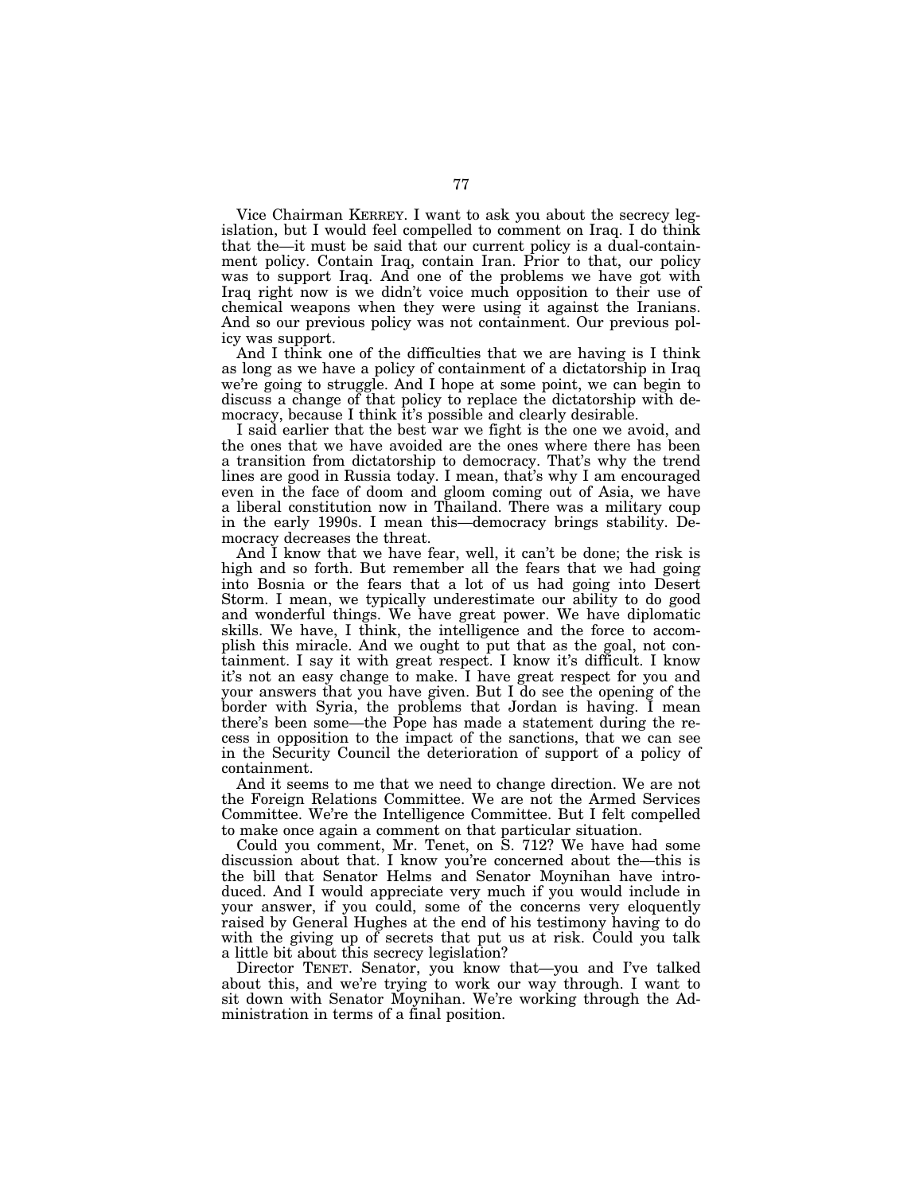Vice Chairman KERREY. I want to ask you about the secrecy legislation, but I would feel compelled to comment on Iraq. I do think that the—it must be said that our current policy is a dual-containment policy. Contain Iraq, contain Iran. Prior to that, our policy was to support Iraq. And one of the problems we have got with Iraq right now is we didn't voice much opposition to their use of chemical weapons when they were using it against the Iranians. And so our previous policy was not containment. Our previous policy was support.

And I think one of the difficulties that we are having is I think as long as we have a policy of containment of a dictatorship in Iraq we're going to struggle. And I hope at some point, we can begin to discuss a change of that policy to replace the dictatorship with democracy, because I think it's possible and clearly desirable.

I said earlier that the best war we fight is the one we avoid, and the ones that we have avoided are the ones where there has been a transition from dictatorship to democracy. That's why the trend lines are good in Russia today. I mean, that's why I am encouraged even in the face of doom and gloom coming out of Asia, we have a liberal constitution now in Thailand. There was a military coup in the early 1990s. I mean this—democracy brings stability. Democracy decreases the threat.

And I know that we have fear, well, it can't be done; the risk is high and so forth. But remember all the fears that we had going into Bosnia or the fears that a lot of us had going into Desert Storm. I mean, we typically underestimate our ability to do good and wonderful things. We have great power. We have diplomatic skills. We have, I think, the intelligence and the force to accomplish this miracle. And we ought to put that as the goal, not containment. I say it with great respect. I know it's difficult. I know it's not an easy change to make. I have great respect for you and your answers that you have given. But I do see the opening of the border with Syria, the problems that Jordan is having. I mean there's been some—the Pope has made a statement during the recess in opposition to the impact of the sanctions, that we can see in the Security Council the deterioration of support of a policy of containment.

And it seems to me that we need to change direction. We are not the Foreign Relations Committee. We are not the Armed Services Committee. We're the Intelligence Committee. But I felt compelled to make once again a comment on that particular situation.

Could you comment, Mr. Tenet, on S. 712? We have had some discussion about that. I know you're concerned about the—this is the bill that Senator Helms and Senator Moynihan have introduced. And I would appreciate very much if you would include in your answer, if you could, some of the concerns very eloquently raised by General Hughes at the end of his testimony having to do with the giving up of secrets that put us at risk. Could you talk a little bit about this secrecy legislation?

Director TENET. Senator, you know that—you and I've talked about this, and we're trying to work our way through. I want to sit down with Senator Moynihan. We're working through the Administration in terms of a final position.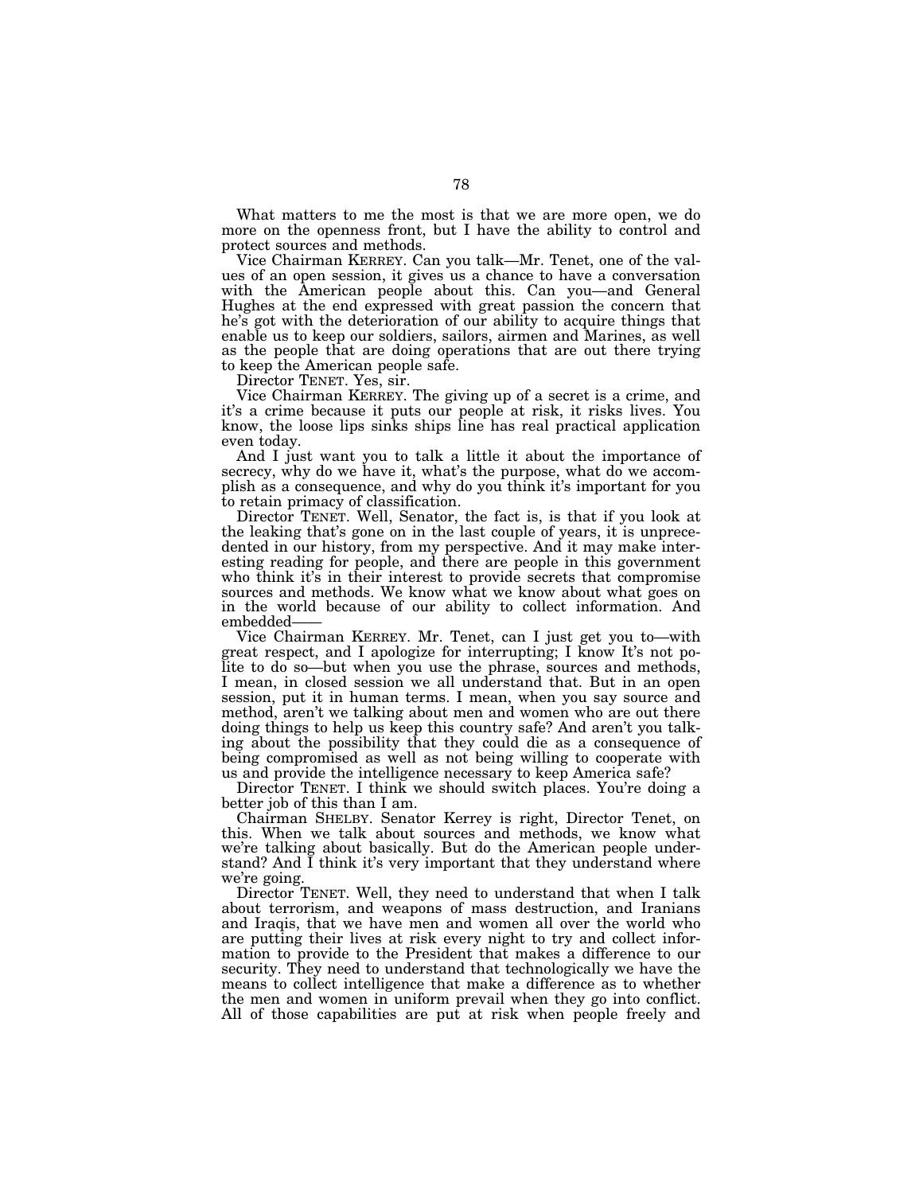What matters to me the most is that we are more open, we do more on the openness front, but I have the ability to control and protect sources and methods.

Vice Chairman KERREY. Can you talk—Mr. Tenet, one of the values of an open session, it gives us a chance to have a conversation with the American people about this. Can you—and General Hughes at the end expressed with great passion the concern that he's got with the deterioration of our ability to acquire things that enable us to keep our soldiers, sailors, airmen and Marines, as well as the people that are doing operations that are out there trying to keep the American people safe.

Director TENET. Yes, sir.

Vice Chairman KERREY. The giving up of a secret is a crime, and it's a crime because it puts our people at risk, it risks lives. You know, the loose lips sinks ships line has real practical application even today.

And I just want you to talk a little it about the importance of secrecy, why do we have it, what's the purpose, what do we accomplish as a consequence, and why do you think it's important for you to retain primacy of classification.

Director TENET. Well, Senator, the fact is, is that if you look at the leaking that's gone on in the last couple of years, it is unprecedented in our history, from my perspective. And it may make interesting reading for people, and there are people in this government who think it's in their interest to provide secrets that compromise sources and methods. We know what we know about what goes on in the world because of our ability to collect information. And embedded——

Vice Chairman KERREY. Mr. Tenet, can I just get you to—with great respect, and I apologize for interrupting; I know It's not polite to do so—but when you use the phrase, sources and methods, I mean, in closed session we all understand that. But in an open session, put it in human terms. I mean, when you say source and method, aren't we talking about men and women who are out there doing things to help us keep this country safe? And aren't you talking about the possibility that they could die as a consequence of being compromised as well as not being willing to cooperate with us and provide the intelligence necessary to keep America safe?

Director TENET. I think we should switch places. You're doing a better job of this than I am.

Chairman SHELBY. Senator Kerrey is right, Director Tenet, on this. When we talk about sources and methods, we know what we're talking about basically. But do the American people understand? And I think it's very important that they understand where we're going.

Director TENET. Well, they need to understand that when I talk about terrorism, and weapons of mass destruction, and Iranians and Iraqis, that we have men and women all over the world who are putting their lives at risk every night to try and collect information to provide to the President that makes a difference to our security. They need to understand that technologically we have the means to collect intelligence that make a difference as to whether the men and women in uniform prevail when they go into conflict. All of those capabilities are put at risk when people freely and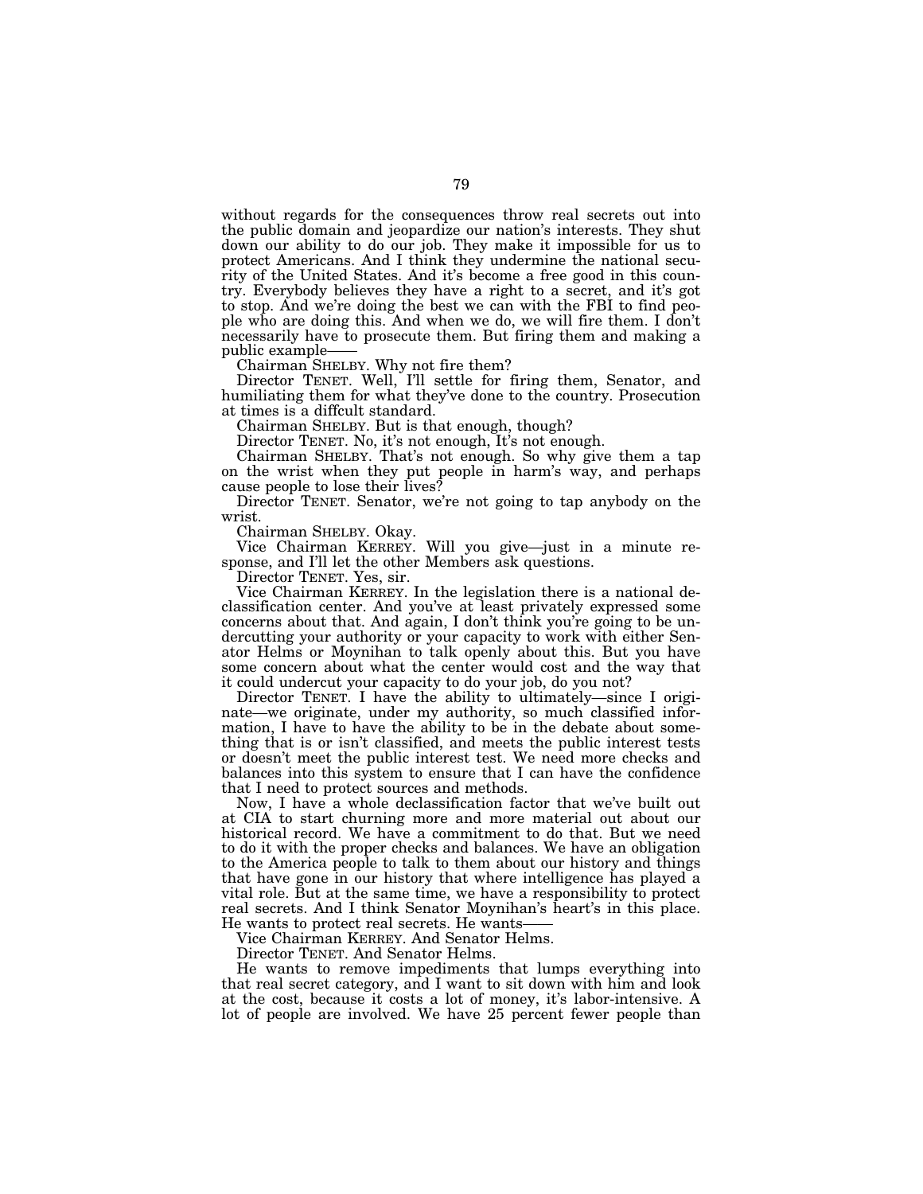without regards for the consequences throw real secrets out into the public domain and jeopardize our nation's interests. They shut down our ability to do our job. They make it impossible for us to protect Americans. And I think they undermine the national security of the United States. And it's become a free good in this country. Everybody believes they have a right to a secret, and it's got to stop. And we're doing the best we can with the FBI to find people who are doing this. And when we do, we will fire them. I don't necessarily have to prosecute them. But firing them and making a public example——

Chairman SHELBY. Why not fire them?

Director TENET. Well, I'll settle for firing them, Senator, and humiliating them for what they've done to the country. Prosecution at times is a diffcult standard.

Chairman SHELBY. But is that enough, though?

Director TENET. No, it's not enough, It's not enough.

Chairman SHELBY. That's not enough. So why give them a tap on the wrist when they put people in harm's way, and perhaps cause people to lose their lives?

Director TENET. Senator, we're not going to tap anybody on the wrist.

Chairman SHELBY. Okay.

Vice Chairman KERREY. Will you give—just in a minute response, and I'll let the other Members ask questions.

Director TENET. Yes, sir.

Vice Chairman KERREY. In the legislation there is a national declassification center. And you've at least privately expressed some concerns about that. And again, I don't think you're going to be undercutting your authority or your capacity to work with either Senator Helms or Moynihan to talk openly about this. But you have some concern about what the center would cost and the way that it could undercut your capacity to do your job, do you not?

Director TENET. I have the ability to ultimately—since I originate—we originate, under my authority, so much classified information, I have to have the ability to be in the debate about something that is or isn't classified, and meets the public interest tests or doesn't meet the public interest test. We need more checks and balances into this system to ensure that I can have the confidence that I need to protect sources and methods.

Now, I have a whole declassification factor that we've built out at CIA to start churning more and more material out about our historical record. We have a commitment to do that. But we need to do it with the proper checks and balances. We have an obligation to the America people to talk to them about our history and things that have gone in our history that where intelligence has played a vital role. But at the same time, we have a responsibility to protect real secrets. And I think Senator Moynihan's heart's in this place. He wants to protect real secrets. He wants-

Vice Chairman KERREY. And Senator Helms.

Director TENET. And Senator Helms.

He wants to remove impediments that lumps everything into that real secret category, and I want to sit down with him and look at the cost, because it costs a lot of money, it's labor-intensive. A lot of people are involved. We have 25 percent fewer people than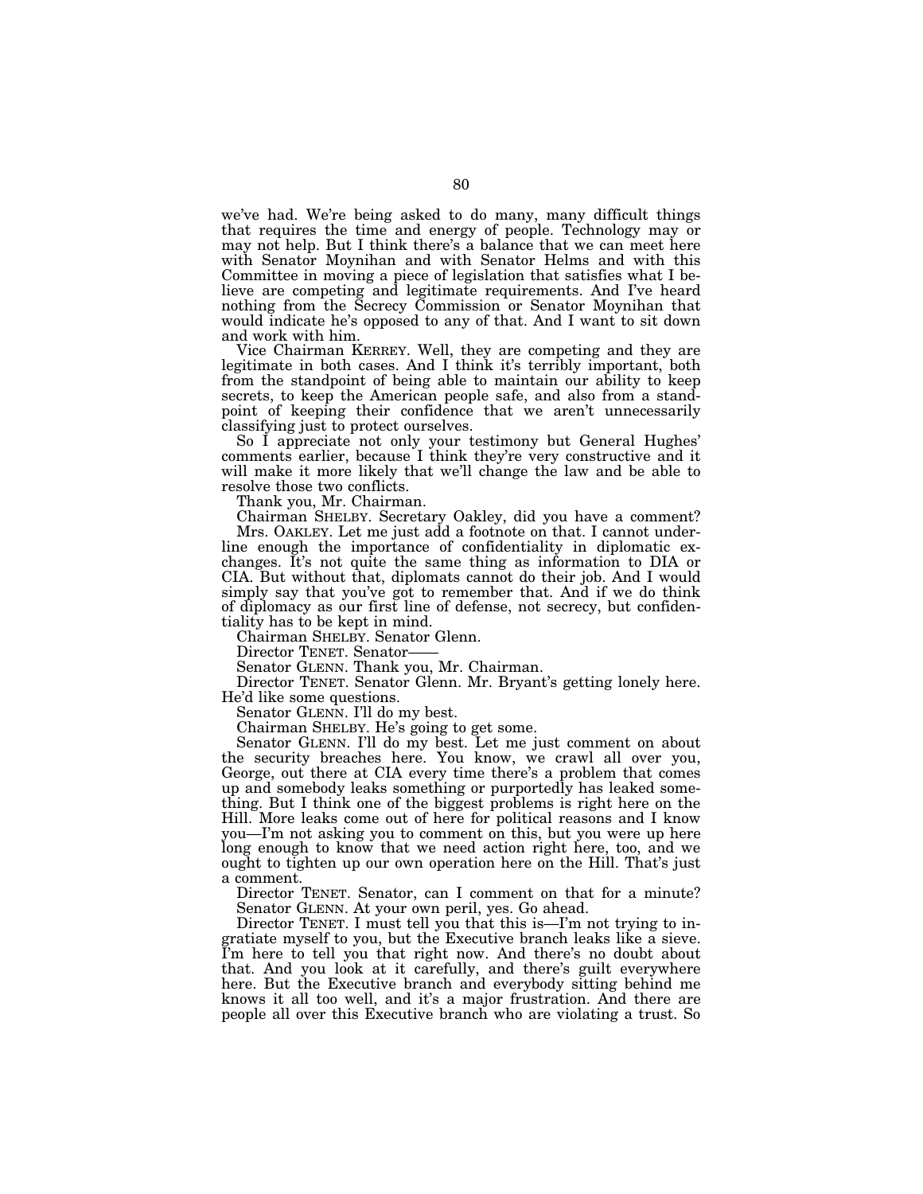we've had. We're being asked to do many, many difficult things that requires the time and energy of people. Technology may or may not help. But I think there's a balance that we can meet here with Senator Moynihan and with Senator Helms and with this Committee in moving a piece of legislation that satisfies what I believe are competing and legitimate requirements. And I've heard nothing from the Secrecy Commission or Senator Moynihan that would indicate he's opposed to any of that. And I want to sit down and work with him.

Vice Chairman KERREY. Well, they are competing and they are legitimate in both cases. And I think it's terribly important, both from the standpoint of being able to maintain our ability to keep secrets, to keep the American people safe, and also from a standpoint of keeping their confidence that we aren't unnecessarily classifying just to protect ourselves.

So I appreciate not only your testimony but General Hughes' comments earlier, because I think they're very constructive and it will make it more likely that we'll change the law and be able to resolve those two conflicts.

Thank you, Mr. Chairman.

Chairman SHELBY. Secretary Oakley, did you have a comment? Mrs. OAKLEY. Let me just add a footnote on that. I cannot underline enough the importance of confidentiality in diplomatic exchanges. It's not quite the same thing as information to DIA or CIA. But without that, diplomats cannot do their job. And I would simply say that you've got to remember that. And if we do think of diplomacy as our first line of defense, not secrecy, but confidentiality has to be kept in mind.

Chairman SHELBY. Senator Glenn.

Director TENET. Senator-

Senator GLENN. Thank you, Mr. Chairman.

Director TENET. Senator Glenn. Mr. Bryant's getting lonely here. He'd like some questions.

Senator GLENN. I'll do my best.

Chairman SHELBY. He's going to get some.

Senator GLENN. I'll do my best. Let me just comment on about the security breaches here. You know, we crawl all over you, George, out there at CIA every time there's a problem that comes up and somebody leaks something or purportedly has leaked something. But I think one of the biggest problems is right here on the Hill. More leaks come out of here for political reasons and I know you—I'm not asking you to comment on this, but you were up here long enough to know that we need action right here, too, and we ought to tighten up our own operation here on the Hill. That's just a comment.

Director TENET. Senator, can I comment on that for a minute? Senator GLENN. At your own peril, yes. Go ahead.

Director TENET. I must tell you that this is—I'm not trying to ingratiate myself to you, but the Executive branch leaks like a sieve. I'm here to tell you that right now. And there's no doubt about that. And you look at it carefully, and there's guilt everywhere here. But the Executive branch and everybody sitting behind me knows it all too well, and it's a major frustration. And there are people all over this Executive branch who are violating a trust. So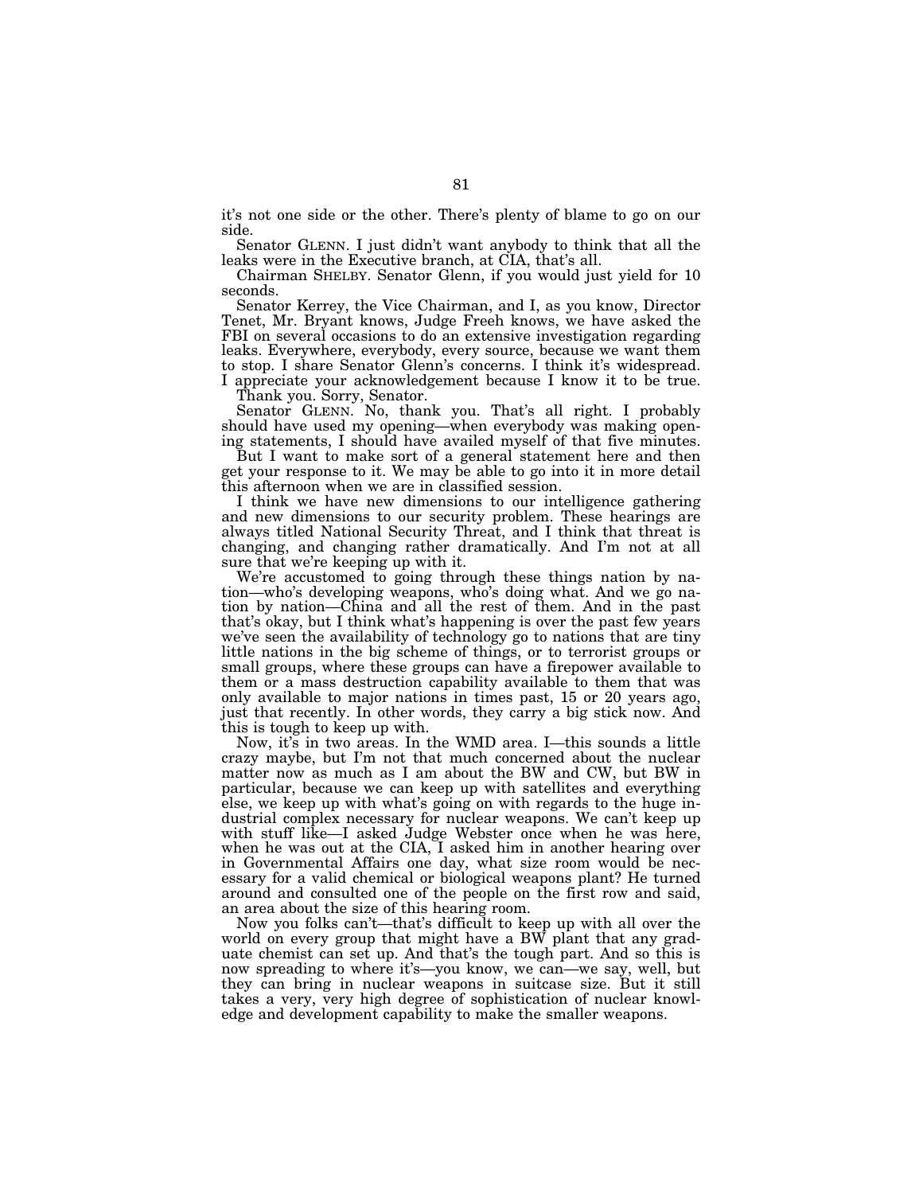it's not one side or the other. There's plenty of blame to go on our side.

Senator GLENN. I just didn't want anybody to think that all the leaks were in the Executive branch, at CIA, that's all.

Chairman SHELBY. Senator Glenn, if you would just yield for 10 seconds.

Senator Kerrey, the Vice Chairman, and I, as you know, Director Tenet, Mr. Bryant knows, Judge Freeh knows, we have asked the FBI on several occasions to do an extensive investigation regarding leaks. Everywhere, everybody, every source, because we want them to stop. I share Senator Glenn's concerns. I think it's widespread. I appreciate your acknowledgement because I know it to be true.

Thank you. Sorry, Senator.

Senator GLENN. No, thank you. That's all right. I probably should have used my opening—when everybody was making opening statements, I should have availed myself of that five minutes.

But I want to make sort of a general statement here and then get your response to it. We may be able to go into it in more detail this afternoon when we are in classified session.

I think we have new dimensions to our intelligence gathering and new dimensions to our security problem. These hearings are always titled National Security Threat, and I think that threat is changing, and changing rather dramatically. And I'm not at all sure that we're keeping up with it.

We're accustomed to going through these things nation by nation—who's developing weapons, who's doing what. And we go nation by nation—China and all the rest of them. And in the past that's okay, but I think what's happening is over the past few years we've seen the availability of technology go to nations that are tiny little nations in the big scheme of things, or to terrorist groups or small groups, where these groups can have a firepower available to them or a mass destruction capability available to them that was only available to major nations in times past, 15 or 20 years ago, just that recently. In other words, they carry a big stick now. And this is tough to keep up with.

Now, it's in two areas. In the WMD area. I—this sounds a little crazy maybe, but I'm not that much concerned about the nuclear matter now as much as I am about the BW and CW, but BW in particular, because we can keep up with satellites and everything else, we keep up with what's going on with regards to the huge industrial complex necessary for nuclear weapons. We can't keep up with stuff like—I asked Judge Webster once when he was here, when he was out at the CIA, I asked him in another hearing over in Governmental Affairs one day, what size room would be necessary for a valid chemical or biological weapons plant? He turned around and consulted one of the people on the first row and said, an area about the size of this hearing room.

Now you folks can't—that's difficult to keep up with all over the world on every group that might have a BW plant that any graduate chemist can set up. And that's the tough part. And so this is now spreading to where it's—you know, we can—we say, well, but they can bring in nuclear weapons in suitcase size. But it still takes a very, very high degree of sophistication of nuclear knowledge and development capability to make the smaller weapons.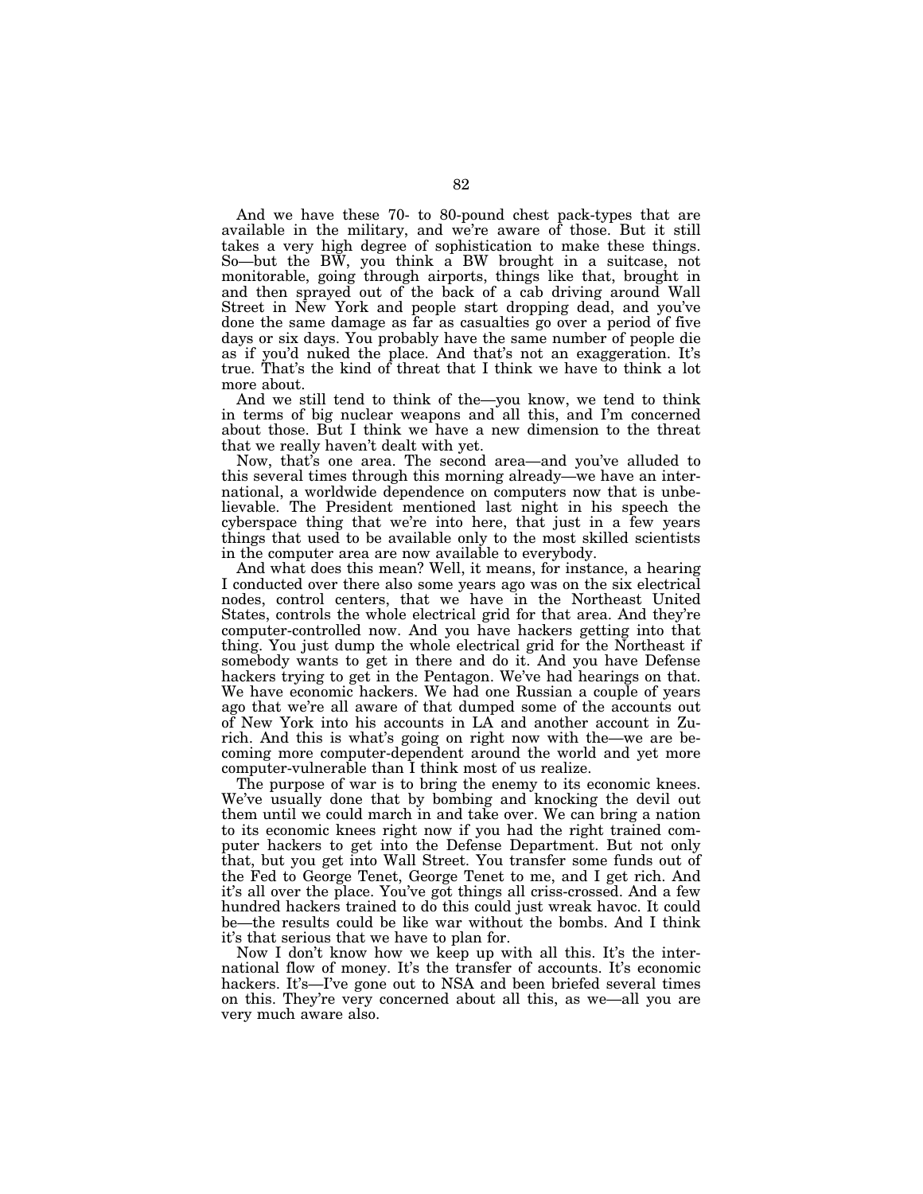And we have these 70- to 80-pound chest pack-types that are available in the military, and we're aware of those. But it still takes a very high degree of sophistication to make these things. So—but the BW, you think a BW brought in a suitcase, not monitorable, going through airports, things like that, brought in and then sprayed out of the back of a cab driving around Wall Street in New York and people start dropping dead, and you've done the same damage as far as casualties go over a period of five days or six days. You probably have the same number of people die as if you'd nuked the place. And that's not an exaggeration. It's true. That's the kind of threat that I think we have to think a lot more about.

And we still tend to think of the—you know, we tend to think in terms of big nuclear weapons and all this, and I'm concerned about those. But I think we have a new dimension to the threat that we really haven't dealt with yet.

Now, that's one area. The second area—and you've alluded to this several times through this morning already—we have an international, a worldwide dependence on computers now that is unbelievable. The President mentioned last night in his speech the cyberspace thing that we're into here, that just in a few years things that used to be available only to the most skilled scientists in the computer area are now available to everybody.

And what does this mean? Well, it means, for instance, a hearing I conducted over there also some years ago was on the six electrical nodes, control centers, that we have in the Northeast United States, controls the whole electrical grid for that area. And they're computer-controlled now. And you have hackers getting into that thing. You just dump the whole electrical grid for the Northeast if somebody wants to get in there and do it. And you have Defense hackers trying to get in the Pentagon. We've had hearings on that. We have economic hackers. We had one Russian a couple of years ago that we're all aware of that dumped some of the accounts out of New York into his accounts in LA and another account in Zurich. And this is what's going on right now with the—we are becoming more computer-dependent around the world and yet more computer-vulnerable than I think most of us realize.

The purpose of war is to bring the enemy to its economic knees. We've usually done that by bombing and knocking the devil out them until we could march in and take over. We can bring a nation to its economic knees right now if you had the right trained computer hackers to get into the Defense Department. But not only that, but you get into Wall Street. You transfer some funds out of the Fed to George Tenet, George Tenet to me, and I get rich. And it's all over the place. You've got things all criss-crossed. And a few hundred hackers trained to do this could just wreak havoc. It could be—the results could be like war without the bombs. And I think it's that serious that we have to plan for.

Now I don't know how we keep up with all this. It's the international flow of money. It's the transfer of accounts. It's economic hackers. It's—I've gone out to NSA and been briefed several times on this. They're very concerned about all this, as we—all you are very much aware also.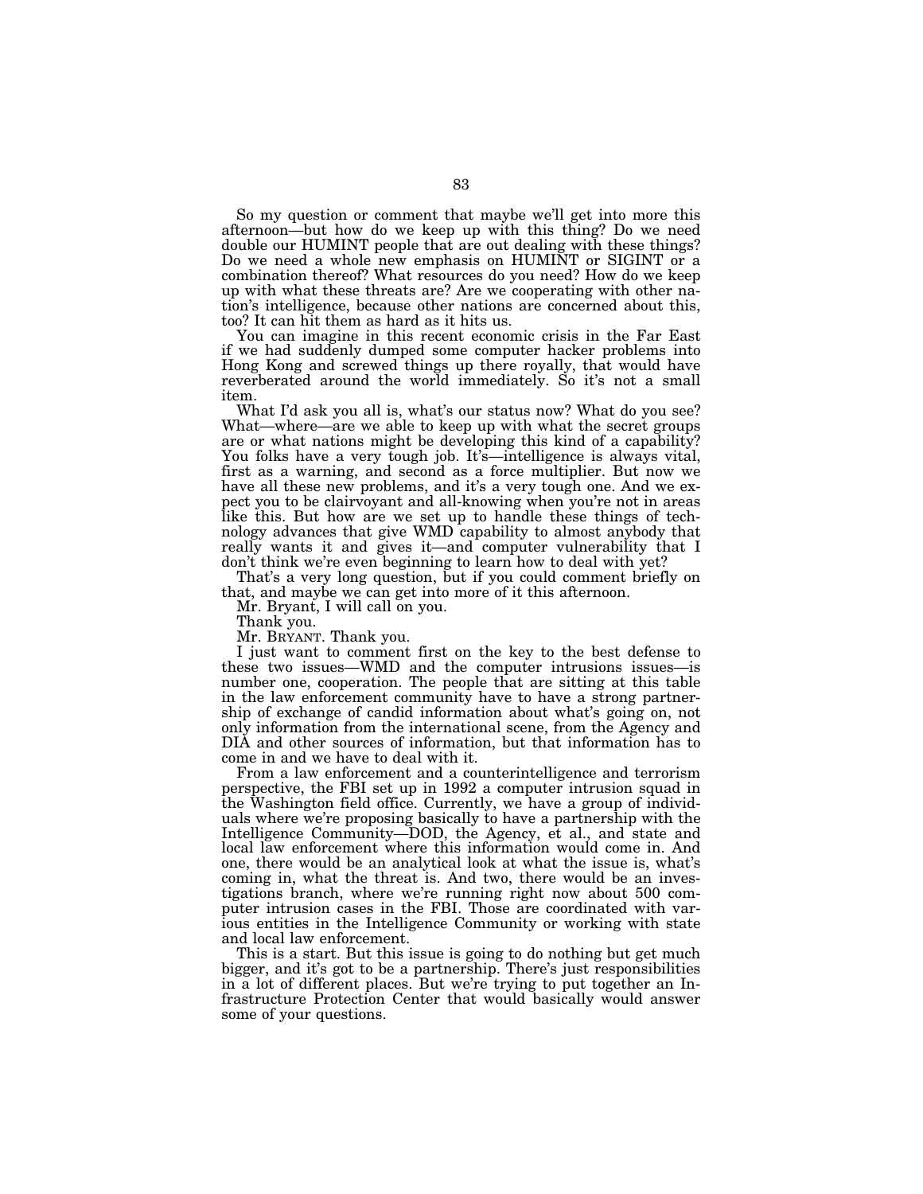So my question or comment that maybe we'll get into more this afternoon—but how do we keep up with this thing? Do we need double our HUMINT people that are out dealing with these things? Do we need a whole new emphasis on HUMINT or SIGINT or a combination thereof? What resources do you need? How do we keep up with what these threats are? Are we cooperating with other nation's intelligence, because other nations are concerned about this, too? It can hit them as hard as it hits us.

You can imagine in this recent economic crisis in the Far East if we had suddenly dumped some computer hacker problems into Hong Kong and screwed things up there royally, that would have reverberated around the world immediately. So it's not a small item.

What I'd ask you all is, what's our status now? What do you see? What—where—are we able to keep up with what the secret groups are or what nations might be developing this kind of a capability? You folks have a very tough job. It's—intelligence is always vital, first as a warning, and second as a force multiplier. But now we have all these new problems, and it's a very tough one. And we expect you to be clairvoyant and all-knowing when you're not in areas like this. But how are we set up to handle these things of technology advances that give WMD capability to almost anybody that really wants it and gives it—and computer vulnerability that I don't think we're even beginning to learn how to deal with yet?

That's a very long question, but if you could comment briefly on that, and maybe we can get into more of it this afternoon.

Mr. Bryant, I will call on you.

Thank you.

Mr. BRYANT. Thank you.

I just want to comment first on the key to the best defense to these two issues—WMD and the computer intrusions issues—is number one, cooperation. The people that are sitting at this table in the law enforcement community have to have a strong partnership of exchange of candid information about what's going on, not only information from the international scene, from the Agency and DIA and other sources of information, but that information has to come in and we have to deal with it.

From a law enforcement and a counterintelligence and terrorism perspective, the FBI set up in 1992 a computer intrusion squad in the Washington field office. Currently, we have a group of individuals where we're proposing basically to have a partnership with the Intelligence Community—DOD, the Agency, et al., and state and local law enforcement where this information would come in. And one, there would be an analytical look at what the issue is, what's coming in, what the threat is. And two, there would be an investigations branch, where we're running right now about 500 computer intrusion cases in the FBI. Those are coordinated with various entities in the Intelligence Community or working with state and local law enforcement.

This is a start. But this issue is going to do nothing but get much bigger, and it's got to be a partnership. There's just responsibilities in a lot of different places. But we're trying to put together an Infrastructure Protection Center that would basically would answer some of your questions.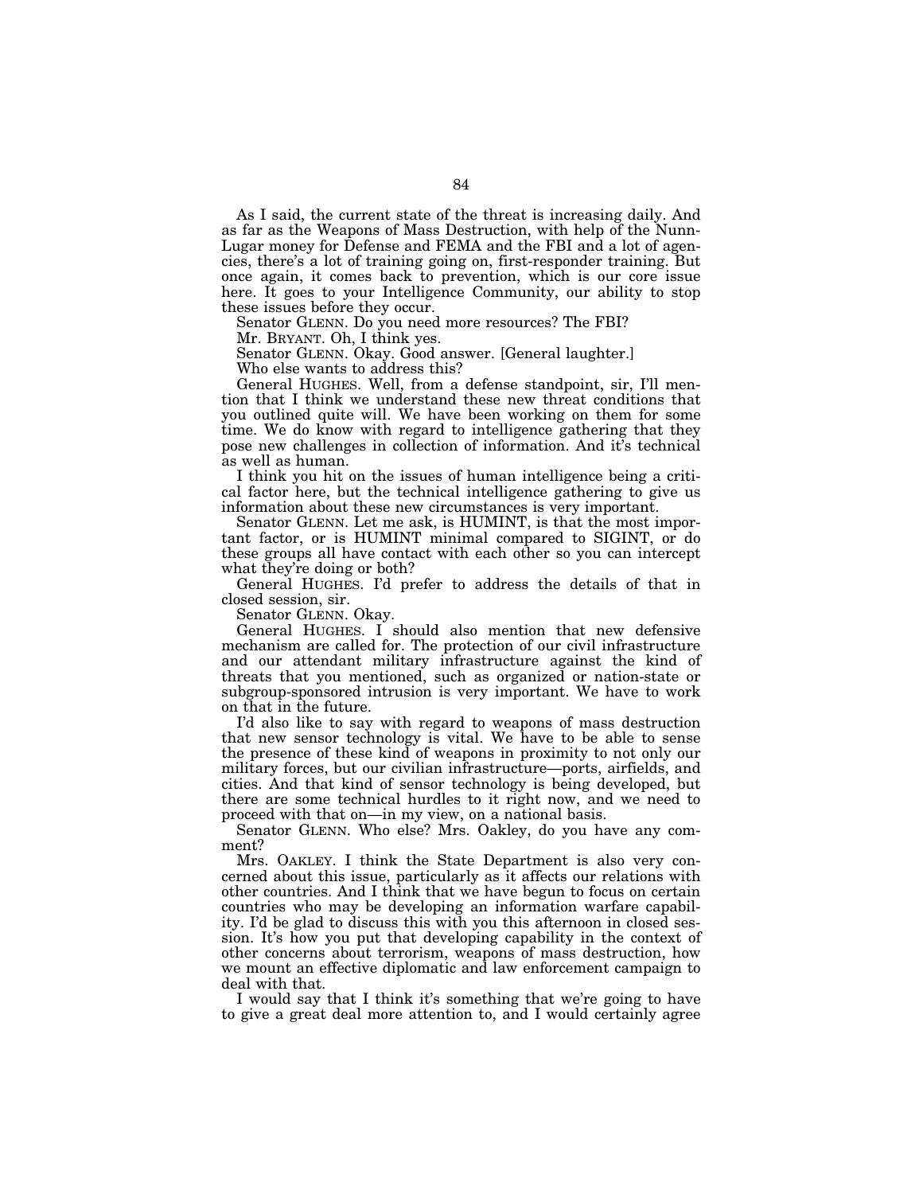As I said, the current state of the threat is increasing daily. And as far as the Weapons of Mass Destruction, with help of the Nunn-Lugar money for Defense and FEMA and the FBI and a lot of agencies, there's a lot of training going on, first-responder training. But once again, it comes back to prevention, which is our core issue here. It goes to your Intelligence Community, our ability to stop these issues before they occur.

Senator GLENN. Do you need more resources? The FBI?

Mr. BRYANT. Oh, I think yes.

Senator GLENN. Okay. Good answer. [General laughter.]

Who else wants to address this?

General HUGHES. Well, from a defense standpoint, sir, I'll mention that I think we understand these new threat conditions that you outlined quite will. We have been working on them for some time. We do know with regard to intelligence gathering that they pose new challenges in collection of information. And it's technical as well as human.

I think you hit on the issues of human intelligence being a critical factor here, but the technical intelligence gathering to give us information about these new circumstances is very important.

Senator GLENN. Let me ask, is HUMINT, is that the most important factor, or is HUMINT minimal compared to SIGINT, or do these groups all have contact with each other so you can intercept what they're doing or both?

General HUGHES. I'd prefer to address the details of that in closed session, sir.

Senator GLENN. Okay.

General HUGHES. I should also mention that new defensive mechanism are called for. The protection of our civil infrastructure and our attendant military infrastructure against the kind of threats that you mentioned, such as organized or nation-state or subgroup-sponsored intrusion is very important. We have to work on that in the future.

I'd also like to say with regard to weapons of mass destruction that new sensor technology is vital. We have to be able to sense the presence of these kind of weapons in proximity to not only our military forces, but our civilian infrastructure—ports, airfields, and cities. And that kind of sensor technology is being developed, but there are some technical hurdles to it right now, and we need to proceed with that on—in my view, on a national basis.

Senator GLENN. Who else? Mrs. Oakley, do you have any comment?

Mrs. OAKLEY. I think the State Department is also very concerned about this issue, particularly as it affects our relations with other countries. And I think that we have begun to focus on certain countries who may be developing an information warfare capability. I'd be glad to discuss this with you this afternoon in closed session. It's how you put that developing capability in the context of other concerns about terrorism, weapons of mass destruction, how we mount an effective diplomatic and law enforcement campaign to deal with that.

I would say that I think it's something that we're going to have to give a great deal more attention to, and I would certainly agree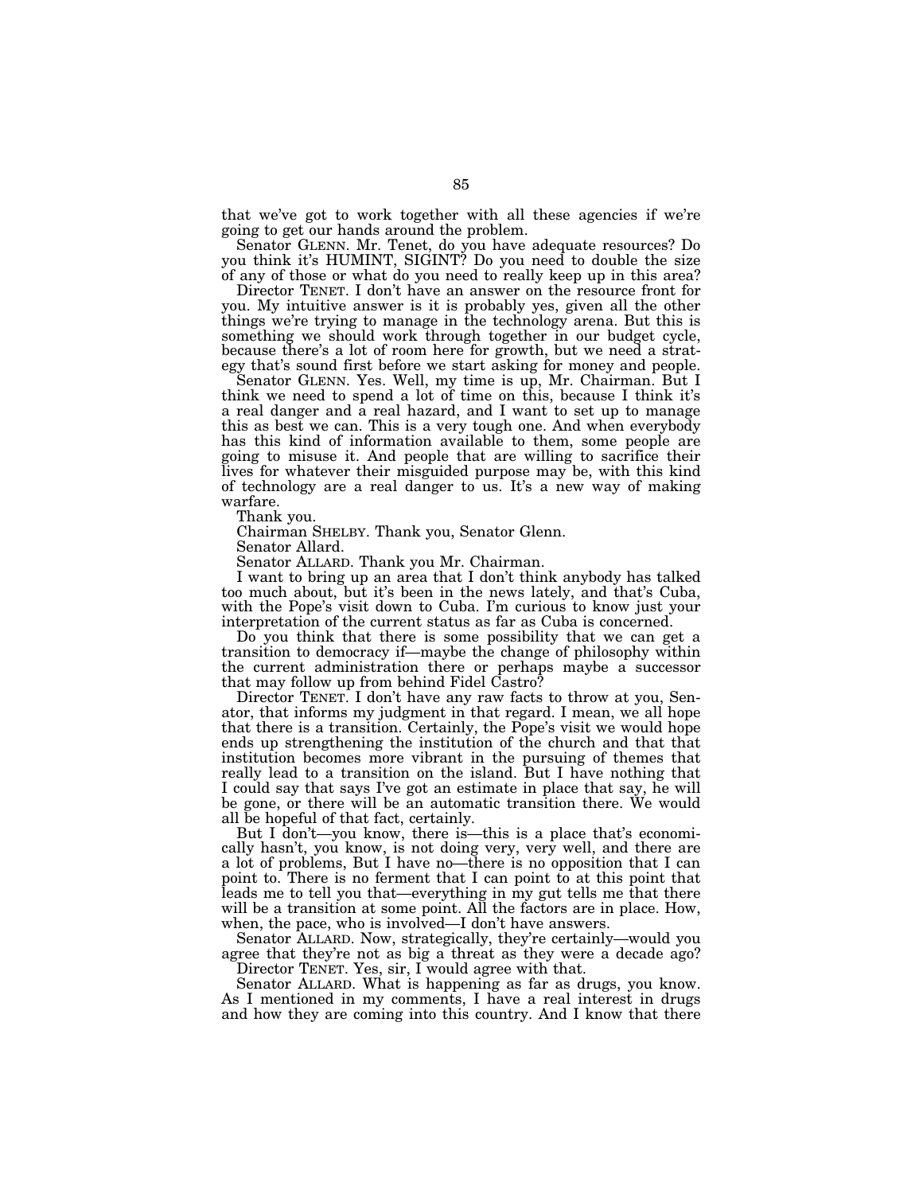that we've got to work together with all these agencies if we're going to get our hands around the problem.

Senator GLENN. Mr. Tenet, do you have adequate resources? Do you think it's HUMINT, SIGINT? Do you need to double the size of any of those or what do you need to really keep up in this area?

Director TENET. I don't have an answer on the resource front for you. My intuitive answer is it is probably yes, given all the other things we're trying to manage in the technology arena. But this is something we should work through together in our budget cycle, because there's a lot of room here for growth, but we need a strategy that's sound first before we start asking for money and people.

Senator GLENN. Yes. Well, my time is up, Mr. Chairman. But I think we need to spend a lot of time on this, because I think it's a real danger and a real hazard, and I want to set up to manage this as best we can. This is a very tough one. And when everybody has this kind of information available to them, some people are going to misuse it. And people that are willing to sacrifice their lives for whatever their misguided purpose may be, with this kind of technology are a real danger to us. It's a new way of making warfare.

Thank you.

Chairman SHELBY. Thank you, Senator Glenn.

Senator Allard.

Senator ALLARD. Thank you Mr. Chairman.

I want to bring up an area that I don't think anybody has talked too much about, but it's been in the news lately, and that's Cuba, with the Pope's visit down to Cuba. I'm curious to know just your interpretation of the current status as far as Cuba is concerned.

Do you think that there is some possibility that we can get a transition to democracy if—maybe the change of philosophy within the current administration there or perhaps maybe a successor that may follow up from behind Fidel Castro?

Director TENET. I don't have any raw facts to throw at you, Senator, that informs my judgment in that regard. I mean, we all hope that there is a transition. Certainly, the Pope's visit we would hope ends up strengthening the institution of the church and that that institution becomes more vibrant in the pursuing of themes that really lead to a transition on the island. But I have nothing that I could say that says I've got an estimate in place that say, he will be gone, or there will be an automatic transition there. We would all be hopeful of that fact, certainly.

But I don't—you know, there is—this is a place that's economically hasn't, you know, is not doing very, very well, and there are a lot of problems, But I have no—there is no opposition that I can point to. There is no ferment that I can point to at this point that leads me to tell you that—everything in my gut tells me that there will be a transition at some point. All the factors are in place. How, when, the pace, who is involved—I don't have answers.

Senator ALLARD. Now, strategically, they're certainly—would you agree that they're not as big a threat as they were a decade ago?

Director TENET. Yes, sir, I would agree with that.

Senator ALLARD. What is happening as far as drugs, you know. As I mentioned in my comments, I have a real interest in drugs and how they are coming into this country. And I know that there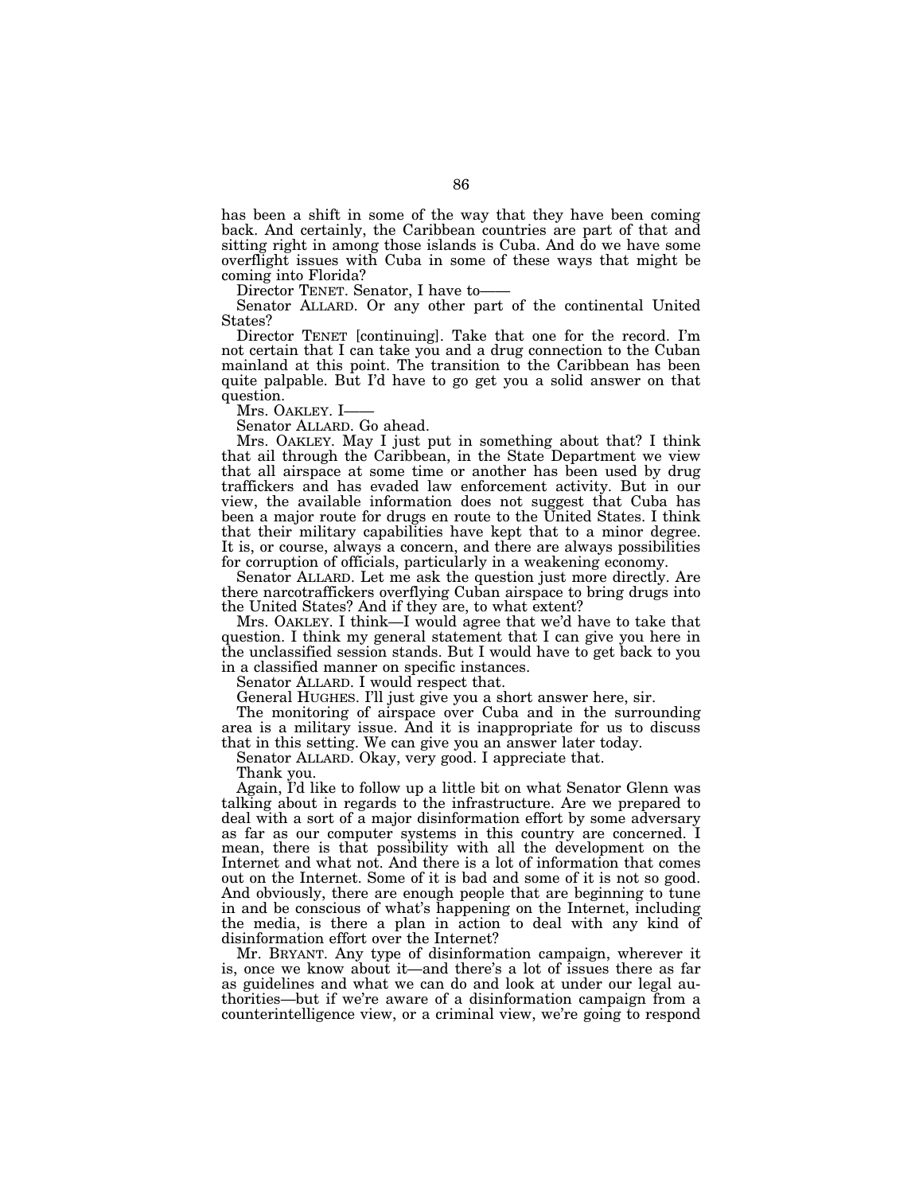has been a shift in some of the way that they have been coming back. And certainly, the Caribbean countries are part of that and sitting right in among those islands is Cuba. And do we have some overflight issues with Cuba in some of these ways that might be coming into Florida?

Director TENET. Senator, I have to——

Senator ALLARD. Or any other part of the continental United States?

Director TENET [continuing]. Take that one for the record. I'm not certain that I can take you and a drug connection to the Cuban mainland at this point. The transition to the Caribbean has been quite palpable. But I'd have to go get you a solid answer on that question.

Mrs. OAKLEY. I-

Senator ALLARD. Go ahead.

Mrs. OAKLEY. May I just put in something about that? I think that ail through the Caribbean, in the State Department we view that all airspace at some time or another has been used by drug traffickers and has evaded law enforcement activity. But in our view, the available information does not suggest that Cuba has been a major route for drugs en route to the United States. I think that their military capabilities have kept that to a minor degree. It is, or course, always a concern, and there are always possibilities for corruption of officials, particularly in a weakening economy.

Senator ALLARD. Let me ask the question just more directly. Are there narcotraffickers overflying Cuban airspace to bring drugs into the United States? And if they are, to what extent?

Mrs. OAKLEY. I think—I would agree that we'd have to take that question. I think my general statement that I can give you here in the unclassified session stands. But I would have to get back to you in a classified manner on specific instances.

Senator ALLARD. I would respect that.

General HUGHES. I'll just give you a short answer here, sir.

The monitoring of airspace over Cuba and in the surrounding area is a military issue. And it is inappropriate for us to discuss that in this setting. We can give you an answer later today.

Senator ALLARD. Okay, very good. I appreciate that.

Thank you.

Again, I'd like to follow up a little bit on what Senator Glenn was talking about in regards to the infrastructure. Are we prepared to deal with a sort of a major disinformation effort by some adversary as far as our computer systems in this country are concerned. I mean, there is that possibility with all the development on the Internet and what not. And there is a lot of information that comes out on the Internet. Some of it is bad and some of it is not so good. And obviously, there are enough people that are beginning to tune in and be conscious of what's happening on the Internet, including the media, is there a plan in action to deal with any kind of disinformation effort over the Internet?

Mr. BRYANT. Any type of disinformation campaign, wherever it is, once we know about it—and there's a lot of issues there as far as guidelines and what we can do and look at under our legal authorities—but if we're aware of a disinformation campaign from a counterintelligence view, or a criminal view, we're going to respond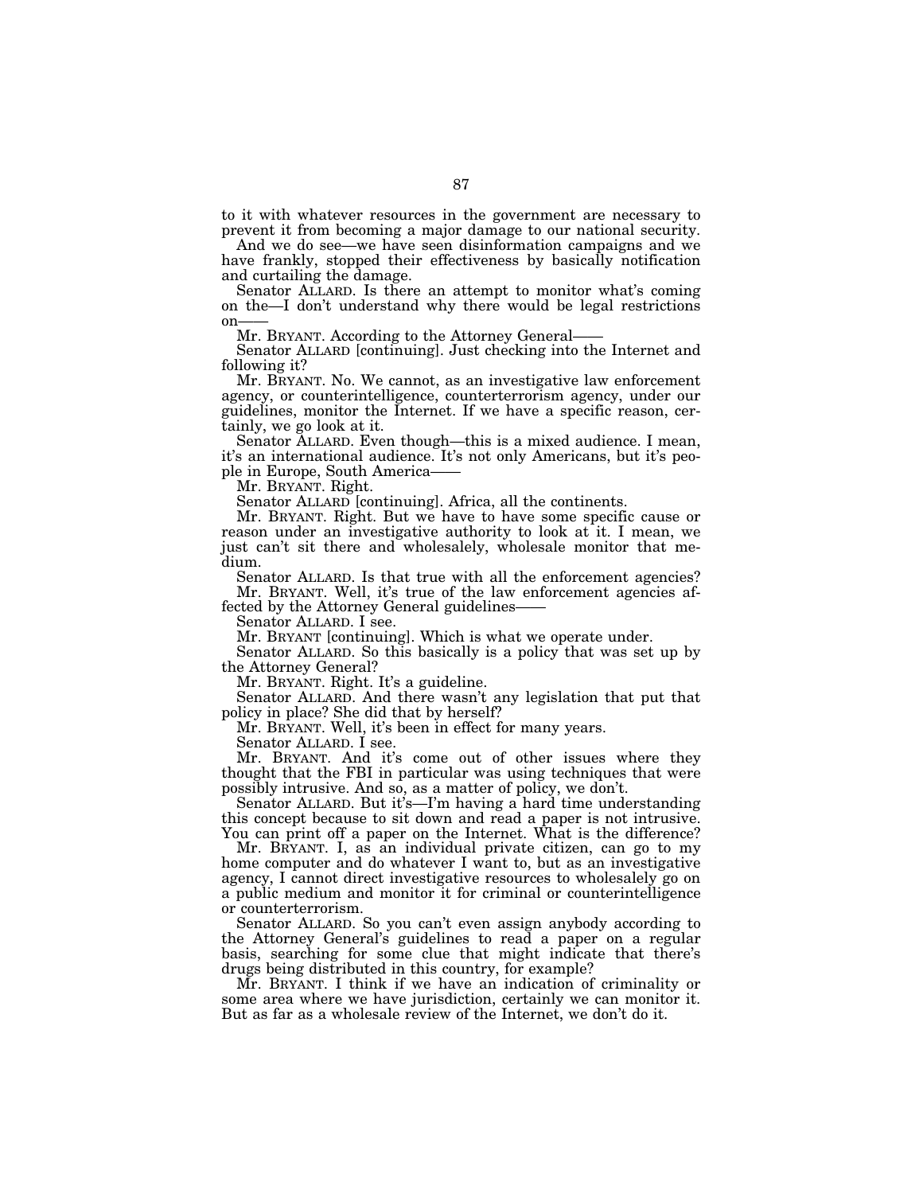to it with whatever resources in the government are necessary to prevent it from becoming a major damage to our national security.

And we do see—we have seen disinformation campaigns and we have frankly, stopped their effectiveness by basically notification and curtailing the damage.

Senator ALLARD. Is there an attempt to monitor what's coming on the—I don't understand why there would be legal restrictions on-

Mr. BRYANT. According to the Attorney General-

Senator ALLARD [continuing]. Just checking into the Internet and following it?

Mr. BRYANT. No. We cannot, as an investigative law enforcement agency, or counterintelligence, counterterrorism agency, under our guidelines, monitor the Internet. If we have a specific reason, certainly, we go look at it.

Senator ALLARD. Even though—this is a mixed audience. I mean, it's an international audience. It's not only Americans, but it's people in Europe, South America——

Mr. BRYANT. Right.

Senator ALLARD [continuing]. Africa, all the continents.

Mr. BRYANT. Right. But we have to have some specific cause or reason under an investigative authority to look at it. I mean, we just can't sit there and wholesalely, wholesale monitor that medium.

Senator ALLARD. Is that true with all the enforcement agencies? Mr. BRYANT. Well, it's true of the law enforcement agencies affected by the Attorney General guidelines-

Senator ALLARD. I see.

Mr. BRYANT [continuing]. Which is what we operate under.

Senator ALLARD. So this basically is a policy that was set up by the Attorney General?

Mr. BRYANT. Right. It's a guideline.

Senator ALLARD. And there wasn't any legislation that put that policy in place? She did that by herself?

Mr. BRYANT. Well, it's been in effect for many years.

Senator ALLARD. I see.

Mr. BRYANT. And it's come out of other issues where they thought that the FBI in particular was using techniques that were possibly intrusive. And so, as a matter of policy, we don't.

Senator ALLARD. But it's—I'm having a hard time understanding this concept because to sit down and read a paper is not intrusive. You can print off a paper on the Internet. What is the difference?

Mr. BRYANT. I, as an individual private citizen, can go to my home computer and do whatever I want to, but as an investigative agency, I cannot direct investigative resources to wholesalely go on a public medium and monitor it for criminal or counterintelligence or counterterrorism.

Senator ALLARD. So you can't even assign anybody according to the Attorney General's guidelines to read a paper on a regular basis, searching for some clue that might indicate that there's drugs being distributed in this country, for example?

Mr. BRYANT. I think if we have an indication of criminality or some area where we have jurisdiction, certainly we can monitor it. But as far as a wholesale review of the Internet, we don't do it.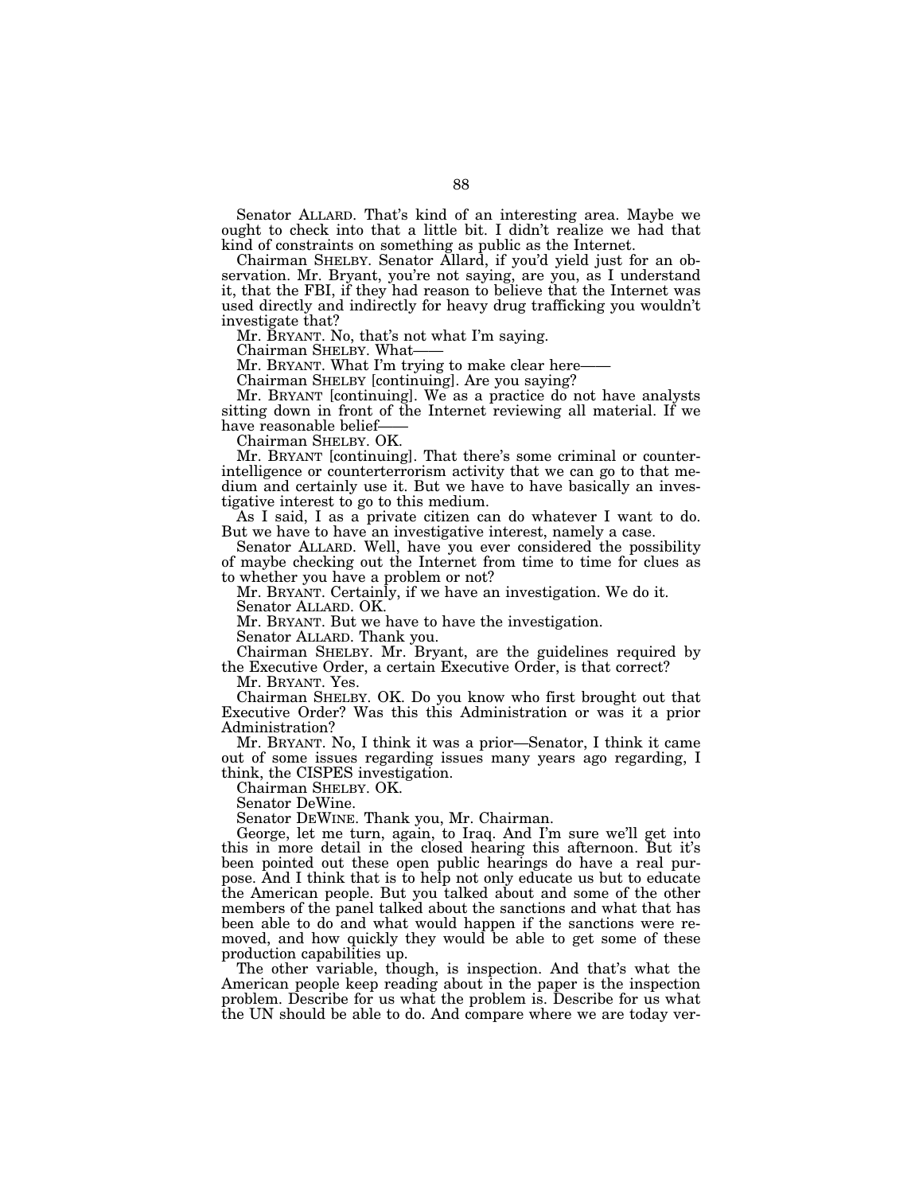Senator ALLARD. That's kind of an interesting area. Maybe we ought to check into that a little bit. I didn't realize we had that kind of constraints on something as public as the Internet.

Chairman SHELBY. Senator Allard, if you'd yield just for an observation. Mr. Bryant, you're not saying, are you, as I understand it, that the FBI, if they had reason to believe that the Internet was used directly and indirectly for heavy drug trafficking you wouldn't investigate that?

Mr. BRYANT. No, that's not what I'm saying.

Chairman SHELBY. What——

Mr. BRYANT. What I'm trying to make clear here-

Chairman SHELBY [continuing]. Are you saying?

Mr. BRYANT [continuing]. We as a practice do not have analysts sitting down in front of the Internet reviewing all material. If we have reasonable belief-

Chairman SHELBY. OK.

Mr. BRYANT [continuing]. That there's some criminal or counterintelligence or counterterrorism activity that we can go to that medium and certainly use it. But we have to have basically an investigative interest to go to this medium.

As I said, I as a private citizen can do whatever I want to do. But we have to have an investigative interest, namely a case.

Senator ALLARD. Well, have you ever considered the possibility of maybe checking out the Internet from time to time for clues as to whether you have a problem or not?

Mr. BRYANT. Certainly, if we have an investigation. We do it.

Senator ALLARD. OK.

Mr. BRYANT. But we have to have the investigation.

Senator ALLARD. Thank you.

Chairman SHELBY. Mr. Bryant, are the guidelines required by the Executive Order, a certain Executive Order, is that correct?

Mr. BRYANT. Yes.

Chairman SHELBY. OK. Do you know who first brought out that Executive Order? Was this this Administration or was it a prior Administration?

Mr. BRYANT. No, I think it was a prior—Senator, I think it came out of some issues regarding issues many years ago regarding, I think, the CISPES investigation.

Chairman SHELBY. OK.

Senator DeWine.

Senator DEWINE. Thank you, Mr. Chairman.

George, let me turn, again, to Iraq. And I'm sure we'll get into this in more detail in the closed hearing this afternoon. But it's been pointed out these open public hearings do have a real purpose. And I think that is to help not only educate us but to educate the American people. But you talked about and some of the other members of the panel talked about the sanctions and what that has been able to do and what would happen if the sanctions were removed, and how quickly they would be able to get some of these production capabilities up.

The other variable, though, is inspection. And that's what the American people keep reading about in the paper is the inspection problem. Describe for us what the problem is. Describe for us what the UN should be able to do. And compare where we are today ver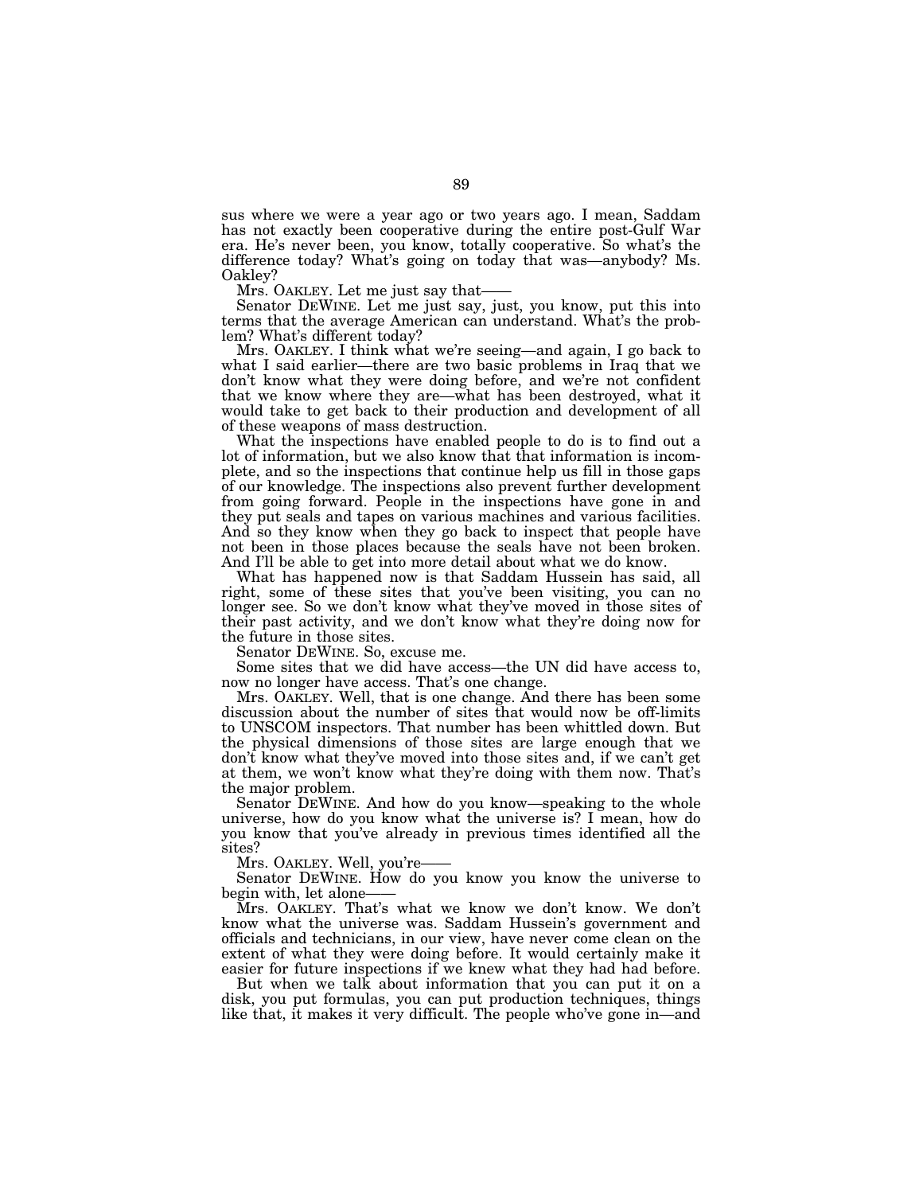sus where we were a year ago or two years ago. I mean, Saddam has not exactly been cooperative during the entire post-Gulf War era. He's never been, you know, totally cooperative. So what's the difference today? What's going on today that was—anybody? Ms. Oakley?

Mrs. OAKLEY. Let me just say that—

Senator DEWINE. Let me just say, just, you know, put this into terms that the average American can understand. What's the problem? What's different today?

Mrs. OAKLEY. I think what we're seeing—and again, I go back to what I said earlier—there are two basic problems in Iraq that we don't know what they were doing before, and we're not confident that we know where they are—what has been destroyed, what it would take to get back to their production and development of all of these weapons of mass destruction.

What the inspections have enabled people to do is to find out a lot of information, but we also know that that information is incomplete, and so the inspections that continue help us fill in those gaps of our knowledge. The inspections also prevent further development from going forward. People in the inspections have gone in and they put seals and tapes on various machines and various facilities. And so they know when they go back to inspect that people have not been in those places because the seals have not been broken. And I'll be able to get into more detail about what we do know.

What has happened now is that Saddam Hussein has said, all right, some of these sites that you've been visiting, you can no longer see. So we don't know what they've moved in those sites of their past activity, and we don't know what they're doing now for the future in those sites.

Senator DEWINE. So, excuse me.

Some sites that we did have access—the UN did have access to, now no longer have access. That's one change.

Mrs. OAKLEY. Well, that is one change. And there has been some discussion about the number of sites that would now be off-limits to UNSCOM inspectors. That number has been whittled down. But the physical dimensions of those sites are large enough that we don't know what they've moved into those sites and, if we can't get at them, we won't know what they're doing with them now. That's the major problem.

Senator DEWINE. And how do you know—speaking to the whole universe, how do you know what the universe is? I mean, how do you know that you've already in previous times identified all the sites?

Mrs. OAKLEY. Well, you're-

Senator DEWINE. How do you know you know the universe to begin with, let alone-

Mrs. OAKLEY. That's what we know we don't know. We don't know what the universe was. Saddam Hussein's government and officials and technicians, in our view, have never come clean on the extent of what they were doing before. It would certainly make it easier for future inspections if we knew what they had had before.

But when we talk about information that you can put it on a disk, you put formulas, you can put production techniques, things like that, it makes it very difficult. The people who've gone in—and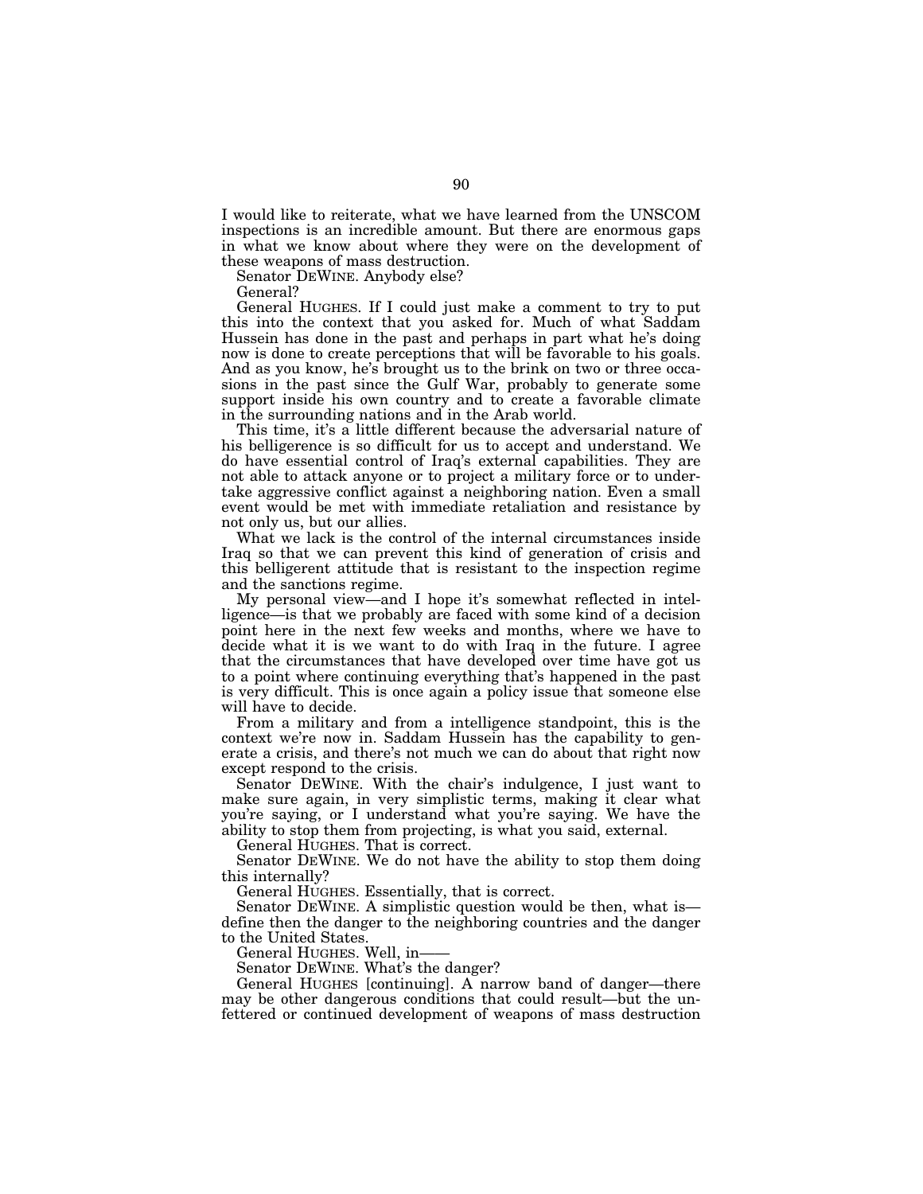I would like to reiterate, what we have learned from the UNSCOM inspections is an incredible amount. But there are enormous gaps in what we know about where they were on the development of these weapons of mass destruction.

Senator DEWINE. Anybody else?

General?

General HUGHES. If I could just make a comment to try to put this into the context that you asked for. Much of what Saddam Hussein has done in the past and perhaps in part what he's doing now is done to create perceptions that will be favorable to his goals. And as you know, he's brought us to the brink on two or three occasions in the past since the Gulf War, probably to generate some support inside his own country and to create a favorable climate in the surrounding nations and in the Arab world.

This time, it's a little different because the adversarial nature of his belligerence is so difficult for us to accept and understand. We do have essential control of Iraq's external capabilities. They are not able to attack anyone or to project a military force or to undertake aggressive conflict against a neighboring nation. Even a small event would be met with immediate retaliation and resistance by not only us, but our allies.

What we lack is the control of the internal circumstances inside Iraq so that we can prevent this kind of generation of crisis and this belligerent attitude that is resistant to the inspection regime and the sanctions regime.

My personal view—and I hope it's somewhat reflected in intelligence—is that we probably are faced with some kind of a decision point here in the next few weeks and months, where we have to decide what it is we want to do with Iraq in the future. I agree that the circumstances that have developed over time have got us to a point where continuing everything that's happened in the past is very difficult. This is once again a policy issue that someone else will have to decide.

From a military and from a intelligence standpoint, this is the context we're now in. Saddam Hussein has the capability to generate a crisis, and there's not much we can do about that right now except respond to the crisis.

Senator DEWINE. With the chair's indulgence, I just want to make sure again, in very simplistic terms, making it clear what you're saying, or I understand what you're saying. We have the ability to stop them from projecting, is what you said, external.

General HUGHES. That is correct.

Senator DEWINE. We do not have the ability to stop them doing this internally?

General HUGHES. Essentially, that is correct.

Senator DEWINE. A simplistic question would be then, what is define then the danger to the neighboring countries and the danger to the United States.

General HUGHES. Well, in——

Senator DEWINE. What's the danger?

General HUGHES [continuing]. A narrow band of danger—there may be other dangerous conditions that could result—but the unfettered or continued development of weapons of mass destruction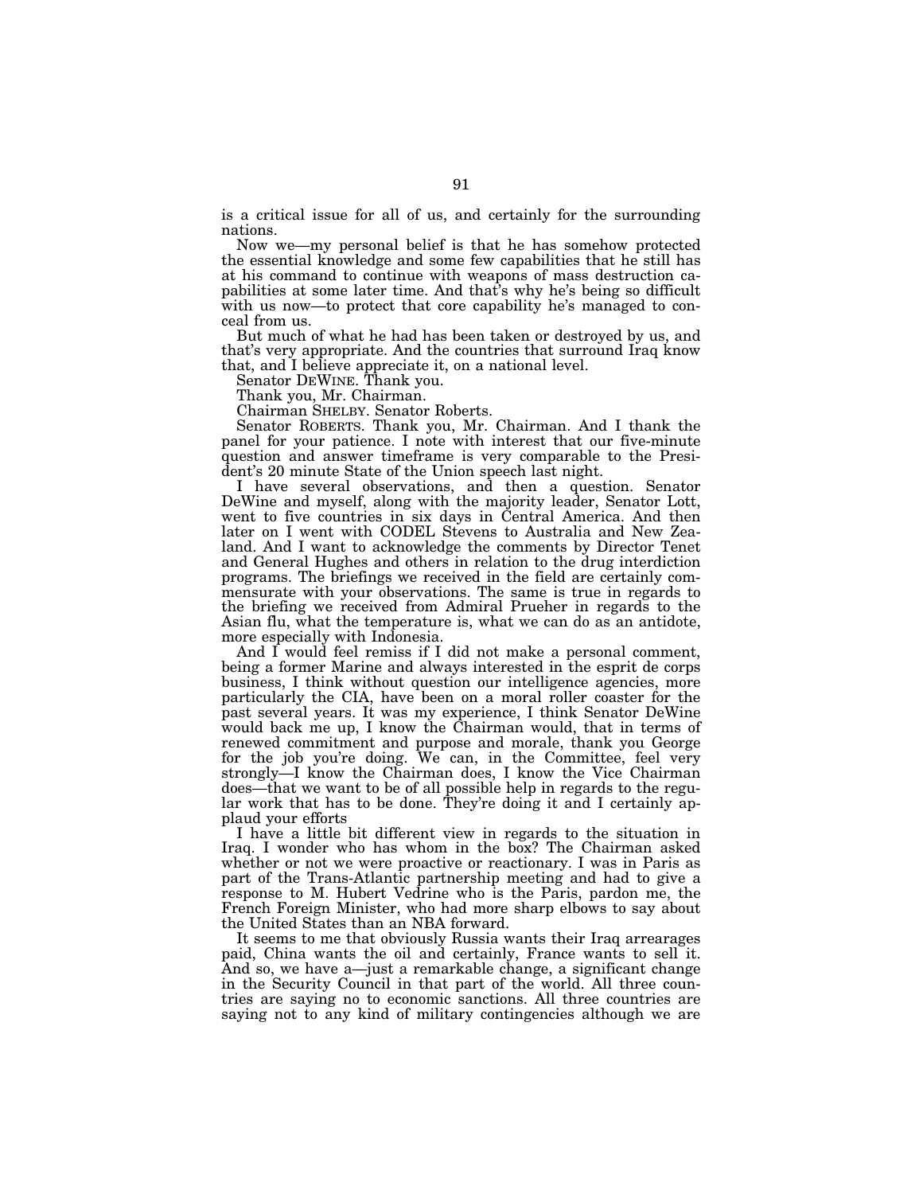is a critical issue for all of us, and certainly for the surrounding nations.

Now we—my personal belief is that he has somehow protected the essential knowledge and some few capabilities that he still has at his command to continue with weapons of mass destruction capabilities at some later time. And that's why he's being so difficult with us now—to protect that core capability he's managed to conceal from us.

But much of what he had has been taken or destroyed by us, and that's very appropriate. And the countries that surround Iraq know that, and I believe appreciate it, on a national level.

Senator DEWINE. Thank you.

Thank you, Mr. Chairman.

Chairman SHELBY. Senator Roberts.

Senator ROBERTS. Thank you, Mr. Chairman. And I thank the panel for your patience. I note with interest that our five-minute question and answer timeframe is very comparable to the President's 20 minute State of the Union speech last night.

I have several observations, and then a question. Senator DeWine and myself, along with the majority leader, Senator Lott, went to five countries in six days in Central America. And then later on I went with CODEL Stevens to Australia and New Zealand. And I want to acknowledge the comments by Director Tenet and General Hughes and others in relation to the drug interdiction programs. The briefings we received in the field are certainly commensurate with your observations. The same is true in regards to the briefing we received from Admiral Prueher in regards to the Asian flu, what the temperature is, what we can do as an antidote, more especially with Indonesia.

And I would feel remiss if I did not make a personal comment, being a former Marine and always interested in the esprit de corps business, I think without question our intelligence agencies, more particularly the CIA, have been on a moral roller coaster for the past several years. It was my experience, I think Senator DeWine would back me up, I know the Chairman would, that in terms of renewed commitment and purpose and morale, thank you George for the job you're doing. We can, in the Committee, feel very strongly—I know the Chairman does, I know the Vice Chairman does—that we want to be of all possible help in regards to the regular work that has to be done. They're doing it and I certainly applaud your efforts

I have a little bit different view in regards to the situation in Iraq. I wonder who has whom in the box? The Chairman asked whether or not we were proactive or reactionary. I was in Paris as part of the Trans-Atlantic partnership meeting and had to give a response to M. Hubert Vedrine who is the Paris, pardon me, the French Foreign Minister, who had more sharp elbows to say about the United States than an NBA forward.

It seems to me that obviously Russia wants their Iraq arrearages paid, China wants the oil and certainly, France wants to sell it. And so, we have a—just a remarkable change, a significant change in the Security Council in that part of the world. All three countries are saying no to economic sanctions. All three countries are saying not to any kind of military contingencies although we are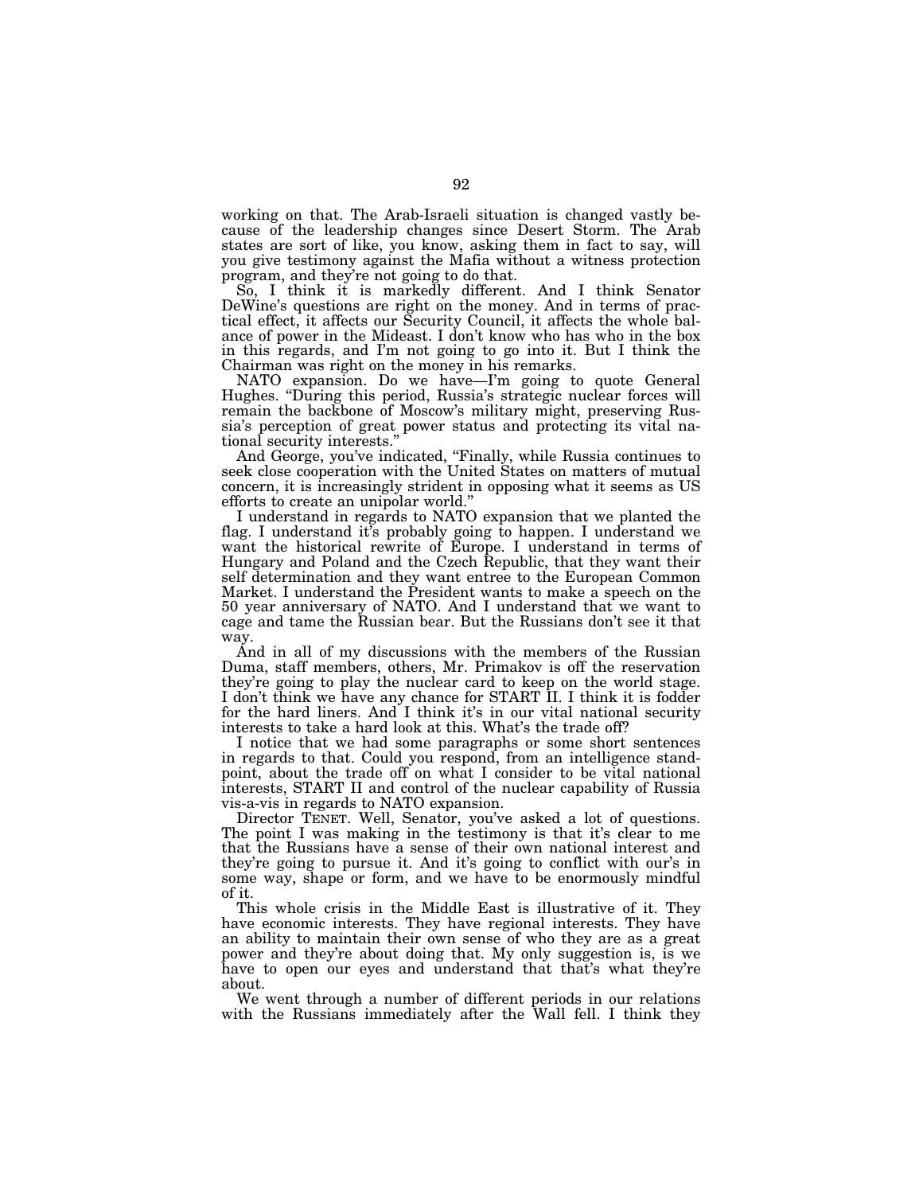working on that. The Arab-Israeli situation is changed vastly because of the leadership changes since Desert Storm. The Arab states are sort of like, you know, asking them in fact to say, will you give testimony against the Mafia without a witness protection program, and they're not going to do that.

So, I think it is markedly different. And I think Senator DeWine's questions are right on the money. And in terms of practical effect, it affects our Security Council, it affects the whole balance of power in the Mideast. I don't know who has who in the box in this regards, and I'm not going to go into it. But I think the Chairman was right on the money in his remarks.

NATO expansion. Do we have—I'm going to quote General Hughes. "During this period, Russia's strategic nuclear forces will remain the backbone of Moscow's military might, preserving Russia's perception of great power status and protecting its vital national security interests.''

And George, you've indicated, ''Finally, while Russia continues to seek close cooperation with the United States on matters of mutual concern, it is increasingly strident in opposing what it seems as US efforts to create an unipolar world.''

I understand in regards to NATO expansion that we planted the flag. I understand it's probably going to happen. I understand we want the historical rewrite of Europe. I understand in terms of Hungary and Poland and the Czech Republic, that they want their self determination and they want entree to the European Common Market. I understand the President wants to make a speech on the 50 year anniversary of NATO. And I understand that we want to cage and tame the Russian bear. But the Russians don't see it that way.

And in all of my discussions with the members of the Russian Duma, staff members, others, Mr. Primakov is off the reservation they're going to play the nuclear card to keep on the world stage. I don't think we have any chance for START II. I think it is fodder for the hard liners. And I think it's in our vital national security interests to take a hard look at this. What's the trade off?

I notice that we had some paragraphs or some short sentences in regards to that. Could you respond, from an intelligence standpoint, about the trade off on what I consider to be vital national interests, START II and control of the nuclear capability of Russia vis-a-vis in regards to NATO expansion.

Director TENET. Well, Senator, you've asked a lot of questions. The point I was making in the testimony is that it's clear to me that the Russians have a sense of their own national interest and they're going to pursue it. And it's going to conflict with our's in some way, shape or form, and we have to be enormously mindful of it.

This whole crisis in the Middle East is illustrative of it. They have economic interests. They have regional interests. They have an ability to maintain their own sense of who they are as a great power and they're about doing that. My only suggestion is, is we have to open our eyes and understand that that's what they're about.

We went through a number of different periods in our relations with the Russians immediately after the Wall fell. I think they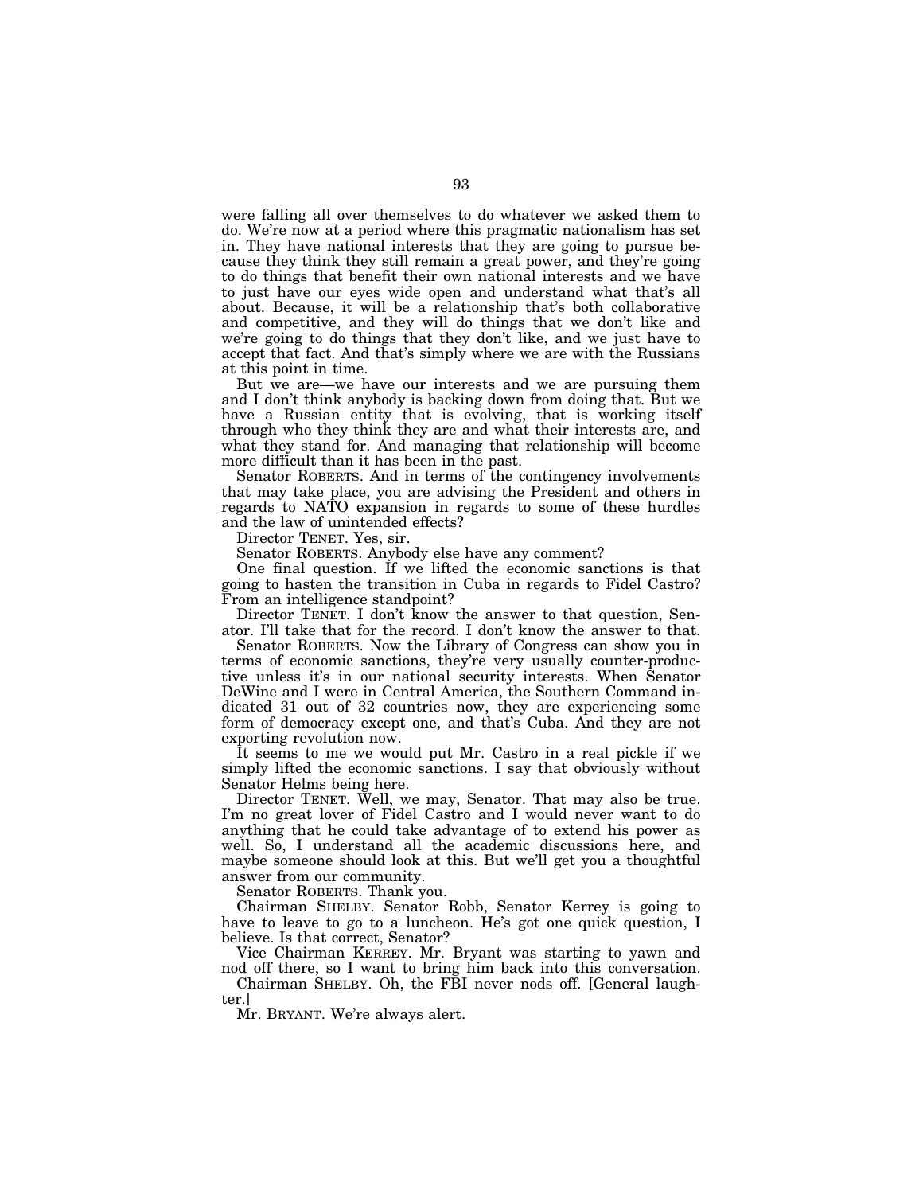were falling all over themselves to do whatever we asked them to do. We're now at a period where this pragmatic nationalism has set in. They have national interests that they are going to pursue because they think they still remain a great power, and they're going to do things that benefit their own national interests and we have to just have our eyes wide open and understand what that's all about. Because, it will be a relationship that's both collaborative and competitive, and they will do things that we don't like and we're going to do things that they don't like, and we just have to accept that fact. And that's simply where we are with the Russians at this point in time.

But we are—we have our interests and we are pursuing them and I don't think anybody is backing down from doing that. But we have a Russian entity that is evolving, that is working itself through who they think they are and what their interests are, and what they stand for. And managing that relationship will become more difficult than it has been in the past.

Senator ROBERTS. And in terms of the contingency involvements that may take place, you are advising the President and others in regards to NATO expansion in regards to some of these hurdles and the law of unintended effects?

Director TENET. Yes, sir.

Senator ROBERTS. Anybody else have any comment?

One final question. If we lifted the economic sanctions is that going to hasten the transition in Cuba in regards to Fidel Castro? From an intelligence standpoint?

Director TENET. I don't know the answer to that question, Senator. I'll take that for the record. I don't know the answer to that.

Senator ROBERTS. Now the Library of Congress can show you in terms of economic sanctions, they're very usually counter-productive unless it's in our national security interests. When Senator DeWine and I were in Central America, the Southern Command indicated 31 out of 32 countries now, they are experiencing some form of democracy except one, and that's Cuba. And they are not exporting revolution now.

It seems to me we would put Mr. Castro in a real pickle if we simply lifted the economic sanctions. I say that obviously without Senator Helms being here.

Director TENET. Well, we may, Senator. That may also be true. I'm no great lover of Fidel Castro and I would never want to do anything that he could take advantage of to extend his power as well. So, I understand all the academic discussions here, and maybe someone should look at this. But we'll get you a thoughtful answer from our community.

Senator ROBERTS. Thank you.

Chairman SHELBY. Senator Robb, Senator Kerrey is going to have to leave to go to a luncheon. He's got one quick question, I believe. Is that correct, Senator?

Vice Chairman KERREY. Mr. Bryant was starting to yawn and nod off there, so I want to bring him back into this conversation.

Chairman SHELBY. Oh, the FBI never nods off. [General laughter.]

Mr. BRYANT. We're always alert.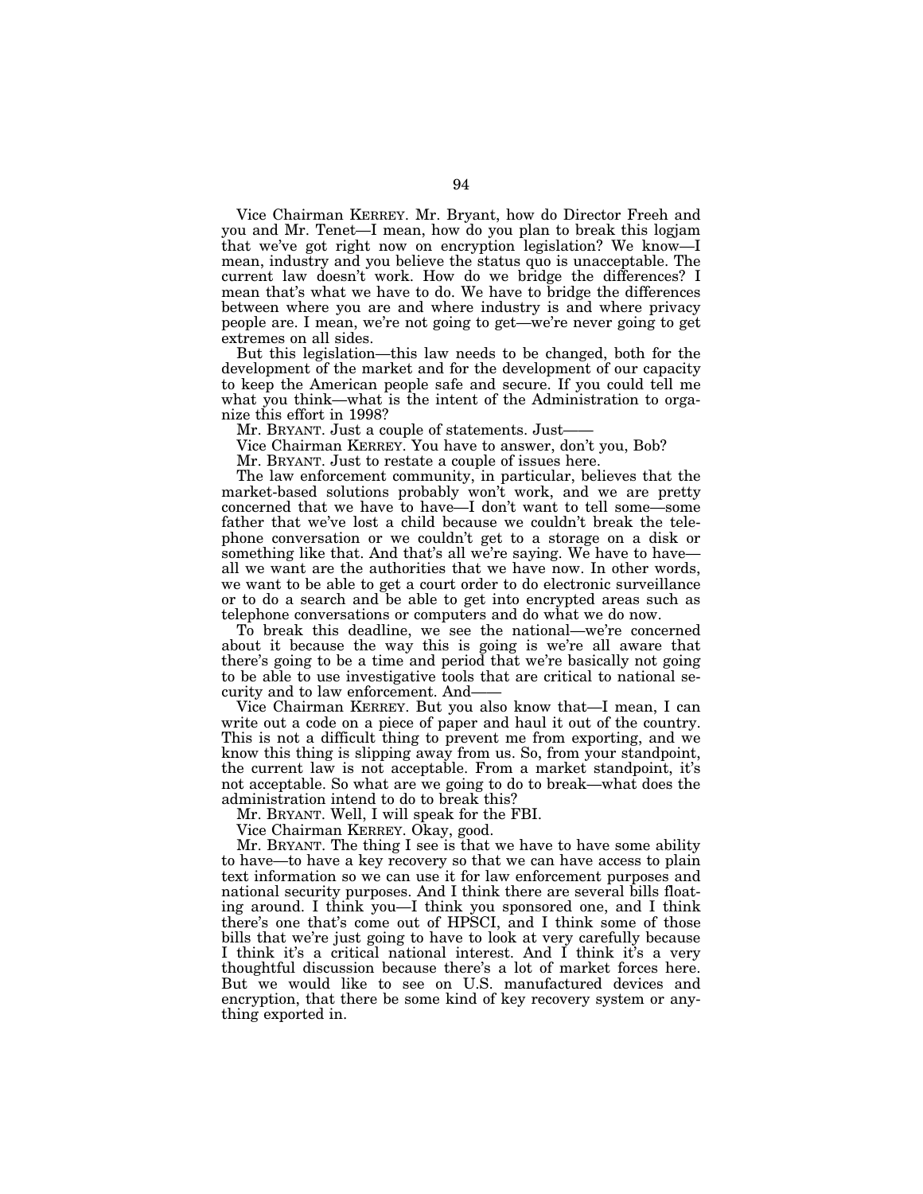Vice Chairman KERREY. Mr. Bryant, how do Director Freeh and you and Mr. Tenet—I mean, how do you plan to break this logjam that we've got right now on encryption legislation? We know—I mean, industry and you believe the status quo is unacceptable. The current law doesn't work. How do we bridge the differences? I mean that's what we have to do. We have to bridge the differences between where you are and where industry is and where privacy people are. I mean, we're not going to get—we're never going to get extremes on all sides.

But this legislation—this law needs to be changed, both for the development of the market and for the development of our capacity to keep the American people safe and secure. If you could tell me what you think—what is the intent of the Administration to organize this effort in 1998?

Mr. BRYANT. Just a couple of statements. Just-

Vice Chairman KERREY. You have to answer, don't you, Bob?

Mr. BRYANT. Just to restate a couple of issues here.

The law enforcement community, in particular, believes that the market-based solutions probably won't work, and we are pretty concerned that we have to have—I don't want to tell some—some father that we've lost a child because we couldn't break the telephone conversation or we couldn't get to a storage on a disk or something like that. And that's all we're saying. We have to have all we want are the authorities that we have now. In other words, we want to be able to get a court order to do electronic surveillance or to do a search and be able to get into encrypted areas such as telephone conversations or computers and do what we do now.

To break this deadline, we see the national—we're concerned about it because the way this is going is we're all aware that there's going to be a time and period that we're basically not going to be able to use investigative tools that are critical to national security and to law enforcement. And——

Vice Chairman KERREY. But you also know that—I mean, I can write out a code on a piece of paper and haul it out of the country. This is not a difficult thing to prevent me from exporting, and we know this thing is slipping away from us. So, from your standpoint, the current law is not acceptable. From a market standpoint, it's not acceptable. So what are we going to do to break—what does the administration intend to do to break this?

Mr. BRYANT. Well, I will speak for the FBI.

Vice Chairman KERREY. Okay, good.

Mr. BRYANT. The thing I see is that we have to have some ability to have—to have a key recovery so that we can have access to plain text information so we can use it for law enforcement purposes and national security purposes. And I think there are several bills floating around. I think you—I think you sponsored one, and I think there's one that's come out of HPSCI, and I think some of those bills that we're just going to have to look at very carefully because I think it's a critical national interest. And I think it's a very thoughtful discussion because there's a lot of market forces here. But we would like to see on U.S. manufactured devices and encryption, that there be some kind of key recovery system or anything exported in.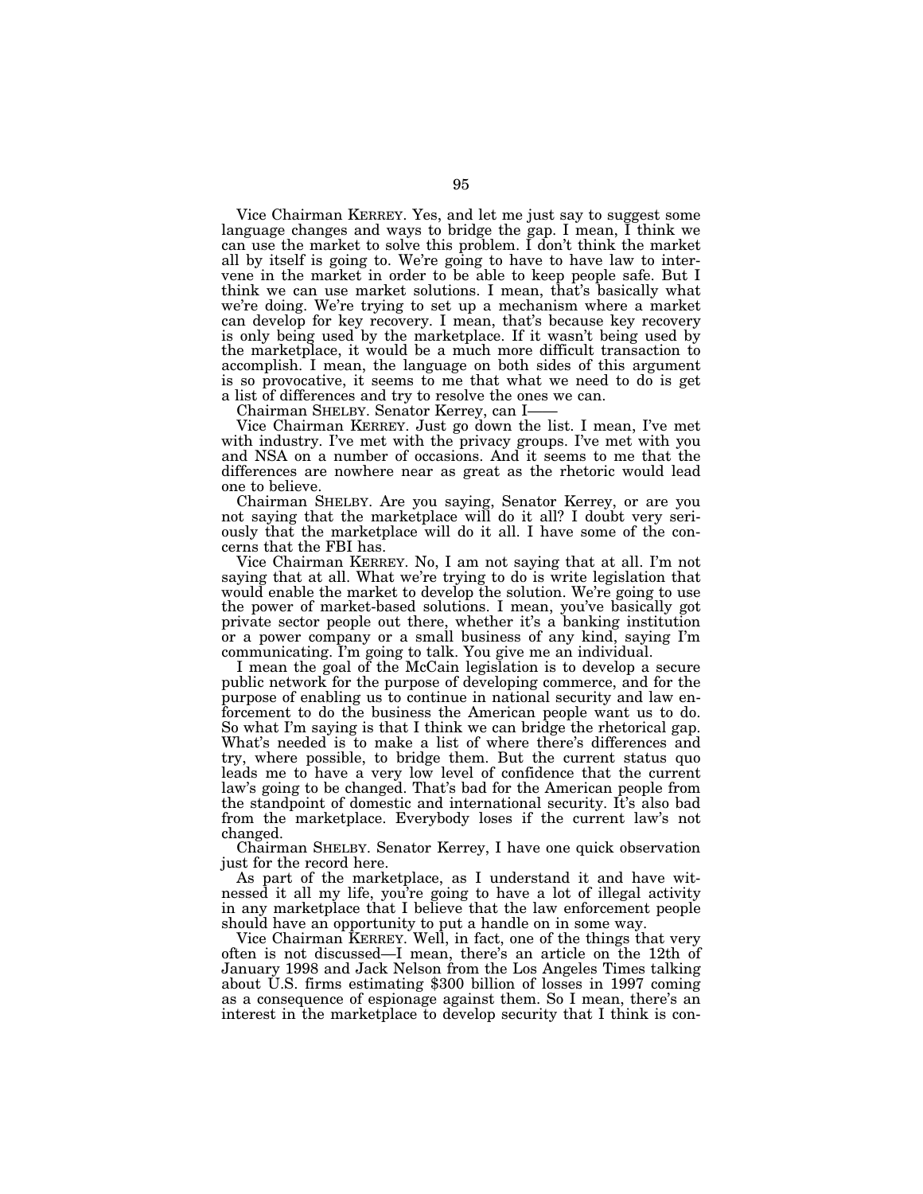Vice Chairman KERREY. Yes, and let me just say to suggest some language changes and ways to bridge the gap. I mean, I think we can use the market to solve this problem. I don't think the market all by itself is going to. We're going to have to have law to intervene in the market in order to be able to keep people safe. But I think we can use market solutions. I mean, that's basically what we're doing. We're trying to set up a mechanism where a market can develop for key recovery. I mean, that's because key recovery is only being used by the marketplace. If it wasn't being used by the marketplace, it would be a much more difficult transaction to accomplish. I mean, the language on both sides of this argument is so provocative, it seems to me that what we need to do is get a list of differences and try to resolve the ones we can.

Chairman SHELBY. Senator Kerrey, can I——

Vice Chairman KERREY. Just go down the list. I mean, I've met with industry. I've met with the privacy groups. I've met with you and NSA on a number of occasions. And it seems to me that the differences are nowhere near as great as the rhetoric would lead one to believe.

Chairman SHELBY. Are you saying, Senator Kerrey, or are you not saying that the marketplace will do it all? I doubt very seriously that the marketplace will do it all. I have some of the concerns that the FBI has.

Vice Chairman KERREY. No, I am not saying that at all. I'm not saying that at all. What we're trying to do is write legislation that would enable the market to develop the solution. We're going to use the power of market-based solutions. I mean, you've basically got private sector people out there, whether it's a banking institution or a power company or a small business of any kind, saying I'm communicating. I'm going to talk. You give me an individual.

I mean the goal of the McCain legislation is to develop a secure public network for the purpose of developing commerce, and for the purpose of enabling us to continue in national security and law enforcement to do the business the American people want us to do. So what I'm saying is that I think we can bridge the rhetorical gap. What's needed is to make a list of where there's differences and try, where possible, to bridge them. But the current status quo leads me to have a very low level of confidence that the current law's going to be changed. That's bad for the American people from the standpoint of domestic and international security. It's also bad from the marketplace. Everybody loses if the current law's not changed.

Chairman SHELBY. Senator Kerrey, I have one quick observation just for the record here.

As part of the marketplace, as I understand it and have witnessed it all my life, you're going to have a lot of illegal activity in any marketplace that I believe that the law enforcement people should have an opportunity to put a handle on in some way.

Vice Chairman KERREY. Well, in fact, one of the things that very often is not discussed—I mean, there's an article on the 12th of January 1998 and Jack Nelson from the Los Angeles Times talking about U.S. firms estimating \$300 billion of losses in 1997 coming as a consequence of espionage against them. So I mean, there's an interest in the marketplace to develop security that I think is con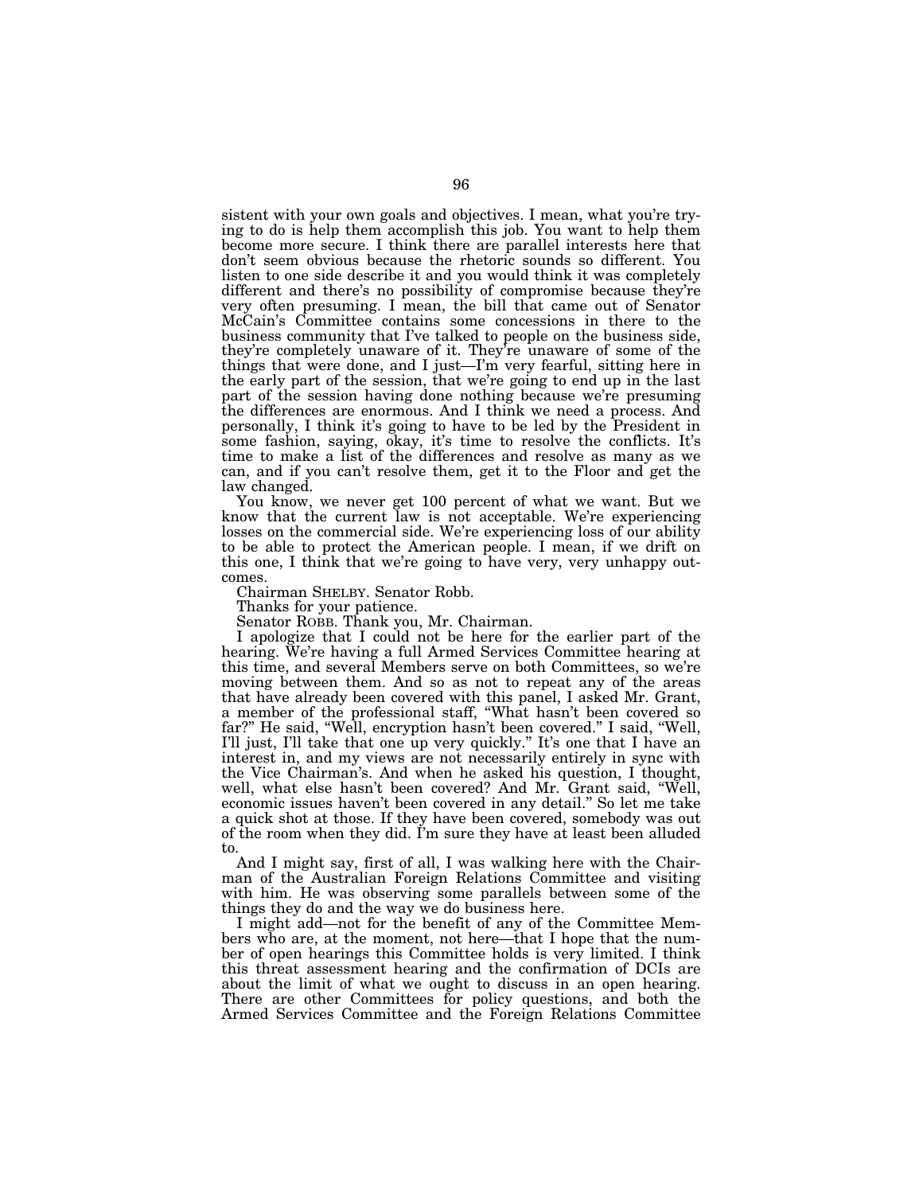sistent with your own goals and objectives. I mean, what you're trying to do is help them accomplish this job. You want to help them become more secure. I think there are parallel interests here that don't seem obvious because the rhetoric sounds so different. You listen to one side describe it and you would think it was completely different and there's no possibility of compromise because they're very often presuming. I mean, the bill that came out of Senator McCain's Committee contains some concessions in there to the business community that I've talked to people on the business side, they're completely unaware of it. They're unaware of some of the things that were done, and I just—I'm very fearful, sitting here in the early part of the session, that we're going to end up in the last part of the session having done nothing because we're presuming the differences are enormous. And I think we need a process. And personally, I think it's going to have to be led by the President in some fashion, saying, okay, it's time to resolve the conflicts. It's time to make a list of the differences and resolve as many as we can, and if you can't resolve them, get it to the Floor and get the law changed.

You know, we never get 100 percent of what we want. But we know that the current law is not acceptable. We're experiencing losses on the commercial side. We're experiencing loss of our ability to be able to protect the American people. I mean, if we drift on this one, I think that we're going to have very, very unhappy outcomes.

Chairman SHELBY. Senator Robb.

Thanks for your patience.

Senator ROBB. Thank you, Mr. Chairman.

I apologize that I could not be here for the earlier part of the hearing. We're having a full Armed Services Committee hearing at this time, and several Members serve on both Committees, so we're moving between them. And so as not to repeat any of the areas that have already been covered with this panel, I asked Mr. Grant, a member of the professional staff, ''What hasn't been covered so far?'' He said, ''Well, encryption hasn't been covered.'' I said, ''Well, I'll just, I'll take that one up very quickly.'' It's one that I have an interest in, and my views are not necessarily entirely in sync with the Vice Chairman's. And when he asked his question, I thought, well, what else hasn't been covered? And Mr. Grant said, ''Well, economic issues haven't been covered in any detail.'' So let me take a quick shot at those. If they have been covered, somebody was out of the room when they did. I'm sure they have at least been alluded to.

And I might say, first of all, I was walking here with the Chairman of the Australian Foreign Relations Committee and visiting with him. He was observing some parallels between some of the things they do and the way we do business here.

I might add—not for the benefit of any of the Committee Members who are, at the moment, not here—that I hope that the number of open hearings this Committee holds is very limited. I think this threat assessment hearing and the confirmation of DCIs are about the limit of what we ought to discuss in an open hearing. There are other Committees for policy questions, and both the Armed Services Committee and the Foreign Relations Committee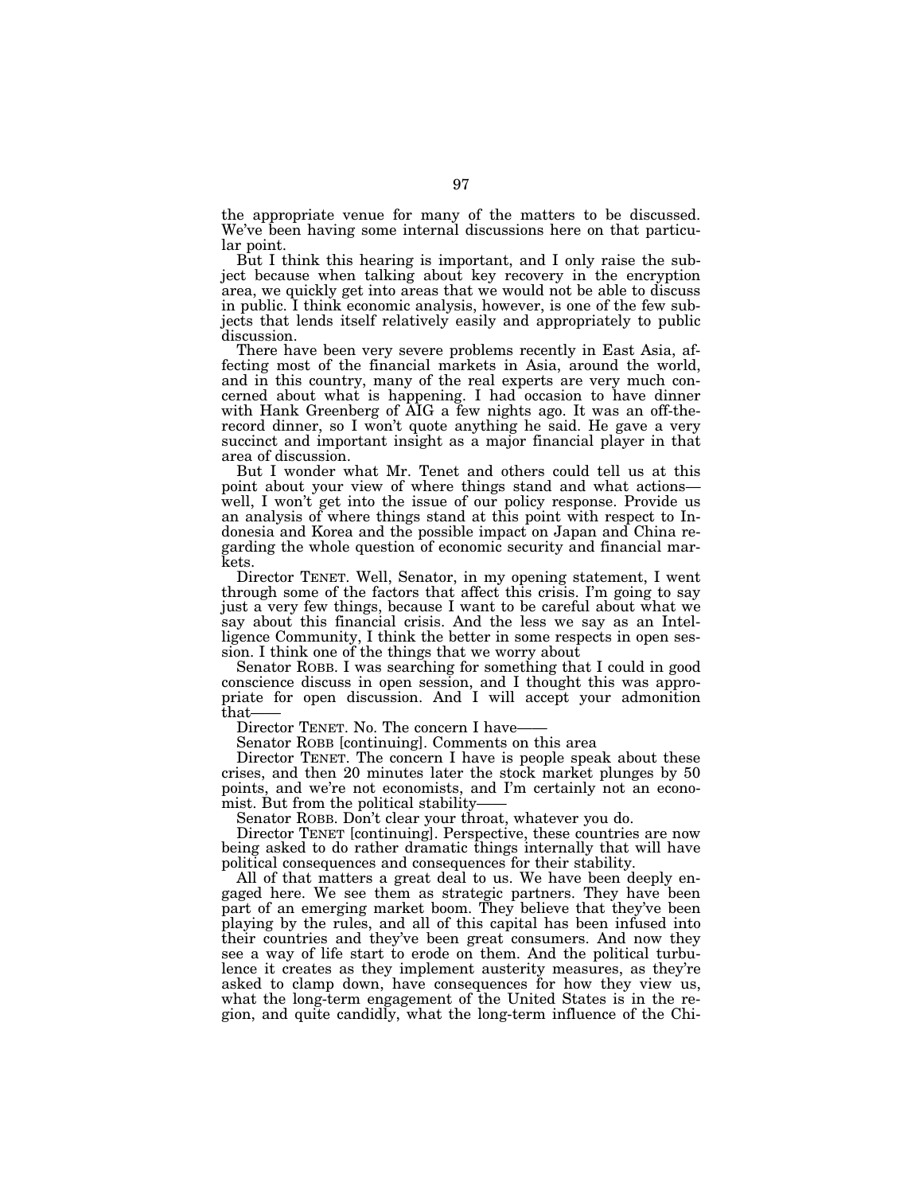the appropriate venue for many of the matters to be discussed. We've been having some internal discussions here on that particular point.

But I think this hearing is important, and I only raise the subject because when talking about key recovery in the encryption area, we quickly get into areas that we would not be able to discuss in public. I think economic analysis, however, is one of the few subjects that lends itself relatively easily and appropriately to public discussion.

There have been very severe problems recently in East Asia, affecting most of the financial markets in Asia, around the world, and in this country, many of the real experts are very much concerned about what is happening. I had occasion to have dinner with Hank Greenberg of AIG a few nights ago. It was an off-therecord dinner, so I won't quote anything he said. He gave a very succinct and important insight as a major financial player in that area of discussion.

But I wonder what Mr. Tenet and others could tell us at this point about your view of where things stand and what actions well, I won't get into the issue of our policy response. Provide us an analysis of where things stand at this point with respect to Indonesia and Korea and the possible impact on Japan and China regarding the whole question of economic security and financial markets.

Director TENET. Well, Senator, in my opening statement, I went through some of the factors that affect this crisis. I'm going to say just a very few things, because I want to be careful about what we say about this financial crisis. And the less we say as an Intelligence Community, I think the better in some respects in open session. I think one of the things that we worry about

Senator ROBB. I was searching for something that I could in good conscience discuss in open session, and I thought this was appropriate for open discussion. And I will accept your admonition  $\bar{\text{t}}$ hat-

Director TENET. No. The concern I have——

Senator ROBB [continuing]. Comments on this area

Director TENET. The concern I have is people speak about these crises, and then 20 minutes later the stock market plunges by 50 points, and we're not economists, and I'm certainly not an economist. But from the political stability-

Senator ROBB. Don't clear your throat, whatever you do.

Director TENET [continuing]. Perspective, these countries are now being asked to do rather dramatic things internally that will have political consequences and consequences for their stability.

All of that matters a great deal to us. We have been deeply engaged here. We see them as strategic partners. They have been part of an emerging market boom. They believe that they've been playing by the rules, and all of this capital has been infused into their countries and they've been great consumers. And now they see a way of life start to erode on them. And the political turbulence it creates as they implement austerity measures, as they're asked to clamp down, have consequences for how they view us, what the long-term engagement of the United States is in the region, and quite candidly, what the long-term influence of the Chi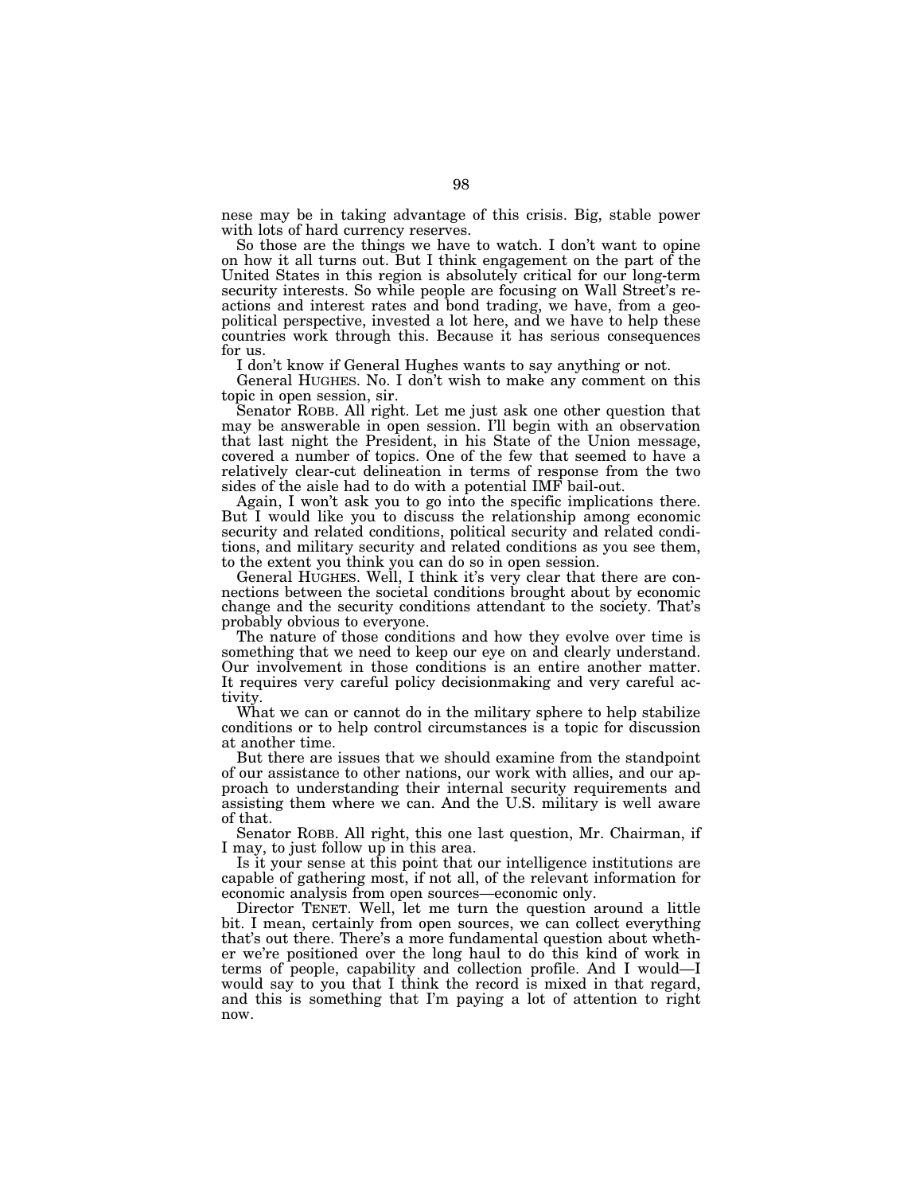nese may be in taking advantage of this crisis. Big, stable power with lots of hard currency reserves.

So those are the things we have to watch. I don't want to opine on how it all turns out. But I think engagement on the part of the United States in this region is absolutely critical for our long-term security interests. So while people are focusing on Wall Street's reactions and interest rates and bond trading, we have, from a geopolitical perspective, invested a lot here, and we have to help these countries work through this. Because it has serious consequences for us.

I don't know if General Hughes wants to say anything or not.

General HUGHES. No. I don't wish to make any comment on this topic in open session, sir.

Senator ROBB. All right. Let me just ask one other question that may be answerable in open session. I'll begin with an observation that last night the President, in his State of the Union message, covered a number of topics. One of the few that seemed to have a relatively clear-cut delineation in terms of response from the two sides of the aisle had to do with a potential IMF bail-out.

Again, I won't ask you to go into the specific implications there. But I would like you to discuss the relationship among economic security and related conditions, political security and related conditions, and military security and related conditions as you see them, to the extent you think you can do so in open session.

General HUGHES. Well, I think it's very clear that there are connections between the societal conditions brought about by economic change and the security conditions attendant to the society. That's probably obvious to everyone.

The nature of those conditions and how they evolve over time is something that we need to keep our eye on and clearly understand. Our involvement in those conditions is an entire another matter. It requires very careful policy decisionmaking and very careful activity.

What we can or cannot do in the military sphere to help stabilize conditions or to help control circumstances is a topic for discussion at another time.

But there are issues that we should examine from the standpoint of our assistance to other nations, our work with allies, and our approach to understanding their internal security requirements and assisting them where we can. And the U.S. military is well aware of that.

Senator ROBB. All right, this one last question, Mr. Chairman, if I may, to just follow up in this area.

Is it your sense at this point that our intelligence institutions are capable of gathering most, if not all, of the relevant information for economic analysis from open sources—economic only.

Director TENET. Well, let me turn the question around a little bit. I mean, certainly from open sources, we can collect everything that's out there. There's a more fundamental question about whether we're positioned over the long haul to do this kind of work in terms of people, capability and collection profile. And I would—I would say to you that I think the record is mixed in that regard, and this is something that I'm paying a lot of attention to right now.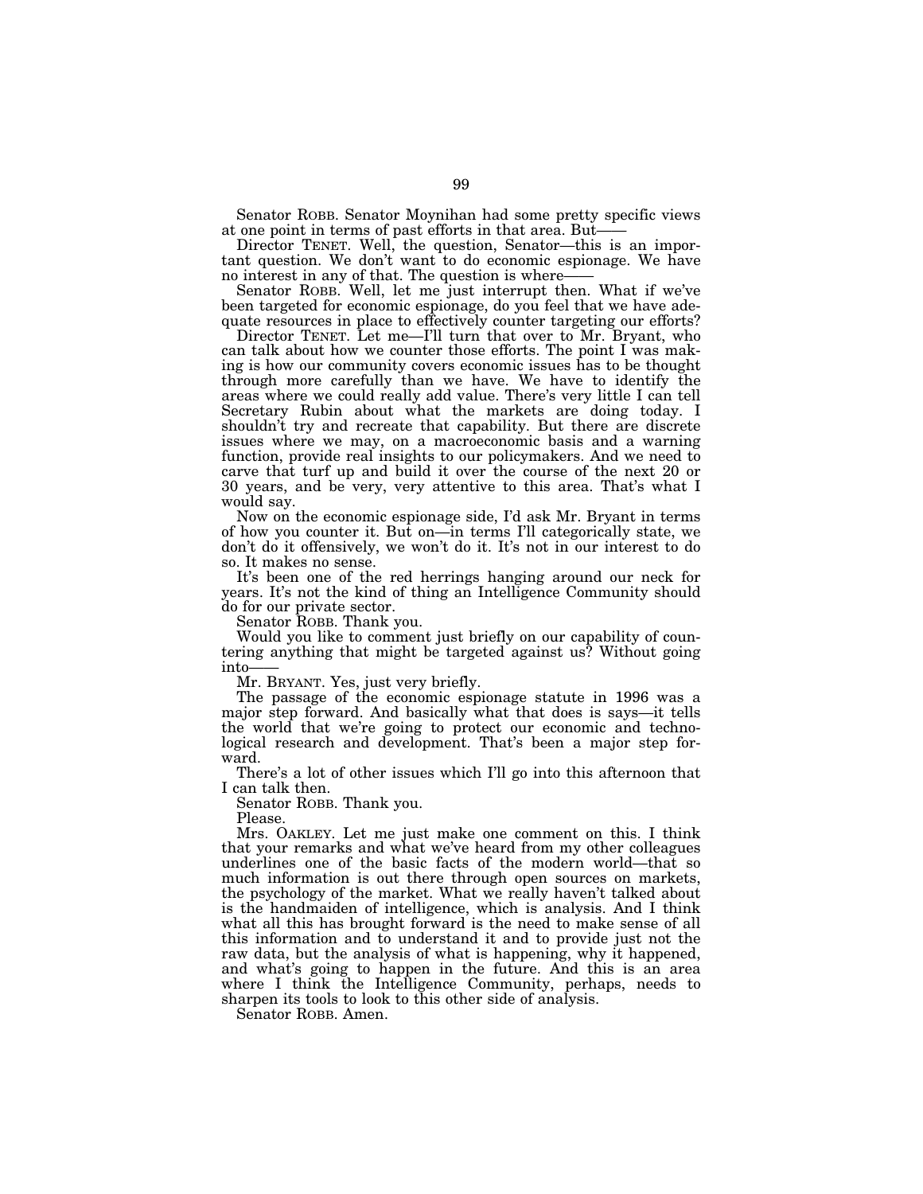Senator ROBB. Senator Moynihan had some pretty specific views at one point in terms of past efforts in that area. But——

Director TENET. Well, the question, Senator—this is an important question. We don't want to do economic espionage. We have no interest in any of that. The question is where-

Senator ROBB. Well, let me just interrupt then. What if we've been targeted for economic espionage, do you feel that we have adequate resources in place to effectively counter targeting our efforts?

Director TENET. Let me—I'll turn that over to Mr. Bryant, who can talk about how we counter those efforts. The point I was making is how our community covers economic issues has to be thought through more carefully than we have. We have to identify the areas where we could really add value. There's very little I can tell Secretary Rubin about what the markets are doing today. I shouldn't try and recreate that capability. But there are discrete issues where we may, on a macroeconomic basis and a warning function, provide real insights to our policymakers. And we need to carve that turf up and build it over the course of the next 20 or 30 years, and be very, very attentive to this area. That's what I would say.

Now on the economic espionage side, I'd ask Mr. Bryant in terms of how you counter it. But on—in terms I'll categorically state, we don't do it offensively, we won't do it. It's not in our interest to do so. It makes no sense.

It's been one of the red herrings hanging around our neck for years. It's not the kind of thing an Intelligence Community should do for our private sector.

Senator ROBB. Thank you.

Would you like to comment just briefly on our capability of countering anything that might be targeted against us? Without going into

Mr. BRYANT. Yes, just very briefly.

The passage of the economic espionage statute in 1996 was a major step forward. And basically what that does is says—it tells the world that we're going to protect our economic and technological research and development. That's been a major step forward.

There's a lot of other issues which I'll go into this afternoon that I can talk then.

Senator ROBB. Thank you.

Please.

Mrs. OAKLEY. Let me just make one comment on this. I think that your remarks and what we've heard from my other colleagues underlines one of the basic facts of the modern world—that so much information is out there through open sources on markets, the psychology of the market. What we really haven't talked about is the handmaiden of intelligence, which is analysis. And I think what all this has brought forward is the need to make sense of all this information and to understand it and to provide just not the raw data, but the analysis of what is happening, why it happened, and what's going to happen in the future. And this is an area where I think the Intelligence Community, perhaps, needs to sharpen its tools to look to this other side of analysis.

Senator ROBB. Amen.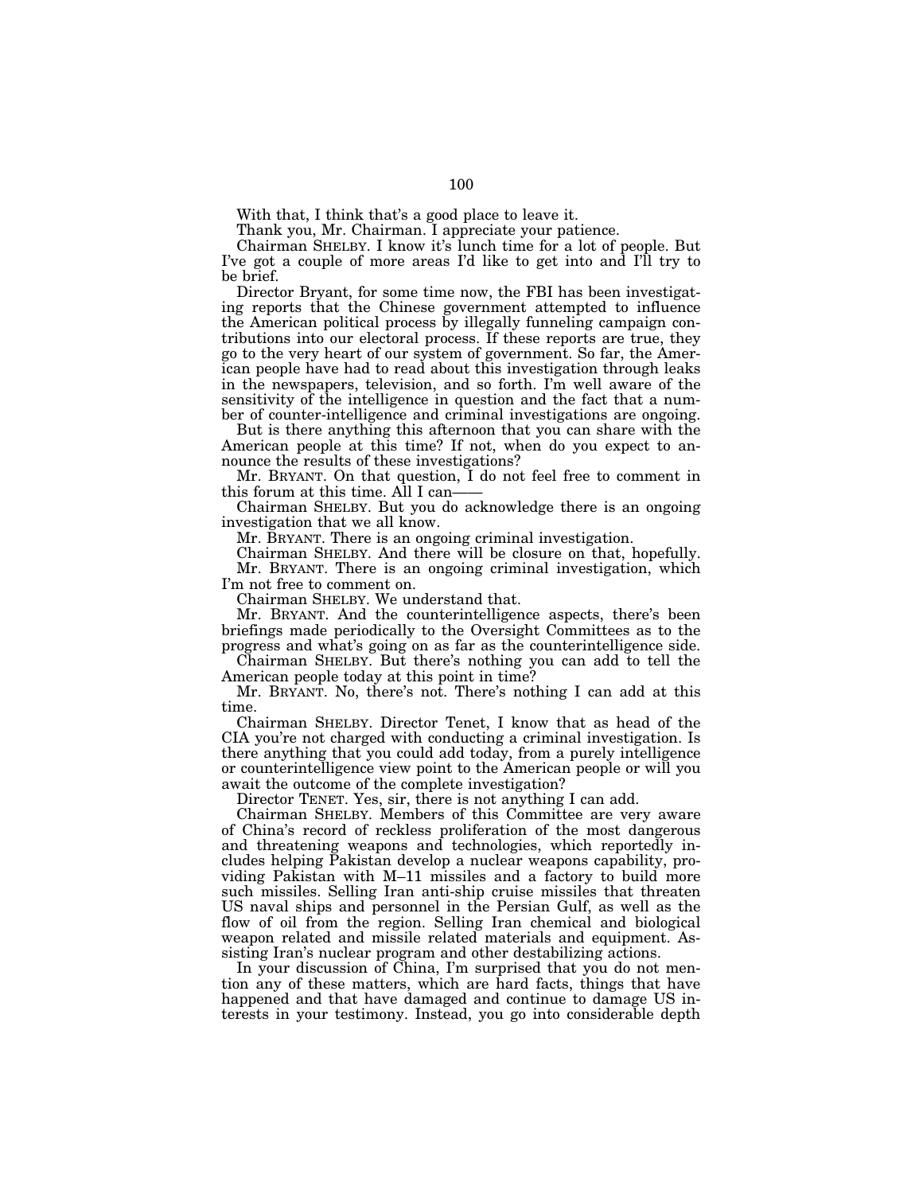With that, I think that's a good place to leave it.

Thank you, Mr. Chairman. I appreciate your patience.

Chairman SHELBY. I know it's lunch time for a lot of people. But I've got a couple of more areas I'd like to get into and I'll try to be brief.

Director Bryant, for some time now, the FBI has been investigating reports that the Chinese government attempted to influence the American political process by illegally funneling campaign contributions into our electoral process. If these reports are true, they go to the very heart of our system of government. So far, the American people have had to read about this investigation through leaks in the newspapers, television, and so forth. I'm well aware of the sensitivity of the intelligence in question and the fact that a number of counter-intelligence and criminal investigations are ongoing.

But is there anything this afternoon that you can share with the American people at this time? If not, when do you expect to announce the results of these investigations?

Mr. BRYANT. On that question, I do not feel free to comment in this forum at this time. All I can——

Chairman SHELBY. But you do acknowledge there is an ongoing investigation that we all know.

Mr. BRYANT. There is an ongoing criminal investigation.

Chairman SHELBY. And there will be closure on that, hopefully. Mr. BRYANT. There is an ongoing criminal investigation, which I'm not free to comment on.

Chairman SHELBY. We understand that.

Mr. BRYANT. And the counterintelligence aspects, there's been briefings made periodically to the Oversight Committees as to the progress and what's going on as far as the counterintelligence side.

Chairman SHELBY. But there's nothing you can add to tell the American people today at this point in time?

Mr. BRYANT. No, there's not. There's nothing I can add at this time.

Chairman SHELBY. Director Tenet, I know that as head of the CIA you're not charged with conducting a criminal investigation. Is there anything that you could add today, from a purely intelligence or counterintelligence view point to the American people or will you await the outcome of the complete investigation?

Director TENET. Yes, sir, there is not anything I can add.

Chairman SHELBY. Members of this Committee are very aware of China's record of reckless proliferation of the most dangerous and threatening weapons and technologies, which reportedly includes helping Pakistan develop a nuclear weapons capability, providing Pakistan with M–11 missiles and a factory to build more such missiles. Selling Iran anti-ship cruise missiles that threaten US naval ships and personnel in the Persian Gulf, as well as the flow of oil from the region. Selling Iran chemical and biological weapon related and missile related materials and equipment. Assisting Iran's nuclear program and other destabilizing actions.

In your discussion of China, I'm surprised that you do not mention any of these matters, which are hard facts, things that have happened and that have damaged and continue to damage US interests in your testimony. Instead, you go into considerable depth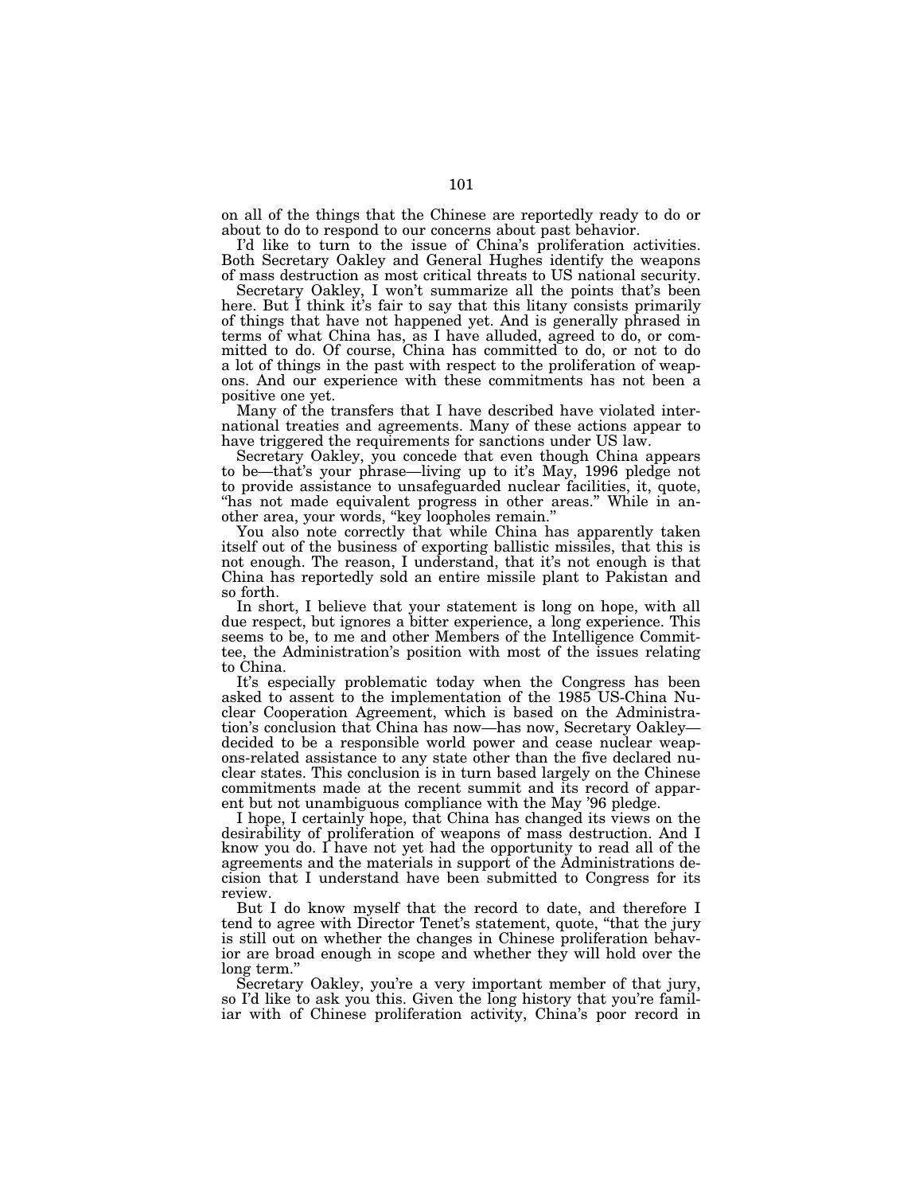on all of the things that the Chinese are reportedly ready to do or about to do to respond to our concerns about past behavior.

I'd like to turn to the issue of China's proliferation activities. Both Secretary Oakley and General Hughes identify the weapons of mass destruction as most critical threats to US national security.

Secretary Oakley, I won't summarize all the points that's been here. But I think it's fair to say that this litany consists primarily of things that have not happened yet. And is generally phrased in terms of what China has, as I have alluded, agreed to do, or committed to do. Of course, China has committed to do, or not to do a lot of things in the past with respect to the proliferation of weapons. And our experience with these commitments has not been a positive one yet.

Many of the transfers that I have described have violated international treaties and agreements. Many of these actions appear to have triggered the requirements for sanctions under US law.

Secretary Oakley, you concede that even though China appears to be—that's your phrase—living up to it's May, 1996 pledge not to provide assistance to unsafeguarded nuclear facilities, it, quote, "has not made equivalent progress in other areas." While in another area, your words, ''key loopholes remain.''

You also note correctly that while China has apparently taken itself out of the business of exporting ballistic missiles, that this is not enough. The reason, I understand, that it's not enough is that China has reportedly sold an entire missile plant to Pakistan and so forth.

In short, I believe that your statement is long on hope, with all due respect, but ignores a bitter experience, a long experience. This seems to be, to me and other Members of the Intelligence Committee, the Administration's position with most of the issues relating to China.

It's especially problematic today when the Congress has been asked to assent to the implementation of the 1985 US-China Nuclear Cooperation Agreement, which is based on the Administration's conclusion that China has now—has now, Secretary Oakley decided to be a responsible world power and cease nuclear weapons-related assistance to any state other than the five declared nuclear states. This conclusion is in turn based largely on the Chinese commitments made at the recent summit and its record of apparent but not unambiguous compliance with the May '96 pledge.

I hope, I certainly hope, that China has changed its views on the desirability of proliferation of weapons of mass destruction. And I know you do. I have not yet had the opportunity to read all of the agreements and the materials in support of the Administrations decision that I understand have been submitted to Congress for its review.

But I do know myself that the record to date, and therefore I tend to agree with Director Tenet's statement, quote, ''that the jury is still out on whether the changes in Chinese proliferation behavior are broad enough in scope and whether they will hold over the long term.''

Secretary Oakley, you're a very important member of that jury, so I'd like to ask you this. Given the long history that you're familiar with of Chinese proliferation activity, China's poor record in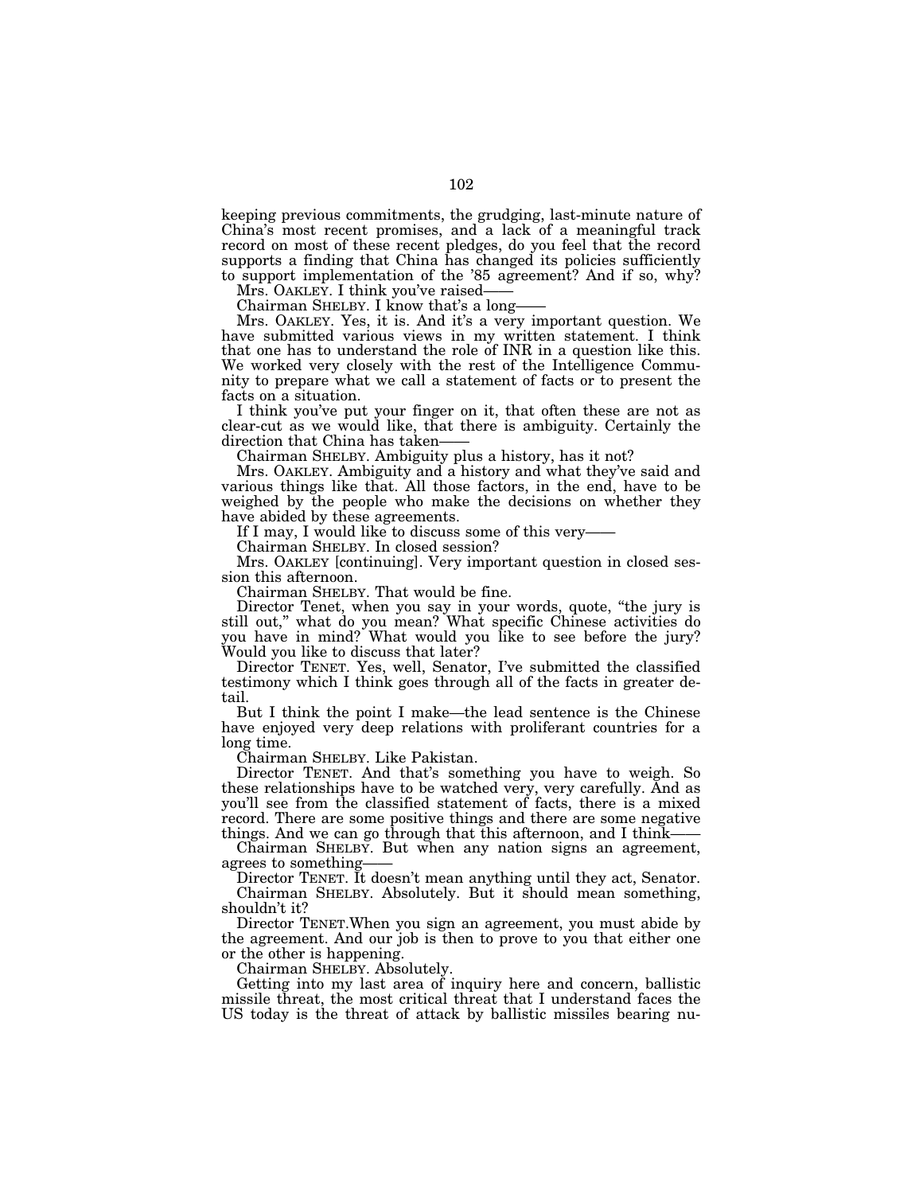keeping previous commitments, the grudging, last-minute nature of China's most recent promises, and a lack of a meaningful track record on most of these recent pledges, do you feel that the record supports a finding that China has changed its policies sufficiently to support implementation of the '85 agreement? And if so, why?

Mrs. OAKLEY. I think you've raised-

Chairman SHELBY. I know that's a long——

Mrs. OAKLEY. Yes, it is. And it's a very important question. We have submitted various views in my written statement. I think that one has to understand the role of INR in a question like this. We worked very closely with the rest of the Intelligence Community to prepare what we call a statement of facts or to present the facts on a situation.

I think you've put your finger on it, that often these are not as clear-cut as we would like, that there is ambiguity. Certainly the direction that China has taken-

Chairman SHELBY. Ambiguity plus a history, has it not?

Mrs. OAKLEY. Ambiguity and a history and what they've said and various things like that. All those factors, in the end, have to be weighed by the people who make the decisions on whether they have abided by these agreements.

If I may, I would like to discuss some of this very——

Chairman SHELBY. In closed session?

Mrs. OAKLEY [continuing]. Very important question in closed session this afternoon.

Chairman SHELBY. That would be fine.

Director Tenet, when you say in your words, quote, ''the jury is still out,'' what do you mean? What specific Chinese activities do you have in mind? What would you like to see before the jury? Would you like to discuss that later?

Director TENET. Yes, well, Senator, I've submitted the classified testimony which I think goes through all of the facts in greater detail.

But I think the point I make—the lead sentence is the Chinese have enjoyed very deep relations with proliferant countries for a long time.

Chairman SHELBY. Like Pakistan.

Director TENET. And that's something you have to weigh. So these relationships have to be watched very, very carefully. And as you'll see from the classified statement of facts, there is a mixed record. There are some positive things and there are some negative things. And we can go through that this afternoon, and I think——

Chairman SHELBY. But when any nation signs an agreement, agrees to something——

Director TENET. It doesn't mean anything until they act, Senator. Chairman SHELBY. Absolutely. But it should mean something, shouldn't it?

Director TENET.When you sign an agreement, you must abide by the agreement. And our job is then to prove to you that either one or the other is happening.

Chairman SHELBY. Absolutely.

Getting into my last area of inquiry here and concern, ballistic missile threat, the most critical threat that I understand faces the US today is the threat of attack by ballistic missiles bearing nu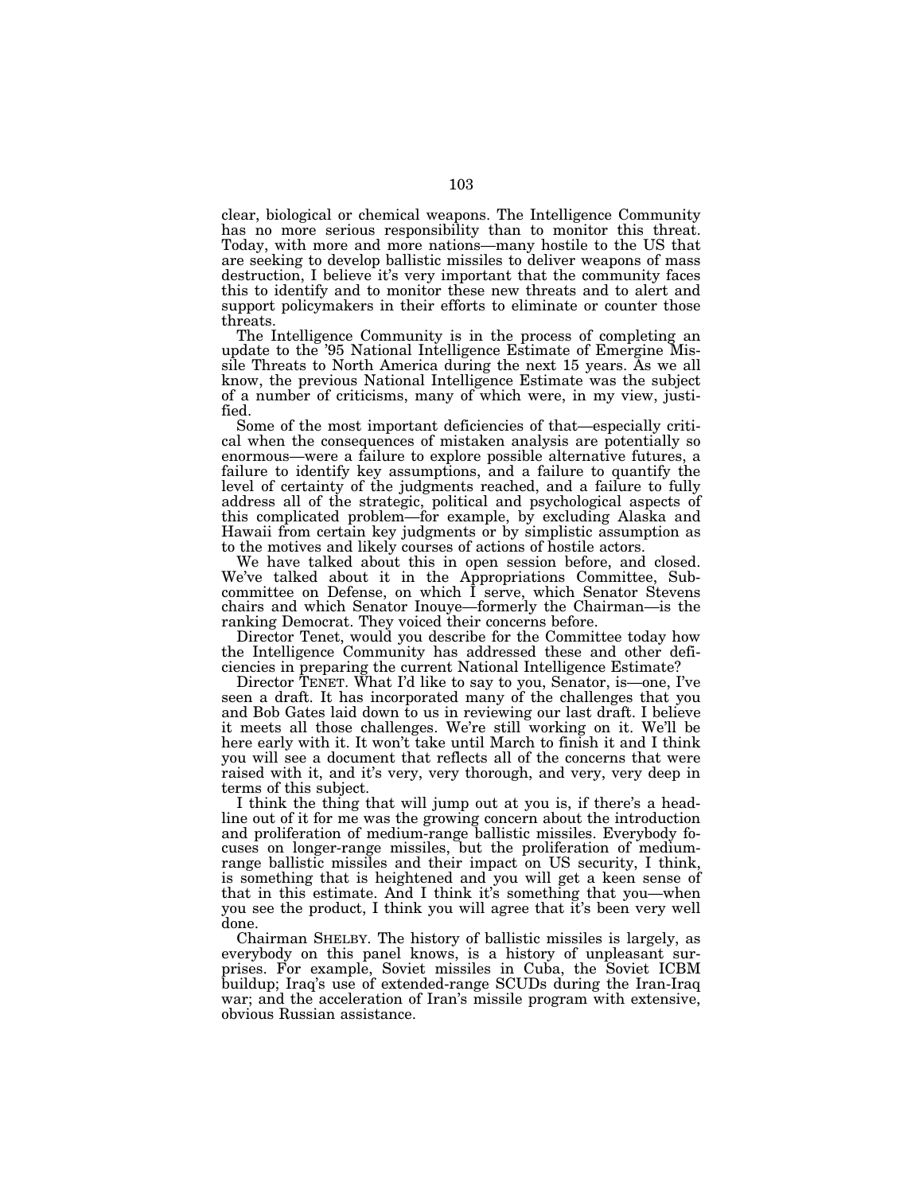clear, biological or chemical weapons. The Intelligence Community has no more serious responsibility than to monitor this threat. Today, with more and more nations—many hostile to the US that are seeking to develop ballistic missiles to deliver weapons of mass destruction, I believe it's very important that the community faces this to identify and to monitor these new threats and to alert and support policymakers in their efforts to eliminate or counter those threats.

The Intelligence Community is in the process of completing an update to the '95 National Intelligence Estimate of Emergine Missile Threats to North America during the next 15 years. As we all know, the previous National Intelligence Estimate was the subject of a number of criticisms, many of which were, in my view, justified.

Some of the most important deficiencies of that—especially critical when the consequences of mistaken analysis are potentially so enormous—were a failure to explore possible alternative futures, a failure to identify key assumptions, and a failure to quantify the level of certainty of the judgments reached, and a failure to fully address all of the strategic, political and psychological aspects of this complicated problem—for example, by excluding Alaska and Hawaii from certain key judgments or by simplistic assumption as to the motives and likely courses of actions of hostile actors.

We have talked about this in open session before, and closed. We've talked about it in the Appropriations Committee, Subcommittee on Defense, on which I serve, which Senator Stevens chairs and which Senator Inouye—formerly the Chairman—is the ranking Democrat. They voiced their concerns before.

Director Tenet, would you describe for the Committee today how the Intelligence Community has addressed these and other deficiencies in preparing the current National Intelligence Estimate?

Director TENET. What I'd like to say to you, Senator, is—one, I've seen a draft. It has incorporated many of the challenges that you and Bob Gates laid down to us in reviewing our last draft. I believe it meets all those challenges. We're still working on it. We'll be here early with it. It won't take until March to finish it and I think you will see a document that reflects all of the concerns that were raised with it, and it's very, very thorough, and very, very deep in terms of this subject.

I think the thing that will jump out at you is, if there's a headline out of it for me was the growing concern about the introduction and proliferation of medium-range ballistic missiles. Everybody focuses on longer-range missiles, but the proliferation of mediumrange ballistic missiles and their impact on US security, I think, is something that is heightened and you will get a keen sense of that in this estimate. And I think it's something that you—when you see the product, I think you will agree that it's been very well done.

Chairman SHELBY. The history of ballistic missiles is largely, as everybody on this panel knows, is a history of unpleasant surprises. For example, Soviet missiles in Cuba, the Soviet ICBM buildup; Iraq's use of extended-range SCUDs during the Iran-Iraq war; and the acceleration of Iran's missile program with extensive, obvious Russian assistance.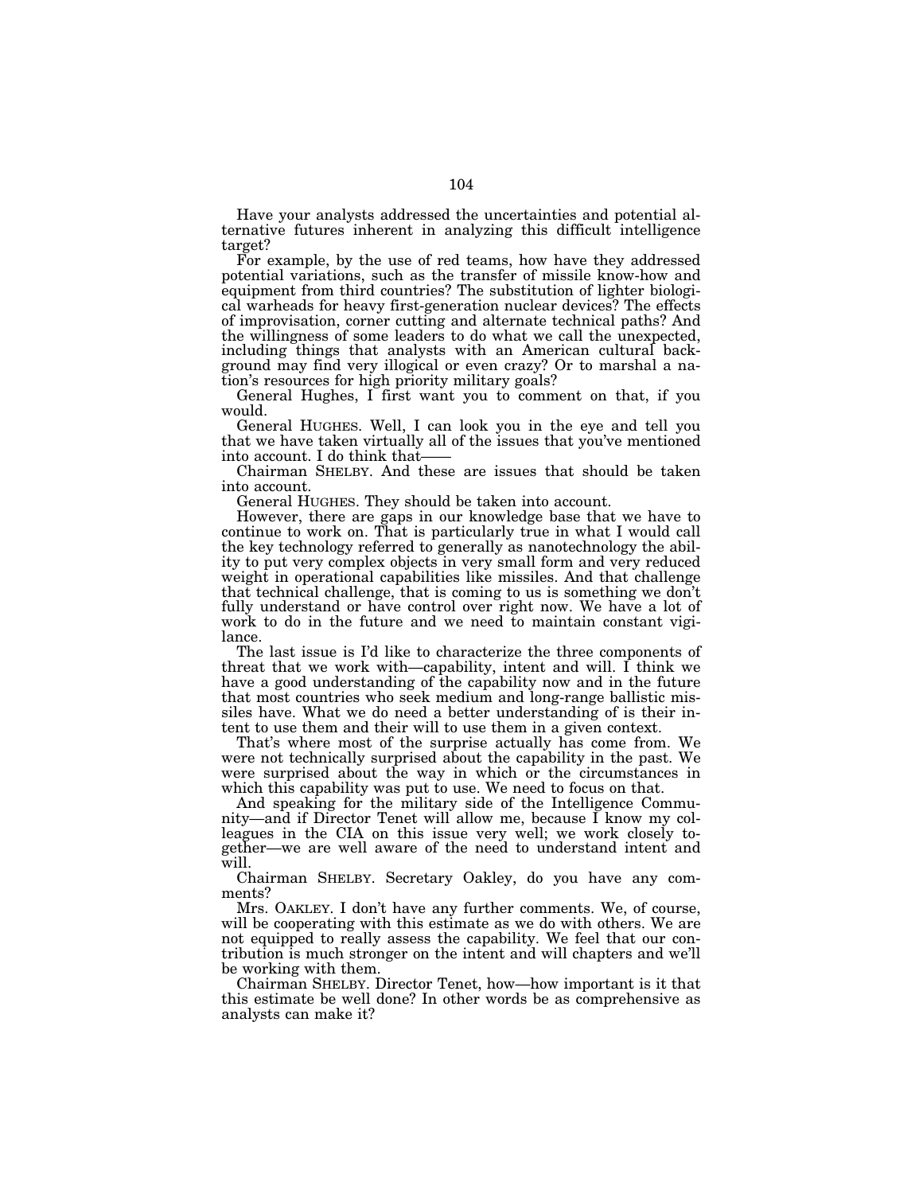Have your analysts addressed the uncertainties and potential alternative futures inherent in analyzing this difficult intelligence target?

For example, by the use of red teams, how have they addressed potential variations, such as the transfer of missile know-how and equipment from third countries? The substitution of lighter biological warheads for heavy first-generation nuclear devices? The effects of improvisation, corner cutting and alternate technical paths? And the willingness of some leaders to do what we call the unexpected, including things that analysts with an American cultural background may find very illogical or even crazy? Or to marshal a nation's resources for high priority military goals?

General Hughes, I first want you to comment on that, if you would.

General HUGHES. Well, I can look you in the eye and tell you that we have taken virtually all of the issues that you've mentioned into account. I do think that-

Chairman SHELBY. And these are issues that should be taken into account.

General HUGHES. They should be taken into account.

However, there are gaps in our knowledge base that we have to continue to work on. That is particularly true in what I would call the key technology referred to generally as nanotechnology the ability to put very complex objects in very small form and very reduced weight in operational capabilities like missiles. And that challenge that technical challenge, that is coming to us is something we don't fully understand or have control over right now. We have a lot of work to do in the future and we need to maintain constant vigilance.

The last issue is I'd like to characterize the three components of threat that we work with—capability, intent and will. I think we have a good understanding of the capability now and in the future that most countries who seek medium and long-range ballistic missiles have. What we do need a better understanding of is their intent to use them and their will to use them in a given context.

That's where most of the surprise actually has come from. We were not technically surprised about the capability in the past. We were surprised about the way in which or the circumstances in which this capability was put to use. We need to focus on that.

And speaking for the military side of the Intelligence Community—and if Director Tenet will allow me, because I know my colleagues in the CIA on this issue very well; we work closely together—we are well aware of the need to understand intent and will.

Chairman SHELBY. Secretary Oakley, do you have any comments?

Mrs. OAKLEY. I don't have any further comments. We, of course, will be cooperating with this estimate as we do with others. We are not equipped to really assess the capability. We feel that our contribution is much stronger on the intent and will chapters and we'll be working with them.

Chairman SHELBY. Director Tenet, how—how important is it that this estimate be well done? In other words be as comprehensive as analysts can make it?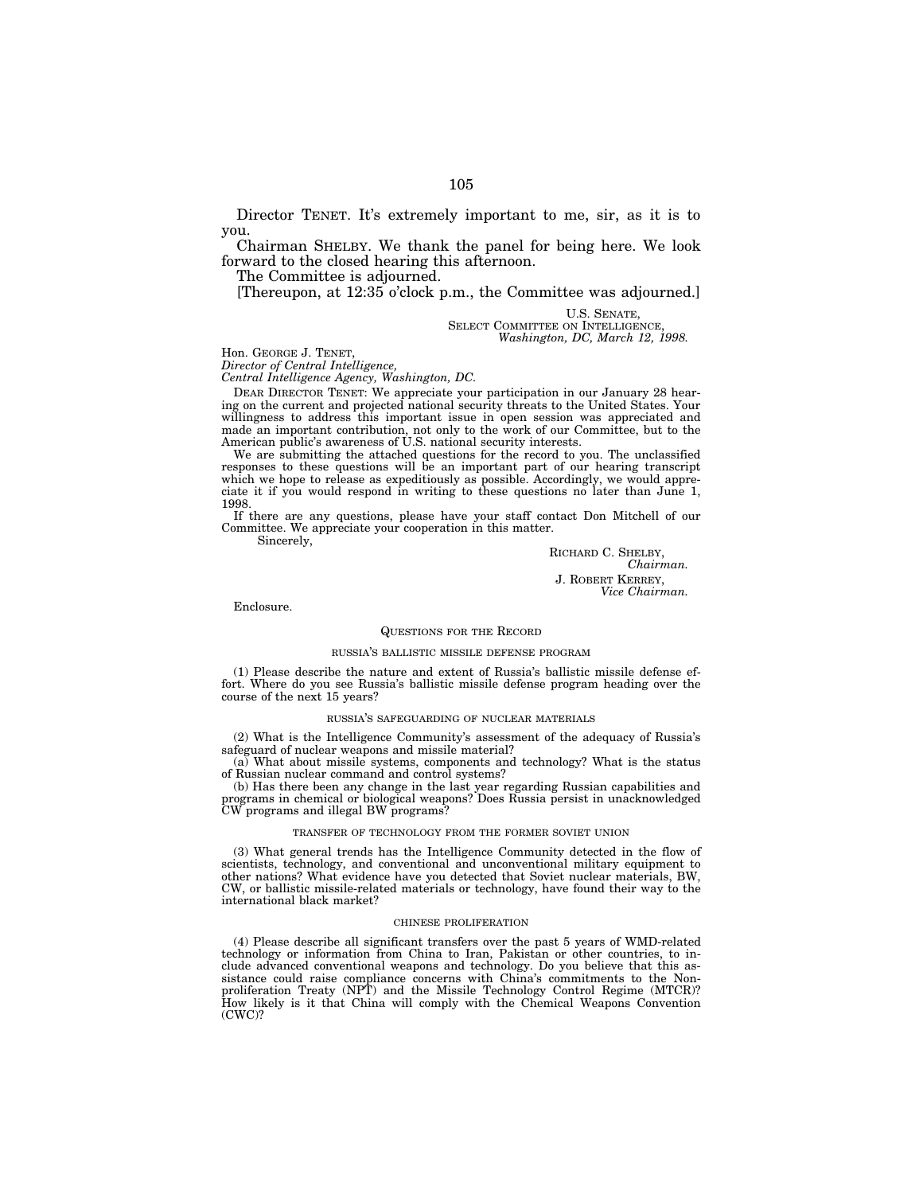Director TENET. It's extremely important to me, sir, as it is to you.

Chairman SHELBY. We thank the panel for being here. We look forward to the closed hearing this afternoon.

The Committee is adjourned.

[Thereupon, at 12:35 o'clock p.m., the Committee was adjourned.]

U.S. SENATE,

SELECT COMMITTEE ON INTELLIGENCE, *Washington, DC, March 12, 1998.*

## Hon. GEORGE J. TENET,

*Director of Central Intelligence,*

*Central Intelligence Agency, Washington, DC.*

DEAR DIRECTOR TENET: We appreciate your participation in our January 28 hearing on the current and projected national security threats to the United States. Your willingness to address this important issue in open session was appreciated and made an important contribution, not only to the work of our Committee, but to the American public's awareness of  $\overline{U}$ .S. national security interests.

We are submitting the attached questions for the record to you. The unclassified responses to these questions will be an important part of our hearing transcript which we hope to release as expeditiously as possible. Accordingly, we would appreciate it if you would respond in writing to these questions no later than June 1, 1998.

If there are any questions, please have your staff contact Don Mitchell of our Committee. We appreciate your cooperation in this matter.

Sincerely,

RICHARD C. SHELBY, *Chairman.* J. ROBERT KERREY, *Vice Chairman.*

Enclosure.

## QUESTIONS FOR THE RECORD

## RUSSIA'S BALLISTIC MISSILE DEFENSE PROGRAM

(1) Please describe the nature and extent of Russia's ballistic missile defense effort. Where do you see Russia's ballistic missile defense program heading over the course of the next 15 years?

#### RUSSIA'S SAFEGUARDING OF NUCLEAR MATERIALS

(2) What is the Intelligence Community's assessment of the adequacy of Russia's safeguard of nuclear weapons and missile material?

(a) What about missile systems, components and technology? What is the status of Russian nuclear command and control systems?

(b) Has there been any change in the last year regarding Russian capabilities and programs in chemical or biological weapons? Does Russia persist in unacknowledged CW programs and illegal BW programs?

### TRANSFER OF TECHNOLOGY FROM THE FORMER SOVIET UNION

(3) What general trends has the Intelligence Community detected in the flow of scientists, technology, and conventional and unconventional military equipment to other nations? What evidence have you detected that Soviet nuclear materials, BW, CW, or ballistic missile-related materials or technology, have found their way to the international black market?

## CHINESE PROLIFERATION

(4) Please describe all significant transfers over the past 5 years of WMD-related technology or information from China to Iran, Pakistan or other countries, to include advanced conventional weapons and technology. Do you believe that this assistance could raise compliance concerns with China's commitments to the Nonproliferation Treaty (NPT) and the Missile Technology Control Regime (MTCR)? How likely is it that China will comply with the Chemical Weapons Convention (CWC)?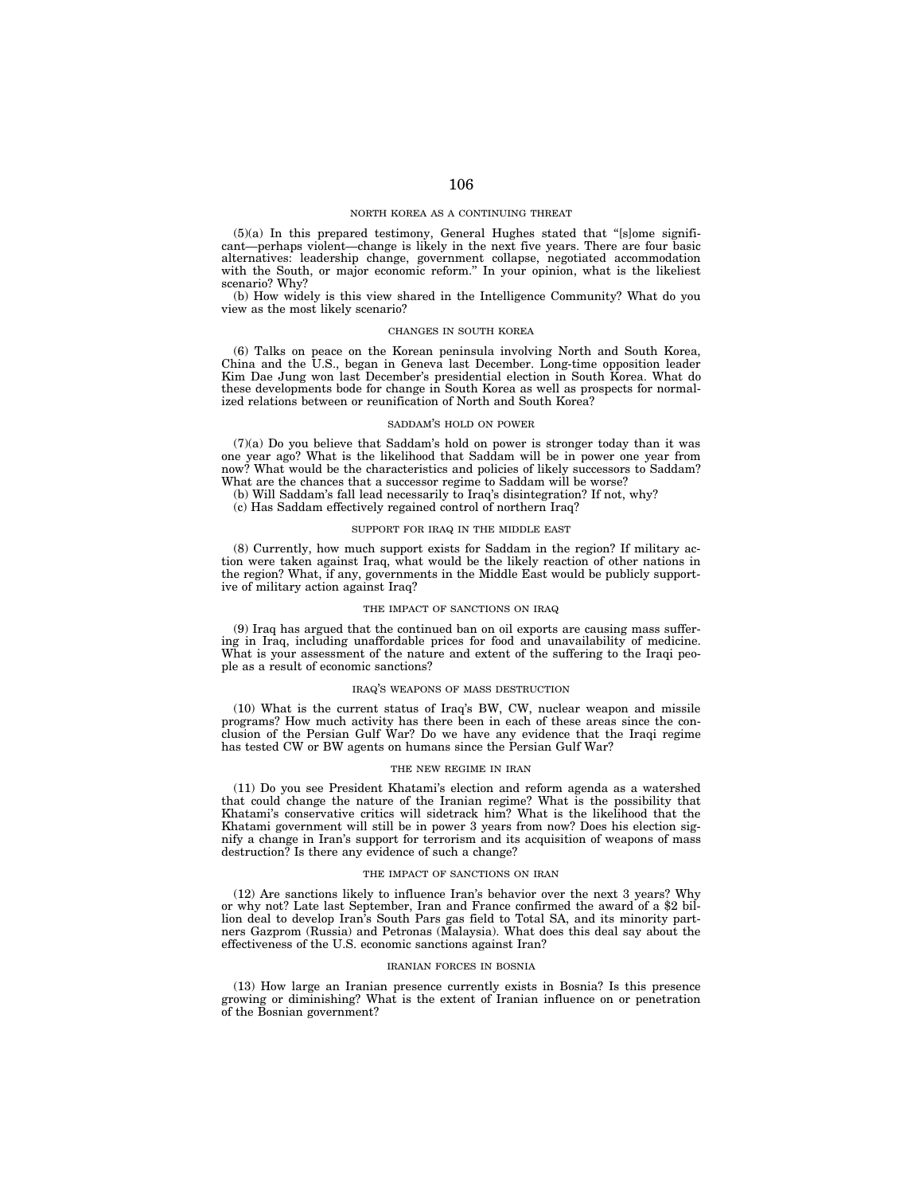#### NORTH KOREA AS A CONTINUING THREAT

 $(5)(a)$  In this prepared testimony, General Hughes stated that "[s]ome significant—perhaps violent—change is likely in the next five years. There are four basic alternatives: leadership change, government collapse, negotiated accommodation with the South, or major economic reform." In your opinion, what is the likeliest scenario? Why?

(b) How widely is this view shared in the Intelligence Community? What do you view as the most likely scenario?

## CHANGES IN SOUTH KOREA

(6) Talks on peace on the Korean peninsula involving North and South Korea, China and the U.S., began in Geneva last December. Long-time opposition leader Kim Dae Jung won last December's presidential election in South Korea. What do these developments bode for change in South Korea as well as prospects for normalized relations between or reunification of North and South Korea?

#### SADDAM'S HOLD ON POWER

(7)(a) Do you believe that Saddam's hold on power is stronger today than it was one year ago? What is the likelihood that Saddam will be in power one year from now? What would be the characteristics and policies of likely successors to Saddam? What are the chances that a successor regime to Saddam will be worse?

(b) Will Saddam's fall lead necessarily to Iraq's disintegration? If not, why?

(c) Has Saddam effectively regained control of northern Iraq?

# SUPPORT FOR IRAQ IN THE MIDDLE EAST

(8) Currently, how much support exists for Saddam in the region? If military action were taken against Iraq, what would be the likely reaction of other nations in the region? What, if any, governments in the Middle East would be publicly supportive of military action against Iraq?

#### THE IMPACT OF SANCTIONS ON IRAQ

(9) Iraq has argued that the continued ban on oil exports are causing mass suffering in Iraq, including unaffordable prices for food and unavailability of medicine. What is your assessment of the nature and extent of the suffering to the Iraqi people as a result of economic sanctions?

# IRAQ'S WEAPONS OF MASS DESTRUCTION

(10) What is the current status of Iraq's BW, CW, nuclear weapon and missile programs? How much activity has there been in each of these areas since the conclusion of the Persian Gulf War? Do we have any evidence that the Iraqi regime has tested CW or BW agents on humans since the Persian Gulf War?

# THE NEW REGIME IN IRAN

(11) Do you see President Khatami's election and reform agenda as a watershed that could change the nature of the Iranian regime? What is the possibility that Khatami's conservative critics will sidetrack him? What is the likelihood that the Khatami government will still be in power 3 years from now? Does his election signify a change in Iran's support for terrorism and its acquisition of weapons of mass destruction? Is there any evidence of such a change?

## THE IMPACT OF SANCTIONS ON IRAN

(12) Are sanctions likely to influence Iran's behavior over the next 3 years? Why or why not? Late last September, Iran and France confirmed the award of a \$2 billion deal to develop Iran's South Pars gas field to Total SA, and its minority partners Gazprom (Russia) and Petronas (Malaysia). What does this deal say about the effectiveness of the U.S. economic sanctions against Iran?

#### IRANIAN FORCES IN BOSNIA

(13) How large an Iranian presence currently exists in Bosnia? Is this presence growing or diminishing? What is the extent of Iranian influence on or penetration of the Bosnian government?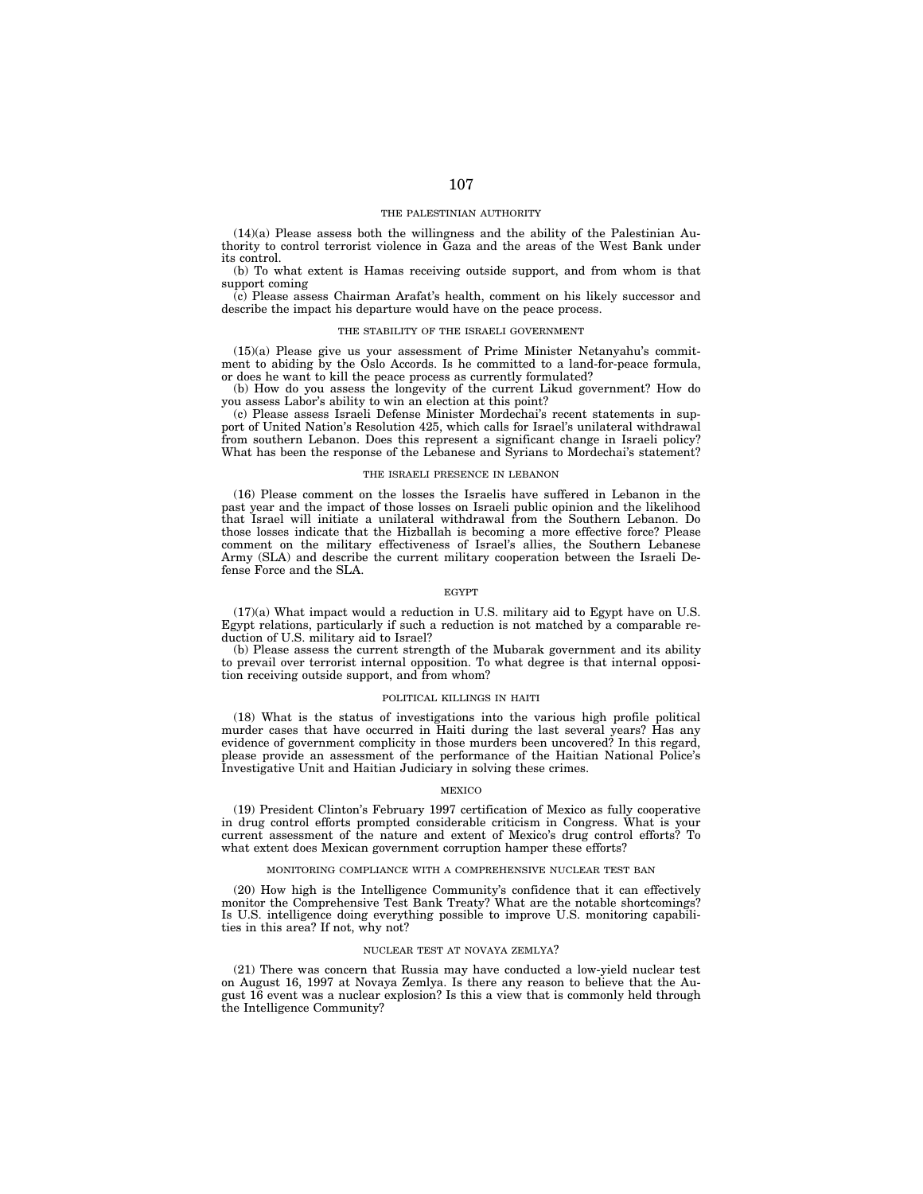# THE PALESTINIAN AUTHORITY

(14)(a) Please assess both the willingness and the ability of the Palestinian Authority to control terrorist violence in Gaza and the areas of the West Bank under its control.

(b) To what extent is Hamas receiving outside support, and from whom is that support coming

(c) Please assess Chairman Arafat's health, comment on his likely successor and describe the impact his departure would have on the peace process.

## THE STABILITY OF THE ISRAELI GOVERNMENT

(15)(a) Please give us your assessment of Prime Minister Netanyahu's commitment to abiding by the Oslo Accords. Is he committed to a land-for-peace formula, or does he want to kill the peace process as currently formulated?

(b) How do you assess the longevity of the current Likud government? How do you assess Labor's ability to win an election at this point?

(c) Please assess Israeli Defense Minister Mordechai's recent statements in support of United Nation's Resolution 425, which calls for Israel's unilateral withdrawal from southern Lebanon. Does this represent a significant change in Israeli policy? What has been the response of the Lebanese and Syrians to Mordechai's statement?

## THE ISRAELI PRESENCE IN LEBANON

(16) Please comment on the losses the Israelis have suffered in Lebanon in the past year and the impact of those losses on Israeli public opinion and the likelihood that Israel will initiate a unilateral withdrawal from the Southern Lebanon. Do those losses indicate that the Hizballah is becoming a more effective force? Please comment on the military effectiveness of Israel's allies, the Southern Lebanese Army (SLA) and describe the current military cooperation between the Israeli Defense Force and the SLA.

# EGYPT

(17)(a) What impact would a reduction in U.S. military aid to Egypt have on U.S. Egypt relations, particularly if such a reduction is not matched by a comparable reduction of U.S. military aid to Israel?

(b) Please assess the current strength of the Mubarak government and its ability to prevail over terrorist internal opposition. To what degree is that internal opposition receiving outside support, and from whom?

# POLITICAL KILLINGS IN HAITI

(18) What is the status of investigations into the various high profile political murder cases that have occurred in Haiti during the last several years? Has any evidence of government complicity in those murders been uncovered? In this regard, please provide an assessment of the performance of the Haitian National Police's Investigative Unit and Haitian Judiciary in solving these crimes.

#### MEXICO

(19) President Clinton's February 1997 certification of Mexico as fully cooperative in drug control efforts prompted considerable criticism in Congress. What is your current assessment of the nature and extent of Mexico's drug control efforts? To what extent does Mexican government corruption hamper these efforts?

## MONITORING COMPLIANCE WITH A COMPREHENSIVE NUCLEAR TEST BAN

(20) How high is the Intelligence Community's confidence that it can effectively monitor the Comprehensive Test Bank Treaty? What are the notable shortcomings? Is U.S. intelligence doing everything possible to improve U.S. monitoring capabilities in this area? If not, why not?

#### NUCLEAR TEST AT NOVAYA ZEMLYA?

(21) There was concern that Russia may have conducted a low-yield nuclear test on August 16, 1997 at Novaya Zemlya. Is there any reason to believe that the August 16 event was a nuclear explosion? Is this a view that is commonly held through the Intelligence Community?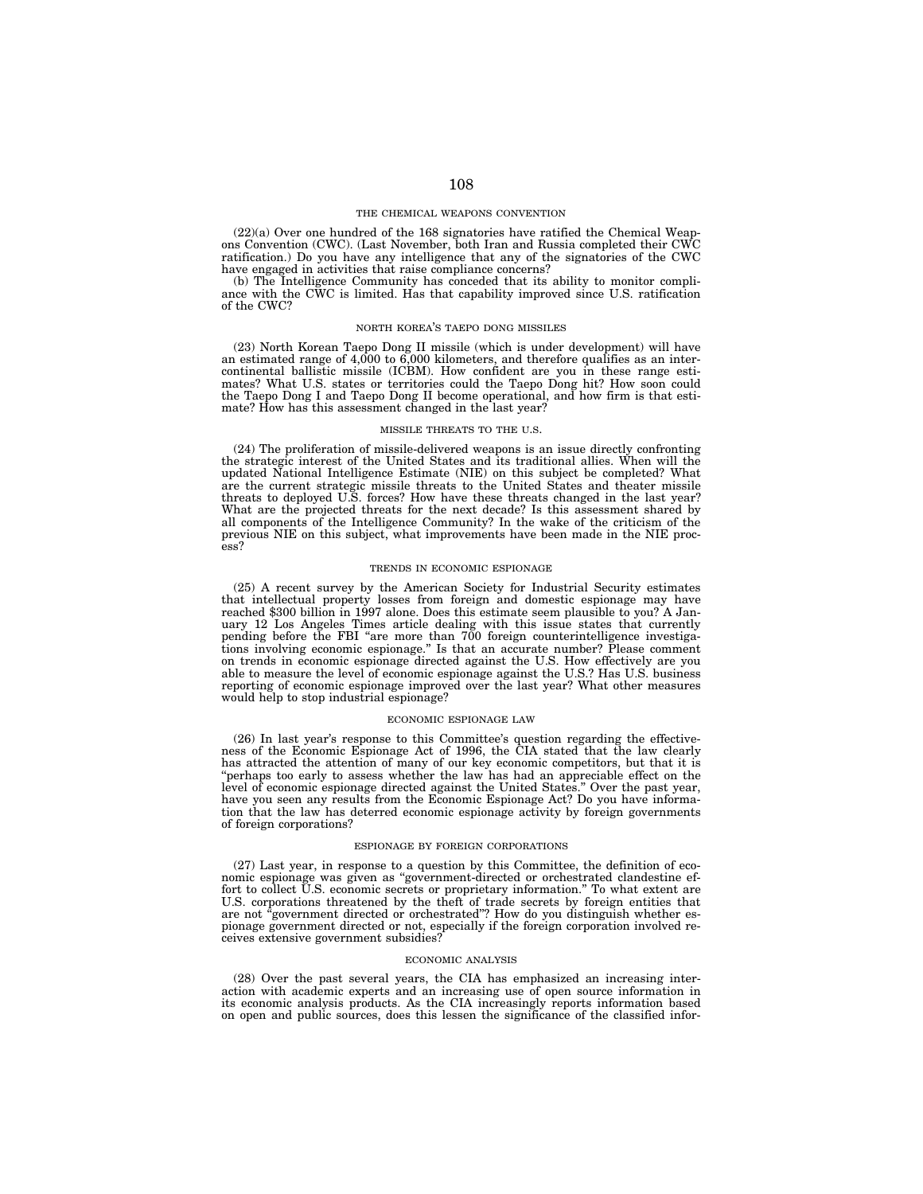#### THE CHEMICAL WEAPONS CONVENTION

(22)(a) Over one hundred of the 168 signatories have ratified the Chemical Weapons Convention (CWC). (Last November, both Iran and Russia completed their CWC ratification.) Do you have any intelligence that any of the signatories of the CWC have engaged in activities that raise compliance concerns?

(b) The Intelligence Community has conceded that its ability to monitor compliance with the CWC is limited. Has that capability improved since U.S. ratification of the CWC?

#### NORTH KOREA'S TAEPO DONG MISSILES

(23) North Korean Taepo Dong II missile (which is under development) will have an estimated range of 4,000 to 6,000 kilometers, and therefore qualifies as an intercontinental ballistic missile (ICBM). How confident are you in these range estimates? What U.S. states or territories could the Taepo Dong hit? How soon could the Taepo Dong I and Taepo Dong II become operational, and how firm is that estimate? How has this assessment changed in the last year?

## MISSILE THREATS TO THE U.S.

(24) The proliferation of missile-delivered weapons is an issue directly confronting the strategic interest of the United States and its traditional allies. When will the updated National Intelligence Estimate (NIE) on this subject be completed? What are the current strategic missile threats to the United States and theater missile threats to deployed U.S. forces? How have these threats changed in the last year? What are the projected threats for the next decade? Is this assessment shared by all components of the Intelligence Community? In the wake of the criticism of the previous NIE on this subject, what improvements have been made in the NIE process?

## TRENDS IN ECONOMIC ESPIONAGE

(25) A recent survey by the American Society for Industrial Security estimates that intellectual property losses from foreign and domestic espionage may have reached \$300 billion in 1997 alone. Does this estimate seem plausible to you? A January 12 Los Angeles Times article dealing with this issue states that currently pending before the FBI ''are more than 700 foreign counterintelligence investigations involving economic espionage.'' Is that an accurate number? Please comment on trends in economic espionage directed against the U.S. How effectively are you able to measure the level of economic espionage against the U.S.? Has U.S. business reporting of economic espionage improved over the last year? What other measures would help to stop industrial espionage?

#### ECONOMIC ESPIONAGE LAW

(26) In last year's response to this Committee's question regarding the effectiveness of the Economic Espionage Act of 1996, the CIA stated that the law clearly has attracted the attention of many of our key economic competitors, but that it is ''perhaps too early to assess whether the law has had an appreciable effect on the level of economic espionage directed against the United States.'' Over the past year, have you seen any results from the Economic Espionage Act? Do you have information that the law has deterred economic espionage activity by foreign governments of foreign corporations?

### ESPIONAGE BY FOREIGN CORPORATIONS

(27) Last year, in response to a question by this Committee, the definition of economic espionage was given as ''government-directed or orchestrated clandestine effort to collect U.S. economic secrets or proprietary information.'' To what extent are U.S. corporations threatened by the theft of trade secrets by foreign entities that are not ''government directed or orchestrated''? How do you distinguish whether espionage government directed or not, especially if the foreign corporation involved receives extensive government subsidies?

## ECONOMIC ANALYSIS

(28) Over the past several years, the CIA has emphasized an increasing interaction with academic experts and an increasing use of open source information in its economic analysis products. As the CIA increasingly reports information based on open and public sources, does this lessen the significance of the classified infor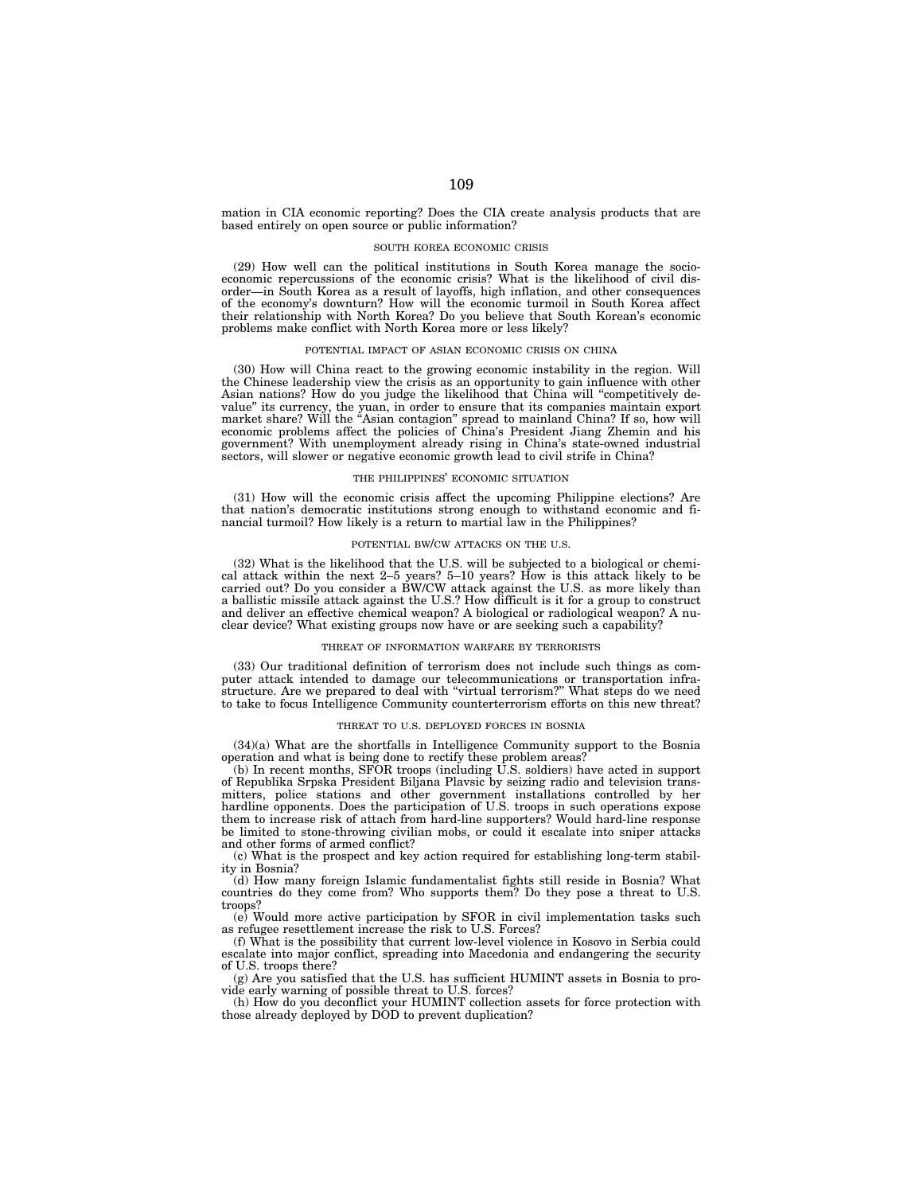mation in CIA economic reporting? Does the CIA create analysis products that are based entirely on open source or public information?

## SOUTH KOREA ECONOMIC CRISIS

(29) How well can the political institutions in South Korea manage the socioeconomic repercussions of the economic crisis? What is the likelihood of civil disorder—in South Korea as a result of layoffs, high inflation, and other consequences of the economy's downturn? How will the economic turmoil in South Korea affect their relationship with North Korea? Do you believe that South Korean's economic problems make conflict with North Korea more or less likely?

## POTENTIAL IMPACT OF ASIAN ECONOMIC CRISIS ON CHINA

(30) How will China react to the growing economic instability in the region. Will the Chinese leadership view the crisis as an opportunity to gain influence with other Asian nations? How do you judge the likelihood that China will ''competitively devalue'' its currency, the yuan, in order to ensure that its companies maintain export market share? Will the "Asian contagion" spread to mainland China? If so, how will economic problems affect the policies of China's President Jiang Zhemin and his government? With unemployment already rising in China's state-owned industrial sectors, will slower or negative economic growth lead to civil strife in China?

#### THE PHILIPPINES' ECONOMIC SITUATION

(31) How will the economic crisis affect the upcoming Philippine elections? Are that nation's democratic institutions strong enough to withstand economic and financial turmoil? How likely is a return to martial law in the Philippines?

# POTENTIAL BW/CW ATTACKS ON THE U.S.

(32) What is the likelihood that the U.S. will be subjected to a biological or chemical attack within the next 2–5 years? 5–10 years? How is this attack likely to be carried out? Do you consider a BW/CW attack against the U.S. as more likely than a ballistic missile attack against the U.S.? How difficult is it for a group to construct and deliver an effective chemical weapon? A biological or radiological weapon? A nuclear device? What existing groups now have or are seeking such a capability?

## THREAT OF INFORMATION WARFARE BY TERRORISTS

(33) Our traditional definition of terrorism does not include such things as computer attack intended to damage our telecommunications or transportation infrastructure. Are we prepared to deal with ''virtual terrorism?'' What steps do we need to take to focus Intelligence Community counterterrorism efforts on this new threat?

#### THREAT TO U.S. DEPLOYED FORCES IN BOSNIA

(34)(a) What are the shortfalls in Intelligence Community support to the Bosnia operation and what is being done to rectify these problem areas?

(b) In recent months, SFOR troops (including U.S. soldiers) have acted in support of Republika Srpska President Biljana Plavsic by seizing radio and television transmitters, police stations and other government installations controlled by her hardline opponents. Does the participation of U.S. troops in such operations expose them to increase risk of attach from hard-line supporters? Would hard-line response be limited to stone-throwing civilian mobs, or could it escalate into sniper attacks and other forms of armed conflict?

(c) What is the prospect and key action required for establishing long-term stability in Bosnia?

(d) How many foreign Islamic fundamentalist fights still reside in Bosnia? What countries do they come from? Who supports them? Do they pose a threat to U.S. troops?

(e) Would more active participation by SFOR in civil implementation tasks such as refugee resettlement increase the risk to U.S. Forces?

(f) What is the possibility that current low-level violence in Kosovo in Serbia could escalate into major conflict, spreading into Macedonia and endangering the security of U.S. troops there?

(g) Are you satisfied that the U.S. has sufficient HUMINT assets in Bosnia to provide early warning of possible threat to U.S. forces?

(h) How do you deconflict your HUMINT collection assets for force protection with those already deployed by DOD to prevent duplication?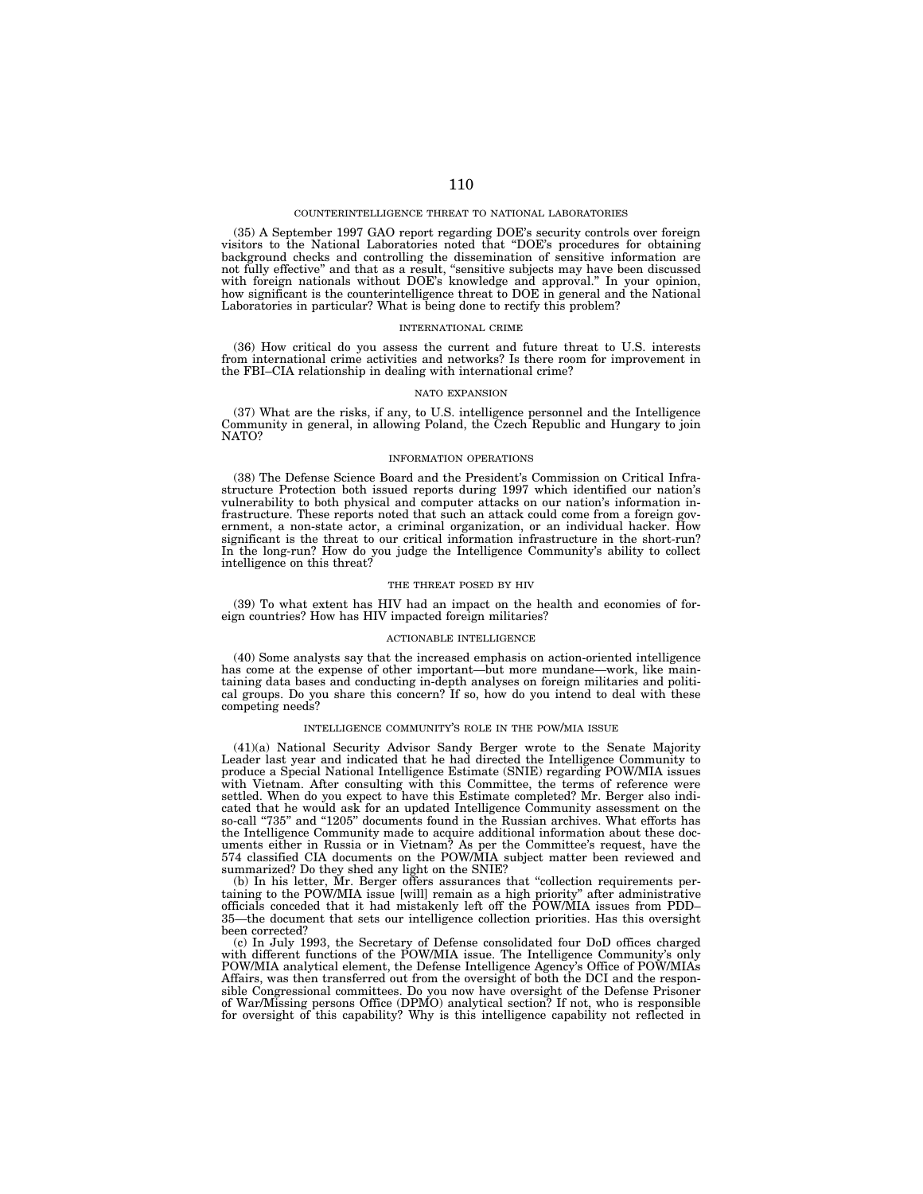## COUNTERINTELLIGENCE THREAT TO NATIONAL LABORATORIES

(35) A September 1997 GAO report regarding DOE's security controls over foreign visitors to the National Laboratories noted that ''DOE's procedures for obtaining background checks and controlling the dissemination of sensitive information are not fully effective'' and that as a result, ''sensitive subjects may have been discussed with foreign nationals without DOE's knowledge and approval.'' In your opinion, how significant is the counterintelligence threat to DOE in general and the National Laboratories in particular? What is being done to rectify this problem?

#### INTERNATIONAL CRIME

(36) How critical do you assess the current and future threat to U.S. interests from international crime activities and networks? Is there room for improvement in the FBI–CIA relationship in dealing with international crime?

## NATO EXPANSION

(37) What are the risks, if any, to U.S. intelligence personnel and the Intelligence Community in general, in allowing Poland, the Czech Republic and Hungary to join NATO?

## INFORMATION OPERATIONS

(38) The Defense Science Board and the President's Commission on Critical Infrastructure Protection both issued reports during 1997 which identified our nation's vulnerability to both physical and computer attacks on our nation's information infrastructure. These reports noted that such an attack could come from a foreign government, a non-state actor, a criminal organization, or an individual hacker. How significant is the threat to our critical information infrastructure in the short-run? In the long-run? How do you judge the Intelligence Community's ability to collect intelligence on this threat?

### THE THREAT POSED BY HIV

(39) To what extent has HIV had an impact on the health and economies of foreign countries? How has HIV impacted foreign militaries?

### ACTIONABLE INTELLIGENCE

(40) Some analysts say that the increased emphasis on action-oriented intelligence has come at the expense of other important—but more mundane—work, like maintaining data bases and conducting in-depth analyses on foreign militaries and political groups. Do you share this concern? If so, how do you intend to deal with these competing needs?

# INTELLIGENCE COMMUNITY'S ROLE IN THE POW/MIA ISSUE

(41)(a) National Security Advisor Sandy Berger wrote to the Senate Majority Leader last year and indicated that he had directed the Intelligence Community to produce a Special National Intelligence Estimate (SNIE) regarding POW/MIA issues with Vietnam. After consulting with this Committee, the terms of reference were settled. When do you expect to have this Estimate completed? Mr. Berger also indicated that he would ask for an updated Intelligence Community assessment on the so-call ''735'' and ''1205'' documents found in the Russian archives. What efforts has the Intelligence Community made to acquire additional information about these documents either in Russia or in Vietnam? As per the Committee's request, have the 574 classified CIA documents on the POW/MIA subject matter been reviewed and summarized? Do they shed any light on the SNIE?

(b) In his letter, Mr. Berger offers assurances that ''collection requirements pertaining to the POW/MIA issue [will] remain as a high priority'' after administrative officials conceded that it had mistakenly left off the POW/MIA issues from PDD– 35—the document that sets our intelligence collection priorities. Has this oversight been corrected?

(c) In July 1993, the Secretary of Defense consolidated four DoD offices charged with different functions of the POW/MIA issue. The Intelligence Community's only POW/MIA analytical element, the Defense Intelligence Agency's Office of POW/MIAs Affairs, was then transferred out from the oversight of both the DCI and the responsible Congressional committees. Do you now have oversight of the Defense Prisoner of War/Missing persons Office (DPMO) analytical section? If not, who is responsible for oversight of this capability? Why is this intelligence capability not reflected in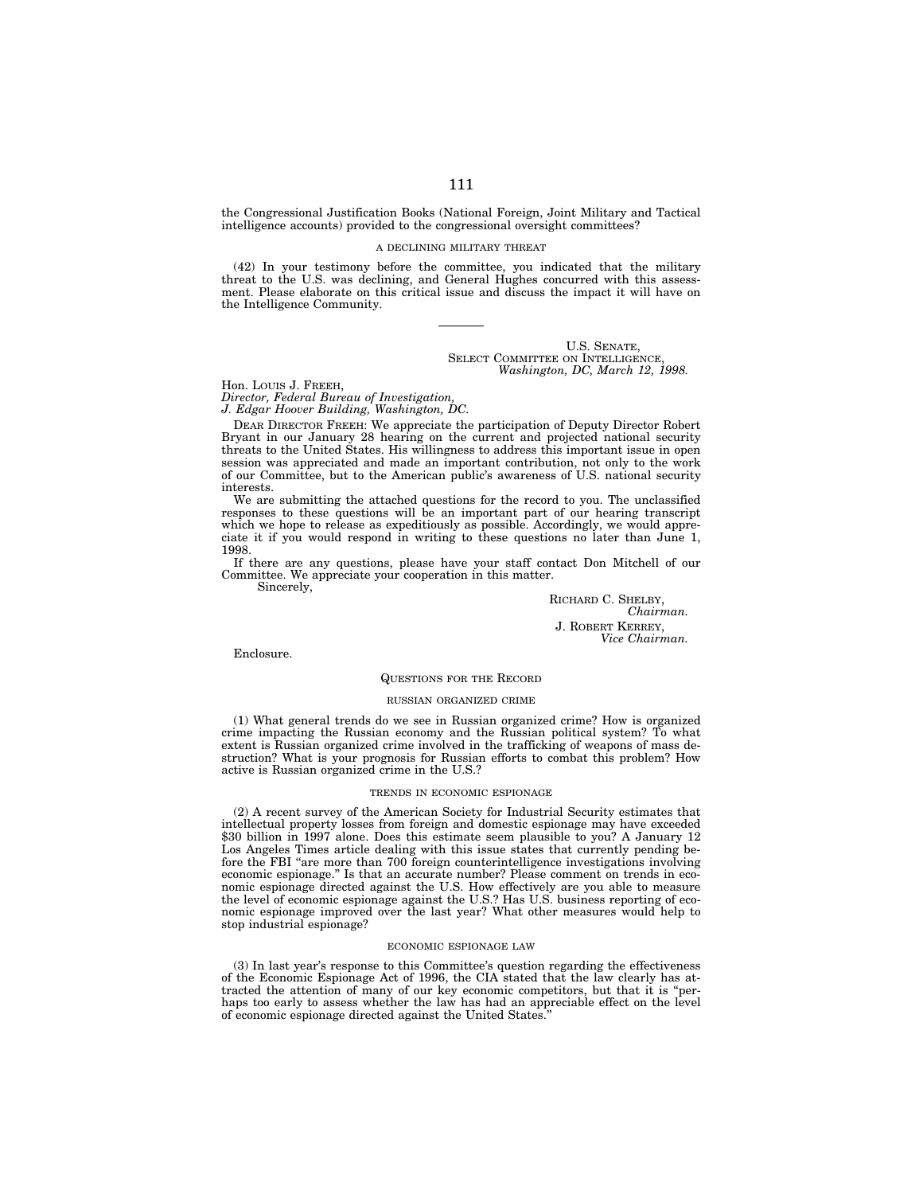the Congressional Justification Books (National Foreign, Joint Military and Tactical intelligence accounts) provided to the congressional oversight committees?

# A DECLINING MILITARY THREAT

(42) In your testimony before the committee, you indicated that the military threat to the U.S. was declining, and General Hughes concurred with this assessment. Please elaborate on this critical issue and discuss the impact it will have on the Intelligence Community.

### U.S. SENATE, SELECT COMMITTEE ON INTELLIGENCE, *Washington, DC, March 12, 1998.*

Hon. LOUIS J. FREEH,

*Director, Federal Bureau of Investigation, J. Edgar Hoover Building, Washington, DC.*

DEAR DIRECTOR FREEH: We appreciate the participation of Deputy Director Robert Bryant in our January 28 hearing on the current and projected national security threats to the United States. His willingness to address this important issue in open session was appreciated and made an important contribution, not only to the work of our Committee, but to the American public's awareness of U.S. national security interests.

We are submitting the attached questions for the record to you. The unclassified responses to these questions will be an important part of our hearing transcript which we hope to release as expeditiously as possible. Accordingly, we would appreciate it if you would respond in writing to these questions no later than June 1, 1998.

If there are any questions, please have your staff contact Don Mitchell of our Committee. We appreciate your cooperation in this matter.

Sincerely,

RICHARD C. SHELBY, *Chairman.* J. ROBERT KERREY, *Vice Chairman.*

Enclosure.

# QUESTIONS FOR THE RECORD

#### RUSSIAN ORGANIZED CRIME

(1) What general trends do we see in Russian organized crime? How is organized crime impacting the Russian economy and the Russian political system? To what extent is Russian organized crime involved in the trafficking of weapons of mass destruction? What is your prognosis for Russian efforts to combat this problem? How active is Russian organized crime in the U.S.?

#### TRENDS IN ECONOMIC ESPIONAGE

(2) A recent survey of the American Society for Industrial Security estimates that intellectual property losses from foreign and domestic espionage may have exceeded \$30 billion in 1997 alone. Does this estimate seem plausible to you? A January 12 Los Angeles Times article dealing with this issue states that currently pending before the FBI "are more than 700 foreign counterintelligence investigations involving economic espionage.'' Is that an accurate number? Please comment on trends in economic espionage directed against the U.S. How effectively are you able to measure the level of economic espionage against the U.S.? Has U.S. business reporting of economic espionage improved over the last year? What other measures would help to stop industrial espionage?

## ECONOMIC ESPIONAGE LAW

(3) In last year's response to this Committee's question regarding the effectiveness of the Economic Espionage Act of 1996, the CIA stated that the law clearly has attracted the attention of many of our key economic competitors, but that it is "perhaps too early to assess whether the law has had an appreciable effect on the level of economic espionage directed against the United States.''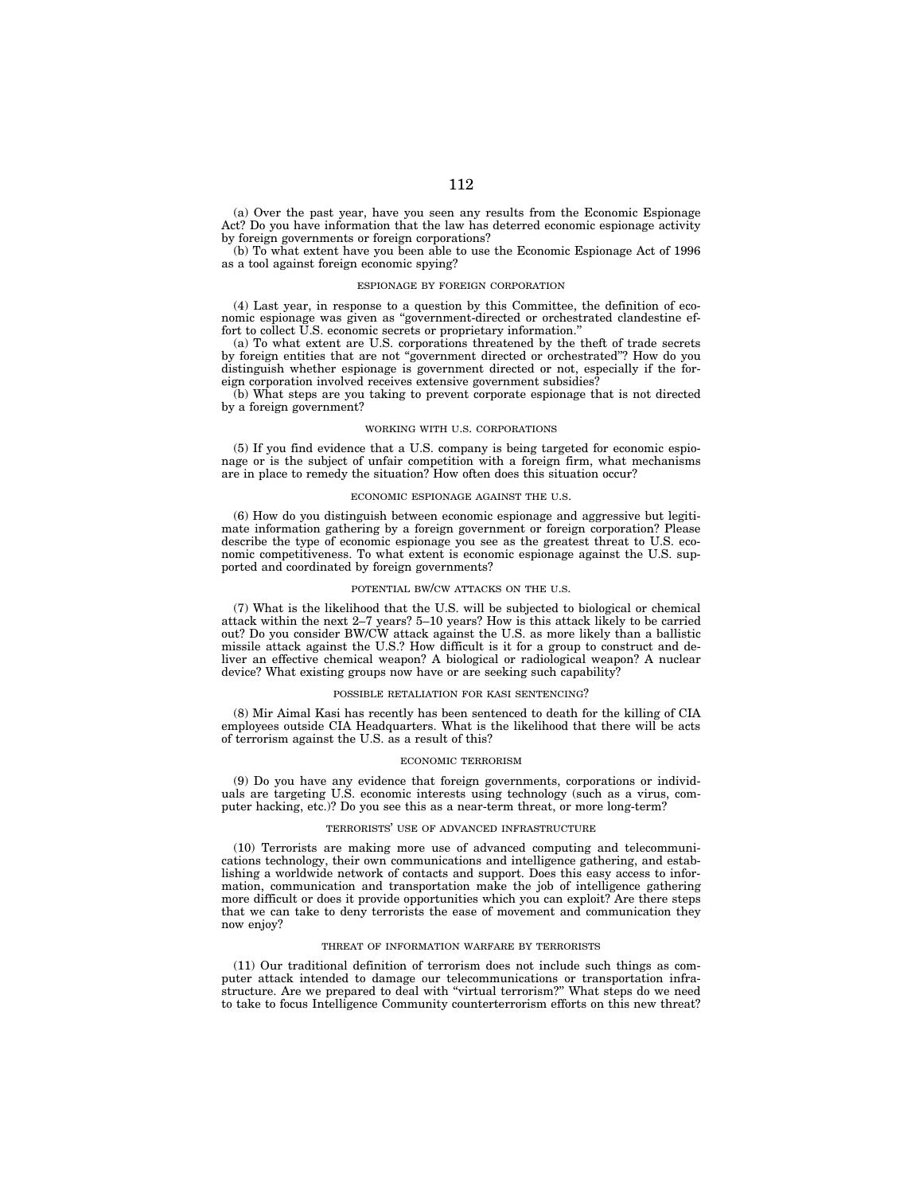(a) Over the past year, have you seen any results from the Economic Espionage Act? Do you have information that the law has deterred economic espionage activity by foreign governments or foreign corporations?

(b) To what extent have you been able to use the Economic Espionage Act of 1996 as a tool against foreign economic spying?

#### ESPIONAGE BY FOREIGN CORPORATION

(4) Last year, in response to a question by this Committee, the definition of economic espionage was given as ''government-directed or orchestrated clandestine effort to collect U.S. economic secrets or proprietary information.''

(a) To what extent are U.S. corporations threatened by the theft of trade secrets by foreign entities that are not "government directed or orchestrated"? How do you distinguish whether espionage is government directed or not, especially if the foreign corporation involved receives extensive government subsidies?

(b) What steps are you taking to prevent corporate espionage that is not directed by a foreign government?

## WORKING WITH U.S. CORPORATIONS

(5) If you find evidence that a U.S. company is being targeted for economic espionage or is the subject of unfair competition with a foreign firm, what mechanisms are in place to remedy the situation? How often does this situation occur?

## ECONOMIC ESPIONAGE AGAINST THE U.S.

(6) How do you distinguish between economic espionage and aggressive but legitimate information gathering by a foreign government or foreign corporation? Please describe the type of economic espionage you see as the greatest threat to U.S. economic competitiveness. To what extent is economic espionage against the U.S. supported and coordinated by foreign governments?

# POTENTIAL BW/CW ATTACKS ON THE U.S.

(7) What is the likelihood that the U.S. will be subjected to biological or chemical attack within the next 2–7 years? 5–10 years? How is this attack likely to be carried out? Do you consider BW/CW attack against the U.S. as more likely than a ballistic missile attack against the U.S.? How difficult is it for a group to construct and deliver an effective chemical weapon? A biological or radiological weapon? A nuclear device? What existing groups now have or are seeking such capability?

# POSSIBLE RETALIATION FOR KASI SENTENCING?

(8) Mir Aimal Kasi has recently has been sentenced to death for the killing of CIA employees outside CIA Headquarters. What is the likelihood that there will be acts of terrorism against the U.S. as a result of this?

# ECONOMIC TERRORISM

(9) Do you have any evidence that foreign governments, corporations or individuals are targeting U.S. economic interests using technology (such as a virus, computer hacking, etc.)? Do you see this as a near-term threat, or more long-term?

## TERRORISTS' USE OF ADVANCED INFRASTRUCTURE

(10) Terrorists are making more use of advanced computing and telecommunications technology, their own communications and intelligence gathering, and establishing a worldwide network of contacts and support. Does this easy access to information, communication and transportation make the job of intelligence gathering more difficult or does it provide opportunities which you can exploit? Are there steps that we can take to deny terrorists the ease of movement and communication they now enjoy?

## THREAT OF INFORMATION WARFARE BY TERRORISTS

(11) Our traditional definition of terrorism does not include such things as computer attack intended to damage our telecommunications or transportation infrastructure. Are we prepared to deal with "virtual terrorism?" What steps do we need to take to focus Intelligence Community counterterrorism efforts on this new threat?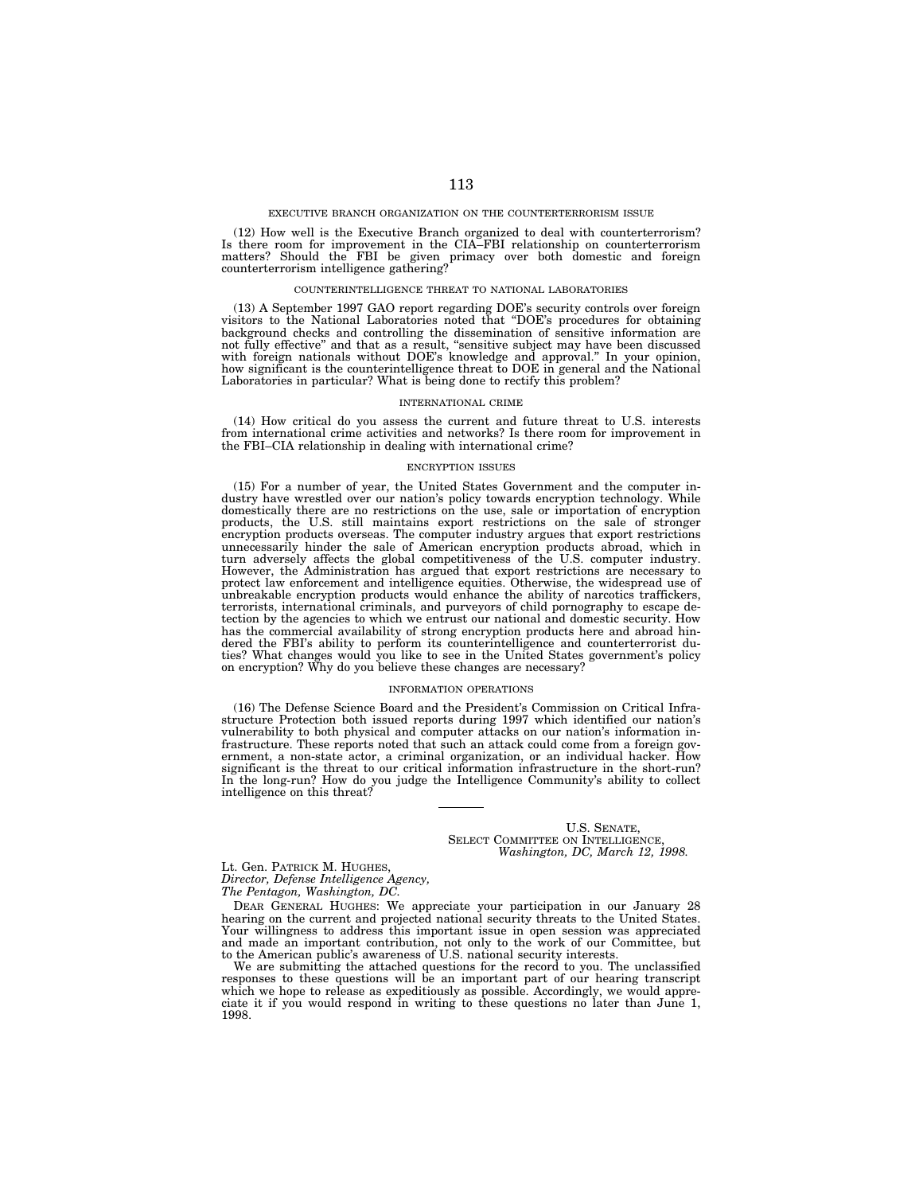#### EXECUTIVE BRANCH ORGANIZATION ON THE COUNTERTERRORISM ISSUE

(12) How well is the Executive Branch organized to deal with counterterrorism? Is there room for improvement in the CIA–FBI relationship on counterterrorism matters? Should the FBI be given primacy over both domestic and foreign counterterrorism intelligence gathering?

## COUNTERINTELLIGENCE THREAT TO NATIONAL LABORATORIES

(13) A September 1997 GAO report regarding DOE's security controls over foreign visitors to the National Laboratories noted that ''DOE's procedures for obtaining background checks and controlling the dissemination of sensitive information are not fully effective'' and that as a result, ''sensitive subject may have been discussed with foreign nationals without DOE's knowledge and approval.'' In your opinion, how significant is the counterintelligence threat to DOE in general and the National Laboratories in particular? What is being done to rectify this problem?

#### INTERNATIONAL CRIME

(14) How critical do you assess the current and future threat to U.S. interests from international crime activities and networks? Is there room for improvement in the FBI–CIA relationship in dealing with international crime?

### ENCRYPTION ISSUES

(15) For a number of year, the United States Government and the computer industry have wrestled over our nation's policy towards encryption technology. While domestically there are no restrictions on the use, sale or importation of encryption products, the U.S. still maintains export restrictions on the sale of stronger encryption products overseas. The computer industry argues that export restrictions unnecessarily hinder the sale of American encryption products abroad, which in turn adversely affects the global competitiveness of the U.S. computer industry. However, the Administration has argued that export restrictions are necessary to protect law enforcement and intelligence equities. Otherwise, the widespread use of unbreakable encryption products would enhance the ability of narcotics traffickers, terrorists, international criminals, and purveyors of child pornography to escape detection by the agencies to which we entrust our national and domestic security. How has the commercial availability of strong encryption products here and abroad hindered the FBI's ability to perform its counterintelligence and counterterrorist duties? What changes would you like to see in the United States government's policy on encryption? Why do you believe these changes are necessary?

# INFORMATION OPERATIONS

(16) The Defense Science Board and the President's Commission on Critical Infrastructure Protection both issued reports during 1997 which identified our nation's vulnerability to both physical and computer attacks on our nation's information infrastructure. These reports noted that such an attack could come from a foreign government, a non-state actor, a criminal organization, or an individual hacker. How significant is the threat to our critical information infrastructure in the short-run? In the long-run? How do you judge the Intelligence Community's ability to collect intelligence on this threat?

> U.S. SENATE, SELECT COMMITTEE ON INTELLIGENCE, *Washington, DC, March 12, 1998.*

Lt. Gen. PATRICK M. HUGHES, *Director, Defense Intelligence Agency, The Pentagon, Washington, DC.*

DEAR GENERAL HUGHES: We appreciate your participation in our January 28 hearing on the current and projected national security threats to the United States. Your willingness to address this important issue in open session was appreciated and made an important contribution, not only to the work of our Committee, but to the American public's awareness of U.S. national security interests.

We are submitting the attached questions for the record to you. The unclassified responses to these questions will be an important part of our hearing transcript which we hope to release as expeditiously as possible. Accordingly, we would appreciate it if you would respond in writing to these questions no later than June 1, 1998.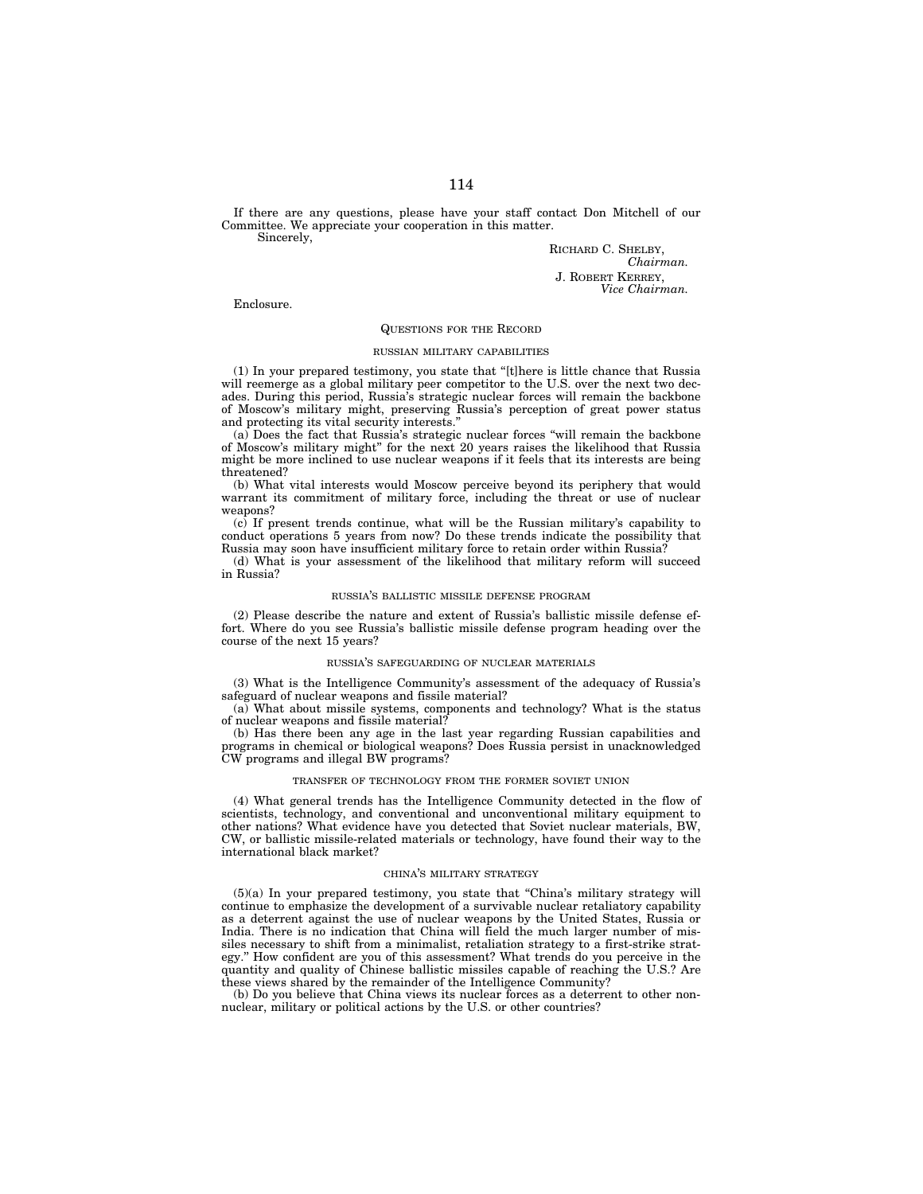If there are any questions, please have your staff contact Don Mitchell of our Committee. We appreciate your cooperation in this matter. Sincerely,

RICHARD C. SHELBY, *Chairman.* J. ROBERT KERREY, *Vice Chairman.*

### Enclosure.

## QUESTIONS FOR THE RECORD

### RUSSIAN MILITARY CAPABILITIES

(1) In your prepared testimony, you state that ''[t]here is little chance that Russia will reemerge as a global military peer competitor to the U.S. over the next two decades. During this period, Russia's strategic nuclear forces will remain the backbone of Moscow's military might, preserving Russia's perception of great power status and protecting its vital security interests.

(a) Does the fact that Russia's strategic nuclear forces ''will remain the backbone of Moscow's military might'' for the next 20 years raises the likelihood that Russia might be more inclined to use nuclear weapons if it feels that its interests are being threatened?

(b) What vital interests would Moscow perceive beyond its periphery that would warrant its commitment of military force, including the threat or use of nuclear weapons?

(c) If present trends continue, what will be the Russian military's capability to conduct operations 5 years from now? Do these trends indicate the possibility that Russia may soon have insufficient military force to retain order within Russia?

(d) What is your assessment of the likelihood that military reform will succeed in Russia?

## RUSSIA'S BALLISTIC MISSILE DEFENSE PROGRAM

(2) Please describe the nature and extent of Russia's ballistic missile defense effort. Where do you see Russia's ballistic missile defense program heading over the course of the next 15 years?

## RUSSIA'S SAFEGUARDING OF NUCLEAR MATERIALS

(3) What is the Intelligence Community's assessment of the adequacy of Russia's safeguard of nuclear weapons and fissile material?

(a) What about missile systems, components and technology? What is the status of nuclear weapons and fissile material?

(b) Has there been any age in the last year regarding Russian capabilities and programs in chemical or biological weapons? Does Russia persist in unacknowledged CW programs and illegal BW programs?

# TRANSFER OF TECHNOLOGY FROM THE FORMER SOVIET UNION

(4) What general trends has the Intelligence Community detected in the flow of scientists, technology, and conventional and unconventional military equipment to other nations? What evidence have you detected that Soviet nuclear materials, BW, CW, or ballistic missile-related materials or technology, have found their way to the international black market?

### CHINA'S MILITARY STRATEGY

(5)(a) In your prepared testimony, you state that ''China's military strategy will continue to emphasize the development of a survivable nuclear retaliatory capability as a deterrent against the use of nuclear weapons by the United States, Russia or India. There is no indication that China will field the much larger number of missiles necessary to shift from a minimalist, retaliation strategy to a first-strike strategy.'' How confident are you of this assessment? What trends do you perceive in the quantity and quality of Chinese ballistic missiles capable of reaching the U.S.? Are these views shared by the remainder of the Intelligence Community?

(b) Do you believe that China views its nuclear forces as a deterrent to other nonnuclear, military or political actions by the U.S. or other countries?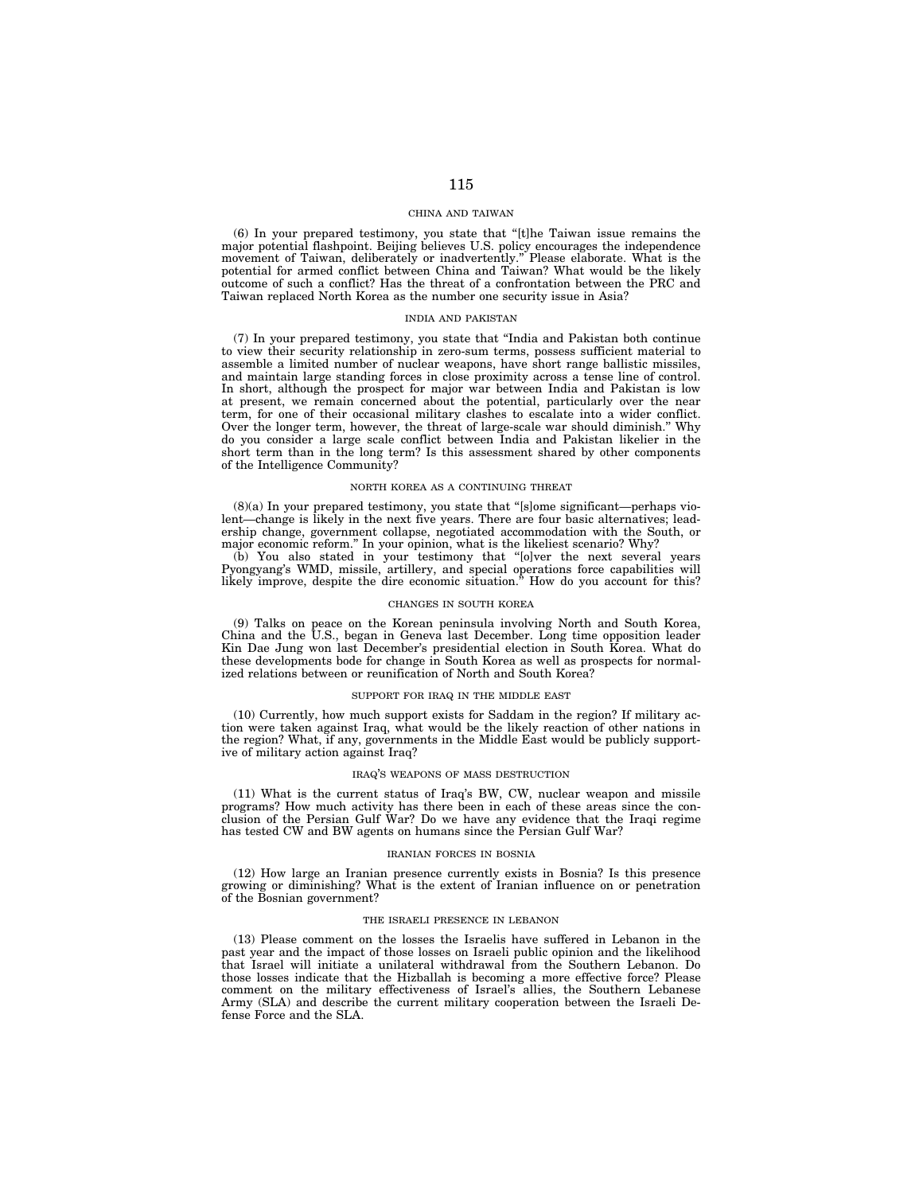#### CHINA AND TAIWAN

(6) In your prepared testimony, you state that ''[t]he Taiwan issue remains the major potential flashpoint. Beijing believes U.S. policy encourages the independence movement of Taiwan, deliberately or inadvertently.'' Please elaborate. What is the potential for armed conflict between China and Taiwan? What would be the likely outcome of such a conflict? Has the threat of a confrontation between the PRC and Taiwan replaced North Korea as the number one security issue in Asia?

#### INDIA AND PAKISTAN

(7) In your prepared testimony, you state that ''India and Pakistan both continue to view their security relationship in zero-sum terms, possess sufficient material to assemble a limited number of nuclear weapons, have short range ballistic missiles, and maintain large standing forces in close proximity across a tense line of control. In short, although the prospect for major war between India and Pakistan is low at present, we remain concerned about the potential, particularly over the near term, for one of their occasional military clashes to escalate into a wider conflict. Over the longer term, however, the threat of large-scale war should diminish.'' Why do you consider a large scale conflict between India and Pakistan likelier in the short term than in the long term? Is this assessment shared by other components of the Intelligence Community?

## NORTH KOREA AS A CONTINUING THREAT

(8)(a) In your prepared testimony, you state that ''[s]ome significant—perhaps violent—change is likely in the next five years. There are four basic alternatives; leadership change, government collapse, negotiated accommodation with the South, or major economic reform.'' In your opinion, what is the likeliest scenario? Why?

(b) You also stated in your testimony that ''[o]ver the next several years Pyongyang's WMD, missile, artillery, and special operations force capabilities will likely improve, despite the dire economic situation.'' How do you account for this?

## CHANGES IN SOUTH KOREA

(9) Talks on peace on the Korean peninsula involving North and South Korea, China and the U.S., began in Geneva last December. Long time opposition leader Kin Dae Jung won last December's presidential election in South Korea. What do these developments bode for change in South Korea as well as prospects for normalized relations between or reunification of North and South Korea?

## SUPPORT FOR IRAQ IN THE MIDDLE EAST

(10) Currently, how much support exists for Saddam in the region? If military action were taken against Iraq, what would be the likely reaction of other nations in the region? What, if any, governments in the Middle East would be publicly supportive of military action against Iraq?

## IRAQ'S WEAPONS OF MASS DESTRUCTION

(11) What is the current status of Iraq's BW, CW, nuclear weapon and missile programs? How much activity has there been in each of these areas since the conclusion of the Persian Gulf War? Do we have any evidence that the Iraqi regime has tested CW and BW agents on humans since the Persian Gulf War?

#### IRANIAN FORCES IN BOSNIA

(12) How large an Iranian presence currently exists in Bosnia? Is this presence growing or diminishing? What is the extent of Iranian influence on or penetration of the Bosnian government?

## THE ISRAELI PRESENCE IN LEBANON

(13) Please comment on the losses the Israelis have suffered in Lebanon in the past year and the impact of those losses on Israeli public opinion and the likelihood that Israel will initiate a unilateral withdrawal from the Southern Lebanon. Do those losses indicate that the Hizballah is becoming a more effective force? Please comment on the military effectiveness of Israel's allies, the Southern Lebanese Army (SLA) and describe the current military cooperation between the Israeli Defense Force and the SLA.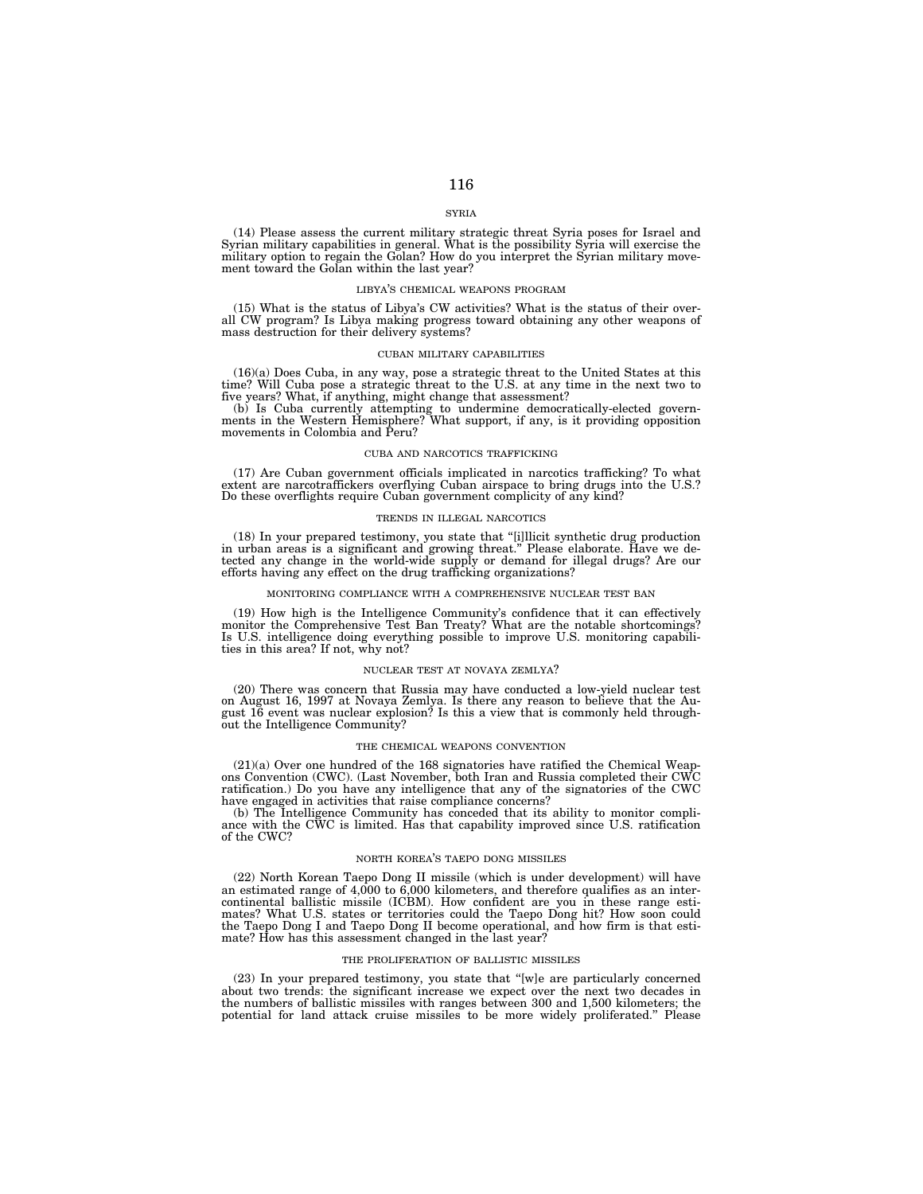#### **SYRIA**

(14) Please assess the current military strategic threat Syria poses for Israel and Syrian military capabilities in general. What is the possibility Syria will exercise the military option to regain the Golan? How do you interpret the Syrian military movement toward the Golan within the last year?

## LIBYA'S CHEMICAL WEAPONS PROGRAM

(15) What is the status of Libya's CW activities? What is the status of their overall CW program? Is Libya making progress toward obtaining any other weapons of mass destruction for their delivery systems?

#### CUBAN MILITARY CAPABILITIES

(16)(a) Does Cuba, in any way, pose a strategic threat to the United States at this time? Will Cuba pose a strategic threat to the U.S. at any time in the next two to five years? What, if anything, might change that assessment?

(b) Is Cuba currently attempting to undermine democratically-elected govern-ments in the Western Hemisphere? What support, if any, is it providing opposition movements in Colombia and Peru?

# CUBA AND NARCOTICS TRAFFICKING

(17) Are Cuban government officials implicated in narcotics trafficking? To what extent are narcotraffickers overflying Cuban airspace to bring drugs into the U.S.? Do these overflights require Cuban government complicity of any kind?

### TRENDS IN ILLEGAL NARCOTICS

 $(18)$  In your prepared testimony, you state that "[i]llicit synthetic drug production<br>in urban areas is a significant and growing threat." Please elaborate. Have we de-<br>tected any change in the world-wide supply or deman

# MONITORING COMPLIANCE WITH A COMPREHENSIVE NUCLEAR TEST BAN

(19) How high is the Intelligence Community's confidence that it can effectively monitor the Comprehensive Test Ban Treaty? What are the notable shortcomings? Is U.S. intelligence doing everything possible to improve U.S. monitoring capabilities in this area? If not, why not?

### NUCLEAR TEST AT NOVAYA ZEMLYA?

(20) There was concern that Russia may have conducted a low-yield nuclear test on August 16, 1997 at Novaya Zemlya. Is there any reason to believe that the Au-gust 16 event was nuclear explosion? Is this a view that is commonly held throughout the Intelligence Community?

#### THE CHEMICAL WEAPONS CONVENTION

(21)(a) Over one hundred of the 168 signatories have ratified the Chemical Weap-ons Convention (CWC). (Last November, both Iran and Russia completed their CWC ratification.) Do you have any intelligence that any of the signatories of the CWC have engaged in activities that raise compliance concerns?

(b) The Intelligence Community has conceded that its ability to monitor compliance with the CWC is limited. Has that capability improved since U.S. ratification of the CWC?

#### NORTH KOREA'S TAEPO DONG MISSILES

(22) North Korean Taepo Dong II missile (which is under development) will have an estimated range of 4,000 to 6,000 kilometers, and therefore qualifies as an intercontinental ballistic missile (ICBM). How confident are you in these range estimates? What U.S. states or territories could the Taepo Dong hit? How soon could the Taepo Dong I and Taepo Dong II become operational, and how firm is that estimate? How has this assessment changed in the last year?

## THE PROLIFERATION OF BALLISTIC MISSILES

(23) In your prepared testimony, you state that ''[w]e are particularly concerned about two trends: the significant increase we expect over the next two decades in the numbers of ballistic missiles with ranges between 300 and 1,500 kilometers; the potential for land attack cruise missiles to be more widely proliferated.'' Please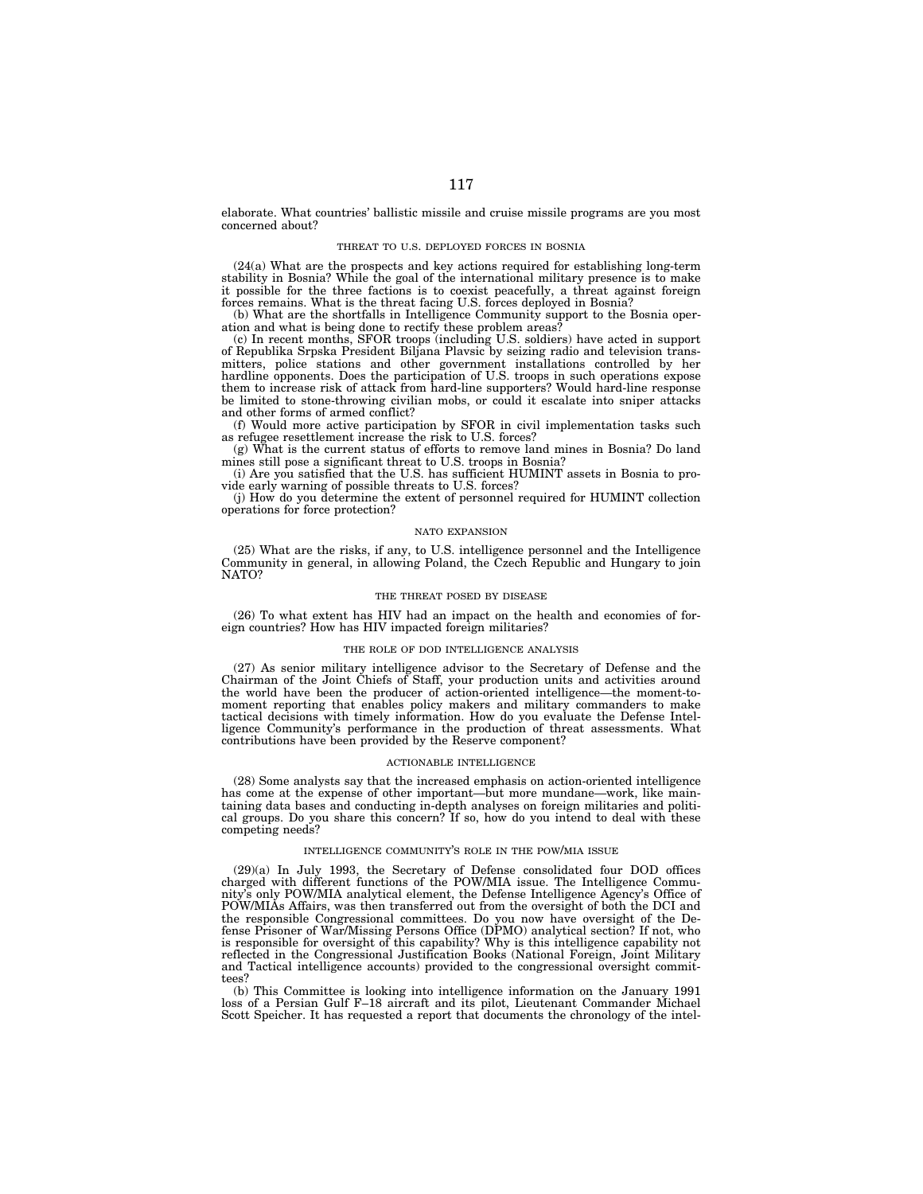elaborate. What countries' ballistic missile and cruise missile programs are you most concerned about?

# THREAT TO U.S. DEPLOYED FORCES IN BOSNIA

(24(a) What are the prospects and key actions required for establishing long-term stability in Bosnia? While the goal of the international military presence is to make it possible for the three factions is to coexist peacefully, a threat against foreign forces remains. What is the threat facing U.S. forces deployed in Bosnia?

(b) What are the shortfalls in Intelligence Community support to the Bosnia operation and what is being done to rectify these problem areas?

(c) In recent months, SFOR troops (including U.S. soldiers) have acted in support of Republika Srpska President Biljana Plavsic by seizing radio and television transmitters, police stations and other government installations controlled by her hardline opponents. Does the participation of U.S. troops in such operations expose them to increase risk of attack from hard-line supporters? Would hard-line response be limited to stone-throwing civilian mobs, or could it escalate into sniper attacks and other forms of armed conflict?

(f) Would more active participation by SFOR in civil implementation tasks such as refugee resettlement increase the risk to U.S. forces?

(g) What is the current status of efforts to remove land mines in Bosnia? Do land mines still pose a significant threat to U.S. troops in Bosnia?

(i) Are you satisfied that the U.S. has sufficient HUMINT assets in Bosnia to provide early warning of possible threats to U.S. forces?

(j) How do you determine the extent of personnel required for HUMINT collection operations for force protection?

#### NATO EXPANSION

(25) What are the risks, if any, to U.S. intelligence personnel and the Intelligence Community in general, in allowing Poland, the Czech Republic and Hungary to join NATO?

#### THE THREAT POSED BY DISEASE

(26) To what extent has HIV had an impact on the health and economies of foreign countries? How has HIV impacted foreign militaries?

#### THE ROLE OF DOD INTELLIGENCE ANALYSIS

(27) As senior military intelligence advisor to the Secretary of Defense and the Chairman of the Joint Chiefs of Staff, your production units and activities around the world have been the producer of action-oriented intelligence—the moment-tomoment reporting that enables policy makers and military commanders to make tactical decisions with timely information. How do you evaluate the Defense Intelligence Community's performance in the production of threat assessments. What contributions have been provided by the Reserve component?

# ACTIONABLE INTELLIGENCE

(28) Some analysts say that the increased emphasis on action-oriented intelligence has come at the expense of other important—but more mundane—work, like maintaining data bases and conducting in-depth analyses on foreign militaries and political groups. Do you share this concern? If so, how do you intend to deal with these competing needs?

#### INTELLIGENCE COMMUNITY'S ROLE IN THE POW/MIA ISSUE

(29)(a) In July 1993, the Secretary of Defense consolidated four DOD offices charged with different functions of the POW/MIA issue. The Intelligence Community's only POW/MIA analytical element, the Defense Intelligence Agency's Office of POW/MIAs Affairs, was then transferred out from the oversight of both the DCI and the responsible Congressional committees. Do you now have oversight of the Defense Prisoner of War/Missing Persons Office (DPMO) analytical section? If not, who is responsible for oversight of this capability? Why is this intelligence capability not reflected in the Congressional Justification Books (National Foreign, Joint Military and Tactical intelligence accounts) provided to the congressional oversight committees?

(b) This Committee is looking into intelligence information on the January 1991 loss of a Persian Gulf F–18 aircraft and its pilot, Lieutenant Commander Michael Scott Speicher. It has requested a report that documents the chronology of the intel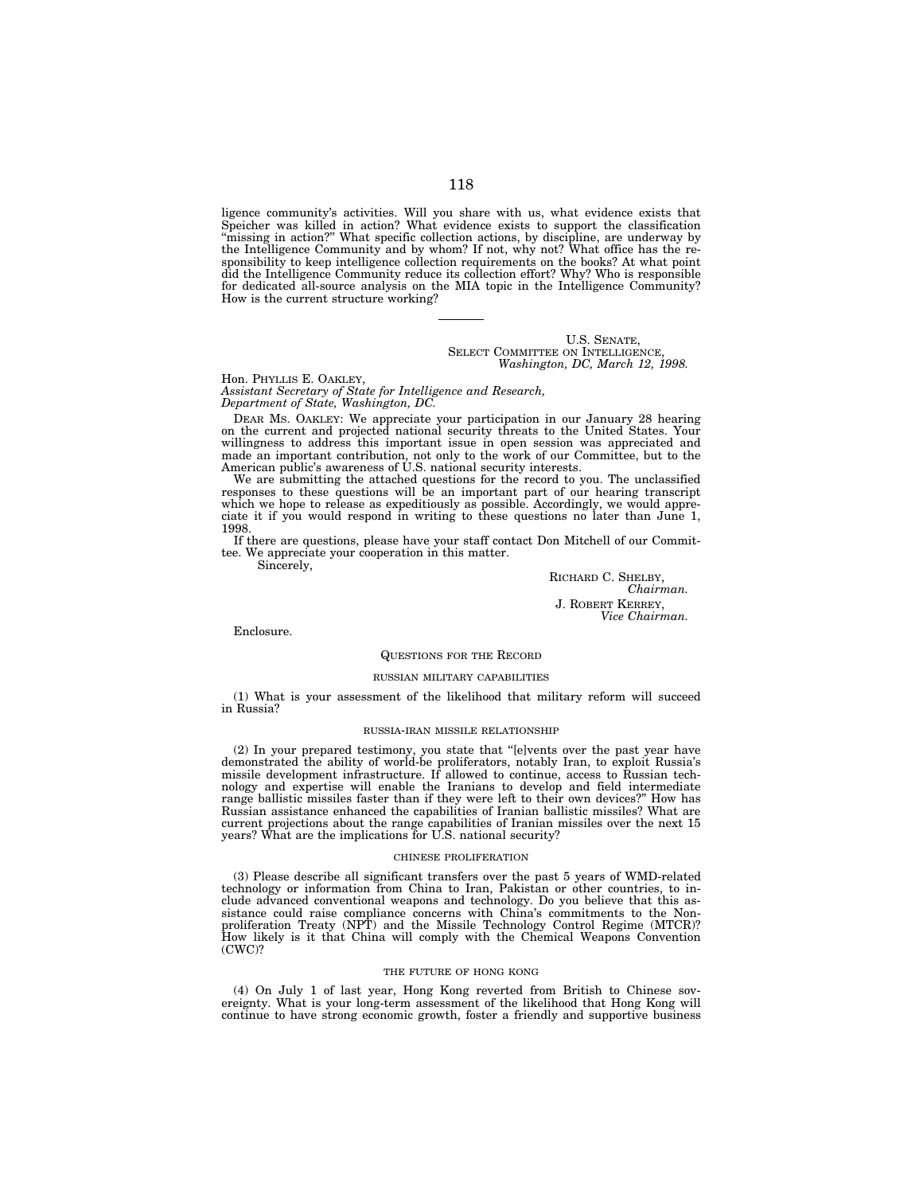ligence community's activities. Will you share with us, what evidence exists that Speicher was killed in action? What evidence exists to support the classification ''missing in action?'' What specific collection actions, by discipline, are underway by the Intelligence Community and by whom? If not, why not? What office has the responsibility to keep intelligence collection requirements on the books? At what point did the Intelligence Community reduce its collection effort? Why? Who is responsible for dedicated all-source analysis on the MIA topic in the Intelligence Community? How is the current structure working?

# U.S. SENATE, SELECT COMMITTEE ON INTELLIGENCE, *Washington, DC, March 12, 1998.*

Hon. PHYLLIS E. OAKLEY,

*Assistant Secretary of State for Intelligence and Research, Department of State, Washington, DC.*

DEAR MS. OAKLEY: We appreciate your participation in our January 28 hearing on the current and projected national security threats to the United States. Your willingness to address this important issue in open session was appreciated and made an important contribution, not only to the work of our Committee, but to the American public's awareness of U.S. national security interests.

We are submitting the attached questions for the record to you. The unclassified responses to these questions will be an important part of our hearing transcript which we hope to release as expeditiously as possible. Accordingly, we would appreciate it if you would respond in writing to these questions no later than June 1, 1998.

If there are questions, please have your staff contact Don Mitchell of our Committee. We appreciate your cooperation in this matter.

Sincerely,

RICHARD C. SHELBY, *Chairman.* J. ROBERT KERREY, *Vice Chairman.*

Enclosure.

# QUESTIONS FOR THE RECORD

## RUSSIAN MILITARY CAPABILITIES

(1) What is your assessment of the likelihood that military reform will succeed in Russia?

#### RUSSIA-IRAN MISSILE RELATIONSHIP

(2) In your prepared testimony, you state that ''[e]vents over the past year have demonstrated the ability of world-be proliferators, notably Iran, to exploit Russia's missile development infrastructure. If allowed to continue, access to Russian technology and expertise will enable the Iranians to develop and field intermediate range ballistic missiles faster than if they were left to their own devices?'' How has Russian assistance enhanced the capabilities of Iranian ballistic missiles? What are current projections about the range capabilities of Iranian missiles over the next 15 years? What are the implications for U.S. national security?

## CHINESE PROLIFERATION

(3) Please describe all significant transfers over the past 5 years of WMD-related technology or information from China to Iran, Pakistan or other countries, to include advanced conventional weapons and technology. Do you believe that this assistance could raise compliance concerns with China's commitments to the Nonproliferation Treaty (NPT) and the Missile Technology Control Regime (MTCR)? How likely is it that China will comply with the Chemical Weapons Convention (CWC)?

# THE FUTURE OF HONG KONG

(4) On July 1 of last year, Hong Kong reverted from British to Chinese sovereignty. What is your long-term assessment of the likelihood that Hong Kong will continue to have strong economic growth, foster a friendly and supportive business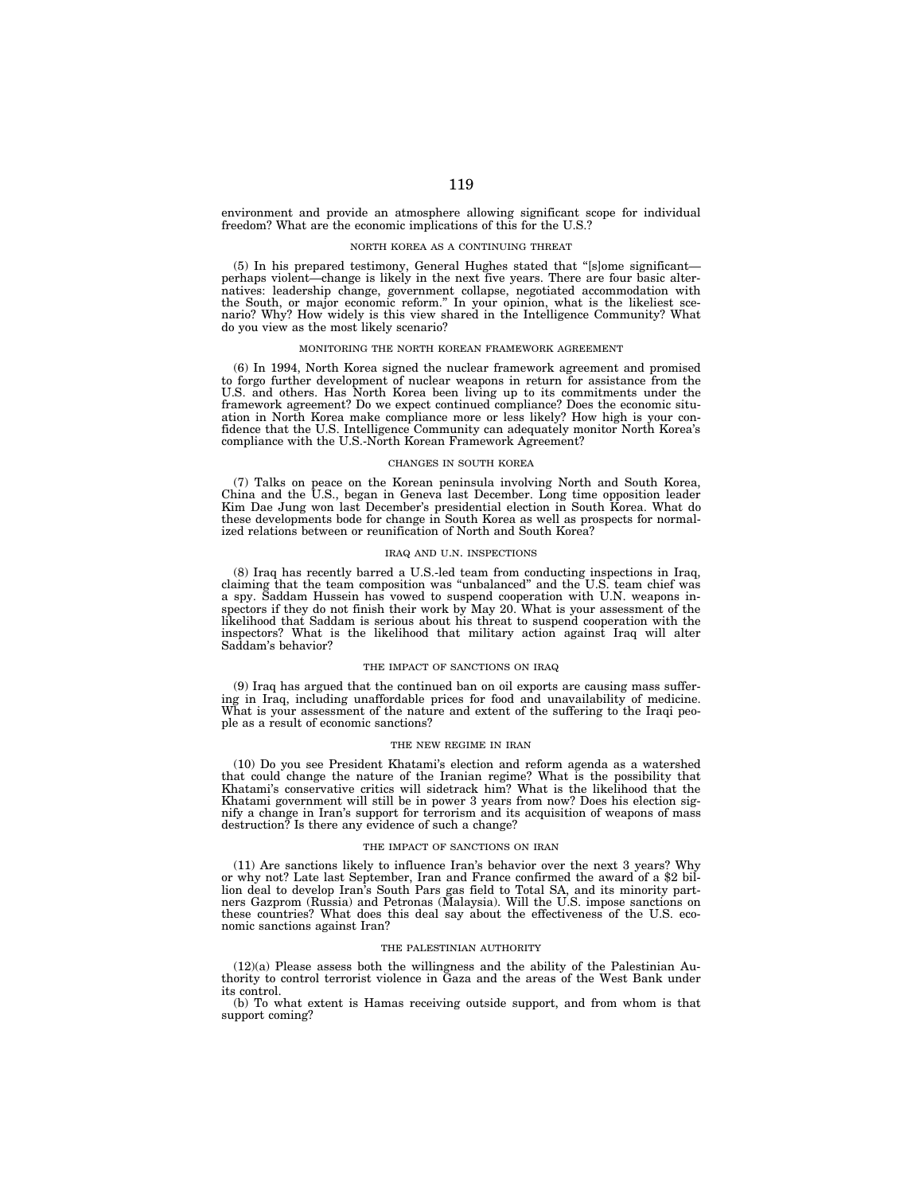environment and provide an atmosphere allowing significant scope for individual freedom? What are the economic implications of this for the U.S.?

#### NORTH KOREA AS A CONTINUING THREAT

(5) In his prepared testimony, General Hughes stated that ''[s]ome significant perhaps violent—change is likely in the next five years. There are four basic alternatives: leadership change, government collapse, negotiated accommodation with the South, or major economic reform.'' In your opinion, what is the likeliest scenario? Why? How widely is this view shared in the Intelligence Community? What do you view as the most likely scenario?

## MONITORING THE NORTH KOREAN FRAMEWORK AGREEMENT

(6) In 1994, North Korea signed the nuclear framework agreement and promised to forgo further development of nuclear weapons in return for assistance from the U.S. and others. Has North Korea been living up to its commitments under the framework agreement? Do we expect continued compliance? Does the economic situation in North Korea make compliance more or less likely? How high is your confidence that the U.S. Intelligence Community can adequately monitor North Korea's compliance with the U.S.-North Korean Framework Agreement?

### CHANGES IN SOUTH KOREA

(7) Talks on peace on the Korean peninsula involving North and South Korea, China and the U.S., began in Geneva last December. Long time opposition leader Kim Dae Jung won last December's presidential election in South Korea. What do these developments bode for change in South Korea as well as prospects for normalized relations between or reunification of North and South Korea?

#### IRAQ AND U.N. INSPECTIONS

(8) Iraq has recently barred a U.S.-led team from conducting inspections in Iraq, claiming that the team composition was ''unbalanced'' and the U.S. team chief was a spy. Saddam Hussein has vowed to suspend cooperation with U.N. weapons inspectors if they do not finish their work by May  $20$ . What is your assessment of the likelihood that Saddam is serious about his threat to suspend cooperation with the inspectors? What is the likelihood that military action against Iraq will alter Saddam's behavior?

## THE IMPACT OF SANCTIONS ON IRAQ

(9) Iraq has argued that the continued ban on oil exports are causing mass suffering in Iraq, including unaffordable prices for food and unavailability of medicine. What is your assessment of the nature and extent of the suffering to the Iraqi people as a result of economic sanctions?

# THE NEW REGIME IN IRAN

(10) Do you see President Khatami's election and reform agenda as a watershed that could change the nature of the Iranian regime? What is the possibility that Khatami's conservative critics will sidetrack him? What is the likelihood that the Khatami government will still be in power 3 years from now? Does his election signify a change in Iran's support for terrorism and its acquisition of weapons of mass destruction? Is there any evidence of such a change?

## THE IMPACT OF SANCTIONS ON IRAN

(11) Are sanctions likely to influence Iran's behavior over the next 3 years? Why or why not? Late last September, Iran and France confirmed the award of a \$2 billion deal to develop Iran's South Pars gas field to Total SA, and its minority partners Gazprom (Russia) and Petronas (Malaysia). Will the U.S. impose sanctions on these countries? What does this deal say about the effectiveness of the U.S. economic sanctions against Iran?

## THE PALESTINIAN AUTHORITY

(12)(a) Please assess both the willingness and the ability of the Palestinian Authority to control terrorist violence in Gaza and the areas of the West Bank under its control.

(b) To what extent is Hamas receiving outside support, and from whom is that support coming?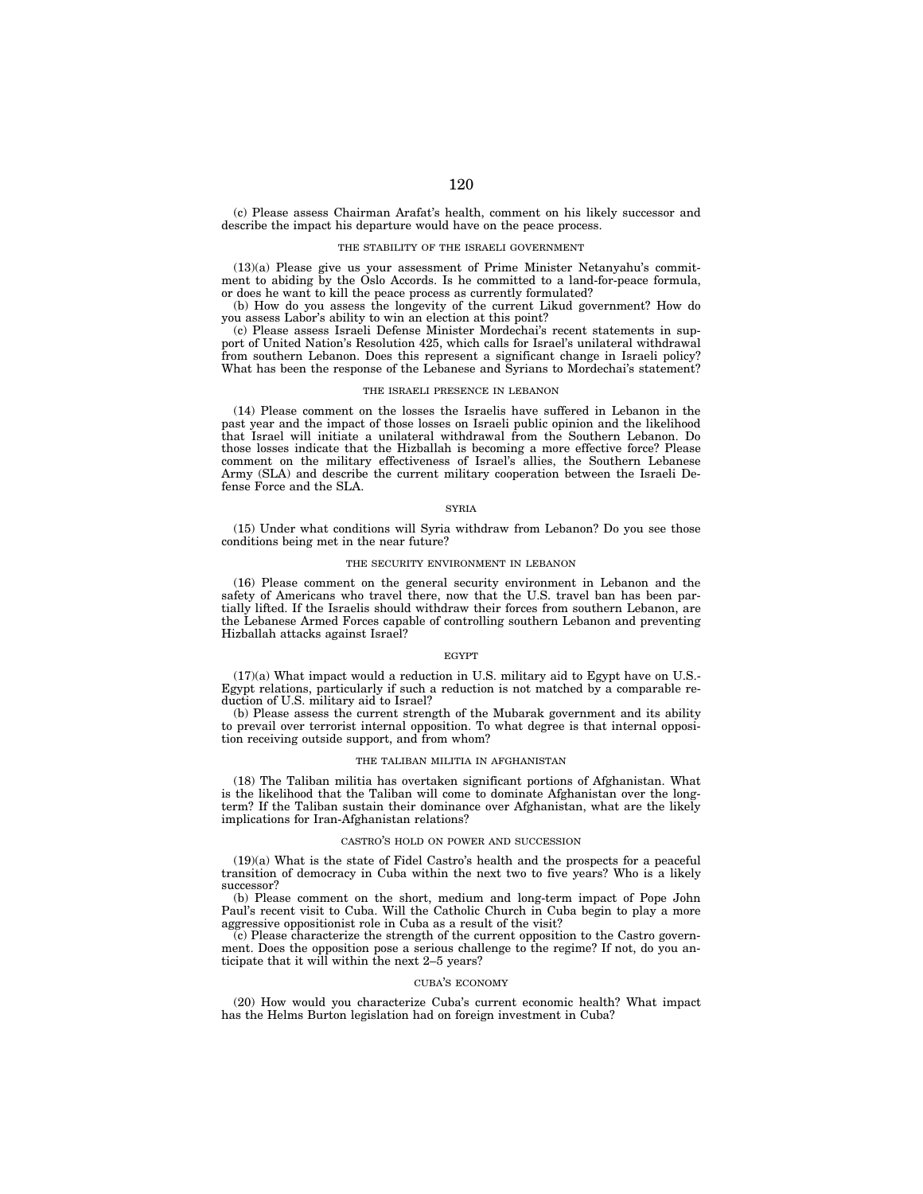(c) Please assess Chairman Arafat's health, comment on his likely successor and describe the impact his departure would have on the peace process.

# THE STABILITY OF THE ISRAELI GOVERNMENT

(13)(a) Please give us your assessment of Prime Minister Netanyahu's commitment to abiding by the Oslo Accords. Is he committed to a land-for-peace formula, or does he want to kill the peace process as currently formulated?

(b) How do you assess the longevity of the current Likud government? How do you assess Labor's ability to win an election at this point?

(c) Please assess Israeli Defense Minister Mordechai's recent statements in support of United Nation's Resolution 425, which calls for Israel's unilateral withdrawal from southern Lebanon. Does this represent a significant change in Israeli policy? What has been the response of the Lebanese and Syrians to Mordechai's statement?

# THE ISRAELI PRESENCE IN LEBANON

(14) Please comment on the losses the Israelis have suffered in Lebanon in the past year and the impact of those losses on Israeli public opinion and the likelihood that Israel will initiate a unilateral withdrawal from the Southern Lebanon. Do those losses indicate that the Hizballah is becoming a more effective force? Please comment on the military effectiveness of Israel's allies, the Southern Lebanese Army (SLA) and describe the current military cooperation between the Israeli Defense Force and the SLA.

# SYRIA

(15) Under what conditions will Syria withdraw from Lebanon? Do you see those conditions being met in the near future?

## THE SECURITY ENVIRONMENT IN LEBANON

(16) Please comment on the general security environment in Lebanon and the safety of Americans who travel there, now that the U.S. travel ban has been partially lifted. If the Israelis should withdraw their forces from southern Lebanon, are the Lebanese Armed Forces capable of controlling southern Lebanon and preventing Hizballah attacks against Israel?

### EGYPT

(17)(a) What impact would a reduction in U.S. military aid to Egypt have on U.S.- Egypt relations, particularly if such a reduction is not matched by a comparable reduction of U.S. military aid to Israel?

(b) Please assess the current strength of the Mubarak government and its ability to prevail over terrorist internal opposition. To what degree is that internal opposition receiving outside support, and from whom?

# THE TALIBAN MILITIA IN AFGHANISTAN

(18) The Taliban militia has overtaken significant portions of Afghanistan. What is the likelihood that the Taliban will come to dominate Afghanistan over the longterm? If the Taliban sustain their dominance over Afghanistan, what are the likely implications for Iran-Afghanistan relations?

# CASTRO'S HOLD ON POWER AND SUCCESSION

(19)(a) What is the state of Fidel Castro's health and the prospects for a peaceful transition of democracy in Cuba within the next two to five years? Who is a likely successor?

(b) Please comment on the short, medium and long-term impact of Pope John Paul's recent visit to Cuba. Will the Catholic Church in Cuba begin to play a more aggressive oppositionist role in Cuba as a result of the visit?

 $\tilde{c}$ ) Please characterize the strength of the current opposition to the Castro government. Does the opposition pose a serious challenge to the regime? If not, do you anticipate that it will within the next 2–5 years?

#### CUBA'S ECONOMY

(20) How would you characterize Cuba's current economic health? What impact has the Helms Burton legislation had on foreign investment in Cuba?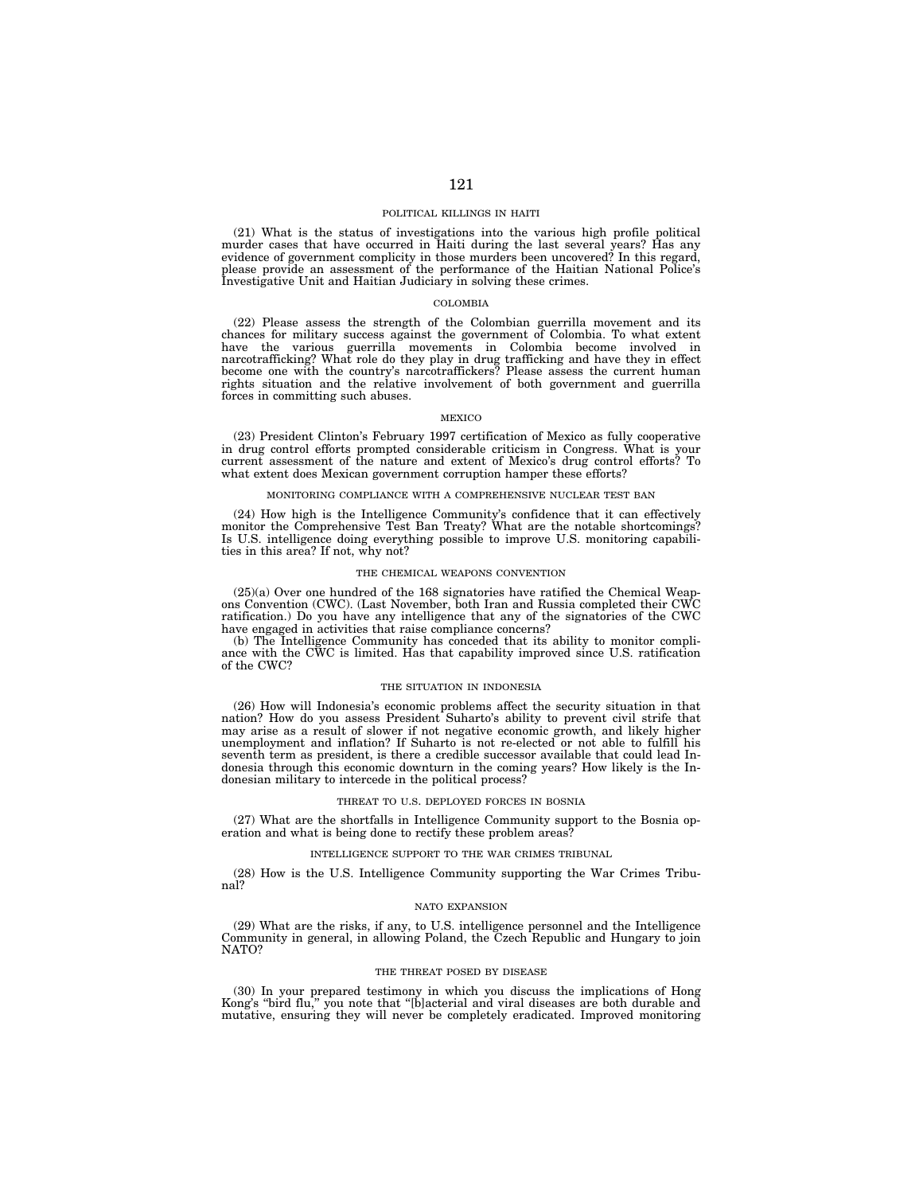## POLITICAL KILLINGS IN HAITI

(21) What is the status of investigations into the various high profile political murder cases that have occurred in Haiti during the last several years? Has any evidence of government complicity in those murders been uncovered? In this regard, please provide an assessment of the performance of the Haitian National Police's Investigative Unit and Haitian Judiciary in solving these crimes.

#### COLOMBIA

(22) Please assess the strength of the Colombian guerrilla movement and its chances for military success against the government of Colombia. To what extent have the various guerrilla movements in Colombia become involved in narcotrafficking? What role do they play in drug trafficking and have they in effect become one with the country's narcotraffickers? Please assess the current human rights situation and the relative involvement of both government and guerrilla forces in committing such abuses.

## MEXICO

(23) President Clinton's February 1997 certification of Mexico as fully cooperative in drug control efforts prompted considerable criticism in Congress. What is your current assessment of the nature and extent of Mexico's drug control efforts? To what extent does Mexican government corruption hamper these efforts?

# MONITORING COMPLIANCE WITH A COMPREHENSIVE NUCLEAR TEST BAN

(24) How high is the Intelligence Community's confidence that it can effectively monitor the Comprehensive Test Ban Treaty? What are the notable shortcomings? Is U.S. intelligence doing everything possible to improve U.S. monitoring capabilities in this area? If not, why not?

#### THE CHEMICAL WEAPONS CONVENTION

(25)(a) Over one hundred of the 168 signatories have ratified the Chemical Weapons Convention (CWC). (Last November, both Iran and Russia completed their CWC ratification.) Do you have any intelligence that any of the signatories of the CWC have engaged in activities that raise compliance concerns?

(b) The Intelligence Community has conceded that its ability to monitor compliance with the CWC is limited. Has that capability improved since U.S. ratification of the CWC?

## THE SITUATION IN INDONESIA

(26) How will Indonesia's economic problems affect the security situation in that nation? How do you assess President Suharto's ability to prevent civil strife that may arise as a result of slower if not negative economic growth, and likely higher unemployment and inflation? If Suharto is not re-elected or not able to fulfill his seventh term as president, is there a credible successor available that could lead Indonesia through this economic downturn in the coming years? How likely is the Indonesian military to intercede in the political process?

### THREAT TO U.S. DEPLOYED FORCES IN BOSNIA

(27) What are the shortfalls in Intelligence Community support to the Bosnia operation and what is being done to rectify these problem areas?

## INTELLIGENCE SUPPORT TO THE WAR CRIMES TRIBUNAL

(28) How is the U.S. Intelligence Community supporting the War Crimes Tribunal?

## NATO EXPANSION

(29) What are the risks, if any, to U.S. intelligence personnel and the Intelligence Community in general, in allowing Poland, the Czech Republic and Hungary to join NATO?

## THE THREAT POSED BY DISEASE

(30) In your prepared testimony in which you discuss the implications of Hong Kong's ''bird flu,'' you note that ''[b]acterial and viral diseases are both durable and mutative, ensuring they will never be completely eradicated. Improved monitoring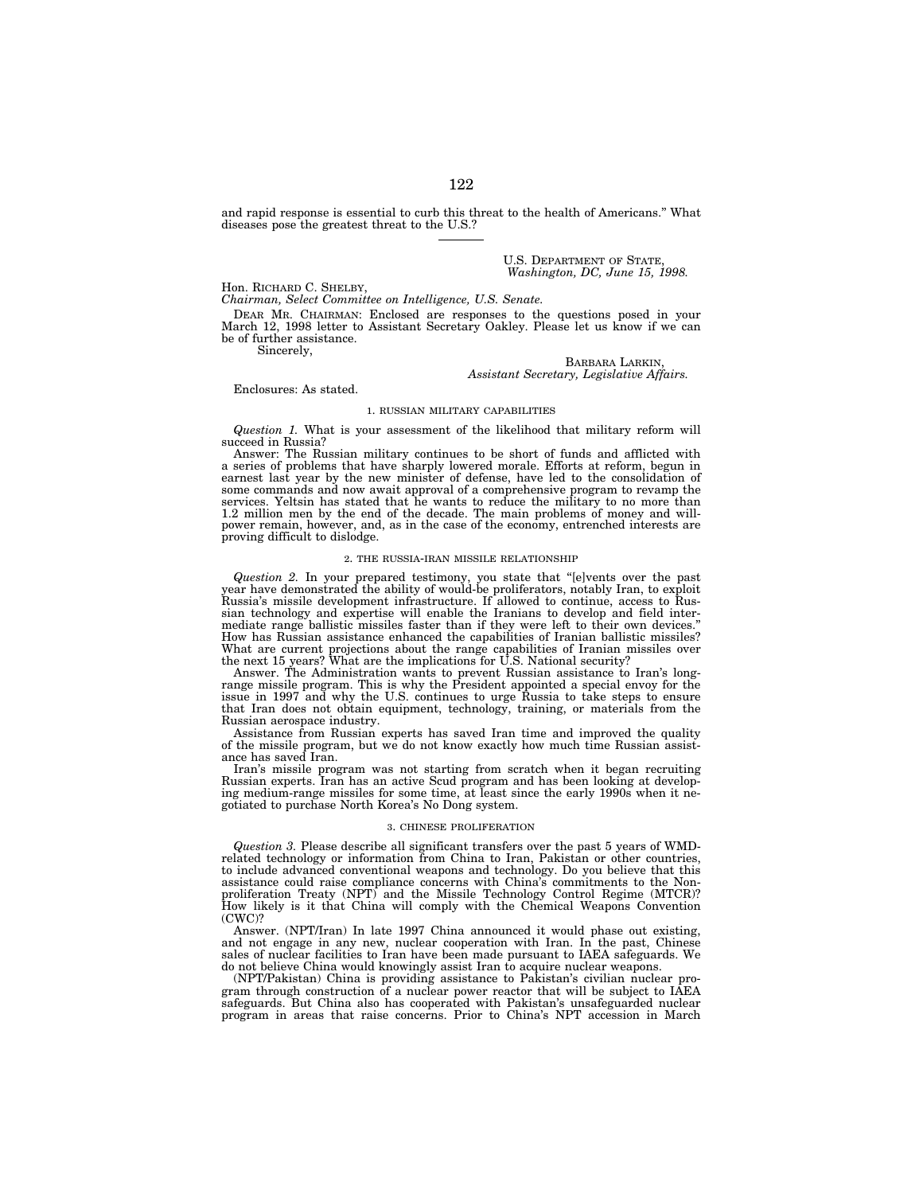and rapid response is essential to curb this threat to the health of Americans.'' What diseases pose the greatest threat to the U.S.?

> U.S. DEPARTMENT OF STATE, *Washington, DC, June 15, 1998.*

Hon. RICHARD C. SHELBY,

*Chairman, Select Committee on Intelligence, U.S. Senate.*

DEAR MR. CHAIRMAN: Enclosed are responses to the questions posed in your March 12, 1998 letter to Assistant Secretary Oakley. Please let us know if we can be of further assistance.

Sincerely,

BARBARA LARKIN, *Assistant Secretary, Legislative Affairs.*

Enclosures: As stated.

### 1. RUSSIAN MILITARY CAPABILITIES

*Question 1.* What is your assessment of the likelihood that military reform will succeed in Russia?

Answer: The Russian military continues to be short of funds and afflicted with a series of problems that have sharply lowered morale. Efforts at reform, begun in earnest last year by the new minister of defense, have led to the consolidation of some commands and now await approval of a comprehensive program to revamp the services. Yeltsin has stated that he wants to reduce the military to no more than 1.2 million men by the end of the decade. The main problems of money and willpower remain, however, and, as in the case of the economy, entrenched interests are proving difficult to dislodge.

### 2. THE RUSSIA-IRAN MISSILE RELATIONSHIP

Question 2. In your prepared testimony, you state that "[e]vents over the past<br>year have demonstrated the ability of would-be proliferators, notably Iran, to exploit<br>Russia's missile development infrastructure. If allowed sian technology and expertise will enable the Iranians to develop and field intermediate range ballistic missiles faster than if they were left to their own devices.'' How has Russian assistance enhanced the capabilities of Iranian ballistic missiles? What are current projections about the range capabilities of Iranian missiles over the next 15 years? What are the implications for U.S. National security?

Answer. The Administration wants to prevent Russian assistance to Iran's longrange missile program. This is why the President appointed a special envoy for the issue in 1997 and why the U.S. continues to urge Russia to take steps to ensure that Iran does not obtain equipment, technology, training, or materials from the Russian aerospace industry.

Assistance from Russian experts has saved Iran time and improved the quality of the missile program, but we do not know exactly how much time Russian assistance has saved Iran.

Iran's missile program was not starting from scratch when it began recruiting Russian experts. Iran has an active Scud program and has been looking at developing medium-range missiles for some time, at least since the early 1990s when it negotiated to purchase North Korea's No Dong system.

## 3. CHINESE PROLIFERATION

*Question 3.* Please describe all significant transfers over the past 5 years of WMDrelated technology or information from China to Iran, Pakistan or other countries, to include advanced conventional weapons and technology. Do you believe that this assistance could raise compliance concerns with China's commitments to the Nonproliferation Treaty (NPT) and the Missile Technology Control Regime (MTCR)? How likely is it that China will comply with the Chemical Weapons Convention (CWC)?

Answer. (NPT/Iran) In late 1997 China announced it would phase out existing, and not engage in any new, nuclear cooperation with Iran. In the past, Chinese sales of nuclear facilities to Iran have been made pursuant to IAEA safeguards. We do not believe China would knowingly assist Iran to acquire nuclear weapons.

(NPT/Pakistan) China is providing assistance to Pakistan's civilian nuclear program through construction of a nuclear power reactor that will be subject to IAEA safeguards. But China also has cooperated with Pakistan's unsafeguarded nuclear program in areas that raise concerns. Prior to China's NPT accession in March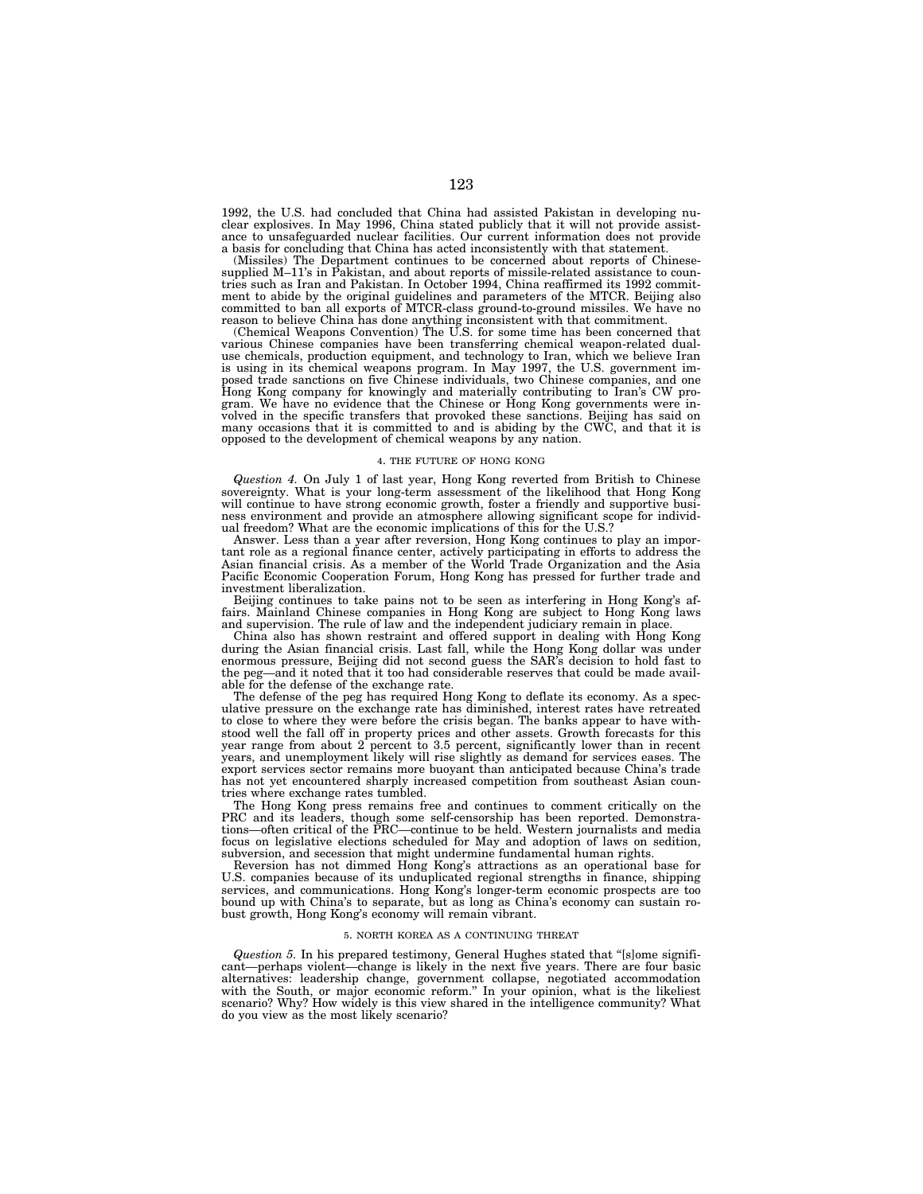1992, the U.S. had concluded that China had assisted Pakistan in developing nuclear explosives. In May 1996, China stated publicly that it will not provide assistance to unsafeguarded nuclear facilities. Our current information does not provide a basis for concluding that China has acted inconsistently with that statement.

(Missiles) The Department continues to be concerned about reports of Chinesesupplied M–11's in Pakistan, and about reports of missile-related assistance to coun-tries such as Iran and Pakistan. In October 1994, China reaffirmed its 1992 commitment to abide by the original guidelines and parameters of the MTCR. Beijing also committed to ban all exports of MTCR-class ground-to-ground missiles. We have no reason to believe China has done anything inconsistent with that commitment. (Chemical Weapons Convention) The U.S. for some time has been concerned that

various Chinese companies have been transferring chemical weapon-related dualuse chemicals, production equipment, and technology to Iran, which we believe Iran is using in its chemical weapons program. In May 1997, the U.S. government im-posed trade sanctions on five Chinese individuals, two Chinese companies, and one Hong Kong company for knowingly and materially contributing to Iran's CW program. We have no evidence that the Chinese or Hong Kong governments were involved in the specific transfers that provoked these sanctions. Beijing has said on many occasions that it is committed to and is abiding by the CWC, and that it is opposed to the development of chemical weapons by any nation.

#### 4. THE FUTURE OF HONG KONG

*Question 4.* On July 1 of last year, Hong Kong reverted from British to Chinese sovereignty. What is your long-term assessment of the likelihood that Hong Kong will continue to have strong economic growth, foster a friendly and supportive business environment and provide an atmosphere allowing significant scope for individual freedom? What are the economic implications of this for the U.S.?

Answer. Less than a year after reversion, Hong Kong continues to play an important role as a regional finance center, actively participating in efforts to address the Asian financial crisis. As a member of the World Trade Organization and the Asia Pacific Economic Cooperation Forum, Hong Kong has pressed for further trade and investment liberalization.

Beijing continues to take pains not to be seen as interfering in Hong Kong's affairs. Mainland Chinese companies in Hong Kong are subject to Hong Kong laws and supervision. The rule of law and the independent judiciary remain in place.

China also has shown restraint and offered support in dealing with Hong Kong during the Asian financial crisis. Last fall, while the Hong Kong dollar was under enormous pressure, Beijing did not second guess the SAR's decision to hold fast to the peg—and it noted that it too had considerable reserves that could be made available for the defense of the exchange rate.

The defense of the peg has required Hong Kong to deflate its economy. As a speculative pressure on the exchange rate has diminished, interest rates have retreated to close to where they were before the crisis began. The banks appear to have withstood well the fall off in property prices and other assets. Growth forecasts for this year range from about 2 percent to 3.5 percent, significantly lower than in recent years, and unemployment likely will rise slightly as demand for services eases. The export services sector remains more buoyant than anticipated because China's trade has not yet encountered sharply increased competition from southeast Asian countries where exchange rates tumbled.

The Hong Kong press remains free and continues to comment critically on the PRC and its leaders, though some self-censorship has been reported. Demonstrations—often critical of the PRC—continue to be held. Western journalists and media focus on legislative elections scheduled for May and adoption of laws on sedition, subversion, and secession that might undermine fundamental human rights.

Reversion has not dimmed Hong Kong's attractions as an operational base for U.S. companies because of its unduplicated regional strengths in finance, shipping services, and communications. Hong Kong's longer-term economic prospects are too bound up with China's to separate, but as long as China's economy can sustain robust growth, Hong Kong's economy will remain vibrant.

# 5. NORTH KOREA AS A CONTINUING THREAT

*Question 5.* In his prepared testimony, General Hughes stated that ''[s]ome significant—perhaps violent—change is likely in the next five years. There are four basic alternatives: leadership change, government collapse, negotiated accommodation with the South, or major economic reform." In your opinion, what is the likeliest scenario? Why? How widely is this view shared in the intelligence community? What do you view as the most likely scenario?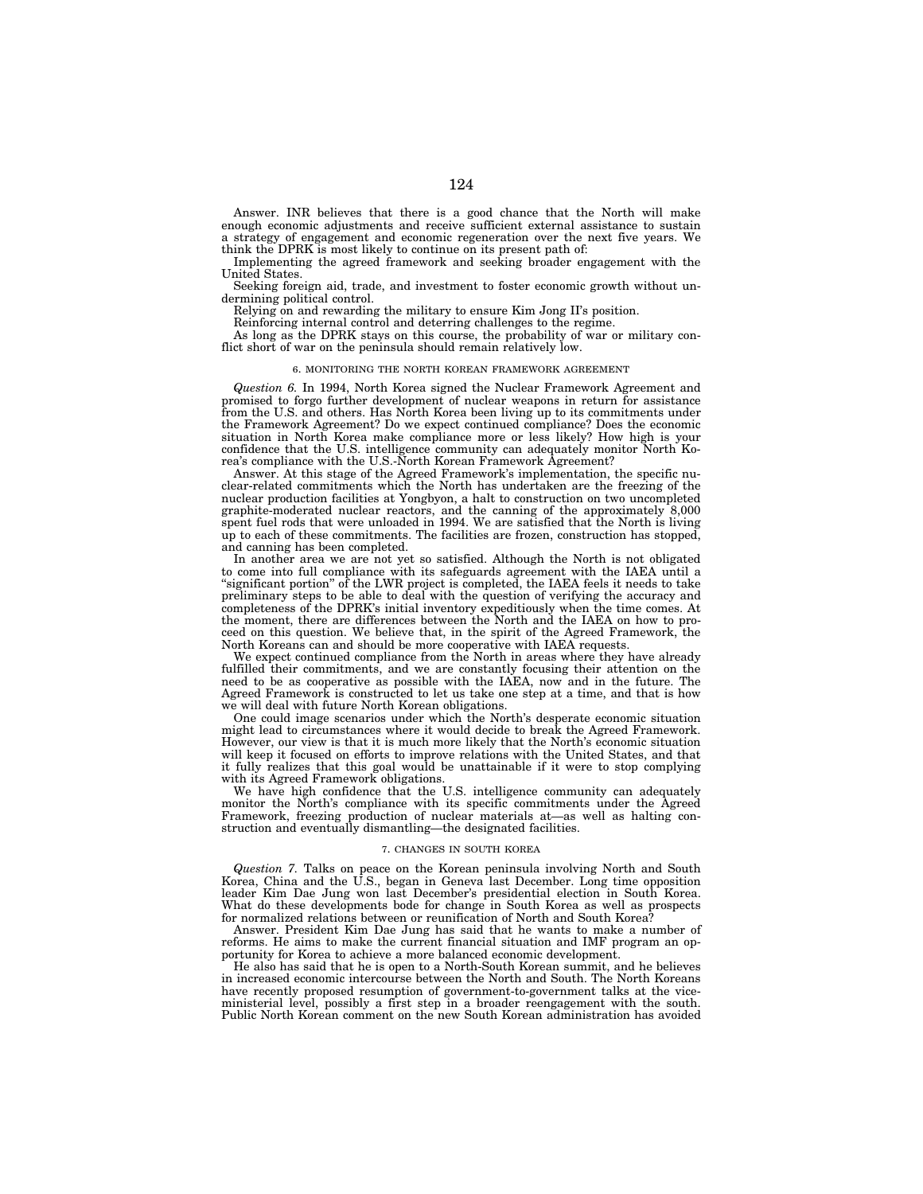Answer. INR believes that there is a good chance that the North will make enough economic adjustments and receive sufficient external assistance to sustain a strategy of engagement and economic regeneration over the next five years. We think the DPRK is most likely to continue on its present path of:

Implementing the agreed framework and seeking broader engagement with the United States.

Seeking foreign aid, trade, and investment to foster economic growth without undermining political control.

Relying on and rewarding the military to ensure Kim Jong II's position.

Reinforcing internal control and deterring challenges to the regime.

As long as the DPRK stays on this course, the probability of war or military conflict short of war on the peninsula should remain relatively low.

#### 6. MONITORING THE NORTH KOREAN FRAMEWORK AGREEMENT

*Question 6.* In 1994, North Korea signed the Nuclear Framework Agreement and promised to forgo further development of nuclear weapons in return for assistance from the U.S. and others. Has North Korea been living up to its commitments under the Framework Agreement? Do we expect continued compliance? Does the economic situation in North Korea make compliance more or less likely? How high is your confidence that the U.S. intelligence community can adequately monitor North Korea's compliance with the U.S.-North Korean Framework Agreement?

Answer. At this stage of the Agreed Framework's implementation, the specific nuclear-related commitments which the North has undertaken are the freezing of the nuclear production facilities at Yongbyon, a halt to construction on two uncompleted graphite-moderated nuclear reactors, and the canning of the approximately 8,000 spent fuel rods that were unloaded in 1994. We are satisfied that the North is living up to each of these commitments. The facilities are frozen, construction has stopped, and canning has been completed.

In another area we are not yet so satisfied. Although the North is not obligated to come into full compliance with its safeguards agreement with the IAEA until a ''significant portion'' of the LWR project is completed, the IAEA feels it needs to take preliminary steps to be able to deal with the question of verifying the accuracy and completeness of the DPRK's initial inventory expeditiously when the time comes. At the moment, there are differences between the North and the IAEA on how to proceed on this question. We believe that, in the spirit of the Agreed Framework, the North Koreans can and should be more cooperative with IAEA requests.

We expect continued compliance from the North in areas where they have already fulfilled their commitments, and we are constantly focusing their attention on the need to be as cooperative as possible with the IAEA, now and in the future. The Agreed Framework is constructed to let us take one step at a time, and that is how we will deal with future North Korean obligations.

One could image scenarios under which the North's desperate economic situation might lead to circumstances where it would decide to break the Agreed Framework. However, our view is that it is much more likely that the North's economic situation will keep it focused on efforts to improve relations with the United States, and that it fully realizes that this goal would be unattainable if it were to stop complying with its Agreed Framework obligations.

We have high confidence that the U.S. intelligence community can adequately monitor the North's compliance with its specific commitments under the Agreed Framework, freezing production of nuclear materials at—as well as halting construction and eventually dismantling—the designated facilities.

#### 7. CHANGES IN SOUTH KOREA

*Question 7.* Talks on peace on the Korean peninsula involving North and South Korea, China and the U.S., began in Geneva last December. Long time opposition leader Kim Dae Jung won last December's presidential election in South Korea. What do these developments bode for change in South Korea as well as prospects for normalized relations between or reunification of North and South Korea?

Answer. President Kim Dae Jung has said that he wants to make a number of reforms. He aims to make the current financial situation and IMF program an opportunity for Korea to achieve a more balanced economic development.

He also has said that he is open to a North-South Korean summit, and he believes in increased economic intercourse between the North and South. The North Koreans have recently proposed resumption of government-to-government talks at the viceministerial level, possibly a first step in a broader reengagement with the south. Public North Korean comment on the new South Korean administration has avoided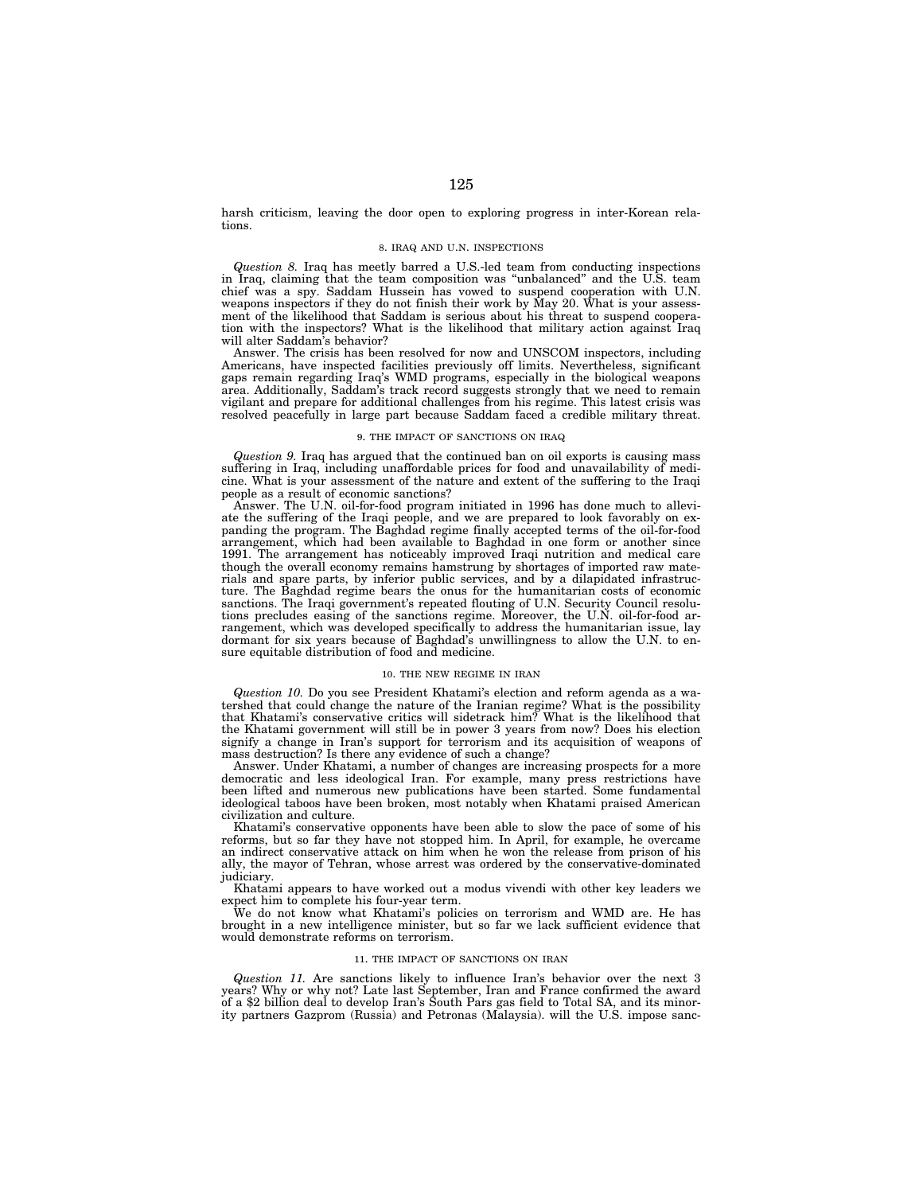harsh criticism, leaving the door open to exploring progress in inter-Korean relations.

# 8. IRAQ AND U.N. INSPECTIONS

*Question 8.* Iraq has meetly barred a U.S.-led team from conducting inspections in Iraq, claiming that the team composition was ''unbalanced'' and the U.S. team chief was a spy. Saddam Hussein has vowed to suspend cooperation with U.N. weapons inspectors if they do not finish their work by May 20. What is your assessment of the likelihood that Saddam is serious about his threat to suspend cooperation with the inspectors? What is the likelihood that military action against Iraq will alter Saddam's behavior?

Answer. The crisis has been resolved for now and UNSCOM inspectors, including Americans, have inspected facilities previously off limits. Nevertheless, significant gaps remain regarding Iraq's WMD programs, especially in the biological weapons area. Additionally, Saddam's track record suggests strongly that we need to remain vigilant and prepare for additional challenges from his regime. This latest crisis was resolved peacefully in large part because Saddam faced a credible military threat.

# 9. THE IMPACT OF SANCTIONS ON IRAQ

*Question 9.* Iraq has argued that the continued ban on oil exports is causing mass suffering in Iraq, including unaffordable prices for food and unavailability of medicine. What is your assessment of the nature and extent of the suffering to the Iraqi people as a result of economic sanctions?

Answer. The U.N. oil-for-food program initiated in 1996 has done much to alleviate the suffering of the Iraqi people, and we are prepared to look favorably on expanding the program. The Baghdad regime finally accepted terms of the oil-for-food arrangement, which had been available to Baghdad in one form or another since 1991. The arrangement has noticeably improved Iraqi nutrition and medical care though the overall economy remains hamstrung by shortages of imported raw materials and spare parts, by inferior public services, and by a dilapidated infrastructure. The Baghdad regime bears the onus for the humanitarian costs of economic sanctions. The Iraqi government's repeated flouting of U.N. Security Council resolutions precludes easing of the sanctions regime. Moreover, the U.N. oil-for-food arrangement, which was developed specifically to address the humanitarian issue, lay dormant for six years because of Baghdad's unwillingness to allow the U.N. to ensure equitable distribution of food and medicine.

### 10. THE NEW REGIME IN IRAN

*Question 10.* Do you see President Khatami's election and reform agenda as a watershed that could change the nature of the Iranian regime? What is the possibility that Khatami's conservative critics will sidetrack him? What is the likelihood that the Khatami government will still be in power 3 years from now? Does his election signify a change in Iran's support for terrorism and its acquisition of weapons of mass destruction? Is there any evidence of such a change?

Answer. Under Khatami, a number of changes are increasing prospects for a more democratic and less ideological Iran. For example, many press restrictions have been lifted and numerous new publications have been started. Some fundamental ideological taboos have been broken, most notably when Khatami praised American civilization and culture.

Khatami's conservative opponents have been able to slow the pace of some of his reforms, but so far they have not stopped him. In April, for example, he overcame an indirect conservative attack on him when he won the release from prison of his ally, the mayor of Tehran, whose arrest was ordered by the conservative-dominated judiciary.

Khatami appears to have worked out a modus vivendi with other key leaders we expect him to complete his four-year term.

We do not know what Khatami's policies on terrorism and WMD are. He has brought in a new intelligence minister, but so far we lack sufficient evidence that would demonstrate reforms on terrorism.

### 11. THE IMPACT OF SANCTIONS ON IRAN

*Question 11.* Are sanctions likely to influence Iran's behavior over the next 3 years? Why or why not? Late last September, Iran and France confirmed the award of a \$2 billion deal to develop Iran's South Pars gas field to Total SA, and its minority partners Gazprom (Russia) and Petronas (Malaysia). will the U.S. impose sanc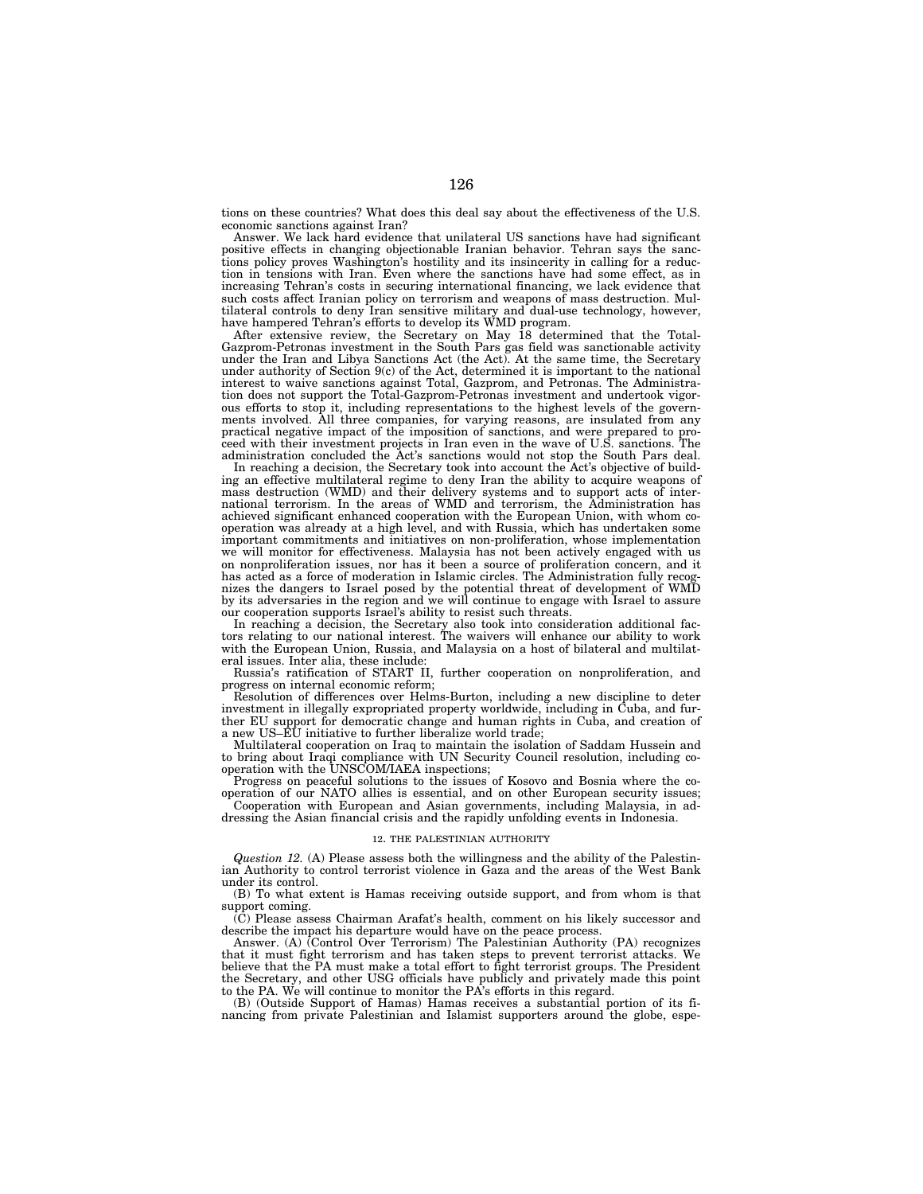tions on these countries? What does this deal say about the effectiveness of the U.S. economic sanctions against Iran?

Answer. We lack hard evidence that unilateral US sanctions have had significant positive effects in changing objectionable Iranian behavior. Tehran says the sanctions policy proves Washington's hostility and its insincerity in calling for a reduction in tensions with Iran. Even where the sanctions have had some effect, as in increasing Tehran's costs in securing international financing, we lack evidence that such costs affect Iranian policy on terrorism and weapons of mass destruction. Multilateral controls to deny Iran sensitive military and dual-use technology, however, have hampered Tehran's efforts to develop its WMD program.

After extensive review, the Secretary on May 18 determined that the Total-Gazprom-Petronas investment in the South Pars gas field was sanctionable activity under the Iran and Libya Sanctions Act (the Act). At the same time, the Secretary under authority of Section 9(c) of the Act, determined it is important to the national interest to waive sanctions against Total, Gazprom, and Petronas. The Administration does not support the Total-Gazprom-Petronas investment and undertook vigorous efforts to stop it, including representations to the highest levels of the governments involved. All three companies, for varying reasons, are insulated from any practical negative impact of the imposition of sanctions, and were prepared to proceed with their investment projects in Iran even in the wave of U.S. sanctions. The administration concluded the Act's sanctions would not stop the South Pars deal.

In reaching a decision, the Secretary took into account the Act's objective of building an effective multilateral regime to deny Iran the ability to acquire weapons of mass destruction (WMD) and their delivery systems and to support acts of international terrorism. In the areas of WMD and terrorism, the Administration has achieved significant enhanced cooperation with the European Union, with whom cooperation was already at a high level, and with Russia, which has undertaken some important commitments and initiatives on non-proliferation, whose implementation we will monitor for effectiveness. Malaysia has not been actively engaged with us on nonproliferation issues, nor has it been a source of proliferation concern, and it has acted as a force of moderation in Islamic circles. The Administration fully recognizes the dangers to Israel posed by the potential threat of development of WMD by its adversaries in the region and we will continue to engage with Israel to assure our cooperation supports Israel's ability to resist such threats.

In reaching a decision, the Secretary also took into consideration additional factors relating to our national interest. The waivers will enhance our ability to work with the European Union, Russia, and Malaysia on a host of bilateral and multilateral issues. Inter alia, these include:

Russia's ratification of START II, further cooperation on nonproliferation, and progress on internal economic reform;

Resolution of differences over Helms-Burton, including a new discipline to deter investment in illegally expropriated property worldwide, including in Cuba, and further EU support for democratic change and human rights in Cuba, and creation of a new US–EU initiative to further liberalize world trade;

Multilateral cooperation on Iraq to maintain the isolation of Saddam Hussein and to bring about Iraqi compliance with UN Security Council resolution, including cooperation with the UNSCOM/IAEA inspections;

Progress on peaceful solutions to the issues of Kosovo and Bosnia where the cooperation of our NATO allies is essential, and on other European security issues; Cooperation with European and Asian governments, including Malaysia, in addressing the Asian financial crisis and the rapidly unfolding events in Indonesia.

## 12. THE PALESTINIAN AUTHORITY

*Question 12.* (A) Please assess both the willingness and the ability of the Palestinian Authority to control terrorist violence in Gaza and the areas of the West Bank under its control.

(B) To what extent is Hamas receiving outside support, and from whom is that support coming.

(C) Please assess Chairman Arafat's health, comment on his likely successor and describe the impact his departure would have on the peace process.

Answer. (A) (Control Over Terrorism) The Palestinian Authority (PA) recognizes that it must fight terrorism and has taken steps to prevent terrorist attacks. We believe that the PA must make a total effort to fight terrorist groups. The President the Secretary, and other USG officials have publicly and privately made this point to the PA. We will continue to monitor the PA's efforts in this regard.

(B) (Outside Support of Hamas) Hamas receives a substantial portion of its fi-nancing from private Palestinian and Islamist supporters around the globe, espe-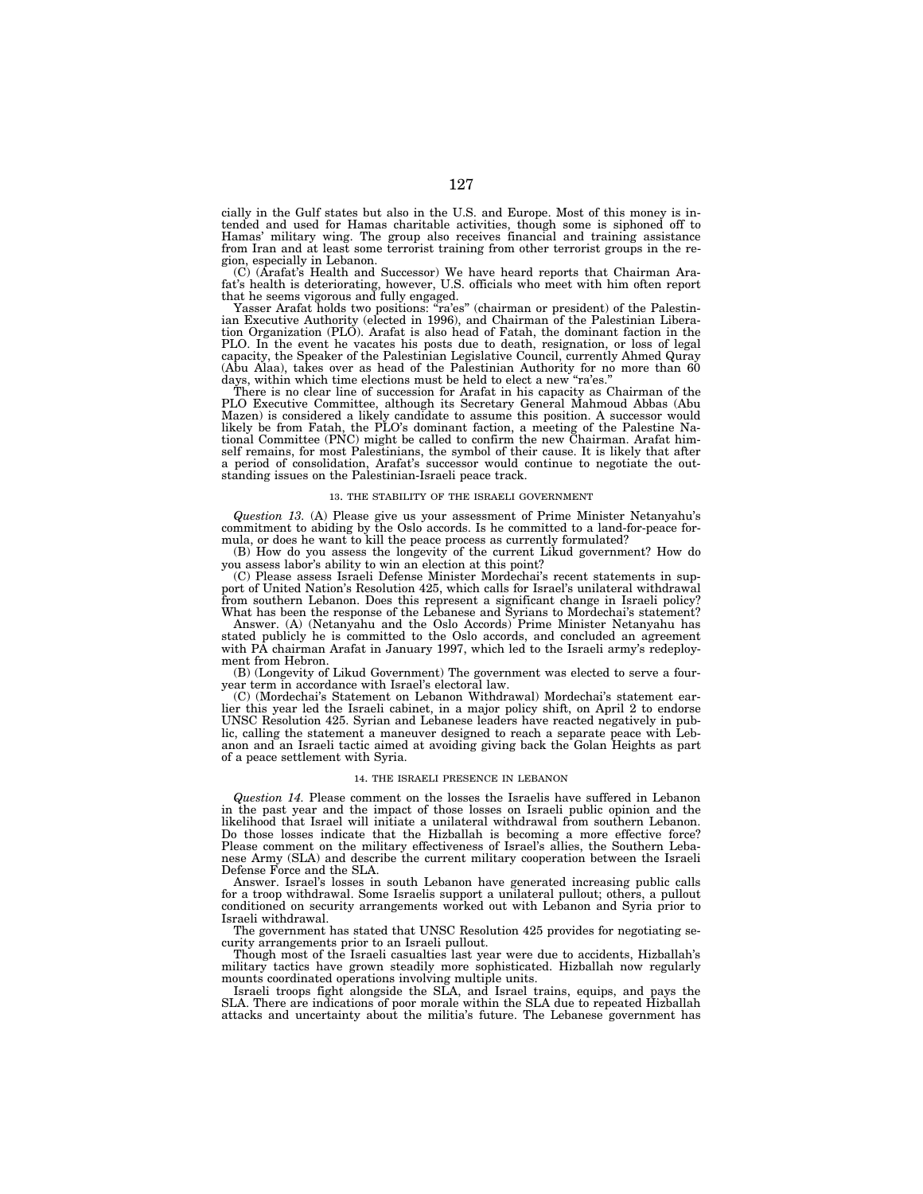cially in the Gulf states but also in the U.S. and Europe. Most of this money is intended and used for Hamas charitable activities, though some is siphoned off to Hamas' military wing. The group also receives financial and training assistance from Iran and at least some terrorist training from other terrorist groups in the region, especially in Lebanon.

(C) (Arafat's Health and Successor) We have heard reports that Chairman Ara-fat's health is deteriorating, however, U.S. officials who meet with him often report

that he seems vigorous and fully engaged.<br>Yasser Arafat holds two positions: "ra'es" (chairman or president) of the Palestinian<br>Lian Executive Authority (elected in 1996), and Chairman of the Palestinian Libera-<br>tion Organ PLO. In the event he vacates his posts due to death, resignation, or loss of legal capacity, the Speaker of the Palestinian Legislative Council, currently Ahmed Quray (Abu Alaa), takes over as head of the Palestinian Authority for no more than 60 days, within which time elections must be held to elect a new ''ra'es.''

There is no clear line of succession for Arafat in his capacity as Chairman of the PLO Executive Committee, although its Secretary General Mahmoud Abbas (Abu Mazen) is considered a likely candidate to assume this position. A successor would<br>likely be from Fatah, the PLO's dominant faction, a meeting of the Palestine Na-<br>tional Committee (PNC) might be called to confirm the new self remains, for most Palestinians, the symbol of their cause. It is likely that after a period of consolidation, Arafat's successor would continue to negotiate the outstanding issues on the Palestinian-Israeli peace track.

# 13. THE STABILITY OF THE ISRAELI GOVERNMENT

*Question 13.* (A) Please give us your assessment of Prime Minister Netanyahu's commitment to abiding by the Oslo accords. Is he committed to a land-for-peace formula, or does he want to kill the peace process as currently formulated?

(B) How do you assess the longevity of the current Likud government? How do you assess labor's ability to win an election at this point?

(C) Please assess Israeli Defense Minister Mordechai's recent statements in support of United Nation's Resolution 425, which calls for Israel's unilateral withdrawal from southern Lebanon. Does this represent a significant change in Israeli policy? What has been the response of the Lebanese and Syrians to Mordechai's statement?

Answer. (A) (Netanyahu and the Oslo Accords) Prime Minister Netanyahu has stated publicly he is committed to the Oslo accords, and concluded an agreement with PA chairman Arafat in January 1997, which led to the Israeli army's redeployment from Hebron.

(B) (Longevity of Likud Government) The government was elected to serve a fouryear term in accordance with Israel's electoral law.

(C) (Mordechai's Statement on Lebanon Withdrawal) Mordechai's statement earlier this year led the Israeli cabinet, in a major policy shift, on April 2 to endorse UNSC Resolution 425. Syrian and Lebanese leaders have reacted negatively in public, calling the statement a maneuver designed to reach a separate peace with Lebanon and an Israeli tactic aimed at avoiding giving back the Golan Heights as part of a peace settlement with Syria.

#### 14. THE ISRAELI PRESENCE IN LEBANON

*Question 14.* Please comment on the losses the Israelis have suffered in Lebanon in the past year and the impact of those losses on Israeli public opinion and the likelihood that Israel will initiate a unilateral withdrawal from southern Lebanon. Do those losses indicate that the Hizballah is becoming a more effective force? Please comment on the military effectiveness of Israel's allies, the Southern Lebanese Army (SLA) and describe the current military cooperation between the Israeli Defense Force and the SLA.

Answer. Israel's losses in south Lebanon have generated increasing public calls for a troop withdrawal. Some Israelis support a unilateral pullout; others, a pullout conditioned on security arrangements worked out with Lebanon and Syria prior to Israeli withdrawal.

The government has stated that UNSC Resolution 425 provides for negotiating security arrangements prior to an Israeli pullout.

Though most of the Israeli casualties last year were due to accidents, Hizballah's military tactics have grown steadily more sophisticated. Hizballah now regularly mounts coordinated operations involving multiple units.

Israeli troops fight alongside the SLA, and Israel trains, equips, and pays the SLA. There are indications of poor morale within the SLA due to repeated Hizballah attacks and uncertainty about the militia's future. The Lebanese government has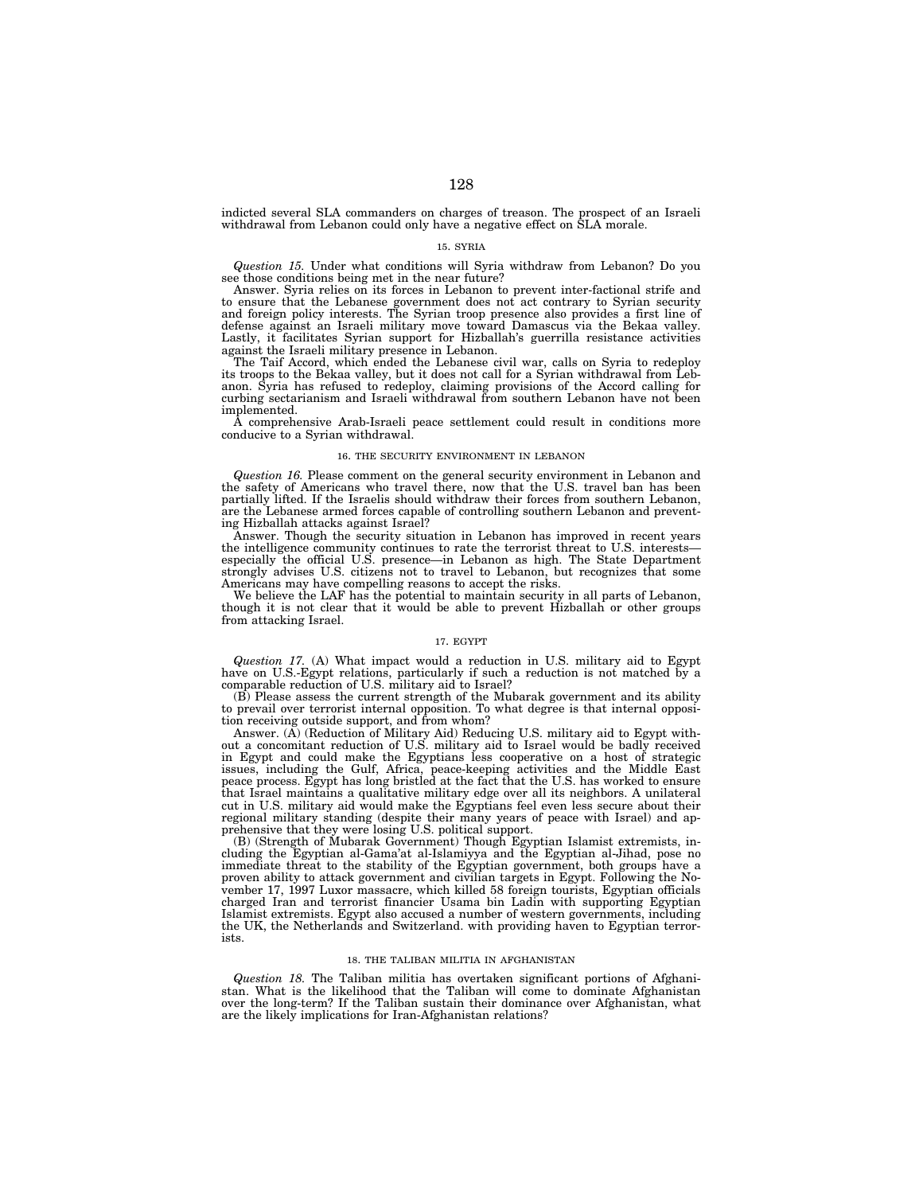indicted several SLA commanders on charges of treason. The prospect of an Israeli withdrawal from Lebanon could only have a negative effect on SLA morale.

### 15. SYRIA

*Question 15.* Under what conditions will Syria withdraw from Lebanon? Do you see those conditions being met in the near future?

Answer. Syria relies on its forces in Lebanon to prevent inter-factional strife and to ensure that the Lebanese government does not act contrary to Syrian security and foreign policy interests. The Syrian troop presence also provides a first line of defense against an Israeli military move toward Damascus via the Bekaa valley. Lastly, it facilitates Syrian support for Hizballah's guerrilla resistance activities against the Israeli military presence in Lebanon.

The Taif Accord, which ended the Lebanese civil war, calls on Syria to redeploy its troops to the Bekaa valley, but it does not call for a Syrian withdrawal from Lebanon. Syria has refused to redeploy, claiming provisions of the Accord calling for curbing sectarianism and Israeli withdrawal from southern Lebanon have not been implemented.

A comprehensive Arab-Israeli peace settlement could result in conditions more conducive to a Syrian withdrawal.

## 16. THE SECURITY ENVIRONMENT IN LEBANON

*Question 16.* Please comment on the general security environment in Lebanon and the safety of Americans who travel there, now that the U.S. travel ban has been partially lifted. If the Israelis should withdraw their forces from southern Lebanon, are the Lebanese armed forces capable of controlling southern Lebanon and preventing Hizballah attacks against Israel?

Answer. Though the security situation in Lebanon has improved in recent years the intelligence community continues to rate the terrorist threat to U.S. interests especially the official U.S. presence—in Lebanon as high. The State Department strongly advises U.S. citizens not to travel to Lebanon, but recognizes that some Americans may have compelling reasons to accept the risks.

We believe the LAF has the potential to maintain security in all parts of Lebanon, though it is not clear that it would be able to prevent Hizballah or other groups from attacking Israel.

#### 17. EGYPT

*Question 17.* (A) What impact would a reduction in U.S. military aid to Egypt have on U.S.-Egypt relations, particularly if such a reduction is not matched by a comparable reduction of U.S. military aid to Israel?

(B) Please assess the current strength of the Mubarak government and its ability to prevail over terrorist internal opposition. To what degree is that internal opposition receiving outside support, and from whom?

Answer. (A) (Reduction of Military Aid) Reducing U.S. military aid to Egypt without a concomitant reduction of U.S. military aid to Israel would be badly received in Egypt and could make the Egyptians less cooperative on a host of strategic issues, including the Gulf, Africa, peace-keeping activities and the Middle East peace process. Egypt has long bristled at the fact that the U.S. has worked to ensure that Israel maintains a qualitative military edge over all its neighbors. A unilateral cut in U.S. military aid would make the Egyptians feel even less secure about their regional military standing (despite their many years of peace with Israel) and apprehensive that they were losing U.S. political support.

(B) (Strength of Mubarak Government) Though Egyptian Islamist extremists, including the Egyptian al-Gama'at al-Islamiyya and the Egyptian al-Jihad, pose no immediate threat to the stability of the Egyptian government, both groups have a proven ability to attack government and civilian targets in Egypt. Following the November 17, 1997 Luxor massacre, which killed 58 foreign tourists, Egyptian officials charged Iran and terrorist financier Usama bin Ladin with supporting Egyptian Islamist extremists. Egypt also accused a number of western governments, including the UK, the Netherlands and Switzerland. with providing haven to Egyptian terrorists.

# 18. THE TALIBAN MILITIA IN AFGHANISTAN

*Question 18.* The Taliban militia has overtaken significant portions of Afghanistan. What is the likelihood that the Taliban will come to dominate Afghanistan over the long-term? If the Taliban sustain their dominance over Afghanistan, what are the likely implications for Iran-Afghanistan relations?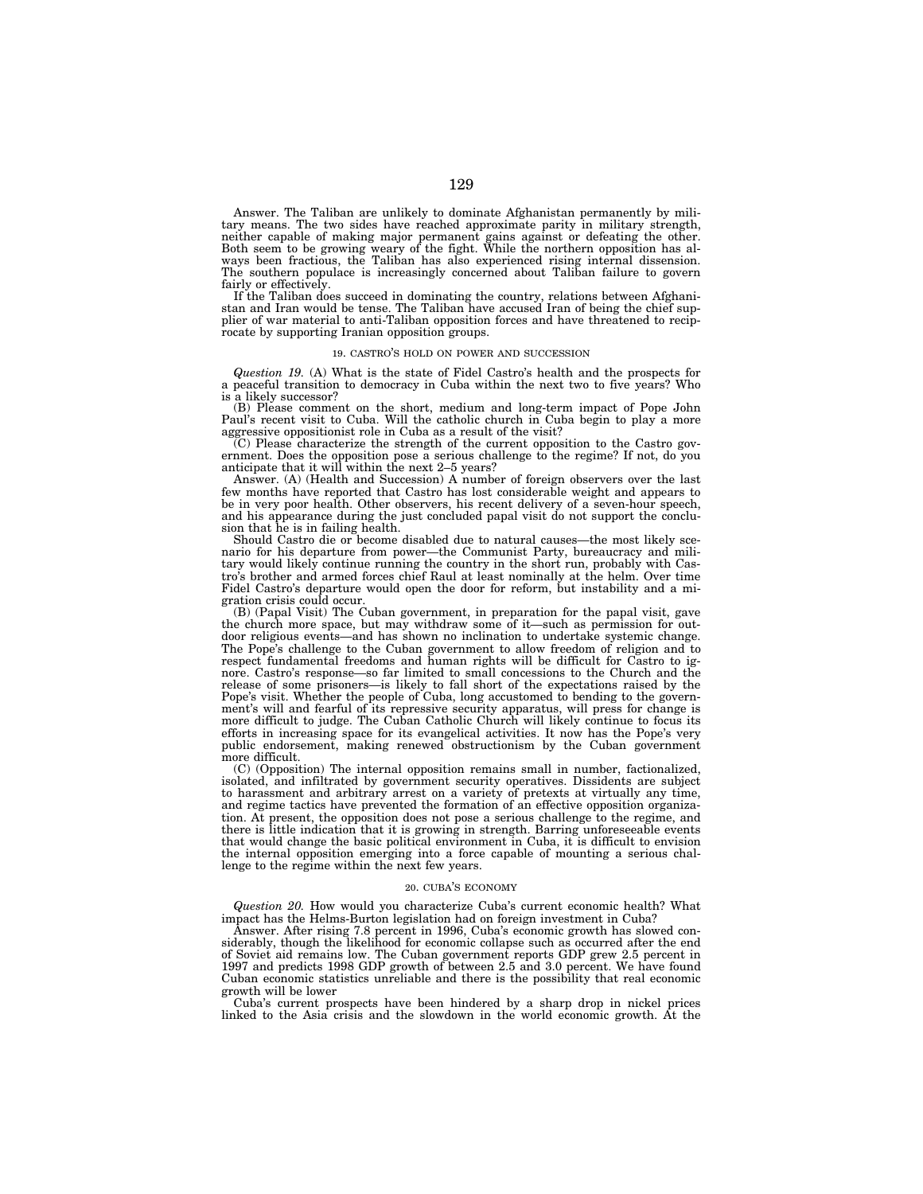Answer. The Taliban are unlikely to dominate Afghanistan permanently by military means. The two sides have reached approximate parity in military strength, neither capable of making major permanent gains against or defeating the other.<br>Both seem to be growing weary of the fight. While the northern opposition has al-<br>ways been fractious, the Taliban has also experienced rising The southern populace is increasingly concerned about Taliban failure to govern fairly or effectively.

If the Taliban does succeed in dominating the country, relations between Afghani-stan and Iran would be tense. The Taliban have accused Iran of being the chief supplier of war material to anti-Taliban opposition forces and have threatened to reciprocate by supporting Iranian opposition groups.

#### 19. CASTRO'S HOLD ON POWER AND SUCCESSION

*Question 19.* (A) What is the state of Fidel Castro's health and the prospects for a peaceful transition to democracy in Cuba within the next two to five years? Who is a likely successor?

(B) Please comment on the short, medium and long-term impact of Pope John Paul's recent visit to Cuba. Will the catholic church in Cuba begin to play a more aggressive oppositionist role in Cuba as a result of the visit?

(C) Please characterize the strength of the current opposition to the Castro government. Does the opposition pose a serious challenge to the regime? If not, do you anticipate that it will within the next 2–5 years?

Answer. (A) (Health and Succession) A number of foreign observers over the last few months have reported that Castro has lost considerable weight and appears to be in very poor health. Other observers, his recent delivery of a seven-hour speech, and his appearance during the just concluded papal visit do not support the conclusion that he is in failing health.

Should Castro die or become disabled due to natural causes—the most likely scenario for his departure from power—the Communist Party, bureaucracy and military would likely continue running the country in the short run, probably with Castro's brother and armed forces chief Raul at least nominally at the helm. Over time Fidel Castro's departure would open the door for reform, but instability and a migration crisis could occur.

(B) (Papal Visit) The Cuban government, in preparation for the papal visit, gave the church more space, but may withdraw some of it—such as permission for outdoor religious events—and has shown no inclination to undertake systemic change. The Pope's challenge to the Cuban government to allow freedom of religion and to respect fundamental freedoms and human rights will be difficult for Castro to ignore. Castro's response—so far limited to small concessions to the Church and the release of some prisoners—is likely to fall short of the expectations raised by the Pope's visit. Whether the people of Cuba, long accustomed to bending to the government's will and fearful of its repressive security apparatus, will press for change is more difficult to judge. The Cuban Catholic Church will likely continue to focus its efforts in increasing space for its evangelical activities. It now has the Pope's very public endorsement, making renewed obstructionism by the Cuban government more difficult.

(C) (Opposition) The internal opposition remains small in number, factionalized, isolated, and infiltrated by government security operatives. Dissidents are subject to harassment and arbitrary arrest on a variety of pretexts at virtually any time, and regime tactics have prevented the formation of an effective opposition organization. At present, the opposition does not pose a serious challenge to the regime, and there is little indication that it is growing in strength. Barring unforeseeable events that would change the basic political environment in Cuba, it is difficult to envision the internal opposition emerging into a force capable of mounting a serious challenge to the regime within the next few years.

#### 20. CUBA'S ECONOMY

*Question 20.* How would you characterize Cuba's current economic health? What impact has the Helms-Burton legislation had on foreign investment in Cuba?

Answer. After rising 7.8 percent in 1996, Cuba's economic growth has slowed considerably, though the likelihood for economic collapse such as occurred after the end of Soviet aid remains low. The Cuban government reports GDP grew 2.5 percent in 1997 and predicts 1998 GDP growth of between 2.5 and 3.0 percent. We have found Cuban economic statistics unreliable and there is the possibility that real economic growth will be lower

Cuba's current prospects have been hindered by a sharp drop in nickel prices linked to the Asia crisis and the slowdown in the world economic growth. At the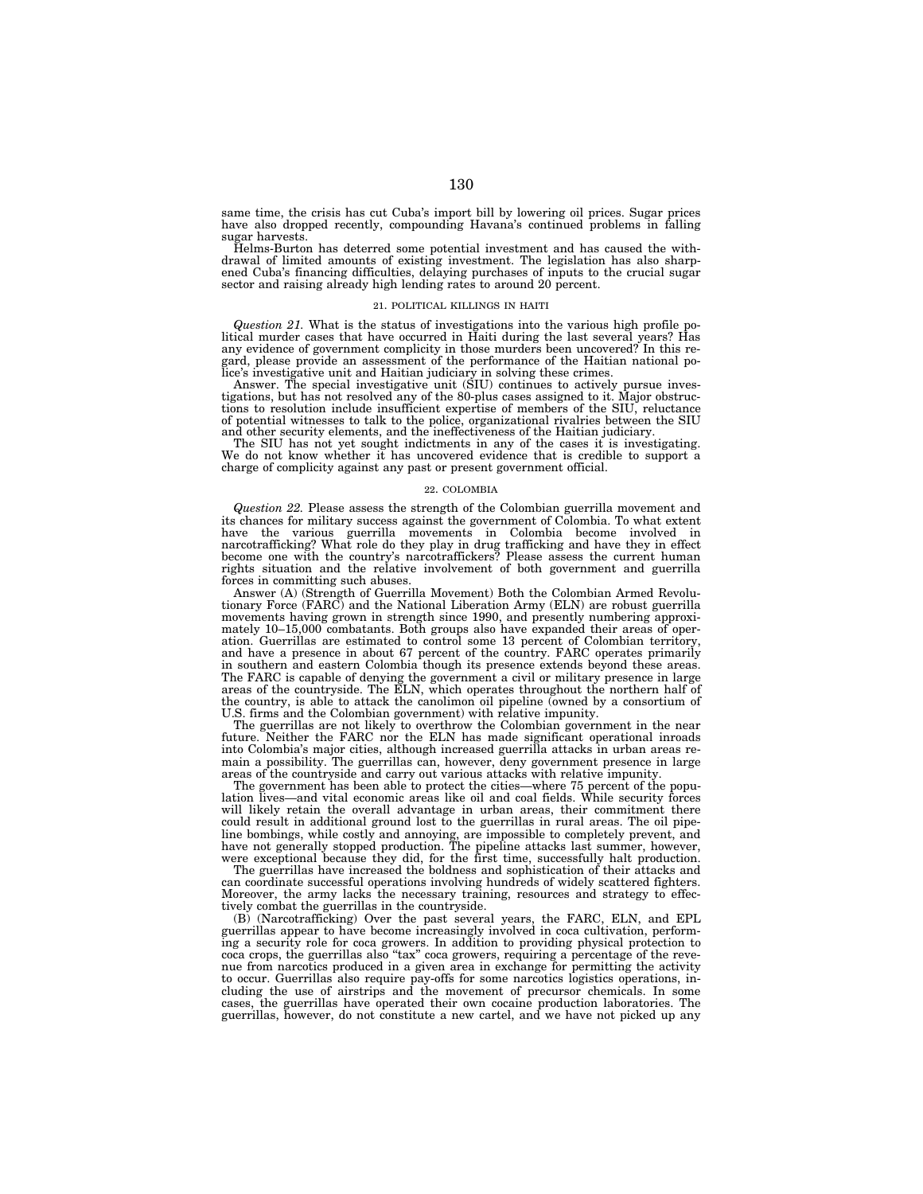same time, the crisis has cut Cuba's import bill by lowering oil prices. Sugar prices have also dropped recently, compounding Havana's continued problems in falling sugar harvests.

Helms-Burton has deterred some potential investment and has caused the with-drawal of limited amounts of existing investment. The legislation has also sharpened Cuba's financing difficulties, delaying purchases of inputs to the crucial sugar sector and raising already high lending rates to around 20 percent.

## 21. POLITICAL KILLINGS IN HAITI

*Question 21.* What is the status of investigations into the various high profile political murder cases that have occurred in Haiti during the last several years? Has any evidence of government complicity in those murders been uncovered? In this regard, please provide an assessment of the performance of the Haitian national po-lice's investigative unit and Haitian judiciary in solving these crimes.

Answer. The special investigative unit (SIU) continues to actively pursue inves-tigations, but has not resolved any of the 80-plus cases assigned to it. Major obstructions to resolution include insufficient expertise of members of the SIU, reluctance of potential witnesses to talk to the police, organizational rivalries between the SIU and other security elements, and the ineffectiveness of the Haitian judiciary.

The SIU has not yet sought indictments in any of the cases it is investigating. We do not know whether it has uncovered evidence that is credible to support a charge of complicity against any past or present government official.

### 22. COLOMBIA

*Question 22.* Please assess the strength of the Colombian guerrilla movement and its chances for military success against the government of Colombia. To what extent have the various guerrilla movements in Colombia become involved in narcotrafficking? What role do they play in drug trafficking and have they in effect become one with the country's narcotraffickers? Please assess the current human rights situation and the relative involvement of both government and guerrilla forces in committing such abuses.

Answer (A) (Strength of Guerrilla Movement) Both the Colombian Armed Revolutionary Force (FARC) and the National Liberation Army (ELN) are robust guerrilla movements having grown in strength since 1990, and presently numbering approximately 10–15,000 combatants. Both groups also have expanded their areas of operation. Guerrillas are estimated to control some 13 percent of Colombian territory, and have a presence in about 67 percent of the country. FARC operates primarily in southern and eastern Colombia though its presence extends beyond these areas. The FARC is capable of denying the government a civil or military presence in large areas of the countryside. The ELN, which operates throughout the northern half of the country, is able to attack the canolimon oil pipeline (owned by a consortium of U.S. firms and the Colombian government) with relative impunity.

The guerrillas are not likely to overthrow the Colombian government in the near future. Neither the FARC nor the ELN has made significant operational inroads into Colombia's major cities, although increased guerrilla attacks in urban areas remain a possibility. The guerrillas can, however, deny government presence in large areas of the countryside and carry out various attacks with relative impunity.

The government has been able to protect the cities—where 75 percent of the population lives—and vital economic areas like oil and coal fields. While security forces will likely retain the overall advantage in urban areas, their commitment there could result in additional ground lost to the guerrillas in rural areas. The oil pipeline bombings, while costly and annoying, are impossible to completely prevent, and have not generally stopped production. The pipeline attacks last summer, however, were exceptional because they did, for the first time, successfully halt production.

The guerrillas have increased the boldness and sophistication of their attacks and can coordinate successful operations involving hundreds of widely scattered fighters. Moreover, the army lacks the necessary training, resources and strategy to effectively combat the guerrillas in the countryside.

(B) (Narcotrafficking) Over the past several years, the FARC, ELN, and EPL guerrillas appear to have become increasingly involved in coca cultivation, performing a security role for coca growers. In addition to providing physical protection to coca crops, the guerrillas also ''tax'' coca growers, requiring a percentage of the revenue from narcotics produced in a given area in exchange for permitting the activity to occur. Guerrillas also require pay-offs for some narcotics logistics operations, including the use of airstrips and the movement of precursor chemicals. In some cases, the guerrillas have operated their own cocaine production laboratories. The guerrillas, however, do not constitute a new cartel, and we have not picked up any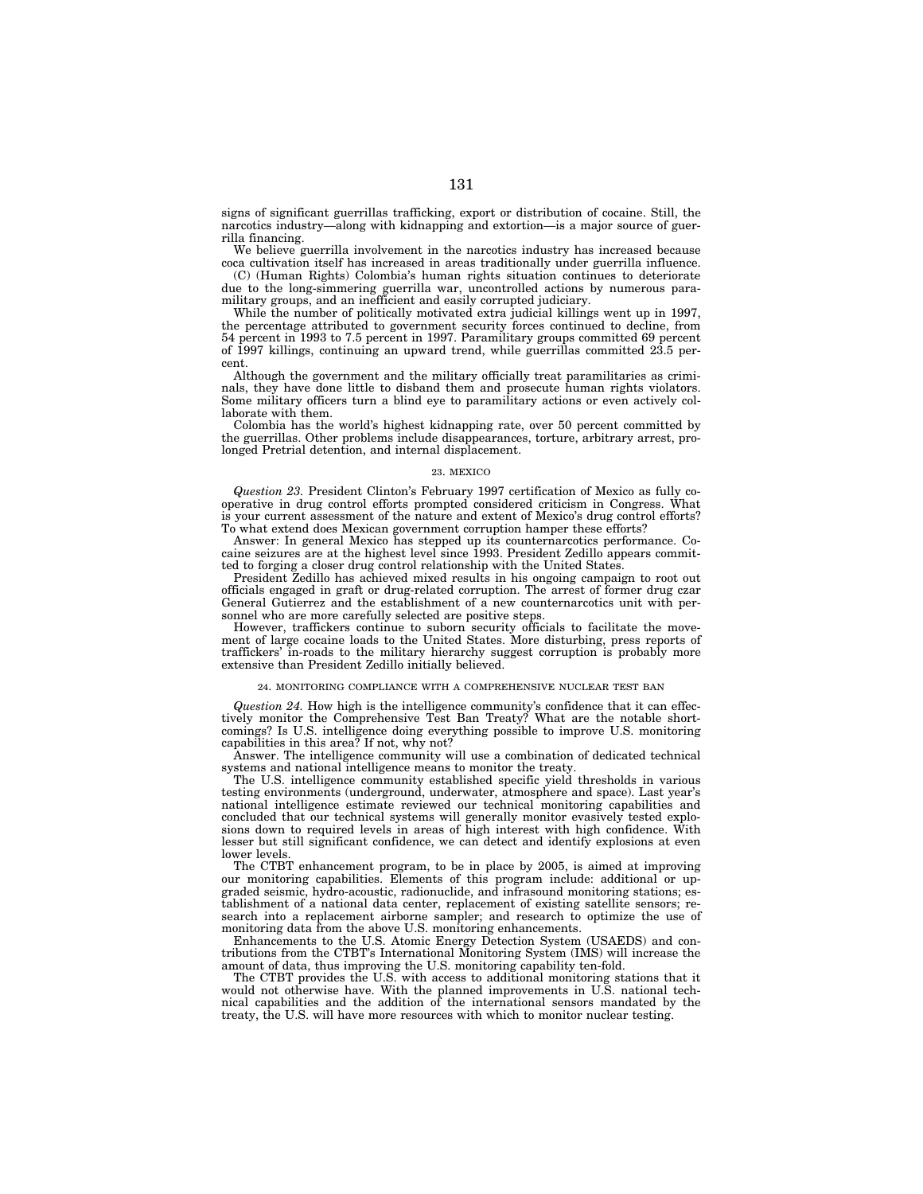signs of significant guerrillas trafficking, export or distribution of cocaine. Still, the narcotics industry—along with kidnapping and extortion—is a major source of guerrilla financing.

We believe guerrilla involvement in the narcotics industry has increased because coca cultivation itself has increased in areas traditionally under guerrilla influence.

(C) (Human Rights) Colombia's human rights situation continues to deteriorate due to the long-simmering guerrilla war, uncontrolled actions by numerous paramilitary groups, and an inefficient and easily corrupted judiciary.

While the number of politically motivated extra judicial killings went up in 1997, the percentage attributed to government security forces continued to decline, from 54 percent in 1993 to 7.5 percent in 1997. Paramilitary groups committed 69 percent of 1997 killings, continuing an upward trend, while guerrillas committed 23.5 percent.

Although the government and the military officially treat paramilitaries as criminals, they have done little to disband them and prosecute human rights violators. Some military officers turn a blind eye to paramilitary actions or even actively collaborate with them.

Colombia has the world's highest kidnapping rate, over 50 percent committed by the guerrillas. Other problems include disappearances, torture, arbitrary arrest, prolonged Pretrial detention, and internal displacement.

## 23. MEXICO

*Question 23.* President Clinton's February 1997 certification of Mexico as fully cooperative in drug control efforts prompted considered criticism in Congress. What is your current assessment of the nature and extent of Mexico's drug control efforts? To what extend does Mexican government corruption hamper these efforts?

Answer: In general Mexico has stepped up its counternarcotics performance. Cocaine seizures are at the highest level since 1993. President Zedillo appears committed to forging a closer drug control relationship with the United States.

President Zedillo has achieved mixed results in his ongoing campaign to root out officials engaged in graft or drug-related corruption. The arrest of former drug czar General Gutierrez and the establishment of a new counternarcotics unit with personnel who are more carefully selected are positive steps.

However, traffickers continue to suborn security officials to facilitate the movement of large cocaine loads to the United States. More disturbing, press reports of traffickers' in-roads to the military hierarchy suggest corruption is probably more extensive than President Zedillo initially believed.

# 24. MONITORING COMPLIANCE WITH A COMPREHENSIVE NUCLEAR TEST BAN

*Question 24.* How high is the intelligence community's confidence that it can effectively monitor the Comprehensive Test Ban Treaty? What are the notable shortcomings? Is U.S. intelligence doing everything possible to improve U.S. monitoring capabilities in this area? If not, why not?

Answer. The intelligence community will use a combination of dedicated technical systems and national intelligence means to monitor the treaty.

The U.S. intelligence community established specific yield thresholds in various testing environments (underground, underwater, atmosphere and space). Last year's national intelligence estimate reviewed our technical monitoring capabilities and concluded that our technical systems will generally monitor evasively tested explosions down to required levels in areas of high interest with high confidence. With lesser but still significant confidence, we can detect and identify explosions at even lower levels.

The CTBT enhancement program, to be in place by 2005, is aimed at improving our monitoring capabilities. Elements of this program include: additional or upgraded seismic, hydro-acoustic, radionuclide, and infrasound monitoring stations; establishment of a national data center, replacement of existing satellite sensors; research into a replacement airborne sampler; and research to optimize the use of monitoring data from the above U.S. monitoring enhancements.

Enhancements to the U.S. Atomic Energy Detection System (USAEDS) and contributions from the CTBT's International Monitoring System (IMS) will increase the amount of data, thus improving the U.S. monitoring capability ten-fold.

The CTBT provides the U.S. with access to additional monitoring stations that it would not otherwise have. With the planned improvements in U.S. national technical capabilities and the addition of the international sensors mandated by the treaty, the U.S. will have more resources with which to monitor nuclear testing.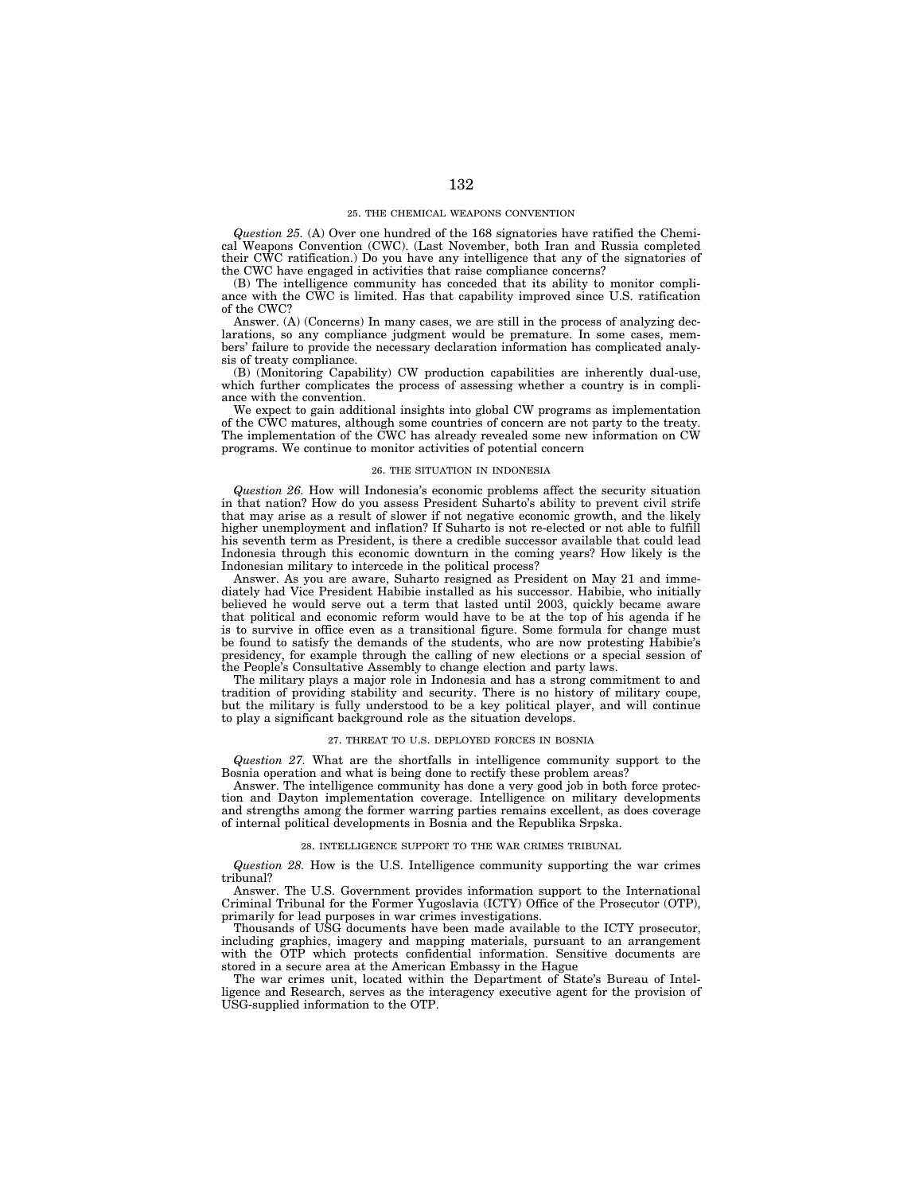#### 25. THE CHEMICAL WEAPONS CONVENTION

*Question 25.* (A) Over one hundred of the 168 signatories have ratified the Chemical Weapons Convention (CWC). (Last November, both Iran and Russia completed their CWC ratification.) Do you have any intelligence that any of the signatories of the CWC have engaged in activities that raise compliance concerns?

(B) The intelligence community has conceded that its ability to monitor compliance with the CWC is limited. Has that capability improved since U.S. ratification of the CWC?

Answer. (A) (Concerns) In many cases, we are still in the process of analyzing declarations, so any compliance judgment would be premature. In some cases, members' failure to provide the necessary declaration information has complicated analysis of treaty compliance.

(B) (Monitoring Capability) CW production capabilities are inherently dual-use, which further complicates the process of assessing whether a country is in compliance with the convention.

We expect to gain additional insights into global CW programs as implementation of the CWC matures, although some countries of concern are not party to the treaty. The implementation of the CWC has already revealed some new information on CW programs. We continue to monitor activities of potential concern

# 26. THE SITUATION IN INDONESIA

*Question 26.* How will Indonesia's economic problems affect the security situation in that nation? How do you assess President Suharto's ability to prevent civil strife that may arise as a result of slower if not negative economic growth, and the likely higher unemployment and inflation? If Suharto is not re-elected or not able to fulfill his seventh term as President, is there a credible successor available that could lead Indonesia through this economic downturn in the coming years? How likely is the Indonesian military to intercede in the political process?

Answer. As you are aware, Suharto resigned as President on May 21 and immediately had Vice President Habibie installed as his successor. Habibie, who initially believed he would serve out a term that lasted until 2003, quickly became aware that political and economic reform would have to be at the top of his agenda if he is to survive in office even as a transitional figure. Some formula for change must be found to satisfy the demands of the students, who are now protesting Habibie's presidency, for example through the calling of new elections or a special session of the People's Consultative Assembly to change election and party laws.

The military plays a major role in Indonesia and has a strong commitment to and tradition of providing stability and security. There is no history of military coupe, but the military is fully understood to be a key political player, and will continue to play a significant background role as the situation develops.

#### 27. THREAT TO U.S. DEPLOYED FORCES IN BOSNIA

*Question 27.* What are the shortfalls in intelligence community support to the Bosnia operation and what is being done to rectify these problem areas?

Answer. The intelligence community has done a very good job in both force protection and Dayton implementation coverage. Intelligence on military developments and strengths among the former warring parties remains excellent, as does coverage of internal political developments in Bosnia and the Republika Srpska.

## 28. INTELLIGENCE SUPPORT TO THE WAR CRIMES TRIBUNAL

*Question 28.* How is the U.S. Intelligence community supporting the war crimes tribunal?

Answer. The U.S. Government provides information support to the International Criminal Tribunal for the Former Yugoslavia (ICTY) Office of the Prosecutor (OTP), primarily for lead purposes in war crimes investigations.

Thousands of USG documents have been made available to the ICTY prosecutor, including graphics, imagery and mapping materials, pursuant to an arrangement with the OTP which protects confidential information. Sensitive documents are stored in a secure area at the American Embassy in the Hague

The war crimes unit, located within the Department of State's Bureau of Intelligence and Research, serves as the interagency executive agent for the provision of USG-supplied information to the OTP.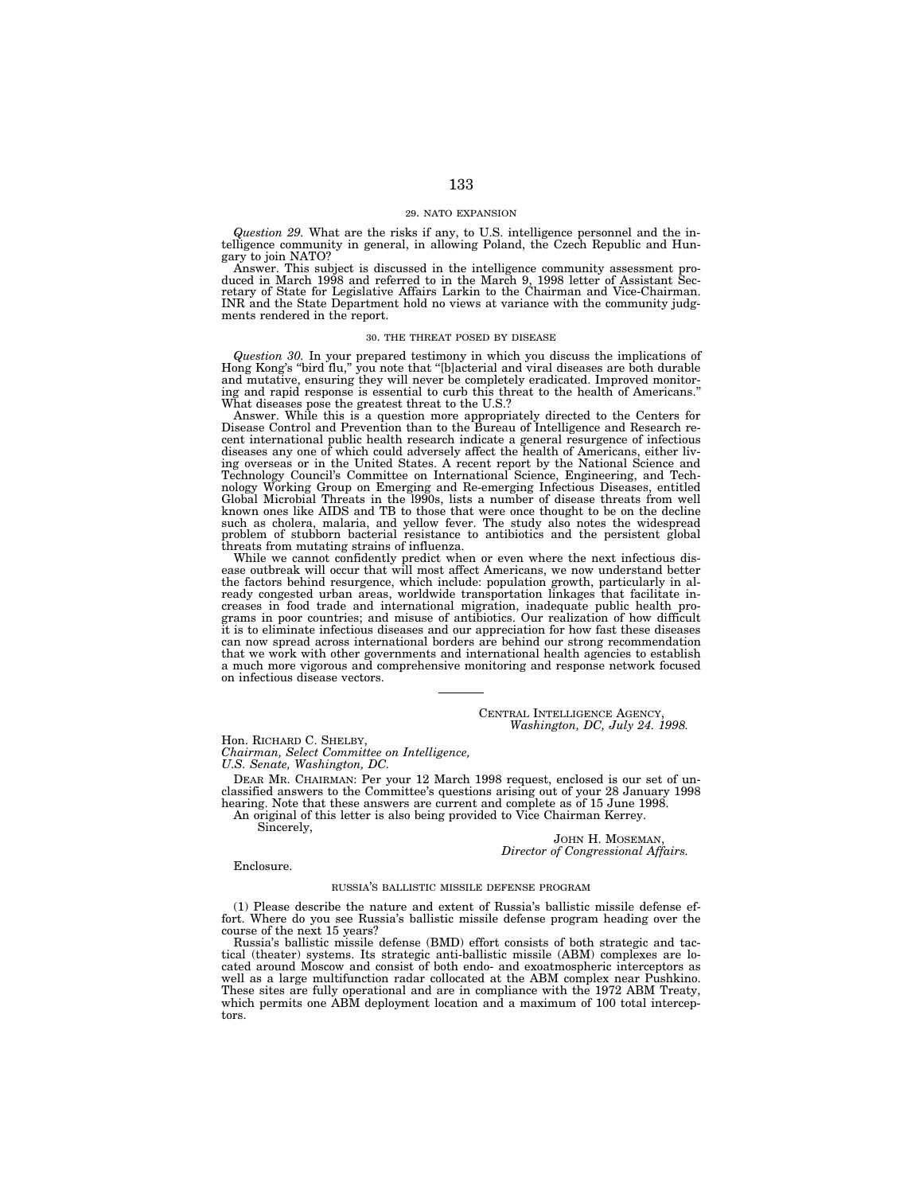#### 29. NATO EXPANSION

*Question 29.* What are the risks if any, to U.S. intelligence personnel and the intelligence community in general, in allowing Poland, the Czech Republic and Hungary to join NATO?

Answer. This subject is discussed in the intelligence community assessment produced in March 1998 and referred to in the March 9, 1998 letter of Assistant Sec-retary of State for Legislative Affairs Larkin to the Chairman and Vice-Chairman. INR and the State Department hold no views at variance with the community judgments rendered in the report.

### 30. THE THREAT POSED BY DISEASE

*Question 30*. In your prepared testimony in which you discuss the implications of Hong Kong's "bird flu," you note that "[b]acterial and viral diseases are both durable and mutative, ensuring they will never be completely eradicated. Improved monitoring and rapid response is essential to curb this threat to the health of Americans.'' What diseases pose the greatest threat to the U.S.?

Answer. While this is a question more appropriately directed to the Centers for Disease Control and Prevention than to the Bureau of Intelligence and Research recent international public health research indicate a general resurgence of infectious diseases any one of which could adversely affect the health of Americans, either living overseas or in the United States. A recent report by the National Science and Technology Council's Committee on International Science, Engineering, and Technology Working Group on Emerging and Re-emerging Infectious Diseases, entitled Global Microbial Threats in the l990s, lists a number of disease threats from well known ones like AIDS and TB to those that were once thought to be on the decline such as cholera, malaria, and yellow fever. The study also notes the widespread problem of stubborn bacterial resistance to antibiotics and the persistent global threats from mutating strains of influenza.

While we cannot confidently predict when or even where the next infectious disease outbreak will occur that will most affect Americans, we now understand better the factors behind resurgence, which include: population growth, particularly in al-ready congested urban areas, worldwide transportation linkages that facilitate increases in food trade and international migration, inadequate public health pro-grams in poor countries; and misuse of antibiotics. Our realization of how difficult it is to eliminate infectious diseases and our appreciation for how fast these diseases can now spread across international borders are behind our strong recommendation that we work with other governments and international health agencies to establish a much more vigorous and comprehensive monitoring and response network focused on infectious disease vectors.

> CENTRAL INTELLIGENCE AGENCY, *Washington, DC, July 24. 1998.*

Hon. RICHARD C. SHELBY, *Chairman, Select Committee on Intelligence,*

*U.S. Senate, Washington, DC.*

DEAR MR. CHAIRMAN: Per your 12 March 1998 request, enclosed is our set of unclassified answers to the Committee's questions arising out of your 28 January 1998 hearing. Note that these answers are current and complete as of 15 June 1998. An original of this letter is also being provided to Vice Chairman Kerrey.

Sincerely,

JOHN H. MOSEMAN, *Director of Congressional Affairs.*

#### Enclosure.

## RUSSIA'S BALLISTIC MISSILE DEFENSE PROGRAM

(1) Please describe the nature and extent of Russia's ballistic missile defense effort. Where do you see Russia's ballistic missile defense program heading over the course of the next 15 years?

Russia's ballistic missile defense (BMD) effort consists of both strategic and tactical (theater) systems. Its strategic anti-ballistic missile (ABM) complexes are located around Moscow and consist of both endo- and exoatmospheric interceptors as well as a large multifunction radar collocated at the ABM complex near Pushkino. These sites are fully operational and are in compliance with the 1972 ABM Treaty, which permits one ABM deployment location and a maximum of 100 total interceptors.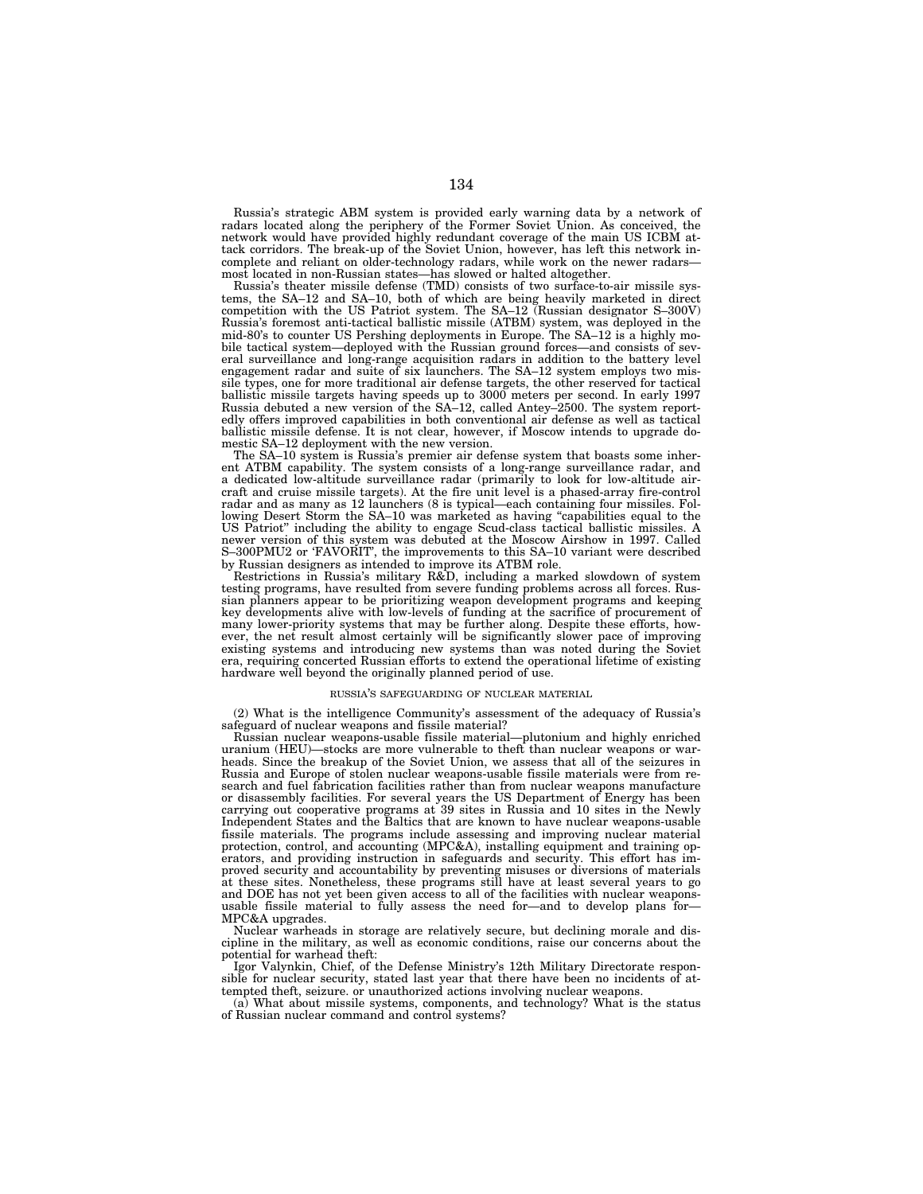Russia's strategic ABM system is provided early warning data by a network of radars located along the periphery of the Former Soviet Union. As conceived, the network would have provided highly redundant coverage of the main US ICBM attack corridors. The break-up of the Soviet Union, however, has left this network incomplete and reliant on older-technology radars, while work on the newer radars most located in non-Russian states—has slowed or halted altogether.

Russia's theater missile defense (TMD) consists of two surface-to-air missile systems, the SA–12 and SA–10, both of which are being heavily marketed in direct competition with the US Patriot system. The SA–12 (Russian designator S–300V) Russia's foremost anti-tactical ballistic missile (ATBM) system, was deployed in the mid-80's to counter US Pershing deployments in Europe. The SA–12 is a highly mobile tactical system—deployed with the Russian ground forces—and consists of several surveillance and long-range acquisition radars in addition to the battery level engagement radar and suite of six launchers. The SA–12 system employs two missile types, one for more traditional air defense targets, the other reserved for tactical ballistic missile targets having speeds up to 3000 meters per second. In early 1997 Russia debuted a new version of the SA–12, called Antey–2500. The system reportedly offers improved capabilities in both conventional air defense as well as tactical ballistic missile defense. It is not clear, however, if Moscow intends to upgrade domestic SA–12 deployment with the new version.

The SA–10 system is Russia's premier air defense system that boasts some inherent ATBM capability. The system consists of a long-range surveillance radar, and a dedicated low-altitude surveillance radar (primarily to look for low-altitude aircraft and cruise missile targets). At the fire unit level is a phased-array fire-control radar and as many as 12 launchers (8 is typical—each containing four missiles. Following Desert Storm the SA–10 was marketed as having "capabilities equal to the US Patriot'' including the ability to engage Scud-class tactical ballistic missiles. A newer version of this system was debuted at the Moscow Airshow in 1997. Called S–300PMU2 or 'FAVORIT', the improvements to this SA–10 variant were described by Russian designers as intended to improve its ATBM role.

Restrictions in Russia's military R&D, including a marked slowdown of system testing programs, have resulted from severe funding problems across all forces. Russian planners appear to be prioritizing weapon development programs and keeping key developments alive with low-levels of funding at the sacrifice of procurement of many lower-priority systems that may be further along. Despite these efforts, however, the net result almost certainly will be significantly slower pace of improving existing systems and introducing new systems than was noted during the Soviet era, requiring concerted Russian efforts to extend the operational lifetime of existing hardware well beyond the originally planned period of use.

# RUSSIA'S SAFEGUARDING OF NUCLEAR MATERIAL

(2) What is the intelligence Community's assessment of the adequacy of Russia's safeguard of nuclear weapons and fissile material?

Russian nuclear weapons-usable fissile material—plutonium and highly enriched uranium (HEU)—stocks are more vulnerable to theft than nuclear weapons or warheads. Since the breakup of the Soviet Union, we assess that all of the seizures in Russia and Europe of stolen nuclear weapons-usable fissile materials were from research and fuel fabrication facilities rather than from nuclear weapons manufacture or disassembly facilities. For several years the US Department of Energy has been carrying out cooperative programs at 39 sites in Russia and 10 sites in the Newly Independent States and the Baltics that are known to have nuclear weapons-usable fissile materials. The programs include assessing and improving nuclear material protection, control, and accounting (MPC&A), installing equipment and training operators, and providing instruction in safeguards and security. This effort has improved security and accountability by preventing misuses or diversions of materials at these sites. Nonetheless, these programs still have at least several years to go and DOE has not yet been given access to all of the facilities with nuclear weaponsusable fissile material to fully assess the need for—and to develop plans for— MPC&A upgrades.

Nuclear warheads in storage are relatively secure, but declining morale and discipline in the military, as well as economic conditions, raise our concerns about the potential for warhead theft:

Igor Valynkin, Chief, of the Defense Ministry's 12th Military Directorate responsible for nuclear security, stated last year that there have been no incidents of attempted theft, seizure. or unauthorized actions involving nuclear weapons.

(a) What about missile systems, components, and technology? What is the status of Russian nuclear command and control systems?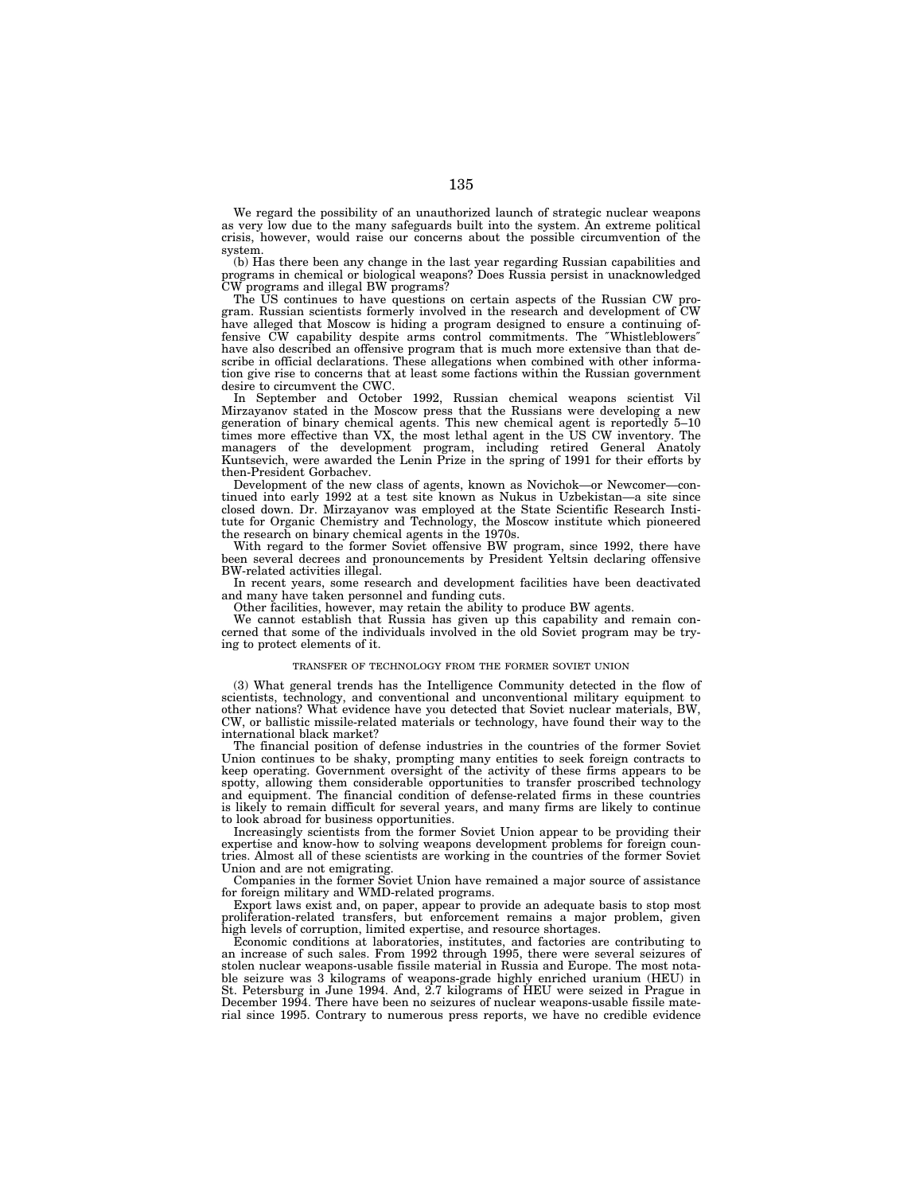We regard the possibility of an unauthorized launch of strategic nuclear weapons as very low due to the many safeguards built into the system. An extreme political crisis, however, would raise our concerns about the possible circumvention of the system.

(b) Has there been any change in the last year regarding Russian capabilities and programs in chemical or biological weapons? Does Russia persist in unacknowledged CW programs and illegal BW programs?

The US continues to have questions on certain aspects of the Russian CW program. Russian scientists formerly involved in the research and development of CW have alleged that Moscow is hiding a program designed to ensure a continuing offensive CW capability despite arms control commitments. The ″Whistleblowers″ have also described an offensive program that is much more extensive than that describe in official declarations. These allegations when combined with other information give rise to concerns that at least some factions within the Russian government desire to circumvent the CWC.

In September and October 1992, Russian chemical weapons scientist Vil Mirzayanov stated in the Moscow press that the Russians were developing a new generation of binary chemical agents. This new chemical agent is reportedly 5–10 times more effective than VX, the most lethal agent in the US CW inventory. The managers of the development program, including retired General Anatoly Kuntsevich, were awarded the Lenin Prize in the spring of 1991 for their efforts by then-President Gorbachev.

Development of the new class of agents, known as Novichok—or Newcomer—continued into early 1992 at a test site known as Nukus in Uzbekistan—a site since closed down. Dr. Mirzayanov was employed at the State Scientific Research Institute for Organic Chemistry and Technology, the Moscow institute which pioneered the research on binary chemical agents in the 1970s.

With regard to the former Soviet offensive BW program, since 1992, there have been several decrees and pronouncements by President Yeltsin declaring offensive BW-related activities illegal.

In recent years, some research and development facilities have been deactivated and many have taken personnel and funding cuts.

Other facilities, however, may retain the ability to produce BW agents.

We cannot establish that Russia has given up this capability and remain concerned that some of the individuals involved in the old Soviet program may be trying to protect elements of it.

## TRANSFER OF TECHNOLOGY FROM THE FORMER SOVIET UNION

(3) What general trends has the Intelligence Community detected in the flow of scientists, technology, and conventional and unconventional military equipment to other nations? What evidence have you detected that Soviet nuclear materials, BW, CW, or ballistic missile-related materials or technology, have found their way to the international black market?

The financial position of defense industries in the countries of the former Soviet Union continues to be shaky, prompting many entities to seek foreign contracts to keep operating. Government oversight of the activity of these firms appears to be spotty, allowing them considerable opportunities to transfer proscribed technology and equipment. The financial condition of defense-related firms in these countries is likely to remain difficult for several years, and many firms are likely to continue to look abroad for business opportunities.

Increasingly scientists from the former Soviet Union appear to be providing their expertise and know-how to solving weapons development problems for foreign countries. Almost all of these scientists are working in the countries of the former Soviet Union and are not emigrating.

Companies in the former Soviet Union have remained a major source of assistance for foreign military and WMD-related programs.

Export laws exist and, on paper, appear to provide an adequate basis to stop most proliferation-related transfers, but enforcement remains a major problem, given high levels of corruption, limited expertise, and resource shortages.

Economic conditions at laboratories, institutes, and factories are contributing to an increase of such sales. From 1992 through 1995, there were several seizures of stolen nuclear weapons-usable fissile material in Russia and Europe. The most notable seizure was 3 kilograms of weapons-grade highly enriched uranium (HEU) in St. Petersburg in June 1994. And, 2.7 kilograms of HEU were seized in Prague in December 1994. There have been no seizures of nuclear weapons-usable fissile material since 1995. Contrary to numerous press reports, we have no credible evidence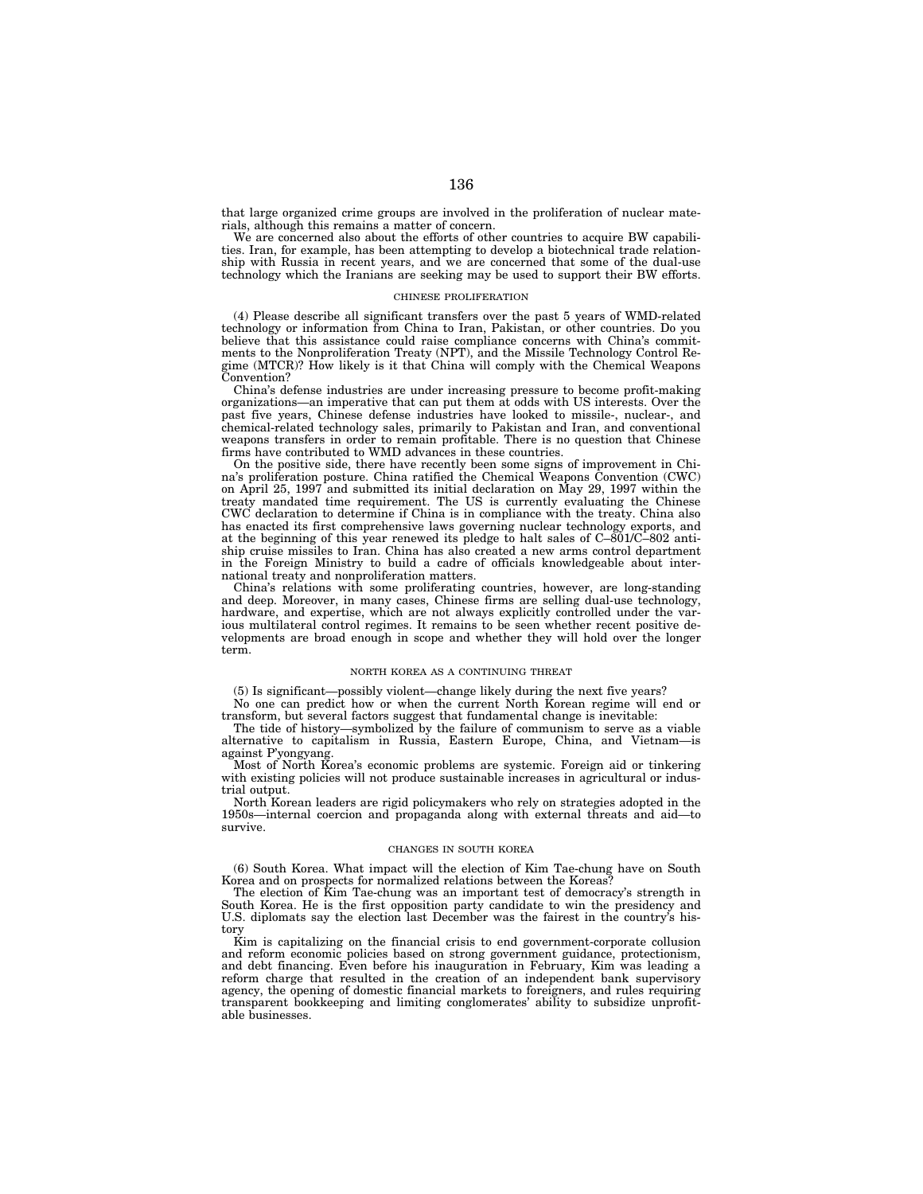that large organized crime groups are involved in the proliferation of nuclear materials, although this remains a matter of concern.

We are concerned also about the efforts of other countries to acquire BW capabilities. Iran, for example, has been attempting to develop a biotechnical trade relationship with Russia in recent years, and we are concerned that some of the dual-use technology which the Iranians are seeking may be used to support their BW efforts.

### CHINESE PROLIFERATION

(4) Please describe all significant transfers over the past 5 years of WMD-related technology or information from China to Iran, Pakistan, or other countries. Do you believe that this assistance could raise compliance concerns with China's commitments to the Nonproliferation Treaty (NPT), and the Missile Technology Control Regime (MTCR)? How likely is it that China will comply with the Chemical Weapons Convention?

China's defense industries are under increasing pressure to become profit-making organizations—an imperative that can put them at odds with US interests. Over the past five years, Chinese defense industries have looked to missile-, nuclear-, and chemical-related technology sales, primarily to Pakistan and Iran, and conventional weapons transfers in order to remain profitable. There is no question that Chinese firms have contributed to WMD advances in these countries.

On the positive side, there have recently been some signs of improvement in China's proliferation posture. China ratified the Chemical Weapons Convention (CWC) on April 25, 1997 and submitted its initial declaration on May 29, 1997 within the treaty mandated time requirement. The US is currently evaluating the Chinese CWC declaration to determine if China is in compliance with the treaty. China also has enacted its first comprehensive laws governing nuclear technology exports, and at the beginning of this year renewed its pledge to halt sales of C–801/C–802 antiship cruise missiles to Iran. China has also created a new arms control department in the Foreign Ministry to build a cadre of officials knowledgeable about international treaty and nonproliferation matters.

China's relations with some proliferating countries, however, are long-standing and deep. Moreover, in many cases, Chinese firms are selling dual-use technology, hardware, and expertise, which are not always explicitly controlled under the various multilateral control regimes. It remains to be seen whether recent positive developments are broad enough in scope and whether they will hold over the longer term.

## NORTH KOREA AS A CONTINUING THREAT

(5) Is significant—possibly violent—change likely during the next five years? No one can predict how or when the current North Korean regime will end or

transform, but several factors suggest that fundamental change is inevitable: The tide of history—symbolized by the failure of communism to serve as a viable

alternative to capitalism in Russia, Eastern Europe, China, and Vietnam—is against P'yongyang.

Most of North Korea's economic problems are systemic. Foreign aid or tinkering with existing policies will not produce sustainable increases in agricultural or industrial output.

North Korean leaders are rigid policymakers who rely on strategies adopted in the 1950s—internal coercion and propaganda along with external threats and aid—to survive.

#### CHANGES IN SOUTH KOREA

(6) South Korea. What impact will the election of Kim Tae-chung have on South Korea and on prospects for normalized relations between the Koreas?

The election of Kim Tae-chung was an important test of democracy's strength in South Korea. He is the first opposition party candidate to win the presidency and U.S. diplomats say the election last December was the fairest in the country's history

Kim is capitalizing on the financial crisis to end government-corporate collusion and reform economic policies based on strong government guidance, protectionism, and debt financing. Even before his inauguration in February, Kim was leading a reform charge that resulted in the creation of an independent bank supervisory agency, the opening of domestic financial markets to foreigners, and rules requiring transparent bookkeeping and limiting conglomerates' ability to subsidize unprofitable businesses.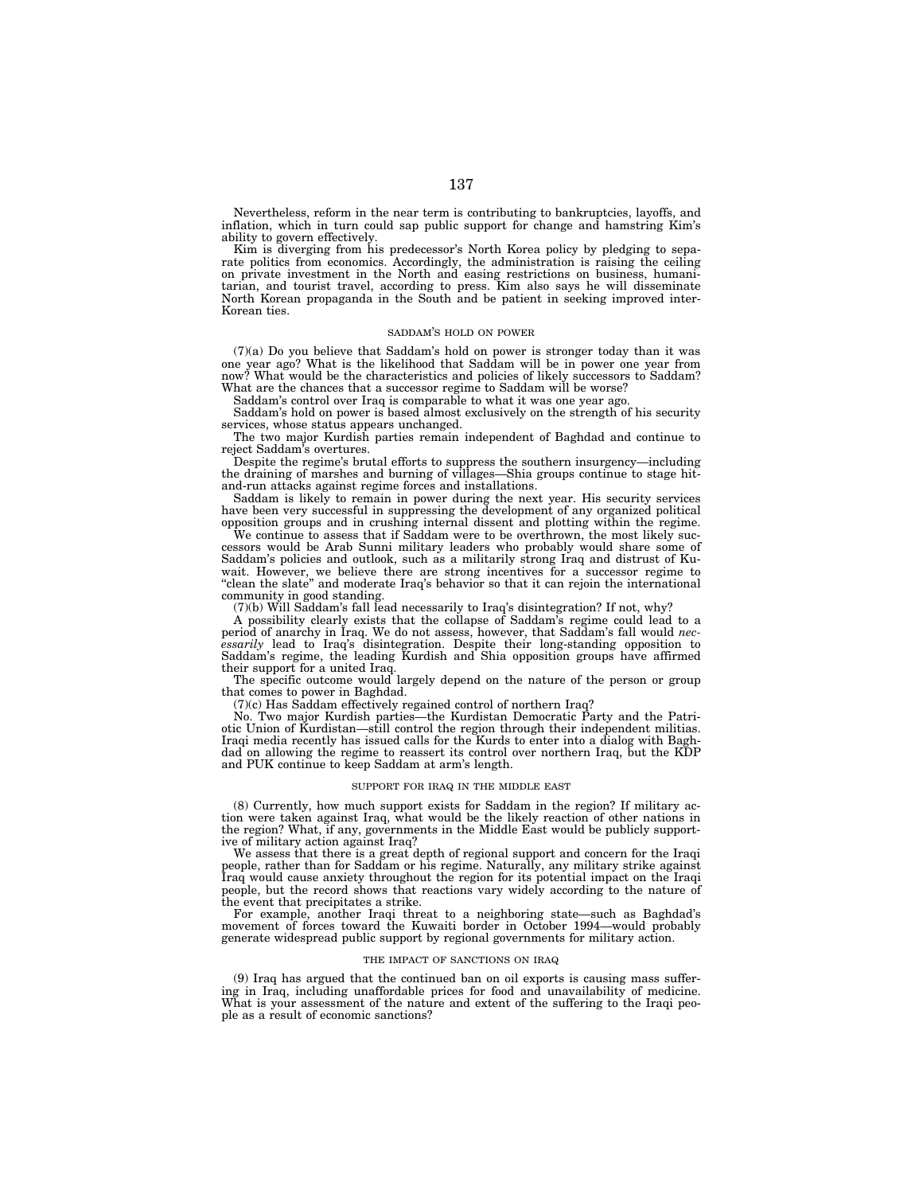Nevertheless, reform in the near term is contributing to bankruptcies, layoffs, and inflation, which in turn could sap public support for change and hamstring Kim's ability to govern effectively.

Kim is diverging from his predecessor's North Korea policy by pledging to separate politics from economics. Accordingly, the administration is raising the ceiling on private investment in the North and easing restrictions on business, humanitarian, and tourist travel, according to press. Kim also says he will disseminate North Korean propaganda in the South and be patient in seeking improved inter-Korean ties.

# SADDAM'S HOLD ON POWER

(7)(a) Do you believe that Saddam's hold on power is stronger today than it was one year ago? What is the likelihood that Saddam will be in power one year from now? What would be the characteristics and policies of likely successors to Saddam? What are the chances that a successor regime to Saddam will be worse?

Saddam's control over Iraq is comparable to what it was one year ago.

Saddam's hold on power is based almost exclusively on the strength of his security services, whose status appears unchanged.

The two major Kurdish parties remain independent of Baghdad and continue to reject Saddam's overtures.

Despite the regime's brutal efforts to suppress the southern insurgency—including the draining of marshes and burning of villages—Shia groups continue to stage hitand-run attacks against regime forces and installations.

Saddam is likely to remain in power during the next year. His security services have been very successful in suppressing the development of any organized political opposition groups and in crushing internal dissent and plotting within the regime.

We continue to assess that if Saddam were to be overthrown, the most likely successors would be Arab Sunni military leaders who probably would share some of Saddam's policies and outlook, such as a militarily strong Iraq and distrust of Kuwait. However, we believe there are strong incentives for a successor regime to "clean the slate" and moderate Iraq's behavior so that it can rejoin the international community in good standing.

(7)(b) Will Saddam's fall lead necessarily to Iraq's disintegration? If not, why?

A possibility clearly exists that the collapse of Saddam's regime could lead to a period of anarchy in Iraq. We do not assess, however, that Saddam's fall would *necessarily* lead to Iraq's disintegration. Despite their long-standing opposition to Saddam's regime, the leading Kurdish and Shia opposition groups have affirmed their support for a united Iraq.

The specific outcome would largely depend on the nature of the person or group that comes to power in Baghdad.

(7)(c) Has Saddam effectively regained control of northern Iraq?

No. Two major Kurdish parties—the Kurdistan Democratic Party and the Patriotic Union of Kurdistan—still control the region through their independent militias. Iraqi media recently has issued calls for the Kurds to enter into a dialog with Baghdad on allowing the regime to reassert its control over northern Iraq, but the KDP and PUK continue to keep Saddam at arm's length.

## SUPPORT FOR IRAQ IN THE MIDDLE EAST

(8) Currently, how much support exists for Saddam in the region? If military action were taken against Iraq, what would be the likely reaction of other nations in the region? What, if any, governments in the Middle East would be publicly supportive of military action against Iraq?

We assess that there is a great depth of regional support and concern for the Iraqi people, rather than for Saddam or his regime. Naturally, any military strike against Iraq would cause anxiety throughout the region for its potential impact on the Iraqi people, but the record shows that reactions vary widely according to the nature of the event that precipitates a strike.

For example, another Iraqi threat to a neighboring state—such as Baghdad's movement of forces toward the Kuwaiti border in October 1994—would probably generate widespread public support by regional governments for military action.

## THE IMPACT OF SANCTIONS ON IRAQ

(9) Iraq has argued that the continued ban on oil exports is causing mass suffering in Iraq, including unaffordable prices for food and unavailability of medicine. What is your assessment of the nature and extent of the suffering to the Iraqi people as a result of economic sanctions?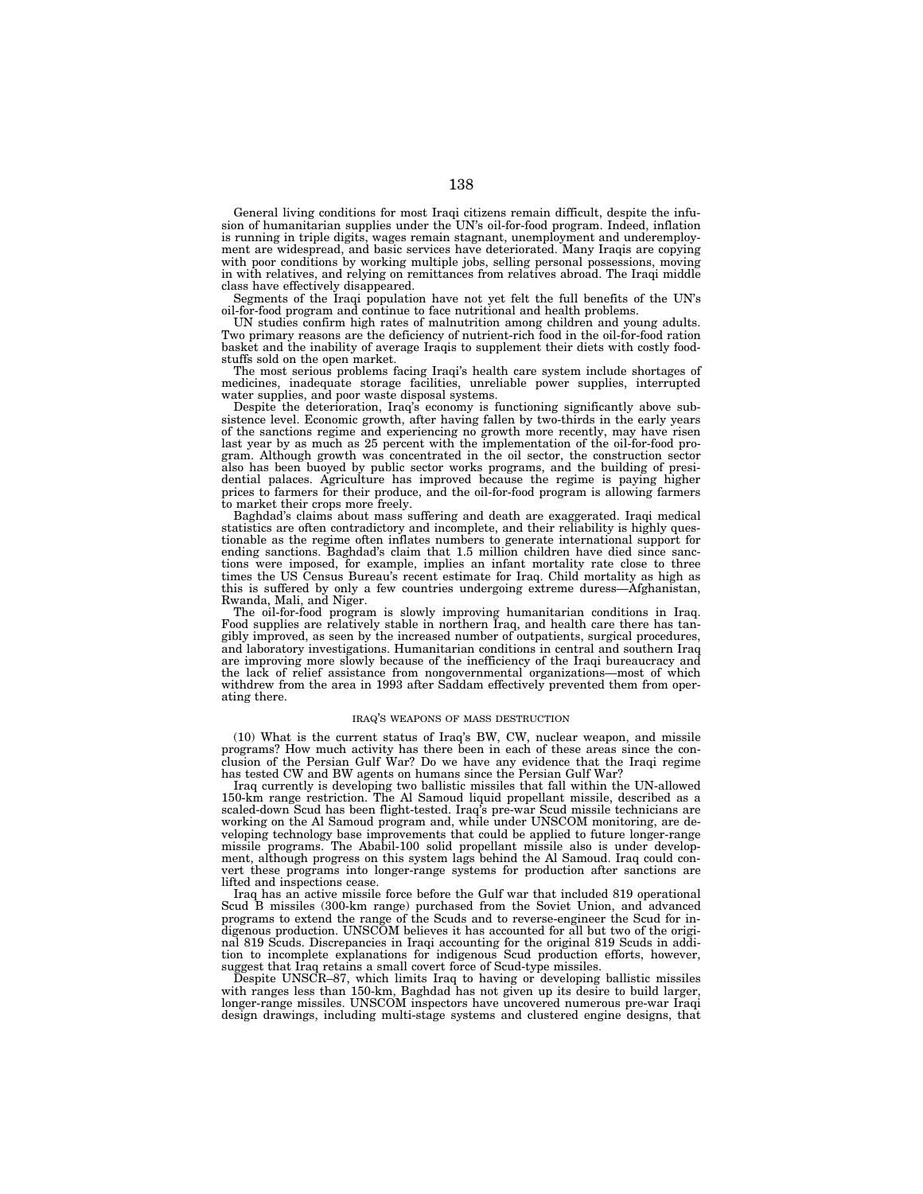General living conditions for most Iraqi citizens remain difficult, despite the infusion of humanitarian supplies under the UN's oil-for-food program. Indeed, inflation is running in triple digits, wages remain stagnant, unemployment and underemployment are widespread, and basic services have deteriorated. Many Iraqis are copying with poor conditions by working multiple jobs, selling personal possessions, moving in with relatives, and relying on remittances from relatives abroad. The Iraqi middle class have effectively disappeared.

Segments of the Iraqi population have not yet felt the full benefits of the UN's oil-for-food program and continue to face nutritional and health problems.

UN studies confirm high rates of malnutrition among children and young adults. Two primary reasons are the deficiency of nutrient-rich food in the oil-for-food ration basket and the inability of average Iraqis to supplement their diets with costly foodstuffs sold on the open market.

The most serious problems facing Iraqi's health care system include shortages of medicines, inadequate storage facilities, unreliable power supplies, interrupted water supplies, and poor waste disposal systems.

Despite the deterioration, Iraq's economy is functioning significantly above subsistence level. Economic growth, after having fallen by two-thirds in the early years of the sanctions regime and experiencing no growth more recently, may have risen last year by as much as 25 percent with the implementation of the oil-for-food program. Although growth was concentrated in the oil sector, the construction sector also has been buoyed by public sector works programs, and the building of presidential palaces. Agriculture has improved because the regime is paying higher prices to farmers for their produce, and the oil-for-food program is allowing farmers to market their crops more freely.

Baghdad's claims about mass suffering and death are exaggerated. Iraqi medical statistics are often contradictory and incomplete, and their reliability is highly questionable as the regime often inflates numbers to generate international support for ending sanctions. Baghdad's claim that 1.5 million children have died since sanctions were imposed, for example, implies an infant mortality rate close to three times the US Census Bureau's recent estimate for Iraq. Child mortality as high as this is suffered by only a few countries undergoing extreme duress—Afghanistan. this is suffered by only a few countries undergoing extreme duress-Rwanda, Mali, and Niger.

The oil-for-food program is slowly improving humanitarian conditions in Iraq. Food supplies are relatively stable in northern Iraq, and health care there has tangibly improved, as seen by the increased number of outpatients, surgical procedures, and laboratory investigations. Humanitarian conditions in central and southern Iraq are improving more slowly because of the inefficiency of the Iraqi bureaucracy and the lack of relief assistance from nongovernmental organizations—most of which withdrew from the area in 1993 after Saddam effectively prevented them from operating there.

#### IRAQ'S WEAPONS OF MASS DESTRUCTION

(10) What is the current status of Iraq's BW, CW, nuclear weapon, and missile programs? How much activity has there been in each of these areas since the conclusion of the Persian Gulf War? Do we have any evidence that the Iraqi regime has tested CW and BW agents on humans since the Persian Gulf War?

Iraq currently is developing two ballistic missiles that fall within the UN-allowed 150-km range restriction. The Al Samoud liquid propellant missile, described as a scaled-down Scud has been flight-tested. Iraq's pre-war Scud missile technicians are working on the Al Samoud program and, while under UNSCOM monitoring, are developing technology base improvements that could be applied to future longer-range missile programs. The Ababil-100 solid propellant missile also is under development, although progress on this system lags behind the Al Samoud. Iraq could convert these programs into longer-range systems for production after sanctions are lifted and inspections cease.

Iraq has an active missile force before the Gulf war that included 819 operational Scud B missiles (300-km range) purchased from the Soviet Union, and advanced programs to extend the range of the Scuds and to reverse-engineer the Scud for indigenous production. UNSCOM believes it has accounted for all but two of the original 819 Scuds. Discrepancies in Iraqi accounting for the original 819 Scuds in addition to incomplete explanations for indigenous Scud production efforts, however, suggest that Iraq retains a small covert force of Scud-type missiles.

Despite UNSCR–87, which limits Iraq to having or developing ballistic missiles with ranges less than 150-km, Baghdad has not given up its desire to build larger, longer-range missiles. UNSCOM inspectors have uncovered numerous pre-war Iraqi design drawings, including multi-stage systems and clustered engine designs, that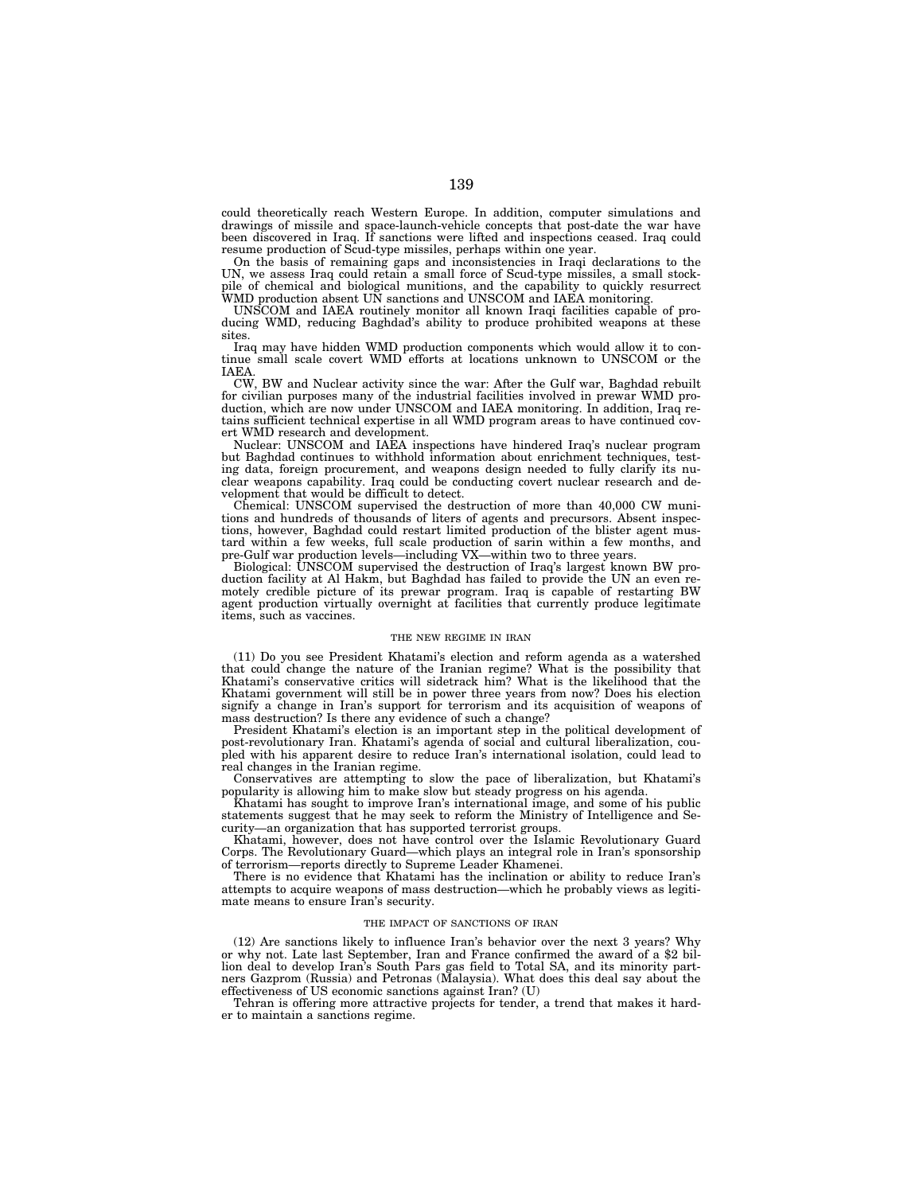could theoretically reach Western Europe. In addition, computer simulations and drawings of missile and space-launch-vehicle concepts that post-date the war have been discovered in Iraq. If sanctions were lifted and inspections ceased. Iraq could resume production of Scud-type missiles, perhaps within one year.

On the basis of remaining gaps and inconsistencies in Iraqi declarations to the UN, we assess Iraq could retain a small force of Scud-type missiles, a small stockpile of chemical and biological munitions, and the capability to quickly resurrect WMD production absent UN sanctions and UNSCOM and IAEA monitoring.

UNSCOM and IAEA routinely monitor all known Iraqi facilities capable of producing WMD, reducing Baghdad's ability to produce prohibited weapons at these sites.

Iraq may have hidden WMD production components which would allow it to continue small scale covert WMD efforts at locations unknown to UNSCOM or the IAEA.

CW, BW and Nuclear activity since the war: After the Gulf war, Baghdad rebuilt for civilian purposes many of the industrial facilities involved in prewar WMD production, which are now under UNSCOM and IAEA monitoring. In addition, Iraq retains sufficient technical expertise in all WMD program areas to have continued covert WMD research and development.

Nuclear: UNSCOM and IAEA inspections have hindered Iraq's nuclear program but Baghdad continues to withhold information about enrichment techniques, testing data, foreign procurement, and weapons design needed to fully clarify its nuclear weapons capability. Iraq could be conducting covert nuclear research and development that would be difficult to detect.

Chemical: UNSCOM supervised the destruction of more than 40,000 CW munitions and hundreds of thousands of liters of agents and precursors. Absent inspections, however, Baghdad could restart limited production of the blister agent mustard within a few weeks, full scale production of sarin within a few months, and pre-Gulf war production levels—including VX—within two to three years.

Biological: UNSCOM supervised the destruction of Iraq's largest known BW production facility at Al Hakm, but Baghdad has failed to provide the UN an even remotely credible picture of its prewar program. Iraq is capable of restarting BW agent production virtually overnight at facilities that currently produce legitimate items, such as vaccines.

# THE NEW REGIME IN IRAN

(11) Do you see President Khatami's election and reform agenda as a watershed that could change the nature of the Iranian regime? What is the possibility that Khatami's conservative critics will sidetrack him? What is the likelihood that the Khatami government will still be in power three years from now? Does his election signify a change in Iran's support for terrorism and its acquisition of weapons of mass destruction? Is there any evidence of such a change?

President Khatami's election is an important step in the political development of post-revolutionary Iran. Khatami's agenda of social and cultural liberalization, coupled with his apparent desire to reduce Iran's international isolation, could lead to real changes in the Iranian regime.

Conservatives are attempting to slow the pace of liberalization, but Khatami's popularity is allowing him to make slow but steady progress on his agenda.

Khatami has sought to improve Iran's international image, and some of his public statements suggest that he may seek to reform the Ministry of Intelligence and Security—an organization that has supported terrorist groups.

Khatami, however, does not have control over the Islamic Revolutionary Guard Corps. The Revolutionary Guard—which plays an integral role in Iran's sponsorship of terrorism—reports directly to Supreme Leader Khamenei.

There is no evidence that Khatami has the inclination or ability to reduce Iran's attempts to acquire weapons of mass destruction—which he probably views as legitimate means to ensure Iran's security.

## THE IMPACT OF SANCTIONS OF IRAN

(12) Are sanctions likely to influence Iran's behavior over the next 3 years? Why or why not. Late last September, Iran and France confirmed the award of a \$2 billion deal to develop Iran's South Pars gas field to Total SA, and its minority partners Gazprom (Russia) and Petronas (Malaysia). What does this deal say about the effectiveness of US economic sanctions against Iran? (U)

Tehran is offering more attractive projects for tender, a trend that makes it harder to maintain a sanctions regime.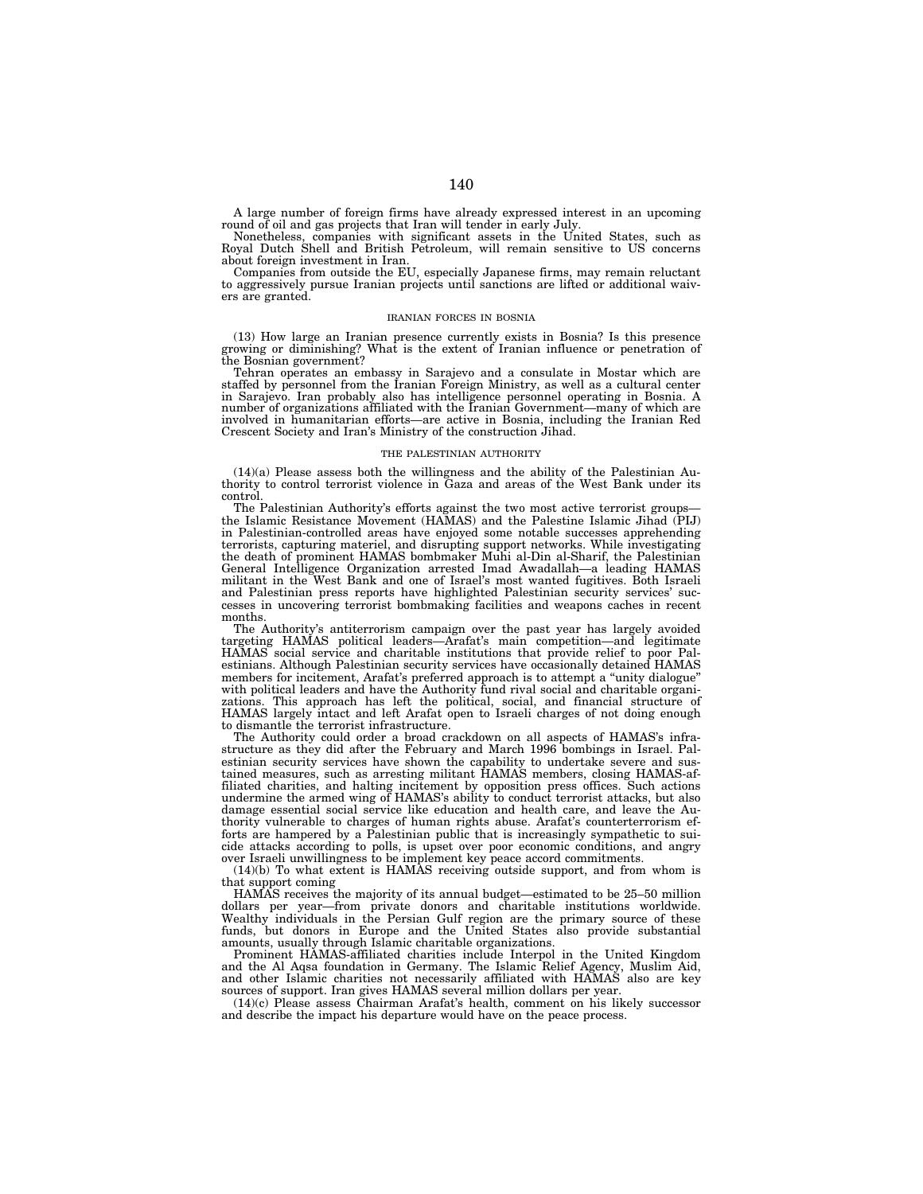A large number of foreign firms have already expressed interest in an upcoming round of oil and gas projects that Iran will tender in early July.

Nonetheless, companies with significant assets in the United States, such as Royal Dutch Shell and British Petroleum, will remain sensitive to US concerns about foreign investment in Iran.

Companies from outside the EU, especially Japanese firms, may remain reluctant to aggressively pursue Iranian projects until sanctions are lifted or additional waivers are granted.

### IRANIAN FORCES IN BOSNIA

(13) How large an Iranian presence currently exists in Bosnia? Is this presence growing or diminishing? What is the extent of Iranian influence or penetration of the Bosnian government?

Tehran operates an embassy in Sarajevo and a consulate in Mostar which are staffed by personnel from the Iranian Foreign Ministry, as well as a cultural center in Sarajevo. Iran probably also has intelligence personnel operating in Bosnia. A number of organizations affiliated with the Iranian Government—many of which are involved in humanitarian efforts—are active in Bosnia, including the Iranian Red Crescent Society and Iran's Ministry of the construction Jihad.

#### THE PALESTINIAN AUTHORITY

(14)(a) Please assess both the willingness and the ability of the Palestinian Authority to control terrorist violence in Gaza and areas of the West Bank under its control.

The Palestinian Authority's efforts against the two most active terrorist group the Islamic Resistance Movement (HAMAS) and the Palestine Islamic Jihad (PIJ) in Palestinian-controlled areas have enjoyed some notable successes apprehending terrorists, capturing materiel, and disrupting support networks. While investigating the death of prominent HAMAS bombmaker Muhi al-Din al-Sharif, the Palestinian General Intelligence Organization arrested Imad Awadallah—a leading HAMAS militant in the West Bank and one of Israel's most wanted fugitives. Both Israeli and Palestinian press reports have highlighted Palestinian security services' successes in uncovering terrorist bombmaking facilities and weapons caches in recent months.

The Authority's antiterrorism campaign over the past year has largely avoided targeting HAMAS political leaders—Arafat's main competition—and legitimate HAMAS social service and charitable institutions that provide relief to poor Palestinians. Although Palestinian security services have occasionally detained HAMAS members for incitement, Arafat's preferred approach is to attempt a ''unity dialogue'' with political leaders and have the Authority fund rival social and charitable organizations. This approach has left the political, social, and financial structure of HAMAS largely intact and left Arafat open to Israeli charges of not doing enough to dismantle the terrorist infrastructure.

The Authority could order a broad crackdown on all aspects of HAMAS's infrastructure as they did after the February and March 1996 bombings in Israel. Palestinian security services have shown the capability to undertake severe and sustained measures, such as arresting militant HAMAS members, closing HAMAS-affiliated charities, and halting incitement by opposition press offices. Such actions undermine the armed wing of HAMAS's ability to conduct terrorist attacks, but also damage essential social service like education and health care, and leave the Authority vulnerable to charges of human rights abuse. Arafat's counterterrorism efforts are hampered by a Palestinian public that is increasingly sympathetic to suicide attacks according to polls, is upset over poor economic conditions, and angry over Israeli unwillingness to be implement key peace accord commitments.

(14)(b) To what extent is HAMAS receiving outside support, and from whom is that support coming

HAMAS receives the majority of its annual budget—estimated to be 25–50 million dollars per year—from private donors and charitable institutions worldwide. Wealthy individuals in the Persian Gulf region are the primary source of these funds, but donors in Europe and the United States also provide substantial amounts, usually through Islamic charitable organizations.

Prominent HAMAS-affiliated charities include Interpol in the United Kingdom and the Al Aqsa foundation in Germany. The Islamic Relief Agency, Muslim Aid, and other Islamic charities not necessarily affiliated with HAMAS also are key sources of support. Iran gives HAMAS several million dollars per year.

(14)(c) Please assess Chairman Arafat's health, comment on his likely successor and describe the impact his departure would have on the peace process.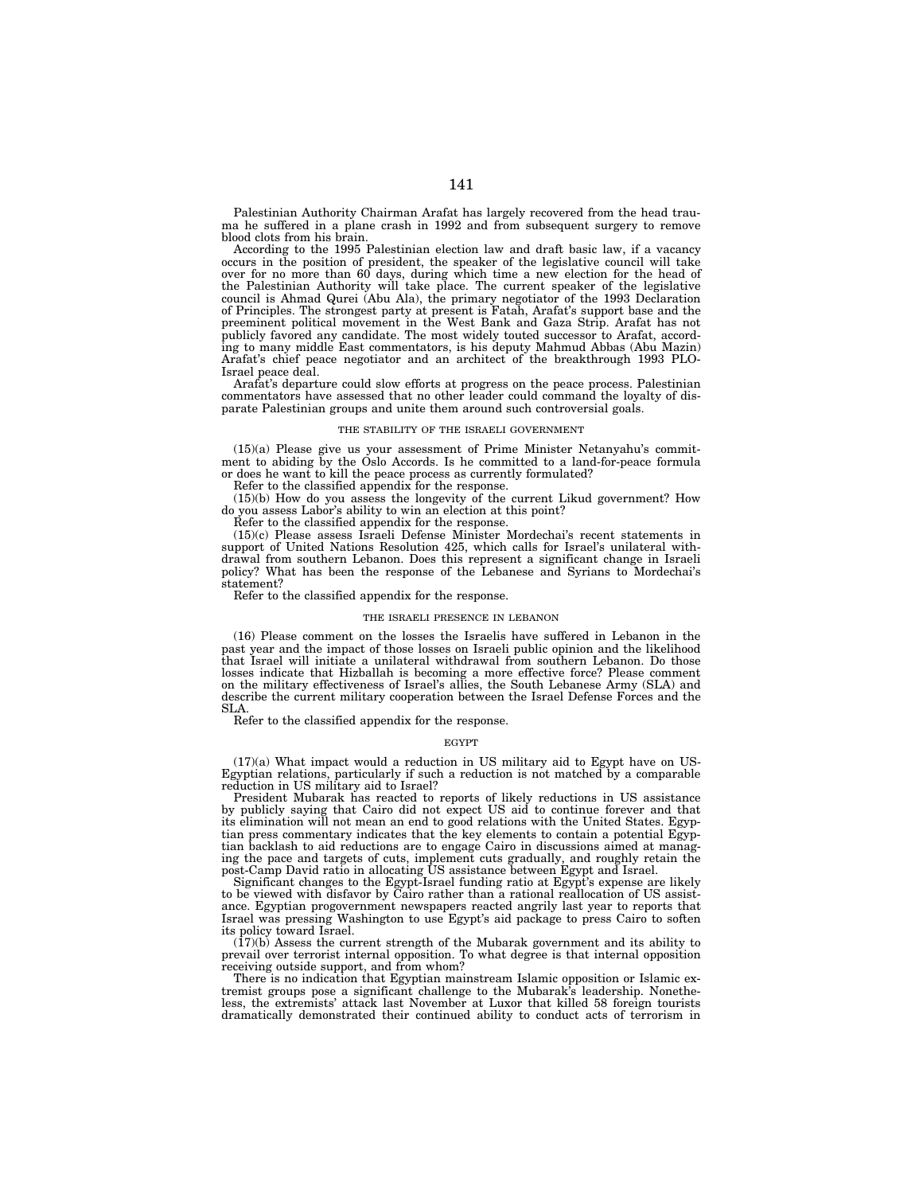Palestinian Authority Chairman Arafat has largely recovered from the head trauma he suffered in a plane crash in 1992 and from subsequent surgery to remove blood clots from his brain.

According to the 1995 Palestinian election law and draft basic law, if a vacancy occurs in the position of president, the speaker of the legislative council will take over for no more than 60 days, during which time a new election for the head of the Palestinian Authority will take place. The current speaker of the legislative council is Ahmad Qurei (Abu Ala), the primary negotiator of the 1993 Declaration of Principles. The strongest party at present is Fatah, Arafat's support base and the preeminent political movement in the West Bank and Gaza Strip. Arafat has not publicly favored any candidate. The most widely touted successor to Arafat, according to many middle East commentators, is his deputy Mahmud Abbas (Abu Mazin) Arafat's chief peace negotiator and an architect of the breakthrough 1993 PLO-Israel peace deal.

Arafat's departure could slow efforts at progress on the peace process. Palestinian commentators have assessed that no other leader could command the loyalty of disparate Palestinian groups and unite them around such controversial goals.

## THE STABILITY OF THE ISRAELI GOVERNMENT

(15)(a) Please give us your assessment of Prime Minister Netanyahu's commitment to abiding by the Oslo Accords. Is he committed to a land-for-peace formula or does he want to kill the peace process as currently formulated?

Refer to the classified appendix for the response.

(15)(b) How do you assess the longevity of the current Likud government? How do you assess Labor's ability to win an election at this point?

Refer to the classified appendix for the response.

(15)(c) Please assess Israeli Defense Minister Mordechai's recent statements in support of United Nations Resolution 425, which calls for Israel's unilateral withdrawal from southern Lebanon. Does this represent a significant change in Israeli policy? What has been the response of the Lebanese and Syrians to Mordechai's statement?

Refer to the classified appendix for the response.

#### THE ISRAELI PRESENCE IN LEBANON

(16) Please comment on the losses the Israelis have suffered in Lebanon in the past year and the impact of those losses on Israeli public opinion and the likelihood that Israel will initiate a unilateral withdrawal from southern Lebanon. Do those losses indicate that Hizballah is becoming a more effective force? Please comment on the military effectiveness of Israel's allies, the South Lebanese Army (SLA) and describe the current military cooperation between the Israel Defense Forces and the SLA.

Refer to the classified appendix for the response.

#### EGYPT

(17)(a) What impact would a reduction in US military aid to Egypt have on US-Egyptian relations, particularly if such a reduction is not matched by a comparable reduction in US military aid to Israel?

President Mubarak has reacted to reports of likely reductions in US assistance by publicly saying that Cairo did not expect US aid to continue forever and that its elimination will not mean an end to good relations with the United States. Egyptian press commentary indicates that the key elements to contain a potential Egyptian backlash to aid reductions are to engage Cairo in discussions aimed at managing the pace and targets of cuts, implement cuts gradually, and roughly retain the post-Camp David ratio in allocating US assistance between Egypt and Israel.

Significant changes to the Egypt-Israel funding ratio at Egypt's expense are likely to be viewed with disfavor by Cairo rather than a rational reallocation of US assistance. Egyptian progovernment newspapers reacted angrily last year to reports that Israel was pressing Washington to use Egypt's aid package to press Cairo to soften its policy toward Israel.

 $(17)(b)$  Assess the current strength of the Mubarak government and its ability to prevail over terrorist internal opposition. To what degree is that internal opposition receiving outside support, and from whom?

There is no indication that Egyptian mainstream Islamic opposition or Islamic extremist groups pose a significant challenge to the Mubarak's leadership. Nonetheless, the extremists' attack last November at Luxor that killed 58 foreign tourists dramatically demonstrated their continued ability to conduct acts of terrorism in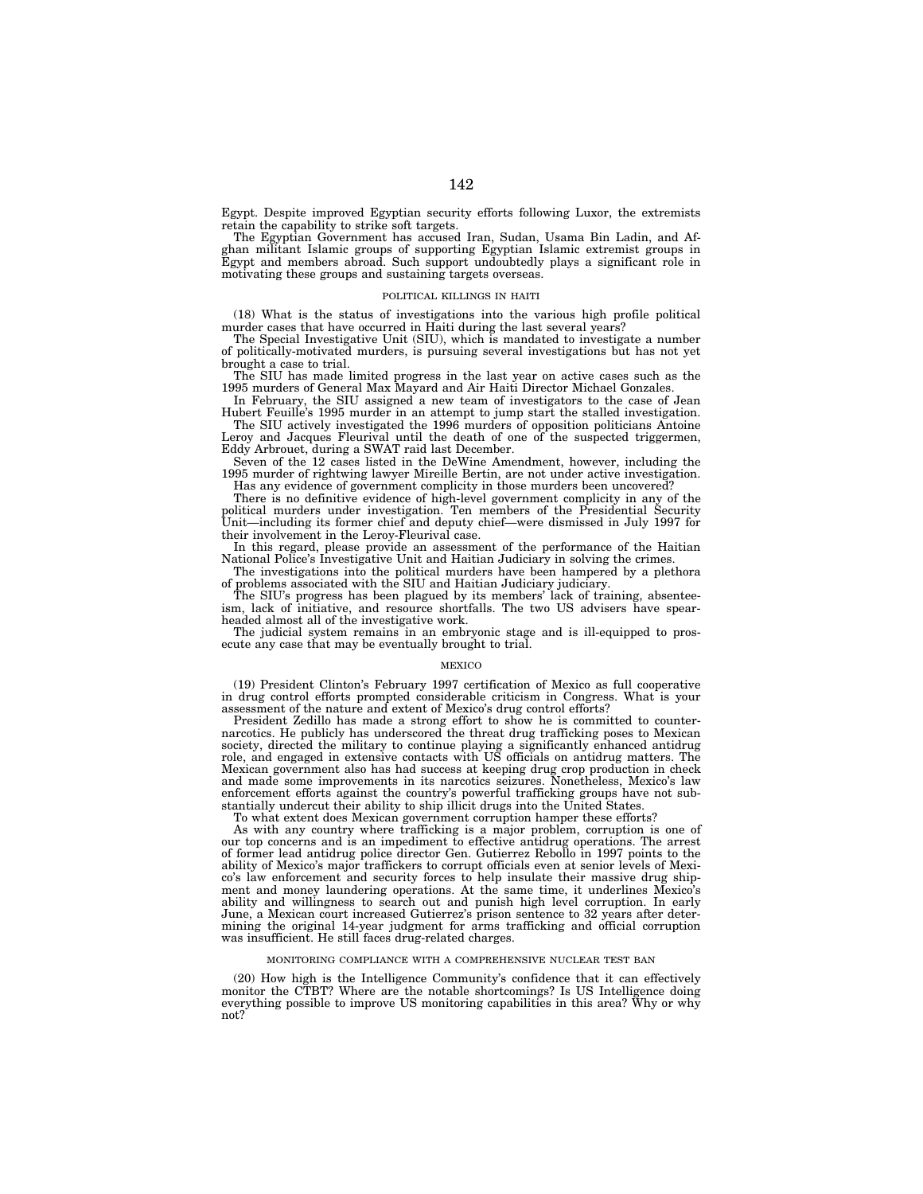Egypt. Despite improved Egyptian security efforts following Luxor, the extremists retain the capability to strike soft targets.

The Egyptian Government has accused Iran, Sudan, Usama Bin Ladin, and Afghan militant Islamic groups of supporting Egyptian Islamic extremist groups in Egypt and members abroad. Such support undoubtedly plays a significant role in motivating these groups and sustaining targets overseas.

# POLITICAL KILLINGS IN HAITI

(18) What is the status of investigations into the various high profile political murder cases that have occurred in Haiti during the last several years?

The Special Investigative Unit (SIU), which is mandated to investigate a number of politically-motivated murders, is pursuing several investigations but has not yet brought a case to trial.

The SIU has made limited progress in the last year on active cases such as the 1995 murders of General Max Mayard and Air Haiti Director Michael Gonzales.

In February, the SIU assigned a new team of investigators to the case of Jean Hubert Feuille's 1995 murder in an attempt to jump start the stalled investigation.

The SIU actively investigated the 1996 murders of opposition politicians Antoine Leroy and Jacques Fleurival until the death of one of the suspected triggermen, Eddy Arbrouet, during a SWAT raid last December.

Seven of the 12 cases listed in the DeWine Amendment, however, including the 1995 murder of rightwing lawyer Mireille Bertin, are not under active investigation. Has any evidence of government complicity in those murders been uncovered?

There is no definitive evidence of high-level government complicity in any of the political murders under investigation. Ten members of the Presidential Security Unit—including its former chief and deputy chief—were dismissed in July 1997 for their involvement in the Leroy-Fleurival case.

In this regard, please provide an assessment of the performance of the Haitian National Police's Investigative Unit and Haitian Judiciary in solving the crimes.

The investigations into the political murders have been hampered by a plethora of problems associated with the SIU and Haitian Judiciary judiciary.

The SIU's progress has been plagued by its members' lack of training, absenteeism, lack of initiative, and resource shortfalls. The two US advisers have spearheaded almost all of the investigative work.

The judicial system remains in an embryonic stage and is ill-equipped to prosecute any case that may be eventually brought to trial.

#### MEXICO

(19) President Clinton's February 1997 certification of Mexico as full cooperative in drug control efforts prompted considerable criticism in Congress. What is your assessment of the nature and extent of Mexico's drug control efforts?

President Zedillo has made a strong effort to show he is committed to counternarcotics. He publicly has underscored the threat drug trafficking poses to Mexican society, directed the military to continue playing a significantly enhanced antidrug role, and engaged in extensive contacts with US officials on antidrug matters. The Mexican government also has had success at keeping drug crop production in check and made some improvements in its narcotics seizures. Nonetheless, Mexico's law enforcement efforts against the country's powerful trafficking groups have not substantially undercut their ability to ship illicit drugs into the United States.

To what extent does Mexican government corruption hamper these efforts?

As with any country where trafficking is a major problem, corruption is one of our top concerns and is an impediment to effective antidrug operations. The arrest of former lead antidrug police director Gen. Gutierrez Rebollo in 1997 points to the ability of Mexico's major traffickers to corrupt officials even at senior levels of Mexico's law enforcement and security forces to help insulate their massive drug shipment and money laundering operations. At the same time, it underlines Mexico's ability and willingness to search out and punish high level corruption. In early June, a Mexican court increased Gutierrez's prison sentence to 32 years after determining the original 14-year judgment for arms trafficking and official corruption was insufficient. He still faces drug-related charges.

# MONITORING COMPLIANCE WITH A COMPREHENSIVE NUCLEAR TEST BAN

(20) How high is the Intelligence Community's confidence that it can effectively monitor the CTBT? Where are the notable shortcomings? Is US Intelligence doing everything possible to improve US monitoring capabilities in this area? Why or why not?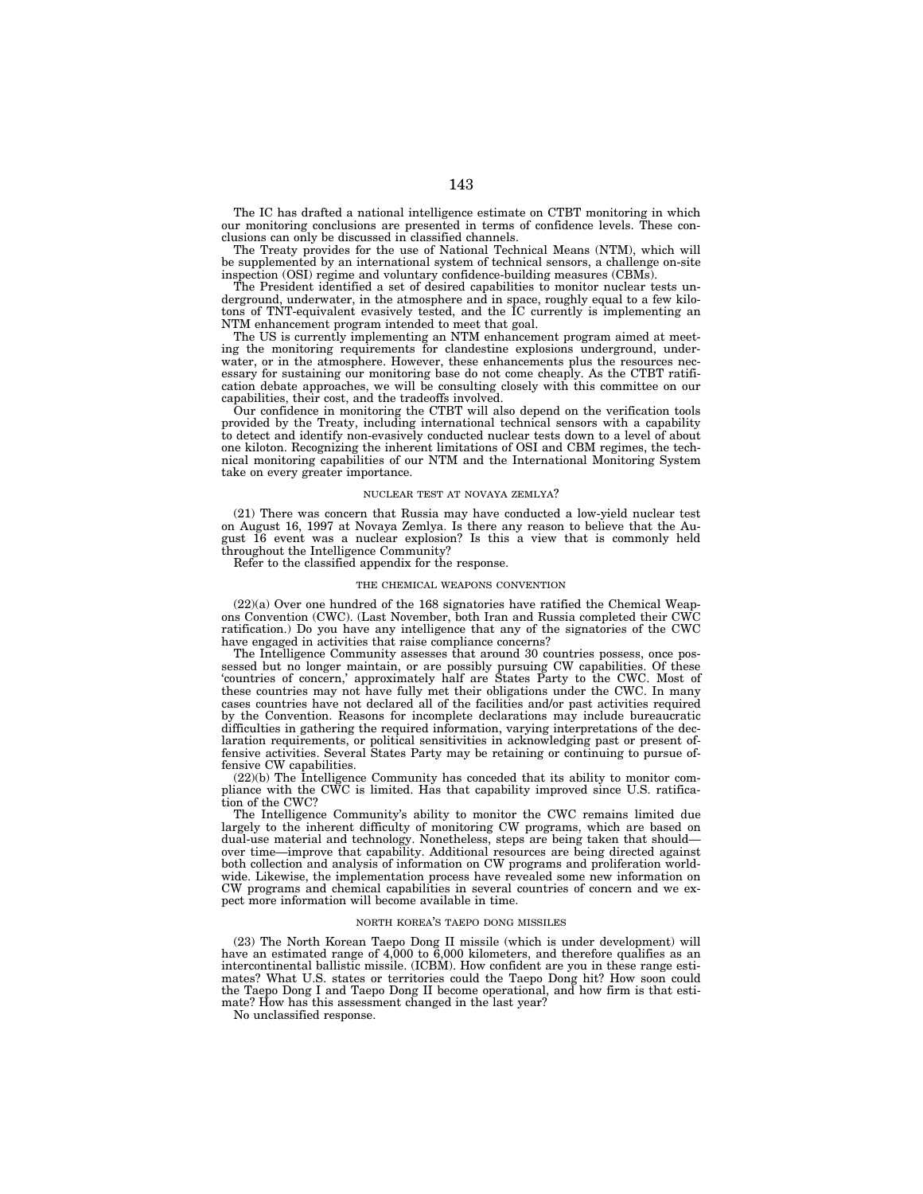The IC has drafted a national intelligence estimate on CTBT monitoring in which our monitoring conclusions are presented in terms of confidence levels. These conclusions can only be discussed in classified channels.

The Treaty provides for the use of National Technical Means (NTM), which will be supplemented by an international system of technical sensors, a challenge on-site inspection (OSI) regime and voluntary confidence-building measures (CBMs).

The President identified a set of desired capabilities to monitor nuclear tests underground, underwater, in the atmosphere and in space, roughly equal to a few kilotons of TNT-equivalent evasively tested, and the IC currently is implementing an NTM enhancement program intended to meet that goal.

The US is currently implementing an NTM enhancement program aimed at meeting the monitoring requirements for clandestine explosions underground, underwater, or in the atmosphere. However, these enhancements plus the resources necessary for sustaining our monitoring base do not come cheaply. As the CTBT ratification debate approaches, we will be consulting closely with this committee on our capabilities, their cost, and the tradeoffs involved.

Our confidence in monitoring the CTBT will also depend on the verification tools provided by the Treaty, including international technical sensors with a capability to detect and identify non-evasively conducted nuclear tests down to a level of about one kiloton. Recognizing the inherent limitations of OSI and CBM regimes, the technical monitoring capabilities of our NTM and the International Monitoring System take on every greater importance.

# NUCLEAR TEST AT NOVAYA ZEMLYA?

(21) There was concern that Russia may have conducted a low-yield nuclear test on August 16, 1997 at Novaya Zemlya. Is there any reason to believe that the August 16 event was a nuclear explosion? Is this a view that is commonly held throughout the Intelligence Community?

Refer to the classified appendix for the response.

#### THE CHEMICAL WEAPONS CONVENTION

(22)(a) Over one hundred of the 168 signatories have ratified the Chemical Weapons Convention (CWC). (Last November, both Iran and Russia completed their CWC ratification.) Do you have any intelligence that any of the signatories of the CWC have engaged in activities that raise compliance concerns?

The Intelligence Community assesses that around 30 countries possess, once possessed but no longer maintain, or are possibly pursuing CW capabilities. Of these 'countries of concern,' approximately half are States Party to the CWC. Most of these countries may not have fully met their obligations under the CWC. In many cases countries have not declared all of the facilities and/or past activities required by the Convention. Reasons for incomplete declarations may include bureaucratic difficulties in gathering the required information, varying interpretations of the declaration requirements, or political sensitivities in acknowledging past or present offensive activities. Several States Party may be retaining or continuing to pursue offensive CW capabilities.

(22)(b) The Intelligence Community has conceded that its ability to monitor compliance with the CWC is limited. Has that capability improved since U.S. ratification of the CWC?

The Intelligence Community's ability to monitor the CWC remains limited due largely to the inherent difficulty of monitoring CW programs, which are based on dual-use material and technology. Nonetheless, steps are being taken that should over time—improve that capability. Additional resources are being directed against both collection and analysis of information on CW programs and proliferation worldwide. Likewise, the implementation process have revealed some new information on CW programs and chemical capabilities in several countries of concern and we expect more information will become available in time.

## NORTH KOREA'S TAEPO DONG MISSILES

(23) The North Korean Taepo Dong II missile (which is under development) will have an estimated range of 4,000 to 6,000 kilometers, and therefore qualifies as an intercontinental ballistic missile. (ICBM). How confident are you in these range estimates? What U.S. states or territories could the Taepo Dong hit? How soon could the Taepo Dong I and Taepo Dong II become operational, and how firm is that estimate? How has this assessment changed in the last year?

No unclassified response.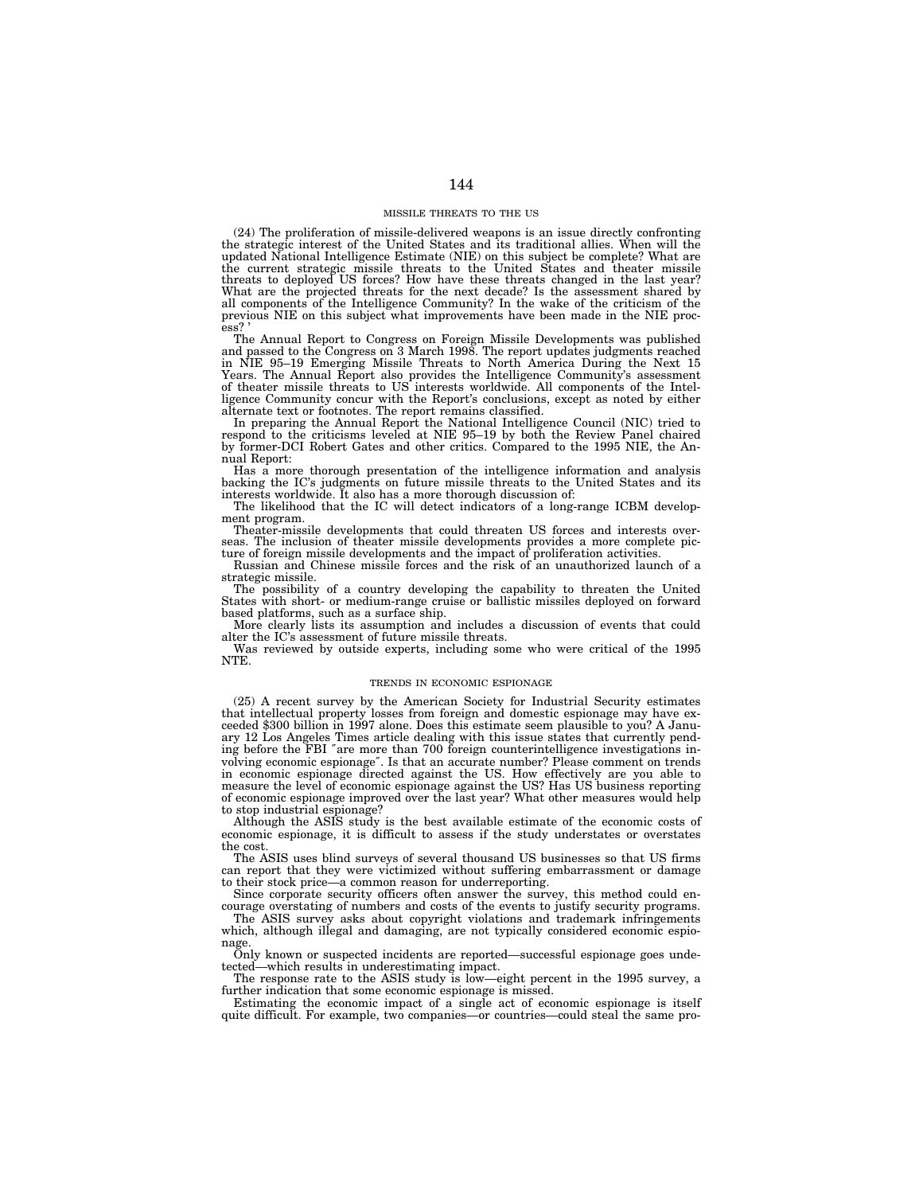### MISSILE THREATS TO THE US

(24) The proliferation of missile-delivered weapons is an issue directly confronting the strategic interest of the United States and its traditional allies. When will the updated National Intelligence Estimate (NIE) on this subject be complete? What are the current strategic missile threats to the United States and theater missile<br>threats to deployed US forces? How have these threats changed in the last year?<br>What are the projected threats for the next decade? Is the asse all components of the Intelligence Community? In the wake of the criticism of the previous NIE on this subject what improvements have been made in the NIE process? '

The Annual Report to Congress on Foreign Missile Developments was published<br>and passed to the Congress on 3 March 1998. The report updates judgments reached<br>in NIE 95–19 Emerging Missile Threats to North America During the Years. The Annual Report also provides the Intelligence Community's assessment of theater missile threats to US interests worldwide. All components of the Intelligence Community concur with the Report's conclusions, except as noted by either alternate text or footnotes. The report remains classified.

In preparing the Annual Report the National Intelligence Council (NIC) tried to respond to the criticisms leveled at NIE 95–19 by both the Review Panel chaired by former-DCI Robert Gates and other critics. Compared to the 1995 NIE, the Annual Report:

Has a more thorough presentation of the intelligence information and analysis backing the IC's judgments on future missile threats to the United States and its interests worldwide. It also has a more thorough discussion of:

The likelihood that the IC will detect indicators of a long-range ICBM development program.

Theater-missile developments that could threaten US forces and interests overseas. The inclusion of theater missile developments provides a more complete pic-ture of foreign missile developments and the impact of proliferation activities.

Russian and Chinese missile forces and the risk of an unauthorized launch of a strategic missile.

The possibility of a country developing the capability to threaten the United States with short- or medium-range cruise or ballistic missiles deployed on forward based platforms, such as a surface ship.

More clearly lists its assumption and includes a discussion of events that could alter the IC's assessment of future missile threats.

Was reviewed by outside experts, including some who were critical of the 1995 NTE.

### TRENDS IN ECONOMIC ESPIONAGE

(25) A recent survey by the American Society for Industrial Security estimates that intellectual property losses from foreign and domestic espionage may have exceeded \$300 billion in 1997 alone. Does this estimate seem plausible to you? A January 12 Los Angeles Times article dealing with this issue states that currently pending before the FBI ″are more than 700 foreign counterintelligence investigations involving economic espionage". Is that an accurate number? Please comment on trends in economic espionage directed against the US. How effectively are you able to measure the level of economic espionage against the US? Has US business reporting of economic espionage improved over the last year? What other measures would help to stop industrial espionage?

Although the ASIS study is the best available estimate of the economic costs of economic espionage, it is difficult to assess if the study understates or overstates the cost.

The ASIS uses blind surveys of several thousand US businesses so that US firms can report that they were victimized without suffering embarrassment or damage to their stock price—a common reason for underreporting.

Since corporate security officers often answer the survey, this method could encourage overstating of numbers and costs of the events to justify security programs.

The ASIS survey asks about copyright violations and trademark infringements which, although illegal and damaging, are not typically considered economic espionage.

Only known or suspected incidents are reported—successful espionage goes undetected—which results in underestimating impact.

The response rate to the ASIS study is low—eight percent in the 1995 survey, a further indication that some economic espionage is missed.

Estimating the economic impact of  $\hat{a}$  single act of economic espionage is itself quite difficult. For example, two companies—or countries—could steal the same pro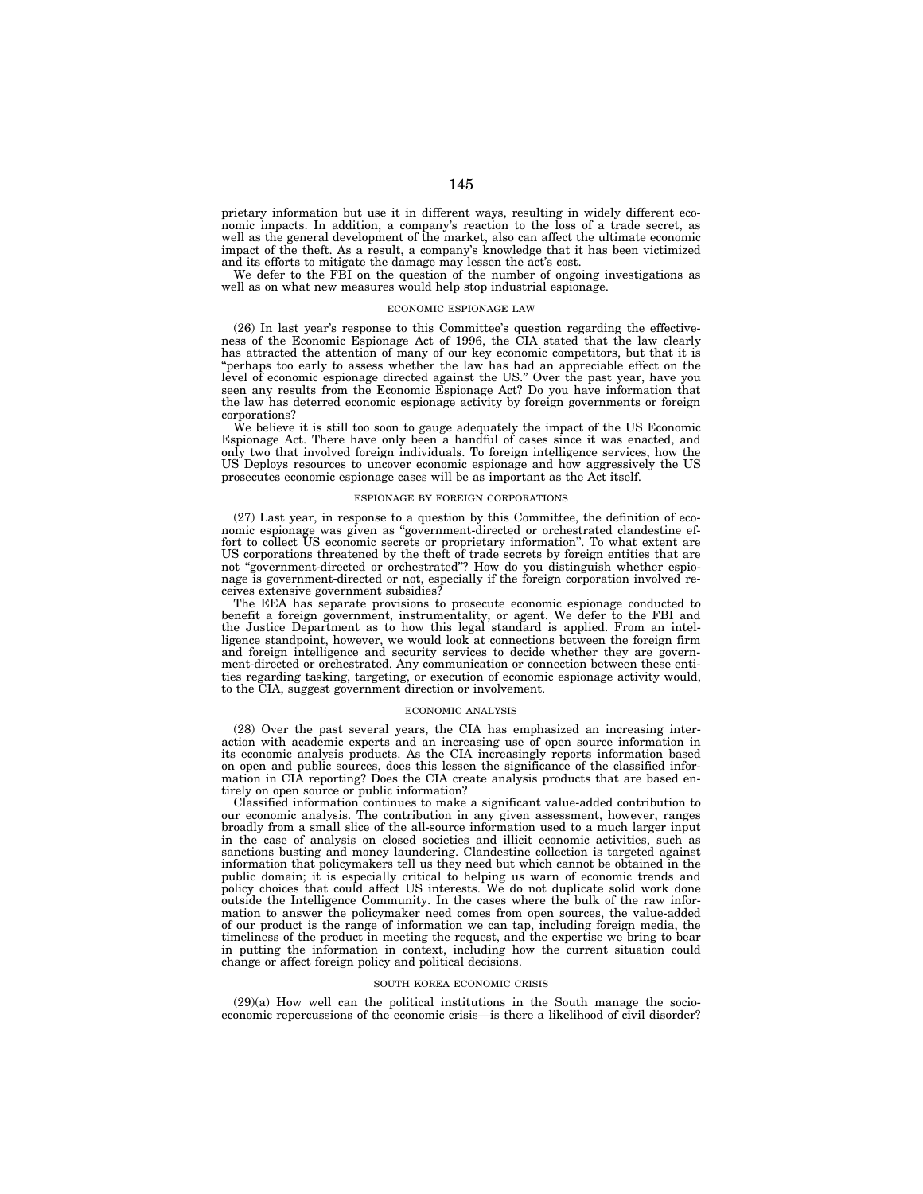prietary information but use it in different ways, resulting in widely different economic impacts. In addition, a company's reaction to the loss of a trade secret, as well as the general development of the market, also can affect the ultimate economic impact of the theft. As a result, a company's knowledge that it has been victimized and its efforts to mitigate the damage may lessen the act's cost.

We defer to the FBI on the question of the number of ongoing investigations as well as on what new measures would help stop industrial espionage.

### ECONOMIC ESPIONAGE LAW

(26) In last year's response to this Committee's question regarding the effectiveness of the Economic Espionage Act of 1996, the CIA stated that the law clearly has attracted the attention of many of our key economic competitors, but that it is ''perhaps too early to assess whether the law has had an appreciable effect on the level of economic espionage directed against the US.'' Over the past year, have you seen any results from the Economic Espionage Act? Do you have information that the law has deterred economic espionage activity by foreign governments or foreign corporations?

We believe it is still too soon to gauge adequately the impact of the US Economic Espionage Act. There have only been a handful of cases since it was enacted, and only two that involved foreign individuals. To foreign intelligence services, how the US Deploys resources to uncover economic espionage and how aggressively the US prosecutes economic espionage cases will be as important as the Act itself.

# ESPIONAGE BY FOREIGN CORPORATIONS

(27) Last year, in response to a question by this Committee, the definition of economic espionage was given as ''government-directed or orchestrated clandestine effort to collect US economic secrets or proprietary information''. To what extent are US corporations threatened by the theft of trade secrets by foreign entities that are not ''government-directed or orchestrated''? How do you distinguish whether espionage is government-directed or not, especially if the foreign corporation involved receives extensive government subsidies?

The EEA has separate provisions to prosecute economic espionage conducted to benefit a foreign government, instrumentality, or agent. We defer to the FBI and the Justice Department as to how this legal standard is applied. From an intelligence standpoint, however, we would look at connections between the foreign firm and foreign intelligence and security services to decide whether they are government-directed or orchestrated. Any communication or connection between these entities regarding tasking, targeting, or execution of economic espionage activity would, to the CIA, suggest government direction or involvement.

### ECONOMIC ANALYSIS

(28) Over the past several years, the CIA has emphasized an increasing interaction with academic experts and an increasing use of open source information in its economic analysis products. As the CIA increasingly reports information based on open and public sources, does this lessen the significance of the classified information in CIA reporting? Does the CIA create analysis products that are based entirely on open source or public information?

Classified information continues to make a significant value-added contribution to our economic analysis. The contribution in any given assessment, however, ranges broadly from a small slice of the all-source information used to a much larger input in the case of analysis on closed societies and illicit economic activities, such as sanctions busting and money laundering. Clandestine collection is targeted against information that policymakers tell us they need but which cannot be obtained in the public domain; it is especially critical to helping us warn of economic trends and policy choices that could affect US interests. We do not duplicate solid work done outside the Intelligence Community. In the cases where the bulk of the raw information to answer the policymaker need comes from open sources, the value-added of our product is the range of information we can tap, including foreign media, the timeliness of the product in meeting the request, and the expertise we bring to bear in putting the information in context, including how the current situation could change or affect foreign policy and political decisions.

#### SOUTH KOREA ECONOMIC CRISIS

(29)(a) How well can the political institutions in the South manage the socioeconomic repercussions of the economic crisis—is there a likelihood of civil disorder?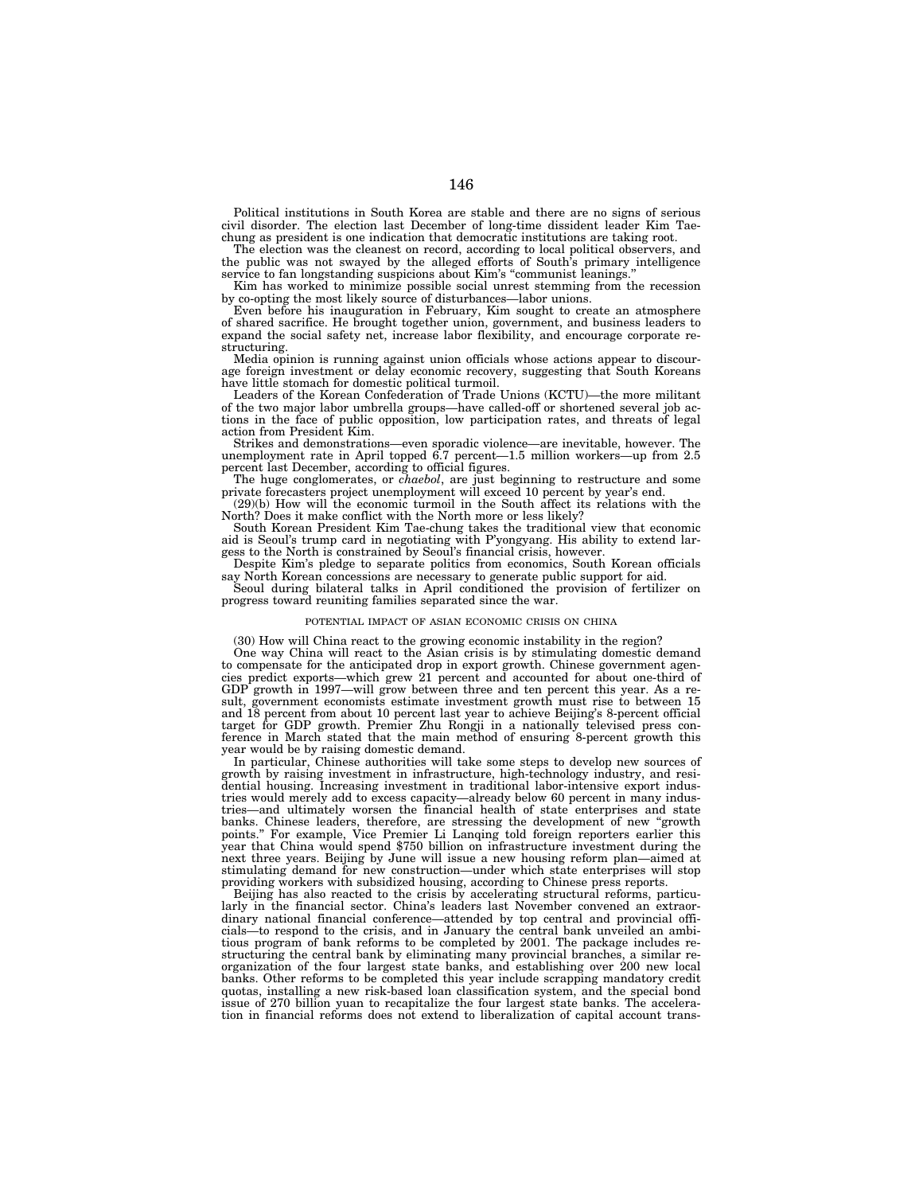Political institutions in South Korea are stable and there are no signs of serious civil disorder. The election last December of long-time dissident leader Kim Taechung as president is one indication that democratic institutions are taking root.

The election was the cleanest on record, according to local political observers, and the public was not swayed by the alleged efforts of South's primary intelligence service to fan longstanding suspicions about Kim's "communist leanings.

Kim has worked to minimize possible social unrest stemming from the recession by co-opting the most likely source of disturbances—labor unions.

Even before his inauguration in February, Kim sought to create an atmosphere of shared sacrifice. He brought together union, government, and business leaders to expand the social safety net, increase labor flexibility, and encourage corporate restructuring.

Media opinion is running against union officials whose actions appear to discourage foreign investment or delay economic recovery, suggesting that South Koreans have little stomach for domestic political turmoil.

Leaders of the Korean Confederation of Trade Unions (KCTU)—the more militant of the two major labor umbrella groups—have called-off or shortened several job actions in the face of public opposition, low participation rates, and threats of legal action from President Kim.

Strikes and demonstrations—even sporadic violence—are inevitable, however. The unemployment rate in April topped 6.7 percent—1.5 million workers—up from 2.5 percent last December, according to official figures.

The huge conglomerates, or *chaebol*, are just beginning to restructure and some private forecasters project unemployment will exceed 10 percent by year's end.

(29)(b) How will the economic turmoil in the South affect its relations with the North? Does it make conflict with the North more or less likely?

South Korean President Kim Tae-chung takes the traditional view that economic aid is Seoul's trump card in negotiating with P'yongyang. His ability to extend largess to the North is constrained by Seoul's financial crisis, however.

Despite Kim's pledge to separate politics from economics, South Korean officials say North Korean concessions are necessary to generate public support for aid.

Seoul during bilateral talks in April conditioned the provision of fertilizer on progress toward reuniting families separated since the war.

# POTENTIAL IMPACT OF ASIAN ECONOMIC CRISIS ON CHINA

(30) How will China react to the growing economic instability in the region?

One way China will react to the Asian crisis is by stimulating domestic demand to compensate for the anticipated drop in export growth. Chinese government agencies predict exports—which grew 21 percent and accounted for about one-third of GDP growth in 1997—will grow between three and ten percent this year. As a result, government economists estimate investment growth must rise to between 15 and 18 percent from about 10 percent last year to achieve Beijing's 8-percent official target for GDP growth. Premier Zhu Rongji in a nationally televised press conference in March stated that the main method of ensuring 8-percent growth this year would be by raising domestic demand.

In particular, Chinese authorities will take some steps to develop new sources of growth by raising investment in infrastructure, high-technology industry, and residential housing. Increasing investment in traditional labor-intensive export industries would merely add to excess capacity—already below 60 percent in many industries—and ultimately worsen the financial health of state enterprises and state banks. Chinese leaders, therefore, are stressing the development of new ''growth points.'' For example, Vice Premier Li Lanqing told foreign reporters earlier this year that China would spend \$750 billion on infrastructure investment during the next three years. Beijing by June will issue a new housing reform plan—aimed at stimulating demand for new construction—under which state enterprises will stop providing workers with subsidized housing, according to Chinese press reports.

Beijing has also reacted to the crisis by accelerating structural reforms, particularly in the financial sector. China's leaders last November convened an extraordinary national financial conference—attended by top central and provincial officials—to respond to the crisis, and in January the central bank unveiled an ambitious program of bank reforms to be completed by 2001. The package includes restructuring the central bank by eliminating many provincial branches, a similar reorganization of the four largest state banks, and establishing over 200 new local banks. Other reforms to be completed this year include scrapping mandatory credit quotas, installing a new risk-based loan classification system, and the special bond issue of 270 billion yuan to recapitalize the four largest state banks. The acceleration in financial reforms does not extend to liberalization of capital account trans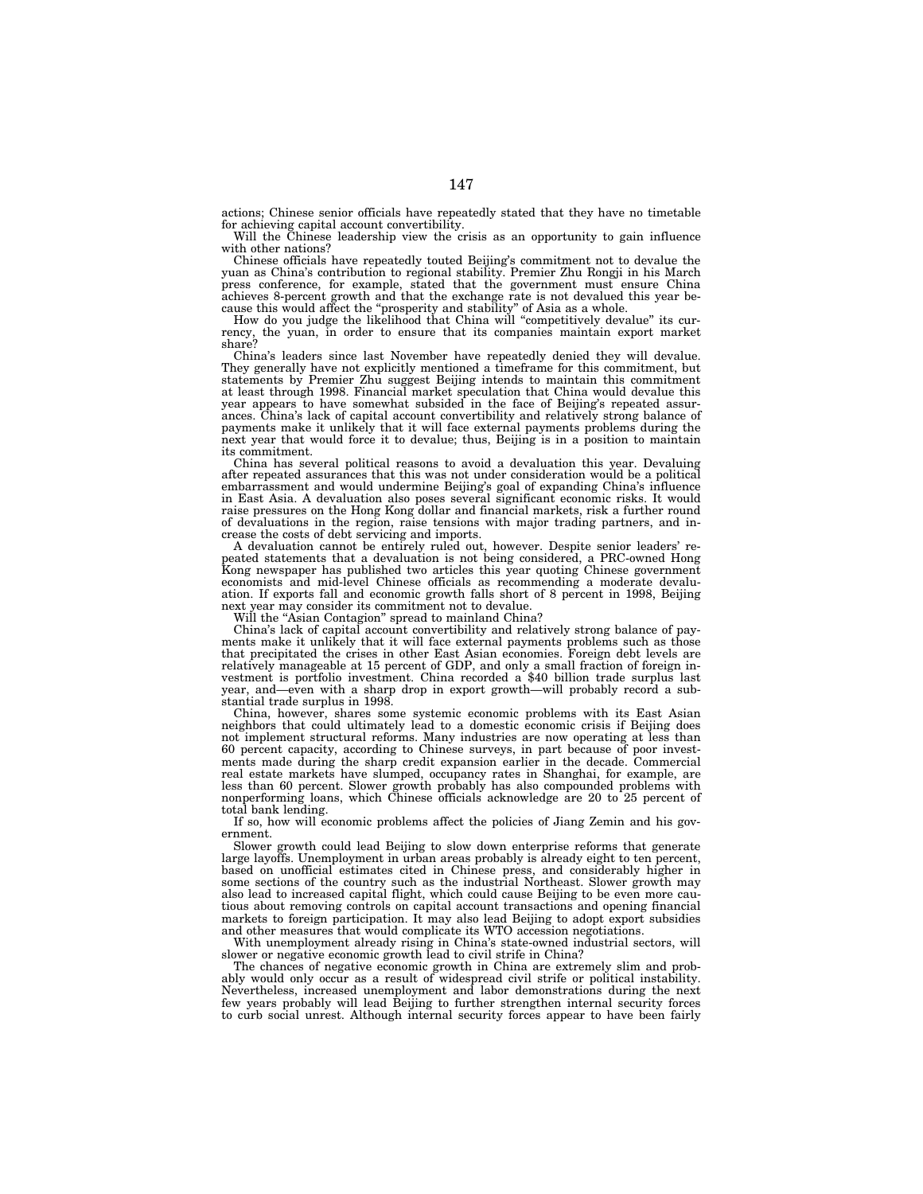actions; Chinese senior officials have repeatedly stated that they have no timetable for achieving capital account convertibility.

Will the Chinese leadership view the crisis as an opportunity to gain influence with other nations?

Chinese officials have repeatedly touted Beijing's commitment not to devalue the yuan as China's contribution to regional stability. Premier Zhu Rongji in his March press conference, for example, stated that the government must ensure China achieves 8-percent growth and that the exchange rate is not devalued this year be-<br>cause this would affect the "prosperity and stability" of Asia as a whole.<br>How do you judge the likelihood that China will "competitively d

rency, the yuan, in order to ensure that its companies maintain export market share?

China's leaders since last November have repeatedly denied they will devalue. They generally have not explicitly mentioned a timeframe for this commitment, but statements by Premier Zhu suggest Beijing intends to maintain this commitment at least through 1998. Financial market speculation that China would devalue this year appears to have somewhat subsided in the face of Beijing's repeated assurances. China's lack of capital account convertibility and relatively strong balance of payments make it unlikely that it will face external payments problems during the next year that would force it to devalue; thus, Beijing is in a position to maintain its commitment.

China has several political reasons to avoid a devaluation this year. Devaluing after repeated assurances that this was not under consideration would be a political embarrassment and would undermine Beijing's goal of expanding China's influence in East Asia. A devaluation also poses several significant economic risks. It would raise pressures on the Hong Kong dollar and financial markets, risk a further round of devaluations in the region, raise tensions with major trading partners, and increase the costs of debt servicing and imports.

A devaluation cannot be entirely ruled out, however. Despite senior leaders' repeated statements that a devaluation is not being considered, a PRC-owned Hong Kong newspaper has published two articles this year quoting Chinese government economists and mid-level Chinese officials as recommending a moderate devalu-ation. If exports fall and economic growth falls short of 8 percent in 1998, Beijing next year may consider its commitment not to devalue.

Will the "Asian Contagion" spread to mainland China?

China's lack of capital account convertibility and relatively strong balance of payments make it unlikely that it will face external payments problems such as those that precipitated the crises in other East Asian economies. Foreign debt levels are relatively manageable at 15 percent of GDP, and only a small fraction of foreign investment is portfolio investment. China recorded a \$40 billion trade surplus last year, and—even with a sharp drop in export growth—will probably record a substantial trade surplus in 1998.

China, however, shares some systemic economic problems with its East Asian neighbors that could ultimately lead to a domestic economic crisis if Beijing does not implement structural reforms. Many industries are now operating at less than 60 percent capacity, according to Chinese surveys, in part because of poor investments made during the sharp credit expansion earlier in the decade. Commercial real estate markets have slumped, occupancy rates in Shanghai, for example, are less than 60 percent. Slower growth probably has also compounded problems with nonperforming loans, which Chinese officials acknowledge are 20 to 25 percent of total bank lending.

If so, how will economic problems affect the policies of Jiang Zemin and his government.

Slower growth could lead Beijing to slow down enterprise reforms that generate large layoffs. Unemployment in urban areas probably is already eight to ten percent, based on unofficial estimates cited in Chinese press, and considerably higher in some sections of the country such as the industrial Northeast. Slower growth may also lead to increased capital flight, which could cause Beijing to be even more cautious about removing controls on capital account transactions and opening financial markets to foreign participation. It may also lead Beijing to adopt export subsidies and other measures that would complicate its WTO accession negotiations.

With unemployment already rising in China's state-owned industrial sectors, will slower or negative economic growth lead to civil strife in China?

The chances of negative economic growth in China are extremely slim and probably would only occur as a result of widespread civil strife or political instability. Nevertheless, increased unemployment and labor demonstrations during the next few years probably will lead Beijing to further strengthen internal security forces to curb social unrest. Although internal security forces appear to have been fairly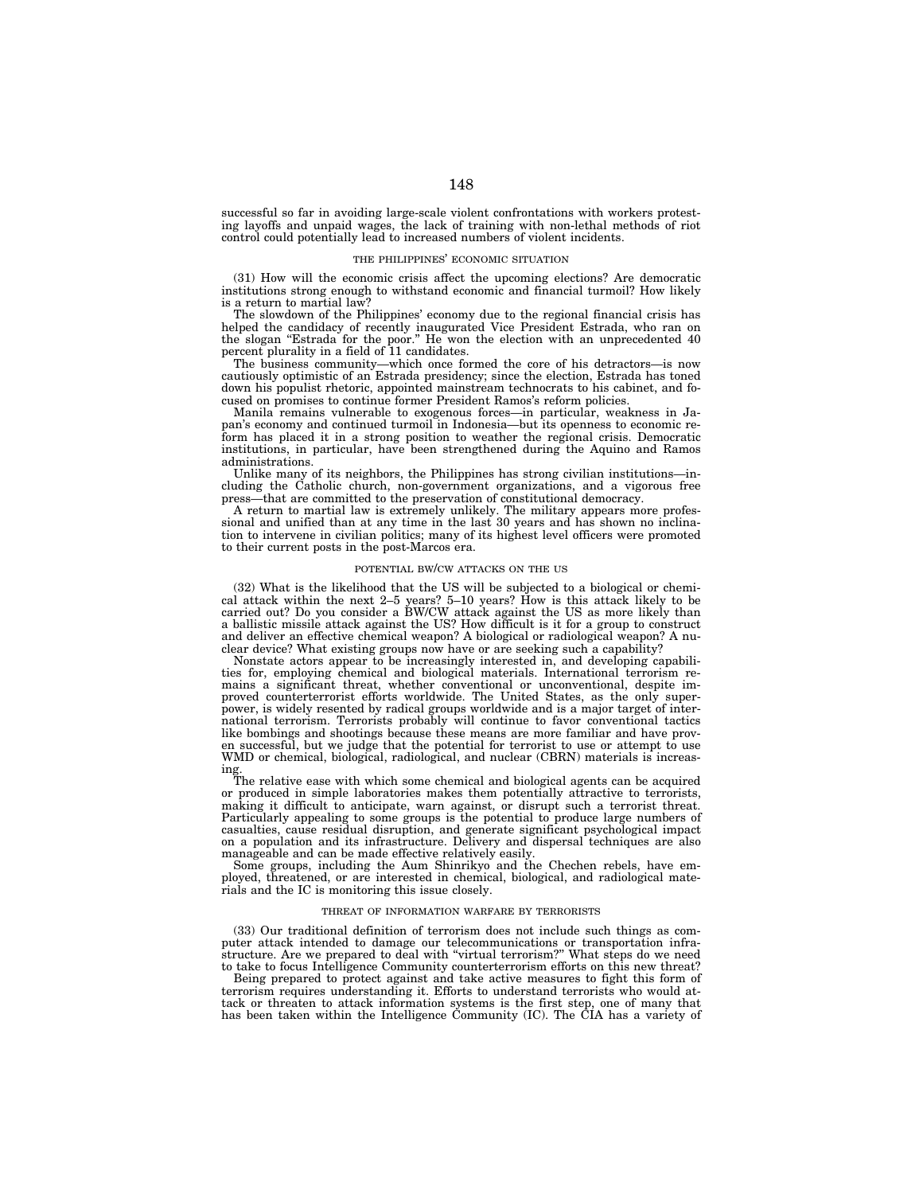successful so far in avoiding large-scale violent confrontations with workers protesting layoffs and unpaid wages, the lack of training with non-lethal methods of riot control could potentially lead to increased numbers of violent incidents.

# THE PHILIPPINES' ECONOMIC SITUATION

(31) How will the economic crisis affect the upcoming elections? Are democratic institutions strong enough to withstand economic and financial turmoil? How likely is a return to martial law?

The slowdown of the Philippines' economy due to the regional financial crisis has helped the candidacy of recently inaugurated Vice President Estrada, who ran on the slogan ''Estrada for the poor.'' He won the election with an unprecedented 40 percent plurality in a field of 11 candidates.

The business community—which once formed the core of his detractors—is now cautiously optimistic of an Estrada presidency; since the election, Estrada has toned down his populist rhetoric, appointed mainstream technocrats to his cabinet, and focused on promises to continue former President Ramos's reform policies.

Manila remains vulnerable to exogenous forces—in particular, weakness in Japan's economy and continued turmoil in Indonesia—but its openness to economic reform has placed it in a strong position to weather the regional crisis. Democratic institutions, in particular, have been strengthened during the Aquino and Ramos administrations.

Unlike many of its neighbors, the Philippines has strong civilian institutions—including the Catholic church, non-government organizations, and a vigorous free press—that are committed to the preservation of constitutional democracy.

A return to martial law is extremely unlikely. The military appears more professional and unified than at any time in the last 30 years and has shown no inclination to intervene in civilian politics; many of its highest level officers were promoted to their current posts in the post-Marcos era.

# POTENTIAL BW/CW ATTACKS ON THE US

(32) What is the likelihood that the US will be subjected to a biological or chemical attack within the next 2–5 years? 5–10 years? How is this attack likely to be carried out? Do you consider a BW/CW attack against the US as more likely than a ballistic missile attack against the US? How difficult is it for a group to construct and deliver an effective chemical weapon? A biological or radiological weapon? A nuclear device? What existing groups now have or are seeking such a capability?

Nonstate actors appear to be increasingly interested in, and developing capabilities for, employing chemical and biological materials. International terrorism remains a significant threat, whether conventional or unconventional, despite improved counterterrorist efforts worldwide. The United States, as the only superpower, is widely resented by radical groups worldwide and is a major target of international terrorism. Terrorists probably will continue to favor conventional tactics like bombings and shootings because these means are more familiar and have proven successful, but we judge that the potential for terrorist to use or attempt to use WMD or chemical, biological, radiological, and nuclear (CBRN) materials is increasing.

The relative ease with which some chemical and biological agents can be acquired or produced in simple laboratories makes them potentially attractive to terrorists, making it difficult to anticipate, warn against, or disrupt such a terrorist threat. making it difficult to anticipate, warn against, or disrupt such a terrorist threat.<br>Particularly appealing to some groups is the potential to produce large numbers of casualties, cause residual disruption, and generate significant psychological impact on a population and its infrastructure. Delivery and dispersal techniques are also manageable and can be made effective relatively easily.

Some groups, including the Aum Shinrikyo and the Chechen rebels, have employed, threatened, or are interested in chemical, biological, and radiological materials and the IC is monitoring this issue closely.

# THREAT OF INFORMATION WARFARE BY TERRORISTS

(33) Our traditional definition of terrorism does not include such things as computer attack intended to damage our telecommunications or transportation infrastructure. Are we prepared to deal with ''virtual terrorism?'' What steps do we need to take to focus Intelligence Community counterterrorism efforts on this new threat?

Being prepared to protect against and take active measures to fight this form of terrorism requires understanding it. Efforts to understand terrorists who would attack or threaten to attack information systems is the first step, one of many that has been taken within the Intelligence Community (IC). The CIA has a variety of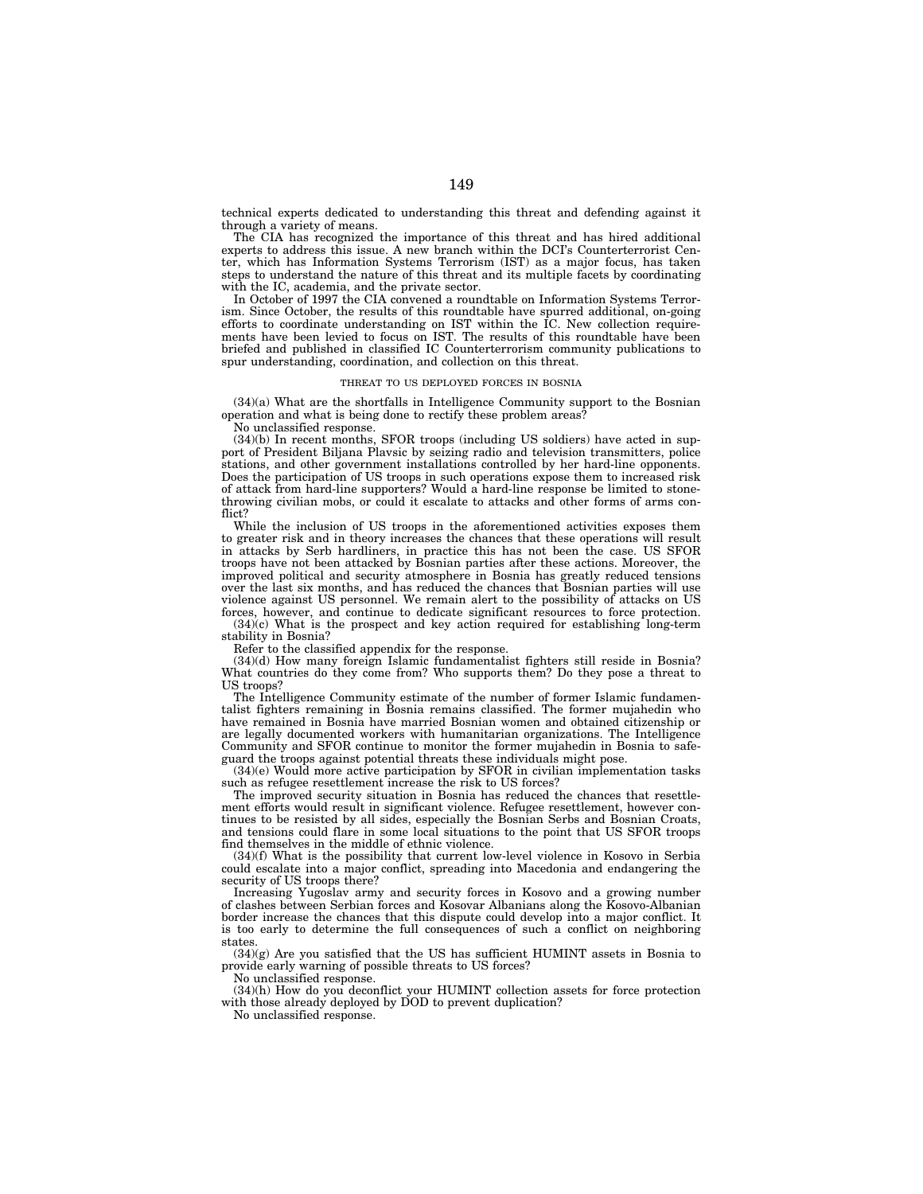technical experts dedicated to understanding this threat and defending against it through a variety of means.

The CIA has recognized the importance of this threat and has hired additional experts to address this issue. A new branch within the DCI's Counterterrorist Center, which has Information Systems Terrorism (IST) as a major focus, has taken steps to understand the nature of this threat and its multiple facets by coordinating with the IC, academia, and the private sector.

In October of 1997 the CIA convened a roundtable on Information Systems Terrorism. Since October, the results of this roundtable have spurred additional, on-going efforts to coordinate understanding on IST within the IC. New collection requirements have been levied to focus on IST. The results of this roundtable have been briefed and published in classified IC Counterterrorism community publications to spur understanding, coordination, and collection on this threat.

#### THREAT TO US DEPLOYED FORCES IN BOSNIA

(34)(a) What are the shortfalls in Intelligence Community support to the Bosnian operation and what is being done to rectify these problem areas?

No unclassified response.

(34)(b) In recent months, SFOR troops (including US soldiers) have acted in support of President Biljana Plavsic by seizing radio and television transmitters, police stations, and other government installations controlled by her hard-line opponents. Does the participation of US troops in such operations expose them to increased risk of attack from hard-line supporters? Would a hard-line response be limited to stonethrowing civilian mobs, or could it escalate to attacks and other forms of arms conflict?

While the inclusion of US troops in the aforementioned activities exposes them to greater risk and in theory increases the chances that these operations will result in attacks by Serb hardliners, in practice this has not been the case. US SFOR troops have not been attacked by Bosnian parties after these actions. Moreover, the improved political and security atmosphere in Bosnia has greatly reduced tensions over the last six months, and has reduced the chances that Bosnian parties will use violence against US personnel. We remain alert to the possibility of attacks on US forces, however, and continue to dedicate significant resources to force protection.

 $(34)(c)$  What is the prospect and key action required for establishing long-term stability in Bosnia?

Refer to the classified appendix for the response.

(34)(d) How many foreign Islamic fundamentalist fighters still reside in Bosnia? What countries do they come from? Who supports them? Do they pose a threat to US troops?

The Intelligence Community estimate of the number of former Islamic fundamentalist fighters remaining in Bosnia remains classified. The former mujahedin who have remained in Bosnia have married Bosnian women and obtained citizenship or are legally documented workers with humanitarian organizations. The Intelligence Community and SFOR continue to monitor the former mujahedin in Bosnia to safeguard the troops against potential threats these individuals might pose.

(34)(e) Would more active participation by SFOR in civilian implementation tasks such as refugee resettlement increase the risk to US forces?

The improved security situation in Bosnia has reduced the chances that resettlement efforts would result in significant violence. Refugee resettlement, however continues to be resisted by all sides, especially the Bosnian Serbs and Bosnian Croats, and tensions could flare in some local situations to the point that US SFOR troops find themselves in the middle of ethnic violence.

(34)(f) What is the possibility that current low-level violence in Kosovo in Serbia could escalate into a major conflict, spreading into Macedonia and endangering the security of US troops there?

Increasing Yugoslav army and security forces in Kosovo and a growing number of clashes between Serbian forces and Kosovar Albanians along the Kosovo-Albanian border increase the chances that this dispute could develop into a major conflict. It is too early to determine the full consequences of such a conflict on neighboring states.

 $(34)(g)$  Are you satisfied that the US has sufficient HUMINT assets in Bosnia to provide early warning of possible threats to US forces?

No unclassified response.

(34)(h) How do you deconflict your HUMINT collection assets for force protection with those already deployed by DOD to prevent duplication?

No unclassified response.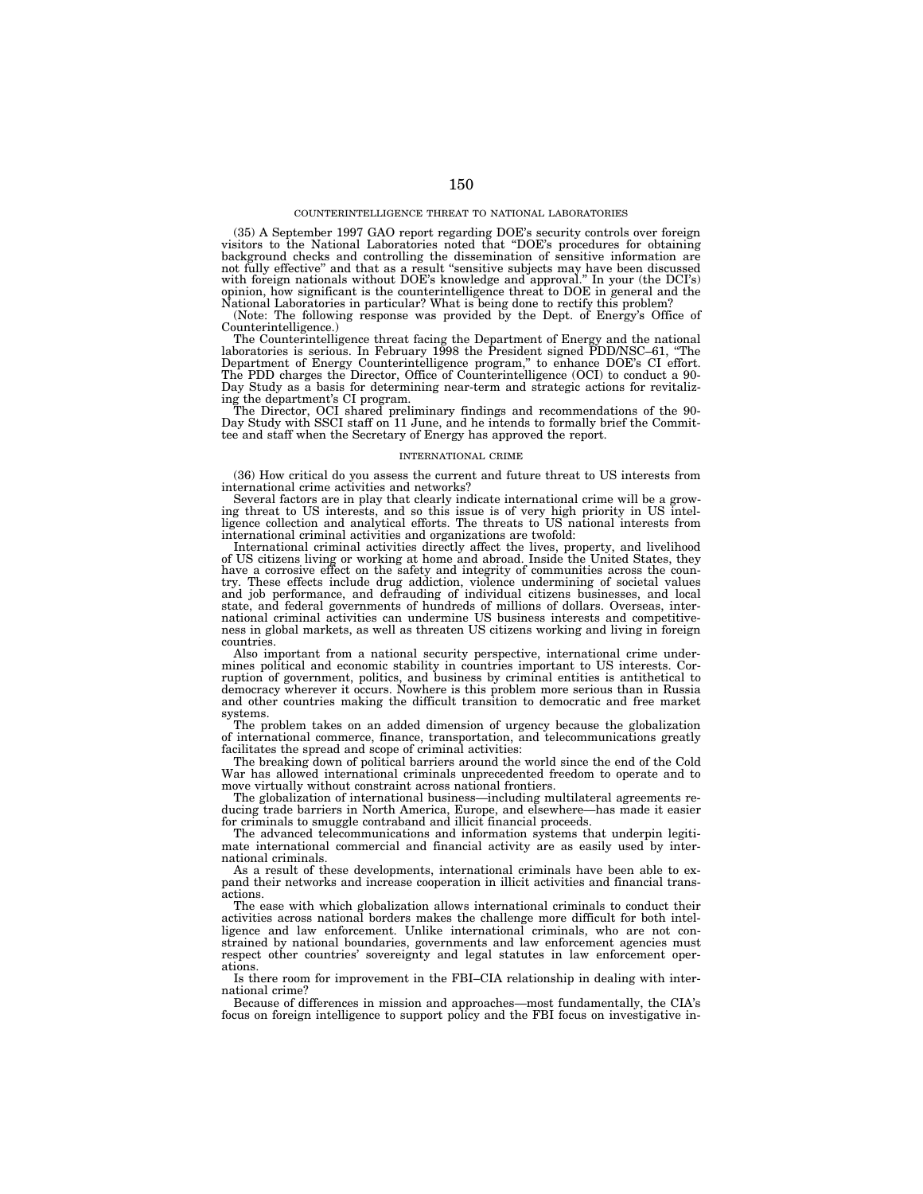### COUNTERINTELLIGENCE THREAT TO NATIONAL LABORATORIES

(35) A September 1997 GAO report regarding DOE's security controls over foreign visitors to the National Laboratories noted that "DOE's procedures for obtaining background checks and controlling the dissemination of sensitive information are not fully effective" and that as a result "sensitive subject

(Note: The following response was provided by the Dept. of Energy's Office of Counterintelligence.)

The Counterintelligence threat facing the Department of Energy and the national<br>laboratories is serious. In February 1998 the President signed PDD/NSC–61, "The<br>Department of Energy Counterintelligence program," to enhance Day Study as a basis for determining near-term and strategic actions for revitaliz-

ing the department's CI program. The Director, OCI shared preliminary findings and recommendations of the 90- Day Study with SSCI staff on 11 June, and he intends to formally brief the Commit-tee and staff when the Secretary of Energy has approved the report.

## INTERNATIONAL CRIME

(36) How critical do you assess the current and future threat to US interests from international crime activities and networks?

Several factors are in play that clearly indicate international crime will be a growing threat to US interests, and so this issue is of very high priority in US intel-ligence collection and analytical efforts. The threats to US national interests from international criminal activities and organizations are twofold:

International criminal activities directly affect the lives, property, and livelihood of US citizens living or working at home and abroad. Inside the United States, they have a corrosive effect on the safety and integrity of communities across the country. These effects include drug addiction, violence undermining of societal values and job performance, and defrauding of individual citizens businesses, and local state, and federal governments of hundreds of millions of dollars. Overseas, inter-national criminal activities can undermine US business interests and competitiveness in global markets, as well as threaten US citizens working and living in foreign countries.

Also important from a national security perspective, international crime under-mines political and economic stability in countries important to US interests. Corruption of government, politics, and business by criminal entities is antithetical to democracy wherever it occurs. Nowhere is this problem more serious than in Russia and other countries making the difficult transition to democratic and free market systems.

The problem takes on an added dimension of urgency because the globalization of international commerce, finance, transportation, and telecommunications greatly facilitates the spread and scope of criminal activities:

The breaking down of political barriers around the world since the end of the Cold War has allowed international criminals unprecedented freedom to operate and to move virtually without constraint across national frontiers.

The globalization of international business—including multilateral agreements reducing trade barriers in North America, Europe, and elsewhere—has made it easier for criminals to smuggle contraband and illicit financial proceeds.

The advanced telecommunications and information systems that underpin legitimate international commercial and financial activity are as easily used by international criminals.

As a result of these developments, international criminals have been able to expand their networks and increase cooperation in illicit activities and financial transactions.

The ease with which globalization allows international criminals to conduct their activities across national borders makes the challenge more difficult for both intelligence and law enforcement. Unlike international criminals, who are not constrained by national boundaries, governments and law enforcement agencies must respect other countries' sovereignty and legal statutes in law enforcement operations.

Is there room for improvement in the FBI–CIA relationship in dealing with international crime?

Because of differences in mission and approaches—most fundamentally, the CIA's focus on foreign intelligence to support policy and the FBI focus on investigative in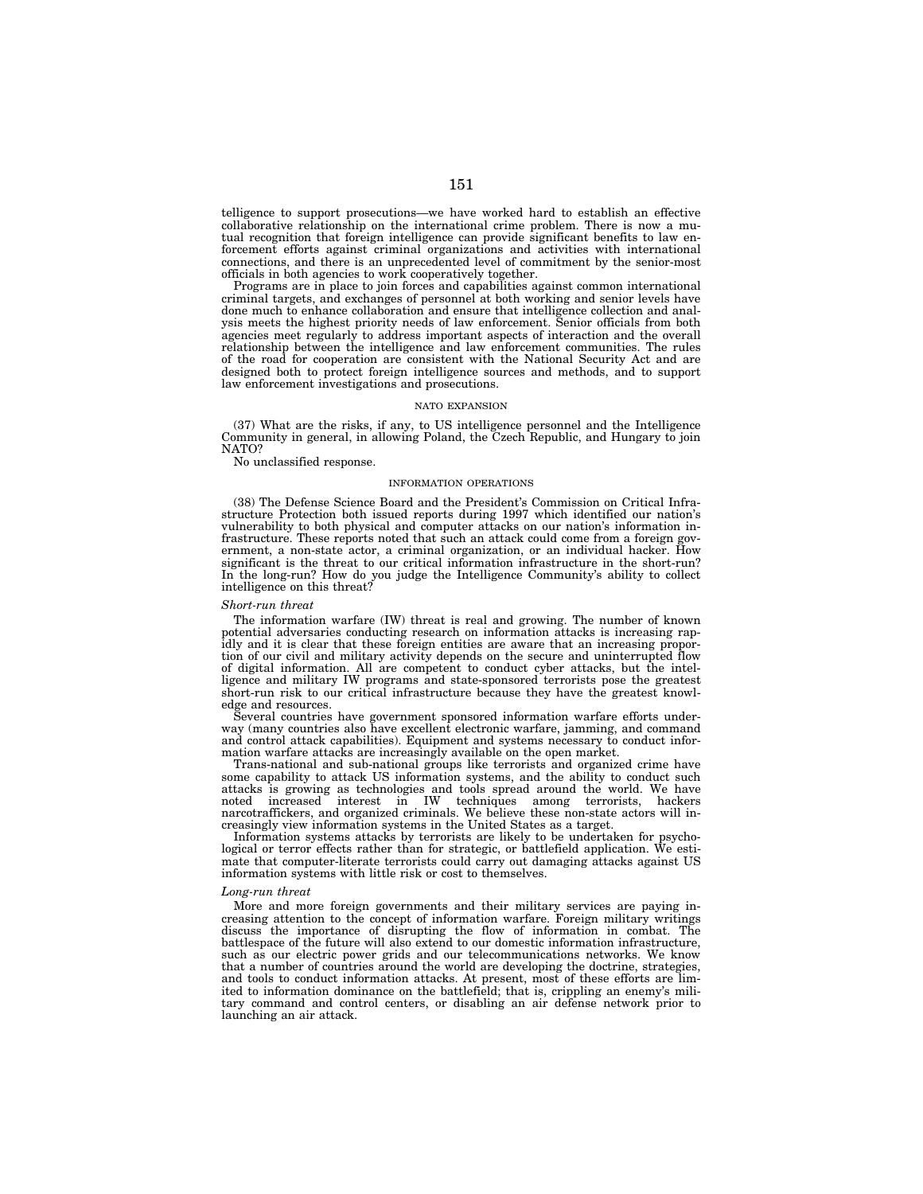telligence to support prosecutions—we have worked hard to establish an effective collaborative relationship on the international crime problem. There is now a mutual recognition that foreign intelligence can provide significant benefits to law enforcement efforts against criminal organizations and activities with international connections, and there is an unprecedented level of commitment by the senior-most officials in both agencies to work cooperatively together.

Programs are in place to join forces and capabilities against common international criminal targets, and exchanges of personnel at both working and senior levels have done much to enhance collaboration and ensure that intelligence collection and analysis meets the highest priority needs of law enforcement. Senior officials from both agencies meet regularly to address important aspects of interaction and the overall relationship between the intelligence and law enforcement communities. The rules of the road for cooperation are consistent with the National Security Act and are designed both to protect foreign intelligence sources and methods, and to support law enforcement investigations and prosecutions.

#### NATO EXPANSION

(37) What are the risks, if any, to US intelligence personnel and the Intelligence Community in general, in allowing Poland, the Czech Republic, and Hungary to join NATO?

No unclassified response.

#### INFORMATION OPERATIONS

(38) The Defense Science Board and the President's Commission on Critical Infrastructure Protection both issued reports during 1997 which identified our nation's vulnerability to both physical and computer attacks on our nation's information infrastructure. These reports noted that such an attack could come from a foreign government, a non-state actor, a criminal organization, or an individual hacker. How significant is the threat to our critical information infrastructure in the short-run? In the long-run? How do you judge the Intelligence Community's ability to collect intelligence on this threat?

## *Short-run threat*

The information warfare (IW) threat is real and growing. The number of known potential adversaries conducting research on information attacks is increasing rapidly and it is clear that these foreign entities are aware that an increasing proportion of our civil and military activity depends on the secure and uninterrupted flow of digital information. All are competent to conduct cyber attacks, but the intelligence and military IW programs and state-sponsored terrorists pose the greatest short-run risk to our critical infrastructure because they have the greatest knowledge and resources.

Several countries have government sponsored information warfare efforts underway (many countries also have excellent electronic warfare, jamming, and command and control attack capabilities). Equipment and systems necessary to conduct information warfare attacks are increasingly available on the open market.

Trans-national and sub-national groups like terrorists and organized crime have some capability to attack US information systems, and the ability to conduct such attacks is growing as technologies and tools spread around the world. We have noted increased interest in IW techniques among terrorists, hackers narcotraffickers, and organized criminals. We believe these non-state actors will increasingly view information systems in the United States as a target.

Information systems attacks by terrorists are likely to be undertaken for psychological or terror effects rather than for strategic, or battlefield application. We estimate that computer-literate terrorists could carry out damaging attacks against US information systems with little risk or cost to themselves.

#### *Long-run threat*

More and more foreign governments and their military services are paying increasing attention to the concept of information warfare. Foreign military writings discuss the importance of disrupting the flow of information in combat. The battlespace of the future will also extend to our domestic information infrastructure, such as our electric power grids and our telecommunications networks. We know that a number of countries around the world are developing the doctrine, strategies, and tools to conduct information attacks. At present, most of these efforts are limited to information dominance on the battlefield; that is, crippling an enemy's military command and control centers, or disabling an air defense network prior to launching an air attack.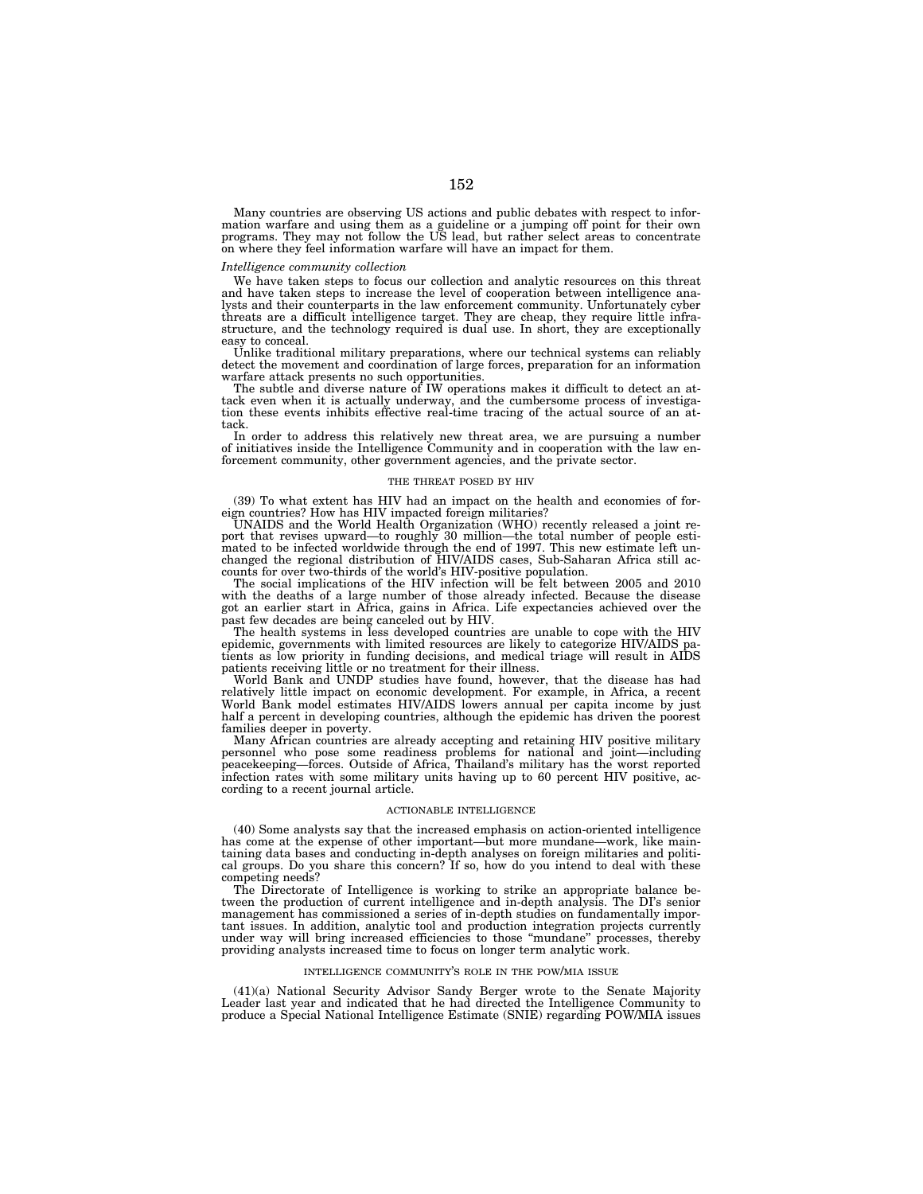Many countries are observing US actions and public debates with respect to information warfare and using them as a guideline or a jumping off point for their own programs. They may not follow the US lead, but rather select areas to concentrate on where they feel information warfare will have an impact for them.

# *Intelligence community collection*

We have taken steps to focus our collection and analytic resources on this threat and have taken steps to increase the level of cooperation between intelligence analysts and their counterparts in the law enforcement community. Unfortunately cyber threats are a difficult intelligence target. They are cheap, they require little infrastructure, and the technology required is dual use. In short, they are exceptionally easy to conceal.

Unlike traditional military preparations, where our technical systems can reliably detect the movement and coordination of large forces, preparation for an information

warfare attack presents no such opportunities. The subtle and diverse nature of IW operations makes it difficult to detect an attack even when it is actually underway, and the cumbersome process of investigation these events inhibits effective real-time tracing of the actual source of an attack.

In order to address this relatively new threat area, we are pursuing a number of initiatives inside the Intelligence Community and in cooperation with the law enforcement community, other government agencies, and the private sector.

#### THE THREAT POSED BY HIV

(39) To what extent has HIV had an impact on the health and economies of foreign countries? How has HIV impacted foreign militaries?

UNAIDS and the World Health Organization (WHO) recently released a joint report that revises upward—to roughly 30 million—the total number of people estimated to be infected worldwide through the end of 1997. This new estimate left un-changed the regional distribution of HIV/AIDS cases, Sub-Saharan Africa still accounts for over two-thirds of the world's HIV-positive population.

The social implications of the HIV infection will be felt between 2005 and 2010 with the deaths of a large number of those already infected. Because the disease got an earlier start in Africa, gains in Africa. Life expectancies achieved over the past few decades are being canceled out by HIV.

The health systems in less developed countries are unable to cope with the HIV epidemic, governments with limited resources are likely to categorize HIV/AIDS patients as low priority in funding decisions, and medical triage will result in AIDS patients receiving little or no treatment for their illness.

World Bank and UNDP studies have found, however, that the disease has had relatively little impact on economic development. For example, in Africa, a recent World Bank model estimates HIV/AIDS lowers annual per capita income by just half a percent in developing countries, although the epidemic has driven the poorest families deeper in poverty.

Many African countries are already accepting and retaining HIV positive military personnel who pose some readiness problems for national and joint—including peacekeeping—forces. Outside of Africa, Thailand's military has the worst reported infection rates with some military units having up to 60 percent HIV positive, according to a recent journal article.

### ACTIONABLE INTELLIGENCE

(40) Some analysts say that the increased emphasis on action-oriented intelligence has come at the expense of other important—but more mundane—work, like maintaining data bases and conducting in-depth analyses on foreign militaries and political groups. Do you share this concern? If so, how do you intend to deal with these competing needs?

The Directorate of Intelligence is working to strike an appropriate balance between the production of current intelligence and in-depth analysis. The DI's senior management has commissioned a series of in-depth studies on fundamentally important issues. In addition, analytic tool and production integration projects currently under way will bring increased efficiencies to those ''mundane'' processes, thereby providing analysts increased time to focus on longer term analytic work.

# INTELLIGENCE COMMUNITY'S ROLE IN THE POW/MIA ISSUE

(41)(a) National Security Advisor Sandy Berger wrote to the Senate Majority Leader last year and indicated that he had directed the Intelligence Community to produce a Special National Intelligence Estimate (SNIE) regarding POW/MIA issues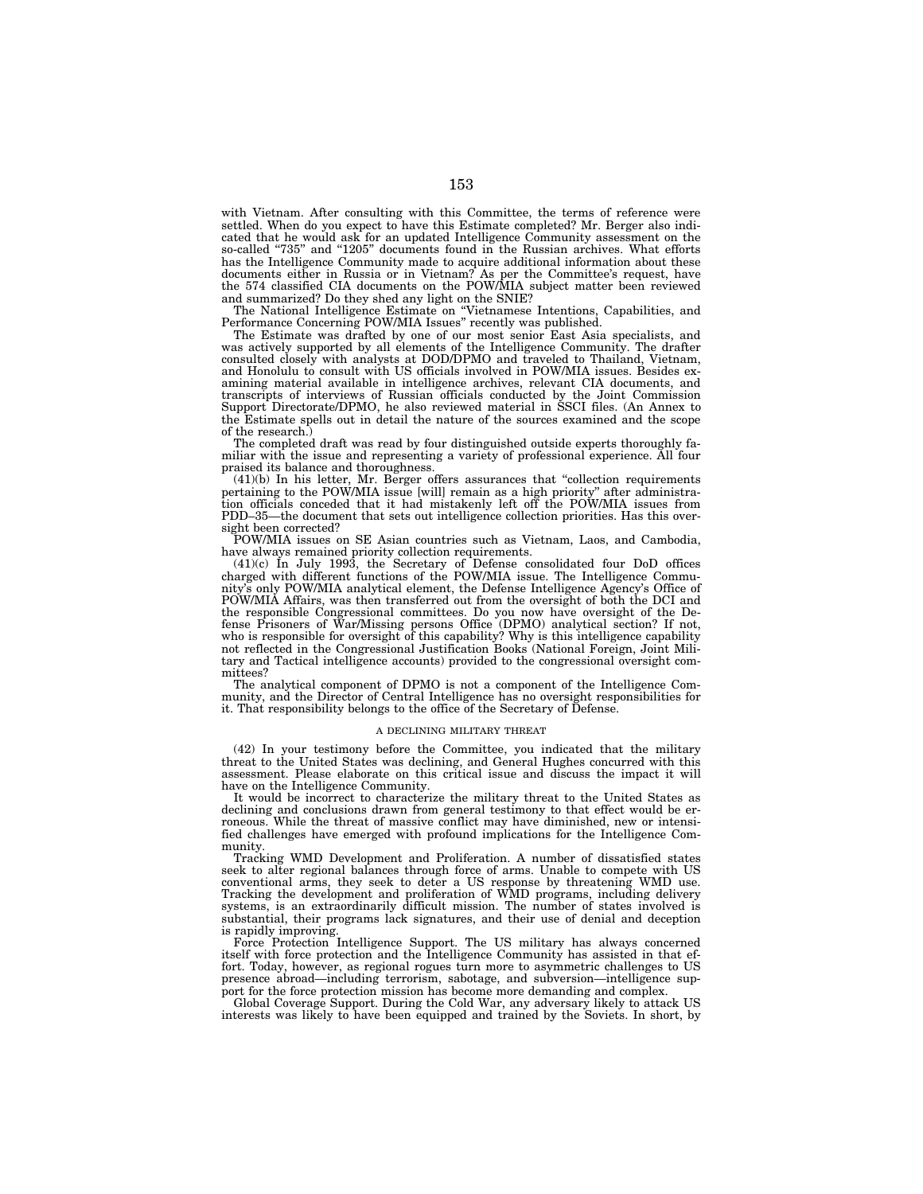with Vietnam. After consulting with this Committee, the terms of reference were settled. When do you expect to have this Estimate completed? Mr. Berger also indicated that he would ask for an updated Intelligence Community assessment on the so-called ''735'' and ''1205'' documents found in the Russian archives. What efforts has the Intelligence Community made to acquire additional information about these documents either in Russia or in Vietnam? As per the Committee's request, have the 574 classified CIA documents on the POW/MIA subject matter been reviewed and summarized? Do they shed any light on the SNIE?

The National Intelligence Estimate on ''Vietnamese Intentions, Capabilities, and Performance Concerning POW/MIA Issues'' recently was published.

The Estimate was drafted by one of our most senior East Asia specialists, and was actively supported by all elements of the Intelligence Community. The drafter consulted closely with analysts at DOD/DPMO and traveled to Thailand, Vietnam, and Honolulu to consult with US officials involved in POW/MIA issues. Besides examining material available in intelligence archives, relevant CIA documents, and transcripts of interviews of Russian officials conducted by the Joint Commission Support Directorate/DPMO, he also reviewed material in SSCI files. (An Annex to the Estimate spells out in detail the nature of the sources examined and the scope of the research.)

The completed draft was read by four distinguished outside experts thoroughly familiar with the issue and representing a variety of professional experience. All four praised its balance and thoroughness.

(41)(b) In his letter, Mr. Berger offers assurances that ''collection requirements pertaining to the POW/MIA issue [will] remain as a high priority'' after administration officials conceded that it had mistakenly left off the POW/MIA issues from PDD–35—the document that sets out intelligence collection priorities. Has this oversight been corrected?

POW/MIA issues on SE Asian countries such as Vietnam, Laos, and Cambodia, have always remained priority collection requirements.

(41)(c) In July 1993, the Secretary of Defense consolidated four DoD offices charged with different functions of the POW/MIA issue. The Intelligence Community's only POW/MIA analytical element, the Defense Intelligence Agency's Office of POW/MIA Affairs, was then transferred out from the oversight of both the DCI and the responsible Congressional committees. Do you now have oversight of the Defense Prisoners of War/Missing persons Office (DPMO) analytical section? If not, who is responsible for oversight of this capability? Why is this intelligence capability not reflected in the Congressional Justification Books (National Foreign, Joint Military and Tactical intelligence accounts) provided to the congressional oversight committees?

The analytical component of DPMO is not a component of the Intelligence Community, and the Director of Central Intelligence has no oversight responsibilities for it. That responsibility belongs to the office of the Secretary of Defense.

## A DECLINING MILITARY THREAT

(42) In your testimony before the Committee, you indicated that the military threat to the United States was declining, and General Hughes concurred with this assessment. Please elaborate on this critical issue and discuss the impact it will have on the Intelligence Community.

It would be incorrect to characterize the military threat to the United States as declining and conclusions drawn from general testimony to that effect would be erroneous. While the threat of massive conflict may have diminished, new or intensified challenges have emerged with profound implications for the Intelligence Community.

Tracking WMD Development and Proliferation. A number of dissatisfied states seek to alter regional balances through force of arms. Unable to compete with US conventional arms, they seek to deter a US response by threatening WMD use. Tracking the development and proliferation of WMD programs, including delivery systems, is an extraordinarily difficult mission. The number of states involved is substantial, their programs lack signatures, and their use of denial and deception is rapidly improving.

Force Protection Intelligence Support. The US military has always concerned itself with force protection and the Intelligence Community has assisted in that effort. Today, however, as regional rogues turn more to asymmetric challenges to US presence abroad—including terrorism, sabotage, and subversion—intelligence support for the force protection mission has become more demanding and complex.

Global Coverage Support. During the Cold War, any adversary likely to attack US interests was likely to have been equipped and trained by the Soviets. In short, by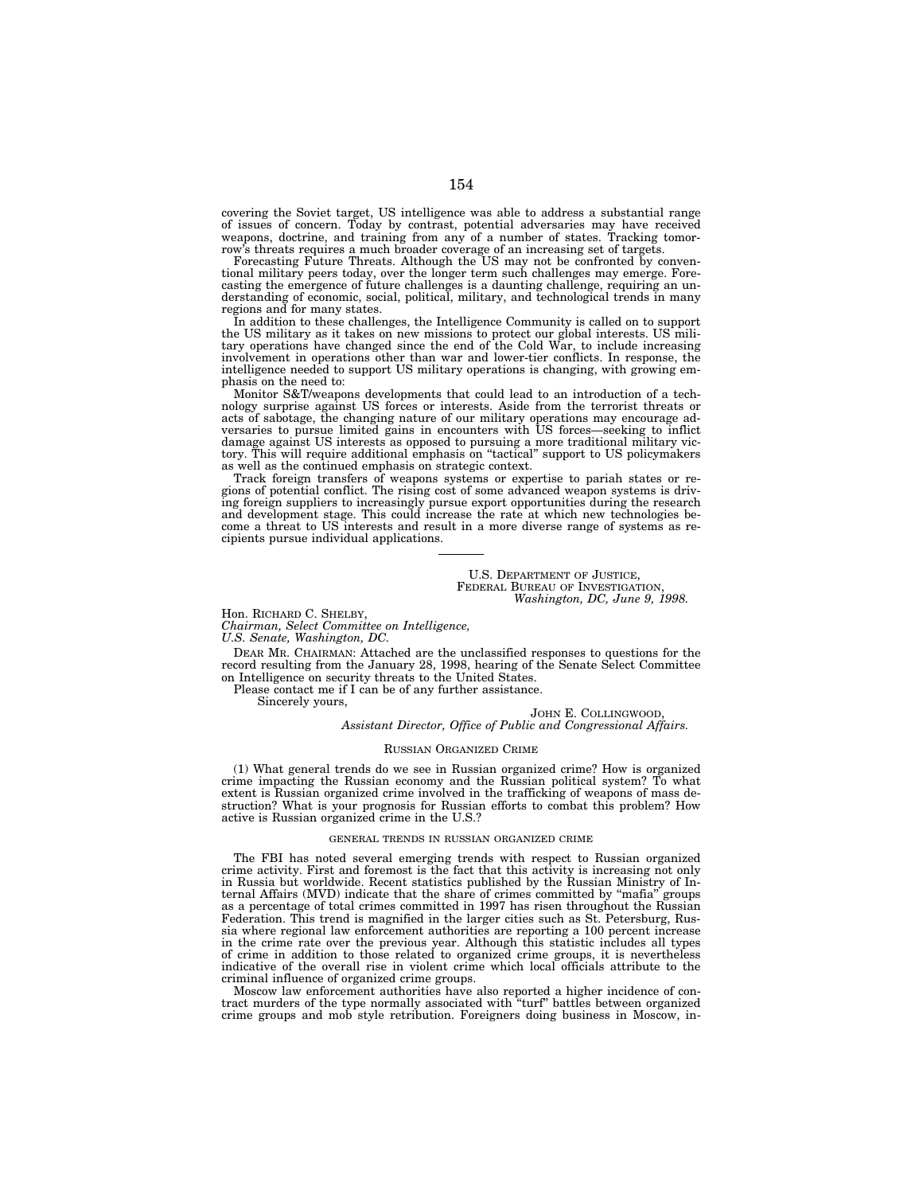covering the Soviet target, US intelligence was able to address a substantial range of issues of concern. Today by contrast, potential adversaries may have received weapons, doctrine, and training from any of a number of states. Tracking tomorrow's threats requires a much broader coverage of an increasing set of targets.

Forecasting Future Threats. Although the US may not be confronted by conventional military peers today, over the longer term such challenges may emerge. Forecasting the emergence of future challenges is a daunting challenge, requiring an understanding of economic, social, political, military, and technological trends in many regions and for many states.

In addition to these challenges, the Intelligence Community is called on to support the US military as it takes on new missions to protect our global interests. US military operations have changed since the end of the Cold War, to include increasing involvement in operations other than war and lower-tier conflicts. In response, the intelligence needed to support US military operations is changing, with growing emphasis on the need to:

Monitor S&T/weapons developments that could lead to an introduction of a technology surprise against US forces or interests. Aside from the terrorist threats or acts of sabotage, the changing nature of our military operations may encourage adversaries to pursue limited gains in encounters with US forces—seeking to inflict damage against US interests as opposed to pursuing a more traditional military victory. This will require additional emphasis on ''tactical'' support to US policymakers as well as the continued emphasis on strategic context.

Track foreign transfers of weapons systems or expertise to pariah states or regions of potential conflict. The rising cost of some advanced weapon systems is driving foreign suppliers to increasingly pursue export opportunities during the research and development stage. This could increase the rate at which new technologies become a threat to US interests and result in a more diverse range of systems as recipients pursue individual applications.

> U.S. DEPARTMENT OF JUSTICE, FEDERAL BUREAU OF INVESTIGATION, *Washington, DC, June 9, 1998.*

Hon. RICHARD C. SHELBY,

*Chairman, Select Committee on Intelligence,*

*U.S. Senate, Washington, DC.*

DEAR MR. CHAIRMAN: Attached are the unclassified responses to questions for the record resulting from the January 28, 1998, hearing of the Senate Select Committee on Intelligence on security threats to the United States.

Please contact me if I can be of any further assistance.

Sincerely yours,

JOHN E. COLLINGWOOD, *Assistant Director, Office of Public and Congressional Affairs.*

# RUSSIAN ORGANIZED CRIME

(1) What general trends do we see in Russian organized crime? How is organized crime impacting the Russian economy and the Russian political system? To what extent is Russian organized crime involved in the trafficking of weapons of mass destruction? What is your prognosis for Russian efforts to combat this problem? How active is Russian organized crime in the U.S.?

## GENERAL TRENDS IN RUSSIAN ORGANIZED CRIME

The FBI has noted several emerging trends with respect to Russian organized crime activity. First and foremost is the fact that this activity is increasing not only in Russia but worldwide. Recent statistics published by the Russian Ministry of Internal Affairs (MVD) indicate that the share of crimes committed by "mafia" groups as a percentage of total crimes committed in 1997 has risen throughout the Russian Federation. This trend is magnified in the larger cities such as St. Petersburg, Russia where regional law enforcement authorities are reporting a 100 percent increase in the crime rate over the previous year. Although this statistic includes all types of crime in addition to those related to organized crime groups, it is nevertheless indicative of the overall rise in violent crime which local officials attribute to the criminal influence of organized crime groups.

Moscow law enforcement authorities have also reported a higher incidence of contract murders of the type normally associated with ''turf'' battles between organized crime groups and mob style retribution. Foreigners doing business in Moscow, in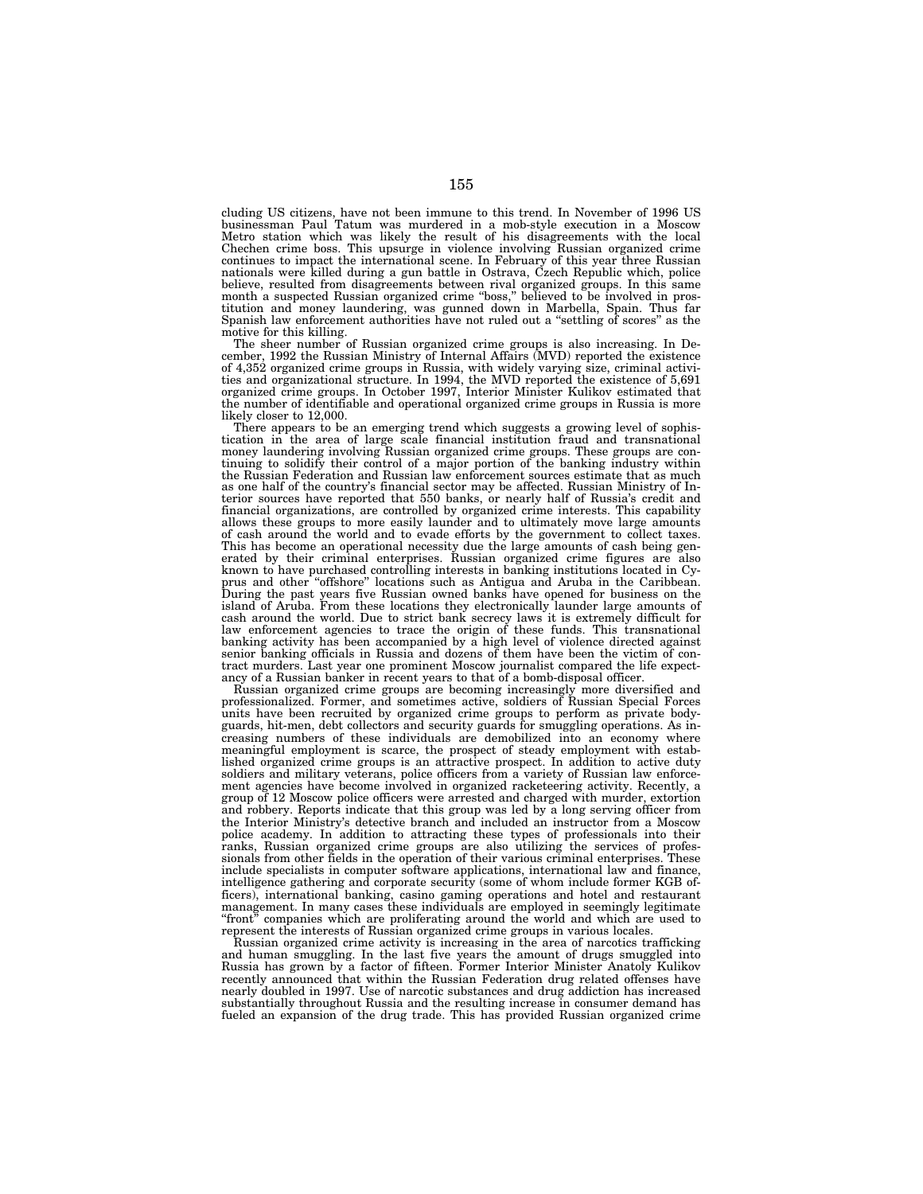cluding US citizens, have not been immune to this trend. In November of 1996 US businessman Paul Tatum was murdered in a mob-style execution in a Moscow Metro station which was likely the result of his disagreements with the local Chechen crime boss. This upsurge in violence involving Russian organized crime continues to impact the international scene. In February of this year three Russian nationals were killed during a gun battle in Ostrava, Czech Republic which, police believe, resulted from disagreements between rival organized groups. In this same month a suspected Russian organized crime ''boss,'' believed to be involved in pros-titution and money laundering, was gunned down in Marbella, Spain. Thus far Spanish law enforcement authorities have not ruled out a ''settling of scores'' as the motive for this killing.

The sheer number of Russian organized crime groups is also increasing. In De-cember, 1992 the Russian Ministry of Internal Affairs (MVD) reported the existence of 4,352 organized crime groups in Russia, with widely varying size, criminal activities and organizational structure. In 1994, the MVD reported the existence of 5,691 organized crime groups. In October 1997, Interior Minister Kulikov estimated that the number of identifiable and operational organized crime groups in Russia is more likely closer to 12,000.

There appears to be an emerging trend which suggests a growing level of sophistication in the area of large scale financial institution fraud and transnational money laundering involving Russian organized crime groups. These groups are con-tinuing to solidify their control of a major portion of the banking industry within the Russian Federation and Russian law enforcement sources estimate that as much as one half of the country's financial sector may be affected. Russian Ministry of Interior sources have reported that 550 banks, or nearly half of Russia's credit and financial organizations, are controlled by organized crime interests. This capability allows these groups to more easily launder and to ultimately move large amounts of cash around the world and to evade efforts by the government to collect taxes. This has become an operational necessity due the large amounts of cash being generated by their criminal enterprises. Russian organized crime figures are also known to have purchased controlling interests in banking institutions located in Cyprus and other ''offshore'' locations such as Antigua and Aruba in the Caribbean. During the past years five Russian owned banks have opened for business on the island of Aruba. From these locations they electronically launder large amounts of cash around the world. Due to strict bank secrecy laws it is extremely difficult for law enforcement agencies to trace the origin of these funds. This transnational banking activity has been accompanied by a high level of violence directed against senior banking officials in Russia and dozens of them have been the victim of contract murders. Last year one prominent Moscow journalist compared the life expectancy of a Russian banker in recent years to that of a bomb-disposal officer.

Russian organized crime groups are becoming increasingly more diversified and professionalized. Former, and sometimes active, soldiers of Russian Special Forces units have been recruited by organized crime groups to perform as private bodyguards, hit-men, debt collectors and security guards for smuggling operations. As increasing numbers of these individuals are demobilized into an economy where meaningful employment is scarce, the prospect of steady employment with established organized crime groups is an attractive prospect. In addition to active duty soldiers and military veterans, police officers from a variety of Russian law enforcement agencies have become involved in organized racketeering activity. Recently, a group of 12 Moscow police officers were arrested and charged with murder, extortion and robbery. Reports indicate that this group was led by a long serving officer from the Interior Ministry's detective branch and included an instructor from a Moscow police academy. In addition to attracting these types of professionals into their ranks, Russian organized crime groups are also utilizing the services of professionals from other fields in the operation of their various criminal enterprises. These include specialists in computer software applications, international law and finance, intelligence gathering and corporate security (some of whom include former KGB officers), international banking, casino gaming operations and hotel and restaurant management. In many cases these individuals are employed in seemingly legitimate  $\delta$  companies which are proliferating around the world and which are used to represent the interests of Russian organized crime groups in various locales.

Russian organized crime activity is increasing in the area of narcotics trafficking and human smuggling. In the last five years the amount of drugs smuggled into Russia has grown by a factor of fifteen. Former Interior Minister Anatoly Kulikov recently announced that within the Russian Federation drug related offenses have nearly doubled in 1997. Use of narcotic substances and drug addiction has increased substantially throughout Russia and the resulting increase in consumer demand has fueled an expansion of the drug trade. This has provided Russian organized crime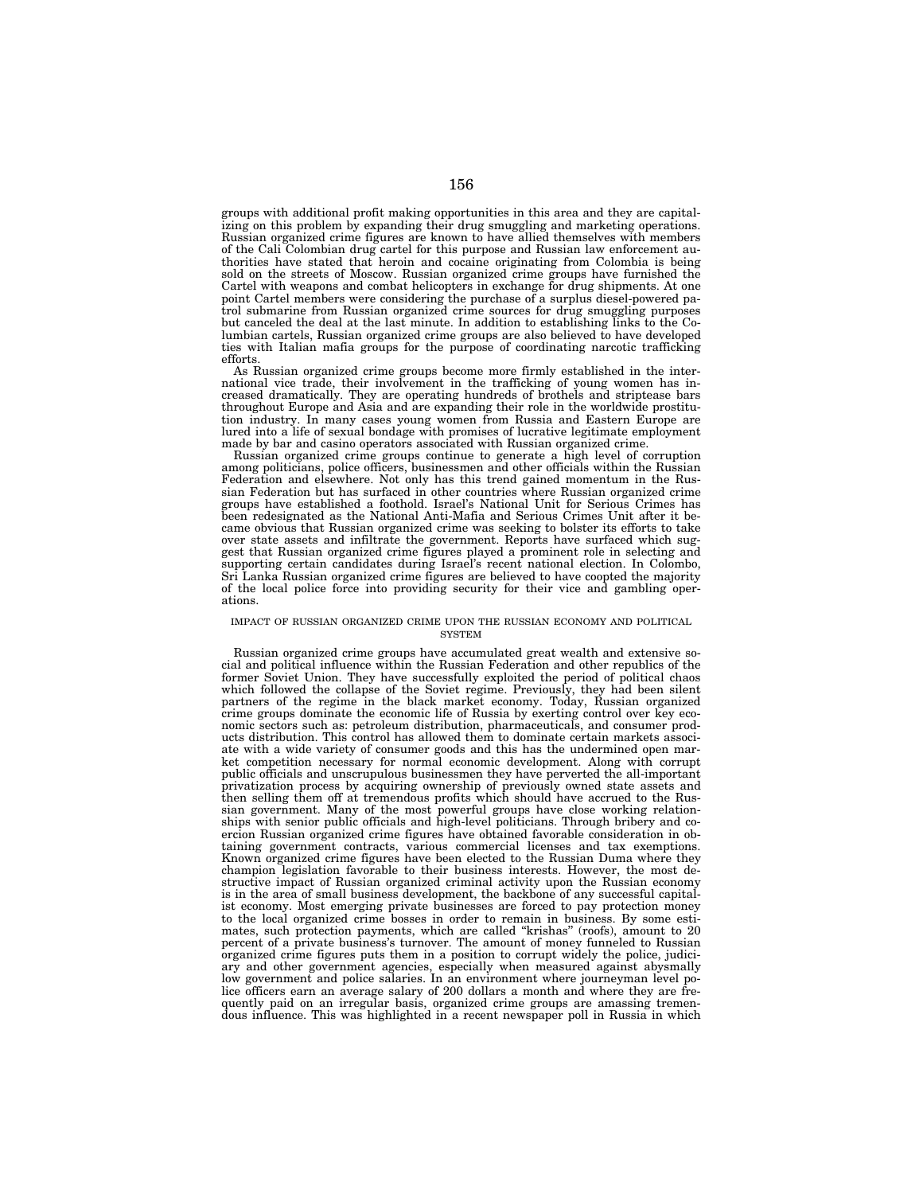groups with additional profit making opportunities in this area and they are capitalizing on this problem by expanding their drug smuggling and marketing operations. Russian organized crime figures are known to have allied themselves with members of the Cali Colombian drug cartel for this purpose and Russian law enforcement authorities have stated that heroin and cocaine originating from Colombia is being sold on the streets of Moscow. Russian organized crime groups have furnished the Cartel with weapons and combat helicopters in exchange for drug shipments. At one point Cartel members were considering the purchase of a surplus diesel-powered patrol submarine from Russian organized crime sources for drug smuggling purposes but canceled the deal at the last minute. In addition to establishing links to the Columbian cartels, Russian organized crime groups are also believed to have developed ties with Italian mafia groups for the purpose of coordinating narcotic trafficking efforts.

As Russian organized crime groups become more firmly established in the international vice trade, their involvement in the trafficking of young women has increased dramatically. They are operating hundreds of brothels and striptease bars throughout Europe and Asia and are expanding their role in the worldwide prostitution industry. In many cases young women from Russia and Eastern Europe are lured into a life of sexual bondage with promises of lucrative legitimate employment made by bar and casino operators associated with Russian organized crime.

Russian organized crime groups continue to generate a high level of corruption among politicians, police officers, businessmen and other officials within the Russian Federation and elsewhere. Not only has this trend gained momentum in the Russian Federation but has surfaced in other countries where Russian organized crime groups have established a foothold. Israel's National Unit for Serious Crimes has been redesignated as the National Anti-Mafia and Serious Crimes Unit after it became obvious that Russian organized crime was seeking to bolster its efforts to take over state assets and infiltrate the government. Reports have surfaced which suggest that Russian organized crime figures played a prominent role in selecting and supporting certain candidates during Israel's recent national election. In Colombo, Sri Lanka Russian organized crime figures are believed to have coopted the majority of the local police force into providing security for their vice and gambling operations.

### IMPACT OF RUSSIAN ORGANIZED CRIME UPON THE RUSSIAN ECONOMY AND POLITICAL **SYSTEM**

Russian organized crime groups have accumulated great wealth and extensive social and political influence within the Russian Federation and other republics of the former Soviet Union. They have successfully exploited the period of political chaos which followed the collapse of the Soviet regime. Previously, they had been silent partners of the regime in the black market economy. Today, Russian organized crime groups dominate the economic life of Russia by exerting control over key economic sectors such as: petroleum distribution, pharmaceuticals, and consumer products distribution. This control has allowed them to dominate certain markets associate with a wide variety of consumer goods and this has the undermined open market competition necessary for normal economic development. Along with corrupt public officials and unscrupulous businessmen they have perverted the all-important privatization process by acquiring ownership of previously owned state assets and then selling them off at tremendous profits which should have accrued to the Russian government. Many of the most powerful groups have close working relationships with senior public officials and high-level politicians. Through bribery and coercion Russian organized crime figures have obtained favorable consideration in obtaining government contracts, various commercial licenses and tax exemptions. Known organized crime figures have been elected to the Russian Duma where they champion legislation favorable to their business interests. However, the most destructive impact of Russian organized criminal activity upon the Russian economy is in the area of small business development, the backbone of any successful capitalist economy. Most emerging private businesses are forced to pay protection money to the local organized crime bosses in order to remain in business. By some estimates, such protection payments, which are called ''krishas'' (roofs), amount to 20 percent of a private business's turnover. The amount of money funneled to Russian organized crime figures puts them in a position to corrupt widely the police, judiciary and other government agencies, especially when measured against abysmally low government and police salaries. In an environment where journeyman level police officers earn an average salary of 200 dollars a month and where they are frequently paid on an irregular basis, organized crime groups are amassing tremen-dous influence. This was highlighted in a recent newspaper poll in Russia in which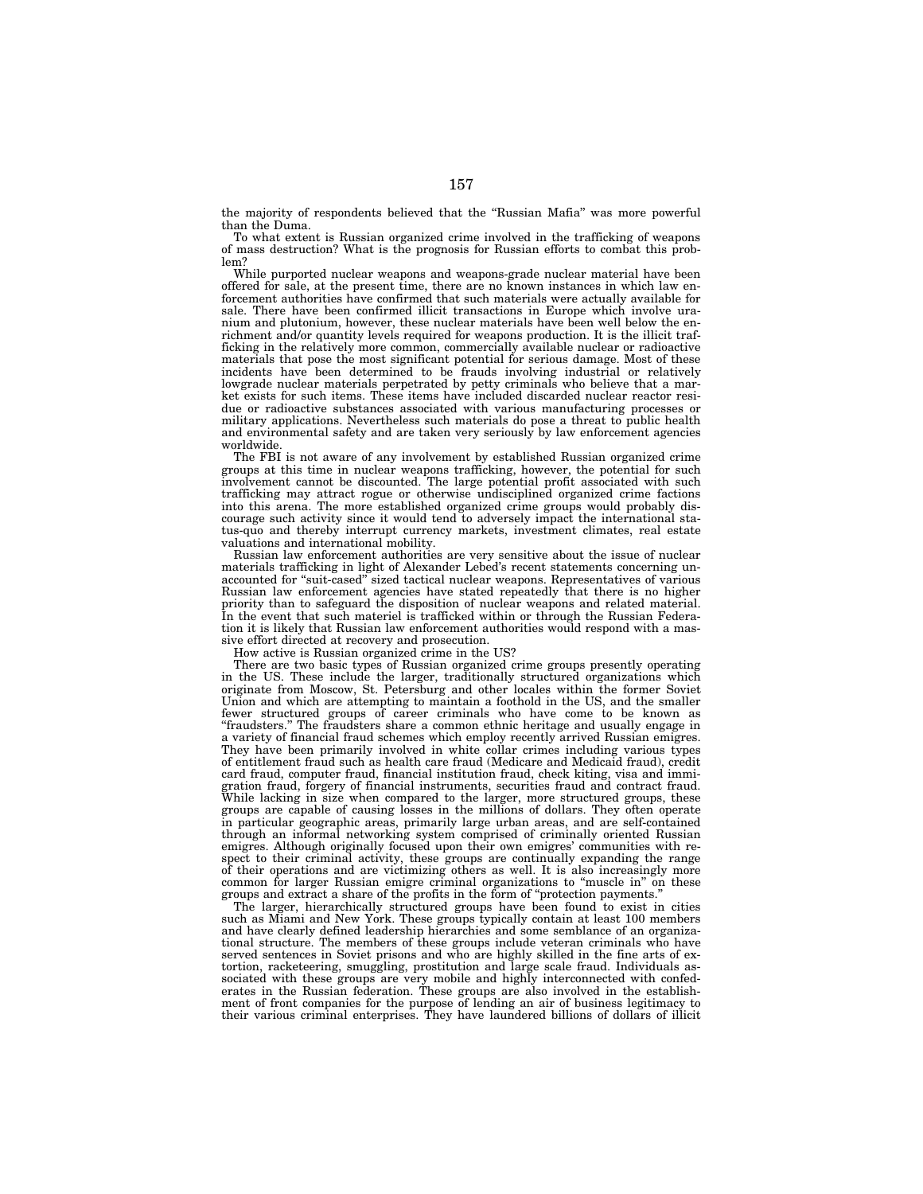the majority of respondents believed that the ''Russian Mafia'' was more powerful than the Duma.

To what extent is Russian organized crime involved in the trafficking of weapons of mass destruction? What is the prognosis for Russian efforts to combat this problem?

While purported nuclear weapons and weapons-grade nuclear material have been offered for sale, at the present time, there are no known instances in which law enforcement authorities have confirmed that such materials were actually available for sale. There have been confirmed illicit transactions in Europe which involve uranium and plutonium, however, these nuclear materials have been well below the enrichment and/or quantity levels required for weapons production. It is the illicit trafficking in the relatively more common, commercially available nuclear or radioactive materials that pose the most significant potential for serious damage. Most of these incidents have been determined to be frauds involving industrial or relatively lowgrade nuclear materials perpetrated by petty criminals who believe that a market exists for such items. These items have included discarded nuclear reactor residue or radioactive substances associated with various manufacturing processes or military applications. Nevertheless such materials do pose a threat to public health and environmental safety and are taken very seriously by law enforcement agencies worldwide.

The FBI is not aware of any involvement by established Russian organized crime groups at this time in nuclear weapons trafficking, however, the potential for such involvement cannot be discounted. The large potential profit associated with such trafficking may attract rogue or otherwise undisciplined organized crime factions into this arena. The more established organized crime groups would probably discourage such activity since it would tend to adversely impact the international status-quo and thereby interrupt currency markets, investment climates, real estate valuations and international mobility.

Russian law enforcement authorities are very sensitive about the issue of nuclear materials trafficking in light of Alexander Lebed's recent statements concerning unaccounted for ''suit-cased'' sized tactical nuclear weapons. Representatives of various Russian law enforcement agencies have stated repeatedly that there is no higher priority than to safeguard the disposition of nuclear weapons and related material. In the event that such materiel is trafficked within or through the Russian Federation it is likely that Russian law enforcement authorities would respond with a massive effort directed at recovery and prosecution.

How active is Russian organized crime in the US?

There are two basic types of Russian organized crime groups presently operating in the US. These include the larger, traditionally structured organizations which originate from Moscow, St. Petersburg and other locales within the former Soviet Union and which are attempting to maintain a foothold in the US, and the smaller fewer structured groups of career criminals who have come to be known as ''fraudsters.'' The fraudsters share a common ethnic heritage and usually engage in a variety of financial fraud schemes which employ recently arrived Russian emigres. They have been primarily involved in white collar crimes including various types of entitlement fraud such as health care fraud (Medicare and Medicaid fraud), credit card fraud, computer fraud, financial institution fraud, check kiting, visa and immigration fraud, forgery of financial instruments, securities fraud and contract fraud. While lacking in size when compared to the larger, more structured groups, these groups are capable of causing losses in the millions of dollars. They often operate in particular geographic areas, primarily large urban areas, and are self-contained through an informal networking system comprised of criminally oriented Russian emigres. Although originally focused upon their own emigres' communities with respect to their criminal activity, these groups are continually expanding the range of their operations and are victimizing others as well. It is also increasingly more common for larger Russian emigre criminal organizations to ''muscle in'' on these groups and extract a share of the profits in the form of ''protection payments.''

The larger, hierarchically structured groups have been found to exist in cities such as Miami and New York. These groups typically contain at least 100 members and have clearly defined leadership hierarchies and some semblance of an organizational structure. The members of these groups include veteran criminals who have served sentences in Soviet prisons and who are highly skilled in the fine arts of extortion, racketeering, smuggling, prostitution and large scale fraud. Individuals associated with these groups are very mobile and highly interconnected with confederates in the Russian federation. These groups are also involved in the establishment of front companies for the purpose of lending an air of business legitimacy to their various criminal enterprises. They have laundered billions of dollars of illicit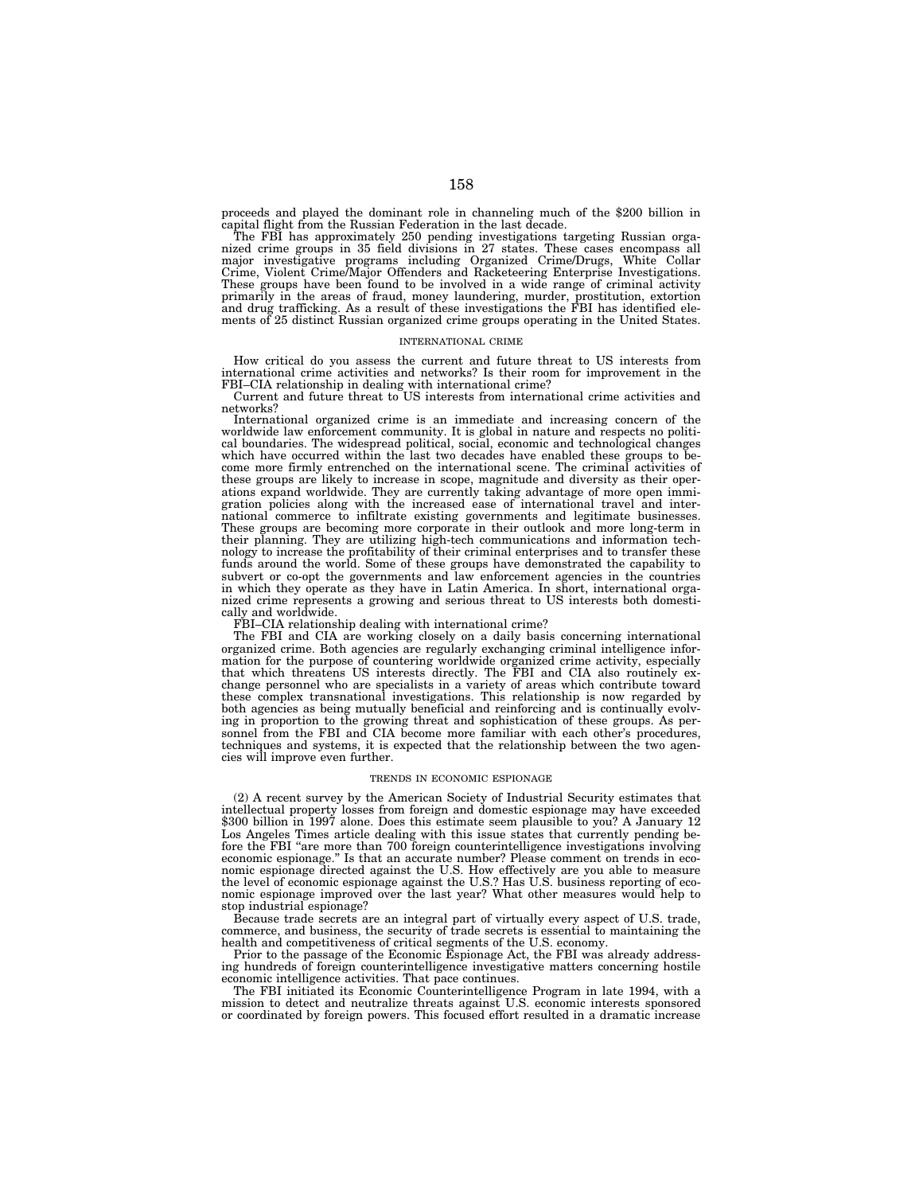proceeds and played the dominant role in channeling much of the \$200 billion in capital flight from the Russian Federation in the last decade.

The FBI has approximately 250 pending investigations targeting Russian organized crime groups in 35 field divisions in 27 states. These cases encompass all<br>major investigative programs including Organized Crime/Drugs, White Collar<br>Crime, Violent Crime/Major Offenders and Racketeering Enterprise I These groups have been found to be involved in a wide range of criminal activity primarily in the areas of fraud, money laundering, murder, prostitution, extortion and drug trafficking. As a result of these investigations the FBI has identified elements of 25 distinct Russian organized crime groups operating in the United States.

### INTERNATIONAL CRIME

How critical do you assess the current and future threat to US interests from international crime activities and networks? Is their room for improvement in the FBI–CIA relationship in dealing with international crime?

Current and future threat to US interests from international crime activities and networks?

International organized crime is an immediate and increasing concern of the worldwide law enforcement community. It is global in nature and respects no political boundaries. The widespread political, social, economic and technological changes which have occurred within the last two decades have enabled these groups to be-come more firmly entrenched on the international scene. The criminal activities of these groups are likely to increase in scope, magnitude and diversity as their operations expand worldwide. They are currently taking advantage of more open immigration policies along with the increased ease of international travel and international commerce to infiltrate existing governments and legitimate businesses. These groups are becoming more corporate in their outlook and more long-term in their planning. They are utilizing high-tech communications and information technology to increase the profitability of their criminal enterprises and to transfer these funds around the world. Some of these groups have demonstrated the capability to subvert or co-opt the governments and law enforcement agencies in the countries in which they operate as they have in Latin America. In short, international organized crime represents a growing and serious threat to US interests both domestically and worldwide.

FBI–CIA relationship dealing with international crime?

The FBI and CIA are working closely on a daily basis concerning international organized crime. Both agencies are regularly exchanging criminal intelligence information for the purpose of countering worldwide organized crime activity, especially that which threatens US interests directly. The FBI and CIA also routinely exchange personnel who are specialists in a variety of areas which contribute toward these complex transnational investigations. This relationship is now regarded by both agencies as being mutually beneficial and reinforcing and is continually evolving in proportion to the growing threat and sophistication of these groups. As personnel from the FBI and CIA become more familiar with each other's procedures, techniques and systems, it is expected that the relationship between the two agencies will improve even further.

#### TRENDS IN ECONOMIC ESPIONAGE

(2) A recent survey by the American Society of Industrial Security estimates that intellectual property losses from foreign and domestic espionage may have exceeded \$300 billion in 1997 alone. Does this estimate seem plausible to you? A January 12 Los Angeles Times article dealing with this issue states that currently pending before the FBI "are more than 700 foreign counterintelligence investigations involving economic espionage.'' Is that an accurate number? Please comment on trends in economic espionage directed against the U.S. How effectively are you able to measure the level of economic espionage against the U.S.? Has U.S. business reporting of economic espionage improved over the last year? What other measures would help to stop industrial espionage?

Because trade secrets are an integral part of virtually every aspect of U.S. trade, commerce, and business, the security of trade secrets is essential to maintaining the health and competitiveness of critical segments of the U.S. economy.

Prior to the passage of the Economic Espionage Act, the FBI was already addressing hundreds of foreign counterintelligence investigative matters concerning hostile economic intelligence activities. That pace continues.

The FBI initiated its Economic Counterintelligence Program in late 1994, with a mission to detect and neutralize threats against U.S. economic interests sponsored or coordinated by foreign powers. This focused effort resulted in a dramatic increase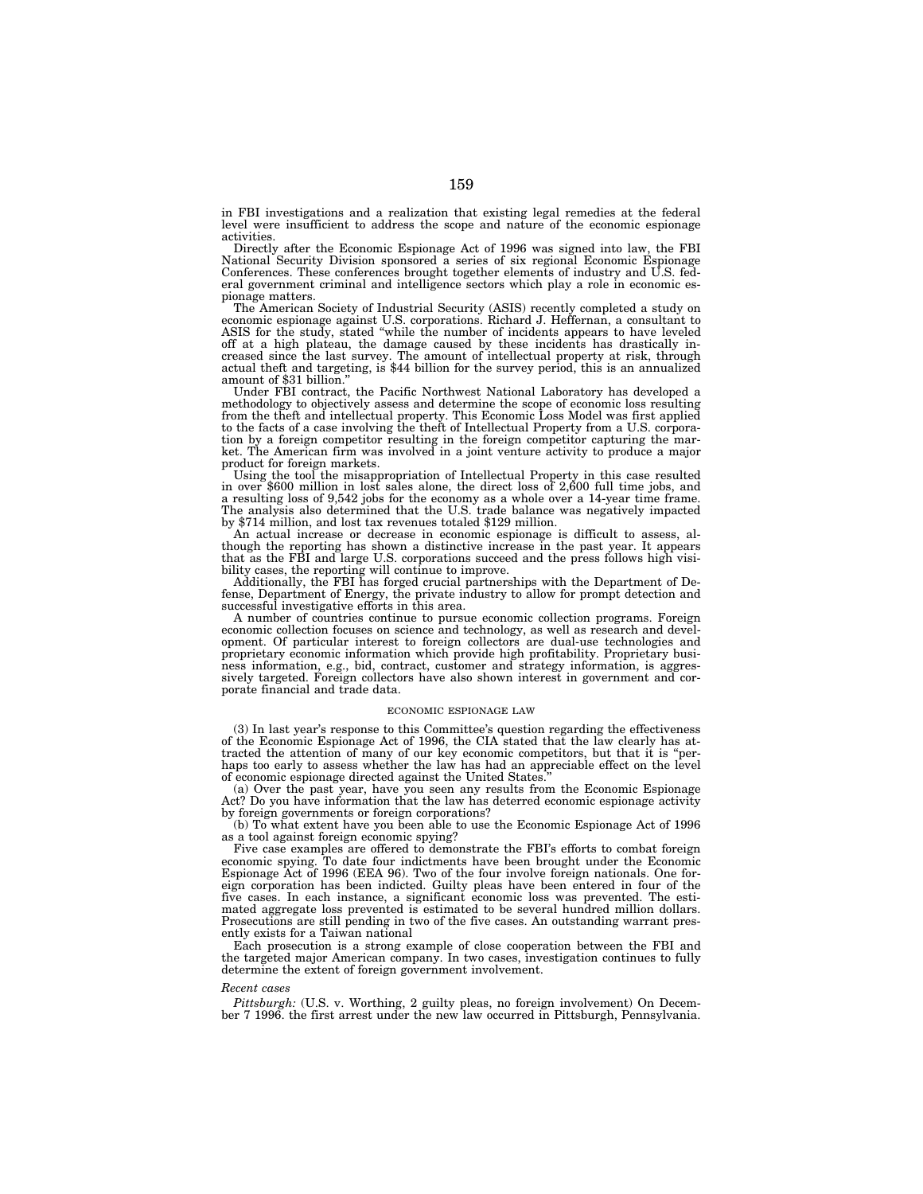in FBI investigations and a realization that existing legal remedies at the federal level were insufficient to address the scope and nature of the economic espionage activities.

Directly after the Economic Espionage Act of 1996 was signed into law, the FBI National Security Division sponsored a series of six regional Economic Espionage Conferences. These conferences brought together elements of industry and U.S. federal government criminal and intelligence sectors which play a role in economic espionage matters.

The American Society of Industrial Security (ASIS) recently completed a study on economic espionage against U.S. corporations. Richard J. Heffernan, a consultant to ASIS for the study, stated ''while the number of incidents appears to have leveled off at a high plateau, the damage caused by these incidents has drastically in-<br>creased since the last survey. The amount of intellectual property at risk, through<br>actual theft and targeting, is \$44 billion for the survey amount of \$31 billion.''

Under FBI contract, the Pacific Northwest National Laboratory has developed a methodology to objectively assess and determine the scope of economic loss resulting from the theft and intellectual property. This Economic Loss Model was first applied to the facts of a case involving the theft of Intellectual Property from a U.S. corporation by a foreign competitor resulting in the foreign competitor capturing the market. The American firm was involved in a joint venture activity to produce a major

product for foreign markets.<br>Using the tool the misappropriation of Intellectual Property in this case resulted in over \$600 million in lost sales alone, the direct loss of 2,600 full time jobs, and a resulting loss of 9,542 jobs for the economy as a whole over a 14-year time frame. The analysis also determined that the U.S. trade balance was negatively impacted by \$714 million, and lost tax revenues totaled \$129 million.

An actual increase or decrease in economic espionage is difficult to assess, although the reporting has shown a distinctive increase in the past year. It appears that as the FBI and large U.S. corporations succeed and the press follows high visi-bility cases, the reporting will continue to improve.

Additionally, the FBI has forged crucial partnerships with the Department of De-fense, Department of Energy, the private industry to allow for prompt detection and successful investigative efforts in this area.

A number of countries continue to pursue economic collection programs. Foreign economic collection focuses on science and technology, as well as research and devel-opment. Of particular interest to foreign collectors are dual-use technologies and proprietary economic information which provide high profitability. Proprietary busi-ness information, e.g., bid, contract, customer and strategy information, is aggressively targeted. Foreign collectors have also shown interest in government and corporate financial and trade data.

### ECONOMIC ESPIONAGE LAW

(3) In last year's response to this Committee's question regarding the effectiveness of the Economic Espionage Act of 1996, the CIA stated that the law clearly has attracted the attention of many of our key economic competitors, but that it is ''perhaps too early to assess whether the law has had an appreciable effect on the level of economic espionage directed against the United States.''

(a) Over the past year, have you seen any results from the Economic Espionage Act? Do you have information that the law has deterred economic espionage activity by foreign governments or foreign corporations? (b) To what extent have you been able to use the Economic Espionage Act of 1996

as a tool against foreign economic spying?

Five case examples are offered to demonstrate the FBI's efforts to combat foreign economic spying. To date four indictments have been brought under the Economic Espionage Act of 1996 (EEA 96). Two of the four involve foreign nationals. One foreign corporation has been indicted. Guilty pleas have been entered in four of the five cases. In each instance, a significant economic loss was prevented. The estimated aggregate loss prevented is estimated to be several hundred million dollars. Prosecutions are still pending in two of the five cases. An outstanding warrant presently exists for a Taiwan national

Each prosecution is a strong example of close cooperation between the FBI and the targeted major American company. In two cases, investigation continues to fully determine the extent of foreign government involvement.

#### *Recent cases*

*Pittsburgh:* (U.S. v. Worthing, 2 guilty pleas, no foreign involvement) On Decem-ber 7 1996. the first arrest under the new law occurred in Pittsburgh, Pennsylvania.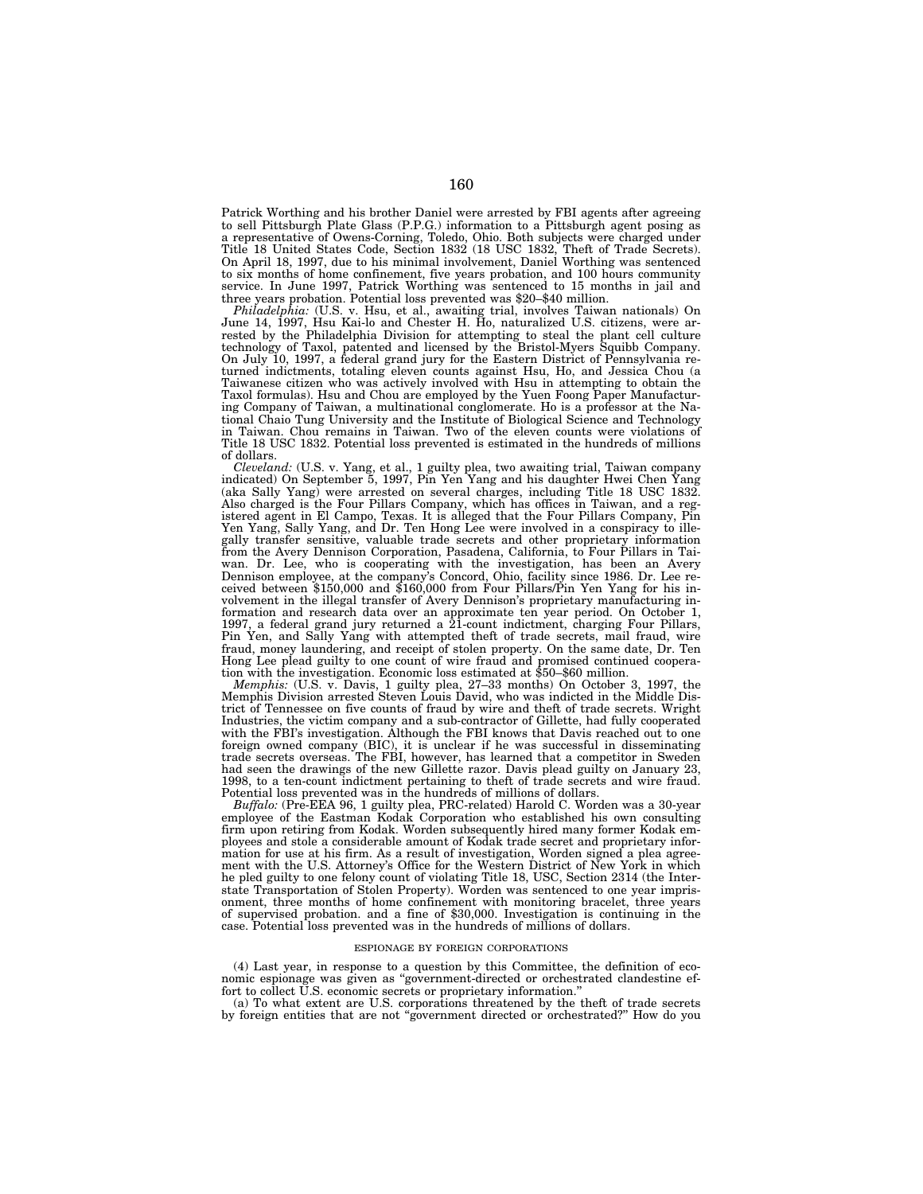Patrick Worthing and his brother Daniel were arrested by FBI agents after agreeing to sell Pittsburgh Plate Glass (P.P.G.) information to a Pittsburgh agent posing as a representative of Owens-Corning, Toledo, Ohio. Both subjects were charged under Title 18 United States Code, Section 1832 (18 USC 1832, Theft of Trade Secrets). On April 18, 1997, due to his minimal involvement, Daniel Worthing was sentenced to six months of home confinement, five years probation, and 100 hours community service. In June 1997, Patrick Worthing was sentenced to 15 months in jail and three years probation. Potential loss prevented was \$20–\$40 million.

*Philadelphia:* (U.S. v. Hsu, et al., awaiting trial, involves Taiwan nationals) On June 14, 1997, Hsu Kai-lo and Chester H. Ho, naturalized U.S. citizens, were arrested by the Philadelphia Division for attempting to steal the plant cell culture technology of Taxol, patented and licensed by the Bristol-Myers Squibb Company. On July 10, 1997, a federal grand jury for the Eastern District of Pennsylvania returned indictments, totaling eleven counts against Hsu, Ho, and Jessica Chou (a Taiwanese citizen who was actively involved with Hsu in attempting to obtain the Taxol formulas). Hsu and Chou are employed by the Yuen Foong Paper Manufacturing Company of Taiwan, a multinational conglomerate. Ho is a professor at the National Chaio Tung University and the Institute of Biological Science and Technology in Taiwan. Chou remains in Taiwan. Two of the eleven counts were violations of Title 18 USC 1832. Potential loss prevented is estimated in the hundreds of millions of dollars.

*Cleveland:* (U.S. v. Yang, et al., 1 guilty plea, two awaiting trial, Taiwan company indicated) On September 5, 1997, Pin Yen Yang and his daughter Hwei Chen Yang (aka Sally Yang) were arrested on several charges, including Title 18 USC 1832. Also charged is the Four Pillars Company, which has offices in Taiwan, and a registered agent in El Campo, Texas. It is alleged that the Four Pillars Company, Pin Yen Yang, Sally Yang, and Dr. Ten Hong Lee were involved in a conspiracy to illegally transfer sensitive, valuable trade secrets and other proprietary information from the Avery Dennison Corporation, Pasadena, California, to Four Pillars in Taiwan. Dr. Lee, who is cooperating with the investigation, has been an Avery Dennison employee, at the company's Concord, Ohio, facility since 1986. Dr. Lee received between \$150,000 and \$160,000 from Four Pillars/Pin Yen Yang for his involvement in the illegal transfer of Avery Dennison's proprietary manufacturing information and research data over an approximate ten year period. On October 1, 1997, a federal grand jury returned a  $\hat{2}$ 1-count indictment, charging Four Pillars, Pin Yen, and Sally Yang with attempted theft of trade secrets, mail fraud, wire fraud, money laundering, and receipt of stolen property. On the same date, Dr. Ten Hong Lee plead guilty to one count of wire fraud and promised continued cooperation with the investigation. Economic loss estimated at \$50–\$60 million.

*Memphis:* (U.S. v. Davis, 1 guilty plea, 27–33 months) On October 3, 1997, the Memphis Division arrested Steven Louis David, who was indicted in the Middle District of Tennessee on five counts of fraud by wire and theft of trade secrets. Wright Industries, the victim company and a sub-contractor of Gillette, had fully cooperated with the FBI's investigation. Although the FBI knows that Davis reached out to one foreign owned company (BIC), it is unclear if he was successful in disseminating trade secrets overseas. The FBI, however, has learned that a competitor in Sweden had seen the drawings of the new Gillette razor. Davis plead guilty on January 23, 1998, to a ten-count indictment pertaining to theft of trade secrets and wire fraud. Potential loss prevented was in the hundreds of millions of dollars.

*Buffalo:* (Pre-EEA 96, 1 guilty plea, PRC-related) Harold C. Worden was a 30-year employee of the Eastman Kodak Corporation who established his own consulting firm upon retiring from Kodak. Worden subsequently hired many former Kodak employees and stole a considerable amount of Kodak trade secret and proprietary information for use at his firm. As a result of investigation, Worden signed a plea agreement with the U.S. Attorney's Office for the Western District of New York in which he pled guilty to one felony count of violating Title 18, USC, Section 2314 (the Interstate Transportation of Stolen Property). Worden was sentenced to one year imprisonment, three months of home confinement with monitoring bracelet, three years of supervised probation. and a fine of \$30,000. Investigation is continuing in the case. Potential loss prevented was in the hundreds of millions of dollars.

#### ESPIONAGE BY FOREIGN CORPORATIONS

(4) Last year, in response to a question by this Committee, the definition of economic espionage was given as ''government-directed or orchestrated clandestine effort to collect U.S. economic secrets or proprietary information.'

(a) To what extent are U.S. corporations threatened by the theft of trade secrets by foreign entities that are not ''government directed or orchestrated?'' How do you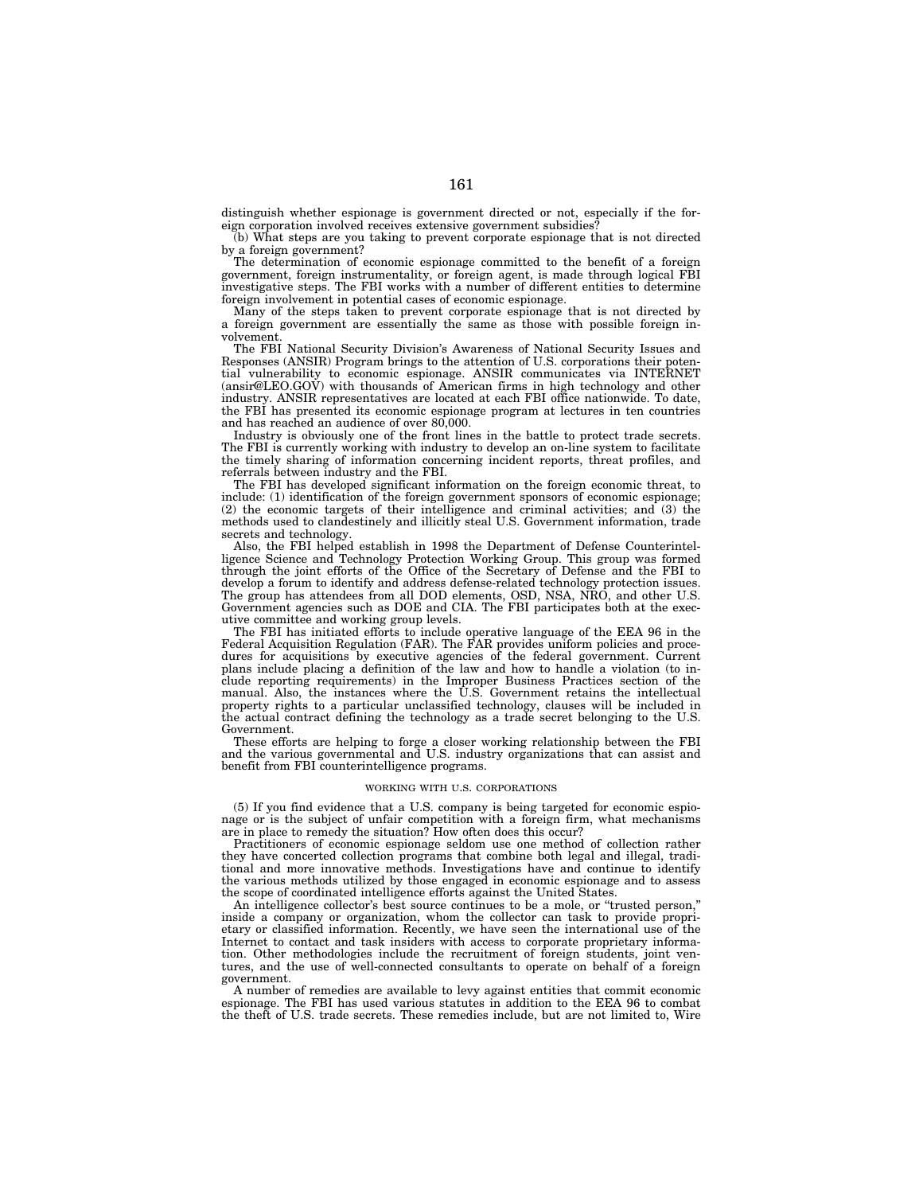distinguish whether espionage is government directed or not, especially if the foreign corporation involved receives extensive government subsidies?

(b) What steps are you taking to prevent corporate espionage that is not directed by a foreign government?

The determination of economic espionage committed to the benefit of a foreign government, foreign instrumentality, or foreign agent, is made through logical FBI investigative steps. The FBI works with a number of different entities to determine foreign involvement in potential cases of economic espionage.

Many of the steps taken to prevent corporate espionage that is not directed by a foreign government are essentially the same as those with possible foreign involvement.

The FBI National Security Division's Awareness of National Security Issues and Responses (ANSIR) Program brings to the attention of U.S. corporations their potential vulnerability to economic espionage. ANSIR communicates via INTERNET  $(ansir@LEO.GO\check{V})$  with thousands of American firms in high technology and other industry. ANSIR representatives are located at each FBI office nationwide. To date, the FBI has presented its economic espionage program at lectures in ten countries and has reached an audience of over 80,000.

Industry is obviously one of the front lines in the battle to protect trade secrets. The FBI is currently working with industry to develop an on-line system to facilitate the timely sharing of information concerning incident reports, threat profiles, and referrals between industry and the FBI.

The FBI has developed significant information on the foreign economic threat, to include: (1) identification of the foreign government sponsors of economic espionage; (2) the economic targets of their intelligence and criminal activities; and (3) the methods used to clandestinely and illicitly steal U.S. Government information, trade secrets and technology.

Also, the FBI helped establish in 1998 the Department of Defense Counterintelligence Science and Technology Protection Working Group. This group was formed through the joint efforts of the Office of the Secretary of Defense and the FBI to develop a forum to identify and address defense-related technology protection issues. The group has attendees from all DOD elements, OSD, NSA, NRO, and other U.S. Government agencies such as DOE and CIA. The FBI participates both at the executive committee and working group levels.

The FBI has initiated efforts to include operative language of the EEA 96 in the Federal Acquisition Regulation (FAR). The FAR provides uniform policies and procedures for acquisitions by executive agencies of the federal government. Current plans include placing a definition of the law and how to handle a violation (to include reporting requirements) in the Improper Business Practices section of the manual. Also, the instances where the U.S. Government retains the intellectual property rights to a particular unclassified technology, clauses will be included in the actual contract defining the technology as a trade secret belonging to the U.S. Government.

These efforts are helping to forge a closer working relationship between the FBI and the various governmental and U.S. industry organizations that can assist and benefit from FBI counterintelligence programs.

### WORKING WITH U.S. CORPORATIONS

(5) If you find evidence that a U.S. company is being targeted for economic espionage or is the subject of unfair competition with a foreign firm, what mechanisms are in place to remedy the situation? How often does this occur?

Practitioners of economic espionage seldom use one method of collection rather they have concerted collection programs that combine both legal and illegal, traditional and more innovative methods. Investigations have and continue to identify the various methods utilized by those engaged in economic espionage and to assess the scope of coordinated intelligence efforts against the United States.

An intelligence collector's best source continues to be a mole, or "trusted person," inside a company or organization, whom the collector can task to provide proprietary or classified information. Recently, we have seen the international use of the Internet to contact and task insiders with access to corporate proprietary information. Other methodologies include the recruitment of foreign students, joint ventures, and the use of well-connected consultants to operate on behalf of a foreign government.

A number of remedies are available to levy against entities that commit economic espionage. The FBI has used various statutes in addition to the EEA 96 to combat the theft of U.S. trade secrets. These remedies include, but are not limited to, Wire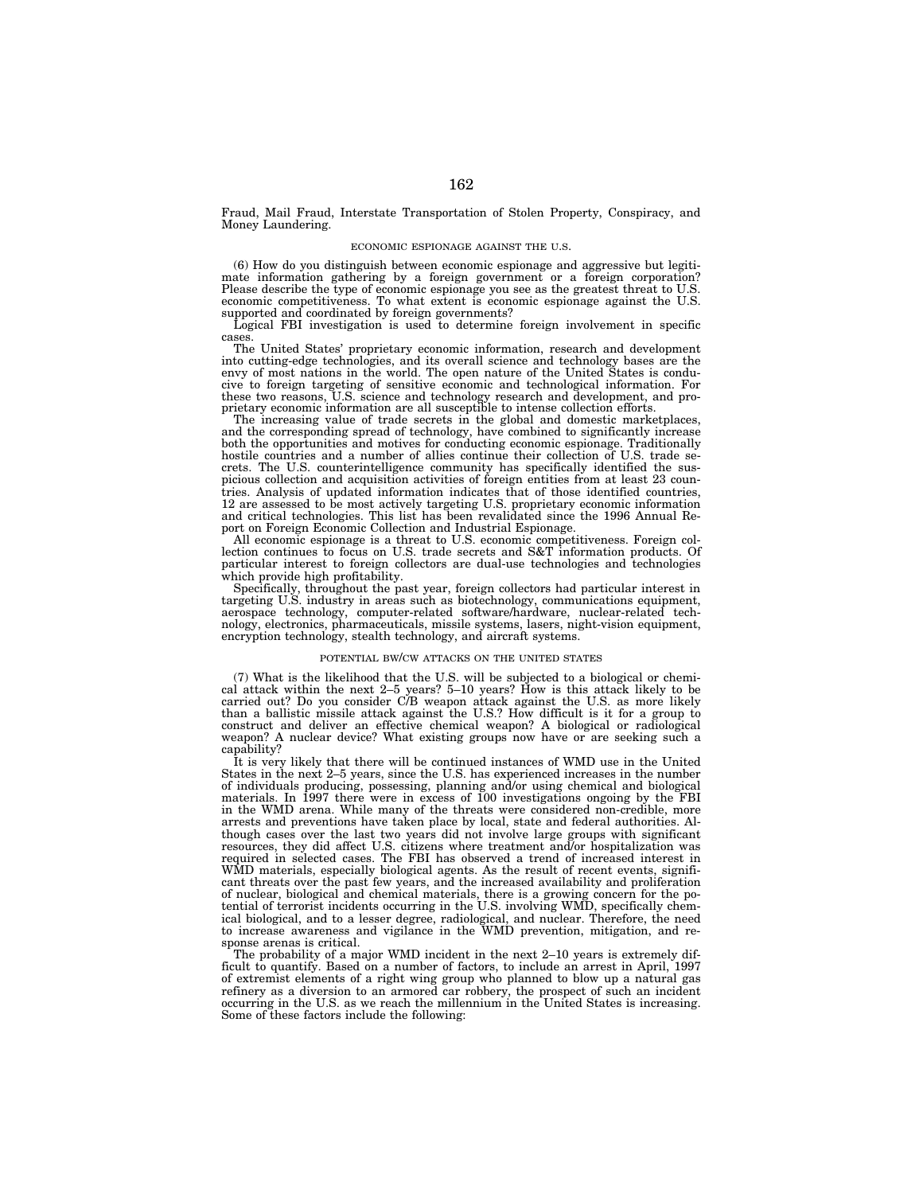Fraud, Mail Fraud, Interstate Transportation of Stolen Property, Conspiracy, and Money Laundering.

## ECONOMIC ESPIONAGE AGAINST THE U.S.

(6) How do you distinguish between economic espionage and aggressive but legitimate information gathering by a foreign government or a foreign corporation? Please describe the type of economic espionage you see as the greatest threat to U.S. economic competitiveness. To what extent is economic espionage against the U.S. supported and coordinated by foreign governments?<br>Logical FBI investigation is used to determine foreign involvement in specific

cases.<br>The United States' proprietary economic information, research and development

into cutting-edge technologies, and its overall science and technology bases are the envy of most nations in the world. The open nature of the United States is conducive to foreign targeting of sensitive economic and technological information. For these two reasons, U.S. science and technology research and development, and proprietary economic information are all susceptible to intense collection efforts.

The increasing value of trade secrets in the global and domestic marketplaces, and the corresponding spread of technology, have combined to significantly increase both the opportunities and motives for conducting economic espionage. Traditionally hostile countries and a number of allies continue their collection of U.S. trade secrets. The U.S. counterintelligence community has specifically identified the suspicious collection and acquisition activities of foreign entities from at least 23 countries. Analysis of updated information indicates that of those identified countries, 12 are assessed to be most actively targeting U.S. proprietary economic information and critical technologies. This list has been revalidated since the 1996 Annual Report on Foreign Economic Collection and Industrial Espionage.

All economic espionage is a threat to U.S. economic competitiveness. Foreign collection continues to focus on U.S. trade secrets and S&T information products. Of particular interest to foreign collectors are dual-use technologies and technologies which provide high profitability.

Specifically, throughout the past year, foreign collectors had particular interest in targeting U.S. industry in areas such as biotechnology, communications equipment, aerospace technology, computer-related software/hardware, nuclear-related technology, electronics, pharmaceuticals, missile systems, lasers, night-vision equipment, encryption technology, stealth technology, and aircraft systems.

## POTENTIAL BW/CW ATTACKS ON THE UNITED STATES

(7) What is the likelihood that the U.S. will be subjected to a biological or chemical attack within the next 2–5 years? 5–10 years? How is this attack likely to be carried out? Do you consider C/B weapon attack against the U.S. as more likely than a ballistic missile attack against the U.S.? How difficult is it for a group to construct and deliver an effective chemical weapon? A biological or radiological weapon? A nuclear device? What existing groups now have or are seeking such a capability?

It is very likely that there will be continued instances of WMD use in the United States in the next 2–5 years, since the U.S. has experienced increases in the number of individuals producing, possessing, planning and/or using chemical and biological materials. In 1997 there were in excess of 100 investigations ongoing by the FBI in the WMD arena. While many of the threats were considered non-credible, more arrests and preventions have taken place by local, state and federal authorities. Although cases over the last two years did not involve large groups with significant resources, they did affect U.S. citizens where treatment and/or hospitalization was required in selected cases. The FBI has observed a trend of increased interest in WMD materials, especially biological agents. As the result of recent events, significant threats over the past few years, and the increased availability and proliferation of nuclear, biological and chemical materials, there is a growing concern for the potential of terrorist incidents occurring in the U.S. involving WMD, specifically chemical biological, and to a lesser degree, radiological, and nuclear. Therefore, the need to increase awareness and vigilance in the WMD prevention, mitigation, and response arenas is critical.

The probability of a major WMD incident in the next 2–10 years is extremely difficult to quantify. Based on a number of factors, to include an arrest in April, 1997 of extremist elements of a right wing group who planned to blow up a natural gas refinery as a diversion to an armored car robbery, the prospect of such an incident occurring in the U.S. as we reach the millennium in the United States is increasing. Some of these factors include the following: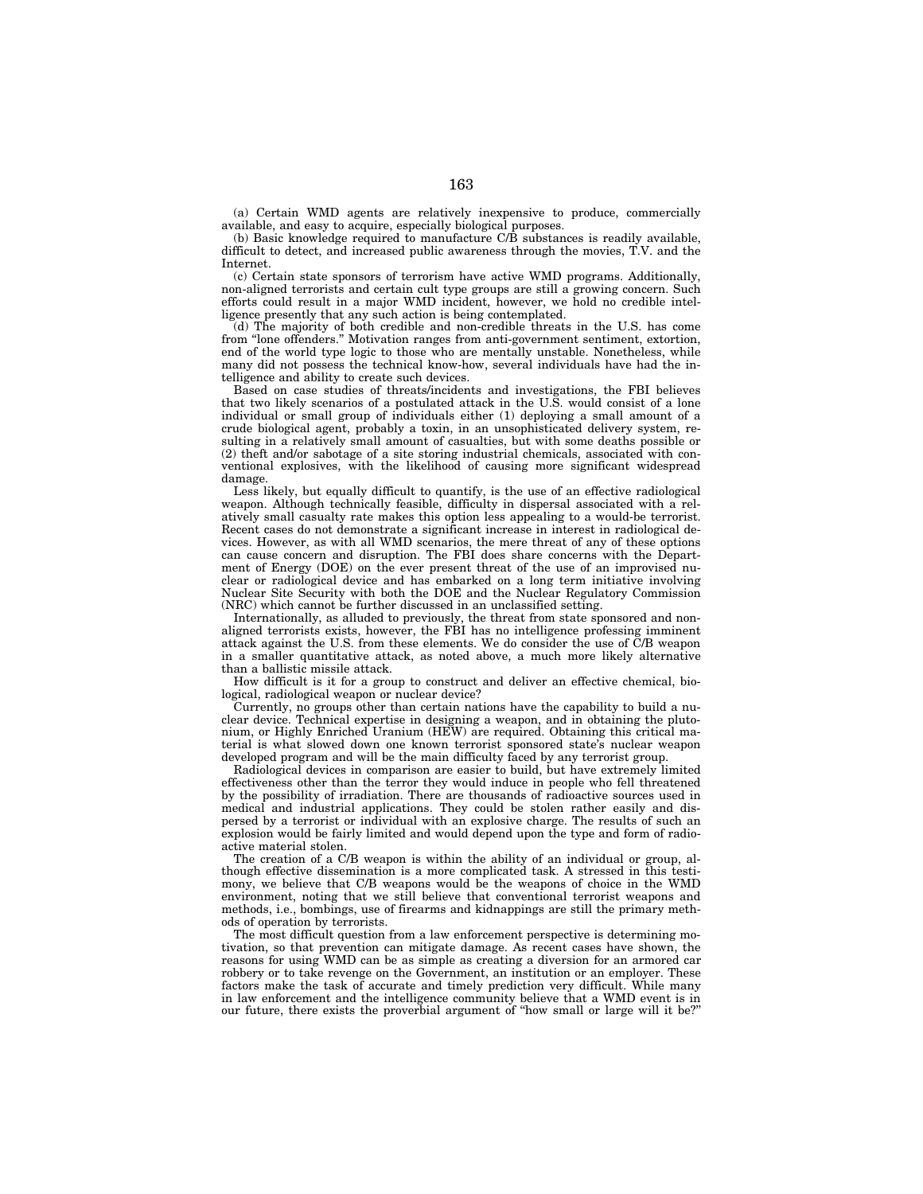(a) Certain WMD agents are relatively inexpensive to produce, commercially available, and easy to acquire, especially biological purposes.

(b) Basic knowledge required to manufacture C/B substances is readily available, difficult to detect, and increased public awareness through the movies, T.V. and the Internet.

(c) Certain state sponsors of terrorism have active WMD programs. Additionally, non-aligned terrorists and certain cult type groups are still a growing concern. Such efforts could result in a major WMD incident, however, we hold no credible intelligence presently that any such action is being contemplated.

(d) The majority of both credible and non-credible threats in the U.S. has come from ''lone offenders.'' Motivation ranges from anti-government sentiment, extortion, end of the world type logic to those who are mentally unstable. Nonetheless, while many did not possess the technical know-how, several individuals have had the intelligence and ability to create such devices.

Based on case studies of threats/incidents and investigations, the FBI believes that two likely scenarios of a postulated attack in the U.S. would consist of a lone individual or small group of individuals either (1) deploying a small amount of a crude biological agent, probably a toxin, in an unsophisticated delivery system, resulting in a relatively small amount of casualties, but with some deaths possible or (2) theft and/or sabotage of a site storing industrial chemicals, associated with conventional explosives, with the likelihood of causing more significant widespread damage.

Less likely, but equally difficult to quantify, is the use of an effective radiological weapon. Although technically feasible, difficulty in dispersal associated with a relatively small casualty rate makes this option less appealing to a would-be terrorist. Recent cases do not demonstrate a significant increase in interest in radiological devices. However, as with all WMD scenarios, the mere threat of any of these options can cause concern and disruption. The FBI does share concerns with the Department of Energy (DOE) on the ever present threat of the use of an improvised nuclear or radiological device and has embarked on a long term initiative involving Nuclear Site Security with both the DOE and the Nuclear Regulatory Commission (NRC) which cannot be further discussed in an unclassified setting.

Internationally, as alluded to previously, the threat from state sponsored and nonaligned terrorists exists, however, the FBI has no intelligence professing imminent attack against the U.S. from these elements. We do consider the use of C/B weapon in a smaller quantitative attack, as noted above, a much more likely alternative than a ballistic missile attack.

How difficult is it for a group to construct and deliver an effective chemical, biological, radiological weapon or nuclear device?

Currently, no groups other than certain nations have the capability to build a nuclear device. Technical expertise in designing a weapon, and in obtaining the plutonium, or Highly Enriched Uranium (HEW) are required. Obtaining this critical material is what slowed down one known terrorist sponsored state's nuclear weapon developed program and will be the main difficulty faced by any terrorist group.

Radiological devices in comparison are easier to build, but have extremely limited effectiveness other than the terror they would induce in people who fell threatened by the possibility of irradiation. There are thousands of radioactive sources used in medical and industrial applications. They could be stolen rather easily and dispersed by a terrorist or individual with an explosive charge. The results of such an explosion would be fairly limited and would depend upon the type and form of radioactive material stolen.

The creation of a C/B weapon is within the ability of an individual or group, although effective dissemination is a more complicated task. A stressed in this testimony, we believe that C/B weapons would be the weapons of choice in the WMD environment, noting that we still believe that conventional terrorist weapons and methods, i.e., bombings, use of firearms and kidnappings are still the primary methods of operation by terrorists.

The most difficult question from a law enforcement perspective is determining motivation, so that prevention can mitigate damage. As recent cases have shown, the reasons for using WMD can be as simple as creating a diversion for an armored car robbery or to take revenge on the Government, an institution or an employer. These factors make the task of accurate and timely prediction very difficult. While many in law enforcement and the intelligence community believe that a WMD event is in our future, there exists the proverbial argument of ''how small or large will it be?''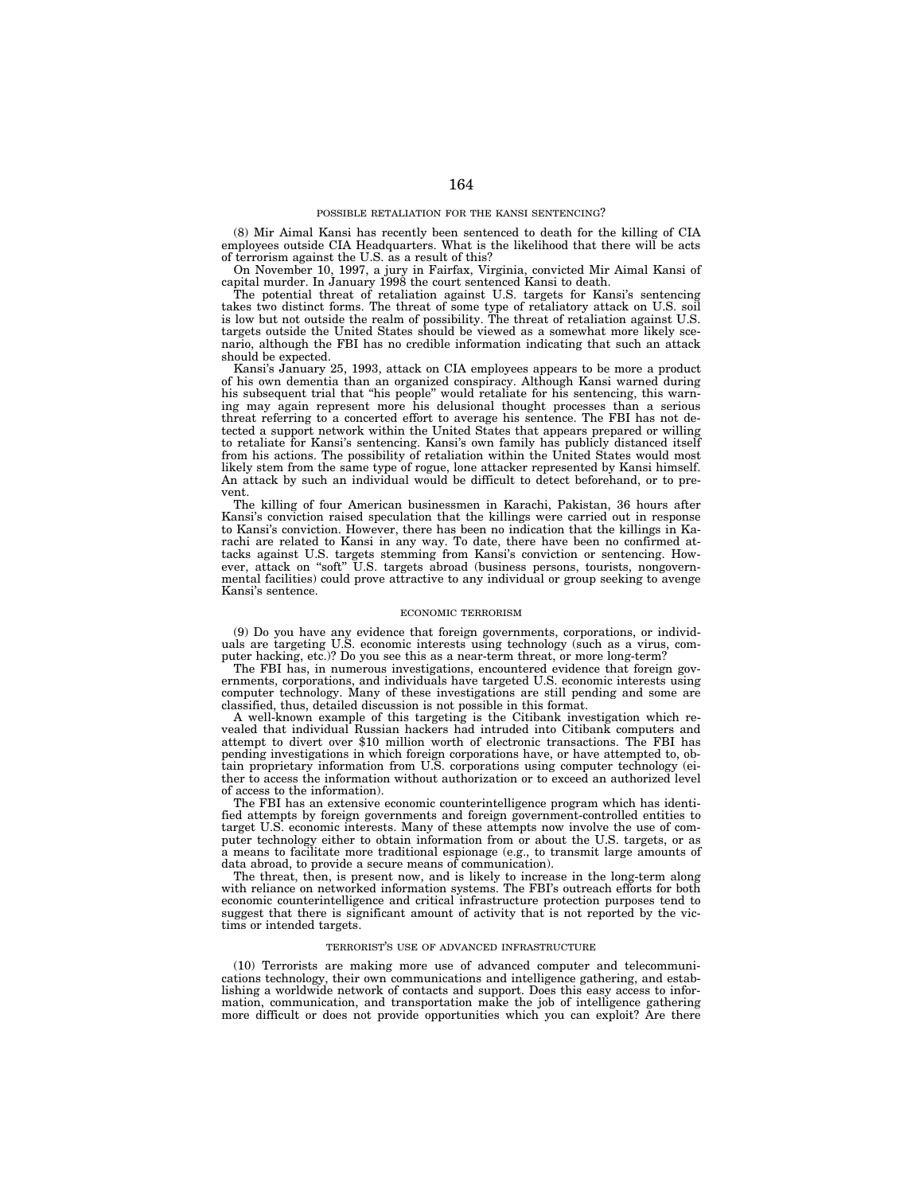#### POSSIBLE RETALIATION FOR THE KANSI SENTENCING?

(8) Mir Aimal Kansi has recently been sentenced to death for the killing of CIA employees outside CIA Headquarters. What is the likelihood that there will be acts of terrorism against the U.S. as a result of this?

On November 10, 1997, a jury in Fairfax, Virginia, convicted Mir Aimal Kansi of capital murder. In January 1998 the court sentenced Kansi to death.

The potential threat of retaliation against U.S. targets for Kansi's sentencing takes two distinct forms. The threat of some type of retaliatory attack on U.S. soil is low but not outside the realm of possibility. The threat of retaliation against U.S. targets outside the United States should be viewed as a somewhat more likely scenario, although the FBI has no credible information indicating that such an attack should be expected.

Kansi's January 25, 1993, attack on CIA employees appears to be more a product of his own dementia than an organized conspiracy. Although Kansi warned during his subsequent trial that "his people" would retaliate for his sentencing, this warning may again represent more his delusional thought processes than a serious threat referring to a concerted effort to average his sentence. The FBI has not detected a support network within the United States that appears prepared or willing to retaliate for Kansi's sentencing. Kansi's own family has publicly distanced itself from his actions. The possibility of retaliation within the United States would most likely stem from the same type of rogue, lone attacker represented by Kansi himself. An attack by such an individual would be difficult to detect beforehand, or to prevent.

The killing of four American businessmen in Karachi, Pakistan, 36 hours after Kansi's conviction raised speculation that the killings were carried out in response to Kansi's conviction. However, there has been no indication that the killings in Karachi are related to Kansi in any way. To date, there have been no confirmed attacks against U.S. targets stemming from Kansi's conviction or sentencing. However, attack on ''soft'' U.S. targets abroad (business persons, tourists, nongovernmental facilities) could prove attractive to any individual or group seeking to avenge Kansi's sentence.

## ECONOMIC TERRORISM

(9) Do you have any evidence that foreign governments, corporations, or individuals are targeting U.S. economic interests using technology (such as a virus, computer hacking, etc.)? Do you see this as a near-term threat, or more long-term?

The FBI has, in numerous investigations, encountered evidence that foreign governments, corporations, and individuals have targeted U.S. economic interests using computer technology. Many of these investigations are still pending and some are classified, thus, detailed discussion is not possible in this format.

A well-known example of this targeting is the Citibank investigation which revealed that individual Russian hackers had intruded into Citibank computers and attempt to divert over \$10 million worth of electronic transactions. The FBI has pending investigations in which foreign corporations have, or have attempted to, obtain proprietary information from U.S. corporations using computer technology (either to access the information without authorization or to exceed an authorized level of access to the information).

The FBI has an extensive economic counterintelligence program which has identified attempts by foreign governments and foreign government-controlled entities to target U.S. economic interests. Many of these attempts now involve the use of computer technology either to obtain information from or about the U.S. targets, or as a means to facilitate more traditional espionage (e.g., to transmit large amounts of data abroad, to provide a secure means of communication).

The threat, then, is present now, and is likely to increase in the long-term along with reliance on networked information systems. The FBI's outreach efforts for both economic counterintelligence and critical infrastructure protection purposes tend to suggest that there is significant amount of activity that is not reported by the victims or intended targets.

## TERRORIST'S USE OF ADVANCED INFRASTRUCTURE

(10) Terrorists are making more use of advanced computer and telecommunications technology, their own communications and intelligence gathering, and establishing a worldwide network of contacts and support. Does this easy access to information, communication, and transportation make the job of intelligence gathering more difficult or does not provide opportunities which you can exploit? Are there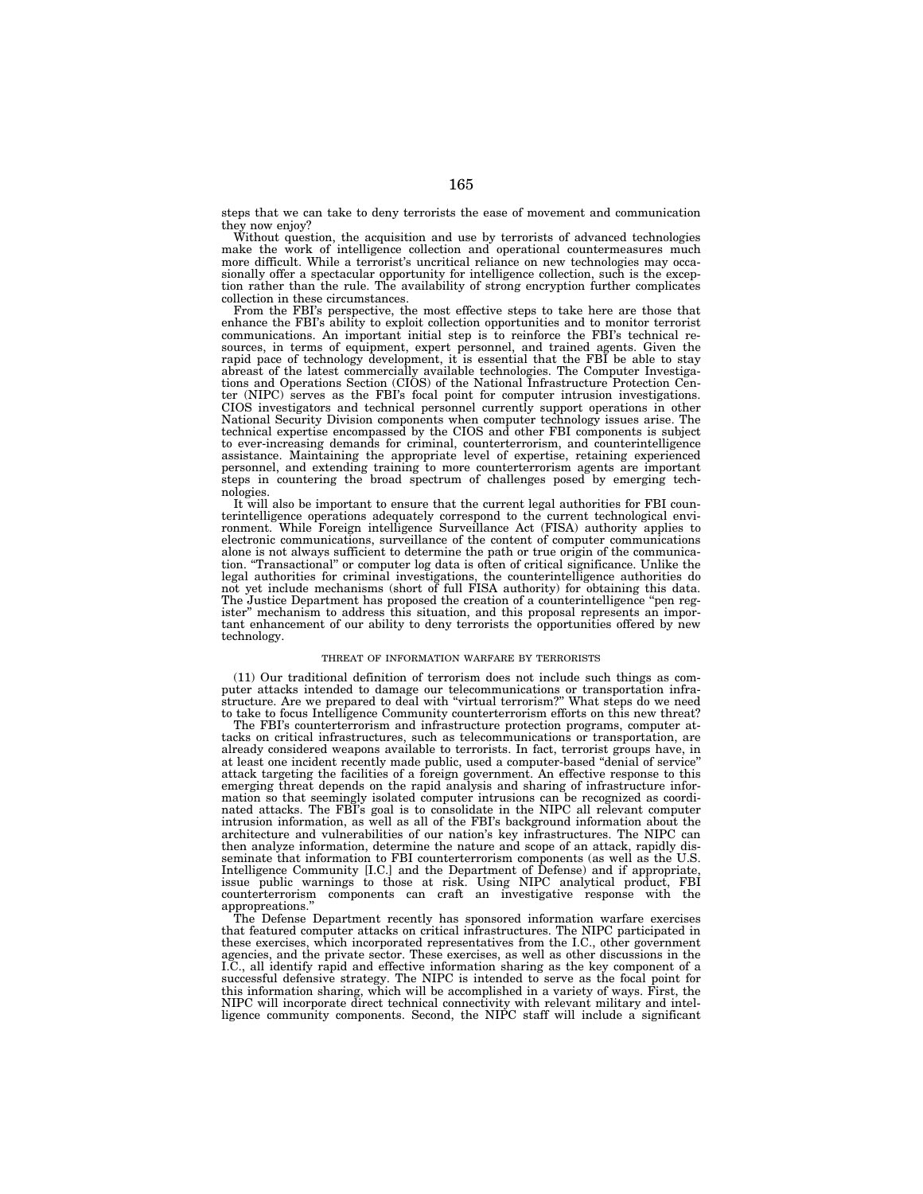steps that we can take to deny terrorists the ease of movement and communication they now enjoy?

Without question, the acquisition and use by terrorists of advanced technologies make the work of intelligence collection and operational countermeasures much more difficult. While a terrorist's uncritical reliance on new technologies may occasionally offer a spectacular opportunity for intelligence collection, such is the exception rather than the rule. The availability of strong encryption further complicates collection in these circumstances.

From the FBI's perspective, the most effective steps to take here are those that enhance the FBI's ability to exploit collection opportunities and to monitor terrorist communications. An important initial step is to reinforce the FBI's technical resources, in terms of equipment, expert personnel, and trained agents. Given the rapid pace of technology development, it is essential that the FBI be able to stay abreast of the latest commercially available technologies. The Computer Investigations and Operations Section (CIOS) of the National Infrastructure Protection Center (NIPC) serves as the FBI's focal point for computer intrusion investigations. CIOS investigators and technical personnel currently support operations in other National Security Division components when computer technology issues arise. The technical expertise encompassed by the CIOS and other FBI components is subject to ever-increasing demands for criminal, counterterrorism, and counterintelligence assistance. Maintaining the appropriate level of expertise, retaining experienced personnel, and extending training to more counterterrorism agents are important steps in countering the broad spectrum of challenges posed by emerging technologies.

It will also be important to ensure that the current legal authorities for FBI counterintelligence operations adequately correspond to the current technological environment. While Foreign intelligence Surveillance Act (FISA) authority applies to electronic communications, surveillance of the content of computer communications alone is not always sufficient to determine the path or true origin of the communication. ''Transactional'' or computer log data is often of critical significance. Unlike the legal authorities for criminal investigations, the counterintelligence authorities do not yet include mechanisms (short of full FISA authority) for obtaining this data. The Justice Department has proposed the creation of a counterintelligence ''pen register'' mechanism to address this situation, and this proposal represents an important enhancement of our ability to deny terrorists the opportunities offered by new technology.

#### THREAT OF INFORMATION WARFARE BY TERRORISTS

(11) Our traditional definition of terrorism does not include such things as computer attacks intended to damage our telecommunications or transportation infrastructure. Are we prepared to deal with ''virtual terrorism?'' What steps do we need to take to focus Intelligence Community counterterrorism efforts on this new threat?

The FBI's counterterrorism and infrastructure protection programs, computer attacks on critical infrastructures, such as telecommunications or transportation, are already considered weapons available to terrorists. In fact, terrorist groups have, in at least one incident recently made public, used a computer-based ''denial of service'' attack targeting the facilities of a foreign government. An effective response to this emerging threat depends on the rapid analysis and sharing of infrastructure information so that seemingly isolated computer intrusions can be recognized as coordinated attacks. The FBI's goal is to consolidate in the NIPC all relevant computer intrusion information, as well as all of the FBI's background information about the architecture and vulnerabilities of our nation's key infrastructures. The NIPC can then analyze information, determine the nature and scope of an attack, rapidly disseminate that information to FBI counterterrorism components (as well as the U.S. Intelligence Community [I.C.] and the Department of Defense) and if appropriate, issue public warnings to those at risk. Using NIPC analytical product, FBI counterterrorism components can craft an investigative response with the appropreations.

The Defense Department recently has sponsored information warfare exercises that featured computer attacks on critical infrastructures. The NIPC participated in these exercises, which incorporated representatives from the I.C., other government agencies, and the private sector. These exercises, as well as other discussions in the I.C., all identify rapid and effective information sharing as the key component of a successful defensive strategy. The NIPC is intended to serve as the focal point for this information sharing, which will be accomplished in a variety of ways. First, the NIPC will incorporate direct technical connectivity with relevant military and intel-ligence community components. Second, the NIPC staff will include a significant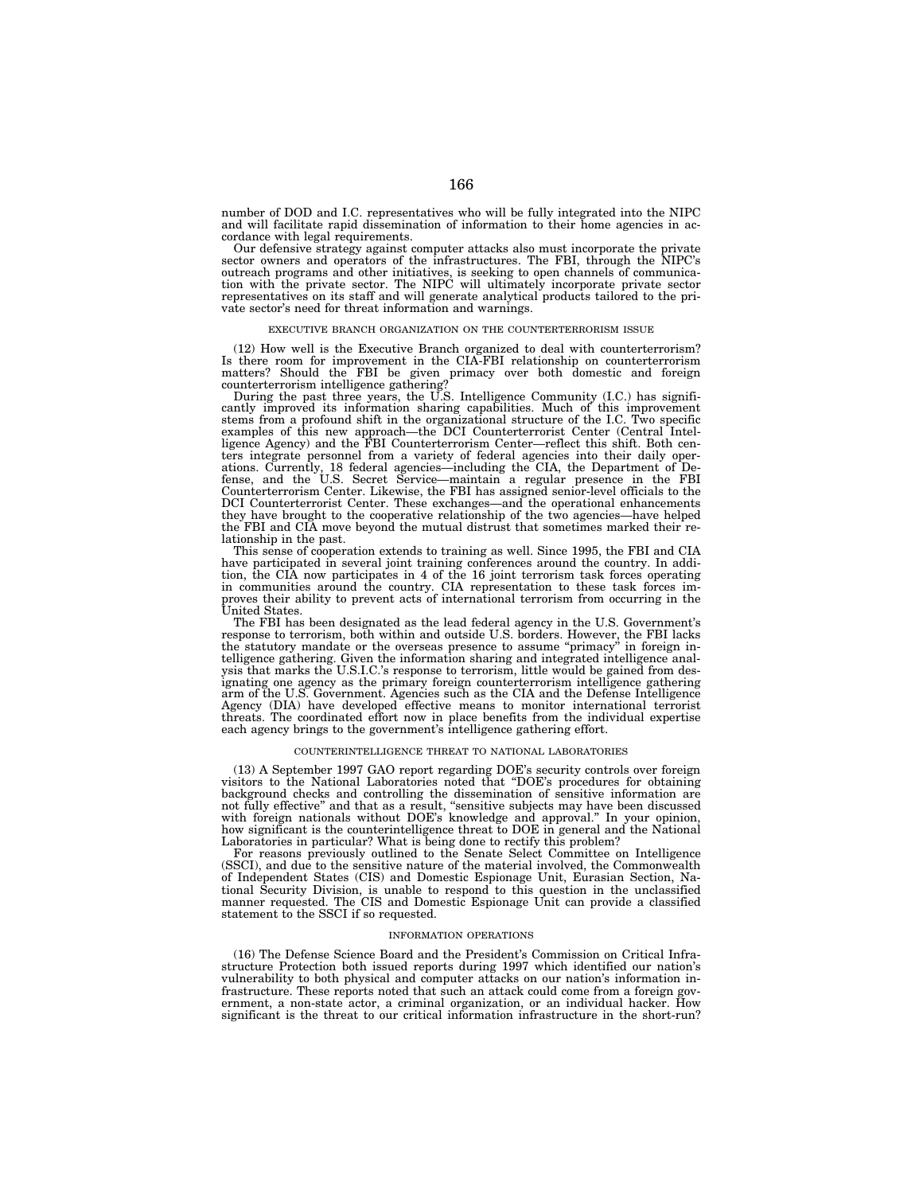number of DOD and I.C. representatives who will be fully integrated into the NIPC and will facilitate rapid dissemination of information to their home agencies in accordance with legal requirements.

Our defensive strategy against computer attacks also must incorporate the private sector owners and operators of the infrastructures. The FBI, through the NIPC's outreach programs and other initiatives, is seeking to open channels of communica-tion with the private sector. The NIPC will ultimately incorporate private sector representatives on its staff and will generate analytical products tailored to the private sector's need for threat information and warnings.

## EXECUTIVE BRANCH ORGANIZATION ON THE COUNTERTERRORISM ISSUE

(12) How well is the Executive Branch organized to deal with counterterrorism? Is there room for improvement in the CIA-FBI relationship on counterterrorism matters? Should the FBI be given primacy over both domestic and foreign

counterterrorism intelligence gathering? During the past three years, the U.S. Intelligence Community (I.C.) has significantly improved its information sharing capabilities. Much of this improvement stems from a profound shift in the organizational structure of the I.C. Two specific examples of this new approach—the DCI Counterterrorist Center (Central Intel-ligence Agency) and the FBI Counterterrorism Center—reflect this shift. Both centers integrate personnel from a variety of federal agencies into their daily operations. Currently, 18 federal agencies—including the CIA, the Department of De-fense, and the U.S. Secret Service—maintain a regular presence in the FBI Counterterrorism Center. Likewise, the FBI has assigned senior-level officials to the DCI Counterterrorist Center. These exchanges—and the operational enhancements they have brought to the cooperative relationship of the two agencies—have helped the FBI and CIA move beyond the mutual distrust that sometimes marked their relationship in the past.

This sense of cooperation extends to training as well. Since 1995, the FBI and CIA have participated in several joint training conferences around the country. In addition, the CIA now participates in 4 of the 16 joint terrorism task forces operating in communities around the country. CIA representation t

The FBI has been designated as the lead federal agency in the U.S. Government's response to terrorism, both within and outside U.S. borders. However, the FBI lacks the statutory mandate or the overseas presence to assume ''primacy'' in foreign intelligence gathering. Given the information sharing and integrated intelligence anal-ysis that marks the U.S.I.C.'s response to terrorism, little would be gained from designating one agency as the primary foreign counterterrorism intelligence gathering arm of the U.S. Government. Agencies such as the CIA and the Defense Intelligence Agency (DIA) have developed effective means to monitor international terrorist threats. The coordinated effort now in place benefits from the individual expertise each agency brings to the government's intelligence gathering effort.

### COUNTERINTELLIGENCE THREAT TO NATIONAL LABORATORIES

(13) A September 1997 GAO report regarding DOE's security controls over foreign visitors to the National Laboratories noted that ''DOE's procedures for obtaining background checks and controlling the dissemination of sensitive information are<br>not fully effective" and that as a result, "sensitive subjects may have been discussed<br>with foreign nationals without DOE's knowledge and app Laboratories in particular? What is being done to rectify this problem?

For reasons previously outlined to the Senate Select Committee on Intelligence (SSCI), and due to the sensitive nature of the material involved, the Commonwealth of Independent States (CIS) and Domestic Espionage Unit, Eurasian Section, National Security Division, is unable to respond to this question in the unclassified manner requested. The CIS and Domestic Espionage Unit can provide a classified statement to the SSCI if so requested.

# INFORMATION OPERATIONS

(16) The Defense Science Board and the President's Commission on Critical Infrastructure Protection both issued reports during 1997 which identified our nation's vulnerability to both physical and computer attacks on our nation's information infrastructure. These reports noted that such an attack could come from a foreign government, a non-state actor, a criminal organization, or an individual hacker. How significant is the threat to our critical information infrastructure in the short-run?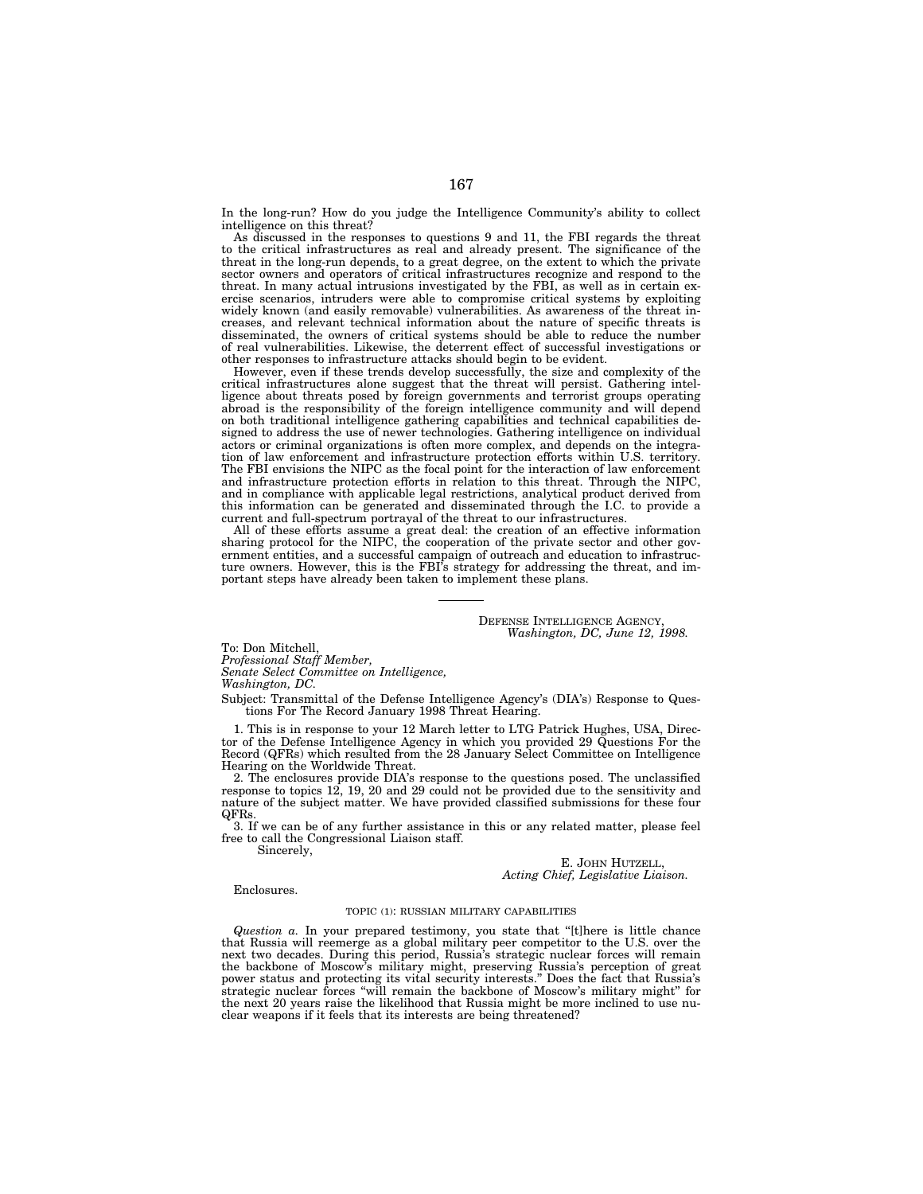In the long-run? How do you judge the Intelligence Community's ability to collect intelligence on this threat?

As discussed in the responses to questions 9 and 11, the FBI regards the threat to the critical infrastructures as real and already present. The significance of the threat in the long-run depends, to a great degree, on the extent to which the private sector owners and operators of critical infrastructures recognize and respond to the threat. In many actual intrusions investigated by the FBI, as well as in certain exercise scenarios, intruders were able to compromise critical systems by exploiting widely known (and easily removable) vulnerabilities. As awareness of the threat increases, and relevant technical information about the nature of specific threats is disseminated, the owners of critical systems should be able to reduce the number of real vulnerabilities. Likewise, the deterrent effect of successful investigations or other responses to infrastructure attacks should begin to be evident.

However, even if these trends develop successfully, the size and complexity of the critical infrastructures alone suggest that the threat will persist. Gathering intelligence about threats posed by foreign governments and terrorist groups operating abroad is the responsibility of the foreign intelligence community and will depend on both traditional intelligence gathering capabilities and technical capabilities designed to address the use of newer technologies. Gathering intelligence on individual actors or criminal organizations is often more complex, and depends on the integration of law enforcement and infrastructure protection efforts within U.S. territory. The FBI envisions the NIPC as the focal point for the interaction of law enforcement and infrastructure protection efforts in relation to this threat. Through the NIPC, and in compliance with applicable legal restrictions, analytical product derived from this information can be generated and disseminated through the I.C. to provide a current and full-spectrum portrayal of the threat to our infrastructures.

All of these efforts assume a great deal: the creation of an effective information sharing protocol for the NIPC, the cooperation of the private sector and other government entities, and a successful campaign of outreach and education to infrastructure owners. However, this is the FBI's strategy for addressing the threat, and important steps have already been taken to implement these plans.

> DEFENSE INTELLIGENCE AGENCY, *Washington, DC, June 12, 1998.*

To: Don Mitchell, *Professional Staff Member, Senate Select Committee on Intelligence,*

*Washington, DC.*

Subject: Transmittal of the Defense Intelligence Agency's (DIA's) Response to Questions For The Record January 1998 Threat Hearing.

1. This is in response to your 12 March letter to LTG Patrick Hughes, USA, Director of the Defense Intelligence Agency in which you provided 29 Questions For the Record (QFRs) which resulted from the 28 January Select Committee on Intelligence Hearing on the Worldwide Threat.

2. The enclosures provide DIA's response to the questions posed. The unclassified response to topics 12, 19, 20 and 29 could not be provided due to the sensitivity and nature of the subject matter. We have provided classified submissions for these four QFRs.

3. If we can be of any further assistance in this or any related matter, please feel free to call the Congressional Liaison staff.

Sincerely,

E. JOHN HUTZELL, *Acting Chief, Legislative Liaison.*

### Enclosures.

# TOPIC (1): RUSSIAN MILITARY CAPABILITIES

*Question a.* In your prepared testimony, you state that ''[t]here is little chance that Russia will reemerge as a global military peer competitor to the U.S. over the next two decades. During this period, Russia's strategic nuclear forces will remain the backbone of Moscow's military might, preserving Russia's perception of great power status and protecting its vital security interests.'' Does the fact that Russia's strategic nuclear forces ''will remain the backbone of Moscow's military might'' for the next 20 years raise the likelihood that Russia might be more inclined to use nuclear weapons if it feels that its interests are being threatened?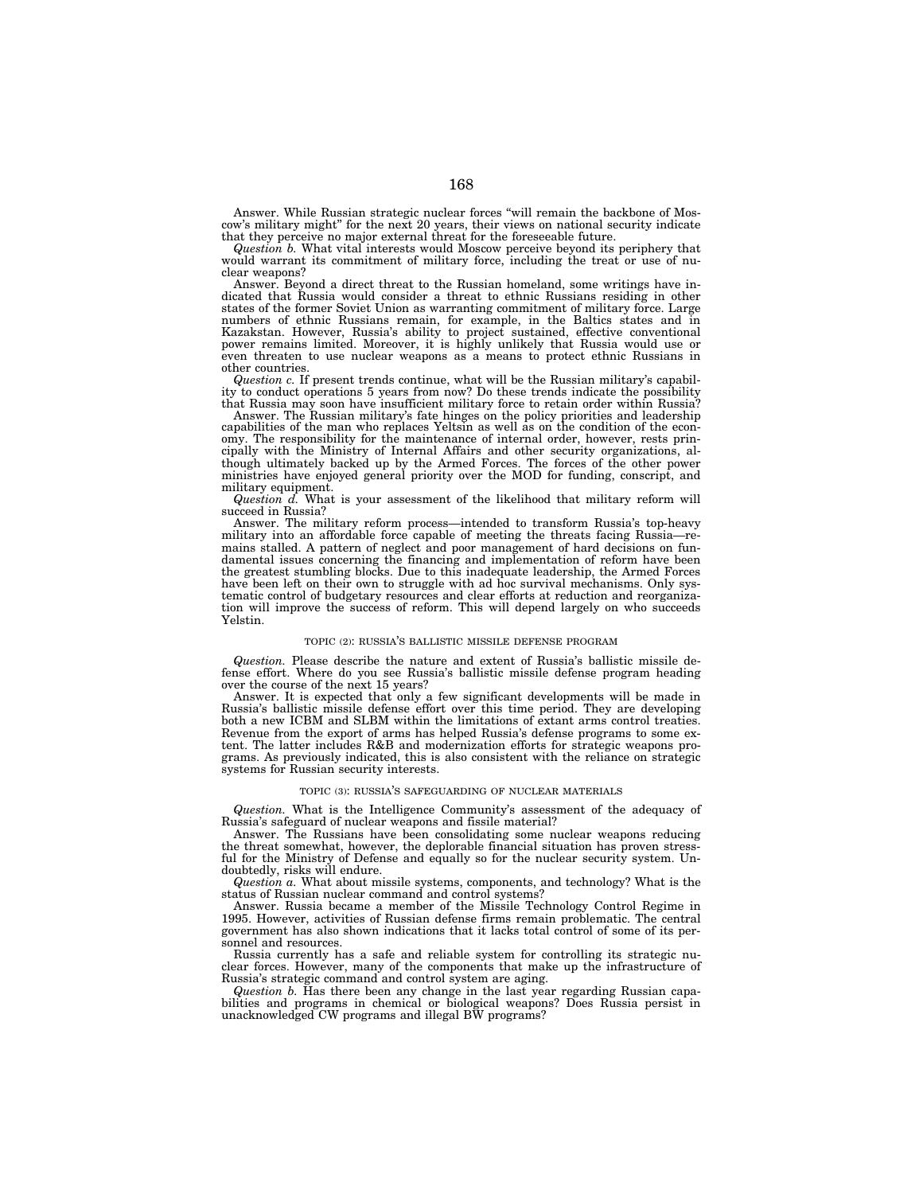Answer. While Russian strategic nuclear forces ''will remain the backbone of Moscow's military might'' for the next 20 years, their views on national security indicate that they perceive no major external threat for the foreseeable future.

*Question b.* What vital interests would Moscow perceive beyond its periphery that would warrant its commitment of military force, including the treat or use of nuclear weapons?

Answer. Beyond a direct threat to the Russian homeland, some writings have indicated that Russia would consider a threat to ethnic Russians residing in other states of the former Soviet Union as warranting commitment of military force. Large numbers of ethnic Russians remain, for example, in the Baltics states and in Kazakstan. However, Russia's ability to project sustained, effective conventional power remains limited. Moreover, it is highly unlikely that Russia would use or even threaten to use nuclear weapons as a means to protect ethnic Russians in other countries.

*Question c.* If present trends continue, what will be the Russian military's capability to conduct operations 5 years from now? Do these trends indicate the possibility that Russia may soon have insufficient military force to retain order within Russia?

Answer. The Russian military's fate hinges on the policy priorities and leadership capabilities of the man who replaces Yeltsin as well as on the condition of the economy. The responsibility for the maintenance of internal order, however, rests principally with the Ministry of Internal Affairs and other security organizations, although ultimately backed up by the Armed Forces. The forces of the other power ministries have enjoyed general priority over the MOD for funding, conscript, and military equipment.

*Question d.* What is your assessment of the likelihood that military reform will succeed in Russia?

Answer. The military reform process—intended to transform Russia's top-heavy military into an affordable force capable of meeting the threats facing Russia—remains stalled. A pattern of neglect and poor management of hard decisions on fundamental issues concerning the financing and implementation of reform have been the greatest stumbling blocks. Due to this inadequate leadership, the Armed Forces have been left on their own to struggle with ad hoc survival mechanisms. Only systematic control of budgetary resources and clear efforts at reduction and reorganization will improve the success of reform. This will depend largely on who succeeds Yelstin.

#### TOPIC (2): RUSSIA'S BALLISTIC MISSILE DEFENSE PROGRAM

*Question.* Please describe the nature and extent of Russia's ballistic missile defense effort. Where do you see Russia's ballistic missile defense program heading over the course of the next 15 years?

Answer. It is expected that only a few significant developments will be made in Russia's ballistic missile defense effort over this time period. They are developing both a new ICBM and SLBM within the limitations of extant arms control treaties. Revenue from the export of arms has helped Russia's defense programs to some extent. The latter includes R&B and modernization efforts for strategic weapons programs. As previously indicated, this is also consistent with the reliance on strategic systems for Russian security interests.

### TOPIC (3): RUSSIA'S SAFEGUARDING OF NUCLEAR MATERIALS

*Question.* What is the Intelligence Community's assessment of the adequacy of Russia's safeguard of nuclear weapons and fissile material?

Answer. The Russians have been consolidating some nuclear weapons reducing the threat somewhat, however, the deplorable financial situation has proven stressful for the Ministry of Defense and equally so for the nuclear security system. Undoubtedly, risks will endure.

*Question a.* What about missile systems, components, and technology? What is the status of Russian nuclear command and control systems?

Answer. Russia became a member of the Missile Technology Control Regime in 1995. However, activities of Russian defense firms remain problematic. The central government has also shown indications that it lacks total control of some of its personnel and resources.

Russia currently has a safe and reliable system for controlling its strategic nuclear forces. However, many of the components that make up the infrastructure of Russia's strategic command and control system are aging.

*Question b.* Has there been any change in the last year regarding Russian capabilities and programs in chemical or biological weapons? Does Russia persist in unacknowledged CW programs and illegal BW programs?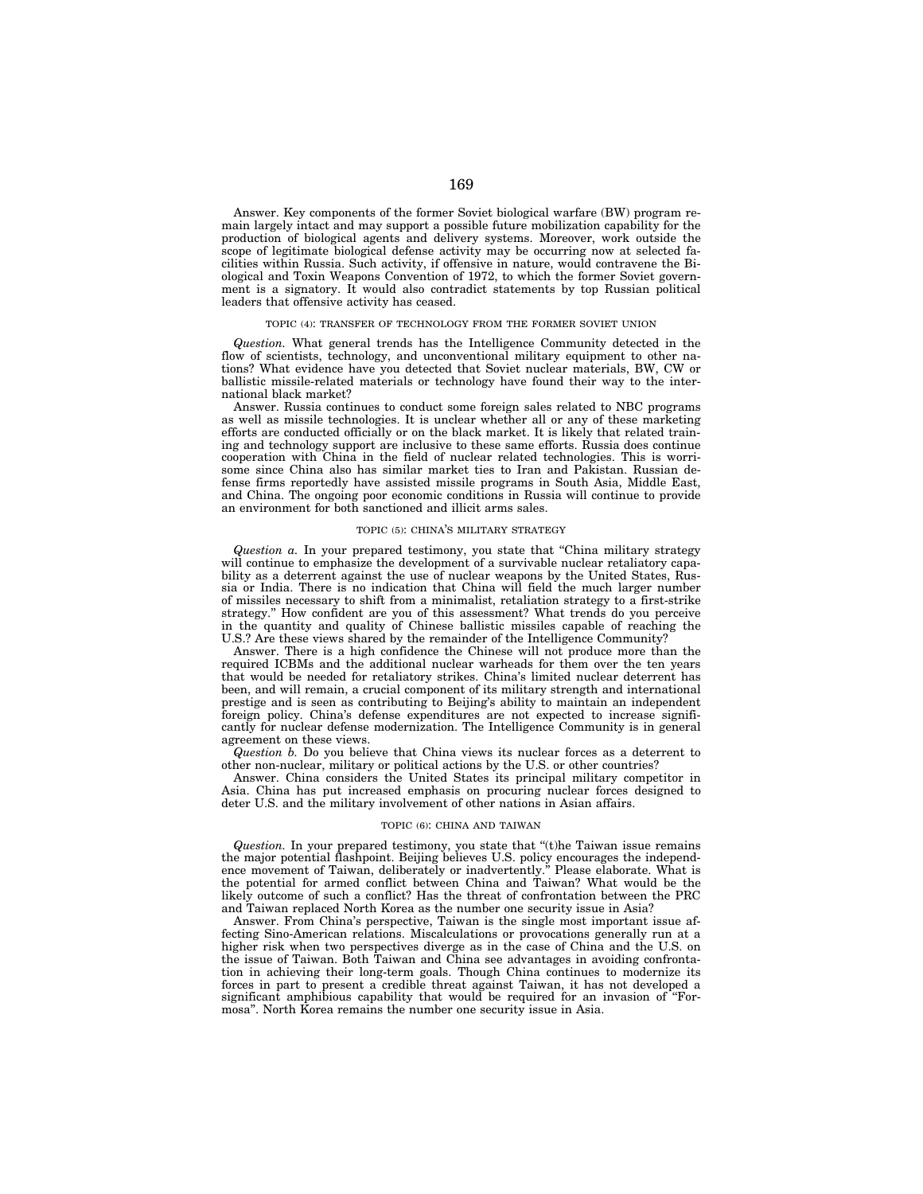Answer. Key components of the former Soviet biological warfare (BW) program remain largely intact and may support a possible future mobilization capability for the production of biological agents and delivery systems. Moreover, work outside the scope of legitimate biological defense activity may be occurring now at selected facilities within Russia. Such activity, if offensive in nature, would contravene the Biological and Toxin Weapons Convention of 1972, to which the former Soviet government is a signatory. It would also contradict statements by top Russian political leaders that offensive activity has ceased.

# TOPIC (4): TRANSFER OF TECHNOLOGY FROM THE FORMER SOVIET UNION

*Question.* What general trends has the Intelligence Community detected in the flow of scientists, technology, and unconventional military equipment to other nations? What evidence have you detected that Soviet nuclear materials, BW, CW or ballistic missile-related materials or technology have found their way to the international black market?

Answer. Russia continues to conduct some foreign sales related to NBC programs as well as missile technologies. It is unclear whether all or any of these marketing efforts are conducted officially or on the black market. It is likely that related training and technology support are inclusive to these same efforts. Russia does continue cooperation with China in the field of nuclear related technologies. This is worrisome since China also has similar market ties to Iran and Pakistan. Russian defense firms reportedly have assisted missile programs in South Asia, Middle East, and China. The ongoing poor economic conditions in Russia will continue to provide an environment for both sanctioned and illicit arms sales.

## TOPIC (5): CHINA'S MILITARY STRATEGY

*Question a.* In your prepared testimony, you state that ''China military strategy will continue to emphasize the development of a survivable nuclear retaliatory capability as a deterrent against the use of nuclear weapons by the United States, Russia or India. There is no indication that China will field the much larger number of missiles necessary to shift from a minimalist, retaliation strategy to a first-strike strategy.'' How confident are you of this assessment? What trends do you perceive in the quantity and quality of Chinese ballistic missiles capable of reaching the U.S.? Are these views shared by the remainder of the Intelligence Community?

Answer. There is a high confidence the Chinese will not produce more than the required ICBMs and the additional nuclear warheads for them over the ten years that would be needed for retaliatory strikes. China's limited nuclear deterrent has been, and will remain, a crucial component of its military strength and international prestige and is seen as contributing to Beijing's ability to maintain an independent foreign policy. China's defense expenditures are not expected to increase significantly for nuclear defense modernization. The Intelligence Community is in general agreement on these views.

*Question b.* Do you believe that China views its nuclear forces as a deterrent to other non-nuclear, military or political actions by the U.S. or other countries?

Answer. China considers the United States its principal military competitor in Asia. China has put increased emphasis on procuring nuclear forces designed to deter U.S. and the military involvement of other nations in Asian affairs.

# TOPIC (6): CHINA AND TAIWAN

*Question.* In your prepared testimony, you state that ''(t)he Taiwan issue remains the major potential flashpoint. Beijing believes U.S. policy encourages the independence movement of Taiwan, deliberately or inadvertently.'' Please elaborate. What is the potential for armed conflict between China and Taiwan? What would be the likely outcome of such a conflict? Has the threat of confrontation between the PRC and Taiwan replaced North Korea as the number one security issue in Asia?

Answer. From China's perspective, Taiwan is the single most important issue affecting Sino-American relations. Miscalculations or provocations generally run at a higher risk when two perspectives diverge as in the case of China and the U.S. on the issue of Taiwan. Both Taiwan and China see advantages in avoiding confrontation in achieving their long-term goals. Though China continues to modernize its forces in part to present a credible threat against Taiwan, it has not developed a significant amphibious capability that would be required for an invasion of ''Formosa''. North Korea remains the number one security issue in Asia.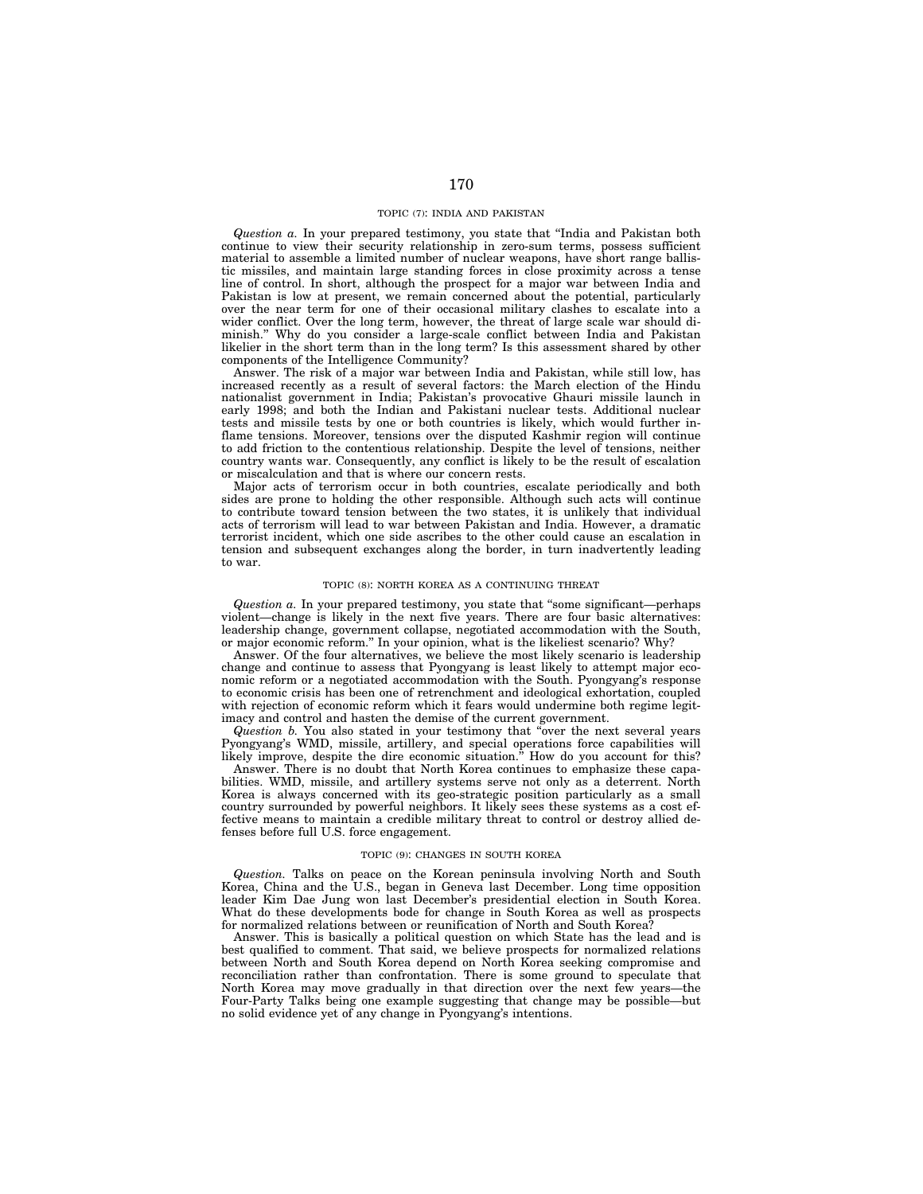#### TOPIC (7): INDIA AND PAKISTAN

*Question a.* In your prepared testimony, you state that ''India and Pakistan both continue to view their security relationship in zero-sum terms, possess sufficient material to assemble a limited number of nuclear weapons, have short range ballistic missiles, and maintain large standing forces in close proximity across a tense line of control. In short, although the prospect for a major war between India and Pakistan is low at present, we remain concerned about the potential, particularly over the near term for one of their occasional military clashes to escalate into a wider conflict. Over the long term, however, the threat of large scale war should diminish.'' Why do you consider a large-scale conflict between India and Pakistan likelier in the short term than in the long term? Is this assessment shared by other components of the Intelligence Community?

Answer. The risk of a major war between India and Pakistan, while still low, has increased recently as a result of several factors: the March election of the Hindu nationalist government in India; Pakistan's provocative Ghauri missile launch in early 1998; and both the Indian and Pakistani nuclear tests. Additional nuclear tests and missile tests by one or both countries is likely, which would further inflame tensions. Moreover, tensions over the disputed Kashmir region will continue to add friction to the contentious relationship. Despite the level of tensions, neither country wants war. Consequently, any conflict is likely to be the result of escalation or miscalculation and that is where our concern rests.

Major acts of terrorism occur in both countries, escalate periodically and both sides are prone to holding the other responsible. Although such acts will continue to contribute toward tension between the two states, it is unlikely that individual acts of terrorism will lead to war between Pakistan and India. However, a dramatic terrorist incident, which one side ascribes to the other could cause an escalation in tension and subsequent exchanges along the border, in turn inadvertently leading to war.

#### TOPIC (8): NORTH KOREA AS A CONTINUING THREAT

*Question a.* In your prepared testimony, you state that ''some significant—perhaps violent—change is likely in the next five years. There are four basic alternatives: leadership change, government collapse, negotiated accommodation with the South, or major economic reform.'' In your opinion, what is the likeliest scenario? Why?

Answer. Of the four alternatives, we believe the most likely scenario is leadership change and continue to assess that Pyongyang is least likely to attempt major economic reform or a negotiated accommodation with the South. Pyongyang's response to economic crisis has been one of retrenchment and ideological exhortation, coupled with rejection of economic reform which it fears would undermine both regime legitimacy and control and hasten the demise of the current government.

*Question b.* You also stated in your testimony that ''over the next several years Pyongyang's WMD, missile, artillery, and special operations force capabilities will likely improve, despite the dire economic situation.'' How do you account for this?

Answer. There is no doubt that North Korea continues to emphasize these capabilities. WMD, missile, and artillery systems serve not only as a deterrent. North Korea is always concerned with its geo-strategic position particularly as a small country surrounded by powerful neighbors. It likely sees these systems as a cost effective means to maintain a credible military threat to control or destroy allied defenses before full U.S. force engagement.

## TOPIC (9): CHANGES IN SOUTH KOREA

*Question.* Talks on peace on the Korean peninsula involving North and South Korea, China and the U.S., began in Geneva last December. Long time opposition leader Kim Dae Jung won last December's presidential election in South Korea. What do these developments bode for change in South Korea as well as prospects for normalized relations between or reunification of North and South Korea?

Answer. This is basically a political question on which State has the lead and is best qualified to comment. That said, we believe prospects for normalized relations between North and South Korea depend on North Korea seeking compromise and reconciliation rather than confrontation. There is some ground to speculate that North Korea may move gradually in that direction over the next few years—the Four-Party Talks being one example suggesting that change may be possible—but no solid evidence yet of any change in Pyongyang's intentions.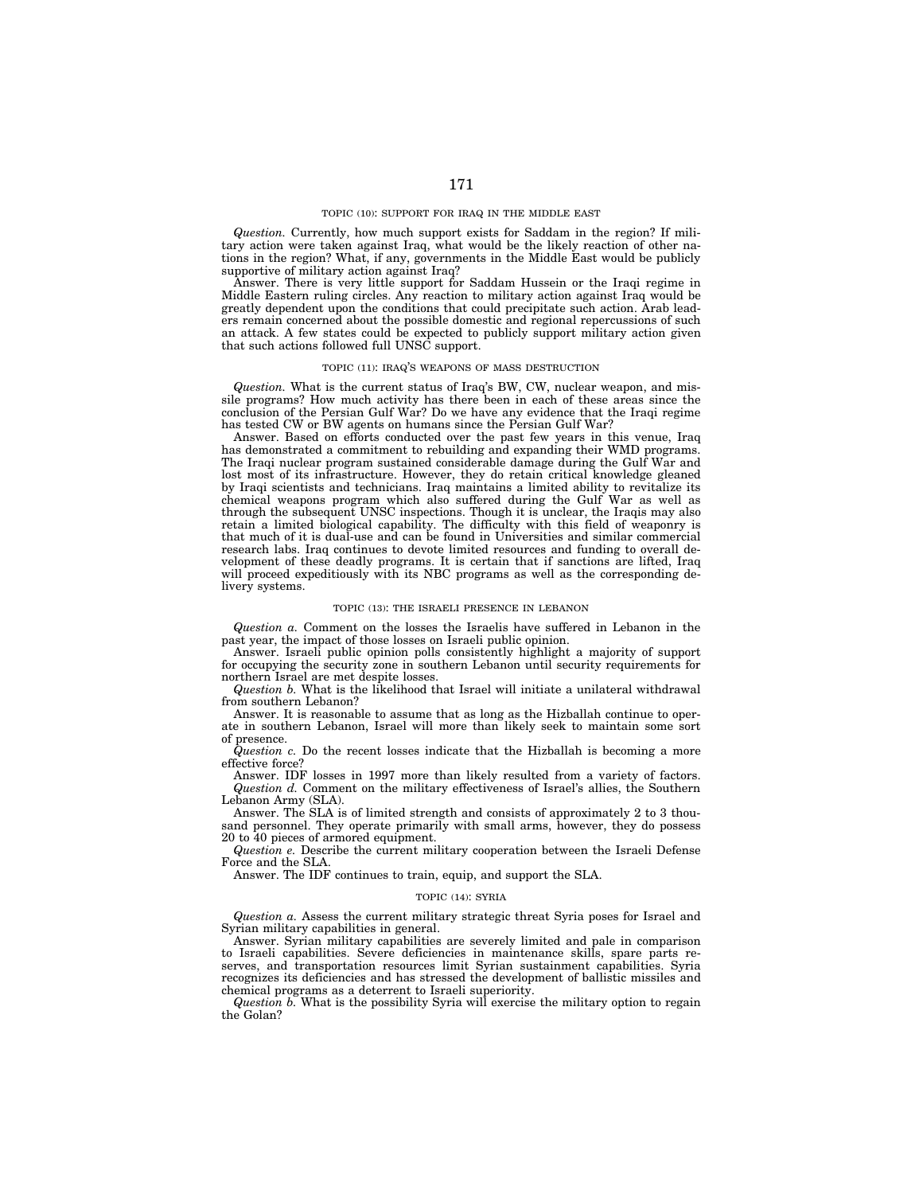*Question.* Currently, how much support exists for Saddam in the region? If military action were taken against Iraq, what would be the likely reaction of other nations in the region? What, if any, governments in the Middle East would be publicly supportive of military action against Iraq?

Answer. There is very little support for Saddam Hussein or the Iraqi regime in Middle Eastern ruling circles. Any reaction to military action against Iraq would be greatly dependent upon the conditions that could precipitate such action. Arab leaders remain concerned about the possible domestic and regional repercussions of such an attack. A few states could be expected to publicly support military action given that such actions followed full UNSC support.

# TOPIC (11): IRAQ'S WEAPONS OF MASS DESTRUCTION

*Question.* What is the current status of Iraq's BW, CW, nuclear weapon, and missile programs? How much activity has there been in each of these areas since the conclusion of the Persian Gulf War? Do we have any evidence that the Iraqi regime has tested CW or BW agents on humans since the Persian Gulf War?

Answer. Based on efforts conducted over the past few years in this venue, Iraq has demonstrated a commitment to rebuilding and expanding their WMD programs. The Iraqi nuclear program sustained considerable damage during the Gulf War and lost most of its infrastructure. However, they do retain critical knowledge gleaned by Iraqi scientists and technicians. Iraq maintains a limited ability to revitalize its chemical weapons program which also suffered during the Gulf War as well as through the subsequent UNSC inspections. Though it is unclear, the Iraqis may also retain a limited biological capability. The difficulty with this field of weaponry is that much of it is dual-use and can be found in Universities and similar commercial research labs. Iraq continues to devote limited resources and funding to overall development of these deadly programs. It is certain that if sanctions are lifted, Iraq will proceed expeditiously with its NBC programs as well as the corresponding delivery systems.

#### TOPIC (13): THE ISRAELI PRESENCE IN LEBANON

*Question a.* Comment on the losses the Israelis have suffered in Lebanon in the past year, the impact of those losses on Israeli public opinion.

Answer. Israeli public opinion polls consistently highlight a majority of support for occupying the security zone in southern Lebanon until security requirements for northern Israel are met despite losses.

*Question b.* What is the likelihood that Israel will initiate a unilateral withdrawal from southern Lebanon?

Answer. It is reasonable to assume that as long as the Hizballah continue to operate in southern Lebanon, Israel will more than likely seek to maintain some sort of presence.

*Question c.* Do the recent losses indicate that the Hizballah is becoming a more effective force?

Answer. IDF losses in 1997 more than likely resulted from a variety of factors. *Question d.* Comment on the military effectiveness of Israel's allies, the Southern Lebanon Army (SLA).

Answer. The SLA is of limited strength and consists of approximately 2 to 3 thousand personnel. They operate primarily with small arms, however, they do possess 20 to 40 pieces of armored equipment.

*Question e.* Describe the current military cooperation between the Israeli Defense Force and the SLA.

Answer. The IDF continues to train, equip, and support the SLA.

## TOPIC (14): SYRIA

*Question a.* Assess the current military strategic threat Syria poses for Israel and Syrian military capabilities in general.

Answer. Syrian military capabilities are severely limited and pale in comparison to Israeli capabilities. Severe deficiencies in maintenance skills, spare parts reserves, and transportation resources limit Syrian sustainment capabilities. Syria recognizes its deficiencies and has stressed the development of ballistic missiles and chemical programs as a deterrent to Israeli superiority.

*Question b.* What is the possibility Syria will exercise the military option to regain the Golan?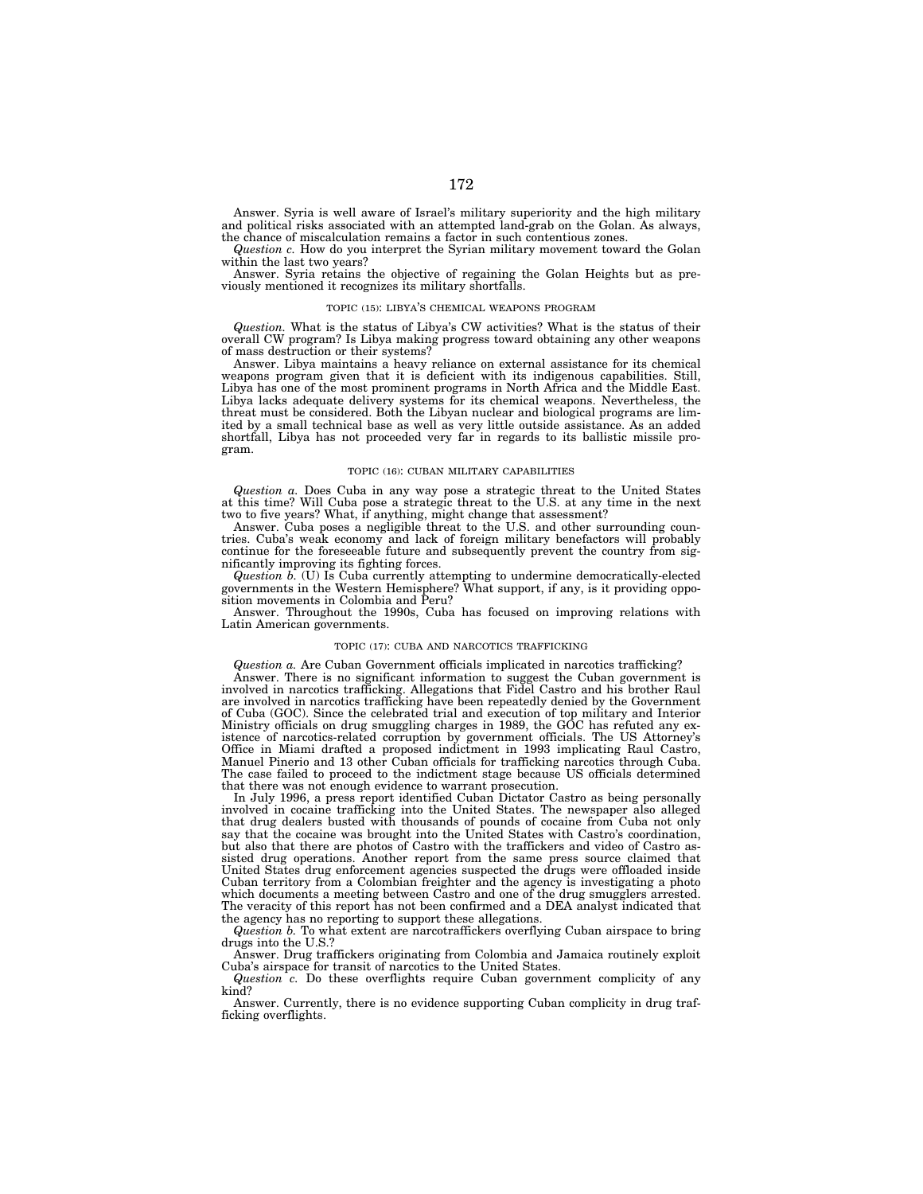Answer. Syria is well aware of Israel's military superiority and the high military and political risks associated with an attempted land-grab on the Golan. As always, the chance of miscalculation remains a factor in such contentious zones.

*Question c.* How do you interpret the Syrian military movement toward the Golan within the last two years?

Answer. Syria retains the objective of regaining the Golan Heights but as previously mentioned it recognizes its military shortfalls.

## TOPIC (15): LIBYA'S CHEMICAL WEAPONS PROGRAM

*Question.* What is the status of Libya's CW activities? What is the status of their overall CW program? Is Libya making progress toward obtaining any other weapons of mass destruction or their systems?

Answer. Libya maintains a heavy reliance on external assistance for its chemical weapons program given that it is deficient with its indigenous capabilities. Still, Libya has one of the most prominent programs in North Africa and the Middle East. Libya lacks adequate delivery systems for its chemical weapons. Nevertheless, the threat must be considered. Both the Libyan nuclear and biological programs are limited by a small technical base as well as very little outside assistance. As an added shortfall, Libya has not proceeded very far in regards to its ballistic missile program.

## TOPIC (16): CUBAN MILITARY CAPABILITIES

*Question a.* Does Cuba in any way pose a strategic threat to the United States at this time? Will Cuba pose a strategic threat to the U.S. at any time in the next two to five years? What, if anything, might change that assessment?

Answer. Cuba poses a negligible threat to the U.S. and other surrounding countries. Cuba's weak economy and lack of foreign military benefactors will probably continue for the foreseeable future and subsequently prevent the country from significantly improving its fighting forces.

*Question b.* (U) Is Cuba currently attempting to undermine democratically-elected governments in the Western Hemisphere? What support, if any, is it providing opposition movements in Colombia and Peru?

Answer. Throughout the 1990s, Cuba has focused on improving relations with Latin American governments.

#### TOPIC (17): CUBA AND NARCOTICS TRAFFICKING

*Question a.* Are Cuban Government officials implicated in narcotics trafficking? Answer. There is no significant information to suggest the Cuban government is

involved in narcotics trafficking. Allegations that Fidel Castro and his brother Raul are involved in narcotics trafficking have been repeatedly denied by the Government of Cuba (GOC). Since the celebrated trial and execution of top military and Interior Ministry officials on drug smuggling charges in 1989, the GOC has refuted any existence of narcotics-related corruption by government officials. The US Attorney's Office in Miami drafted a proposed indictment in 1993 implicating Raul Castro, Manuel Pinerio and 13 other Cuban officials for trafficking narcotics through Cuba. The case failed to proceed to the indictment stage because US officials determined that there was not enough evidence to warrant prosecution.

In July 1996, a press report identified Cuban Dictator Castro as being personally involved in cocaine trafficking into the United States. The newspaper also alleged that drug dealers busted with thousands of pounds of cocaine from Cuba not only say that the cocaine was brought into the United States with Castro's coordination, but also that there are photos of Castro with the traffickers and video of Castro assisted drug operations. Another report from the same press source claimed that United States drug enforcement agencies suspected the drugs were offloaded inside Cuban territory from a Colombian freighter and the agency is investigating a photo which documents a meeting between Castro and one of the drug smugglers arrested. The veracity of this report has not been confirmed and a DEA analyst indicated that the agency has no reporting to support these allegations.

*Question b.* To what extent are narcotraffickers overflying Cuban airspace to bring drugs into the U.S.?

Answer. Drug traffickers originating from Colombia and Jamaica routinely exploit Cuba's airspace for transit of narcotics to the United States.

*Question c.* Do these overflights require Cuban government complicity of any kind?

Answer. Currently, there is no evidence supporting Cuban complicity in drug trafficking overflights.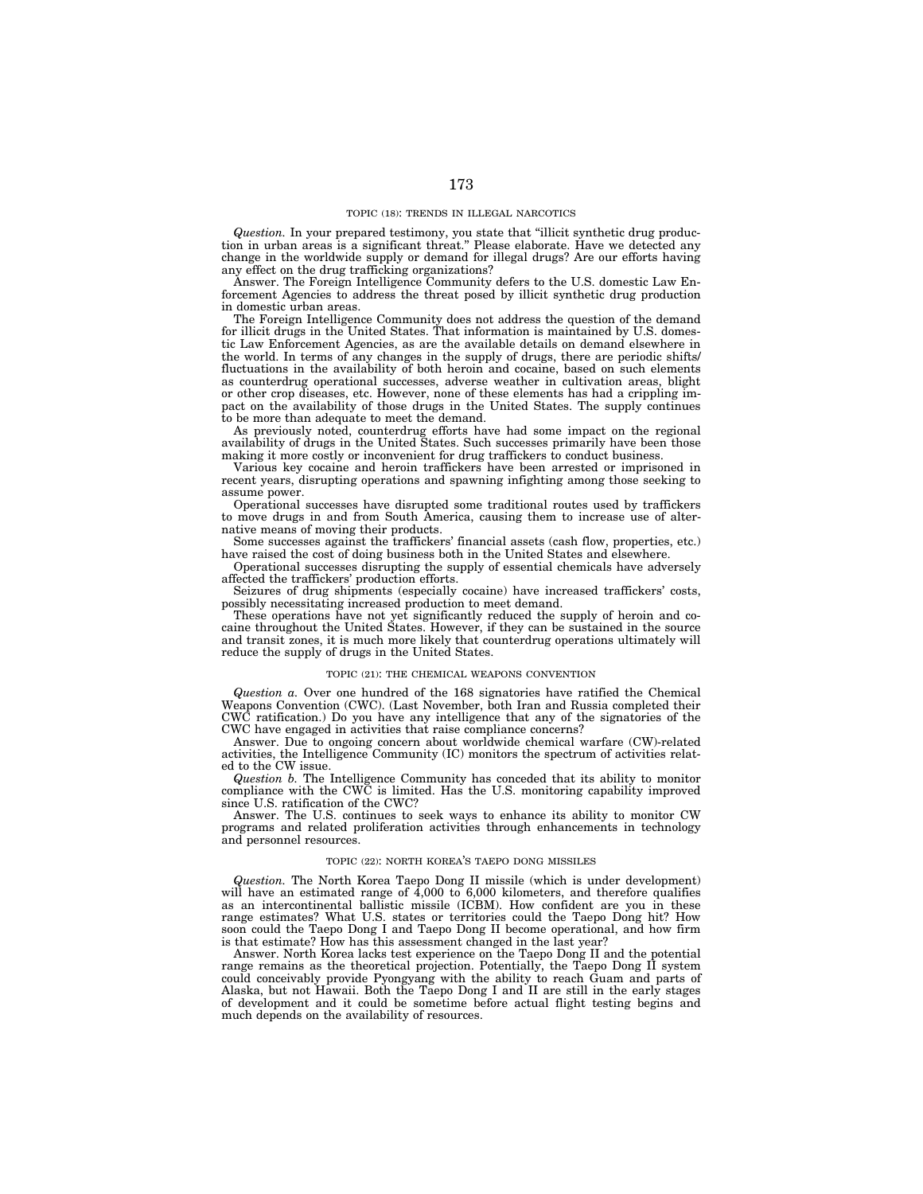*Question.* In your prepared testimony, you state that ''illicit synthetic drug production in urban areas is a significant threat.'' Please elaborate. Have we detected any change in the worldwide supply or demand for illegal drugs? Are our efforts having any effect on the drug trafficking organizations?

Answer. The Foreign Intelligence Community defers to the U.S. domestic Law Enforcement Agencies to address the threat posed by illicit synthetic drug production in domestic urban areas.

The Foreign Intelligence Community does not address the question of the demand for illicit drugs in the United States. That information is maintained by U.S. domestic Law Enforcement Agencies, as are the available details on demand elsewhere in the world. In terms of any changes in the supply of drugs, there are periodic shifts/ fluctuations in the availability of both heroin and cocaine, based on such elements as counterdrug operational successes, adverse weather in cultivation areas, blight or other crop diseases, etc. However, none of these elements has had a crippling impact on the availability of those drugs in the United States. The supply continues to be more than adequate to meet the demand.

As previously noted, counterdrug efforts have had some impact on the regional availability of drugs in the United States. Such successes primarily have been those making it more costly or inconvenient for drug traffickers to conduct business.

Various key cocaine and heroin traffickers have been arrested or imprisoned in recent years, disrupting operations and spawning infighting among those seeking to assume power.

Operational successes have disrupted some traditional routes used by traffickers to move drugs in and from South America, causing them to increase use of alternative means of moving their products.

Some successes against the traffickers' financial assets (cash flow, properties, etc.) have raised the cost of doing business both in the United States and elsewhere.

Operational successes disrupting the supply of essential chemicals have adversely affected the traffickers' production efforts.

Seizures of drug shipments (especially cocaine) have increased traffickers' costs, possibly necessitating increased production to meet demand.

These operations have not yet significantly reduced the supply of heroin and cocaine throughout the United States. However, if they can be sustained in the source and transit zones, it is much more likely that counterdrug operations ultimately will reduce the supply of drugs in the United States.

# TOPIC (21): THE CHEMICAL WEAPONS CONVENTION

*Question a.* Over one hundred of the 168 signatories have ratified the Chemical Weapons Convention (CWC). (Last November, both Iran and Russia completed their CWC ratification.) Do you have any intelligence that any of the signatories of the CWC have engaged in activities that raise compliance concerns?

Answer. Due to ongoing concern about worldwide chemical warfare (CW)-related activities, the Intelligence Community (IC) monitors the spectrum of activities related to the CW issue.

*Question b.* The Intelligence Community has conceded that its ability to monitor compliance with the CWC is limited. Has the U.S. monitoring capability improved since U.S. ratification of the CWC?

Answer. The U.S. continues to seek ways to enhance its ability to monitor CW programs and related proliferation activities through enhancements in technology and personnel resources.

### TOPIC (22): NORTH KOREA'S TAEPO DONG MISSILES

*Question.* The North Korea Taepo Dong II missile (which is under development) will have an estimated range of 4,000 to 6,000 kilometers, and therefore qualifies as an intercontinental ballistic missile (ICBM). How confident are you in these range estimates? What U.S. states or territories could the Taepo Dong hit? How soon could the Taepo Dong I and Taepo Dong II become operational, and how firm is that estimate? How has this assessment changed in the last year?

Answer. North Korea lacks test experience on the Taepo Dong II and the potential range remains as the theoretical projection. Potentially, the Taepo Dong II system could conceivably provide Pyongyang with the ability to reach Guam and parts of Alaska, but not Hawaii. Both the Taepo Dong I and II are still in the early stages of development and it could be sometime before actual flight testing begins and much depends on the availability of resources.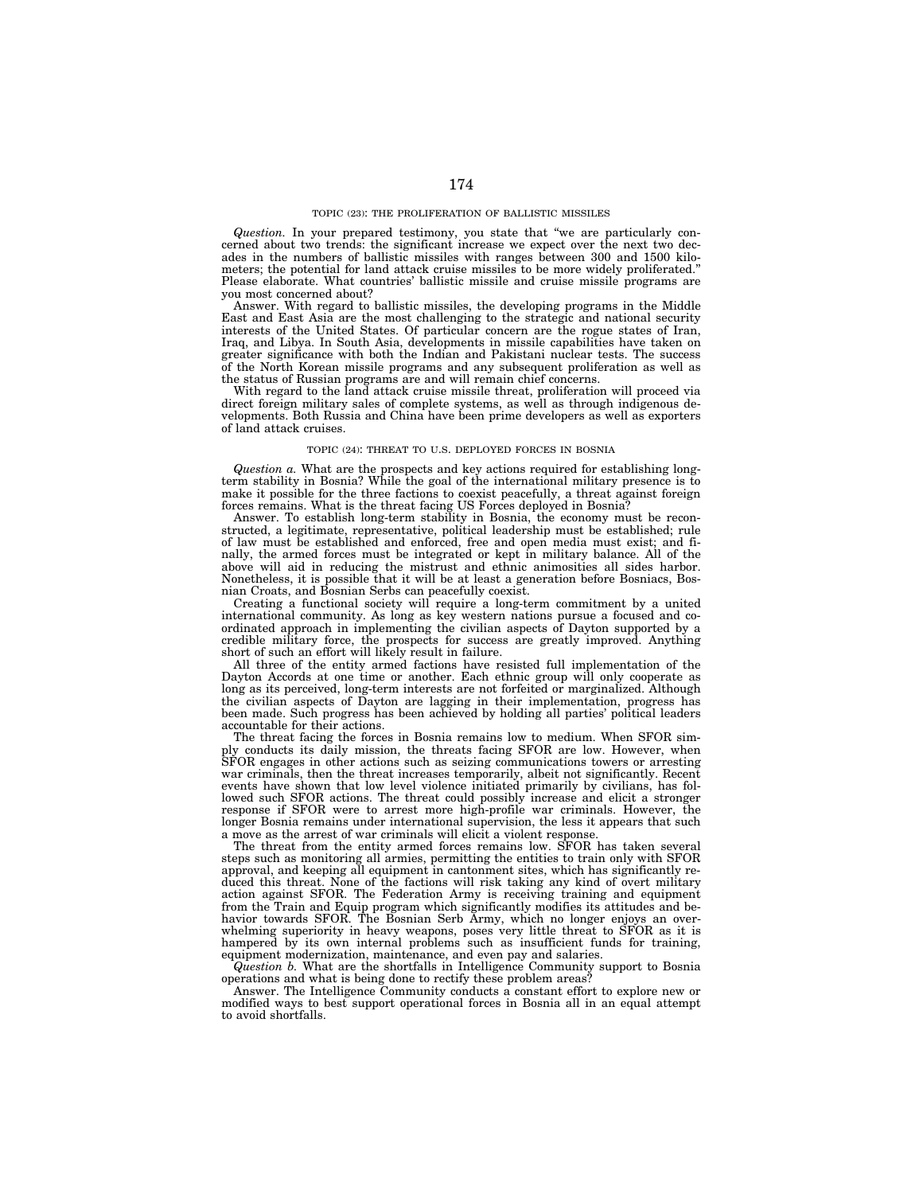*Question.* In your prepared testimony, you state that ''we are particularly concerned about two trends: the significant increase we expect over the next two decades in the numbers of ballistic missiles with ranges between 300 and 1500 kilometers; the potential for land attack cruise missiles to be more widely proliferated.'' Please elaborate. What countries' ballistic missile and cruise missile programs are you most concerned about?

Answer. With regard to ballistic missiles, the developing programs in the Middle East and East Asia are the most challenging to the strategic and national security interests of the United States. Of particular concern are the rogue states of Iran, Iraq, and Libya. In South Asia, developments in missile capabilities have taken on greater significance with both the Indian and Pakistani nuclear tests. The success of the North Korean missile programs and any subsequent proliferation as well as the status of Russian programs are and will remain chief concerns.

With regard to the land attack cruise missile threat, proliferation will proceed via direct foreign military sales of complete systems, as well as through indigenous developments. Both Russia and China have been prime developers as well as exporters of land attack cruises.

## TOPIC (24): THREAT TO U.S. DEPLOYED FORCES IN BOSNIA

*Question a.* What are the prospects and key actions required for establishing longterm stability in Bosnia? While the goal of the international military presence is to make it possible for the three factions to coexist peacefully, a threat against foreign forces remains. What is the threat facing US Forces deployed in Bosnia?

Answer. To establish long-term stability in Bosnia, the economy must be reconstructed, a legitimate, representative, political leadership must be established; rule of law must be established and enforced, free and open media must exist; and finally, the armed forces must be integrated or kept in military balance. All of the above will aid in reducing the mistrust and ethnic animosities all sides harbor. Nonetheless, it is possible that it will be at least a generation before Bosniacs, Bosnian Croats, and Bosnian Serbs can peacefully coexist.

Creating a functional society will require a long-term commitment by a united international community. As long as key western nations pursue a focused and coordinated approach in implementing the civilian aspects of Dayton supported by a credible military force, the prospects for success are greatly improved. Anything short of such an effort will likely result in failure.

All three of the entity armed factions have resisted full implementation of the Dayton Accords at one time or another. Each ethnic group will only cooperate as long as its perceived, long-term interests are not forfeited or marginalized. Although the civilian aspects of Dayton are lagging in their implementation, progress has been made. Such progress has been achieved by holding all parties' political leaders accountable for their actions.

The threat facing the forces in Bosnia remains low to medium. When SFOR simply conducts its daily mission, the threats facing SFOR are low. However, when ply conducts its dany mission, the threats having on the store towers or arresting<br>SFOR engages in other actions such as seizing communications towers or arresting<br> war criminals, then the threat increases temporarily, albeit not significantly. Recent events have shown that low level violence initiated primarily by civilians, has followed such SFOR actions. The threat could possibly increase and elicit a stronger response if SFOR were to arrest more high-profile war criminals. However, the longer Bosnia remains under international supervision, the less it appears that such a move as the arrest of war criminals will elicit a violent response.

The threat from the entity armed forces remains low. SFOR has taken several steps such as monitoring all armies, permitting the entities to train only with SFOR approval, and keeping all equipment in cantonment sites, which has significantly reduced this threat. None of the factions will risk taking any kind of overt military action against SFOR. The Federation Army is receiving training and equipment from the Train and Equip program which significantly modifies its attitudes and behavior towards SFOR. The Bosnian Serb Army, which no longer enjoys an overwhelming superiority in heavy weapons, poses very little threat to SFOR as it is hampered by its own internal problems such as insufficient funds for training, equipment modernization, maintenance, and even pay and salaries.

*Question b.* What are the shortfalls in Intelligence Community support to Bosnia operations and what is being done to rectify these problem areas?

Answer. The Intelligence Community conducts a constant effort to explore new or modified ways to best support operational forces in Bosnia all in an equal attempt to avoid shortfalls.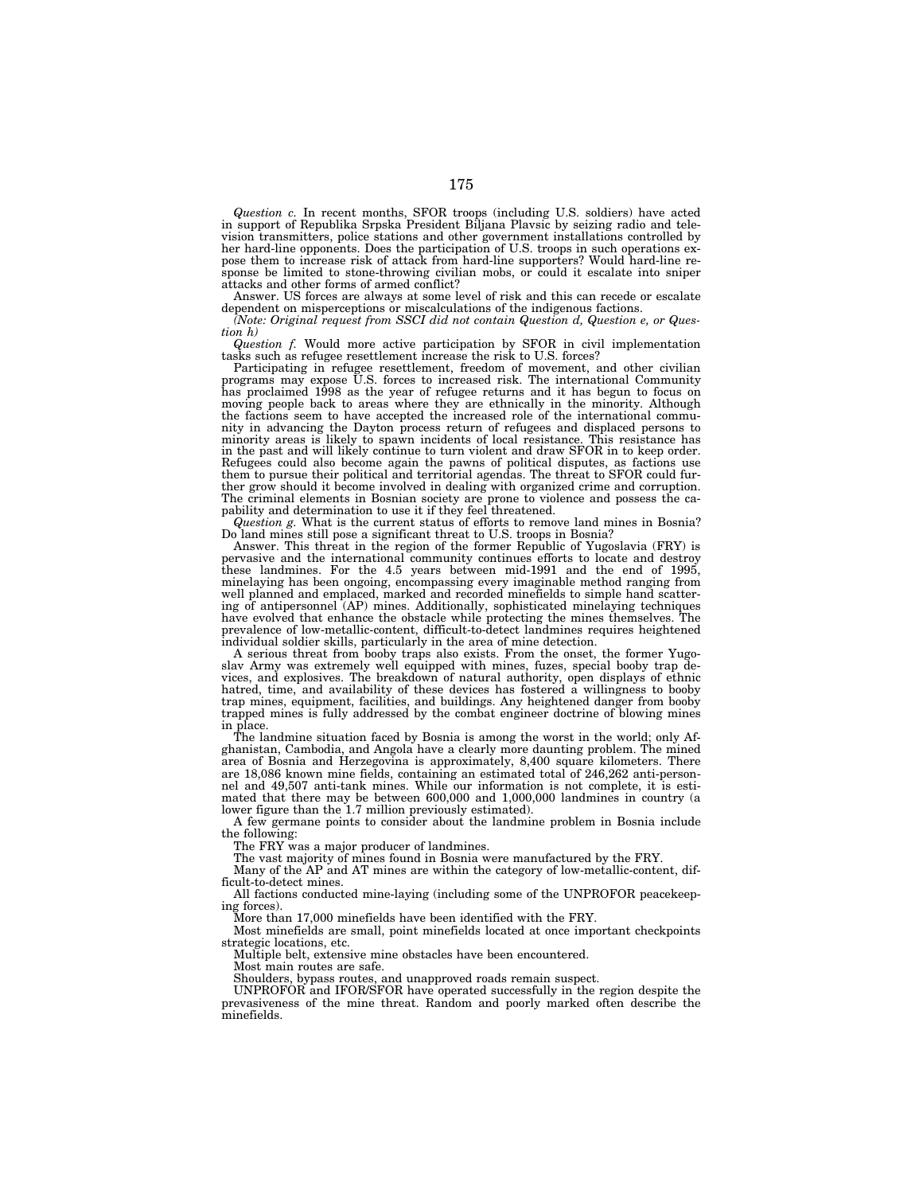*Question c.* In recent months, SFOR troops (including U.S. soldiers) have acted in support of Republika Srpska President Biljana Plavsic by seizing radio and television transmitters, police stations and other government installations controlled by her hard-line opponents. Does the participation of U.S. troops in such operations ex-pose them to increase risk of attack from hard-line supporters? Would hard-line response be limited to stone-throwing civilian mobs, or could it escalate into sniper attacks and other forms of armed conflict?

Answer. US forces are always at some level of risk and this can recede or escalate dependent on misperceptions or miscalculations of the indigenous factions.

*(Note: Original request from SSCI did not contain Question d, Question e, or Question h)*

*Question f.* Would more active participation by SFOR in civil implementation tasks such as refugee resettlement increase the risk to U.S. forces?

Participating in refugee resettlement, freedom of movement, and other civilian programs may expose U.S. forces to increased risk. The international Community has proclaimed 1998 as the year of refugee returns and it has begun to focus on moving people back to areas where they are ethnically in the minority. Although the factions seem to have accepted the increased role of the international community in advancing the Dayton process return of refugees and displaced persons to<br>minority areas is likely to spawn incidents of local resistance. This resistance has<br>in the past and will likely continue to turn violent and Refugees could also become again the pawns of political disputes, as factions use them to pursue their political and territorial agendas. The threat to SFOR could further grow should it become involved in dealing with organized crime and corruption. The criminal elements in Bosnian society are prone to violence and possess the ca-pability and determination to use it if they feel threatened.

*Question g.* What is the current status of efforts to remove land mines in Bosnia? Do land mines still pose a significant threat to U.S. troops in Bosnia? Answer. This threat in the region of the former Republic of Yugoslavia (FRY) is

pervasive and the international community continues efforts to locate and destroy these landmines. For the 4.5 years between mid-1991 and the end of 1995, minelaying has been ongoing, encompassing every imaginable method ranging from well planned and emplaced, marked and recorded minefields to simple hand scattering of antipersonnel (AP) mines. Additionally, sophisticated minelaying techniques have evolved that enhance the obstacle while protecting the mines themselves. The prevalence of low-metallic-content, difficult-to-detect landmines requires heightened individual soldier skills, particularly in the area of mine detection.

A serious threat from booby traps also exists. From the onset, the former Yugo-slav Army was extremely well equipped with mines, fuzes, special booby trap devices, and explosives. The breakdown of natural authority, open displays of ethnic hatred, time, and availability of these devices has fostered a willingness to booby trap mines, equipment, facilities, and buildings. Any heightened danger from booby trapped mines is fully addressed by the combat engineer doctrine of blowing mines in place.

The landmine situation faced by Bosnia is among the worst in the world; only Afghanistan, Cambodia, and Angola have a clearly more daunting problem. The mined area of Bosnia and Herzegovina is approximately, 8,400 square kilometers. There are 18,086 known mine fields, containing an estimated total of 246,262 anti-personnel and 49,507 anti-tank mines. While our information is not complete, it is estimated that there may be between 600,000 and 1,000,000 landmines in country (a lower figure than the 1.7 million previously estimated).

A few germane points to consider about the landmine problem in Bosnia include the following:

The FRY was a major producer of landmines.

The vast majority of mines found in Bosnia were manufactured by the FRY.

Many of the AP and AT mines are within the category of low-metallic-content, difficult-to-detect mines.

All factions conducted mine-laying (including some of the UNPROFOR peacekeeping forces).

More than 17,000 minefields have been identified with the FRY.

Most minefields are small, point minefields located at once important checkpoints strategic locations, etc.

Multiple belt, extensive mine obstacles have been encountered.

Most main routes are safe.

Shoulders, bypass routes, and unapproved roads remain suspect.

UNPROFOR and IFOR/SFOR have operated successfully in the region despite the prevasiveness of the mine threat. Random and poorly marked often describe the minefields.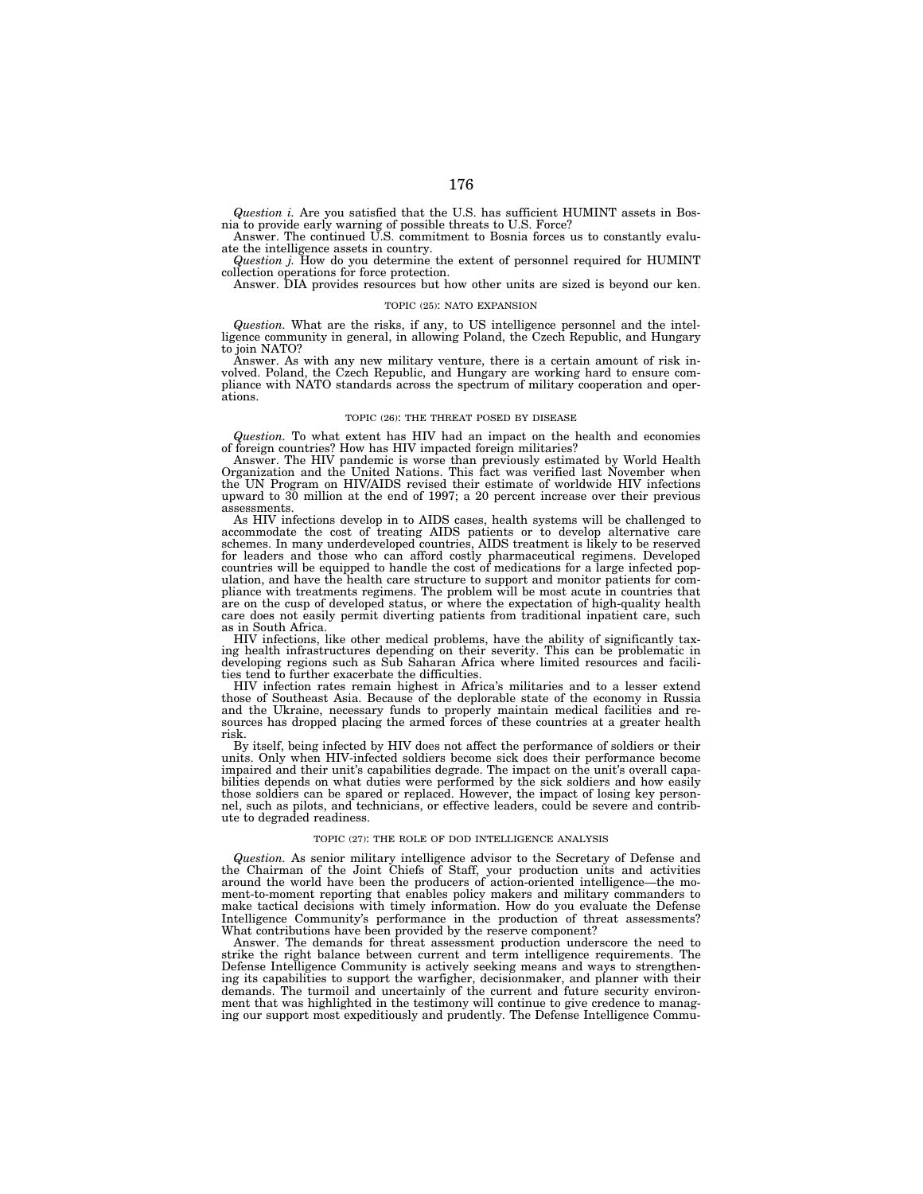*Question i.* Are you satisfied that the U.S. has sufficient HUMINT assets in Bosnia to provide early warning of possible threats to U.S. Force? Answer. The continued U.S. commitment to Bosnia forces us to constantly evalu-

ate the intelligence assets in country. *Question j.* How do you determine the extent of personnel required for HUMINT

collection operations for force protection. Answer. DIA provides resources but how other units are sized is beyond our ken.

# TOPIC (25): NATO EXPANSION

*Question.* What are the risks, if any, to US intelligence personnel and the intelligence community in general, in allowing Poland, the Czech Republic, and Hungary to join NATO?

Answer. As with any new military venture, there is a certain amount of risk involved. Poland, the Czech Republic, and Hungary are working hard to ensure compliance with NATO standards across the spectrum of military cooperation and operations.

### TOPIC (26): THE THREAT POSED BY DISEASE

*Question.* To what extent has HIV had an impact on the health and economies of foreign countries? How has HIV impacted foreign militaries?

Answer. The HIV pandemic is worse than previously estimated by World Health Organization and the United Nations. This fact was verified last November when the UN Program on HIV/AIDS revised their estimate of worldwide HIV infections upward to 30 million at the end of 1997; a 20 percent increase over their previous assessments.

As HIV infections develop in to AIDS cases, health systems will be challenged to accommodate the cost of treating AIDS patients or to develop alternative care schemes. In many underdeveloped countries, AIDS treatment is likely to be reserved for leaders and those who can afford costly pharmaceutical regimens. Developed countries will be equipped to handle the cost of medications for a large infected population, and have the health care structure to support and monitor patients for compliance with treatments regimens. The problem will be most acute in countries that are on the cusp of developed status, or where the expectation of high-quality health care does not easily permit diverting patients from traditional inpatient care, such as in South Africa.

HIV infections, like other medical problems, have the ability of significantly tax-ing health infrastructures depending on their severity. This can be problematic in developing regions such as Sub Saharan Africa where limited resources and facilities tend to further exacerbate the difficulties.

HIV infection rates remain highest in Africa's militaries and to a lesser extend those of Southeast Asia. Because of the deplorable state of the economy in Russia and the Ukraine, necessary funds to properly maintain medical facilities and resources has dropped placing the armed forces of these countries at a greater health risk.

By itself, being infected by HIV does not affect the performance of soldiers or their units. Only when HIV-infected soldiers become sick does their performance become impaired and their unit's capabilities degrade. The impact on the unit's overall capabilities depends on what duties were performed by the sick soldiers and how easily those soldiers can be spared or replaced. However, the impact of losing key personnel, such as pilots, and technicians, or effective leaders, could be severe and contribute to degraded readiness.

## TOPIC (27): THE ROLE OF DOD INTELLIGENCE ANALYSIS

*Question.* As senior military intelligence advisor to the Secretary of Defense and the Chairman of the Joint Chiefs of Staff, your production units and activities around the world have been the producers of action-oriented intelligence—the moment-to-moment reporting that enables policy makers and military commanders to make tactical decisions with timely information. How do you evaluate the Defense Intelligence Community's performance in the production of threat assessments? What contributions have been provided by the reserve component?

Answer. The demands for threat assessment production underscore the need to strike the right balance between current and term intelligence requirements. The Defense Intelligence Community is actively seeking means and ways to strengthening its capabilities to support the warfigher, decisionmaker, and planner with their demands. The turmoil and uncertainly of the current and future security environment that was highlighted in the testimony will continue to give credence to managing our support most expeditiously and prudently. The Defense Intelligence Commu